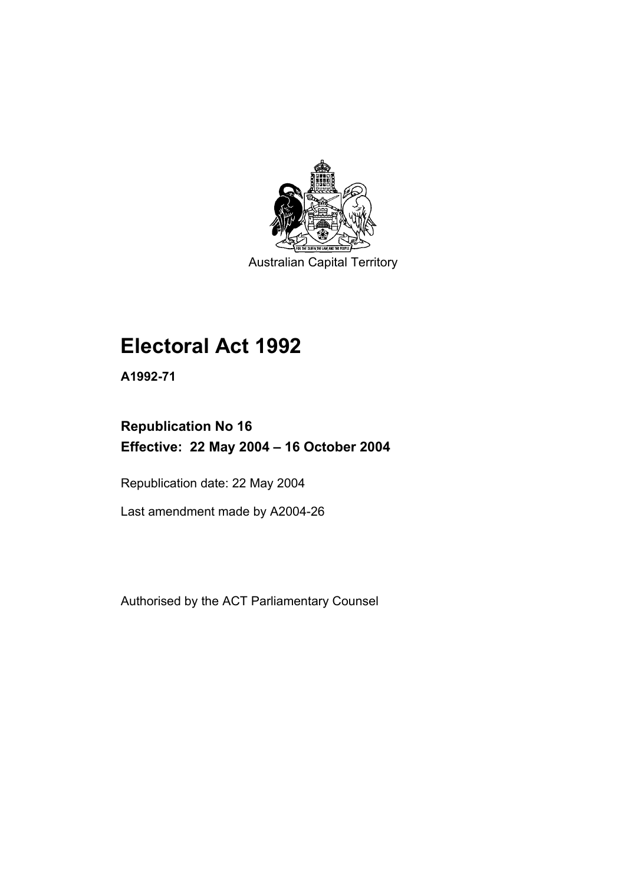

Australian Capital Territory

# **Electoral Act 1992**

**A1992-71** 

## **Republication No 16 Effective: 22 May 2004 – 16 October 2004**

Republication date: 22 May 2004

Last amendment made by A2004-26

Authorised by the ACT Parliamentary Counsel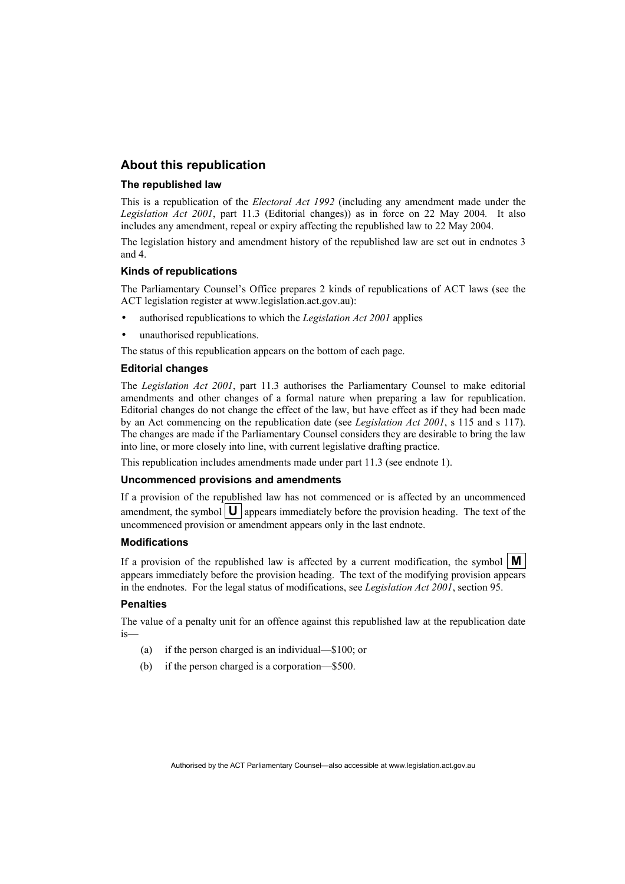#### **About this republication**

#### **The republished law**

This is a republication of the *Electoral Act 1992* (including any amendment made under the *Legislation Act 2001*, part 11.3 (Editorial changes)) as in force on 22 May 2004*.* It also includes any amendment, repeal or expiry affecting the republished law to 22 May 2004.

The legislation history and amendment history of the republished law are set out in endnotes 3 and 4.

#### **Kinds of republications**

The Parliamentary Counsel's Office prepares 2 kinds of republications of ACT laws (see the ACT legislation register at www.legislation.act.gov.au):

- authorised republications to which the *Legislation Act 2001* applies
- unauthorised republications.

The status of this republication appears on the bottom of each page.

#### **Editorial changes**

The *Legislation Act 2001*, part 11.3 authorises the Parliamentary Counsel to make editorial amendments and other changes of a formal nature when preparing a law for republication. Editorial changes do not change the effect of the law, but have effect as if they had been made by an Act commencing on the republication date (see *Legislation Act 2001*, s 115 and s 117). The changes are made if the Parliamentary Counsel considers they are desirable to bring the law into line, or more closely into line, with current legislative drafting practice.

This republication includes amendments made under part 11.3 (see endnote 1).

#### **Uncommenced provisions and amendments**

If a provision of the republished law has not commenced or is affected by an uncommenced amendment, the symbol  $\mathbf{U}$  appears immediately before the provision heading. The text of the uncommenced provision or amendment appears only in the last endnote.

#### **Modifications**

If a provision of the republished law is affected by a current modification, the symbol  $\mathbf{M}$ appears immediately before the provision heading. The text of the modifying provision appears in the endnotes. For the legal status of modifications, see *Legislation Act 2001*, section 95.

#### **Penalties**

The value of a penalty unit for an offence against this republished law at the republication date is—

- (a) if the person charged is an individual—\$100; or
- (b) if the person charged is a corporation—\$500.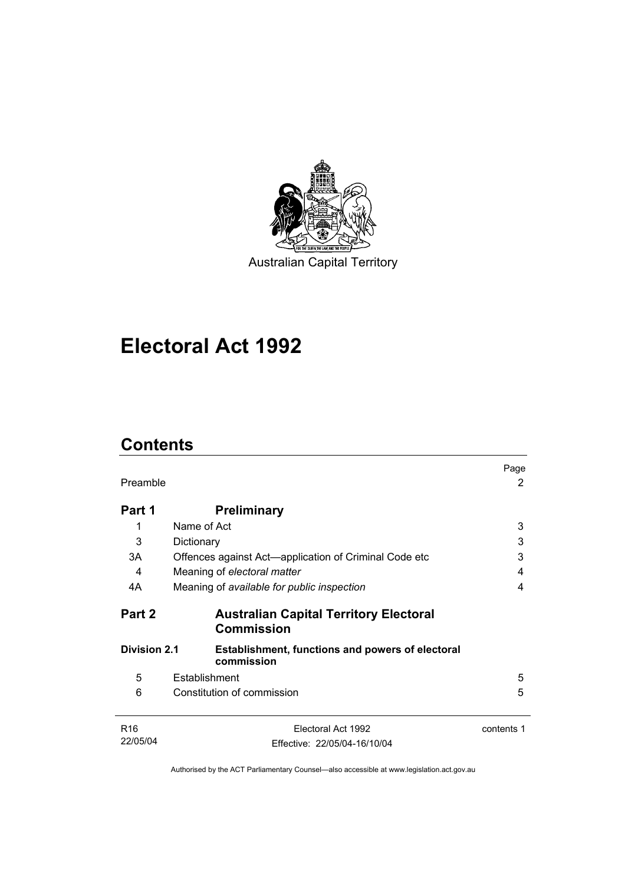

Australian Capital Territory

## **Electoral Act 1992**

## **Contents**

| Preamble                                                                                     |                                                                    | Page<br>2  |
|----------------------------------------------------------------------------------------------|--------------------------------------------------------------------|------------|
| Part 1                                                                                       | <b>Preliminary</b>                                                 |            |
| 1                                                                                            | Name of Act                                                        | 3          |
| 3                                                                                            | Dictionary                                                         | 3          |
| 3A                                                                                           | Offences against Act—application of Criminal Code etc              | 3          |
| 4                                                                                            | Meaning of electoral matter                                        | 4          |
| 4A                                                                                           | Meaning of available for public inspection                         | 4          |
| Part 2                                                                                       | <b>Australian Capital Territory Electoral</b><br><b>Commission</b> |            |
| <b>Division 2.1</b><br><b>Establishment, functions and powers of electoral</b><br>commission |                                                                    |            |
| 5                                                                                            | Establishment                                                      | 5          |
| 6                                                                                            | Constitution of commission                                         | 5          |
| R <sub>16</sub>                                                                              | Electoral Act 1992                                                 | contents 1 |
| 22/05/04                                                                                     | Effective: 22/05/04-16/10/04                                       |            |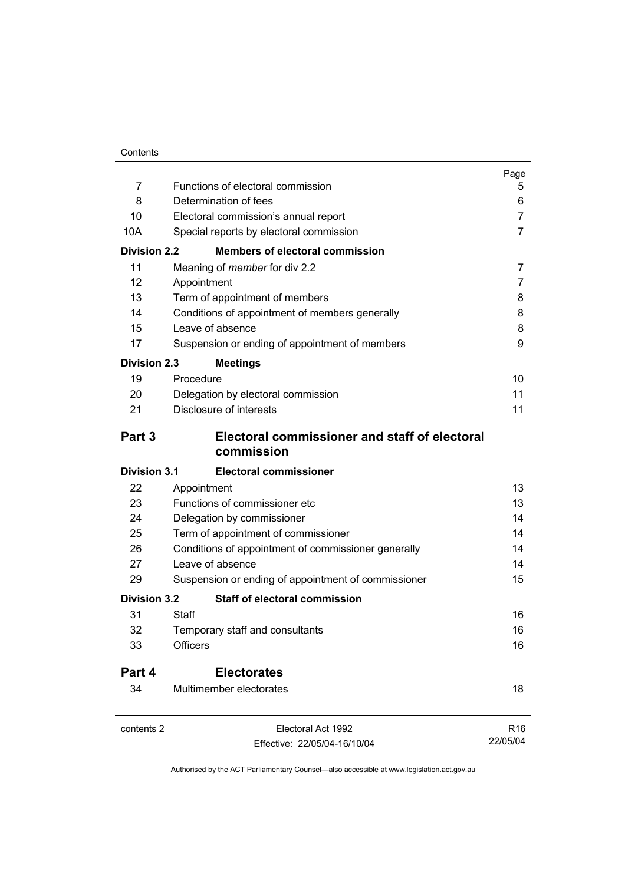|                     |                                                     | Page            |
|---------------------|-----------------------------------------------------|-----------------|
| $\overline{7}$      | Functions of electoral commission                   | 5               |
| 8                   | Determination of fees                               | 6               |
| 10                  | Electoral commission's annual report                | 7               |
| 10A                 | Special reports by electoral commission             | 7               |
| <b>Division 2.2</b> | <b>Members of electoral commission</b>              |                 |
| 11                  | Meaning of <i>member</i> for div 2.2                | $\overline{7}$  |
| 12                  | Appointment                                         | 7               |
| 13                  | Term of appointment of members                      | 8               |
| 14                  | Conditions of appointment of members generally      | 8               |
| 15                  | Leave of absence                                    | 8               |
| 17                  | Suspension or ending of appointment of members      | 9               |
| <b>Division 2.3</b> | <b>Meetings</b>                                     |                 |
| 19                  | Procedure                                           | 10              |
| 20                  | Delegation by electoral commission                  | 11              |
| 21                  | Disclosure of interests                             | 11              |
| Part 3              | Electoral commissioner and staff of electoral       |                 |
|                     | commission                                          |                 |
| <b>Division 3.1</b> | <b>Electoral commissioner</b>                       |                 |
| 22                  | Appointment                                         | 13              |
| 23                  | Functions of commissioner etc                       | 13              |
| 24                  | Delegation by commissioner                          | 14              |
| 25                  | Term of appointment of commissioner                 | 14              |
| 26                  | Conditions of appointment of commissioner generally | 14              |
| 27                  | Leave of absence                                    | 14              |
| 29                  | Suspension or ending of appointment of commissioner | 15              |
| <b>Division 3.2</b> | <b>Staff of electoral commission</b>                |                 |
| 31                  | Staff                                               | 16              |
| 32                  | Temporary staff and consultants                     | 16              |
| 33                  | <b>Officers</b>                                     | 16              |
| Part 4              | <b>Electorates</b>                                  |                 |
| 34                  | Multimember electorates                             | 18              |
| contents 2          | Electoral Act 1992                                  | R <sub>16</sub> |
|                     | Effective: 22/05/04-16/10/04                        | 22/05/04        |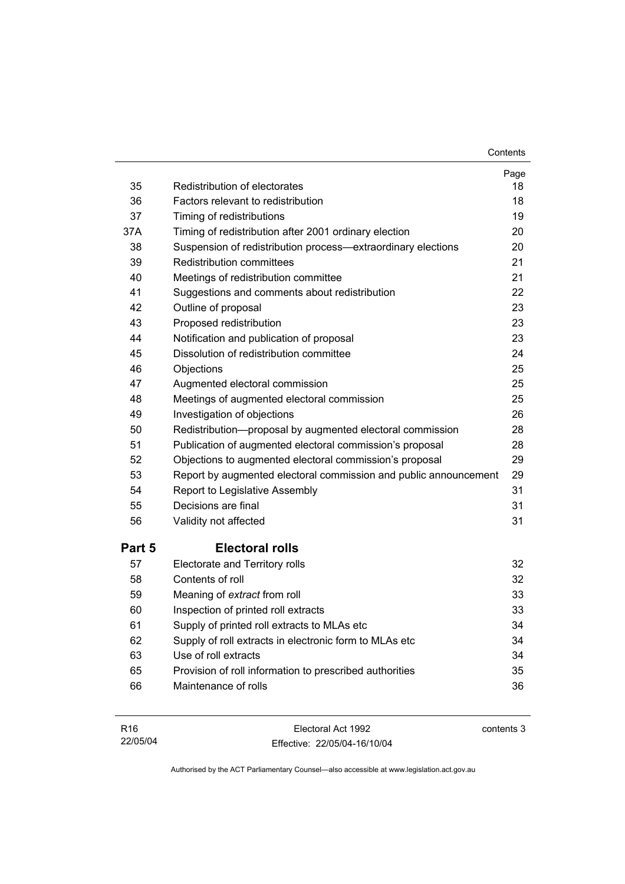| Contents |
|----------|
|----------|

| 35     | Redistribution of electorates                                    | Page<br>18 |
|--------|------------------------------------------------------------------|------------|
| 36     | Factors relevant to redistribution                               | 18         |
| 37     | Timing of redistributions                                        | 19         |
| 37A    | Timing of redistribution after 2001 ordinary election            | 20         |
| 38     | Suspension of redistribution process-extraordinary elections     | 20         |
| 39     | Redistribution committees                                        | 21         |
| 40     | Meetings of redistribution committee                             | 21         |
| 41     | Suggestions and comments about redistribution                    | 22         |
| 42     | Outline of proposal                                              | 23         |
| 43     | Proposed redistribution                                          | 23         |
| 44     | Notification and publication of proposal                         | 23         |
| 45     | Dissolution of redistribution committee                          | 24         |
| 46     | Objections                                                       | 25         |
| 47     | Augmented electoral commission                                   | 25         |
| 48     | Meetings of augmented electoral commission                       | 25         |
| 49     | Investigation of objections                                      | 26         |
| 50     | Redistribution-proposal by augmented electoral commission        | 28         |
| 51     | Publication of augmented electoral commission's proposal         | 28         |
| 52     | Objections to augmented electoral commission's proposal          | 29         |
| 53     | Report by augmented electoral commission and public announcement | 29         |
| 54     | Report to Legislative Assembly                                   | 31         |
| 55     | Decisions are final                                              | 31         |
| 56     | Validity not affected                                            | 31         |
| Part 5 | <b>Electoral rolls</b>                                           |            |
| 57     | Electorate and Territory rolls                                   | 32         |
| 58     | Contents of roll                                                 | 32         |
| 59     | Meaning of extract from roll                                     | 33         |
| 60     | Inspection of printed roll extracts                              | 33         |
| 61     | Supply of printed roll extracts to MLAs etc                      | 34         |
| 62     | Supply of roll extracts in electronic form to MLAs etc           | 34         |
| 63     | Use of roll extracts                                             | 34         |
| 65     | Provision of roll information to prescribed authorities          | 35         |
| 66     | Maintenance of rolls                                             | 36         |
|        |                                                                  |            |

| R <sub>16</sub> | Electoral Act 1992           | contents 3 |
|-----------------|------------------------------|------------|
| 22/05/04        | Effective: 22/05/04-16/10/04 |            |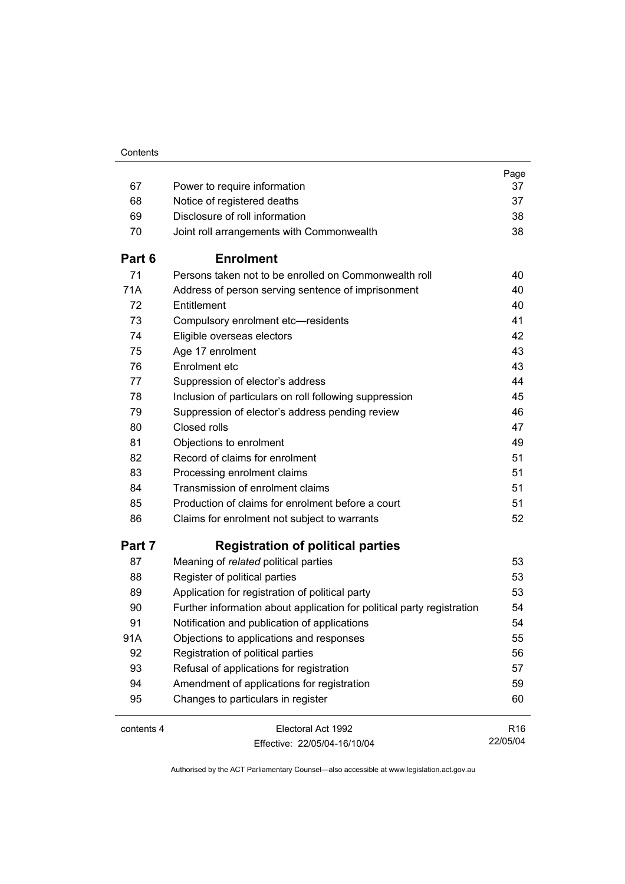| 67         | Power to require information                                           | Page<br>37      |
|------------|------------------------------------------------------------------------|-----------------|
| 68         | Notice of registered deaths                                            | 37              |
| 69         | Disclosure of roll information                                         | 38              |
| 70         | Joint roll arrangements with Commonwealth                              | 38              |
|            |                                                                        |                 |
| Part 6     | <b>Enrolment</b>                                                       |                 |
| 71         | Persons taken not to be enrolled on Commonwealth roll                  | 40              |
| 71A        | Address of person serving sentence of imprisonment                     | 40              |
| 72         | Entitlement                                                            | 40              |
| 73         | Compulsory enrolment etc-residents                                     | 41              |
| 74         | Eligible overseas electors                                             | 42              |
| 75         | Age 17 enrolment                                                       | 43              |
| 76         | Enrolment etc                                                          | 43              |
| 77         | Suppression of elector's address                                       | 44              |
| 78         | Inclusion of particulars on roll following suppression                 | 45              |
| 79         | Suppression of elector's address pending review                        | 46              |
| 80         | Closed rolls                                                           | 47              |
| 81         | Objections to enrolment                                                | 49              |
| 82         | Record of claims for enrolment                                         | 51              |
| 83         | Processing enrolment claims                                            | 51              |
| 84         | Transmission of enrolment claims                                       | 51              |
| 85         | Production of claims for enrolment before a court                      | 51              |
| 86         | Claims for enrolment not subject to warrants                           | 52              |
| Part 7     | <b>Registration of political parties</b>                               |                 |
| 87         | Meaning of related political parties                                   | 53              |
| 88         | Register of political parties                                          | 53              |
| 89         | Application for registration of political party                        | 53              |
| 90         | Further information about application for political party registration | 54              |
| 91         | Notification and publication of applications                           | 54              |
| 91A        | Objections to applications and responses                               | 55              |
| 92         | Registration of political parties                                      | 56              |
| 93         | Refusal of applications for registration                               | 57              |
| 94         | Amendment of applications for registration                             | 59              |
| 95         | Changes to particulars in register                                     | 60              |
| contents 4 | Electoral Act 1992                                                     | R <sub>16</sub> |
|            | Fffective: 22/05/04-16/10/04                                           | 22/05/04        |

Effective: 22/05/04-16/10/04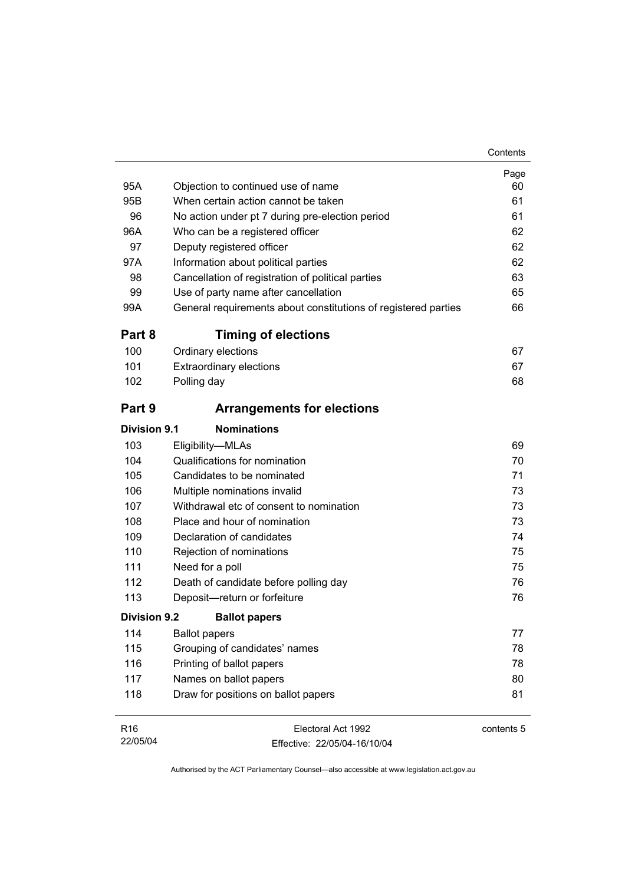| 95A                 | Objection to continued use of name                             | Page<br>60 |
|---------------------|----------------------------------------------------------------|------------|
| 95B                 | When certain action cannot be taken                            | 61         |
| 96                  | No action under pt 7 during pre-election period                | 61         |
| 96A                 | Who can be a registered officer                                | 62         |
| 97                  | Deputy registered officer                                      | 62         |
| 97A                 | Information about political parties                            | 62         |
| 98                  | Cancellation of registration of political parties              | 63         |
| 99                  | Use of party name after cancellation                           | 65         |
| 99A                 | General requirements about constitutions of registered parties | 66         |
| Part 8              | <b>Timing of elections</b>                                     |            |
| 100                 | Ordinary elections                                             | 67         |
| 101                 | <b>Extraordinary elections</b>                                 | 67         |
| 102                 | Polling day                                                    | 68         |
| Part 9              | <b>Arrangements for elections</b>                              |            |
| Division 9.1        | <b>Nominations</b>                                             |            |
| 103                 | Eligibility-MLAs                                               | 69         |
| 104                 | Qualifications for nomination                                  | 70         |
| 105                 | Candidates to be nominated                                     | 71         |
| 106                 | Multiple nominations invalid                                   | 73         |
| 107                 | Withdrawal etc of consent to nomination                        | 73         |
| 108                 | Place and hour of nomination                                   | 73         |
| 109                 | Declaration of candidates                                      | 74         |
| 110                 | Rejection of nominations                                       | 75         |
| 111                 | Need for a poll                                                | 75         |
| 112                 | Death of candidate before polling day                          | 76         |
| 113                 | Deposit-return or forfeiture                                   | 76         |
| <b>Division 9.2</b> | <b>Ballot papers</b>                                           |            |
| 114                 | <b>Ballot papers</b>                                           | 77         |
| 115                 | Grouping of candidates' names                                  | 78         |
| 116                 | Printing of ballot papers                                      | 78         |
| 117                 | Names on ballot papers                                         | 80         |
| 118                 | Draw for positions on ballot papers                            | 81         |
| R <sub>16</sub>     | Electoral Act 1992                                             | contents 5 |

Effective: 22/05/04-16/10/04

22/05/04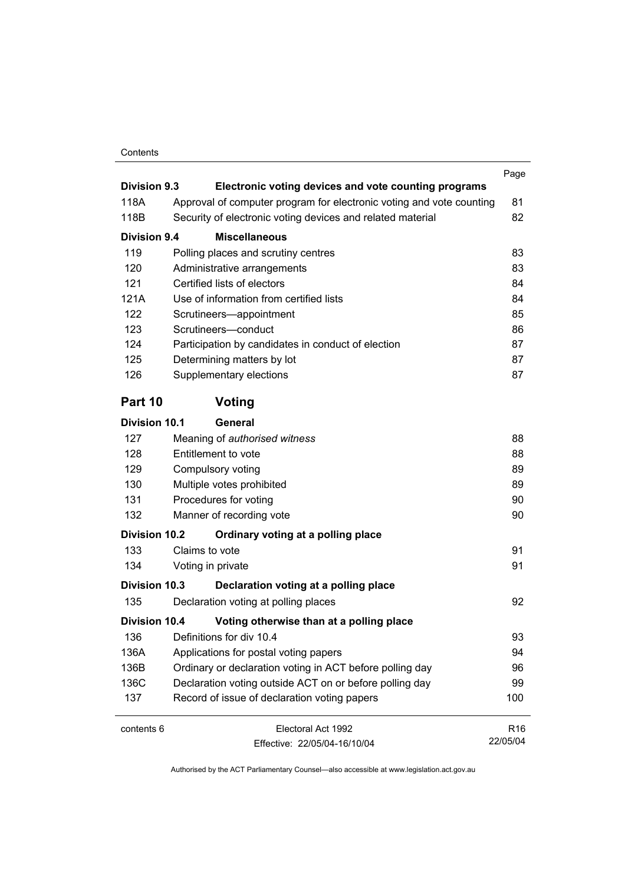#### Contents

| <b>Division 9.3</b>  |                                                                                                                                    | Page            |
|----------------------|------------------------------------------------------------------------------------------------------------------------------------|-----------------|
| 118A                 | Electronic voting devices and vote counting programs                                                                               |                 |
| 118B                 | Approval of computer program for electronic voting and vote counting<br>Security of electronic voting devices and related material | 81<br>82        |
|                      |                                                                                                                                    |                 |
| Division 9.4         | <b>Miscellaneous</b>                                                                                                               |                 |
| 119                  | Polling places and scrutiny centres                                                                                                | 83              |
| 120                  | Administrative arrangements                                                                                                        | 83              |
| 121                  | Certified lists of electors                                                                                                        | 84              |
| 121A                 | Use of information from certified lists                                                                                            | 84              |
| 122                  | Scrutineers-appointment                                                                                                            | 85              |
| 123                  | Scrutineers-conduct                                                                                                                | 86              |
| 124                  | Participation by candidates in conduct of election                                                                                 | 87              |
| 125                  | Determining matters by lot                                                                                                         | 87              |
| 126                  | Supplementary elections                                                                                                            | 87              |
| Part 10              | Voting                                                                                                                             |                 |
| <b>Division 10.1</b> | General                                                                                                                            |                 |
| 127                  | Meaning of authorised witness                                                                                                      | 88              |
| 128                  | Entitlement to vote                                                                                                                | 88              |
| 129                  | Compulsory voting                                                                                                                  | 89              |
| 130                  | Multiple votes prohibited                                                                                                          | 89              |
| 131                  | Procedures for voting                                                                                                              | 90              |
| 132                  | Manner of recording vote                                                                                                           | 90              |
| <b>Division 10.2</b> | Ordinary voting at a polling place                                                                                                 |                 |
| 133                  | Claims to vote                                                                                                                     | 91              |
| 134                  | Voting in private                                                                                                                  | 91              |
| Division 10.3        | Declaration voting at a polling place                                                                                              |                 |
| 135                  | Declaration voting at polling places                                                                                               | 92              |
| <b>Division 10.4</b> | Voting otherwise than at a polling place                                                                                           |                 |
| 136                  | Definitions for div 10.4                                                                                                           | 93              |
| 136A                 | Applications for postal voting papers                                                                                              | 94              |
| 136B                 | Ordinary or declaration voting in ACT before polling day                                                                           | 96              |
| 136C                 | Declaration voting outside ACT on or before polling day                                                                            | 99              |
| 137                  | Record of issue of declaration voting papers                                                                                       | 100             |
| contents 6           | Electoral Act 1992                                                                                                                 | R <sub>16</sub> |
|                      | Fffective: 22/05/04-16/10/04                                                                                                       | 22/05/04        |

Effective: 22/05/04-16/10/04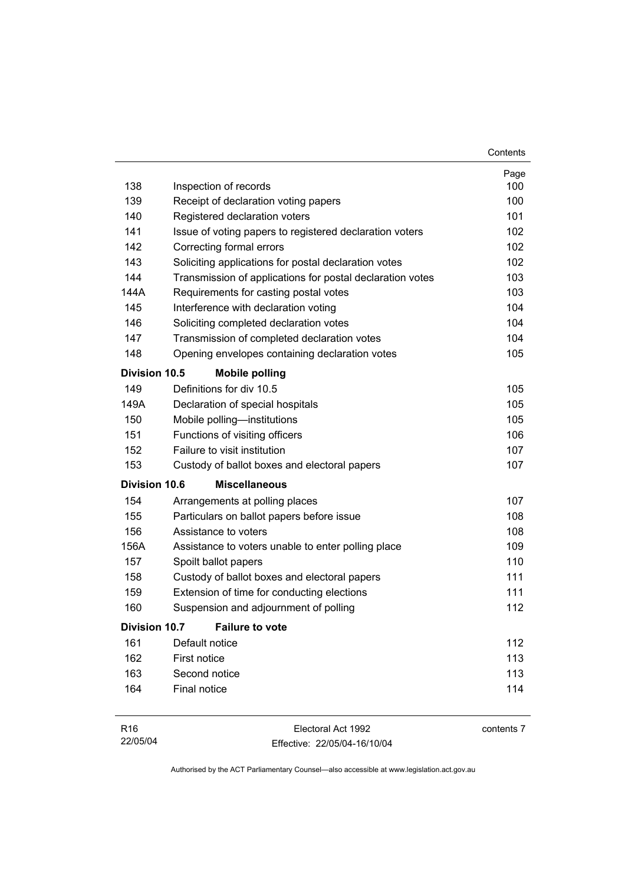|                                               |                                                           | Contents |  |
|-----------------------------------------------|-----------------------------------------------------------|----------|--|
|                                               |                                                           | Page     |  |
| 138                                           | Inspection of records                                     | 100      |  |
| 139                                           | Receipt of declaration voting papers                      | 100      |  |
| 140                                           | Registered declaration voters                             | 101      |  |
| 141                                           | Issue of voting papers to registered declaration voters   | 102      |  |
| 142                                           | Correcting formal errors                                  | 102      |  |
| 143                                           | Soliciting applications for postal declaration votes      | 102      |  |
| 144                                           | Transmission of applications for postal declaration votes | 103      |  |
| 144A                                          | Requirements for casting postal votes                     | 103      |  |
| 145                                           | Interference with declaration voting                      | 104      |  |
| 146                                           | Soliciting completed declaration votes                    | 104      |  |
| 147                                           | Transmission of completed declaration votes               | 104      |  |
| 148                                           | Opening envelopes containing declaration votes            | 105      |  |
| <b>Division 10.5</b><br><b>Mobile polling</b> |                                                           |          |  |
| 149                                           | Definitions for div 10.5                                  | 105      |  |
| 149A                                          | Declaration of special hospitals                          | 105      |  |
| 150                                           | Mobile polling-institutions                               | 105      |  |
| 151                                           | Functions of visiting officers                            | 106      |  |
| 152                                           | Failure to visit institution                              | 107      |  |
| 153                                           | Custody of ballot boxes and electoral papers              | 107      |  |
| <b>Division 10.6</b>                          | <b>Miscellaneous</b>                                      |          |  |
| 154                                           | Arrangements at polling places                            | 107      |  |
| 155                                           | Particulars on ballot papers before issue                 | 108      |  |
| 156                                           | Assistance to voters                                      | 108      |  |
| 156A                                          | Assistance to voters unable to enter polling place        | 109      |  |
| 157                                           | Spoilt ballot papers                                      | 110      |  |
| 158                                           | Custody of ballot boxes and electoral papers              | 111      |  |
| 159                                           | Extension of time for conducting elections                | 111      |  |
| 160                                           | Suspension and adjournment of polling                     | 112      |  |
| <b>Division 10.7</b>                          | <b>Failure to vote</b>                                    |          |  |
| 161                                           | Default notice                                            | 112      |  |
| 162                                           | First notice                                              | 113      |  |
| 163                                           | Second notice                                             | 113      |  |
| 164                                           | Final notice                                              | 114      |  |
|                                               |                                                           |          |  |

| R16      | Electoral Act 1992           | contents 7 |
|----------|------------------------------|------------|
| 22/05/04 | Effective: 22/05/04-16/10/04 |            |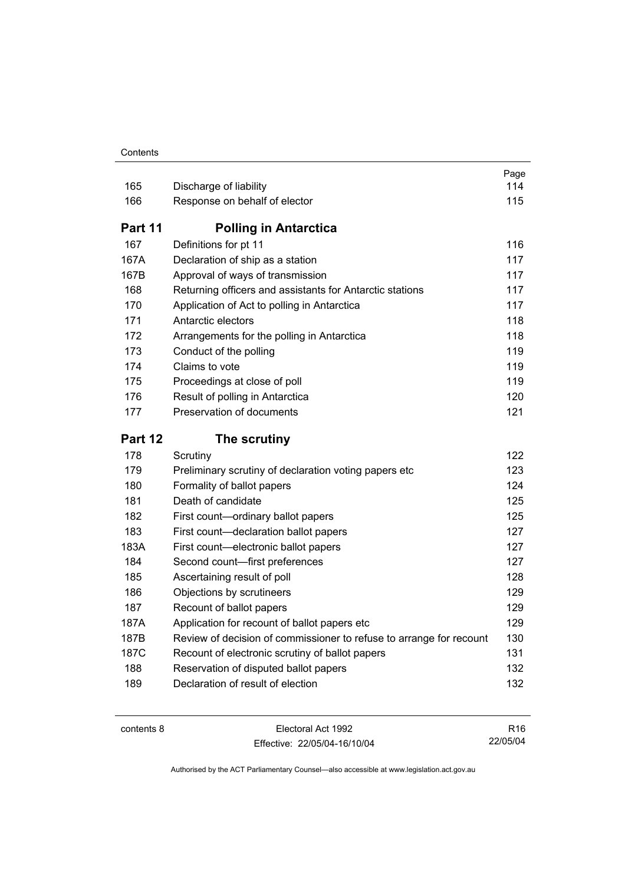#### **Contents**

| 165        | Discharge of liability                                                     | Page<br>114 |
|------------|----------------------------------------------------------------------------|-------------|
| 166        | Response on behalf of elector                                              | 115         |
| Part 11    | <b>Polling in Antarctica</b>                                               |             |
| 167        | Definitions for pt 11                                                      | 116         |
| 167A       | Declaration of ship as a station                                           | 117         |
| 167B       | Approval of ways of transmission                                           | 117         |
| 168        | Returning officers and assistants for Antarctic stations                   | 117         |
| 170        | Application of Act to polling in Antarctica                                | 117         |
| 171        | Antarctic electors                                                         | 118         |
| 172        | Arrangements for the polling in Antarctica                                 | 118         |
| 173        | Conduct of the polling                                                     | 119         |
| 174        | Claims to vote                                                             | 119         |
| 175        | Proceedings at close of poll                                               | 119         |
| 176        | Result of polling in Antarctica                                            | 120         |
| 177        | Preservation of documents                                                  | 121         |
|            |                                                                            |             |
| Part 12    | The scrutiny                                                               |             |
| 178        | Scrutiny                                                                   | 122         |
| 179        | Preliminary scrutiny of declaration voting papers etc                      | 123         |
| 180        | Formality of ballot papers                                                 | 124         |
| 181        | Death of candidate                                                         | 125         |
| 182        | First count-ordinary ballot papers                                         | 125         |
| 183        | First count-declaration ballot papers                                      | 127         |
| 183A       | First count-electronic ballot papers                                       | 127         |
| 184        | Second count-first preferences                                             | 127         |
| 185        | Ascertaining result of poll                                                | 128         |
| 186        | Objections by scrutineers                                                  | 129         |
| 187        | Recount of ballot papers                                                   | 129         |
| 187A       | Application for recount of ballot papers etc                               | 129         |
| 187B       | Review of decision of commissioner to refuse to arrange for recount        | 130         |
| 187C       | Recount of electronic scrutiny of ballot papers                            | 131         |
| 188<br>189 | Reservation of disputed ballot papers<br>Declaration of result of election | 132<br>132  |

| contents 8 |  |
|------------|--|
|------------|--|

Electoral Act 1992 Effective: 22/05/04-16/10/04

R16 22/05/04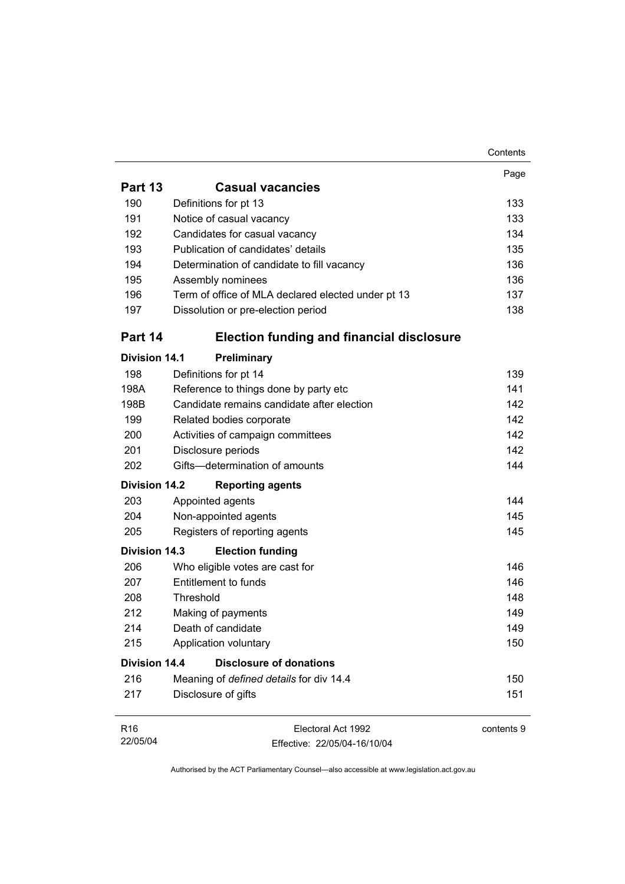|                      |                                                    | Contents   |
|----------------------|----------------------------------------------------|------------|
|                      |                                                    | Page       |
| Part 13              | <b>Casual vacancies</b>                            |            |
| 190                  | Definitions for pt 13                              | 133        |
| 191                  | Notice of casual vacancy                           | 133        |
| 192                  | Candidates for casual vacancy                      | 134        |
| 193                  | Publication of candidates' details                 | 135        |
| 194                  | Determination of candidate to fill vacancy         | 136        |
| 195                  | Assembly nominees                                  | 136        |
| 196                  | Term of office of MLA declared elected under pt 13 | 137        |
| 197                  | Dissolution or pre-election period                 | 138        |
| Part 14              | <b>Election funding and financial disclosure</b>   |            |
| <b>Division 14.1</b> | Preliminary                                        |            |
| 198                  | Definitions for pt 14                              | 139        |
| 198A                 | Reference to things done by party etc              | 141        |
| 198B                 | Candidate remains candidate after election         | 142        |
| 199                  | Related bodies corporate                           | 142        |
| 200                  | Activities of campaign committees                  | 142        |
| 201                  | Disclosure periods                                 | 142        |
| 202                  | Gifts-determination of amounts                     | 144        |
| <b>Division 14.2</b> | <b>Reporting agents</b>                            |            |
| 203                  | Appointed agents                                   | 144        |
| 204                  | Non-appointed agents                               | 145        |
| 205                  | Registers of reporting agents                      | 145        |
| <b>Division 14.3</b> | <b>Election funding</b>                            |            |
| 206                  | Who eligible votes are cast for                    | 146        |
| 207                  | Entitlement to funds                               | 146        |
| 208                  | Threshold                                          | 148        |
| 212                  | Making of payments                                 | 149        |
| 214                  | Death of candidate                                 | 149        |
| 215                  | Application voluntary                              | 150        |
| <b>Division 14.4</b> | <b>Disclosure of donations</b>                     |            |
| 216                  | Meaning of defined details for div 14.4            | 150        |
| 217                  | Disclosure of gifts                                | 151        |
| R <sub>16</sub>      | Electoral Act 1992                                 | contents 9 |
| 22/05/04             | Effective: 22/05/04-16/10/04                       |            |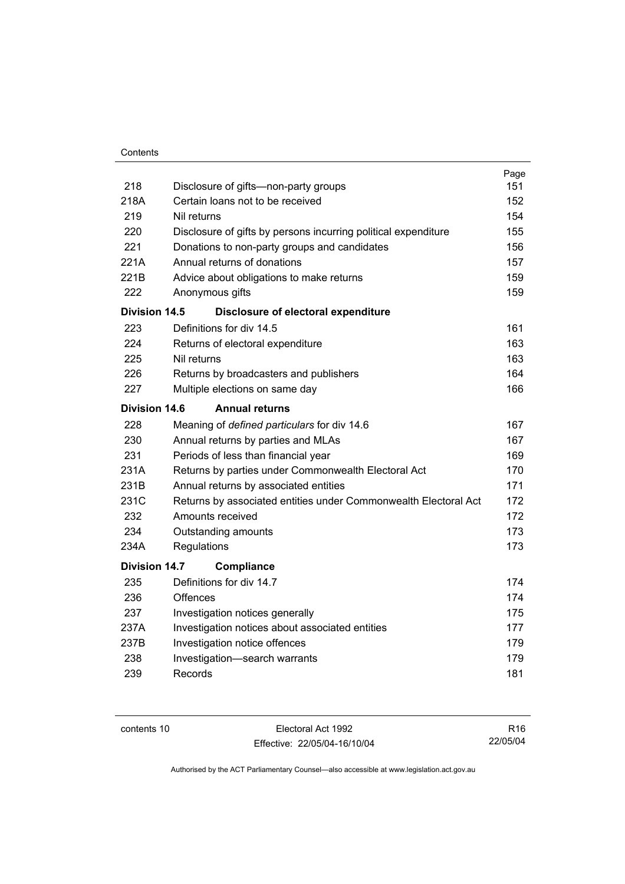|                      |                                                                 | Page |
|----------------------|-----------------------------------------------------------------|------|
| 218                  | Disclosure of gifts—non-party groups                            | 151  |
| 218A                 | Certain loans not to be received                                | 152  |
| 219                  | Nil returns                                                     | 154  |
| 220                  | Disclosure of gifts by persons incurring political expenditure  | 155  |
| 221                  | Donations to non-party groups and candidates                    | 156  |
| 221A                 | Annual returns of donations                                     | 157  |
| 221B                 | Advice about obligations to make returns                        | 159  |
| 222                  | Anonymous gifts                                                 | 159  |
| Division 14.5        | Disclosure of electoral expenditure                             |      |
| 223                  | Definitions for div 14.5                                        | 161  |
| 224                  | Returns of electoral expenditure                                | 163  |
| 225                  | Nil returns                                                     | 163  |
| 226                  | Returns by broadcasters and publishers                          | 164  |
| 227                  | Multiple elections on same day                                  | 166  |
| <b>Division 14.6</b> | <b>Annual returns</b>                                           |      |
| 228                  | Meaning of defined particulars for div 14.6                     | 167  |
| 230                  | Annual returns by parties and MLAs                              | 167  |
| 231                  | Periods of less than financial year                             | 169  |
| 231A                 | Returns by parties under Commonwealth Electoral Act             | 170  |
| 231B                 | Annual returns by associated entities                           | 171  |
| 231C                 | Returns by associated entities under Commonwealth Electoral Act | 172  |
| 232                  | Amounts received                                                | 172  |
| 234                  | Outstanding amounts                                             | 173  |
| 234A                 | Regulations                                                     | 173  |
| <b>Division 14.7</b> | Compliance                                                      |      |
| 235                  | Definitions for div 14.7                                        | 174  |
| 236                  | Offences                                                        | 174  |
| 237                  | Investigation notices generally                                 | 175  |
| 237A                 | Investigation notices about associated entities                 | 177  |
| 237B                 | Investigation notice offences                                   | 179  |
| 238                  | Investigation-search warrants                                   | 179  |
| 239                  | Records                                                         | 181  |
|                      |                                                                 |      |

contents 10 Electoral Act 1992 Effective: 22/05/04-16/10/04

R16 22/05/04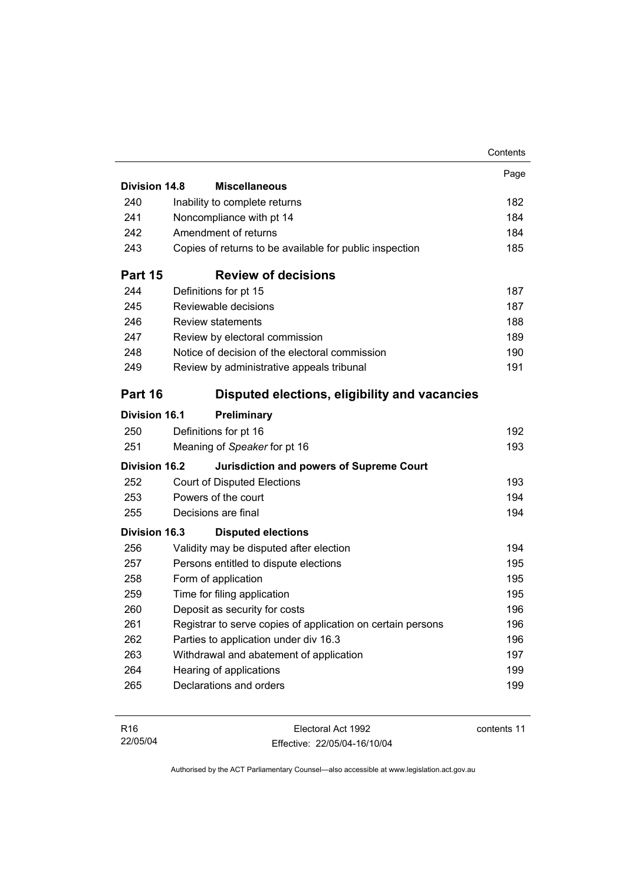|                      |                                                             | Contents |
|----------------------|-------------------------------------------------------------|----------|
|                      |                                                             | Page     |
| <b>Division 14.8</b> | <b>Miscellaneous</b>                                        |          |
| 240                  | Inability to complete returns                               | 182      |
| 241                  | Noncompliance with pt 14                                    | 184      |
| 242                  | Amendment of returns                                        | 184      |
| 243                  | Copies of returns to be available for public inspection     | 185      |
| Part 15              | <b>Review of decisions</b>                                  |          |
| 244                  | Definitions for pt 15                                       | 187      |
| 245                  | Reviewable decisions                                        | 187      |
| 246                  | <b>Review statements</b>                                    | 188      |
| 247                  | Review by electoral commission                              | 189      |
| 248                  | Notice of decision of the electoral commission              | 190      |
| 249                  | Review by administrative appeals tribunal                   | 191      |
| Part 16              | Disputed elections, eligibility and vacancies               |          |
| <b>Division 16.1</b> | Preliminary                                                 |          |
| 250                  | Definitions for pt 16                                       | 192      |
| 251                  | Meaning of Speaker for pt 16                                | 193      |
| <b>Division 16.2</b> | <b>Jurisdiction and powers of Supreme Court</b>             |          |
| 252                  | <b>Court of Disputed Elections</b>                          | 193      |
| 253                  | Powers of the court                                         | 194      |
| 255                  | Decisions are final                                         | 194      |
| <b>Division 16.3</b> | <b>Disputed elections</b>                                   |          |
| 256                  | Validity may be disputed after election                     | 194      |
| 257                  | Persons entitled to dispute elections                       | 195      |
| 258                  | Form of application                                         | 195      |
| 259                  | Time for filing application                                 | 195      |
| 260                  | Deposit as security for costs                               | 196      |
| 261                  | Registrar to serve copies of application on certain persons | 196      |
| 262                  | Parties to application under div 16.3                       | 196      |
| 263                  | Withdrawal and abatement of application                     | 197      |
| 264                  | Hearing of applications                                     | 199      |
| 265                  | Declarations and orders                                     | 199      |
|                      |                                                             |          |

| R <sub>16</sub> | Electoral Act 1992           | contents 11 |
|-----------------|------------------------------|-------------|
| 22/05/04        | Effective: 22/05/04-16/10/04 |             |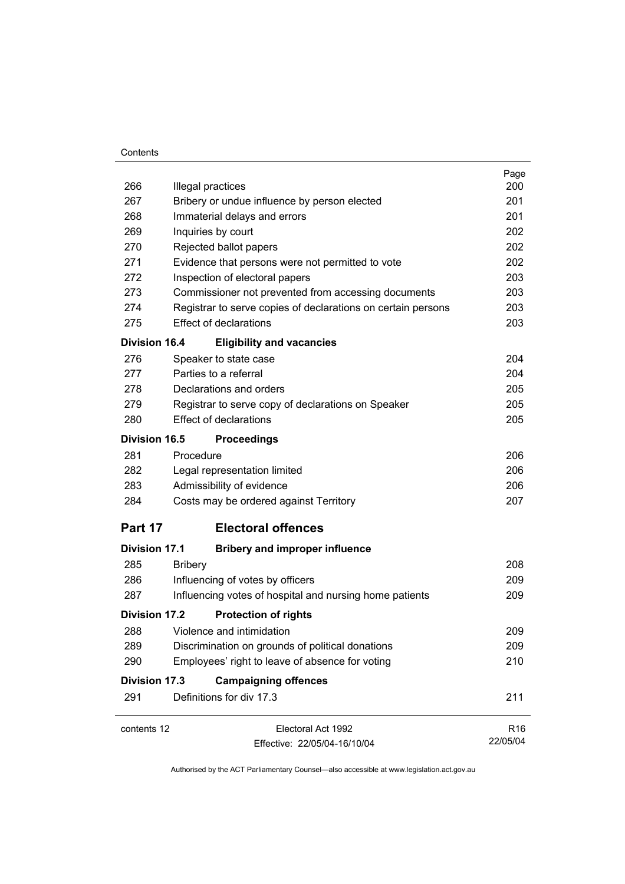#### **Contents**

|                      |                                                              | Page            |
|----------------------|--------------------------------------------------------------|-----------------|
| 266                  | Illegal practices                                            | 200             |
| 267                  | Bribery or undue influence by person elected                 | 201<br>201      |
|                      | 268<br>Immaterial delays and errors                          |                 |
| 269                  | Inquiries by court                                           | 202             |
| 270                  | Rejected ballot papers                                       | 202             |
| 271                  | Evidence that persons were not permitted to vote             | 202             |
| 272                  | Inspection of electoral papers                               | 203             |
| 273                  | Commissioner not prevented from accessing documents          | 203             |
| 274                  | Registrar to serve copies of declarations on certain persons | 203             |
| 275                  | <b>Effect of declarations</b>                                | 203             |
| <b>Division 16.4</b> | <b>Eligibility and vacancies</b>                             |                 |
| 276                  | Speaker to state case                                        | 204             |
| 277                  | Parties to a referral                                        | 204             |
| 278                  | Declarations and orders                                      | 205             |
| 279                  | Registrar to serve copy of declarations on Speaker           | 205             |
| 280                  | <b>Effect of declarations</b>                                | 205             |
| <b>Division 16.5</b> | <b>Proceedings</b>                                           |                 |
| 281                  | Procedure                                                    | 206             |
| 282                  | Legal representation limited                                 | 206             |
| 283                  | Admissibility of evidence                                    | 206             |
| 284                  | Costs may be ordered against Territory                       | 207             |
| Part 17              | <b>Electoral offences</b>                                    |                 |
| <b>Division 17.1</b> | <b>Bribery and improper influence</b>                        |                 |
| 285                  | <b>Bribery</b>                                               | 208             |
| 286                  | Influencing of votes by officers                             | 209             |
| 287                  | Influencing votes of hospital and nursing home patients      | 209             |
| <b>Division 17.2</b> | <b>Protection of rights</b>                                  |                 |
| 288                  | Violence and intimidation                                    | 209             |
| 289                  | Discrimination on grounds of political donations             | 209             |
| 290                  | Employees' right to leave of absence for voting              | 210             |
| <b>Division 17.3</b> | <b>Campaigning offences</b>                                  |                 |
| 291                  | Definitions for div 17.3                                     | 211             |
|                      |                                                              |                 |
| contents 12          | Electoral Act 1992                                           | R <sub>16</sub> |
|                      | Effective: 22/05/04-16/10/04                                 | 22/05/04        |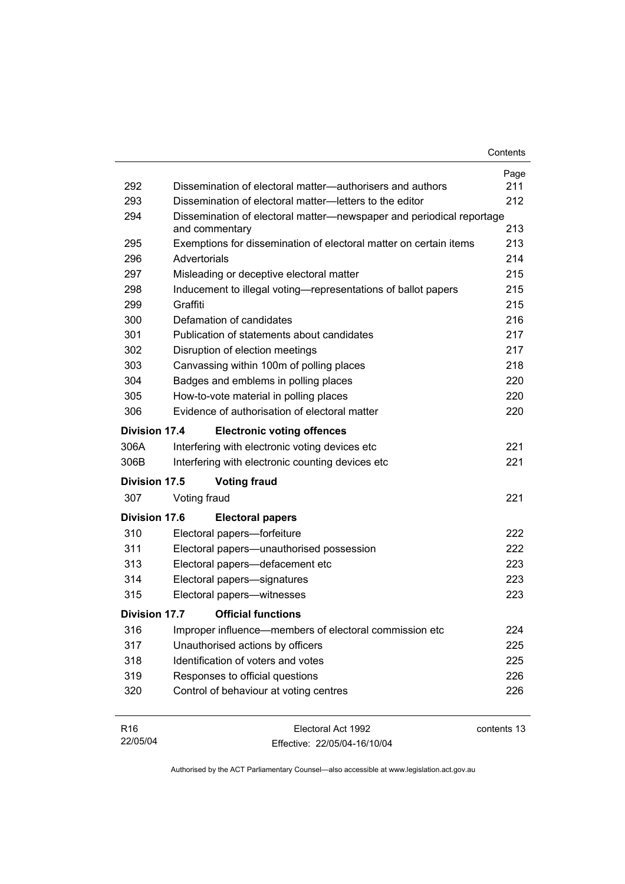| 292                  | Dissemination of electoral matter—authorisers and authors                              | Page<br>211 |
|----------------------|----------------------------------------------------------------------------------------|-------------|
| 293                  | Dissemination of electoral matter-letters to the editor                                | 212         |
| 294                  | Dissemination of electoral matter—newspaper and periodical reportage<br>and commentary | 213         |
| 295                  | Exemptions for dissemination of electoral matter on certain items                      | 213         |
| 296                  | Advertorials                                                                           | 214         |
| 297                  | Misleading or deceptive electoral matter                                               | 215         |
| 298                  | Inducement to illegal voting—representations of ballot papers                          | 215         |
| 299                  | Graffiti                                                                               | 215         |
| 300                  | Defamation of candidates                                                               | 216         |
| 301                  | Publication of statements about candidates                                             | 217         |
| 302                  | Disruption of election meetings                                                        | 217         |
| 303                  | Canvassing within 100m of polling places                                               | 218         |
| 304                  | Badges and emblems in polling places                                                   | 220         |
| 305                  | How-to-vote material in polling places                                                 | 220         |
| 306                  | Evidence of authorisation of electoral matter                                          | 220         |
| <b>Division 17.4</b> | <b>Electronic voting offences</b>                                                      |             |
| 306A                 | Interfering with electronic voting devices etc                                         | 221         |
| 306B                 | Interfering with electronic counting devices etc                                       | 221         |
| Division 17.5        | <b>Voting fraud</b>                                                                    |             |
| 307                  | Voting fraud                                                                           | 221         |
| Division 17.6        | <b>Electoral papers</b>                                                                |             |
| 310                  | Electoral papers-forfeiture                                                            | 222         |
| 311                  | Electoral papers-unauthorised possession                                               | 222         |
| 313                  | Electoral papers-defacement etc                                                        | 223         |
| 314                  | Electoral papers-signatures                                                            | 223         |
| 315                  | Electoral papers-witnesses                                                             | 223         |
| Division 17.7        | <b>Official functions</b>                                                              |             |
| 316                  | Improper influence—members of electoral commission etc                                 | 224         |
| 317                  | Unauthorised actions by officers                                                       | 225         |
| 318                  | Identification of voters and votes                                                     | 225         |
| 319                  | Responses to official questions                                                        | 226         |
| 320                  | Control of behaviour at voting centres                                                 | 226         |
| R <sub>16</sub>      | Electoral Act 1992                                                                     | contents 13 |

Effective: 22/05/04-16/10/04

22/05/04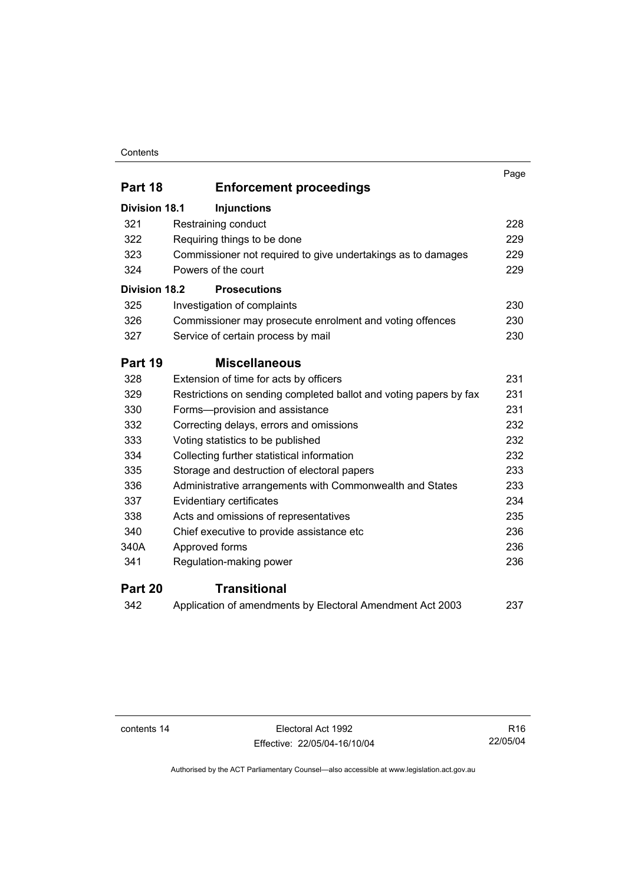#### **Contents**

|                      |                                                                   | Page |
|----------------------|-------------------------------------------------------------------|------|
| Part 18              | <b>Enforcement proceedings</b>                                    |      |
| <b>Division 18.1</b> | <b>Injunctions</b>                                                |      |
| 321                  | Restraining conduct                                               | 228  |
| 322                  | Requiring things to be done                                       | 229  |
| 323                  | Commissioner not required to give undertakings as to damages      | 229  |
| 324                  | Powers of the court                                               | 229  |
| <b>Division 18.2</b> | <b>Prosecutions</b>                                               |      |
| 325                  | Investigation of complaints                                       | 230  |
| 326                  | Commissioner may prosecute enrolment and voting offences          | 230  |
| 327                  | Service of certain process by mail                                | 230  |
| Part 19              | <b>Miscellaneous</b>                                              |      |
| 328                  | Extension of time for acts by officers                            | 231  |
| 329                  | Restrictions on sending completed ballot and voting papers by fax | 231  |
| 330                  | Forms-provision and assistance                                    | 231  |
| 332                  | Correcting delays, errors and omissions                           | 232  |
| 333                  | Voting statistics to be published                                 | 232  |
| 334                  | Collecting further statistical information                        | 232  |
| 335                  | Storage and destruction of electoral papers                       | 233  |
| 336                  | Administrative arrangements with Commonwealth and States          | 233  |
| 337                  | Evidentiary certificates                                          | 234  |
| 338                  | Acts and omissions of representatives                             | 235  |
| 340                  | Chief executive to provide assistance etc                         | 236  |
| 340A                 | Approved forms                                                    | 236  |
| 341                  | Regulation-making power                                           | 236  |
| Part 20              | <b>Transitional</b>                                               |      |

| -342 | Application of amendments by Electoral Amendment Act 2003 | 237 |
|------|-----------------------------------------------------------|-----|
|------|-----------------------------------------------------------|-----|

contents 14 Electoral Act 1992 Effective: 22/05/04-16/10/04

R16 22/05/04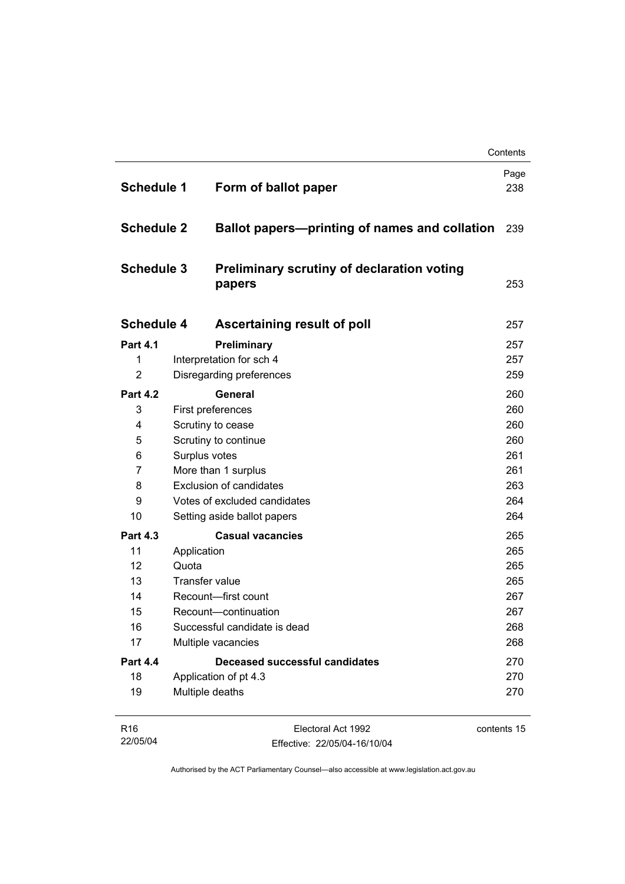| <b>Schedule 1</b> | Form of ballot paper                                        |                                               | Page<br>238 |
|-------------------|-------------------------------------------------------------|-----------------------------------------------|-------------|
| <b>Schedule 2</b> |                                                             | Ballot papers-printing of names and collation | 239         |
| <b>Schedule 3</b> | <b>Preliminary scrutiny of declaration voting</b><br>papers |                                               | 253         |
| <b>Schedule 4</b> | Ascertaining result of poll                                 |                                               | 257         |
| <b>Part 4.1</b>   | Preliminary                                                 |                                               | 257         |
| 1                 | Interpretation for sch 4                                    |                                               | 257         |
| $\overline{2}$    | Disregarding preferences                                    |                                               | 259         |
| <b>Part 4.2</b>   | <b>General</b>                                              |                                               | 260         |
| 3                 | First preferences                                           |                                               | 260         |
| 4                 | Scrutiny to cease                                           |                                               | 260         |
| 5                 | Scrutiny to continue                                        |                                               | 260         |
| 6                 | Surplus votes                                               |                                               | 261         |
| 7                 | More than 1 surplus                                         |                                               | 261         |
| 8                 | <b>Exclusion of candidates</b>                              |                                               | 263         |
| 9                 | Votes of excluded candidates                                |                                               | 264         |
| 10                | Setting aside ballot papers                                 |                                               | 264         |
| <b>Part 4.3</b>   | <b>Casual vacancies</b>                                     |                                               | 265         |
| 11                | Application                                                 |                                               | 265         |
| 12                | Quota                                                       |                                               | 265         |
| 13                | <b>Transfer value</b>                                       |                                               | 265         |
| 14                | Recount-first count                                         |                                               | 267         |
| 15                | Recount-continuation                                        |                                               | 267         |
| 16                | Successful candidate is dead                                |                                               | 268         |
| 17                | Multiple vacancies                                          |                                               | 268         |
| <b>Part 4.4</b>   | Deceased successful candidates                              |                                               | 270         |
| 18                | Application of pt 4.3                                       |                                               | 270         |
| 19                | Multiple deaths                                             |                                               | 270         |

| R <sub>16</sub> | Electoral Act 1992           | contents 15 |
|-----------------|------------------------------|-------------|
| 22/05/04        | Effective: 22/05/04-16/10/04 |             |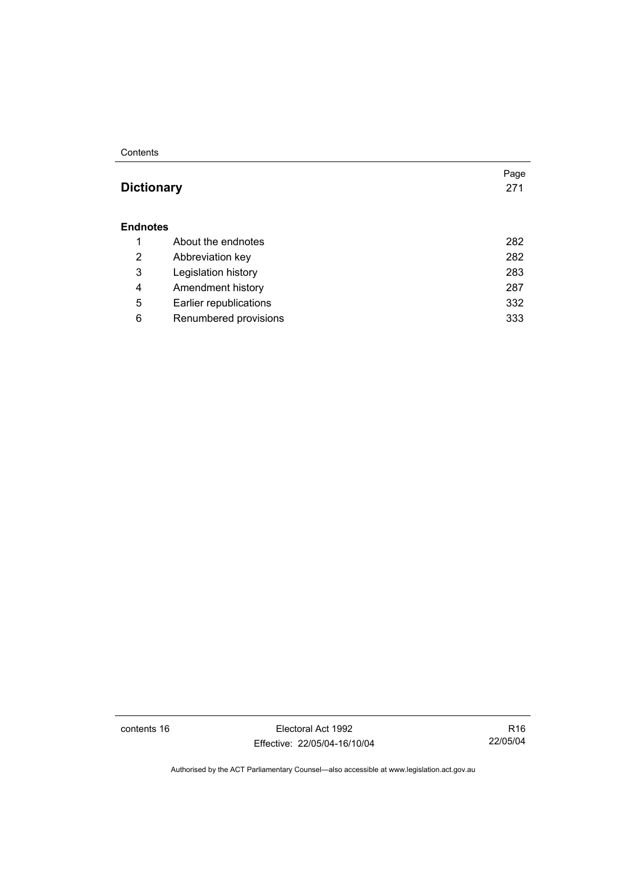#### **Contents**

## **Dictionary** 271

#### **Endnotes**

|   | About the endnotes     | 282 |
|---|------------------------|-----|
| 2 | Abbreviation key       | 282 |
| 3 | Legislation history    | 283 |
| 4 | Amendment history      | 287 |
| 5 | Earlier republications | 332 |
| 6 | Renumbered provisions  | 333 |

contents 16 Electoral Act 1992 Effective: 22/05/04-16/10/04

R16 22/05/04

Page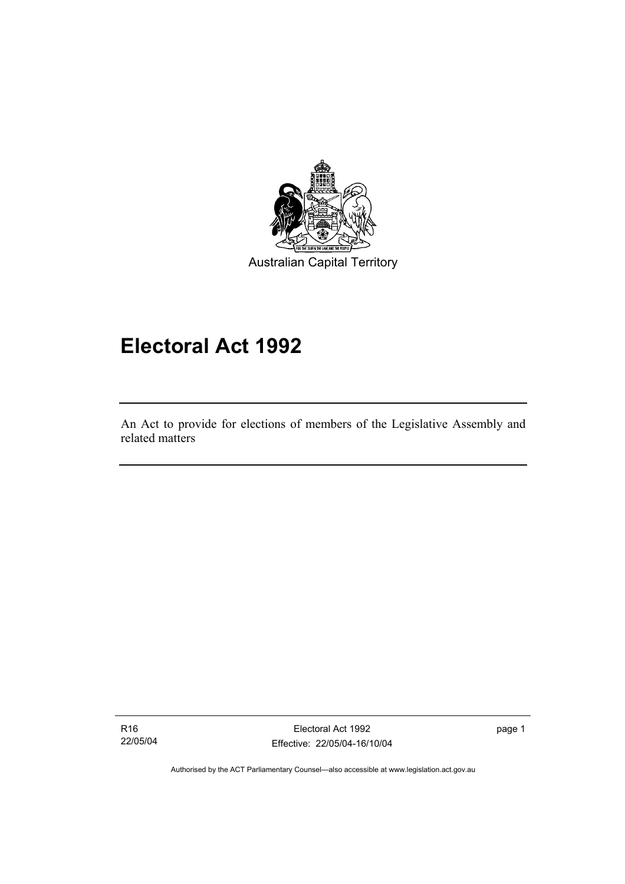

## **Electoral Act 1992**

An Act to provide for elections of members of the Legislative Assembly and related matters

R16 22/05/04

I

Electoral Act 1992 Effective: 22/05/04-16/10/04 page 1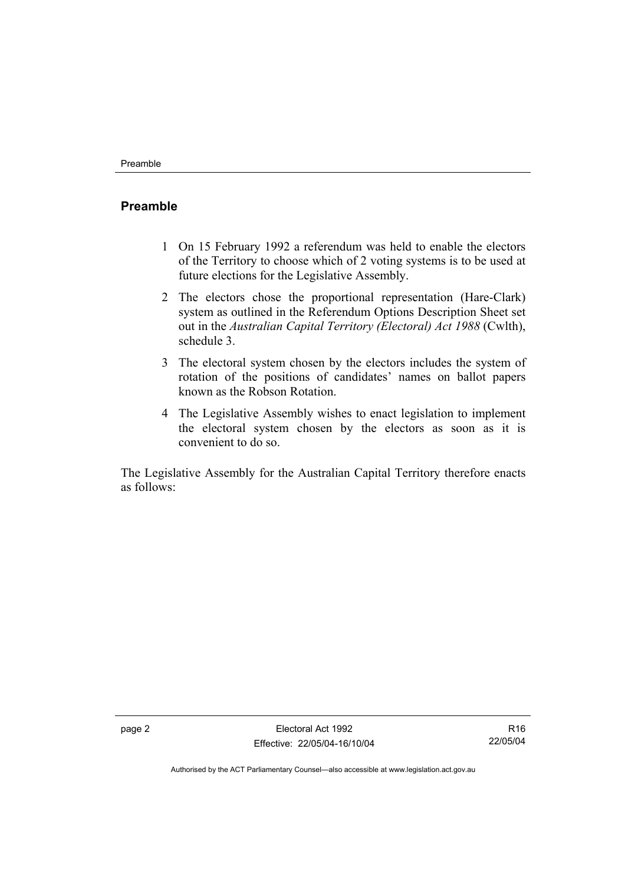### **Preamble**

- 1 On 15 February 1992 a referendum was held to enable the electors of the Territory to choose which of 2 voting systems is to be used at future elections for the Legislative Assembly.
- 2 The electors chose the proportional representation (Hare-Clark) system as outlined in the Referendum Options Description Sheet set out in the *Australian Capital Territory (Electoral) Act 1988* (Cwlth), schedule 3.
- 3 The electoral system chosen by the electors includes the system of rotation of the positions of candidates' names on ballot papers known as the Robson Rotation.
- 4 The Legislative Assembly wishes to enact legislation to implement the electoral system chosen by the electors as soon as it is convenient to do so.

The Legislative Assembly for the Australian Capital Territory therefore enacts as follows: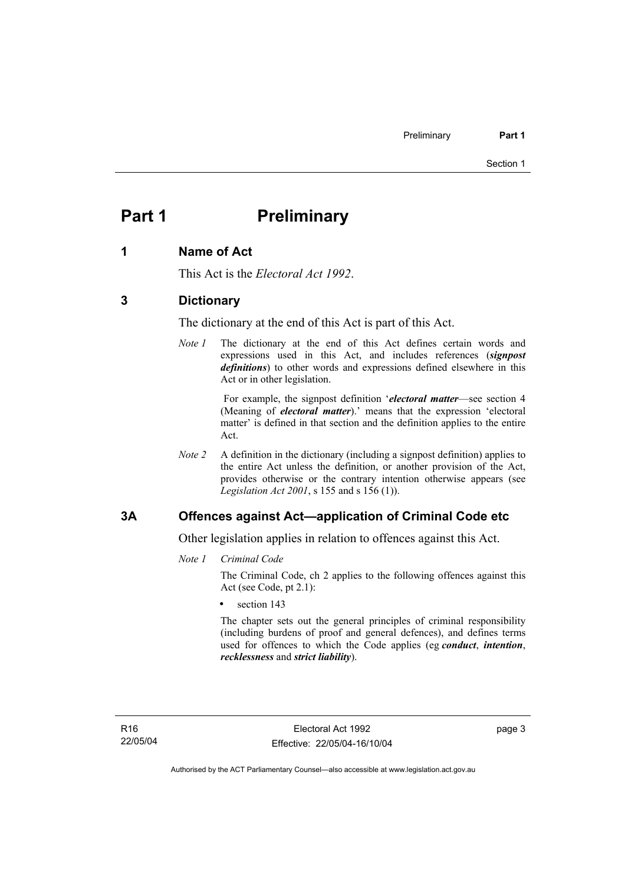## **Part 1** Preliminary

#### **1 Name of Act**

This Act is the *Electoral Act 1992*.

#### **3 Dictionary**

The dictionary at the end of this Act is part of this Act.

*Note 1* The dictionary at the end of this Act defines certain words and expressions used in this Act, and includes references (*signpost definitions*) to other words and expressions defined elsewhere in this Act or in other legislation.

> For example, the signpost definition '*electoral matter*—see section 4 (Meaning of *electoral matter*).' means that the expression 'electoral matter' is defined in that section and the definition applies to the entire Act.

*Note 2* A definition in the dictionary (including a signpost definition) applies to the entire Act unless the definition, or another provision of the Act, provides otherwise or the contrary intention otherwise appears (see *Legislation Act 2001*, s 155 and s 156 (1)).

#### **3A Offences against Act—application of Criminal Code etc**

Other legislation applies in relation to offences against this Act.

*Note 1 Criminal Code*

The Criminal Code, ch 2 applies to the following offences against this Act (see Code, pt 2.1):

section 143

The chapter sets out the general principles of criminal responsibility (including burdens of proof and general defences), and defines terms used for offences to which the Code applies (eg *conduct*, *intention*, *recklessness* and *strict liability*).

page 3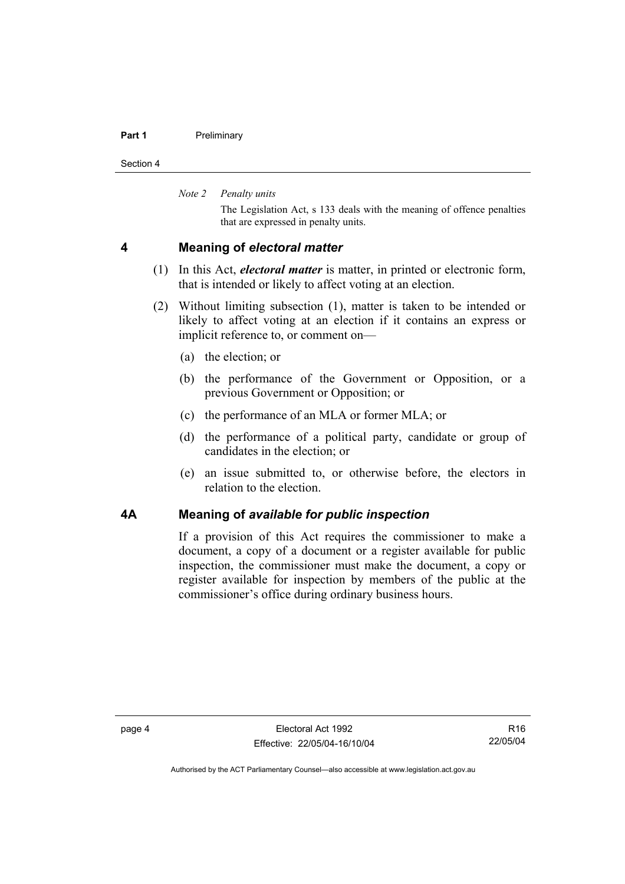#### **Part 1** Preliminary

Section 4

*Note 2 Penalty units* 

The Legislation Act, s 133 deals with the meaning of offence penalties that are expressed in penalty units.

#### **4 Meaning of** *electoral matter*

- (1) In this Act, *electoral matter* is matter, in printed or electronic form, that is intended or likely to affect voting at an election.
- (2) Without limiting subsection (1), matter is taken to be intended or likely to affect voting at an election if it contains an express or implicit reference to, or comment on—
	- (a) the election; or
	- (b) the performance of the Government or Opposition, or a previous Government or Opposition; or
	- (c) the performance of an MLA or former MLA; or
	- (d) the performance of a political party, candidate or group of candidates in the election; or
	- (e) an issue submitted to, or otherwise before, the electors in relation to the election.

#### **4A Meaning of** *available for public inspection*

If a provision of this Act requires the commissioner to make a document, a copy of a document or a register available for public inspection, the commissioner must make the document, a copy or register available for inspection by members of the public at the commissioner's office during ordinary business hours.

R16 22/05/04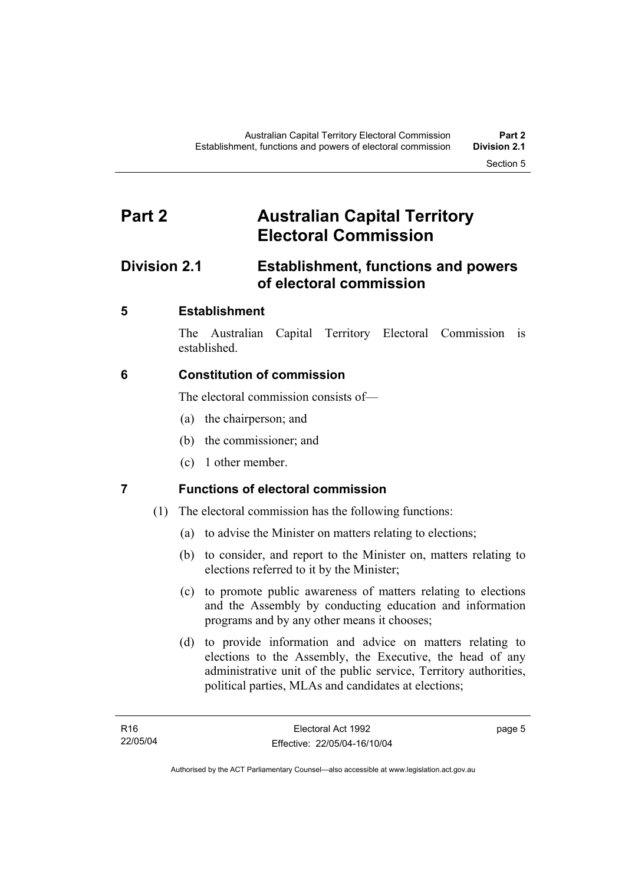## **Part 2 Australian Capital Territory Electoral Commission**

## **Division 2.1 Establishment, functions and powers of electoral commission**

## **5 Establishment**

The Australian Capital Territory Electoral Commission is established.

## **6 Constitution of commission**

The electoral commission consists of—

- (a) the chairperson; and
- (b) the commissioner; and
- (c) 1 other member.

## **7 Functions of electoral commission**

- (1) The electoral commission has the following functions:
	- (a) to advise the Minister on matters relating to elections;
	- (b) to consider, and report to the Minister on, matters relating to elections referred to it by the Minister;
	- (c) to promote public awareness of matters relating to elections and the Assembly by conducting education and information programs and by any other means it chooses;
	- (d) to provide information and advice on matters relating to elections to the Assembly, the Executive, the head of any administrative unit of the public service, Territory authorities, political parties, MLAs and candidates at elections;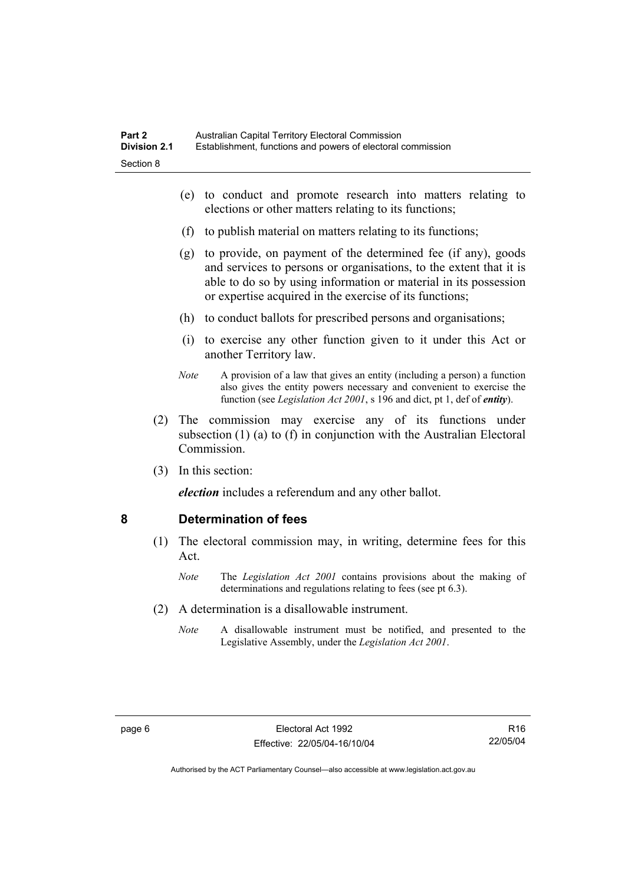- (e) to conduct and promote research into matters relating to elections or other matters relating to its functions;
- (f) to publish material on matters relating to its functions;
- (g) to provide, on payment of the determined fee (if any), goods and services to persons or organisations, to the extent that it is able to do so by using information or material in its possession or expertise acquired in the exercise of its functions;
- (h) to conduct ballots for prescribed persons and organisations;
- (i) to exercise any other function given to it under this Act or another Territory law.
- *Note* A provision of a law that gives an entity (including a person) a function also gives the entity powers necessary and convenient to exercise the function (see *Legislation Act 2001*, s 196 and dict, pt 1, def of *entity*).
- (2) The commission may exercise any of its functions under subsection (1) (a) to (f) in conjunction with the Australian Electoral **Commission**
- (3) In this section:

*election* includes a referendum and any other ballot.

#### **8 Determination of fees**

- (1) The electoral commission may, in writing, determine fees for this Act.
	- *Note* The *Legislation Act 2001* contains provisions about the making of determinations and regulations relating to fees (see pt 6.3).
- (2) A determination is a disallowable instrument.
	- *Note* A disallowable instrument must be notified, and presented to the Legislative Assembly, under the *Legislation Act 2001*.

R16 22/05/04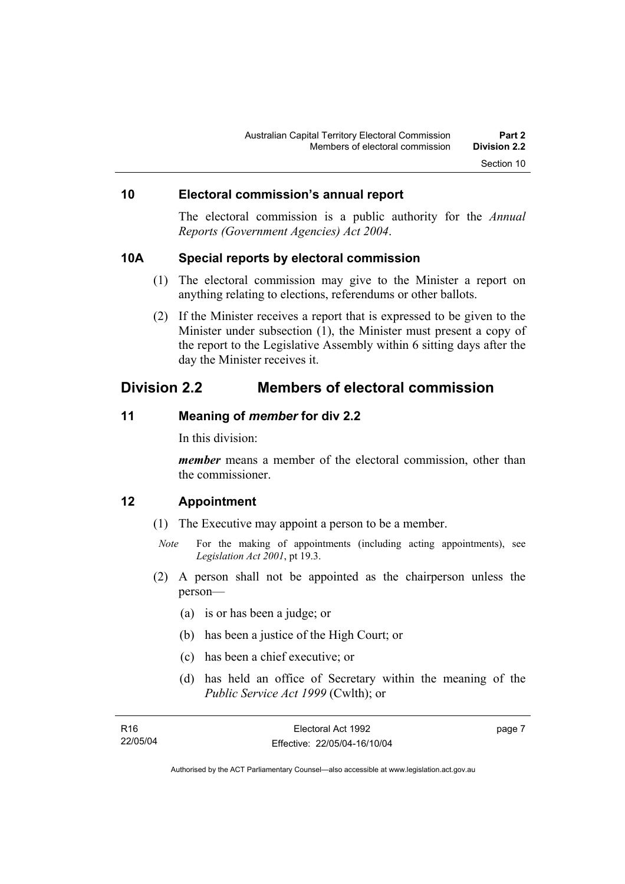### **10 Electoral commission's annual report**

The electoral commission is a public authority for the *Annual Reports (Government Agencies) Act 2004*.

#### **10A Special reports by electoral commission**

- (1) The electoral commission may give to the Minister a report on anything relating to elections, referendums or other ballots.
- (2) If the Minister receives a report that is expressed to be given to the Minister under subsection (1), the Minister must present a copy of the report to the Legislative Assembly within 6 sitting days after the day the Minister receives it.

### **Division 2.2 Members of electoral commission**

### **11 Meaning of** *member* **for div 2.2**

In this division:

*member* means a member of the electoral commission, other than the commissioner.

#### **12 Appointment**

- (1) The Executive may appoint a person to be a member.
	- *Note* For the making of appointments (including acting appointments), see *Legislation Act 2001*, pt 19.3.
- (2) A person shall not be appointed as the chairperson unless the person—
	- (a) is or has been a judge; or
	- (b) has been a justice of the High Court; or
	- (c) has been a chief executive; or
	- (d) has held an office of Secretary within the meaning of the *Public Service Act 1999* (Cwlth); or

| R16      | Electoral Act 1992           | page 7 |
|----------|------------------------------|--------|
| 22/05/04 | Effective: 22/05/04-16/10/04 |        |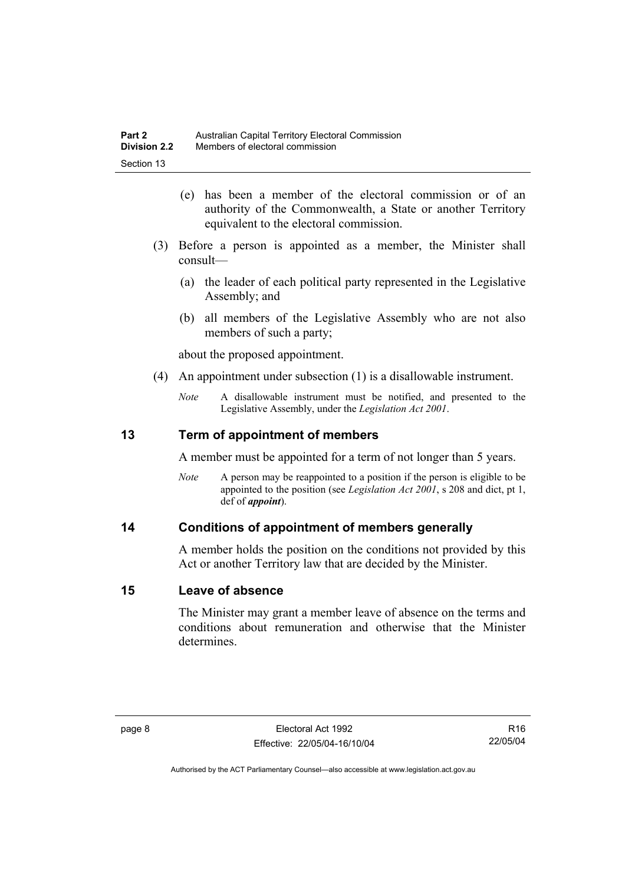- (e) has been a member of the electoral commission or of an authority of the Commonwealth, a State or another Territory equivalent to the electoral commission.
- (3) Before a person is appointed as a member, the Minister shall consult—
	- (a) the leader of each political party represented in the Legislative Assembly; and
	- (b) all members of the Legislative Assembly who are not also members of such a party;

about the proposed appointment.

- (4) An appointment under subsection (1) is a disallowable instrument.
	- *Note* A disallowable instrument must be notified, and presented to the Legislative Assembly, under the *Legislation Act 2001*.

### **13 Term of appointment of members**

A member must be appointed for a term of not longer than 5 years.

*Note* A person may be reappointed to a position if the person is eligible to be appointed to the position (see *Legislation Act 2001*, s 208 and dict, pt 1, def of *appoint*).

#### **14 Conditions of appointment of members generally**

A member holds the position on the conditions not provided by this Act or another Territory law that are decided by the Minister.

#### **15 Leave of absence**

The Minister may grant a member leave of absence on the terms and conditions about remuneration and otherwise that the Minister determines.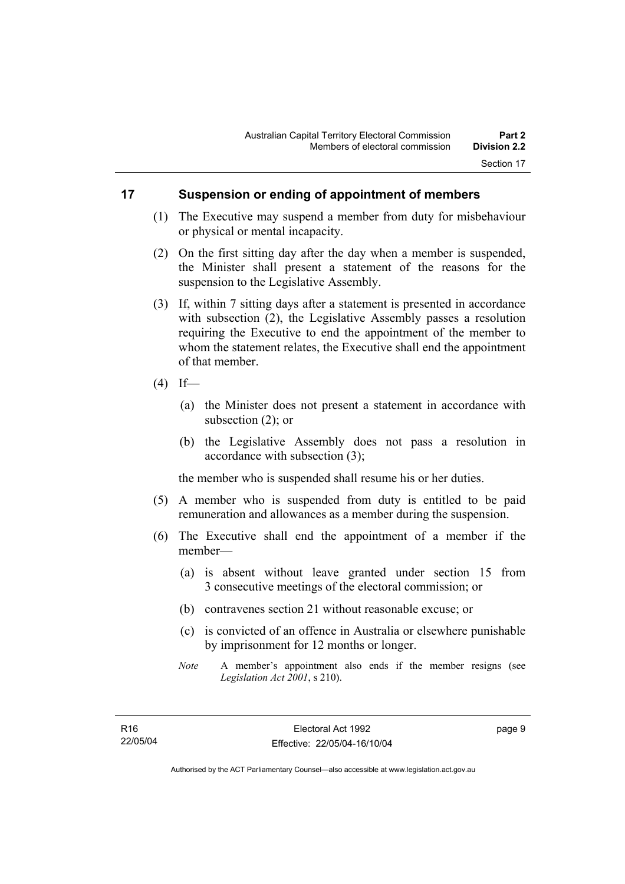### **17 Suspension or ending of appointment of members**

- (1) The Executive may suspend a member from duty for misbehaviour or physical or mental incapacity.
- (2) On the first sitting day after the day when a member is suspended, the Minister shall present a statement of the reasons for the suspension to the Legislative Assembly.
- (3) If, within 7 sitting days after a statement is presented in accordance with subsection (2), the Legislative Assembly passes a resolution requiring the Executive to end the appointment of the member to whom the statement relates, the Executive shall end the appointment of that member.
- $(4)$  If—
	- (a) the Minister does not present a statement in accordance with subsection (2); or
	- (b) the Legislative Assembly does not pass a resolution in accordance with subsection (3);

the member who is suspended shall resume his or her duties.

- (5) A member who is suspended from duty is entitled to be paid remuneration and allowances as a member during the suspension.
- (6) The Executive shall end the appointment of a member if the member—
	- (a) is absent without leave granted under section 15 from 3 consecutive meetings of the electoral commission; or
	- (b) contravenes section 21 without reasonable excuse; or
	- (c) is convicted of an offence in Australia or elsewhere punishable by imprisonment for 12 months or longer.
	- *Note* A member's appointment also ends if the member resigns (see *Legislation Act 2001*, s 210).

page 9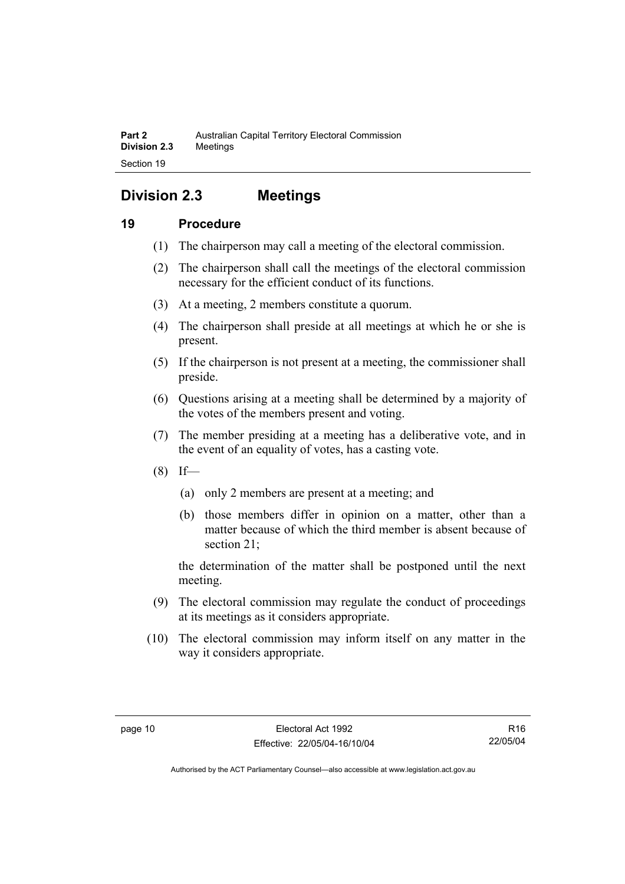## **Division 2.3 Meetings**

### **19 Procedure**

- (1) The chairperson may call a meeting of the electoral commission.
- (2) The chairperson shall call the meetings of the electoral commission necessary for the efficient conduct of its functions.
- (3) At a meeting, 2 members constitute a quorum.
- (4) The chairperson shall preside at all meetings at which he or she is present.
- (5) If the chairperson is not present at a meeting, the commissioner shall preside.
- (6) Questions arising at a meeting shall be determined by a majority of the votes of the members present and voting.
- (7) The member presiding at a meeting has a deliberative vote, and in the event of an equality of votes, has a casting vote.
- $(8)$  If—
	- (a) only 2 members are present at a meeting; and
	- (b) those members differ in opinion on a matter, other than a matter because of which the third member is absent because of section 21;

the determination of the matter shall be postponed until the next meeting.

- (9) The electoral commission may regulate the conduct of proceedings at its meetings as it considers appropriate.
- (10) The electoral commission may inform itself on any matter in the way it considers appropriate.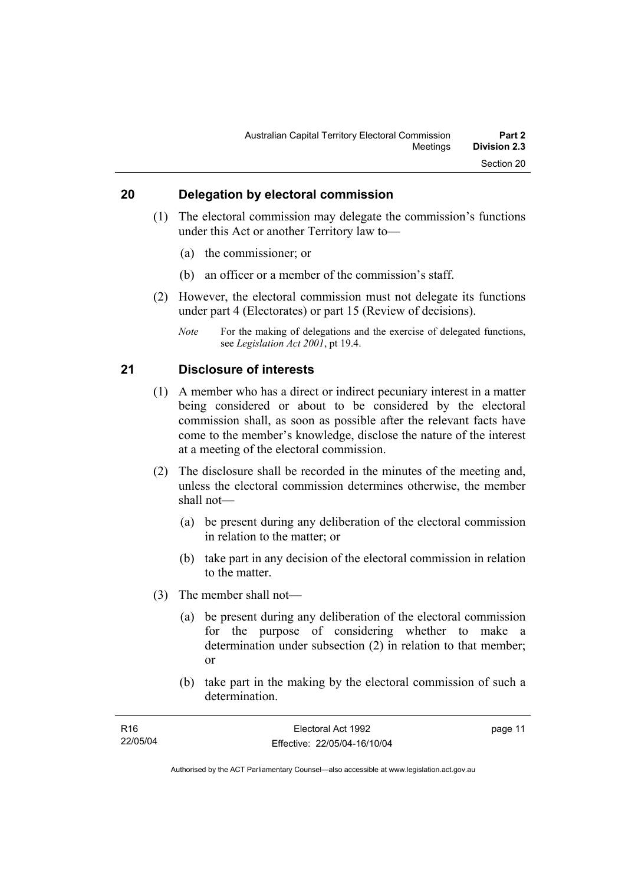### **20 Delegation by electoral commission**

- (1) The electoral commission may delegate the commission's functions under this Act or another Territory law to—
	- (a) the commissioner; or
	- (b) an officer or a member of the commission's staff.
- (2) However, the electoral commission must not delegate its functions under part 4 (Electorates) or part 15 (Review of decisions).
	- *Note* For the making of delegations and the exercise of delegated functions, see *Legislation Act 2001*, pt 19.4.

#### **21 Disclosure of interests**

- (1) A member who has a direct or indirect pecuniary interest in a matter being considered or about to be considered by the electoral commission shall, as soon as possible after the relevant facts have come to the member's knowledge, disclose the nature of the interest at a meeting of the electoral commission.
- (2) The disclosure shall be recorded in the minutes of the meeting and, unless the electoral commission determines otherwise, the member shall not—
	- (a) be present during any deliberation of the electoral commission in relation to the matter; or
	- (b) take part in any decision of the electoral commission in relation to the matter.
- (3) The member shall not—
	- (a) be present during any deliberation of the electoral commission for the purpose of considering whether to make a determination under subsection (2) in relation to that member; or
	- (b) take part in the making by the electoral commission of such a determination.

| R16      | Electoral Act 1992           | page 11 |
|----------|------------------------------|---------|
| 22/05/04 | Effective: 22/05/04-16/10/04 |         |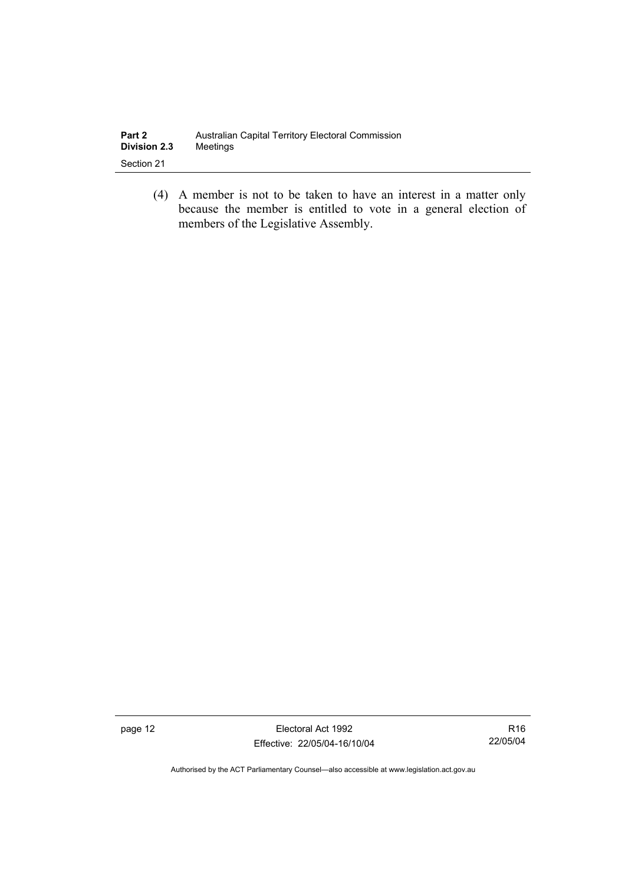| Part 2              | Australian Capital Territory Electoral Commission |
|---------------------|---------------------------------------------------|
| <b>Division 2.3</b> | Meetings                                          |
| Section 21          |                                                   |

 (4) A member is not to be taken to have an interest in a matter only because the member is entitled to vote in a general election of members of the Legislative Assembly.

page 12 **Electoral Act 1992** Effective: 22/05/04-16/10/04

R16 22/05/04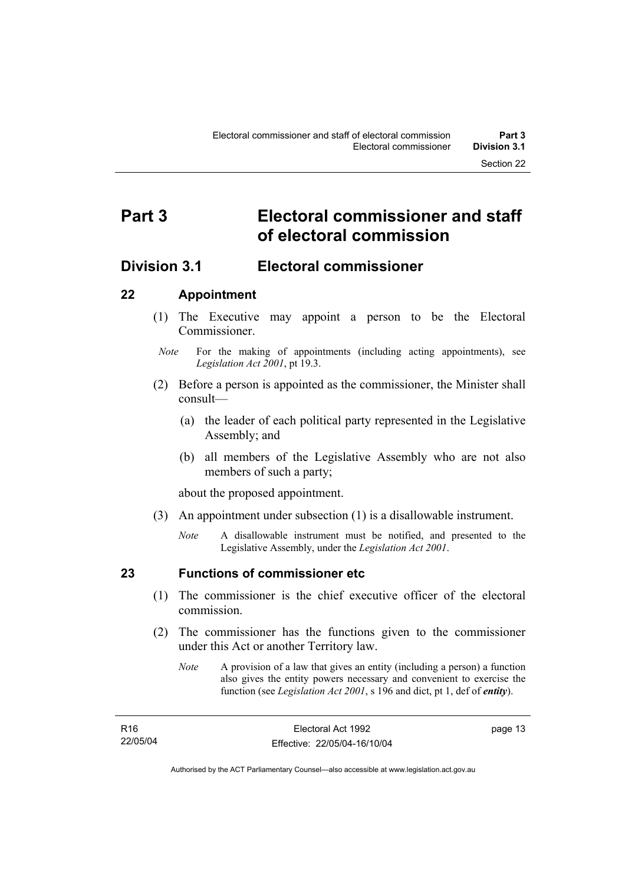## **Part 3 Electoral commissioner and staff of electoral commission**

## **Division 3.1 Electoral commissioner**

### **22 Appointment**

- (1) The Executive may appoint a person to be the Electoral **Commissioner**
- *Note* For the making of appointments (including acting appointments), see *Legislation Act 2001*, pt 19.3.
- (2) Before a person is appointed as the commissioner, the Minister shall consult—
	- (a) the leader of each political party represented in the Legislative Assembly; and
	- (b) all members of the Legislative Assembly who are not also members of such a party;

about the proposed appointment.

- (3) An appointment under subsection (1) is a disallowable instrument.
	- *Note* A disallowable instrument must be notified, and presented to the Legislative Assembly, under the *Legislation Act 2001*.

### **23 Functions of commissioner etc**

- (1) The commissioner is the chief executive officer of the electoral commission.
- (2) The commissioner has the functions given to the commissioner under this Act or another Territory law.
	- *Note* A provision of a law that gives an entity (including a person) a function also gives the entity powers necessary and convenient to exercise the function (see *Legislation Act 2001*, s 196 and dict, pt 1, def of *entity*).

page 13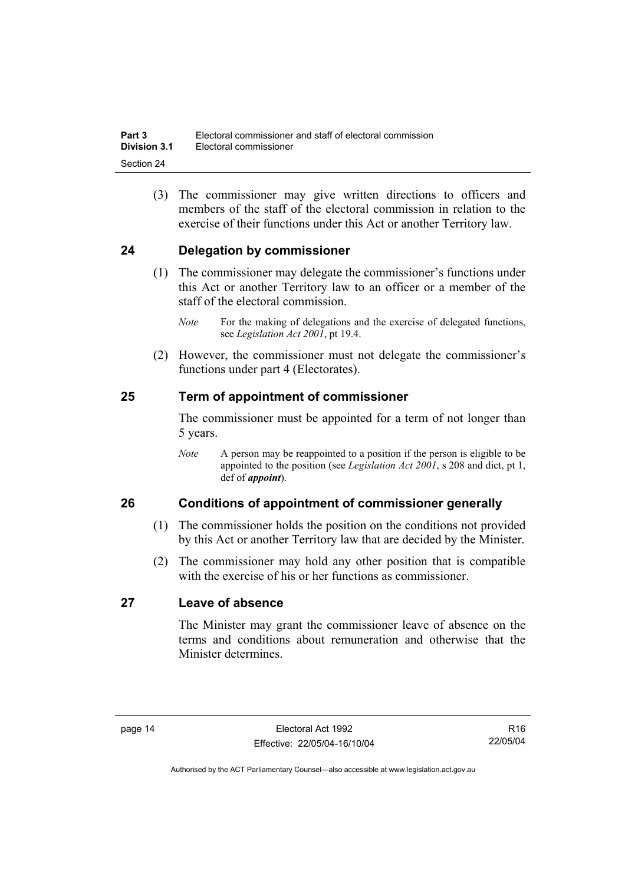(3) The commissioner may give written directions to officers and members of the staff of the electoral commission in relation to the exercise of their functions under this Act or another Territory law.

### **24 Delegation by commissioner**

- (1) The commissioner may delegate the commissioner's functions under this Act or another Territory law to an officer or a member of the staff of the electoral commission.
	- *Note* For the making of delegations and the exercise of delegated functions, see *Legislation Act 2001*, pt 19.4.
- (2) However, the commissioner must not delegate the commissioner's functions under part 4 (Electorates).

### **25 Term of appointment of commissioner**

The commissioner must be appointed for a term of not longer than 5 years.

*Note* A person may be reappointed to a position if the person is eligible to be appointed to the position (see *Legislation Act 2001*, s 208 and dict, pt 1, def of *appoint*).

### **26 Conditions of appointment of commissioner generally**

- (1) The commissioner holds the position on the conditions not provided by this Act or another Territory law that are decided by the Minister.
- (2) The commissioner may hold any other position that is compatible with the exercise of his or her functions as commissioner.

### **27 Leave of absence**

The Minister may grant the commissioner leave of absence on the terms and conditions about remuneration and otherwise that the Minister determines.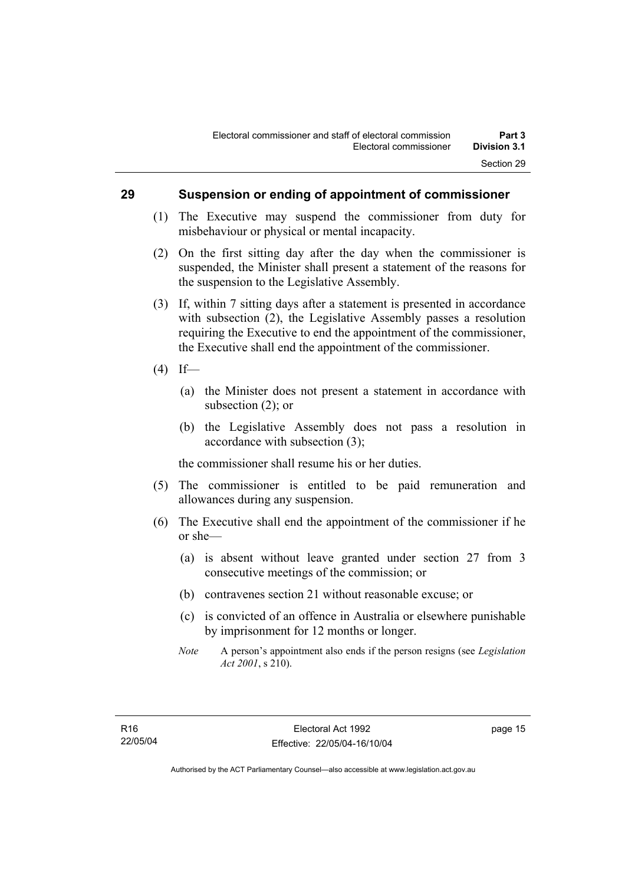#### **29 Suspension or ending of appointment of commissioner**

- (1) The Executive may suspend the commissioner from duty for misbehaviour or physical or mental incapacity.
- (2) On the first sitting day after the day when the commissioner is suspended, the Minister shall present a statement of the reasons for the suspension to the Legislative Assembly.
- (3) If, within 7 sitting days after a statement is presented in accordance with subsection (2), the Legislative Assembly passes a resolution requiring the Executive to end the appointment of the commissioner, the Executive shall end the appointment of the commissioner.
- $(4)$  If—
	- (a) the Minister does not present a statement in accordance with subsection (2); or
	- (b) the Legislative Assembly does not pass a resolution in accordance with subsection (3);

the commissioner shall resume his or her duties.

- (5) The commissioner is entitled to be paid remuneration and allowances during any suspension.
- (6) The Executive shall end the appointment of the commissioner if he or she—
	- (a) is absent without leave granted under section 27 from 3 consecutive meetings of the commission; or
	- (b) contravenes section 21 without reasonable excuse; or
	- (c) is convicted of an offence in Australia or elsewhere punishable by imprisonment for 12 months or longer.
	- *Note* A person's appointment also ends if the person resigns (see *Legislation Act 2001*, s 210).

page 15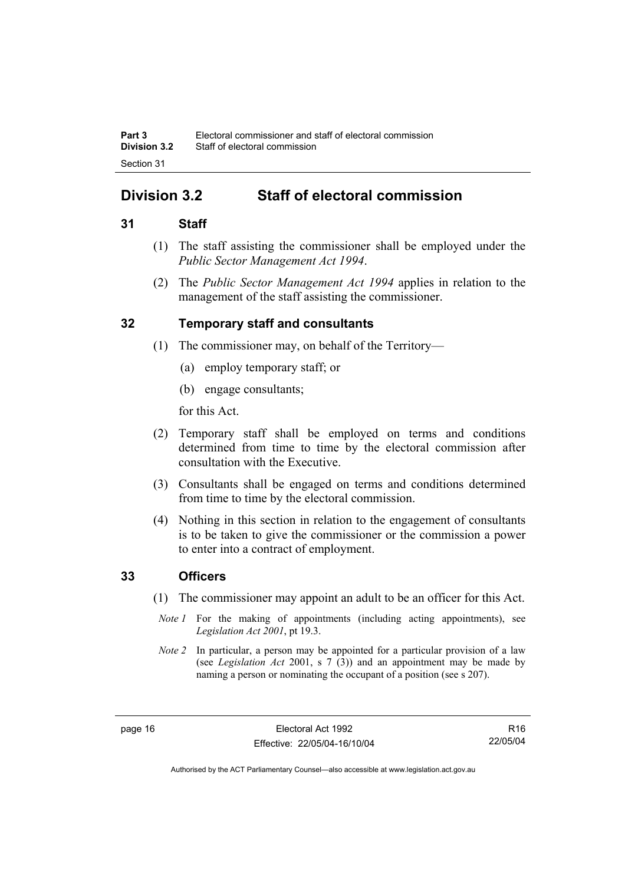## **Division 3.2 Staff of electoral commission**

### **31 Staff**

- (1) The staff assisting the commissioner shall be employed under the *Public Sector Management Act 1994*.
- (2) The *Public Sector Management Act 1994* applies in relation to the management of the staff assisting the commissioner.

### **32 Temporary staff and consultants**

- (1) The commissioner may, on behalf of the Territory—
	- (a) employ temporary staff; or
	- (b) engage consultants;

for this Act.

- (2) Temporary staff shall be employed on terms and conditions determined from time to time by the electoral commission after consultation with the Executive.
- (3) Consultants shall be engaged on terms and conditions determined from time to time by the electoral commission.
- (4) Nothing in this section in relation to the engagement of consultants is to be taken to give the commissioner or the commission a power to enter into a contract of employment.

#### **33 Officers**

- (1) The commissioner may appoint an adult to be an officer for this Act.
	- *Note 1* For the making of appointments (including acting appointments), see *Legislation Act 2001*, pt 19.3.
- *Note 2* In particular, a person may be appointed for a particular provision of a law (see *Legislation Act* 2001, s 7 (3)) and an appointment may be made by naming a person or nominating the occupant of a position (see s 207).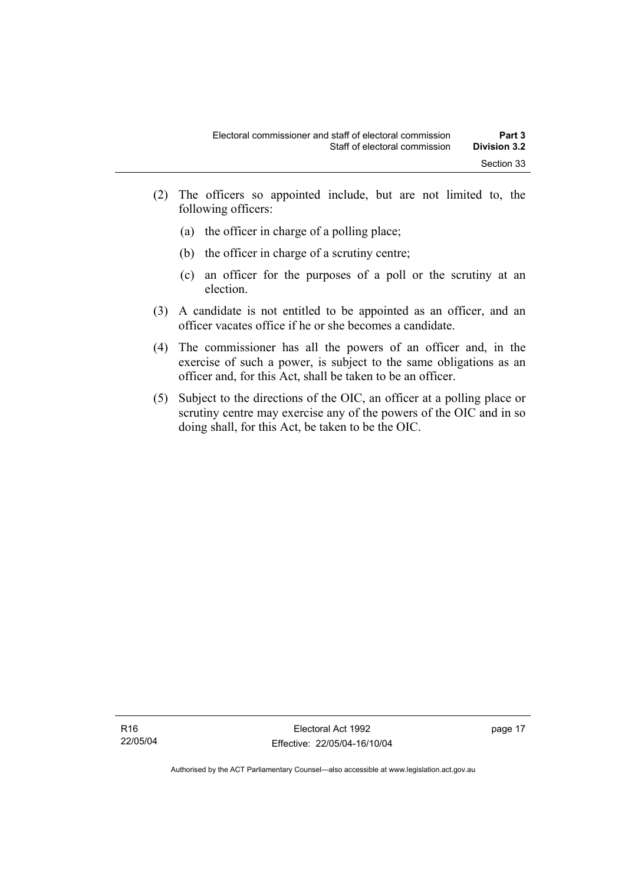- (2) The officers so appointed include, but are not limited to, the following officers:
	- (a) the officer in charge of a polling place;
	- (b) the officer in charge of a scrutiny centre;
	- (c) an officer for the purposes of a poll or the scrutiny at an election.
- (3) A candidate is not entitled to be appointed as an officer, and an officer vacates office if he or she becomes a candidate.
- (4) The commissioner has all the powers of an officer and, in the exercise of such a power, is subject to the same obligations as an officer and, for this Act, shall be taken to be an officer.
- (5) Subject to the directions of the OIC, an officer at a polling place or scrutiny centre may exercise any of the powers of the OIC and in so doing shall, for this Act, be taken to be the OIC.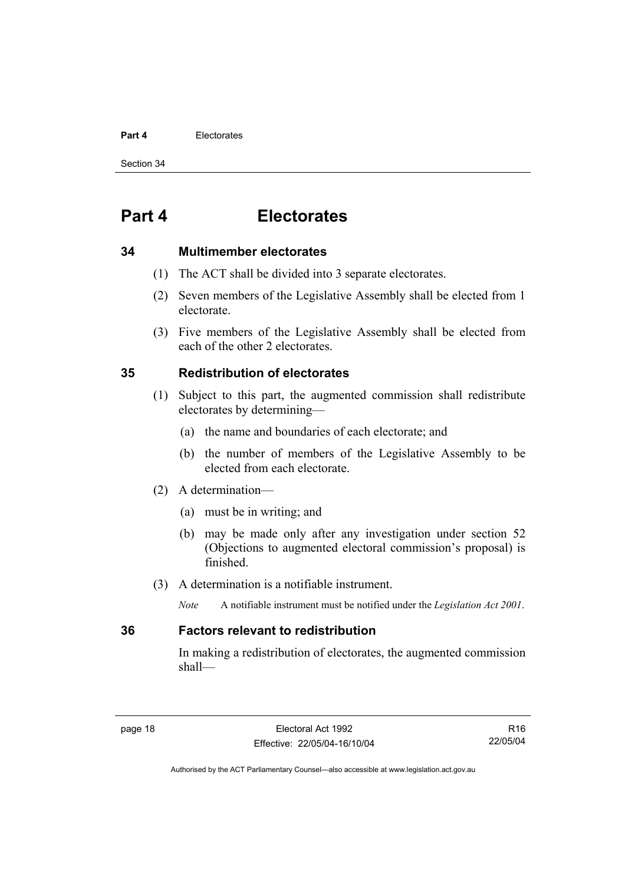#### **Part 4** Electorates

Section 34

## **Part 4 Electorates**

#### **34 Multimember electorates**

- (1) The ACT shall be divided into 3 separate electorates.
- (2) Seven members of the Legislative Assembly shall be elected from 1 electorate.
- (3) Five members of the Legislative Assembly shall be elected from each of the other 2 electorates.

### **35 Redistribution of electorates**

- (1) Subject to this part, the augmented commission shall redistribute electorates by determining—
	- (a) the name and boundaries of each electorate; and
	- (b) the number of members of the Legislative Assembly to be elected from each electorate.
- (2) A determination—
	- (a) must be in writing; and
	- (b) may be made only after any investigation under section 52 (Objections to augmented electoral commission's proposal) is finished.
- (3) A determination is a notifiable instrument.
	- *Note* A notifiable instrument must be notified under the *Legislation Act 2001*.

#### **36 Factors relevant to redistribution**

In making a redistribution of electorates, the augmented commission shall—

R16 22/05/04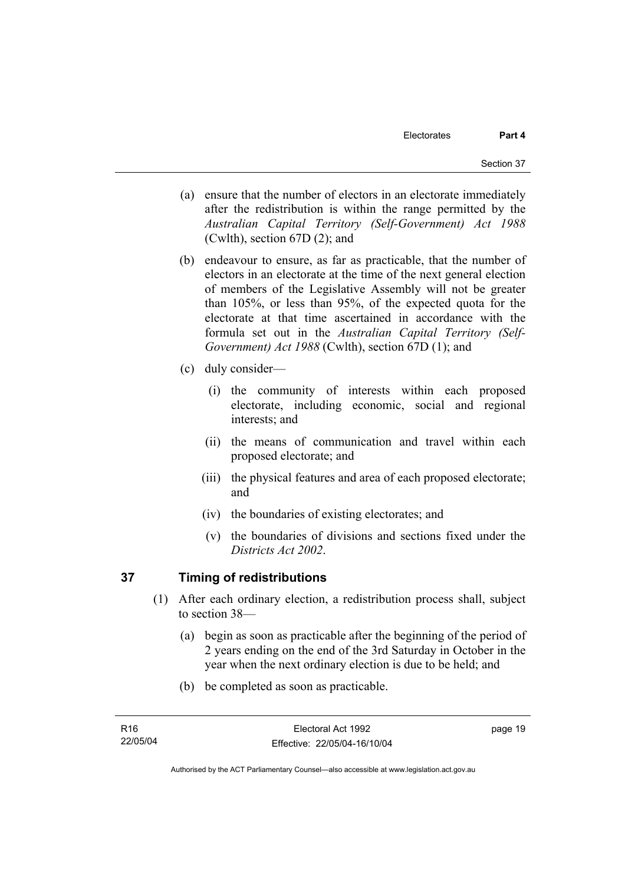- (a) ensure that the number of electors in an electorate immediately after the redistribution is within the range permitted by the *Australian Capital Territory (Self-Government) Act 1988*  (Cwlth), section 67D (2); and
- (b) endeavour to ensure, as far as practicable, that the number of electors in an electorate at the time of the next general election of members of the Legislative Assembly will not be greater than 105%, or less than 95%, of the expected quota for the electorate at that time ascertained in accordance with the formula set out in the *Australian Capital Territory (Self-Government) Act 1988* (Cwlth), section 67D (1); and
- (c) duly consider—
	- (i) the community of interests within each proposed electorate, including economic, social and regional interests; and
	- (ii) the means of communication and travel within each proposed electorate; and
	- (iii) the physical features and area of each proposed electorate; and
	- (iv) the boundaries of existing electorates; and
	- (v) the boundaries of divisions and sections fixed under the *Districts Act 2002*.

# **37 Timing of redistributions**

- (1) After each ordinary election, a redistribution process shall, subject to section 38—
	- (a) begin as soon as practicable after the beginning of the period of 2 years ending on the end of the 3rd Saturday in October in the year when the next ordinary election is due to be held; and
	- (b) be completed as soon as practicable.

page 19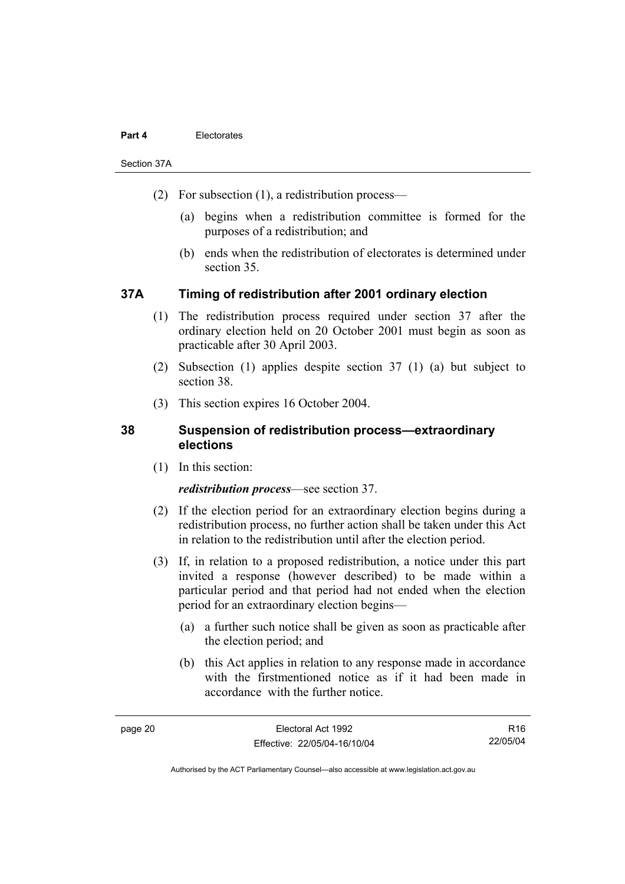#### **Part 4** Electorates

Section 37A

- (2) For subsection (1), a redistribution process—
	- (a) begins when a redistribution committee is formed for the purposes of a redistribution; and
	- (b) ends when the redistribution of electorates is determined under section 35.

# **37A Timing of redistribution after 2001 ordinary election**

- (1) The redistribution process required under section 37 after the ordinary election held on 20 October 2001 must begin as soon as practicable after 30 April 2003.
- (2) Subsection (1) applies despite section 37 (1) (a) but subject to section 38.
- (3) This section expires 16 October 2004.

# **38 Suspension of redistribution process—extraordinary elections**

(1) In this section:

### *redistribution process*—see section 37.

- (2) If the election period for an extraordinary election begins during a redistribution process, no further action shall be taken under this Act in relation to the redistribution until after the election period.
- (3) If, in relation to a proposed redistribution, a notice under this part invited a response (however described) to be made within a particular period and that period had not ended when the election period for an extraordinary election begins—
	- (a) a further such notice shall be given as soon as practicable after the election period; and
	- (b) this Act applies in relation to any response made in accordance with the firstmentioned notice as if it had been made in accordance with the further notice.

R16 22/05/04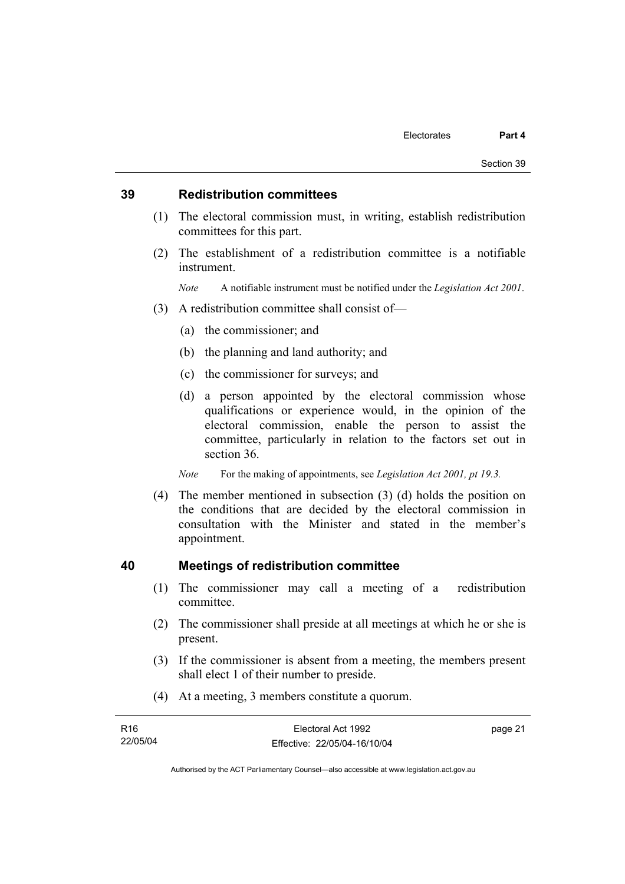### **39 Redistribution committees**

- (1) The electoral commission must, in writing, establish redistribution committees for this part.
- (2) The establishment of a redistribution committee is a notifiable instrument.

*Note* A notifiable instrument must be notified under the *Legislation Act 2001*.

- (3) A redistribution committee shall consist of—
	- (a) the commissioner; and
	- (b) the planning and land authority; and
	- (c) the commissioner for surveys; and
	- (d) a person appointed by the electoral commission whose qualifications or experience would, in the opinion of the electoral commission, enable the person to assist the committee, particularly in relation to the factors set out in section 36.
	- *Note* For the making of appointments, see *Legislation Act 2001, pt 19.3.*
- (4) The member mentioned in subsection (3) (d) holds the position on the conditions that are decided by the electoral commission in consultation with the Minister and stated in the member's appointment.

### **40 Meetings of redistribution committee**

- (1) The commissioner may call a meeting of a redistribution committee.
- (2) The commissioner shall preside at all meetings at which he or she is present.
- (3) If the commissioner is absent from a meeting, the members present shall elect 1 of their number to preside.
- (4) At a meeting, 3 members constitute a quorum.

| R <sub>16</sub> | Electoral Act 1992           | page 21 |
|-----------------|------------------------------|---------|
| 22/05/04        | Effective: 22/05/04-16/10/04 |         |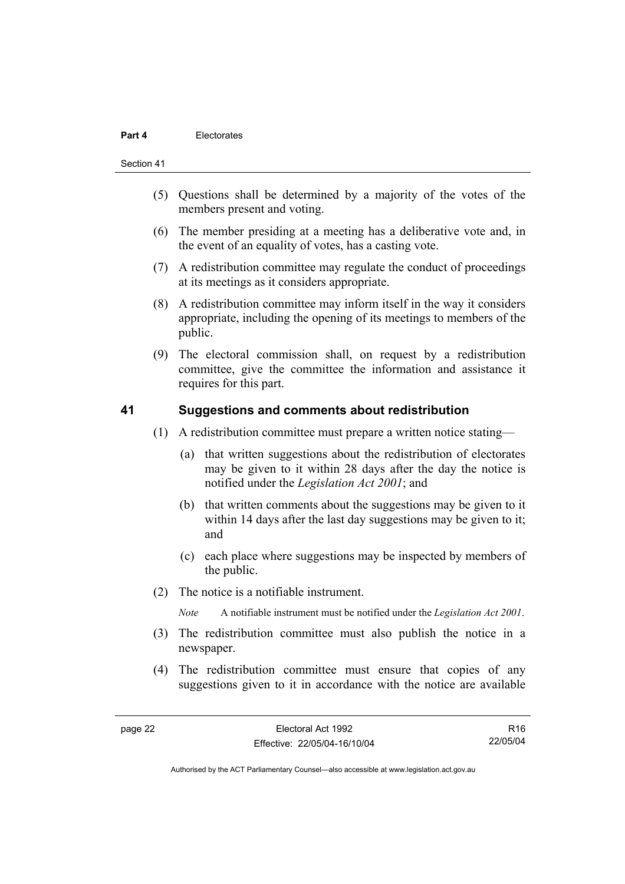#### **Part 4** Electorates

#### Section 41

- (5) Questions shall be determined by a majority of the votes of the members present and voting.
- (6) The member presiding at a meeting has a deliberative vote and, in the event of an equality of votes, has a casting vote.
- (7) A redistribution committee may regulate the conduct of proceedings at its meetings as it considers appropriate.
- (8) A redistribution committee may inform itself in the way it considers appropriate, including the opening of its meetings to members of the public.
- (9) The electoral commission shall, on request by a redistribution committee, give the committee the information and assistance it requires for this part.

### **41 Suggestions and comments about redistribution**

- (1) A redistribution committee must prepare a written notice stating—
	- (a) that written suggestions about the redistribution of electorates may be given to it within 28 days after the day the notice is notified under the *Legislation Act 2001*; and
	- (b) that written comments about the suggestions may be given to it within 14 days after the last day suggestions may be given to it; and
	- (c) each place where suggestions may be inspected by members of the public.
- (2) The notice is a notifiable instrument.

*Note* A notifiable instrument must be notified under the *Legislation Act 2001*.

- (3) The redistribution committee must also publish the notice in a newspaper.
- (4) The redistribution committee must ensure that copies of any suggestions given to it in accordance with the notice are available

R16 22/05/04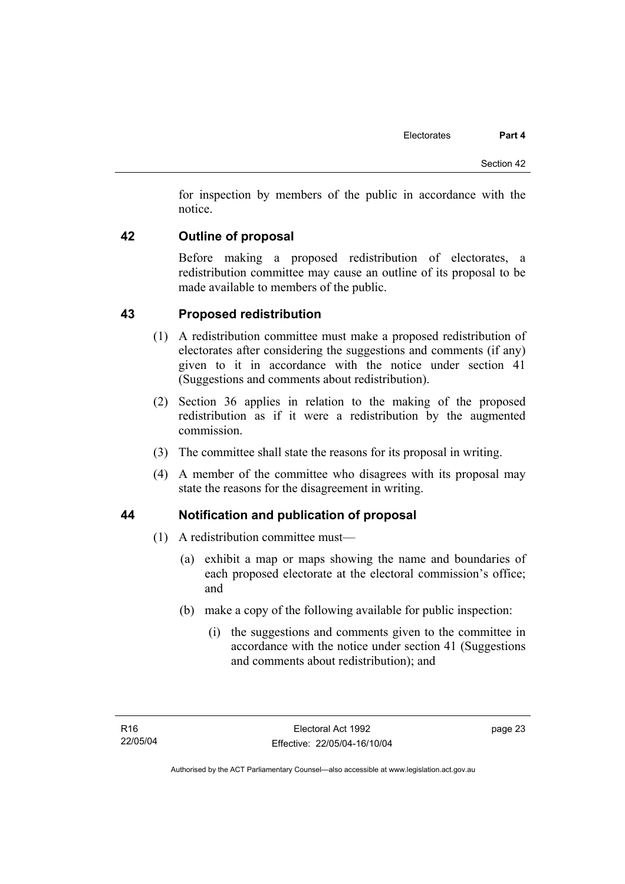for inspection by members of the public in accordance with the notice.

# **42 Outline of proposal**

Before making a proposed redistribution of electorates, a redistribution committee may cause an outline of its proposal to be made available to members of the public.

# **43 Proposed redistribution**

- (1) A redistribution committee must make a proposed redistribution of electorates after considering the suggestions and comments (if any) given to it in accordance with the notice under section 41 (Suggestions and comments about redistribution).
- (2) Section 36 applies in relation to the making of the proposed redistribution as if it were a redistribution by the augmented commission.
- (3) The committee shall state the reasons for its proposal in writing.
- (4) A member of the committee who disagrees with its proposal may state the reasons for the disagreement in writing.

# **44 Notification and publication of proposal**

- (1) A redistribution committee must—
	- (a) exhibit a map or maps showing the name and boundaries of each proposed electorate at the electoral commission's office; and
	- (b) make a copy of the following available for public inspection:
		- (i) the suggestions and comments given to the committee in accordance with the notice under section 41 (Suggestions and comments about redistribution); and

page 23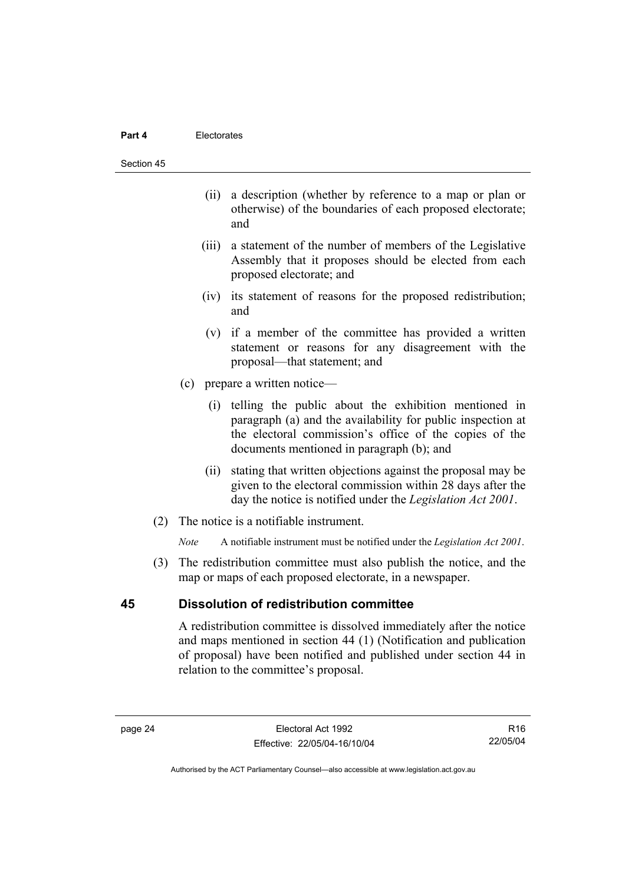#### **Part 4** Electorates

#### Section 45

- (ii) a description (whether by reference to a map or plan or otherwise) of the boundaries of each proposed electorate; and
- (iii) a statement of the number of members of the Legislative Assembly that it proposes should be elected from each proposed electorate; and
- (iv) its statement of reasons for the proposed redistribution; and
- (v) if a member of the committee has provided a written statement or reasons for any disagreement with the proposal—that statement; and
- (c) prepare a written notice—
	- (i) telling the public about the exhibition mentioned in paragraph (a) and the availability for public inspection at the electoral commission's office of the copies of the documents mentioned in paragraph (b); and
	- (ii) stating that written objections against the proposal may be given to the electoral commission within 28 days after the day the notice is notified under the *Legislation Act 2001*.
- (2) The notice is a notifiable instrument.

*Note* A notifiable instrument must be notified under the *Legislation Act 2001*.

 (3) The redistribution committee must also publish the notice, and the map or maps of each proposed electorate, in a newspaper.

# **45 Dissolution of redistribution committee**

A redistribution committee is dissolved immediately after the notice and maps mentioned in section 44 (1) (Notification and publication of proposal) have been notified and published under section 44 in relation to the committee's proposal.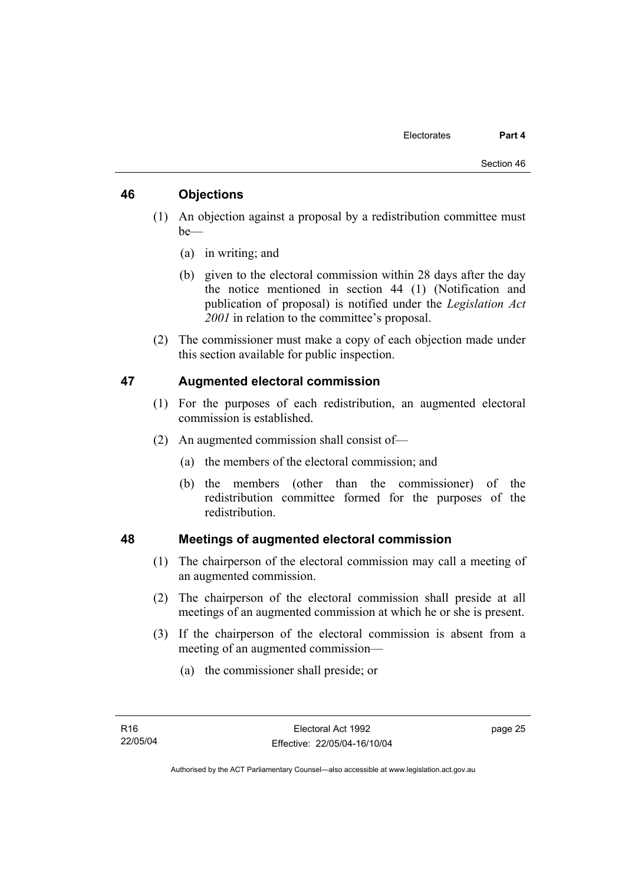# **46 Objections**

- (1) An objection against a proposal by a redistribution committee must be—
	- (a) in writing; and
	- (b) given to the electoral commission within 28 days after the day the notice mentioned in section 44 (1) (Notification and publication of proposal) is notified under the *Legislation Act 2001* in relation to the committee's proposal.
- (2) The commissioner must make a copy of each objection made under this section available for public inspection.

# **47 Augmented electoral commission**

- (1) For the purposes of each redistribution, an augmented electoral commission is established.
- (2) An augmented commission shall consist of—
	- (a) the members of the electoral commission; and
	- (b) the members (other than the commissioner) of the redistribution committee formed for the purposes of the redistribution.

# **48 Meetings of augmented electoral commission**

- (1) The chairperson of the electoral commission may call a meeting of an augmented commission.
- (2) The chairperson of the electoral commission shall preside at all meetings of an augmented commission at which he or she is present.
- (3) If the chairperson of the electoral commission is absent from a meeting of an augmented commission—
	- (a) the commissioner shall preside; or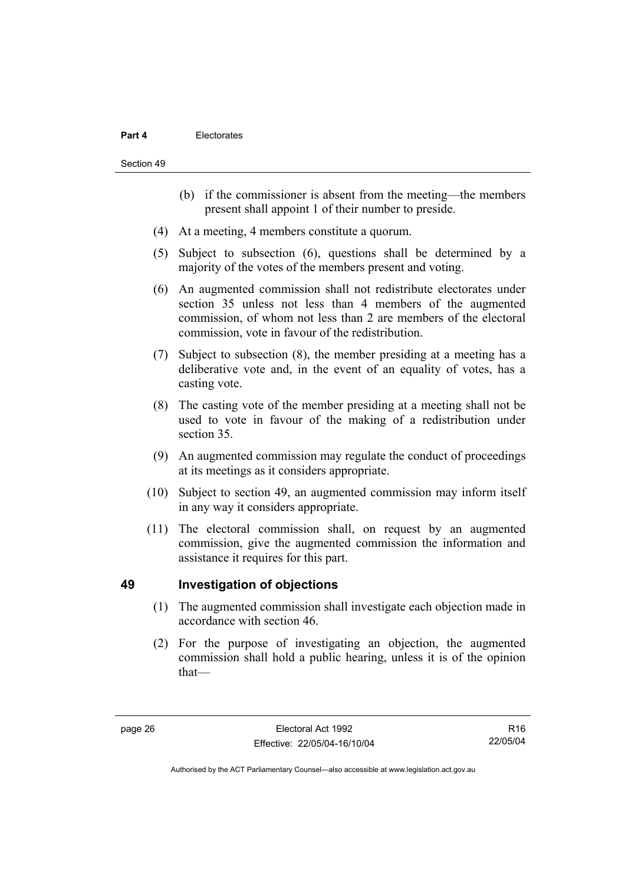#### **Part 4** Electorates

Section 49

- (b) if the commissioner is absent from the meeting—the members present shall appoint 1 of their number to preside.
- (4) At a meeting, 4 members constitute a quorum.
- (5) Subject to subsection (6), questions shall be determined by a majority of the votes of the members present and voting.
- (6) An augmented commission shall not redistribute electorates under section 35 unless not less than 4 members of the augmented commission, of whom not less than 2 are members of the electoral commission, vote in favour of the redistribution.
- (7) Subject to subsection (8), the member presiding at a meeting has a deliberative vote and, in the event of an equality of votes, has a casting vote.
- (8) The casting vote of the member presiding at a meeting shall not be used to vote in favour of the making of a redistribution under section 35.
- (9) An augmented commission may regulate the conduct of proceedings at its meetings as it considers appropriate.
- (10) Subject to section 49, an augmented commission may inform itself in any way it considers appropriate.
- (11) The electoral commission shall, on request by an augmented commission, give the augmented commission the information and assistance it requires for this part.

# **49 Investigation of objections**

- (1) The augmented commission shall investigate each objection made in accordance with section 46.
- (2) For the purpose of investigating an objection, the augmented commission shall hold a public hearing, unless it is of the opinion that—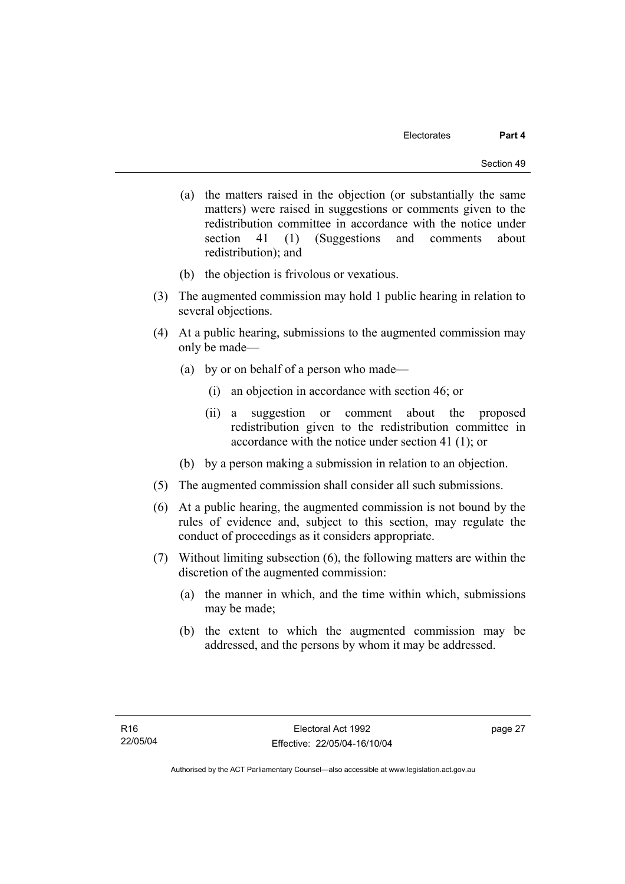- (a) the matters raised in the objection (or substantially the same matters) were raised in suggestions or comments given to the redistribution committee in accordance with the notice under section 41 (1) (Suggestions and comments about redistribution); and
- (b) the objection is frivolous or vexatious.
- (3) The augmented commission may hold 1 public hearing in relation to several objections.
- (4) At a public hearing, submissions to the augmented commission may only be made—
	- (a) by or on behalf of a person who made—
		- (i) an objection in accordance with section 46; or
		- (ii) a suggestion or comment about the proposed redistribution given to the redistribution committee in accordance with the notice under section 41 (1); or
	- (b) by a person making a submission in relation to an objection.
- (5) The augmented commission shall consider all such submissions.
- (6) At a public hearing, the augmented commission is not bound by the rules of evidence and, subject to this section, may regulate the conduct of proceedings as it considers appropriate.
- (7) Without limiting subsection (6), the following matters are within the discretion of the augmented commission:
	- (a) the manner in which, and the time within which, submissions may be made;
	- (b) the extent to which the augmented commission may be addressed, and the persons by whom it may be addressed.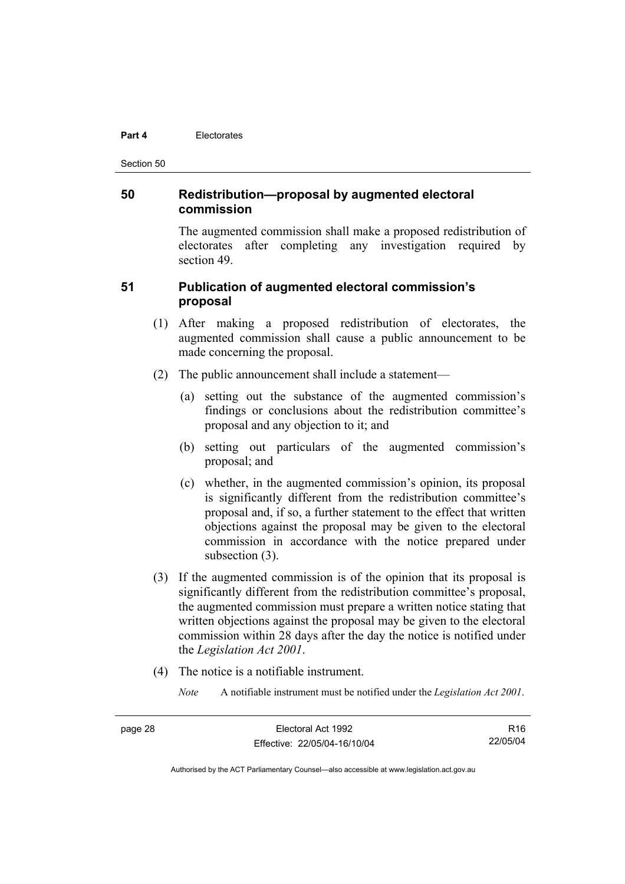#### **Part 4** Electorates

Section 50

# **50 Redistribution—proposal by augmented electoral commission**

The augmented commission shall make a proposed redistribution of electorates after completing any investigation required by section 49.

# **51 Publication of augmented electoral commission's proposal**

- (1) After making a proposed redistribution of electorates, the augmented commission shall cause a public announcement to be made concerning the proposal.
- (2) The public announcement shall include a statement—
	- (a) setting out the substance of the augmented commission's findings or conclusions about the redistribution committee's proposal and any objection to it; and
	- (b) setting out particulars of the augmented commission's proposal; and
	- (c) whether, in the augmented commission's opinion, its proposal is significantly different from the redistribution committee's proposal and, if so, a further statement to the effect that written objections against the proposal may be given to the electoral commission in accordance with the notice prepared under subsection (3).
- (3) If the augmented commission is of the opinion that its proposal is significantly different from the redistribution committee's proposal, the augmented commission must prepare a written notice stating that written objections against the proposal may be given to the electoral commission within 28 days after the day the notice is notified under the *Legislation Act 2001*.
- (4) The notice is a notifiable instrument.
	- *Note* A notifiable instrument must be notified under the *Legislation Act 2001*.

R16 22/05/04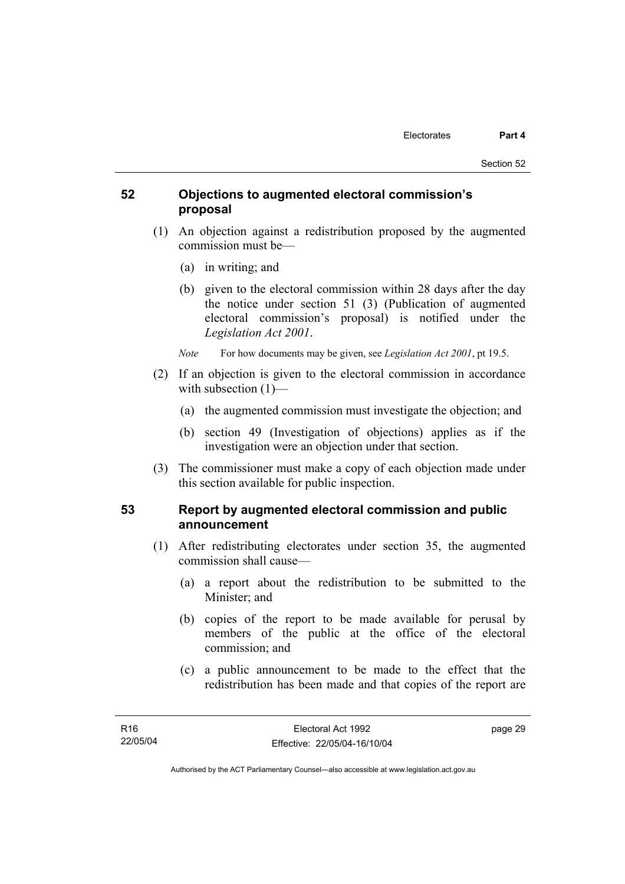# **52 Objections to augmented electoral commission's proposal**

- (1) An objection against a redistribution proposed by the augmented commission must be—
	- (a) in writing; and
	- (b) given to the electoral commission within 28 days after the day the notice under section 51 (3) (Publication of augmented electoral commission's proposal) is notified under the *Legislation Act 2001*.
	- *Note* For how documents may be given, see *Legislation Act 2001*, pt 19.5.
- (2) If an objection is given to the electoral commission in accordance with subsection  $(1)$ —
	- (a) the augmented commission must investigate the objection; and
	- (b) section 49 (Investigation of objections) applies as if the investigation were an objection under that section.
- (3) The commissioner must make a copy of each objection made under this section available for public inspection.

# **53 Report by augmented electoral commission and public announcement**

- (1) After redistributing electorates under section 35, the augmented commission shall cause—
	- (a) a report about the redistribution to be submitted to the Minister; and
	- (b) copies of the report to be made available for perusal by members of the public at the office of the electoral commission; and
	- (c) a public announcement to be made to the effect that the redistribution has been made and that copies of the report are

page 29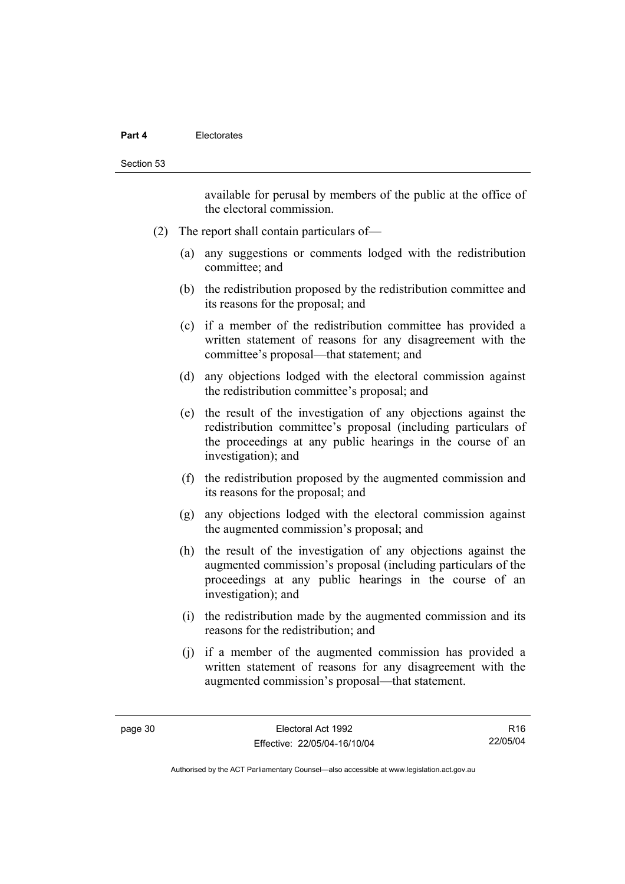#### **Part 4** Electorates

available for perusal by members of the public at the office of the electoral commission.

- (2) The report shall contain particulars of—
	- (a) any suggestions or comments lodged with the redistribution committee; and
	- (b) the redistribution proposed by the redistribution committee and its reasons for the proposal; and
	- (c) if a member of the redistribution committee has provided a written statement of reasons for any disagreement with the committee's proposal—that statement; and
	- (d) any objections lodged with the electoral commission against the redistribution committee's proposal; and
	- (e) the result of the investigation of any objections against the redistribution committee's proposal (including particulars of the proceedings at any public hearings in the course of an investigation); and
	- (f) the redistribution proposed by the augmented commission and its reasons for the proposal; and
	- (g) any objections lodged with the electoral commission against the augmented commission's proposal; and
	- (h) the result of the investigation of any objections against the augmented commission's proposal (including particulars of the proceedings at any public hearings in the course of an investigation); and
	- (i) the redistribution made by the augmented commission and its reasons for the redistribution; and
	- (j) if a member of the augmented commission has provided a written statement of reasons for any disagreement with the augmented commission's proposal—that statement.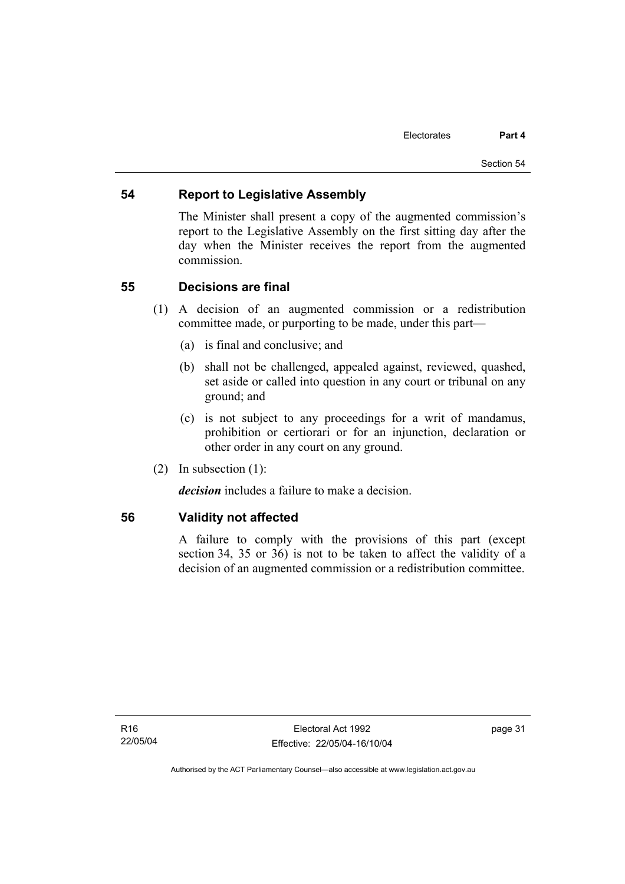# **54 Report to Legislative Assembly**

The Minister shall present a copy of the augmented commission's report to the Legislative Assembly on the first sitting day after the day when the Minister receives the report from the augmented commission.

# **55 Decisions are final**

- (1) A decision of an augmented commission or a redistribution committee made, or purporting to be made, under this part—
	- (a) is final and conclusive; and
	- (b) shall not be challenged, appealed against, reviewed, quashed, set aside or called into question in any court or tribunal on any ground; and
	- (c) is not subject to any proceedings for a writ of mandamus, prohibition or certiorari or for an injunction, declaration or other order in any court on any ground.
- (2) In subsection (1):

*decision* includes a failure to make a decision.

# **56 Validity not affected**

A failure to comply with the provisions of this part (except section 34, 35 or 36) is not to be taken to affect the validity of a decision of an augmented commission or a redistribution committee.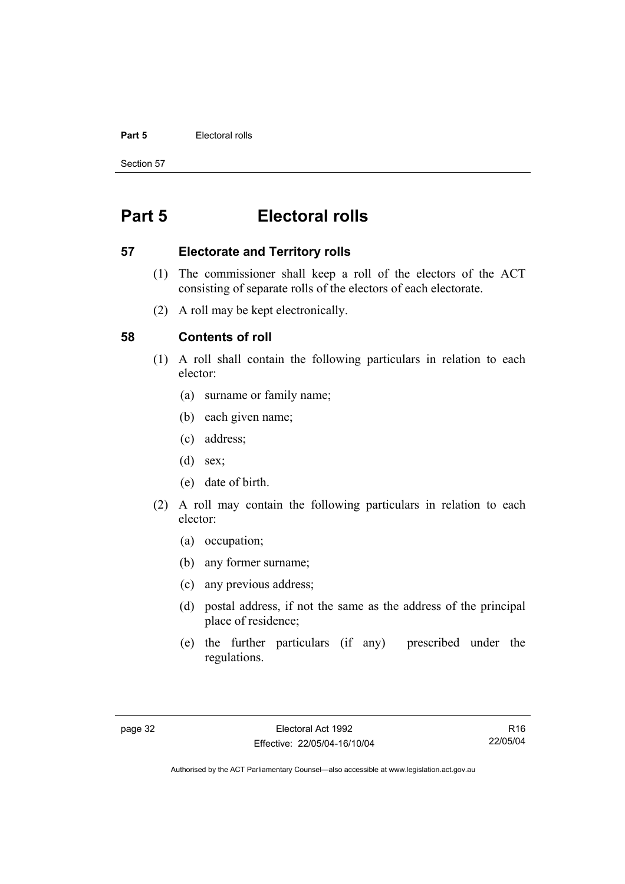#### **Part 5 Electoral rolls**

Section 57

# **Part 5 Electoral rolls**

### **57 Electorate and Territory rolls**

- (1) The commissioner shall keep a roll of the electors of the ACT consisting of separate rolls of the electors of each electorate.
- (2) A roll may be kept electronically.

# **58 Contents of roll**

- (1) A roll shall contain the following particulars in relation to each elector:
	- (a) surname or family name;
	- (b) each given name;
	- (c) address;
	- (d) sex;
	- (e) date of birth.
- (2) A roll may contain the following particulars in relation to each elector:
	- (a) occupation;
	- (b) any former surname;
	- (c) any previous address;
	- (d) postal address, if not the same as the address of the principal place of residence;
	- (e) the further particulars (if any) prescribed under the regulations.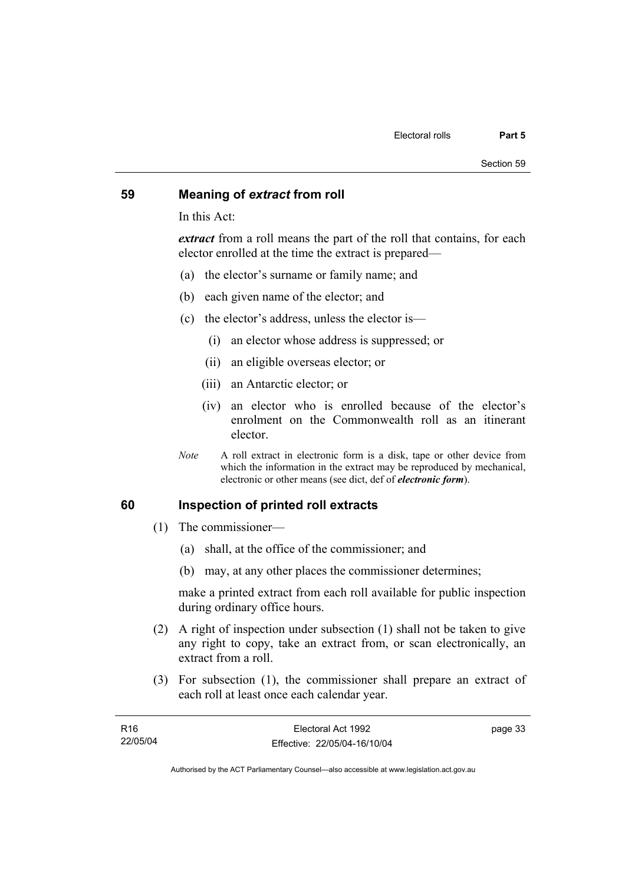### **59 Meaning of** *extract* **from roll**

In this Act:

*extract* from a roll means the part of the roll that contains, for each elector enrolled at the time the extract is prepared—

- (a) the elector's surname or family name; and
- (b) each given name of the elector; and
- (c) the elector's address, unless the elector is—
	- (i) an elector whose address is suppressed; or
	- (ii) an eligible overseas elector; or
	- (iii) an Antarctic elector; or
	- (iv) an elector who is enrolled because of the elector's enrolment on the Commonwealth roll as an itinerant elector.
- *Note* A roll extract in electronic form is a disk, tape or other device from which the information in the extract may be reproduced by mechanical, electronic or other means (see dict, def of *electronic form*).

### **60 Inspection of printed roll extracts**

- (1) The commissioner—
	- (a) shall, at the office of the commissioner; and
	- (b) may, at any other places the commissioner determines;

make a printed extract from each roll available for public inspection during ordinary office hours.

- (2) A right of inspection under subsection (1) shall not be taken to give any right to copy, take an extract from, or scan electronically, an extract from a roll.
- (3) For subsection (1), the commissioner shall prepare an extract of each roll at least once each calendar year.

| R16      | Electoral Act 1992           | page 33 |
|----------|------------------------------|---------|
| 22/05/04 | Effective: 22/05/04-16/10/04 |         |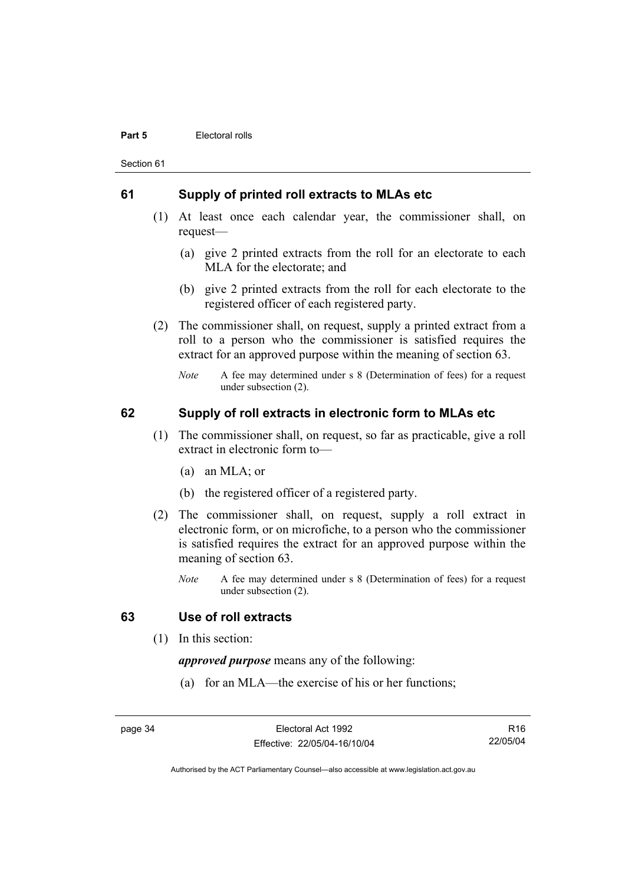#### **Part 5 Electoral rolls**

Section 61

### **61 Supply of printed roll extracts to MLAs etc**

- (1) At least once each calendar year, the commissioner shall, on request—
	- (a) give 2 printed extracts from the roll for an electorate to each MLA for the electorate; and
	- (b) give 2 printed extracts from the roll for each electorate to the registered officer of each registered party.
- (2) The commissioner shall, on request, supply a printed extract from a roll to a person who the commissioner is satisfied requires the extract for an approved purpose within the meaning of section 63.
	- *Note* A fee may determined under s 8 (Determination of fees) for a request under subsection (2).

# **62 Supply of roll extracts in electronic form to MLAs etc**

- (1) The commissioner shall, on request, so far as practicable, give a roll extract in electronic form to—
	- (a) an MLA; or
	- (b) the registered officer of a registered party.
- (2) The commissioner shall, on request, supply a roll extract in electronic form, or on microfiche, to a person who the commissioner is satisfied requires the extract for an approved purpose within the meaning of section 63.
	- *Note* A fee may determined under s 8 (Determination of fees) for a request under subsection (2).

### **63 Use of roll extracts**

(1) In this section:

*approved purpose* means any of the following:

(a) for an MLA—the exercise of his or her functions;

page 34 Electoral Act 1992 Effective: 22/05/04-16/10/04

R16 22/05/04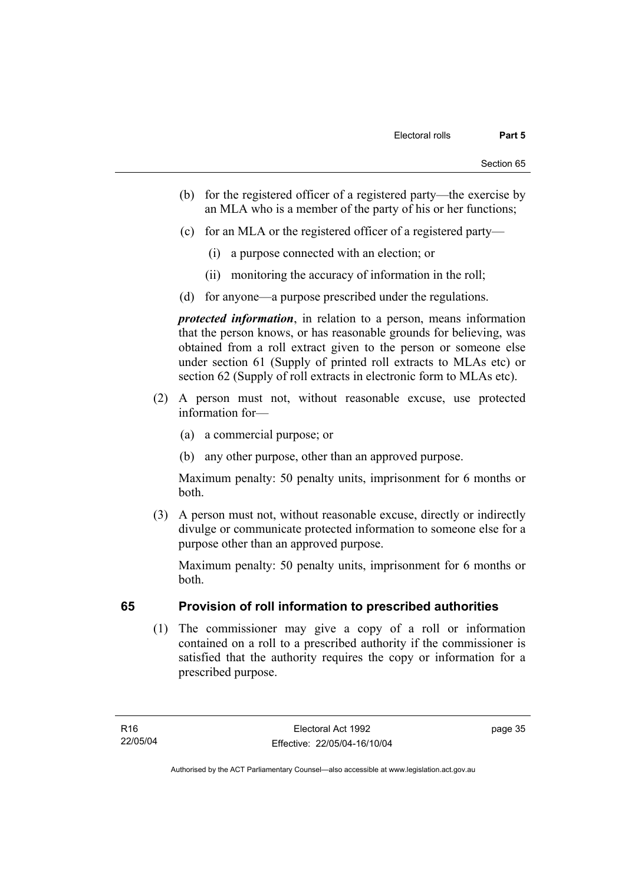- (b) for the registered officer of a registered party—the exercise by an MLA who is a member of the party of his or her functions;
- (c) for an MLA or the registered officer of a registered party—
	- (i) a purpose connected with an election; or
	- (ii) monitoring the accuracy of information in the roll;
- (d) for anyone—a purpose prescribed under the regulations.

*protected information*, in relation to a person, means information that the person knows, or has reasonable grounds for believing, was obtained from a roll extract given to the person or someone else under section 61 (Supply of printed roll extracts to MLAs etc) or section 62 (Supply of roll extracts in electronic form to MLAs etc).

- (2) A person must not, without reasonable excuse, use protected information for—
	- (a) a commercial purpose; or
	- (b) any other purpose, other than an approved purpose.

Maximum penalty: 50 penalty units, imprisonment for 6 months or both.

 (3) A person must not, without reasonable excuse, directly or indirectly divulge or communicate protected information to someone else for a purpose other than an approved purpose.

Maximum penalty: 50 penalty units, imprisonment for 6 months or both.

# **65 Provision of roll information to prescribed authorities**

 (1) The commissioner may give a copy of a roll or information contained on a roll to a prescribed authority if the commissioner is satisfied that the authority requires the copy or information for a prescribed purpose.

page 35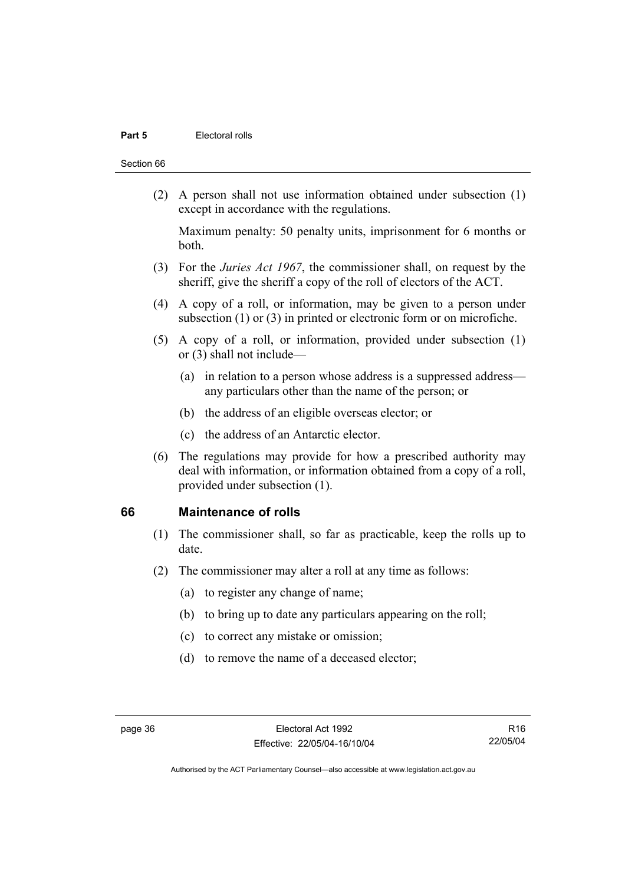#### **Part 5 Electoral rolls**

#### Section 66

 (2) A person shall not use information obtained under subsection (1) except in accordance with the regulations.

Maximum penalty: 50 penalty units, imprisonment for 6 months or both.

- (3) For the *Juries Act 1967*, the commissioner shall, on request by the sheriff, give the sheriff a copy of the roll of electors of the ACT.
- (4) A copy of a roll, or information, may be given to a person under subsection (1) or (3) in printed or electronic form or on microfiche.
- (5) A copy of a roll, or information, provided under subsection (1) or (3) shall not include—
	- (a) in relation to a person whose address is a suppressed address any particulars other than the name of the person; or
	- (b) the address of an eligible overseas elector; or
	- (c) the address of an Antarctic elector.
- (6) The regulations may provide for how a prescribed authority may deal with information, or information obtained from a copy of a roll, provided under subsection (1).

### **66 Maintenance of rolls**

- (1) The commissioner shall, so far as practicable, keep the rolls up to date.
- (2) The commissioner may alter a roll at any time as follows:
	- (a) to register any change of name;
	- (b) to bring up to date any particulars appearing on the roll;
	- (c) to correct any mistake or omission;
	- (d) to remove the name of a deceased elector;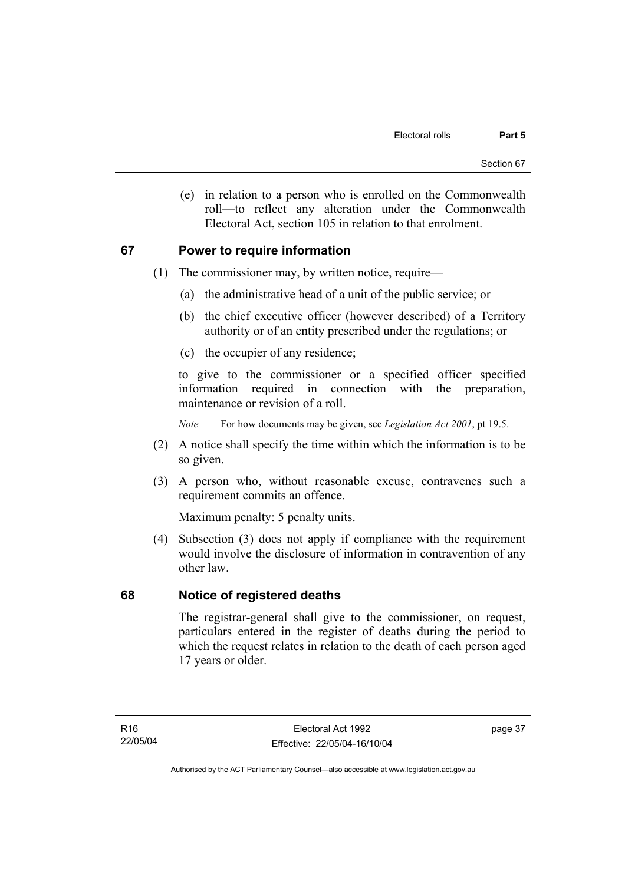(e) in relation to a person who is enrolled on the Commonwealth roll—to reflect any alteration under the Commonwealth Electoral Act, section 105 in relation to that enrolment.

# **67 Power to require information**

- (1) The commissioner may, by written notice, require—
	- (a) the administrative head of a unit of the public service; or
	- (b) the chief executive officer (however described) of a Territory authority or of an entity prescribed under the regulations; or
	- (c) the occupier of any residence;

to give to the commissioner or a specified officer specified information required in connection with the preparation, maintenance or revision of a roll.

*Note* For how documents may be given, see *Legislation Act 2001*, pt 19.5.

- (2) A notice shall specify the time within which the information is to be so given.
- (3) A person who, without reasonable excuse, contravenes such a requirement commits an offence.

Maximum penalty: 5 penalty units.

 (4) Subsection (3) does not apply if compliance with the requirement would involve the disclosure of information in contravention of any other law.

# **68 Notice of registered deaths**

The registrar-general shall give to the commissioner, on request, particulars entered in the register of deaths during the period to which the request relates in relation to the death of each person aged 17 years or older.

page 37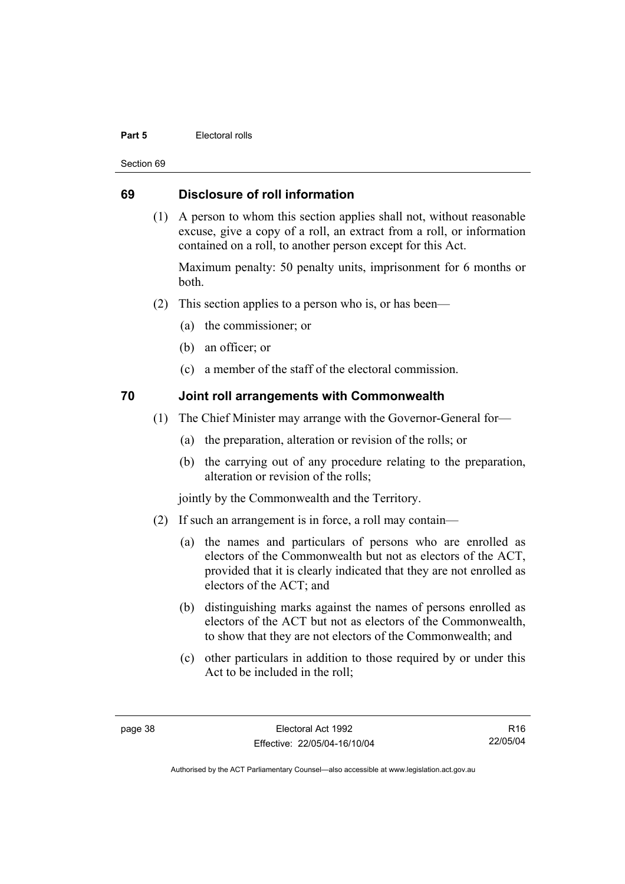#### **Part 5 Electoral rolls**

Section 69

# **69 Disclosure of roll information**

 (1) A person to whom this section applies shall not, without reasonable excuse, give a copy of a roll, an extract from a roll, or information contained on a roll, to another person except for this Act.

Maximum penalty: 50 penalty units, imprisonment for 6 months or both.

- (2) This section applies to a person who is, or has been—
	- (a) the commissioner; or
	- (b) an officer; or
	- (c) a member of the staff of the electoral commission.

# **70 Joint roll arrangements with Commonwealth**

- (1) The Chief Minister may arrange with the Governor-General for—
	- (a) the preparation, alteration or revision of the rolls; or
	- (b) the carrying out of any procedure relating to the preparation, alteration or revision of the rolls;

jointly by the Commonwealth and the Territory.

- (2) If such an arrangement is in force, a roll may contain—
	- (a) the names and particulars of persons who are enrolled as electors of the Commonwealth but not as electors of the ACT, provided that it is clearly indicated that they are not enrolled as electors of the ACT; and
	- (b) distinguishing marks against the names of persons enrolled as electors of the ACT but not as electors of the Commonwealth, to show that they are not electors of the Commonwealth; and
	- (c) other particulars in addition to those required by or under this Act to be included in the roll;

R16 22/05/04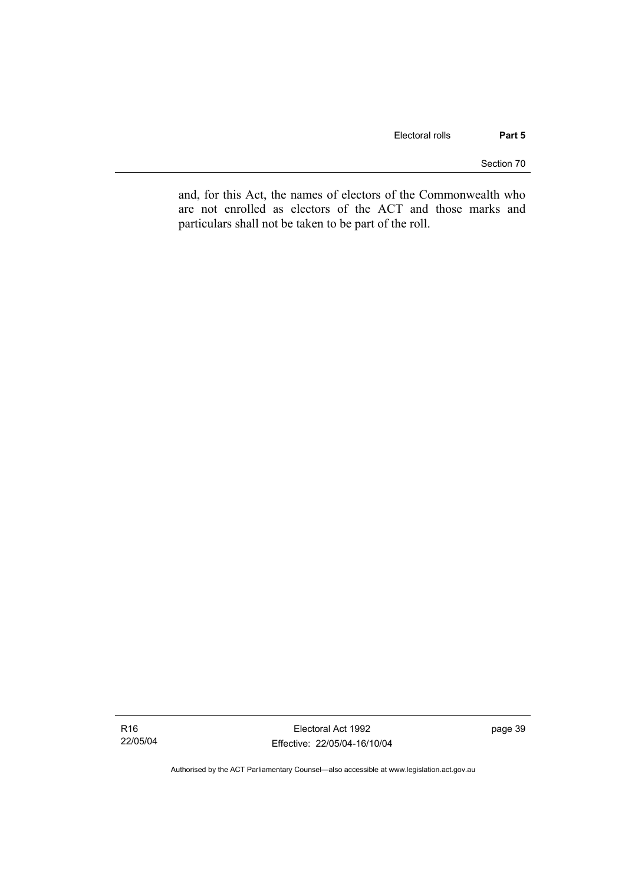Section 70

and, for this Act, the names of electors of the Commonwealth who are not enrolled as electors of the ACT and those marks and particulars shall not be taken to be part of the roll.

Electoral Act 1992 Effective: 22/05/04-16/10/04 page 39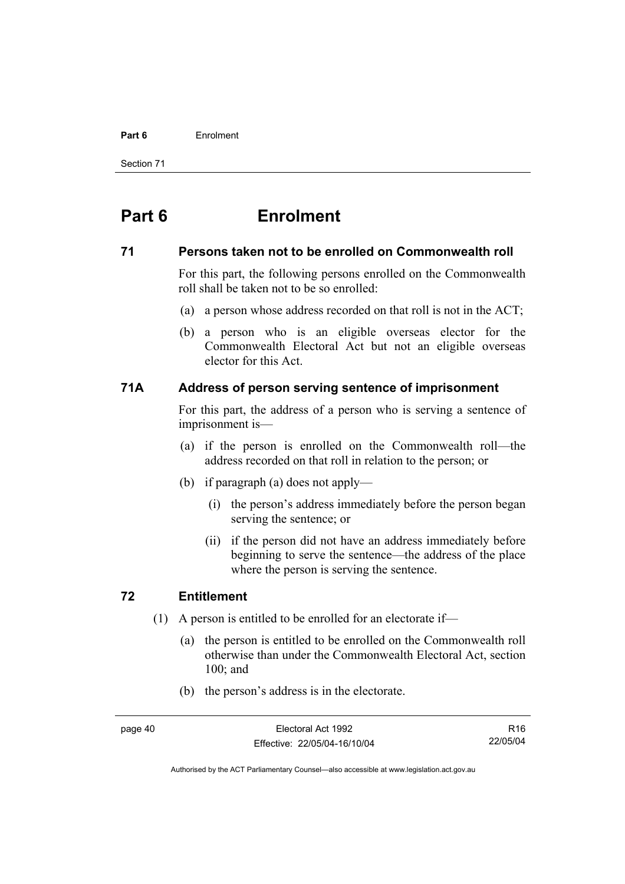#### **Part 6** Enrolment

Section 71

# **Part 6 Enrolment**

### **71 Persons taken not to be enrolled on Commonwealth roll**

For this part, the following persons enrolled on the Commonwealth roll shall be taken not to be so enrolled:

- (a) a person whose address recorded on that roll is not in the ACT;
- (b) a person who is an eligible overseas elector for the Commonwealth Electoral Act but not an eligible overseas elector for this Act.

# **71A Address of person serving sentence of imprisonment**

For this part, the address of a person who is serving a sentence of imprisonment is—

- (a) if the person is enrolled on the Commonwealth roll—the address recorded on that roll in relation to the person; or
- (b) if paragraph (a) does not apply—
	- (i) the person's address immediately before the person began serving the sentence; or
	- (ii) if the person did not have an address immediately before beginning to serve the sentence—the address of the place where the person is serving the sentence.

# **72 Entitlement**

- (1) A person is entitled to be enrolled for an electorate if—
	- (a) the person is entitled to be enrolled on the Commonwealth roll otherwise than under the Commonwealth Electoral Act, section 100; and
	- (b) the person's address is in the electorate.

R16 22/05/04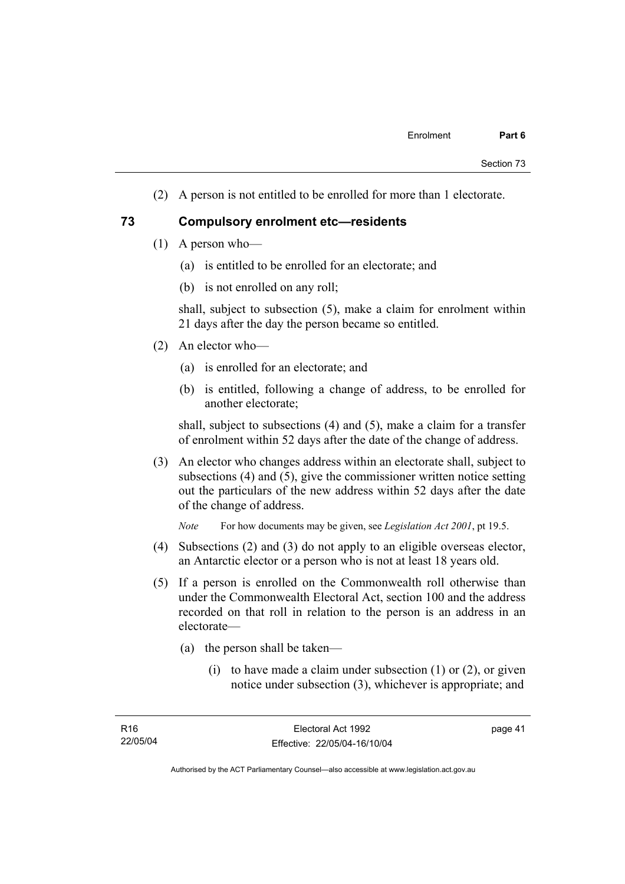(2) A person is not entitled to be enrolled for more than 1 electorate.

### **73 Compulsory enrolment etc—residents**

- (1) A person who—
	- (a) is entitled to be enrolled for an electorate; and
	- (b) is not enrolled on any roll;

shall, subject to subsection (5), make a claim for enrolment within 21 days after the day the person became so entitled.

- (2) An elector who—
	- (a) is enrolled for an electorate; and
	- (b) is entitled, following a change of address, to be enrolled for another electorate;

shall, subject to subsections (4) and (5), make a claim for a transfer of enrolment within 52 days after the date of the change of address.

 (3) An elector who changes address within an electorate shall, subject to subsections (4) and (5), give the commissioner written notice setting out the particulars of the new address within 52 days after the date of the change of address.

*Note* For how documents may be given, see *Legislation Act 2001*, pt 19.5.

- (4) Subsections (2) and (3) do not apply to an eligible overseas elector, an Antarctic elector or a person who is not at least 18 years old.
- (5) If a person is enrolled on the Commonwealth roll otherwise than under the Commonwealth Electoral Act, section 100 and the address recorded on that roll in relation to the person is an address in an electorate—
	- (a) the person shall be taken—
		- (i) to have made a claim under subsection  $(1)$  or  $(2)$ , or given notice under subsection (3), whichever is appropriate; and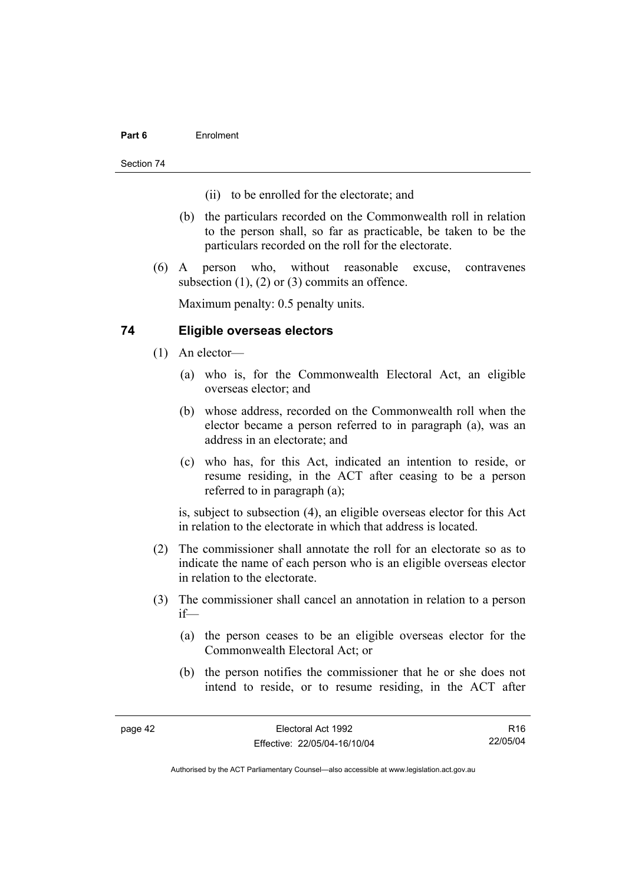### **Part 6** Enrolment

Section 74

- (ii) to be enrolled for the electorate; and
- (b) the particulars recorded on the Commonwealth roll in relation to the person shall, so far as practicable, be taken to be the particulars recorded on the roll for the electorate.
- (6) A person who, without reasonable excuse, contravenes subsection (1), (2) or (3) commits an offence.

Maximum penalty: 0.5 penalty units.

# **74 Eligible overseas electors**

- (1) An elector—
	- (a) who is, for the Commonwealth Electoral Act, an eligible overseas elector; and
	- (b) whose address, recorded on the Commonwealth roll when the elector became a person referred to in paragraph (a), was an address in an electorate; and
	- (c) who has, for this Act, indicated an intention to reside, or resume residing, in the ACT after ceasing to be a person referred to in paragraph (a);

is, subject to subsection (4), an eligible overseas elector for this Act in relation to the electorate in which that address is located.

- (2) The commissioner shall annotate the roll for an electorate so as to indicate the name of each person who is an eligible overseas elector in relation to the electorate.
- (3) The commissioner shall cancel an annotation in relation to a person if—
	- (a) the person ceases to be an eligible overseas elector for the Commonwealth Electoral Act; or
	- (b) the person notifies the commissioner that he or she does not intend to reside, or to resume residing, in the ACT after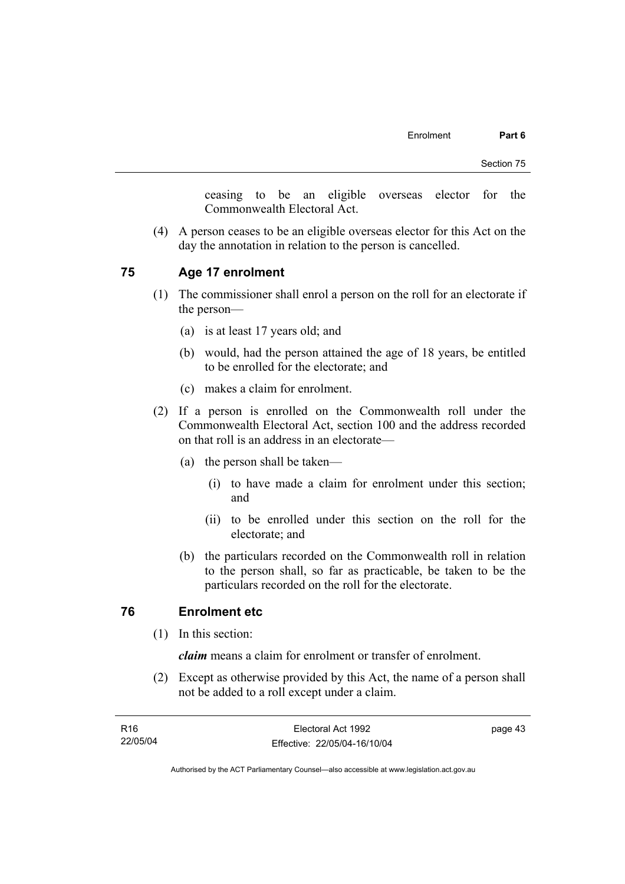ceasing to be an eligible overseas elector for the Commonwealth Electoral Act.

 (4) A person ceases to be an eligible overseas elector for this Act on the day the annotation in relation to the person is cancelled.

### **75 Age 17 enrolment**

- (1) The commissioner shall enrol a person on the roll for an electorate if the person—
	- (a) is at least 17 years old; and
	- (b) would, had the person attained the age of 18 years, be entitled to be enrolled for the electorate; and
	- (c) makes a claim for enrolment.
- (2) If a person is enrolled on the Commonwealth roll under the Commonwealth Electoral Act, section 100 and the address recorded on that roll is an address in an electorate—
	- (a) the person shall be taken—
		- (i) to have made a claim for enrolment under this section; and
		- (ii) to be enrolled under this section on the roll for the electorate; and
	- (b) the particulars recorded on the Commonwealth roll in relation to the person shall, so far as practicable, be taken to be the particulars recorded on the roll for the electorate.

# **76 Enrolment etc**

(1) In this section:

*claim* means a claim for enrolment or transfer of enrolment.

 (2) Except as otherwise provided by this Act, the name of a person shall not be added to a roll except under a claim.

| R16      | Electoral Act 1992           | page 43 |
|----------|------------------------------|---------|
| 22/05/04 | Effective: 22/05/04-16/10/04 |         |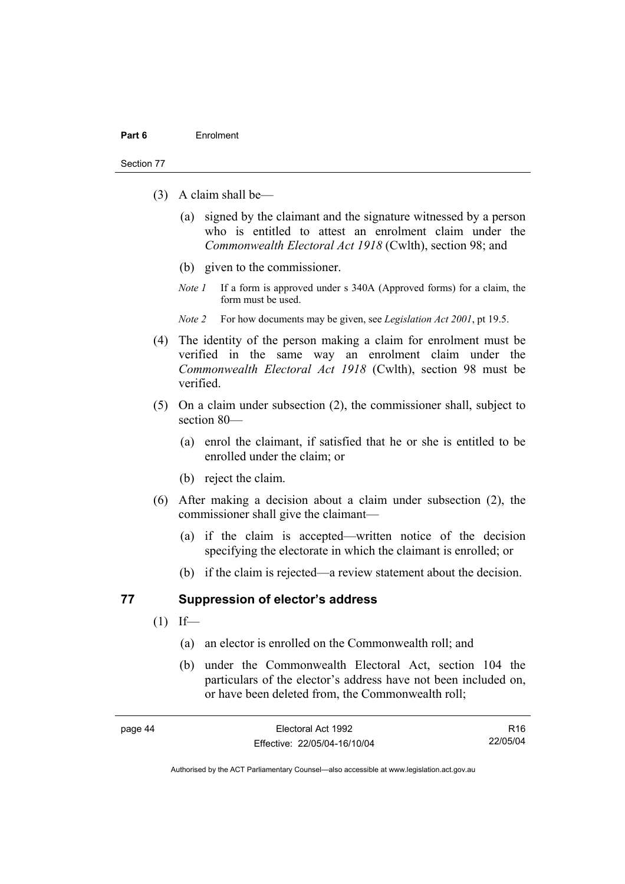#### Section 77

- (3) A claim shall be—
	- (a) signed by the claimant and the signature witnessed by a person who is entitled to attest an enrolment claim under the *Commonwealth Electoral Act 1918* (Cwlth), section 98; and
	- (b) given to the commissioner.
	- *Note 1* If a form is approved under s 340A (Approved forms) for a claim, the form must be used.
	- *Note 2* For how documents may be given, see *Legislation Act 2001*, pt 19.5.
- (4) The identity of the person making a claim for enrolment must be verified in the same way an enrolment claim under the *Commonwealth Electoral Act 1918* (Cwlth), section 98 must be verified.
- (5) On a claim under subsection (2), the commissioner shall, subject to section 80—
	- (a) enrol the claimant, if satisfied that he or she is entitled to be enrolled under the claim; or
	- (b) reject the claim.
- (6) After making a decision about a claim under subsection (2), the commissioner shall give the claimant—
	- (a) if the claim is accepted—written notice of the decision specifying the electorate in which the claimant is enrolled; or
	- (b) if the claim is rejected—a review statement about the decision.

### **77 Suppression of elector's address**

- $(1)$  If—
	- (a) an elector is enrolled on the Commonwealth roll; and
	- (b) under the Commonwealth Electoral Act, section 104 the particulars of the elector's address have not been included on, or have been deleted from, the Commonwealth roll;

R16 22/05/04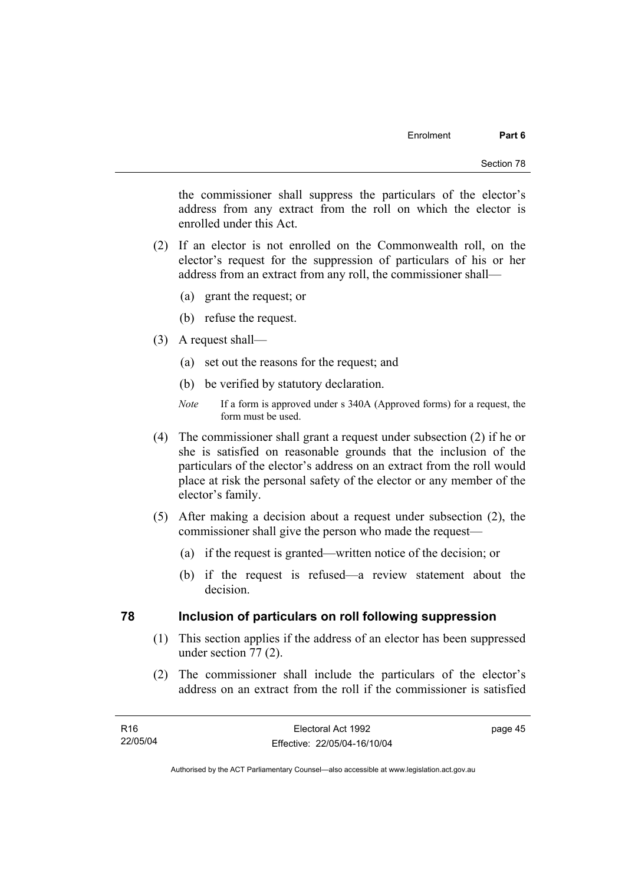the commissioner shall suppress the particulars of the elector's address from any extract from the roll on which the elector is enrolled under this Act.

- (2) If an elector is not enrolled on the Commonwealth roll, on the elector's request for the suppression of particulars of his or her address from an extract from any roll, the commissioner shall—
	- (a) grant the request; or
	- (b) refuse the request.
- (3) A request shall—
	- (a) set out the reasons for the request; and
	- (b) be verified by statutory declaration.
	- *Note* If a form is approved under s 340A (Approved forms) for a request, the form must be used.
- (4) The commissioner shall grant a request under subsection (2) if he or she is satisfied on reasonable grounds that the inclusion of the particulars of the elector's address on an extract from the roll would place at risk the personal safety of the elector or any member of the elector's family.
- (5) After making a decision about a request under subsection (2), the commissioner shall give the person who made the request—
	- (a) if the request is granted—written notice of the decision; or
	- (b) if the request is refused—a review statement about the decision.

### **78 Inclusion of particulars on roll following suppression**

- (1) This section applies if the address of an elector has been suppressed under section 77 (2).
- (2) The commissioner shall include the particulars of the elector's address on an extract from the roll if the commissioner is satisfied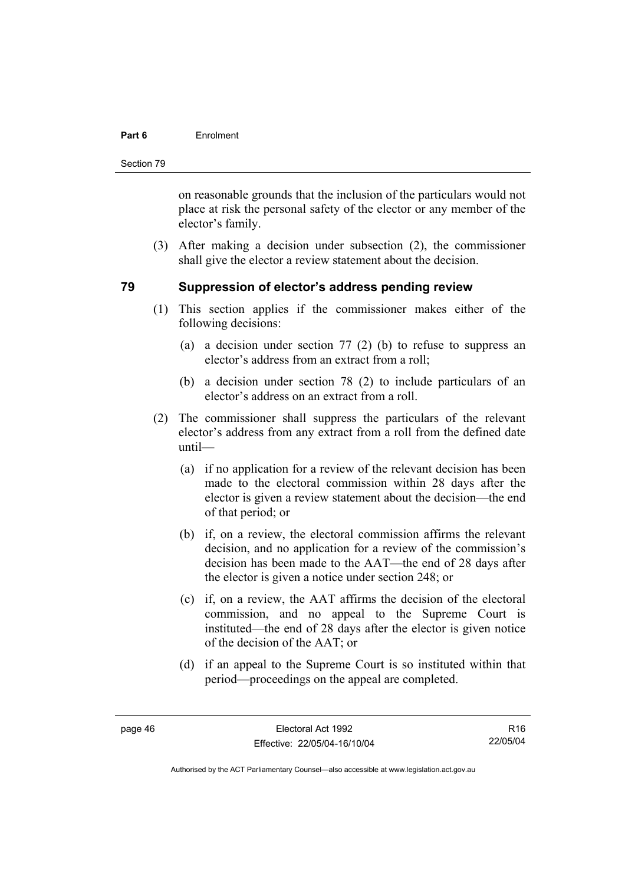### **Part 6** Enrolment

Section 79

on reasonable grounds that the inclusion of the particulars would not place at risk the personal safety of the elector or any member of the elector's family.

 (3) After making a decision under subsection (2), the commissioner shall give the elector a review statement about the decision.

# **79 Suppression of elector's address pending review**

- (1) This section applies if the commissioner makes either of the following decisions:
	- (a) a decision under section 77 (2) (b) to refuse to suppress an elector's address from an extract from a roll;
	- (b) a decision under section 78 (2) to include particulars of an elector's address on an extract from a roll.
- (2) The commissioner shall suppress the particulars of the relevant elector's address from any extract from a roll from the defined date until—
	- (a) if no application for a review of the relevant decision has been made to the electoral commission within 28 days after the elector is given a review statement about the decision—the end of that period; or
	- (b) if, on a review, the electoral commission affirms the relevant decision, and no application for a review of the commission's decision has been made to the AAT—the end of 28 days after the elector is given a notice under section 248; or
	- (c) if, on a review, the AAT affirms the decision of the electoral commission, and no appeal to the Supreme Court is instituted—the end of 28 days after the elector is given notice of the decision of the AAT; or
	- (d) if an appeal to the Supreme Court is so instituted within that period—proceedings on the appeal are completed.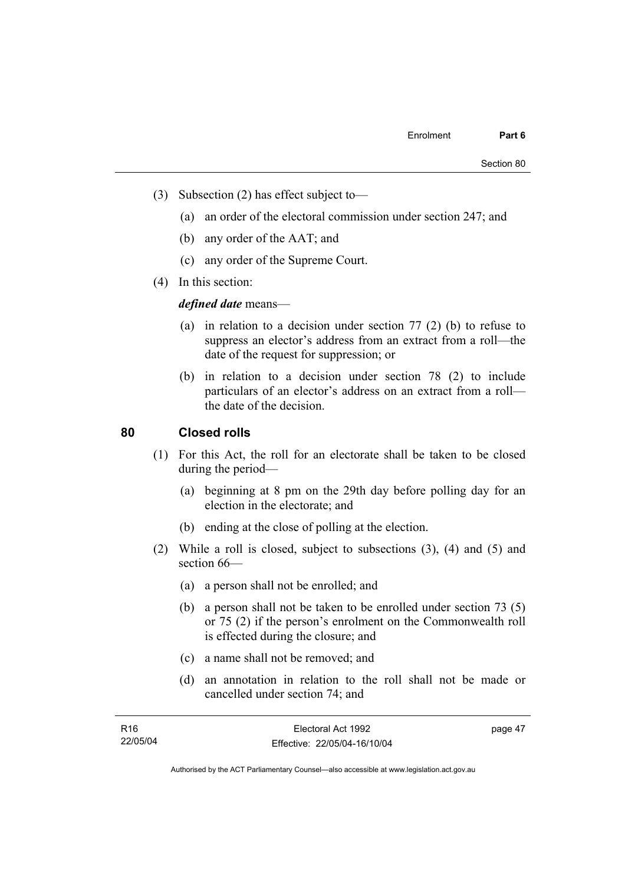- (3) Subsection (2) has effect subject to—
	- (a) an order of the electoral commission under section 247; and
	- (b) any order of the AAT; and
	- (c) any order of the Supreme Court.
- (4) In this section:

*defined date* means—

- (a) in relation to a decision under section 77 (2) (b) to refuse to suppress an elector's address from an extract from a roll—the date of the request for suppression; or
- (b) in relation to a decision under section 78 (2) to include particulars of an elector's address on an extract from a roll the date of the decision.

# **80 Closed rolls**

- (1) For this Act, the roll for an electorate shall be taken to be closed during the period—
	- (a) beginning at 8 pm on the 29th day before polling day for an election in the electorate; and
	- (b) ending at the close of polling at the election.
- (2) While a roll is closed, subject to subsections (3), (4) and (5) and section 66—
	- (a) a person shall not be enrolled; and
	- (b) a person shall not be taken to be enrolled under section 73 (5) or 75 (2) if the person's enrolment on the Commonwealth roll is effected during the closure; and
	- (c) a name shall not be removed; and
	- (d) an annotation in relation to the roll shall not be made or cancelled under section 74; and

| R <sub>16</sub> | Electoral Act 1992           | page 47 |
|-----------------|------------------------------|---------|
| 22/05/04        | Effective: 22/05/04-16/10/04 |         |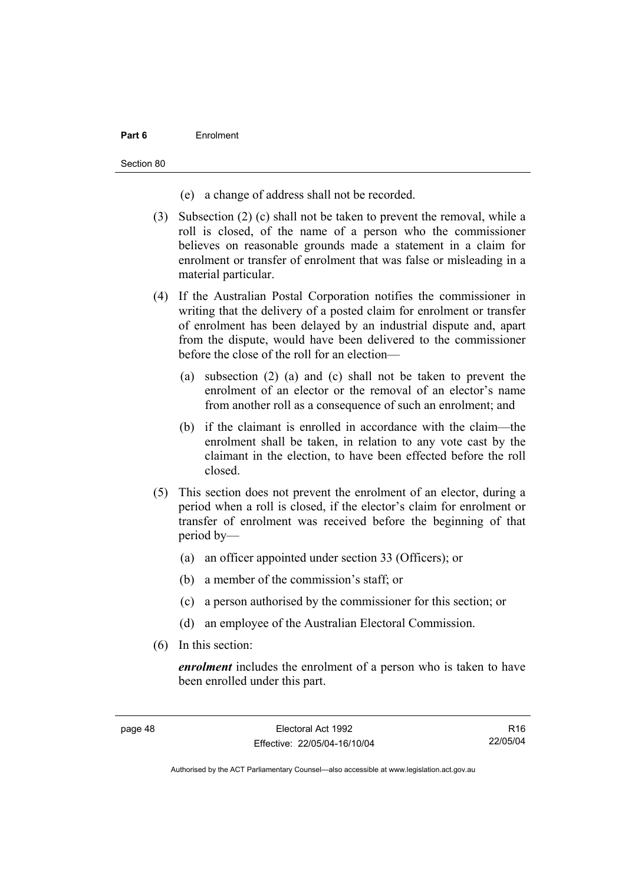### **Part 6** Enrolment

Section 80

- (e) a change of address shall not be recorded.
- (3) Subsection (2) (c) shall not be taken to prevent the removal, while a roll is closed, of the name of a person who the commissioner believes on reasonable grounds made a statement in a claim for enrolment or transfer of enrolment that was false or misleading in a material particular.
- (4) If the Australian Postal Corporation notifies the commissioner in writing that the delivery of a posted claim for enrolment or transfer of enrolment has been delayed by an industrial dispute and, apart from the dispute, would have been delivered to the commissioner before the close of the roll for an election—
	- (a) subsection (2) (a) and (c) shall not be taken to prevent the enrolment of an elector or the removal of an elector's name from another roll as a consequence of such an enrolment; and
	- (b) if the claimant is enrolled in accordance with the claim—the enrolment shall be taken, in relation to any vote cast by the claimant in the election, to have been effected before the roll closed.
- (5) This section does not prevent the enrolment of an elector, during a period when a roll is closed, if the elector's claim for enrolment or transfer of enrolment was received before the beginning of that period by—
	- (a) an officer appointed under section 33 (Officers); or
	- (b) a member of the commission's staff; or
	- (c) a person authorised by the commissioner for this section; or
	- (d) an employee of the Australian Electoral Commission.
- (6) In this section:

*enrolment* includes the enrolment of a person who is taken to have been enrolled under this part.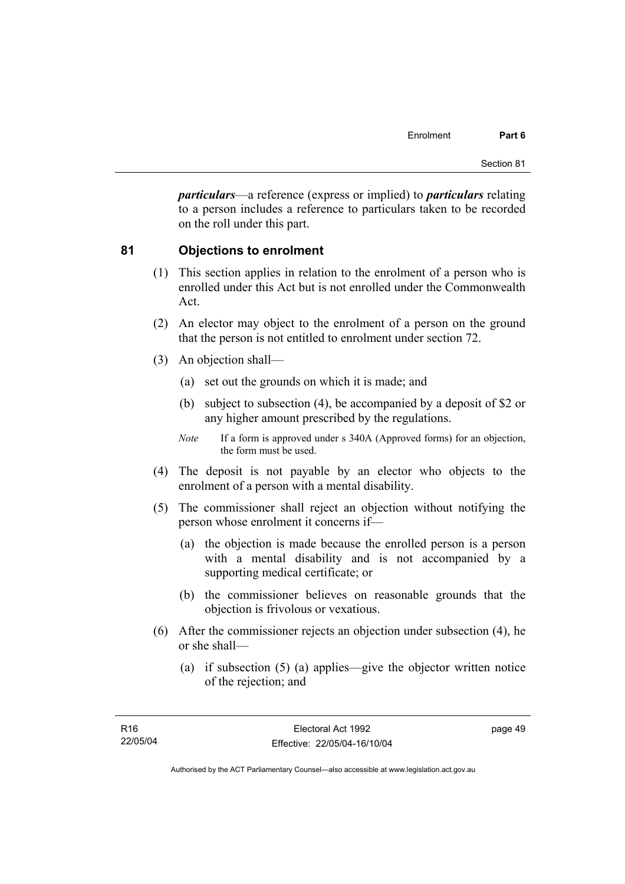*particulars*—a reference (express or implied) to *particulars* relating to a person includes a reference to particulars taken to be recorded on the roll under this part.

# **81 Objections to enrolment**

- (1) This section applies in relation to the enrolment of a person who is enrolled under this Act but is not enrolled under the Commonwealth Act.
- (2) An elector may object to the enrolment of a person on the ground that the person is not entitled to enrolment under section 72.
- (3) An objection shall—
	- (a) set out the grounds on which it is made; and
	- (b) subject to subsection (4), be accompanied by a deposit of \$2 or any higher amount prescribed by the regulations.
	- *Note* If a form is approved under s 340A (Approved forms) for an objection, the form must be used.
- (4) The deposit is not payable by an elector who objects to the enrolment of a person with a mental disability.
- (5) The commissioner shall reject an objection without notifying the person whose enrolment it concerns if—
	- (a) the objection is made because the enrolled person is a person with a mental disability and is not accompanied by a supporting medical certificate; or
	- (b) the commissioner believes on reasonable grounds that the objection is frivolous or vexatious.
- (6) After the commissioner rejects an objection under subsection (4), he or she shall—
	- (a) if subsection (5) (a) applies—give the objector written notice of the rejection; and

page 49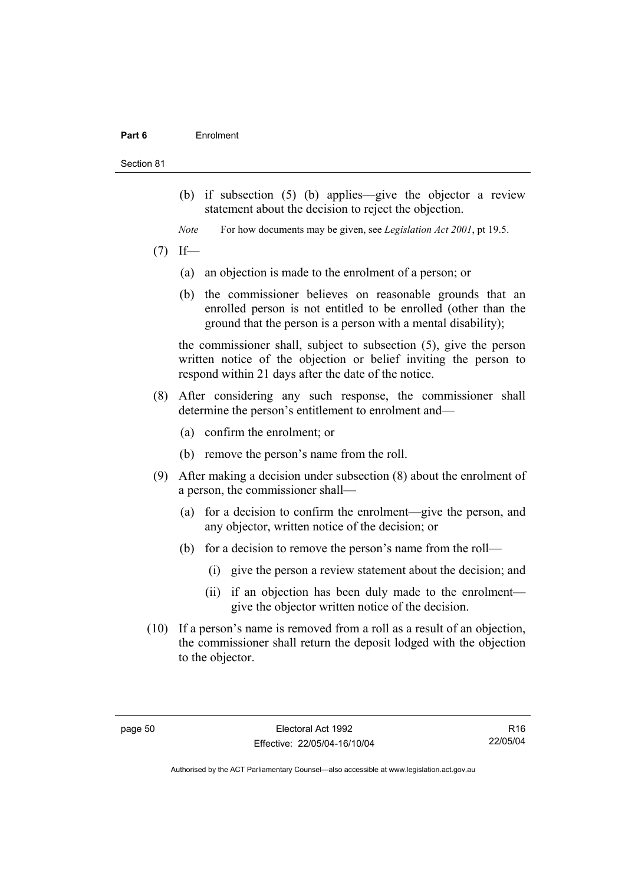#### **Part 6** Enrolment

#### Section 81

- (b) if subsection (5) (b) applies—give the objector a review statement about the decision to reject the objection.
- *Note* For how documents may be given, see *Legislation Act 2001*, pt 19.5.
- $(7)$  If—
	- (a) an objection is made to the enrolment of a person; or
	- (b) the commissioner believes on reasonable grounds that an enrolled person is not entitled to be enrolled (other than the ground that the person is a person with a mental disability);

the commissioner shall, subject to subsection (5), give the person written notice of the objection or belief inviting the person to respond within 21 days after the date of the notice.

- (8) After considering any such response, the commissioner shall determine the person's entitlement to enrolment and—
	- (a) confirm the enrolment; or
	- (b) remove the person's name from the roll.
- (9) After making a decision under subsection (8) about the enrolment of a person, the commissioner shall—
	- (a) for a decision to confirm the enrolment—give the person, and any objector, written notice of the decision; or
	- (b) for a decision to remove the person's name from the roll—
		- (i) give the person a review statement about the decision; and
		- (ii) if an objection has been duly made to the enrolment give the objector written notice of the decision.
- (10) If a person's name is removed from a roll as a result of an objection, the commissioner shall return the deposit lodged with the objection to the objector.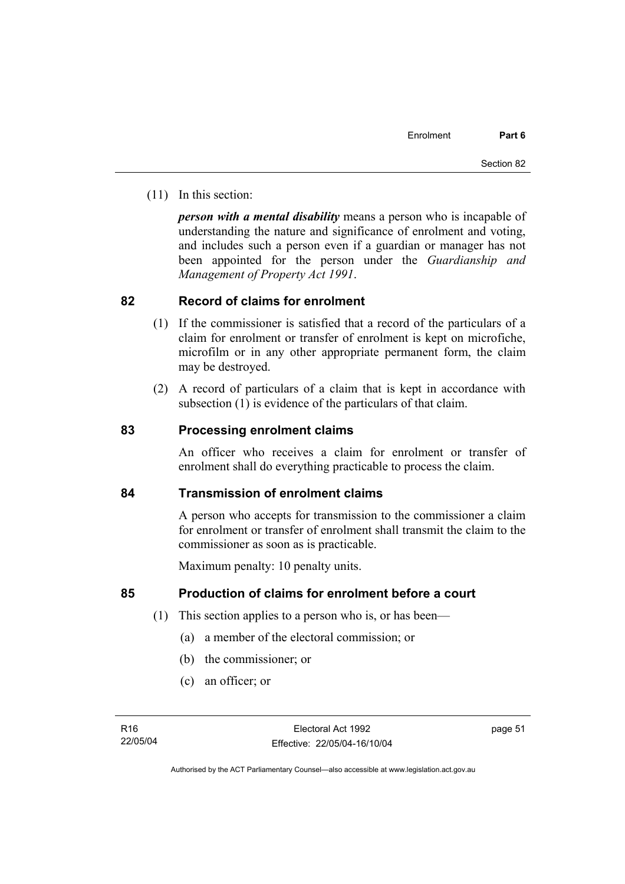(11) In this section:

*person with a mental disability* means a person who is incapable of understanding the nature and significance of enrolment and voting, and includes such a person even if a guardian or manager has not been appointed for the person under the *Guardianship and Management of Property Act 1991*.

# **82 Record of claims for enrolment**

- (1) If the commissioner is satisfied that a record of the particulars of a claim for enrolment or transfer of enrolment is kept on microfiche, microfilm or in any other appropriate permanent form, the claim may be destroyed.
- (2) A record of particulars of a claim that is kept in accordance with subsection (1) is evidence of the particulars of that claim.

# **83 Processing enrolment claims**

An officer who receives a claim for enrolment or transfer of enrolment shall do everything practicable to process the claim.

# **84 Transmission of enrolment claims**

A person who accepts for transmission to the commissioner a claim for enrolment or transfer of enrolment shall transmit the claim to the commissioner as soon as is practicable.

Maximum penalty: 10 penalty units.

# **85 Production of claims for enrolment before a court**

- (1) This section applies to a person who is, or has been—
	- (a) a member of the electoral commission; or
	- (b) the commissioner; or
	- (c) an officer; or

page 51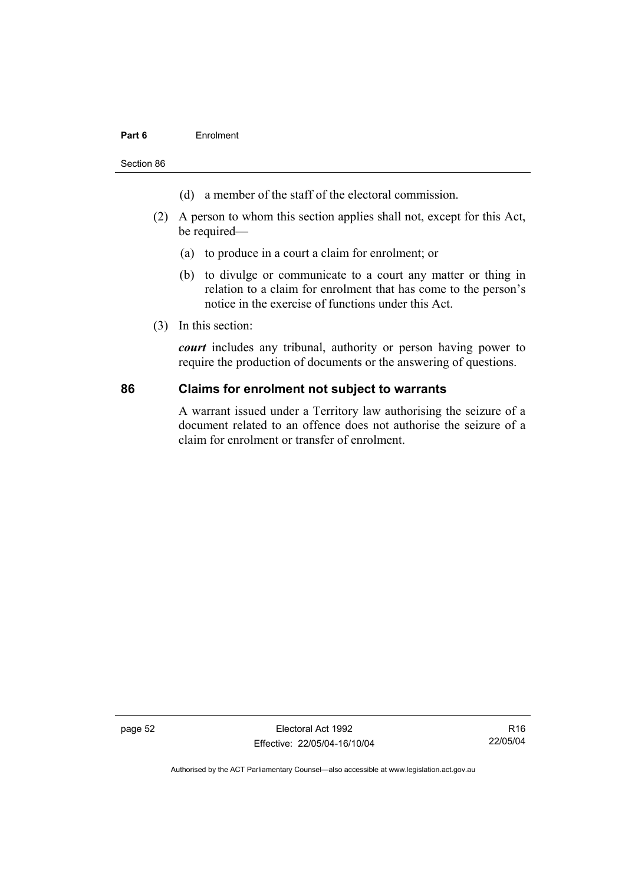### **Part 6** Enrolment

Section 86

- (d) a member of the staff of the electoral commission.
- (2) A person to whom this section applies shall not, except for this Act, be required—
	- (a) to produce in a court a claim for enrolment; or
	- (b) to divulge or communicate to a court any matter or thing in relation to a claim for enrolment that has come to the person's notice in the exercise of functions under this Act.
- (3) In this section:

*court* includes any tribunal, authority or person having power to require the production of documents or the answering of questions.

### **86 Claims for enrolment not subject to warrants**

A warrant issued under a Territory law authorising the seizure of a document related to an offence does not authorise the seizure of a claim for enrolment or transfer of enrolment.

page 52 Electoral Act 1992 Effective: 22/05/04-16/10/04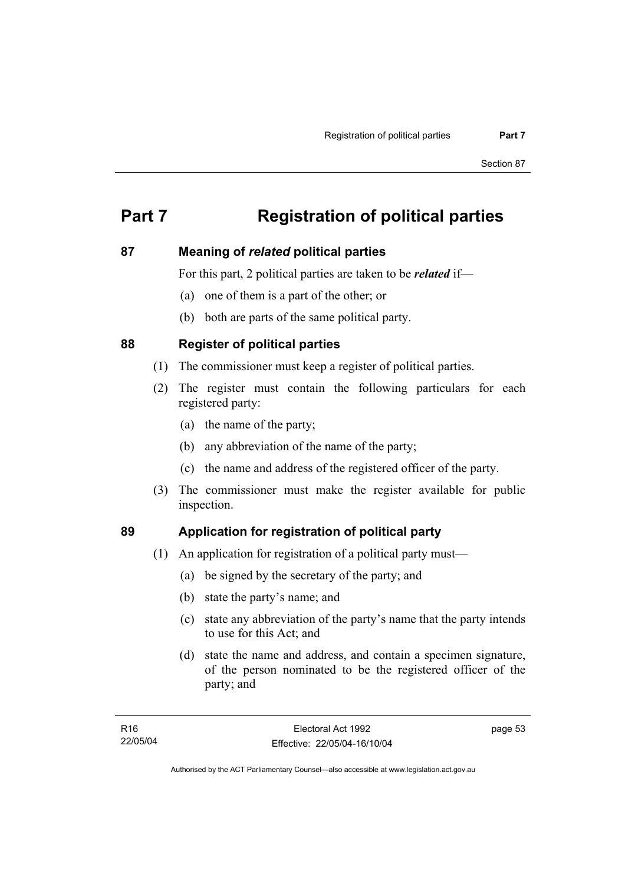# **Part 7 Registration of political parties**

# **87 Meaning of** *related* **political parties**

For this part, 2 political parties are taken to be *related* if—

- (a) one of them is a part of the other; or
- (b) both are parts of the same political party.

# **88 Register of political parties**

- (1) The commissioner must keep a register of political parties.
- (2) The register must contain the following particulars for each registered party:
	- (a) the name of the party;
	- (b) any abbreviation of the name of the party;
	- (c) the name and address of the registered officer of the party.
- (3) The commissioner must make the register available for public inspection.

# **89 Application for registration of political party**

- (1) An application for registration of a political party must—
	- (a) be signed by the secretary of the party; and
	- (b) state the party's name; and
	- (c) state any abbreviation of the party's name that the party intends to use for this Act; and
	- (d) state the name and address, and contain a specimen signature, of the person nominated to be the registered officer of the party; and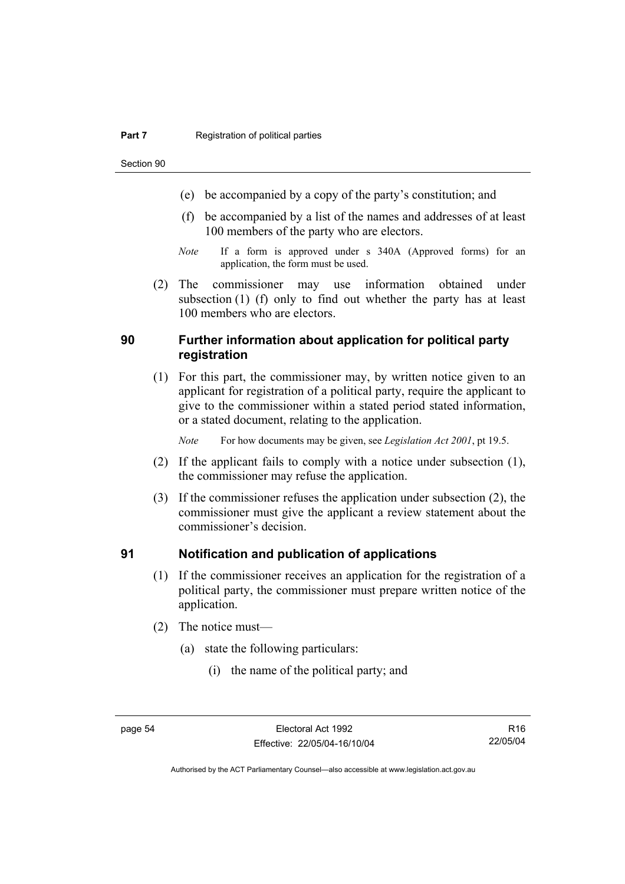Section 90

- (e) be accompanied by a copy of the party's constitution; and
- (f) be accompanied by a list of the names and addresses of at least 100 members of the party who are electors.
- *Note* If a form is approved under s 340A (Approved forms) for an application, the form must be used.
- (2) The commissioner may use information obtained under subsection (1) (f) only to find out whether the party has at least 100 members who are electors.

# **90 Further information about application for political party registration**

 (1) For this part, the commissioner may, by written notice given to an applicant for registration of a political party, require the applicant to give to the commissioner within a stated period stated information, or a stated document, relating to the application.

*Note* For how documents may be given, see *Legislation Act 2001*, pt 19.5.

- (2) If the applicant fails to comply with a notice under subsection (1), the commissioner may refuse the application.
- (3) If the commissioner refuses the application under subsection (2), the commissioner must give the applicant a review statement about the commissioner's decision.

# **91 Notification and publication of applications**

- (1) If the commissioner receives an application for the registration of a political party, the commissioner must prepare written notice of the application.
- (2) The notice must—
	- (a) state the following particulars:
		- (i) the name of the political party; and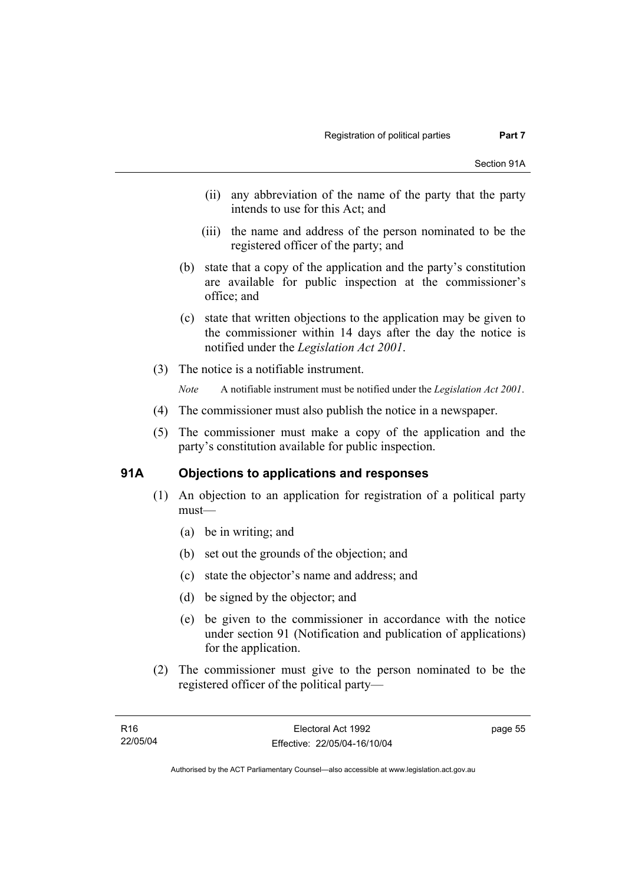- (ii) any abbreviation of the name of the party that the party intends to use for this Act; and
- (iii) the name and address of the person nominated to be the registered officer of the party; and
- (b) state that a copy of the application and the party's constitution are available for public inspection at the commissioner's office; and
- (c) state that written objections to the application may be given to the commissioner within 14 days after the day the notice is notified under the *Legislation Act 2001*.
- (3) The notice is a notifiable instrument.

*Note* A notifiable instrument must be notified under the *Legislation Act 2001*.

- (4) The commissioner must also publish the notice in a newspaper.
- (5) The commissioner must make a copy of the application and the party's constitution available for public inspection.

# **91A Objections to applications and responses**

- (1) An objection to an application for registration of a political party must—
	- (a) be in writing; and
	- (b) set out the grounds of the objection; and
	- (c) state the objector's name and address; and
	- (d) be signed by the objector; and
	- (e) be given to the commissioner in accordance with the notice under section 91 (Notification and publication of applications) for the application.
- (2) The commissioner must give to the person nominated to be the registered officer of the political party—

page 55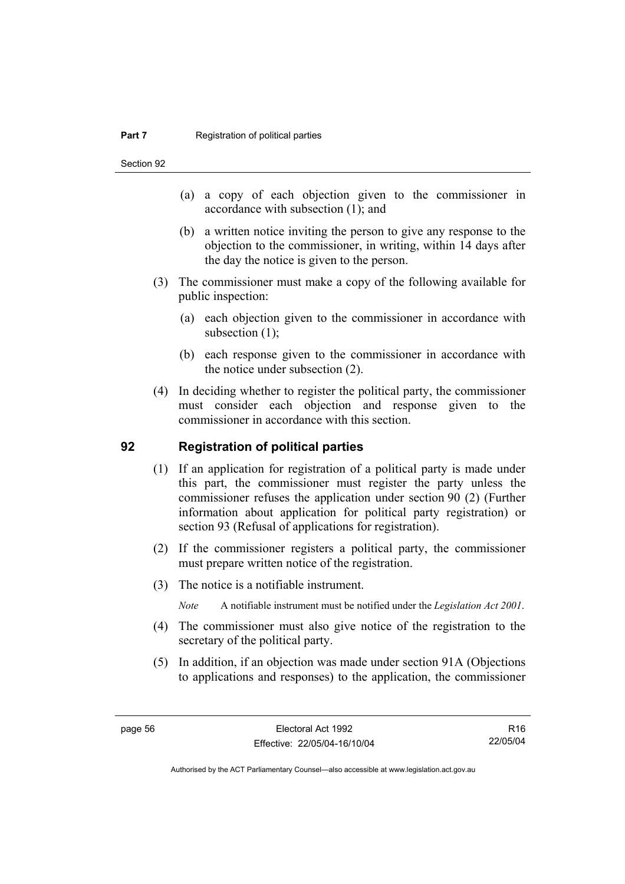Section 92

- (a) a copy of each objection given to the commissioner in accordance with subsection (1); and
- (b) a written notice inviting the person to give any response to the objection to the commissioner, in writing, within 14 days after the day the notice is given to the person.
- (3) The commissioner must make a copy of the following available for public inspection:
	- (a) each objection given to the commissioner in accordance with subsection  $(1)$ ;
	- (b) each response given to the commissioner in accordance with the notice under subsection (2).
- (4) In deciding whether to register the political party, the commissioner must consider each objection and response given to the commissioner in accordance with this section.

### **92 Registration of political parties**

- (1) If an application for registration of a political party is made under this part, the commissioner must register the party unless the commissioner refuses the application under section 90 (2) (Further information about application for political party registration) or section 93 (Refusal of applications for registration).
- (2) If the commissioner registers a political party, the commissioner must prepare written notice of the registration.
- (3) The notice is a notifiable instrument.
	- *Note* A notifiable instrument must be notified under the *Legislation Act 2001*.
- (4) The commissioner must also give notice of the registration to the secretary of the political party.
- (5) In addition, if an objection was made under section 91A (Objections to applications and responses) to the application, the commissioner

R16 22/05/04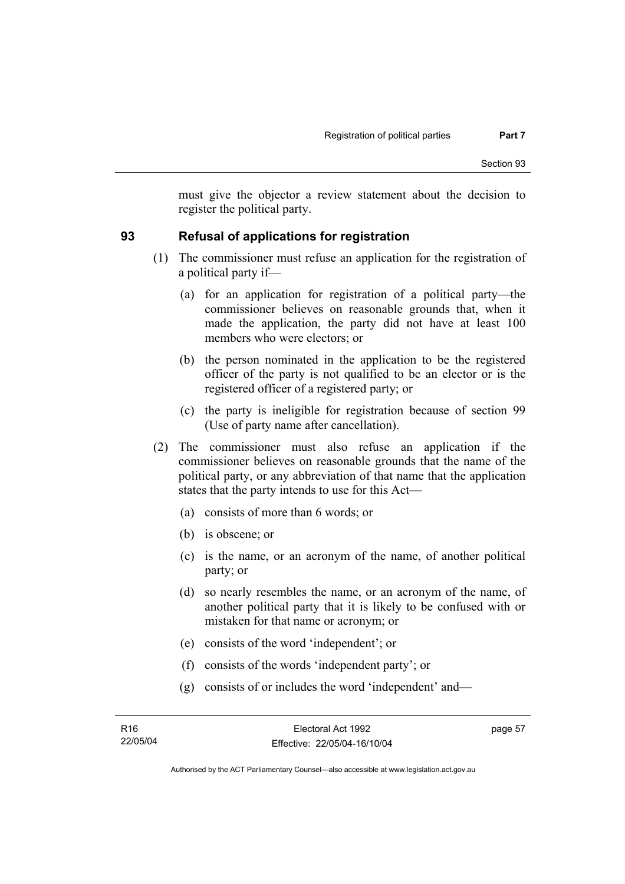must give the objector a review statement about the decision to register the political party.

# **93 Refusal of applications for registration**

- (1) The commissioner must refuse an application for the registration of a political party if—
	- (a) for an application for registration of a political party—the commissioner believes on reasonable grounds that, when it made the application, the party did not have at least 100 members who were electors; or
	- (b) the person nominated in the application to be the registered officer of the party is not qualified to be an elector or is the registered officer of a registered party; or
	- (c) the party is ineligible for registration because of section 99 (Use of party name after cancellation).
- (2) The commissioner must also refuse an application if the commissioner believes on reasonable grounds that the name of the political party, or any abbreviation of that name that the application states that the party intends to use for this Act—
	- (a) consists of more than 6 words; or
	- (b) is obscene; or
	- (c) is the name, or an acronym of the name, of another political party; or
	- (d) so nearly resembles the name, or an acronym of the name, of another political party that it is likely to be confused with or mistaken for that name or acronym; or
	- (e) consists of the word 'independent'; or
	- (f) consists of the words 'independent party'; or
	- (g) consists of or includes the word 'independent' and—

page 57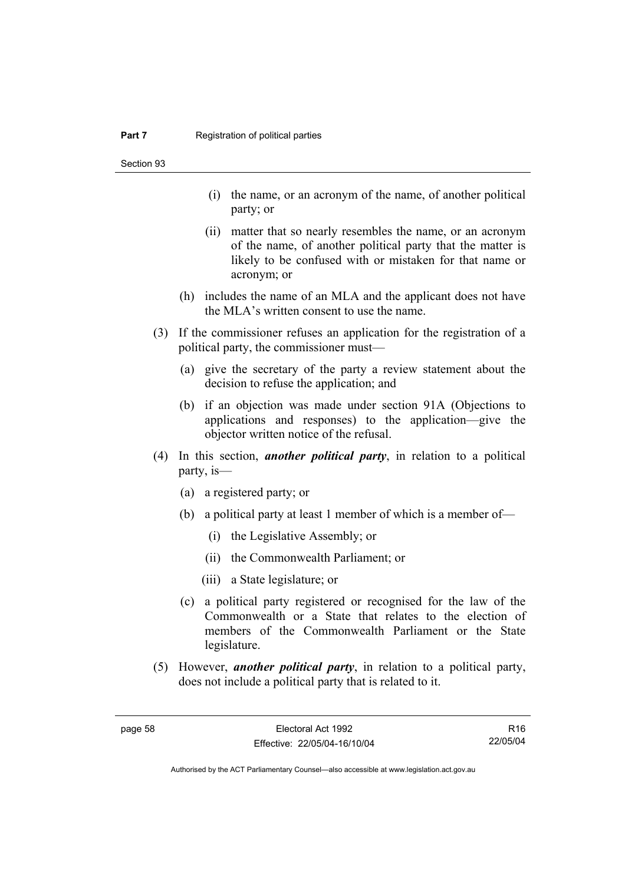Section 93

- (i) the name, or an acronym of the name, of another political party; or
- (ii) matter that so nearly resembles the name, or an acronym of the name, of another political party that the matter is likely to be confused with or mistaken for that name or acronym; or
- (h) includes the name of an MLA and the applicant does not have the MLA's written consent to use the name.
- (3) If the commissioner refuses an application for the registration of a political party, the commissioner must—
	- (a) give the secretary of the party a review statement about the decision to refuse the application; and
	- (b) if an objection was made under section 91A (Objections to applications and responses) to the application—give the objector written notice of the refusal.
- (4) In this section, *another political party*, in relation to a political party, is—
	- (a) a registered party; or
	- (b) a political party at least 1 member of which is a member of—
		- (i) the Legislative Assembly; or
		- (ii) the Commonwealth Parliament; or
		- (iii) a State legislature; or
	- (c) a political party registered or recognised for the law of the Commonwealth or a State that relates to the election of members of the Commonwealth Parliament or the State legislature.
- (5) However, *another political party*, in relation to a political party, does not include a political party that is related to it.

R16 22/05/04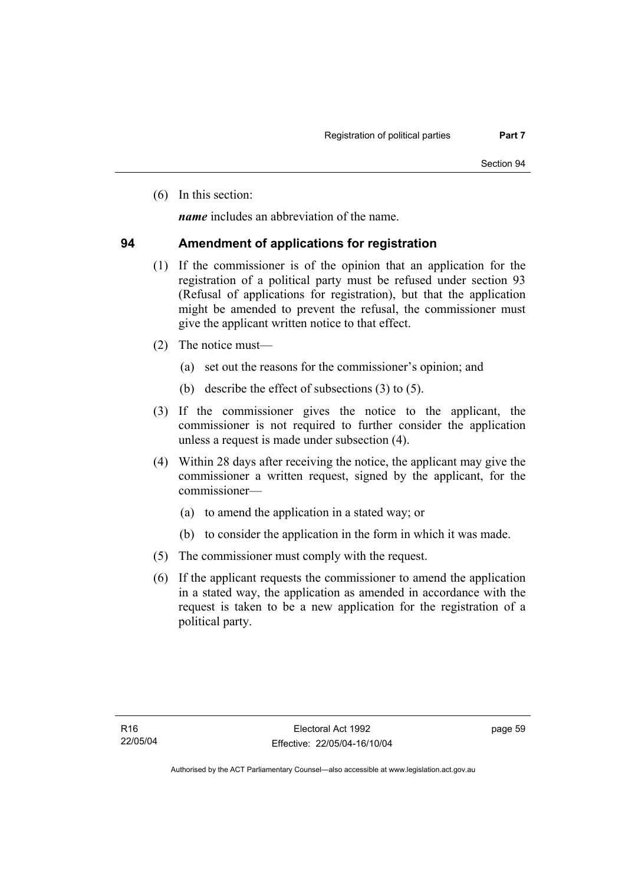(6) In this section:

*name* includes an abbreviation of the name.

#### **94 Amendment of applications for registration**

- (1) If the commissioner is of the opinion that an application for the registration of a political party must be refused under section 93 (Refusal of applications for registration), but that the application might be amended to prevent the refusal, the commissioner must give the applicant written notice to that effect.
- (2) The notice must—
	- (a) set out the reasons for the commissioner's opinion; and
	- (b) describe the effect of subsections (3) to (5).
- (3) If the commissioner gives the notice to the applicant, the commissioner is not required to further consider the application unless a request is made under subsection (4).
- (4) Within 28 days after receiving the notice, the applicant may give the commissioner a written request, signed by the applicant, for the commissioner—
	- (a) to amend the application in a stated way; or
	- (b) to consider the application in the form in which it was made.
- (5) The commissioner must comply with the request.
- (6) If the applicant requests the commissioner to amend the application in a stated way, the application as amended in accordance with the request is taken to be a new application for the registration of a political party.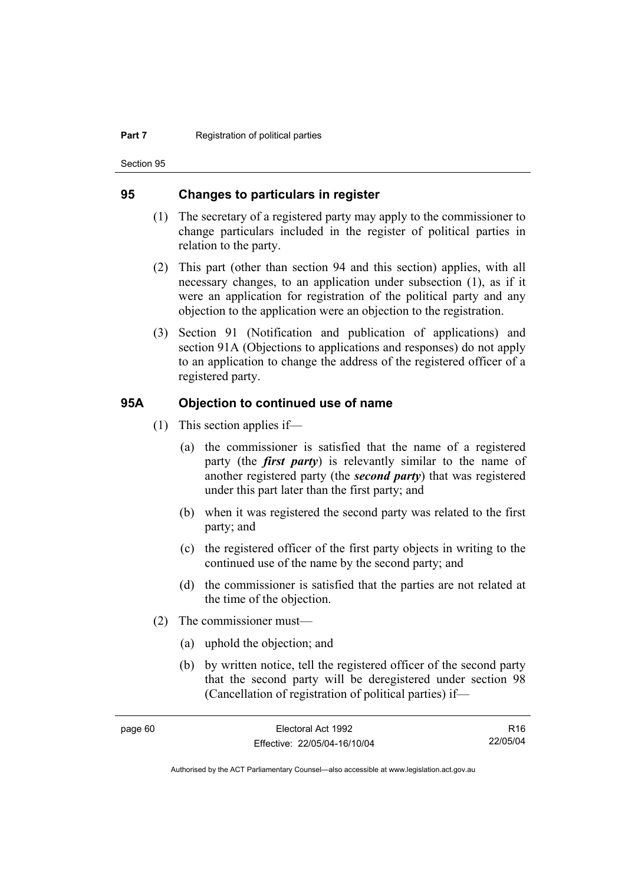Section 95

#### **95 Changes to particulars in register**

- (1) The secretary of a registered party may apply to the commissioner to change particulars included in the register of political parties in relation to the party.
- (2) This part (other than section 94 and this section) applies, with all necessary changes, to an application under subsection (1), as if it were an application for registration of the political party and any objection to the application were an objection to the registration.
- (3) Section 91 (Notification and publication of applications) and section 91A (Objections to applications and responses) do not apply to an application to change the address of the registered officer of a registered party.

#### **95A Objection to continued use of name**

- (1) This section applies if—
	- (a) the commissioner is satisfied that the name of a registered party (the *first party*) is relevantly similar to the name of another registered party (the *second party*) that was registered under this part later than the first party; and
	- (b) when it was registered the second party was related to the first party; and
	- (c) the registered officer of the first party objects in writing to the continued use of the name by the second party; and
	- (d) the commissioner is satisfied that the parties are not related at the time of the objection.
- (2) The commissioner must—
	- (a) uphold the objection; and
	- (b) by written notice, tell the registered officer of the second party that the second party will be deregistered under section 98 (Cancellation of registration of political parties) if—

R16 22/05/04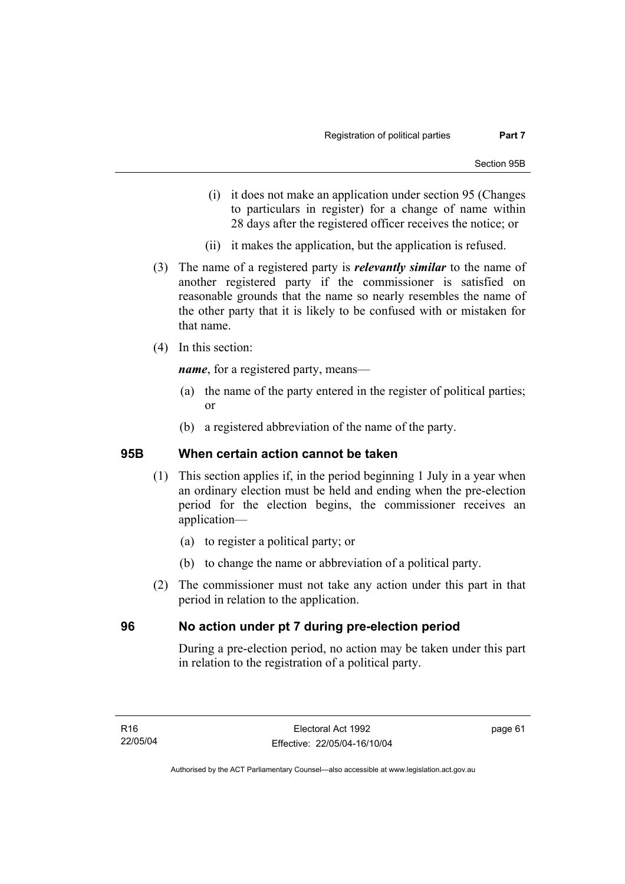- (i) it does not make an application under section 95 (Changes to particulars in register) for a change of name within 28 days after the registered officer receives the notice; or
- (ii) it makes the application, but the application is refused.
- (3) The name of a registered party is *relevantly similar* to the name of another registered party if the commissioner is satisfied on reasonable grounds that the name so nearly resembles the name of the other party that it is likely to be confused with or mistaken for that name.
- (4) In this section:

*name*, for a registered party, means—

- (a) the name of the party entered in the register of political parties; or
- (b) a registered abbreviation of the name of the party.

#### **95B When certain action cannot be taken**

- (1) This section applies if, in the period beginning 1 July in a year when an ordinary election must be held and ending when the pre-election period for the election begins, the commissioner receives an application—
	- (a) to register a political party; or
	- (b) to change the name or abbreviation of a political party.
- (2) The commissioner must not take any action under this part in that period in relation to the application.

#### **96 No action under pt 7 during pre-election period**

During a pre-election period, no action may be taken under this part in relation to the registration of a political party.

page 61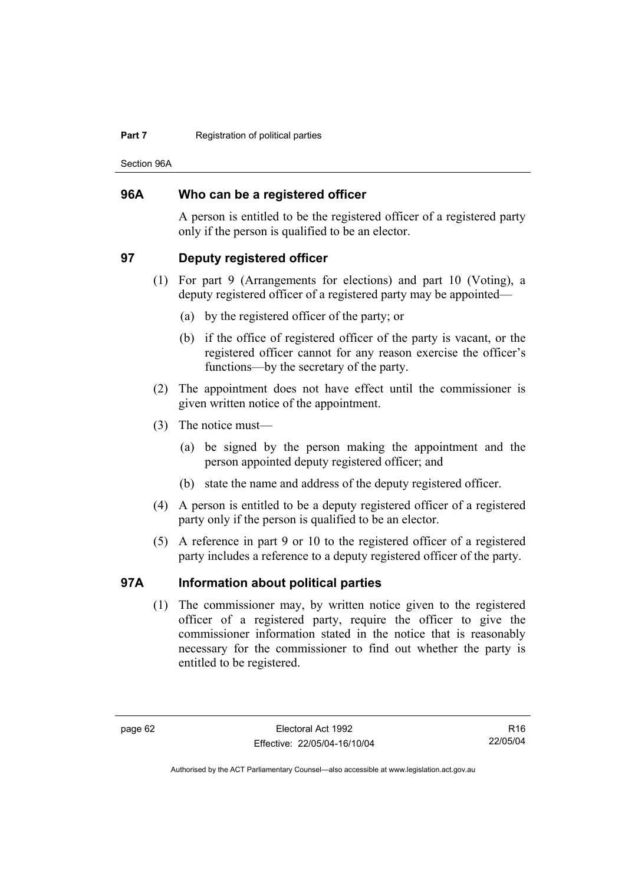#### **Part 7 Registration of political parties**

Section 96A

#### **96A Who can be a registered officer**

A person is entitled to be the registered officer of a registered party only if the person is qualified to be an elector.

#### **97 Deputy registered officer**

- (1) For part 9 (Arrangements for elections) and part 10 (Voting), a deputy registered officer of a registered party may be appointed—
	- (a) by the registered officer of the party; or
	- (b) if the office of registered officer of the party is vacant, or the registered officer cannot for any reason exercise the officer's functions—by the secretary of the party.
- (2) The appointment does not have effect until the commissioner is given written notice of the appointment.
- (3) The notice must—
	- (a) be signed by the person making the appointment and the person appointed deputy registered officer; and
	- (b) state the name and address of the deputy registered officer.
- (4) A person is entitled to be a deputy registered officer of a registered party only if the person is qualified to be an elector.
- (5) A reference in part 9 or 10 to the registered officer of a registered party includes a reference to a deputy registered officer of the party.

# **97A Information about political parties**

 (1) The commissioner may, by written notice given to the registered officer of a registered party, require the officer to give the commissioner information stated in the notice that is reasonably necessary for the commissioner to find out whether the party is entitled to be registered.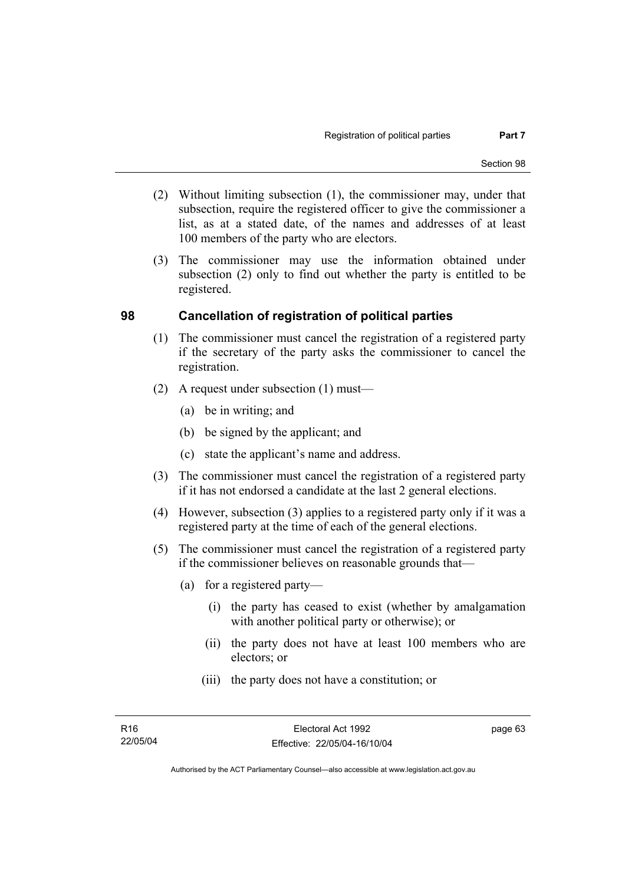- (2) Without limiting subsection (1), the commissioner may, under that subsection, require the registered officer to give the commissioner a list, as at a stated date, of the names and addresses of at least 100 members of the party who are electors.
- (3) The commissioner may use the information obtained under subsection (2) only to find out whether the party is entitled to be registered.

#### **98 Cancellation of registration of political parties**

- (1) The commissioner must cancel the registration of a registered party if the secretary of the party asks the commissioner to cancel the registration.
- (2) A request under subsection (1) must—
	- (a) be in writing; and
	- (b) be signed by the applicant; and
	- (c) state the applicant's name and address.
- (3) The commissioner must cancel the registration of a registered party if it has not endorsed a candidate at the last 2 general elections.
- (4) However, subsection (3) applies to a registered party only if it was a registered party at the time of each of the general elections.
- (5) The commissioner must cancel the registration of a registered party if the commissioner believes on reasonable grounds that—
	- (a) for a registered party—
		- (i) the party has ceased to exist (whether by amalgamation with another political party or otherwise); or
		- (ii) the party does not have at least 100 members who are electors; or
		- (iii) the party does not have a constitution; or

page 63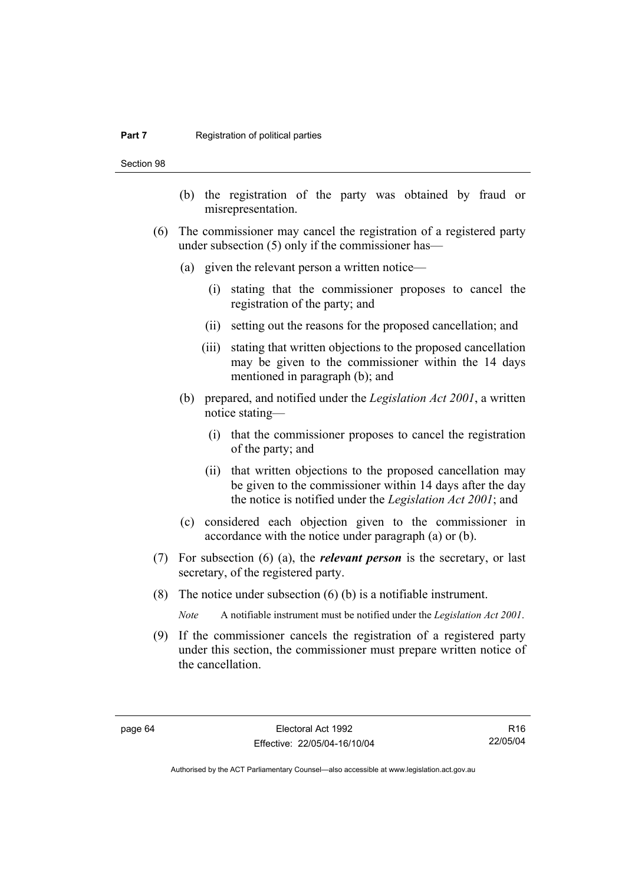#### **Part 7 Registration of political parties**

Section 98

- (b) the registration of the party was obtained by fraud or misrepresentation.
- (6) The commissioner may cancel the registration of a registered party under subsection (5) only if the commissioner has—
	- (a) given the relevant person a written notice—
		- (i) stating that the commissioner proposes to cancel the registration of the party; and
		- (ii) setting out the reasons for the proposed cancellation; and
		- (iii) stating that written objections to the proposed cancellation may be given to the commissioner within the 14 days mentioned in paragraph (b); and
	- (b) prepared, and notified under the *Legislation Act 2001*, a written notice stating—
		- (i) that the commissioner proposes to cancel the registration of the party; and
		- (ii) that written objections to the proposed cancellation may be given to the commissioner within 14 days after the day the notice is notified under the *Legislation Act 2001*; and
	- (c) considered each objection given to the commissioner in accordance with the notice under paragraph (a) or (b).
- (7) For subsection (6) (a), the *relevant person* is the secretary, or last secretary, of the registered party.
- (8) The notice under subsection (6) (b) is a notifiable instrument.

*Note* A notifiable instrument must be notified under the *Legislation Act 2001*.

 (9) If the commissioner cancels the registration of a registered party under this section, the commissioner must prepare written notice of the cancellation.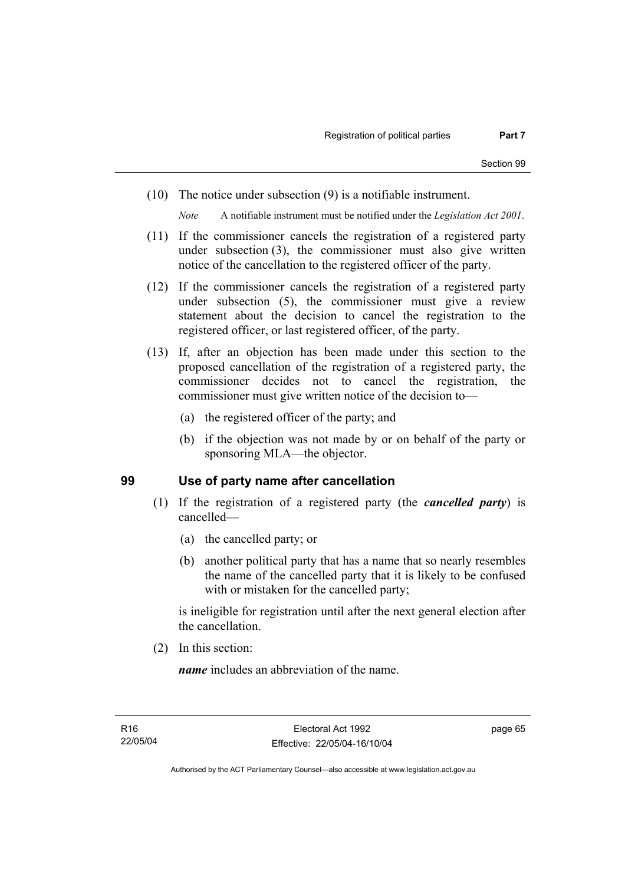(10) The notice under subsection (9) is a notifiable instrument.

*Note* A notifiable instrument must be notified under the *Legislation Act 2001*.

- (11) If the commissioner cancels the registration of a registered party under subsection (3), the commissioner must also give written notice of the cancellation to the registered officer of the party.
- (12) If the commissioner cancels the registration of a registered party under subsection (5), the commissioner must give a review statement about the decision to cancel the registration to the registered officer, or last registered officer, of the party.
- (13) If, after an objection has been made under this section to the proposed cancellation of the registration of a registered party, the commissioner decides not to cancel the registration, the commissioner must give written notice of the decision to—
	- (a) the registered officer of the party; and
	- (b) if the objection was not made by or on behalf of the party or sponsoring MLA—the objector.

#### **99 Use of party name after cancellation**

- (1) If the registration of a registered party (the *cancelled party*) is cancelled—
	- (a) the cancelled party; or
	- (b) another political party that has a name that so nearly resembles the name of the cancelled party that it is likely to be confused with or mistaken for the cancelled party;

is ineligible for registration until after the next general election after the cancellation.

(2) In this section:

*name* includes an abbreviation of the name.

page 65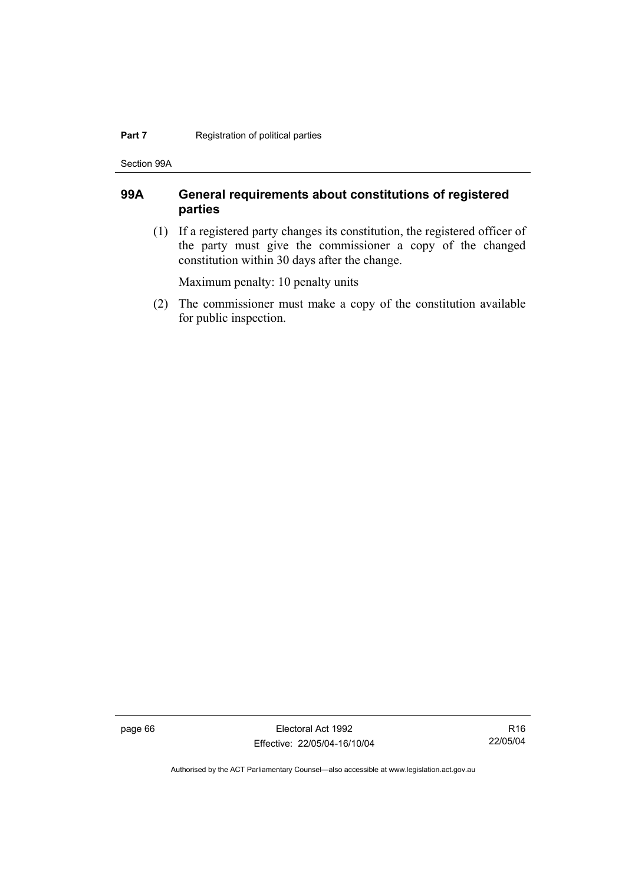#### **Part 7 Registration of political parties**

Section 99A

# **99A General requirements about constitutions of registered parties**

 (1) If a registered party changes its constitution, the registered officer of the party must give the commissioner a copy of the changed constitution within 30 days after the change.

Maximum penalty: 10 penalty units

 (2) The commissioner must make a copy of the constitution available for public inspection.

page 66 Electoral Act 1992 Effective: 22/05/04-16/10/04

R16 22/05/04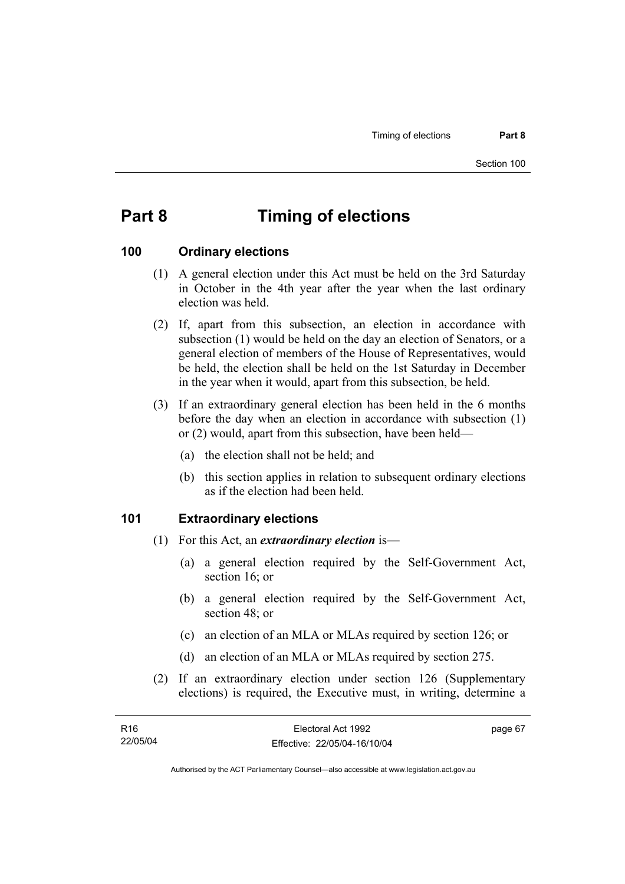# **Part 8 Timing of elections**

#### **100 Ordinary elections**

- (1) A general election under this Act must be held on the 3rd Saturday in October in the 4th year after the year when the last ordinary election was held.
- (2) If, apart from this subsection, an election in accordance with subsection (1) would be held on the day an election of Senators, or a general election of members of the House of Representatives, would be held, the election shall be held on the 1st Saturday in December in the year when it would, apart from this subsection, be held.
- (3) If an extraordinary general election has been held in the 6 months before the day when an election in accordance with subsection (1) or (2) would, apart from this subsection, have been held—
	- (a) the election shall not be held; and
	- (b) this section applies in relation to subsequent ordinary elections as if the election had been held.

#### **101 Extraordinary elections**

- (1) For this Act, an *extraordinary election* is—
	- (a) a general election required by the Self-Government Act, section 16; or
	- (b) a general election required by the Self-Government Act, section 48; or
	- (c) an election of an MLA or MLAs required by section 126; or
	- (d) an election of an MLA or MLAs required by section 275.
- (2) If an extraordinary election under section 126 (Supplementary elections) is required, the Executive must, in writing, determine a

| R16      | Electoral Act 1992           | page 67 |
|----------|------------------------------|---------|
| 22/05/04 | Effective: 22/05/04-16/10/04 |         |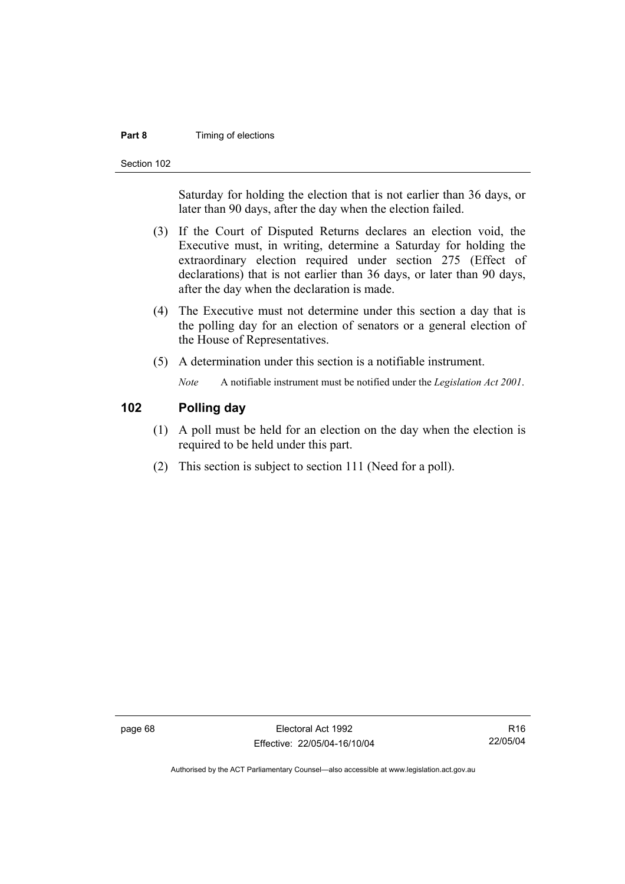#### **Part 8 Timing of elections**

Section 102

Saturday for holding the election that is not earlier than 36 days, or later than 90 days, after the day when the election failed.

- (3) If the Court of Disputed Returns declares an election void, the Executive must, in writing, determine a Saturday for holding the extraordinary election required under section 275 (Effect of declarations) that is not earlier than 36 days, or later than 90 days, after the day when the declaration is made.
- (4) The Executive must not determine under this section a day that is the polling day for an election of senators or a general election of the House of Representatives.
- (5) A determination under this section is a notifiable instrument.

*Note* A notifiable instrument must be notified under the *Legislation Act 2001*.

# **102 Polling day**

- (1) A poll must be held for an election on the day when the election is required to be held under this part.
- (2) This section is subject to section 111 (Need for a poll).

page 68 Electoral Act 1992 Effective: 22/05/04-16/10/04

R16 22/05/04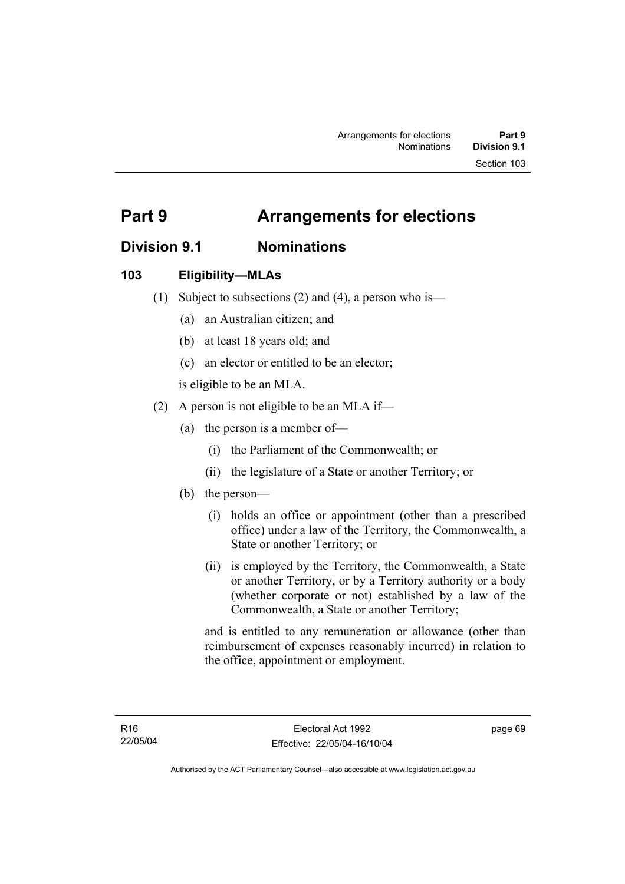# **Division 9.1 Nominations**

# **103 Eligibility—MLAs**

- (1) Subject to subsections (2) and (4), a person who is—
	- (a) an Australian citizen; and
	- (b) at least 18 years old; and
	- (c) an elector or entitled to be an elector;

is eligible to be an MLA.

- (2) A person is not eligible to be an MLA if—
	- (a) the person is a member of—
		- (i) the Parliament of the Commonwealth; or
		- (ii) the legislature of a State or another Territory; or
	- (b) the person—
		- (i) holds an office or appointment (other than a prescribed office) under a law of the Territory, the Commonwealth, a State or another Territory; or
		- (ii) is employed by the Territory, the Commonwealth, a State or another Territory, or by a Territory authority or a body (whether corporate or not) established by a law of the Commonwealth, a State or another Territory;

and is entitled to any remuneration or allowance (other than reimbursement of expenses reasonably incurred) in relation to the office, appointment or employment.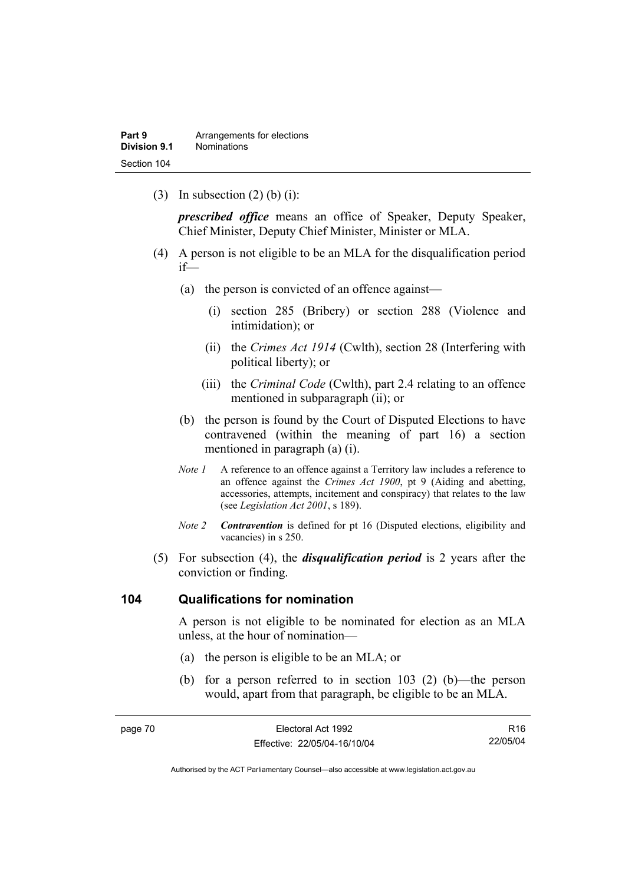(3) In subsection  $(2)$  (b) (i):

*prescribed office* means an office of Speaker, Deputy Speaker, Chief Minister, Deputy Chief Minister, Minister or MLA.

- (4) A person is not eligible to be an MLA for the disqualification period if—
	- (a) the person is convicted of an offence against—
		- (i) section 285 (Bribery) or section 288 (Violence and intimidation); or
		- (ii) the *Crimes Act 1914* (Cwlth), section 28 (Interfering with political liberty); or
		- (iii) the *Criminal Code* (Cwlth), part 2.4 relating to an offence mentioned in subparagraph (ii); or
	- (b) the person is found by the Court of Disputed Elections to have contravened (within the meaning of part 16) a section mentioned in paragraph (a) (i).
	- *Note 1* A reference to an offence against a Territory law includes a reference to an offence against the *Crimes Act 1900*, pt 9 (Aiding and abetting, accessories, attempts, incitement and conspiracy) that relates to the law (see *Legislation Act 2001*, s 189).
	- *Note 2 Contravention* is defined for pt 16 (Disputed elections, eligibility and vacancies) in s 250.
- (5) For subsection (4), the *disqualification period* is 2 years after the conviction or finding.

#### **104 Qualifications for nomination**

A person is not eligible to be nominated for election as an MLA unless, at the hour of nomination—

- (a) the person is eligible to be an MLA; or
- (b) for a person referred to in section 103 (2) (b)—the person would, apart from that paragraph, be eligible to be an MLA.

| page 70 | Electoral Act 1992           | R16      |
|---------|------------------------------|----------|
|         | Effective: 22/05/04-16/10/04 | 22/05/04 |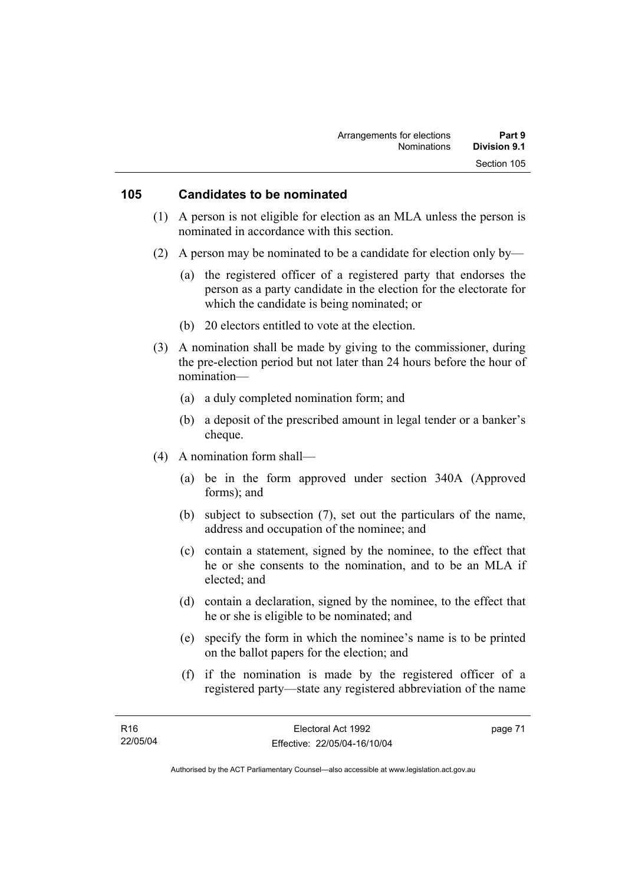#### **105 Candidates to be nominated**

- (1) A person is not eligible for election as an MLA unless the person is nominated in accordance with this section.
- (2) A person may be nominated to be a candidate for election only by—
	- (a) the registered officer of a registered party that endorses the person as a party candidate in the election for the electorate for which the candidate is being nominated; or
	- (b) 20 electors entitled to vote at the election.
- (3) A nomination shall be made by giving to the commissioner, during the pre-election period but not later than 24 hours before the hour of nomination—
	- (a) a duly completed nomination form; and
	- (b) a deposit of the prescribed amount in legal tender or a banker's cheque.
- (4) A nomination form shall—
	- (a) be in the form approved under section 340A (Approved forms); and
	- (b) subject to subsection (7), set out the particulars of the name, address and occupation of the nominee; and
	- (c) contain a statement, signed by the nominee, to the effect that he or she consents to the nomination, and to be an MLA if elected; and
	- (d) contain a declaration, signed by the nominee, to the effect that he or she is eligible to be nominated; and
	- (e) specify the form in which the nominee's name is to be printed on the ballot papers for the election; and
	- (f) if the nomination is made by the registered officer of a registered party—state any registered abbreviation of the name

page 71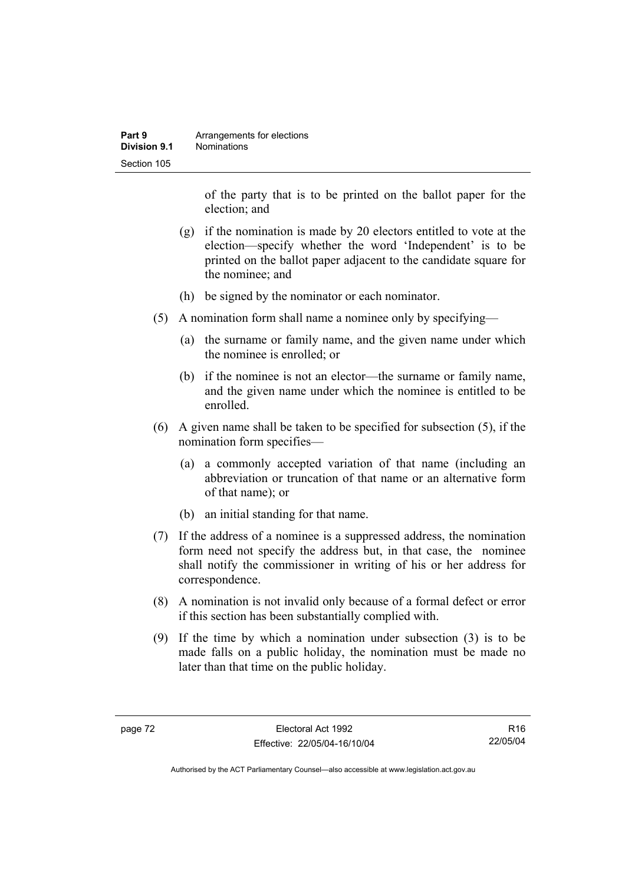| Part 9       | Arrangements for elections |
|--------------|----------------------------|
| Division 9.1 | <b>Nominations</b>         |
| Section 105  |                            |

of the party that is to be printed on the ballot paper for the election; and

- (g) if the nomination is made by 20 electors entitled to vote at the election—specify whether the word 'Independent' is to be printed on the ballot paper adjacent to the candidate square for the nominee; and
- (h) be signed by the nominator or each nominator.
- (5) A nomination form shall name a nominee only by specifying—
	- (a) the surname or family name, and the given name under which the nominee is enrolled; or
	- (b) if the nominee is not an elector—the surname or family name, and the given name under which the nominee is entitled to be enrolled.
- (6) A given name shall be taken to be specified for subsection (5), if the nomination form specifies—
	- (a) a commonly accepted variation of that name (including an abbreviation or truncation of that name or an alternative form of that name); or
	- (b) an initial standing for that name.
- (7) If the address of a nominee is a suppressed address, the nomination form need not specify the address but, in that case, the nominee shall notify the commissioner in writing of his or her address for correspondence.
- (8) A nomination is not invalid only because of a formal defect or error if this section has been substantially complied with.
- (9) If the time by which a nomination under subsection (3) is to be made falls on a public holiday, the nomination must be made no later than that time on the public holiday.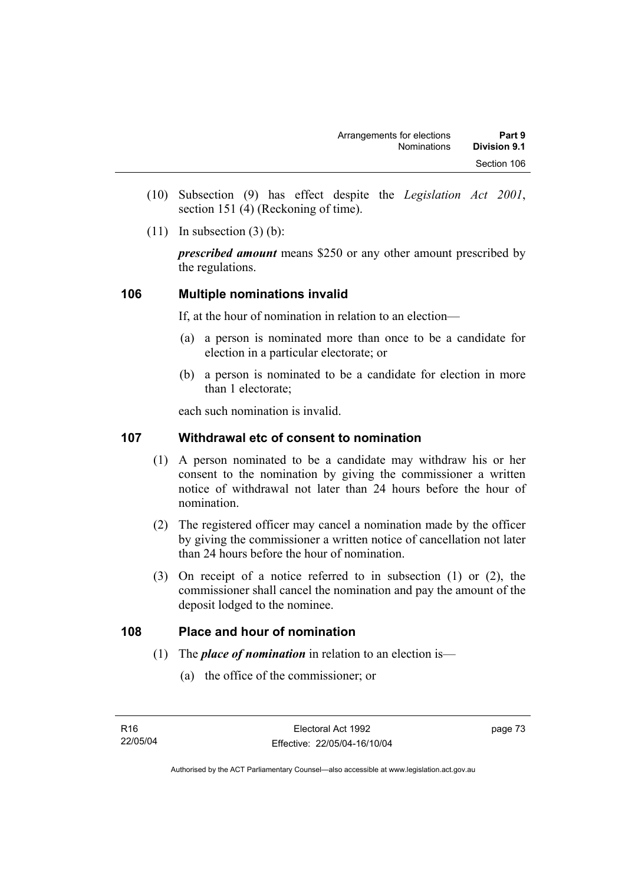- (10) Subsection (9) has effect despite the *Legislation Act 2001*, section 151 (4) (Reckoning of time).
- $(11)$  In subsection  $(3)$  (b):

*prescribed amount* means \$250 or any other amount prescribed by the regulations.

# **106 Multiple nominations invalid**

If, at the hour of nomination in relation to an election—

- (a) a person is nominated more than once to be a candidate for election in a particular electorate; or
- (b) a person is nominated to be a candidate for election in more than 1 electorate;

each such nomination is invalid.

# **107 Withdrawal etc of consent to nomination**

- (1) A person nominated to be a candidate may withdraw his or her consent to the nomination by giving the commissioner a written notice of withdrawal not later than 24 hours before the hour of nomination.
- (2) The registered officer may cancel a nomination made by the officer by giving the commissioner a written notice of cancellation not later than 24 hours before the hour of nomination.
- (3) On receipt of a notice referred to in subsection (1) or (2), the commissioner shall cancel the nomination and pay the amount of the deposit lodged to the nominee.

# **108 Place and hour of nomination**

- (1) The *place of nomination* in relation to an election is—
	- (a) the office of the commissioner; or

page 73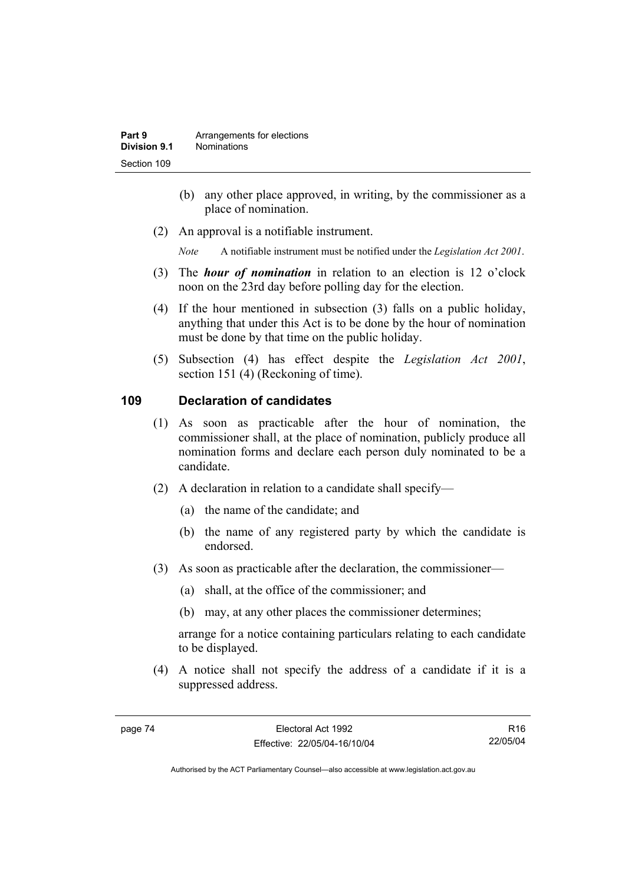- (b) any other place approved, in writing, by the commissioner as a place of nomination.
- (2) An approval is a notifiable instrument.

*Note* A notifiable instrument must be notified under the *Legislation Act 2001*.

- (3) The *hour of nomination* in relation to an election is 12 o'clock noon on the 23rd day before polling day for the election.
- (4) If the hour mentioned in subsection (3) falls on a public holiday, anything that under this Act is to be done by the hour of nomination must be done by that time on the public holiday.
- (5) Subsection (4) has effect despite the *Legislation Act 2001*, section 151 (4) (Reckoning of time).

# **109 Declaration of candidates**

- (1) As soon as practicable after the hour of nomination, the commissioner shall, at the place of nomination, publicly produce all nomination forms and declare each person duly nominated to be a candidate.
- (2) A declaration in relation to a candidate shall specify—
	- (a) the name of the candidate; and
	- (b) the name of any registered party by which the candidate is endorsed.
- (3) As soon as practicable after the declaration, the commissioner—
	- (a) shall, at the office of the commissioner; and
	- (b) may, at any other places the commissioner determines;

arrange for a notice containing particulars relating to each candidate to be displayed.

 (4) A notice shall not specify the address of a candidate if it is a suppressed address.

R16 22/05/04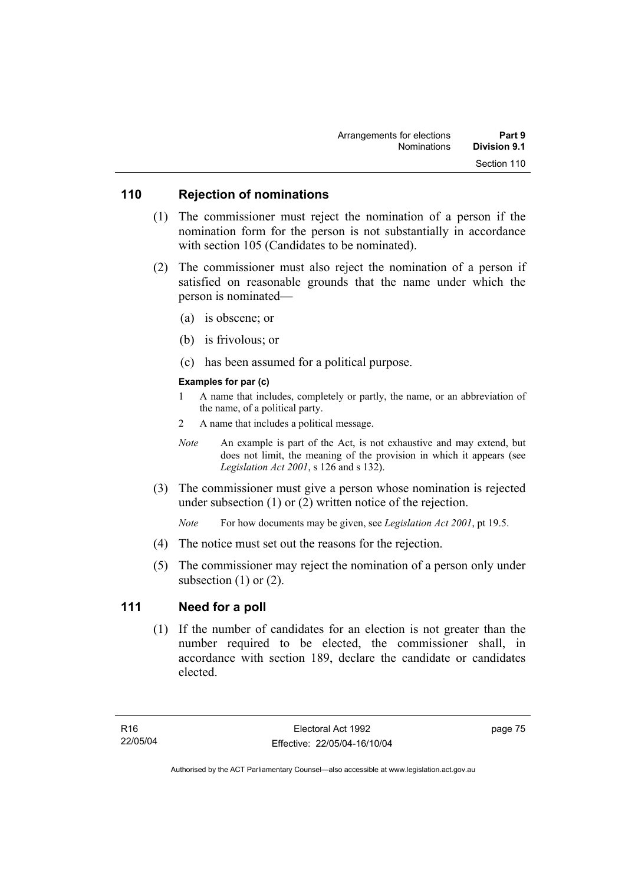#### **110 Rejection of nominations**

- (1) The commissioner must reject the nomination of a person if the nomination form for the person is not substantially in accordance with section 105 (Candidates to be nominated).
- (2) The commissioner must also reject the nomination of a person if satisfied on reasonable grounds that the name under which the person is nominated—
	- (a) is obscene; or
	- (b) is frivolous; or
	- (c) has been assumed for a political purpose.

#### **Examples for par (c)**

- 1 A name that includes, completely or partly, the name, or an abbreviation of the name, of a political party.
- 2 A name that includes a political message.
- *Note* An example is part of the Act, is not exhaustive and may extend, but does not limit, the meaning of the provision in which it appears (see *Legislation Act 2001*, s 126 and s 132).
- (3) The commissioner must give a person whose nomination is rejected under subsection (1) or (2) written notice of the rejection.

*Note* For how documents may be given, see *Legislation Act 2001*, pt 19.5.

- (4) The notice must set out the reasons for the rejection.
- (5) The commissioner may reject the nomination of a person only under subsection  $(1)$  or  $(2)$ .

# **111 Need for a poll**

 (1) If the number of candidates for an election is not greater than the number required to be elected, the commissioner shall, in accordance with section 189, declare the candidate or candidates elected.

page 75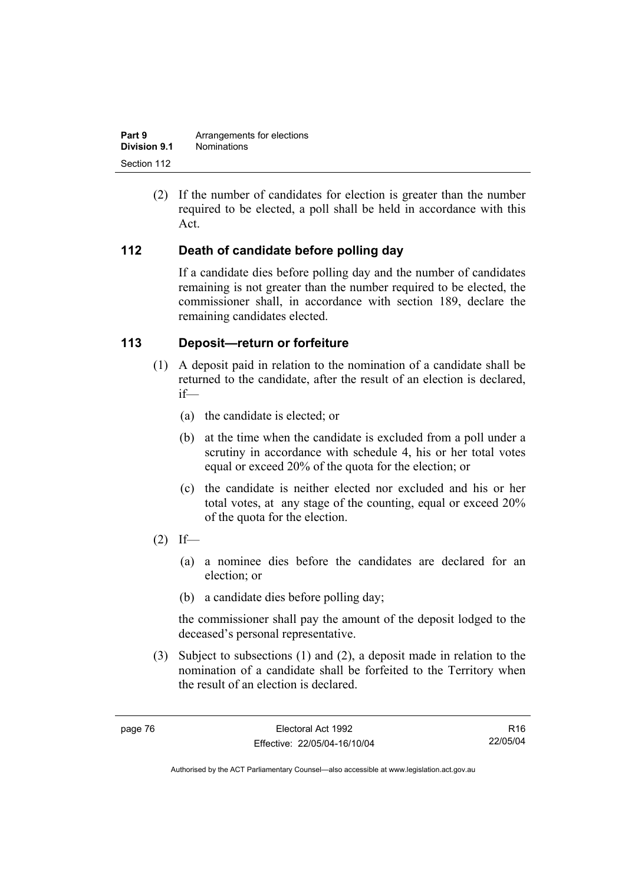| Part 9       | Arrangements for elections |
|--------------|----------------------------|
| Division 9.1 | <b>Nominations</b>         |
| Section 112  |                            |

 (2) If the number of candidates for election is greater than the number required to be elected, a poll shall be held in accordance with this Act.

# **112 Death of candidate before polling day**

If a candidate dies before polling day and the number of candidates remaining is not greater than the number required to be elected, the commissioner shall, in accordance with section 189, declare the remaining candidates elected.

#### **113 Deposit—return or forfeiture**

- (1) A deposit paid in relation to the nomination of a candidate shall be returned to the candidate, after the result of an election is declared, if—
	- (a) the candidate is elected; or
	- (b) at the time when the candidate is excluded from a poll under a scrutiny in accordance with schedule 4, his or her total votes equal or exceed 20% of the quota for the election; or
	- (c) the candidate is neither elected nor excluded and his or her total votes, at any stage of the counting, equal or exceed 20% of the quota for the election.
- $(2)$  If—
	- (a) a nominee dies before the candidates are declared for an election; or
	- (b) a candidate dies before polling day;

the commissioner shall pay the amount of the deposit lodged to the deceased's personal representative.

 (3) Subject to subsections (1) and (2), a deposit made in relation to the nomination of a candidate shall be forfeited to the Territory when the result of an election is declared.

R16 22/05/04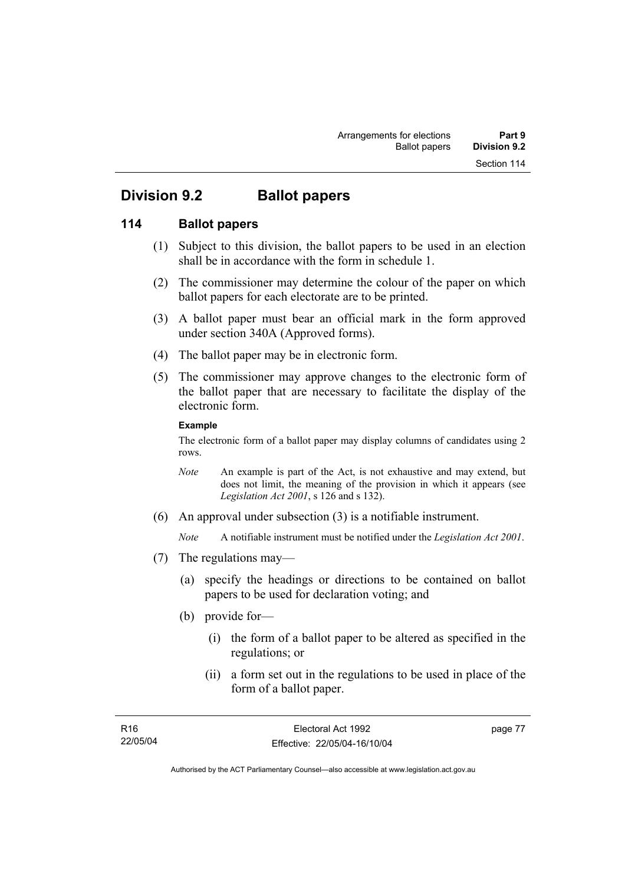# **Division 9.2 Ballot papers**

# **114 Ballot papers**

- (1) Subject to this division, the ballot papers to be used in an election shall be in accordance with the form in schedule 1.
- (2) The commissioner may determine the colour of the paper on which ballot papers for each electorate are to be printed.
- (3) A ballot paper must bear an official mark in the form approved under section 340A (Approved forms).
- (4) The ballot paper may be in electronic form.
- (5) The commissioner may approve changes to the electronic form of the ballot paper that are necessary to facilitate the display of the electronic form.

#### **Example**

The electronic form of a ballot paper may display columns of candidates using 2 rows.

- *Note* An example is part of the Act, is not exhaustive and may extend, but does not limit, the meaning of the provision in which it appears (see *Legislation Act 2001*, s 126 and s 132).
- (6) An approval under subsection (3) is a notifiable instrument.

*Note* A notifiable instrument must be notified under the *Legislation Act 2001*.

- (7) The regulations may—
	- (a) specify the headings or directions to be contained on ballot papers to be used for declaration voting; and
	- (b) provide for—
		- (i) the form of a ballot paper to be altered as specified in the regulations; or
		- (ii) a form set out in the regulations to be used in place of the form of a ballot paper.

page 77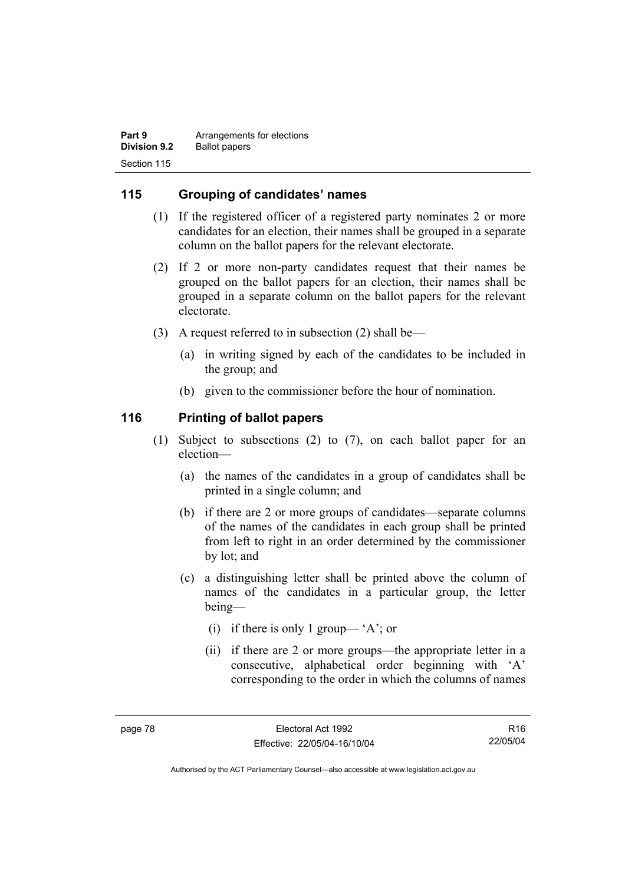| Part 9              | Arrangements for elections |
|---------------------|----------------------------|
| <b>Division 9.2</b> | <b>Ballot papers</b>       |
| Section 115         |                            |

### **115 Grouping of candidates' names**

- (1) If the registered officer of a registered party nominates 2 or more candidates for an election, their names shall be grouped in a separate column on the ballot papers for the relevant electorate.
- (2) If 2 or more non-party candidates request that their names be grouped on the ballot papers for an election, their names shall be grouped in a separate column on the ballot papers for the relevant electorate.
- (3) A request referred to in subsection (2) shall be—
	- (a) in writing signed by each of the candidates to be included in the group; and
	- (b) given to the commissioner before the hour of nomination.

#### **116 Printing of ballot papers**

- (1) Subject to subsections (2) to (7), on each ballot paper for an election—
	- (a) the names of the candidates in a group of candidates shall be printed in a single column; and
	- (b) if there are 2 or more groups of candidates—separate columns of the names of the candidates in each group shall be printed from left to right in an order determined by the commissioner by lot; and
	- (c) a distinguishing letter shall be printed above the column of names of the candidates in a particular group, the letter being—
		- (i) if there is only 1 group— 'A'; or
		- (ii) if there are 2 or more groups—the appropriate letter in a consecutive, alphabetical order beginning with 'A' corresponding to the order in which the columns of names

R16 22/05/04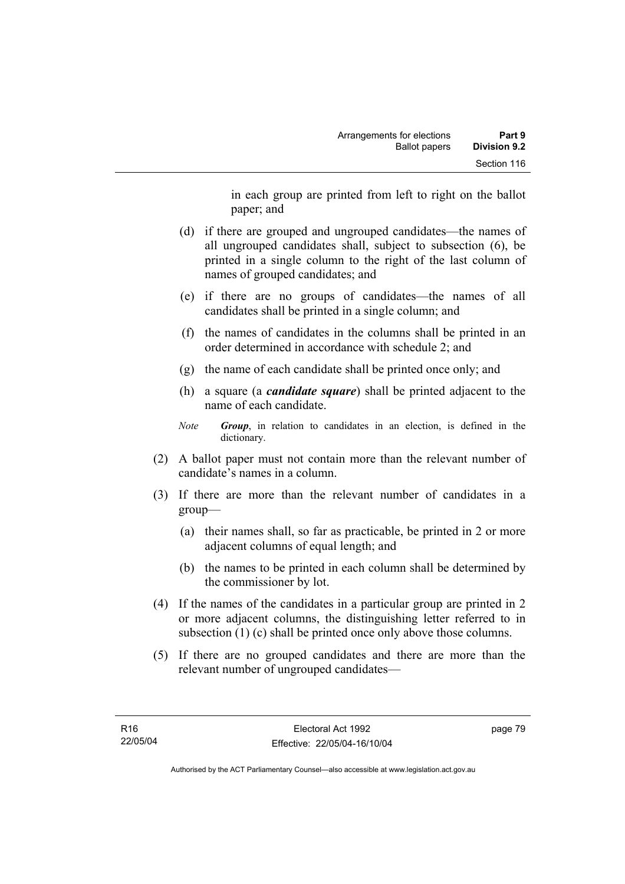in each group are printed from left to right on the ballot paper; and

- (d) if there are grouped and ungrouped candidates—the names of all ungrouped candidates shall, subject to subsection (6), be printed in a single column to the right of the last column of names of grouped candidates; and
- (e) if there are no groups of candidates—the names of all candidates shall be printed in a single column; and
- (f) the names of candidates in the columns shall be printed in an order determined in accordance with schedule 2; and
- (g) the name of each candidate shall be printed once only; and
- (h) a square (a *candidate square*) shall be printed adjacent to the name of each candidate.
- *Note Group*, in relation to candidates in an election, is defined in the dictionary.
- (2) A ballot paper must not contain more than the relevant number of candidate's names in a column.
- (3) If there are more than the relevant number of candidates in a group—
	- (a) their names shall, so far as practicable, be printed in 2 or more adjacent columns of equal length; and
	- (b) the names to be printed in each column shall be determined by the commissioner by lot.
- (4) If the names of the candidates in a particular group are printed in 2 or more adjacent columns, the distinguishing letter referred to in subsection (1) (c) shall be printed once only above those columns.
- (5) If there are no grouped candidates and there are more than the relevant number of ungrouped candidates—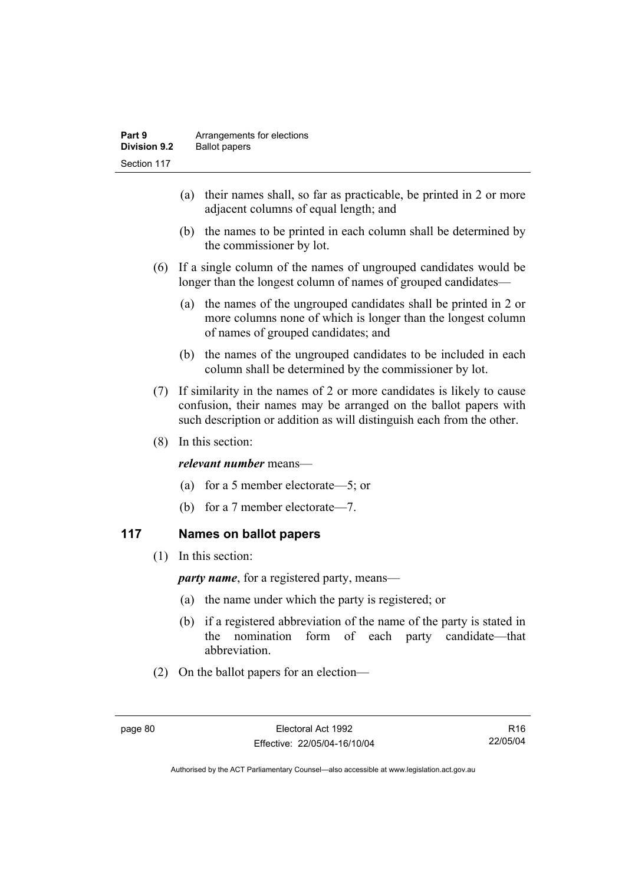- (a) their names shall, so far as practicable, be printed in 2 or more adjacent columns of equal length; and
- (b) the names to be printed in each column shall be determined by the commissioner by lot.
- (6) If a single column of the names of ungrouped candidates would be longer than the longest column of names of grouped candidates—
	- (a) the names of the ungrouped candidates shall be printed in 2 or more columns none of which is longer than the longest column of names of grouped candidates; and
	- (b) the names of the ungrouped candidates to be included in each column shall be determined by the commissioner by lot.
- (7) If similarity in the names of 2 or more candidates is likely to cause confusion, their names may be arranged on the ballot papers with such description or addition as will distinguish each from the other.
- (8) In this section:

#### *relevant number* means—

- (a) for a 5 member electorate—5; or
- (b) for a 7 member electorate—7.

# **117 Names on ballot papers**

(1) In this section:

*party name*, for a registered party, means—

- (a) the name under which the party is registered; or
- (b) if a registered abbreviation of the name of the party is stated in the nomination form of each party candidate—that abbreviation.
- (2) On the ballot papers for an election—

R16 22/05/04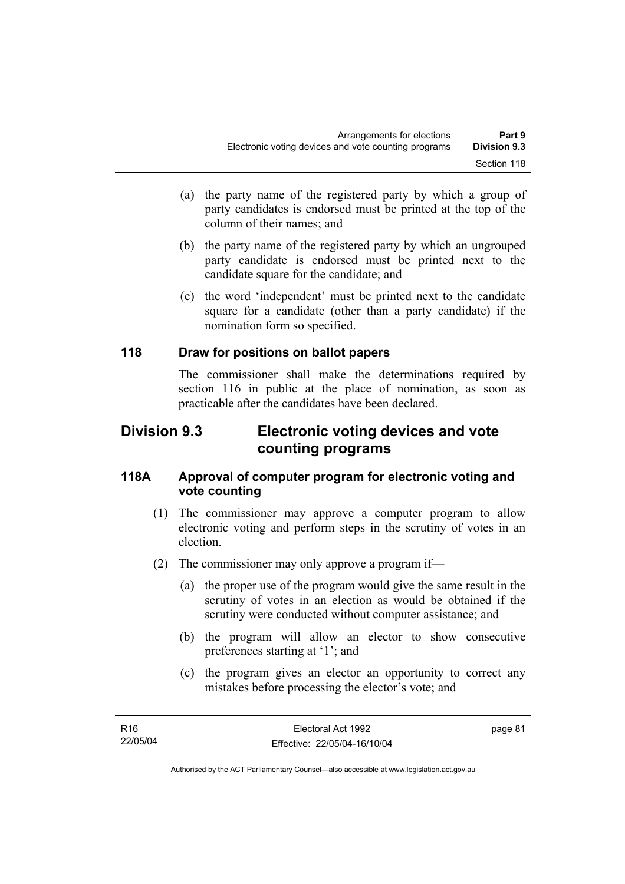- (a) the party name of the registered party by which a group of party candidates is endorsed must be printed at the top of the column of their names; and
- (b) the party name of the registered party by which an ungrouped party candidate is endorsed must be printed next to the candidate square for the candidate; and
- (c) the word 'independent' must be printed next to the candidate square for a candidate (other than a party candidate) if the nomination form so specified.

# **118 Draw for positions on ballot papers**

The commissioner shall make the determinations required by section 116 in public at the place of nomination, as soon as practicable after the candidates have been declared.

# **Division 9.3 Electronic voting devices and vote counting programs**

### **118A Approval of computer program for electronic voting and vote counting**

- (1) The commissioner may approve a computer program to allow electronic voting and perform steps in the scrutiny of votes in an election.
- (2) The commissioner may only approve a program if—
	- (a) the proper use of the program would give the same result in the scrutiny of votes in an election as would be obtained if the scrutiny were conducted without computer assistance; and
	- (b) the program will allow an elector to show consecutive preferences starting at '1'; and
	- (c) the program gives an elector an opportunity to correct any mistakes before processing the elector's vote; and

page 81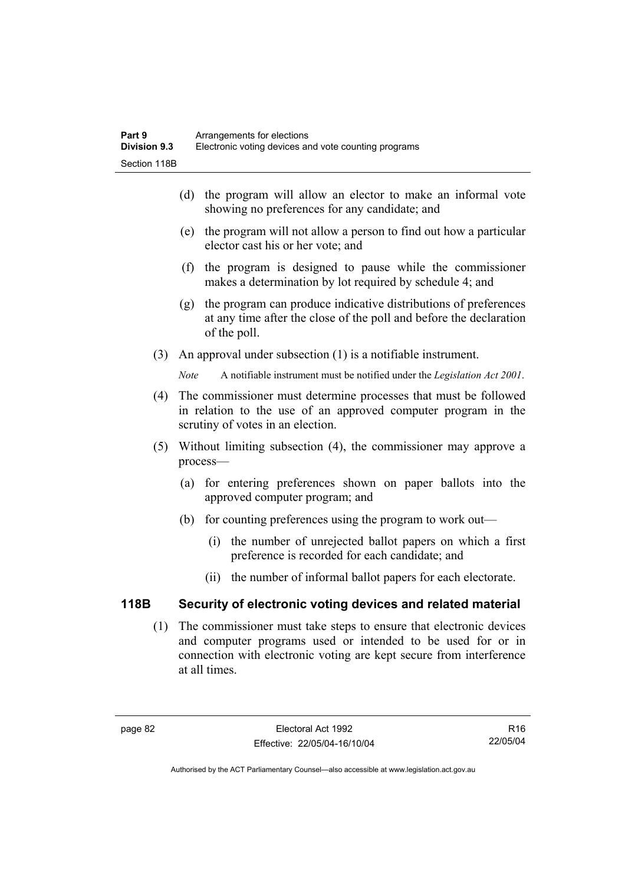- (d) the program will allow an elector to make an informal vote showing no preferences for any candidate; and
- (e) the program will not allow a person to find out how a particular elector cast his or her vote; and
- (f) the program is designed to pause while the commissioner makes a determination by lot required by schedule 4; and
- (g) the program can produce indicative distributions of preferences at any time after the close of the poll and before the declaration of the poll.
- (3) An approval under subsection (1) is a notifiable instrument.

*Note* A notifiable instrument must be notified under the *Legislation Act 2001*.

- (4) The commissioner must determine processes that must be followed in relation to the use of an approved computer program in the scrutiny of votes in an election.
- (5) Without limiting subsection (4), the commissioner may approve a process—
	- (a) for entering preferences shown on paper ballots into the approved computer program; and
	- (b) for counting preferences using the program to work out—
		- (i) the number of unrejected ballot papers on which a first preference is recorded for each candidate; and
		- (ii) the number of informal ballot papers for each electorate.

# **118B Security of electronic voting devices and related material**

 (1) The commissioner must take steps to ensure that electronic devices and computer programs used or intended to be used for or in connection with electronic voting are kept secure from interference at all times.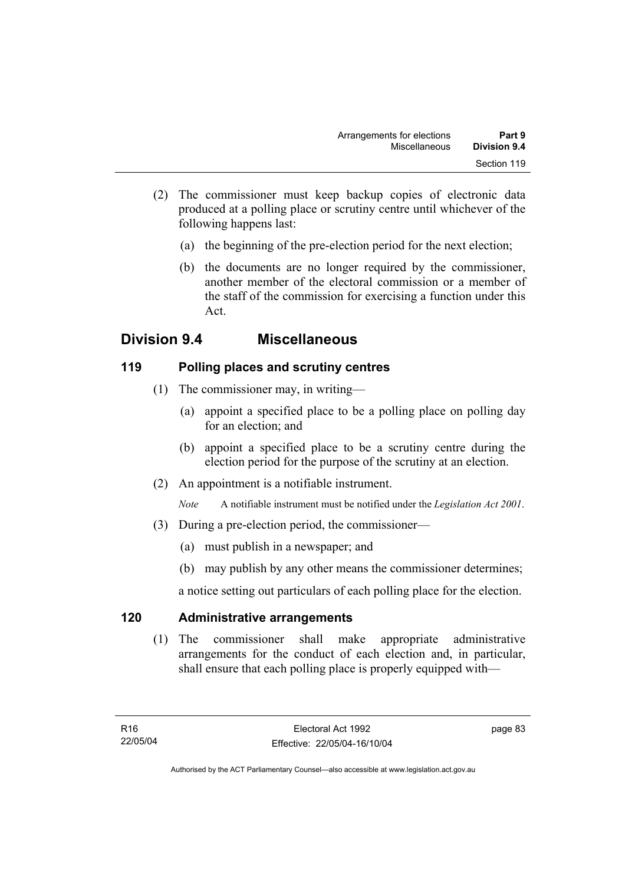- (2) The commissioner must keep backup copies of electronic data produced at a polling place or scrutiny centre until whichever of the following happens last:
	- (a) the beginning of the pre-election period for the next election;
	- (b) the documents are no longer required by the commissioner, another member of the electoral commission or a member of the staff of the commission for exercising a function under this Act.

# **Division 9.4 Miscellaneous**

# **119 Polling places and scrutiny centres**

- (1) The commissioner may, in writing—
	- (a) appoint a specified place to be a polling place on polling day for an election; and
	- (b) appoint a specified place to be a scrutiny centre during the election period for the purpose of the scrutiny at an election.
- (2) An appointment is a notifiable instrument.

*Note* A notifiable instrument must be notified under the *Legislation Act 2001*.

- (3) During a pre-election period, the commissioner—
	- (a) must publish in a newspaper; and
	- (b) may publish by any other means the commissioner determines;

a notice setting out particulars of each polling place for the election.

# **120 Administrative arrangements**

 (1) The commissioner shall make appropriate administrative arrangements for the conduct of each election and, in particular, shall ensure that each polling place is properly equipped with—

page 83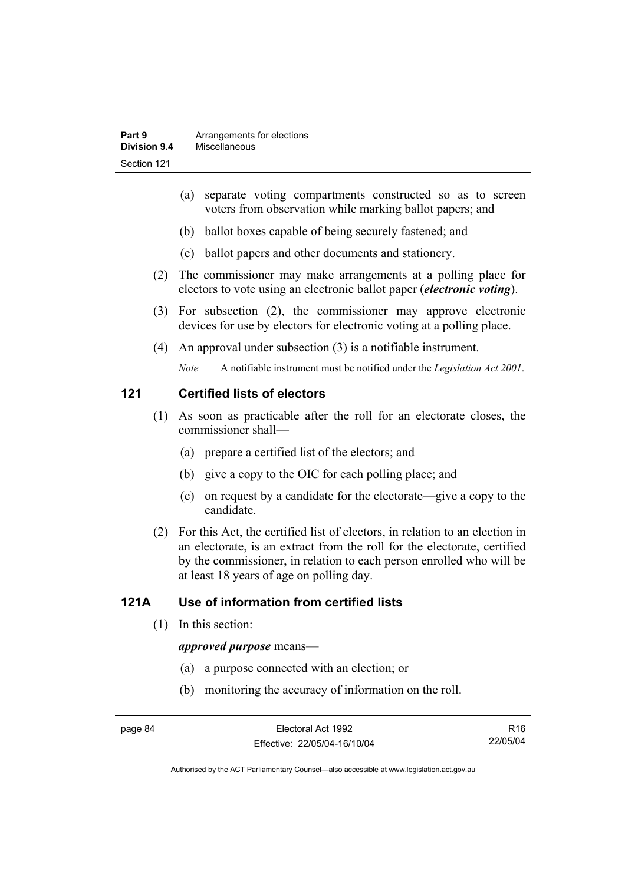- (a) separate voting compartments constructed so as to screen voters from observation while marking ballot papers; and
- (b) ballot boxes capable of being securely fastened; and
- (c) ballot papers and other documents and stationery.
- (2) The commissioner may make arrangements at a polling place for electors to vote using an electronic ballot paper (*electronic voting*).
- (3) For subsection (2), the commissioner may approve electronic devices for use by electors for electronic voting at a polling place.
- (4) An approval under subsection (3) is a notifiable instrument.

*Note* A notifiable instrument must be notified under the *Legislation Act 2001*.

#### **121 Certified lists of electors**

- (1) As soon as practicable after the roll for an electorate closes, the commissioner shall—
	- (a) prepare a certified list of the electors; and
	- (b) give a copy to the OIC for each polling place; and
	- (c) on request by a candidate for the electorate—give a copy to the candidate.
- (2) For this Act, the certified list of electors, in relation to an election in an electorate, is an extract from the roll for the electorate, certified by the commissioner, in relation to each person enrolled who will be at least 18 years of age on polling day.

# **121A Use of information from certified lists**

(1) In this section:

#### *approved purpose* means—

- (a) a purpose connected with an election; or
- (b) monitoring the accuracy of information on the roll.

R16 22/05/04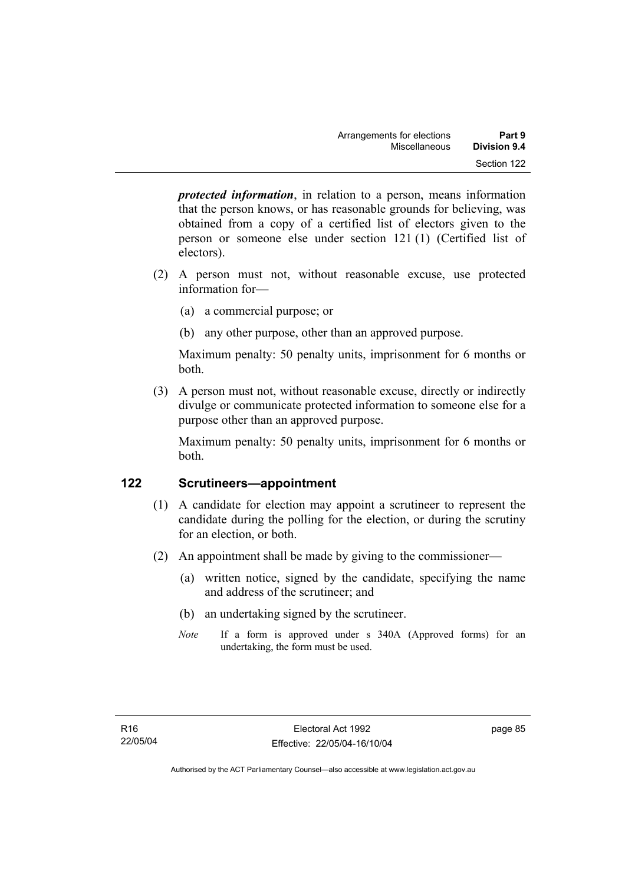*protected information*, in relation to a person, means information that the person knows, or has reasonable grounds for believing, was obtained from a copy of a certified list of electors given to the person or someone else under section 121 (1) (Certified list of electors).

- (2) A person must not, without reasonable excuse, use protected information for—
	- (a) a commercial purpose; or
	- (b) any other purpose, other than an approved purpose.

Maximum penalty: 50 penalty units, imprisonment for 6 months or both.

 (3) A person must not, without reasonable excuse, directly or indirectly divulge or communicate protected information to someone else for a purpose other than an approved purpose.

Maximum penalty: 50 penalty units, imprisonment for 6 months or both.

# **122 Scrutineers—appointment**

- (1) A candidate for election may appoint a scrutineer to represent the candidate during the polling for the election, or during the scrutiny for an election, or both.
- (2) An appointment shall be made by giving to the commissioner—
	- (a) written notice, signed by the candidate, specifying the name and address of the scrutineer; and
	- (b) an undertaking signed by the scrutineer.
	- *Note* If a form is approved under s 340A (Approved forms) for an undertaking, the form must be used.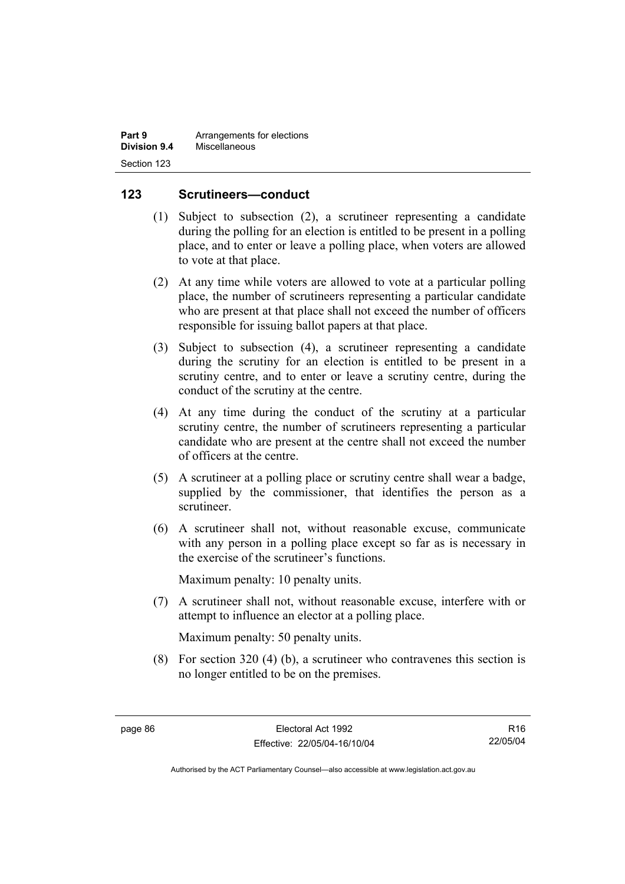| Part 9       | Arrangements for elections |
|--------------|----------------------------|
| Division 9.4 | Miscellaneous              |
| Section 123  |                            |

#### **123 Scrutineers—conduct**

- (1) Subject to subsection (2), a scrutineer representing a candidate during the polling for an election is entitled to be present in a polling place, and to enter or leave a polling place, when voters are allowed to vote at that place.
- (2) At any time while voters are allowed to vote at a particular polling place, the number of scrutineers representing a particular candidate who are present at that place shall not exceed the number of officers responsible for issuing ballot papers at that place.
- (3) Subject to subsection (4), a scrutineer representing a candidate during the scrutiny for an election is entitled to be present in a scrutiny centre, and to enter or leave a scrutiny centre, during the conduct of the scrutiny at the centre.
- (4) At any time during the conduct of the scrutiny at a particular scrutiny centre, the number of scrutineers representing a particular candidate who are present at the centre shall not exceed the number of officers at the centre.
- (5) A scrutineer at a polling place or scrutiny centre shall wear a badge, supplied by the commissioner, that identifies the person as a scrutineer.
- (6) A scrutineer shall not, without reasonable excuse, communicate with any person in a polling place except so far as is necessary in the exercise of the scrutineer's functions.

Maximum penalty: 10 penalty units.

 (7) A scrutineer shall not, without reasonable excuse, interfere with or attempt to influence an elector at a polling place.

Maximum penalty: 50 penalty units.

 (8) For section 320 (4) (b), a scrutineer who contravenes this section is no longer entitled to be on the premises.

R16 22/05/04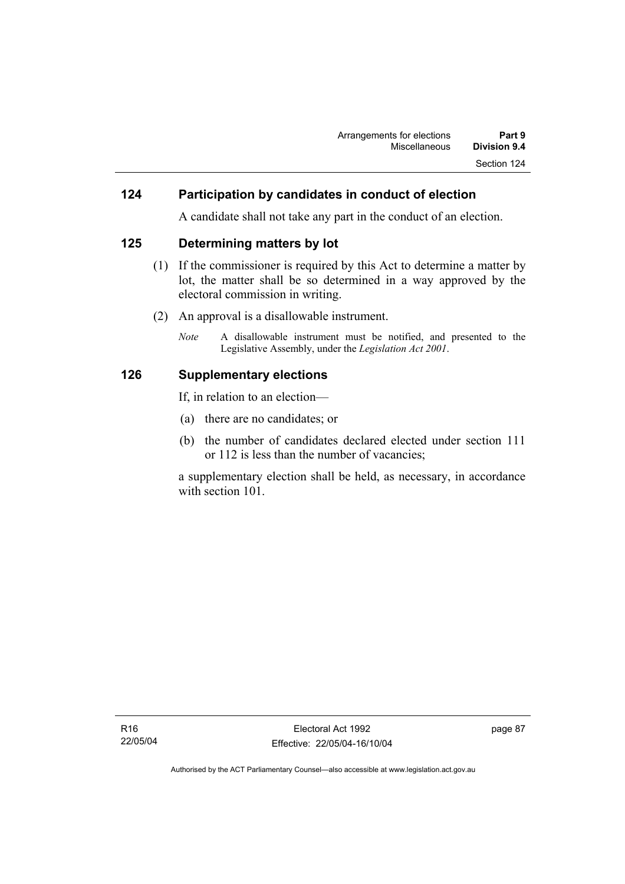#### **124 Participation by candidates in conduct of election**

A candidate shall not take any part in the conduct of an election.

#### **125 Determining matters by lot**

- (1) If the commissioner is required by this Act to determine a matter by lot, the matter shall be so determined in a way approved by the electoral commission in writing.
- (2) An approval is a disallowable instrument.
	- *Note* A disallowable instrument must be notified, and presented to the Legislative Assembly, under the *Legislation Act 2001*.

#### **126 Supplementary elections**

If, in relation to an election—

- (a) there are no candidates; or
- (b) the number of candidates declared elected under section 111 or 112 is less than the number of vacancies;

a supplementary election shall be held, as necessary, in accordance with section 101.

page 87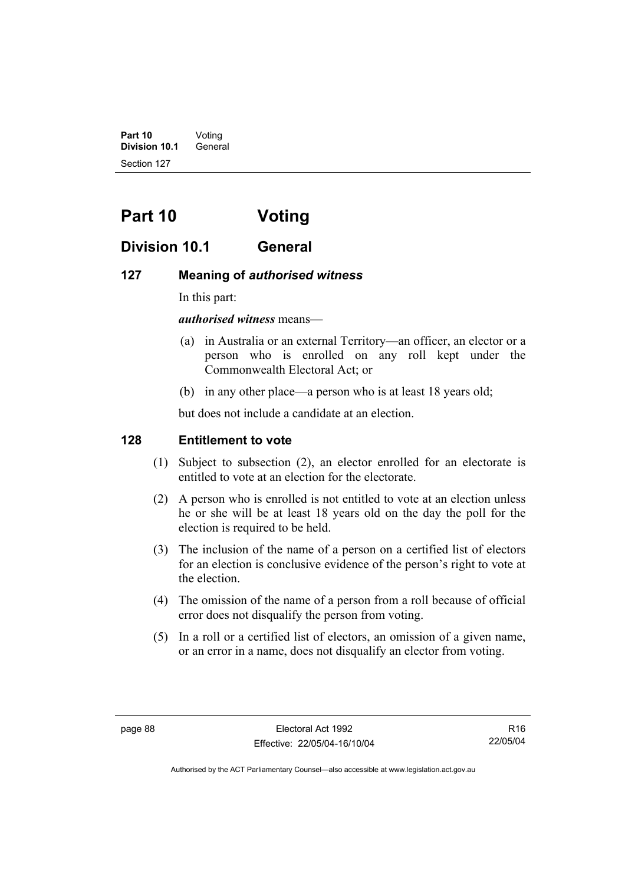**Part 10** Voting **Division 10.1** General Section 127

# **Part 10 Voting**

# **Division 10.1 General**

#### **127 Meaning of** *authorised witness*

In this part:

#### *authorised witness* means—

- (a) in Australia or an external Territory—an officer, an elector or a person who is enrolled on any roll kept under the Commonwealth Electoral Act; or
- (b) in any other place—a person who is at least 18 years old;

but does not include a candidate at an election.

# **128 Entitlement to vote**

- (1) Subject to subsection (2), an elector enrolled for an electorate is entitled to vote at an election for the electorate.
- (2) A person who is enrolled is not entitled to vote at an election unless he or she will be at least 18 years old on the day the poll for the election is required to be held.
- (3) The inclusion of the name of a person on a certified list of electors for an election is conclusive evidence of the person's right to vote at the election.
- (4) The omission of the name of a person from a roll because of official error does not disqualify the person from voting.
- (5) In a roll or a certified list of electors, an omission of a given name, or an error in a name, does not disqualify an elector from voting.

R16 22/05/04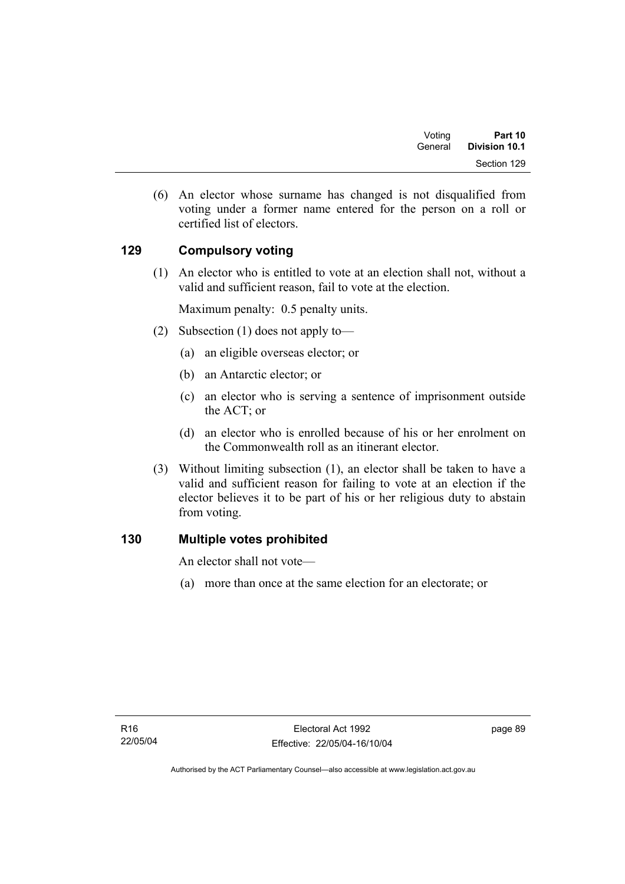| Voting  | Part 10       |
|---------|---------------|
| General | Division 10.1 |
|         | Section 129   |

 (6) An elector whose surname has changed is not disqualified from voting under a former name entered for the person on a roll or certified list of electors.

# **129 Compulsory voting**

 (1) An elector who is entitled to vote at an election shall not, without a valid and sufficient reason, fail to vote at the election.

Maximum penalty: 0.5 penalty units.

- (2) Subsection (1) does not apply to—
	- (a) an eligible overseas elector; or
	- (b) an Antarctic elector; or
	- (c) an elector who is serving a sentence of imprisonment outside the ACT; or
	- (d) an elector who is enrolled because of his or her enrolment on the Commonwealth roll as an itinerant elector.
- (3) Without limiting subsection (1), an elector shall be taken to have a valid and sufficient reason for failing to vote at an election if the elector believes it to be part of his or her religious duty to abstain from voting.

# **130 Multiple votes prohibited**

An elector shall not vote—

(a) more than once at the same election for an electorate; or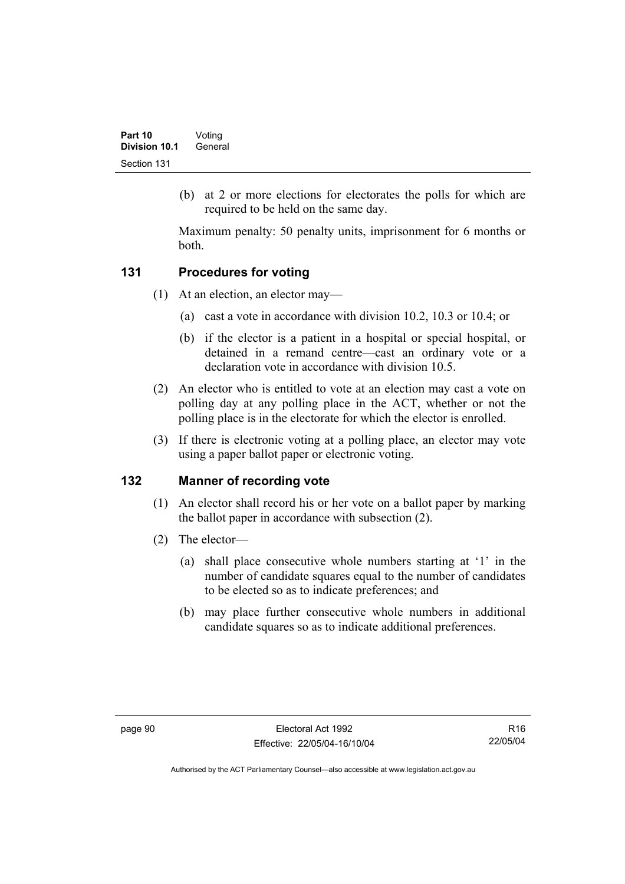(b) at 2 or more elections for electorates the polls for which are required to be held on the same day.

Maximum penalty: 50 penalty units, imprisonment for 6 months or both.

# **131 Procedures for voting**

- (1) At an election, an elector may—
	- (a) cast a vote in accordance with division 10.2, 10.3 or 10.4; or
	- (b) if the elector is a patient in a hospital or special hospital, or detained in a remand centre—cast an ordinary vote or a declaration vote in accordance with division 10.5.
- (2) An elector who is entitled to vote at an election may cast a vote on polling day at any polling place in the ACT, whether or not the polling place is in the electorate for which the elector is enrolled.
- (3) If there is electronic voting at a polling place, an elector may vote using a paper ballot paper or electronic voting.

# **132 Manner of recording vote**

- (1) An elector shall record his or her vote on a ballot paper by marking the ballot paper in accordance with subsection (2).
- (2) The elector—
	- (a) shall place consecutive whole numbers starting at '1' in the number of candidate squares equal to the number of candidates to be elected so as to indicate preferences; and
	- (b) may place further consecutive whole numbers in additional candidate squares so as to indicate additional preferences.

R16 22/05/04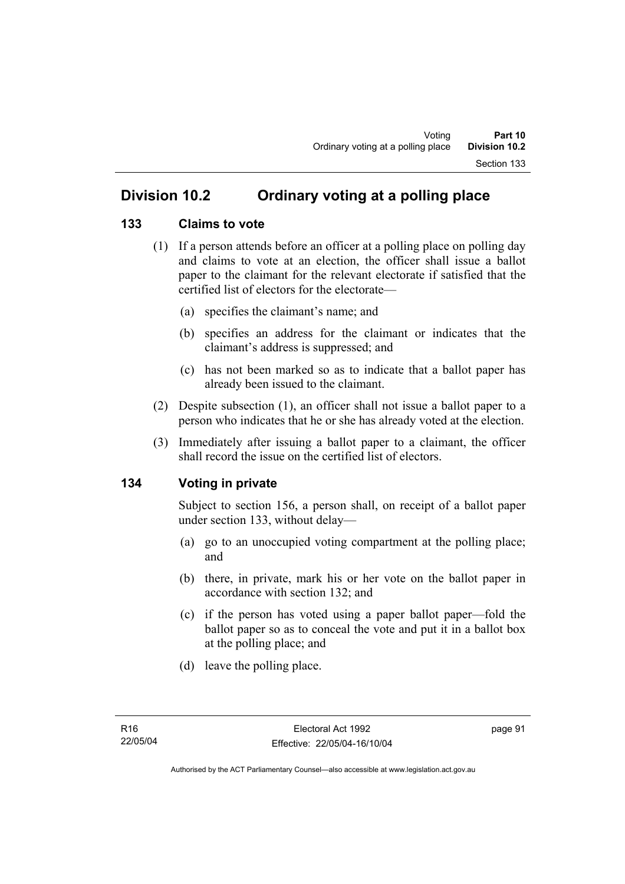# **Division 10.2 Ordinary voting at a polling place**

#### **133 Claims to vote**

- (1) If a person attends before an officer at a polling place on polling day and claims to vote at an election, the officer shall issue a ballot paper to the claimant for the relevant electorate if satisfied that the certified list of electors for the electorate—
	- (a) specifies the claimant's name; and
	- (b) specifies an address for the claimant or indicates that the claimant's address is suppressed; and
	- (c) has not been marked so as to indicate that a ballot paper has already been issued to the claimant.
- (2) Despite subsection (1), an officer shall not issue a ballot paper to a person who indicates that he or she has already voted at the election.
- (3) Immediately after issuing a ballot paper to a claimant, the officer shall record the issue on the certified list of electors.

#### **134 Voting in private**

Subject to section 156, a person shall, on receipt of a ballot paper under section 133, without delay—

- (a) go to an unoccupied voting compartment at the polling place; and
- (b) there, in private, mark his or her vote on the ballot paper in accordance with section 132; and
- (c) if the person has voted using a paper ballot paper—fold the ballot paper so as to conceal the vote and put it in a ballot box at the polling place; and
- (d) leave the polling place.

page 91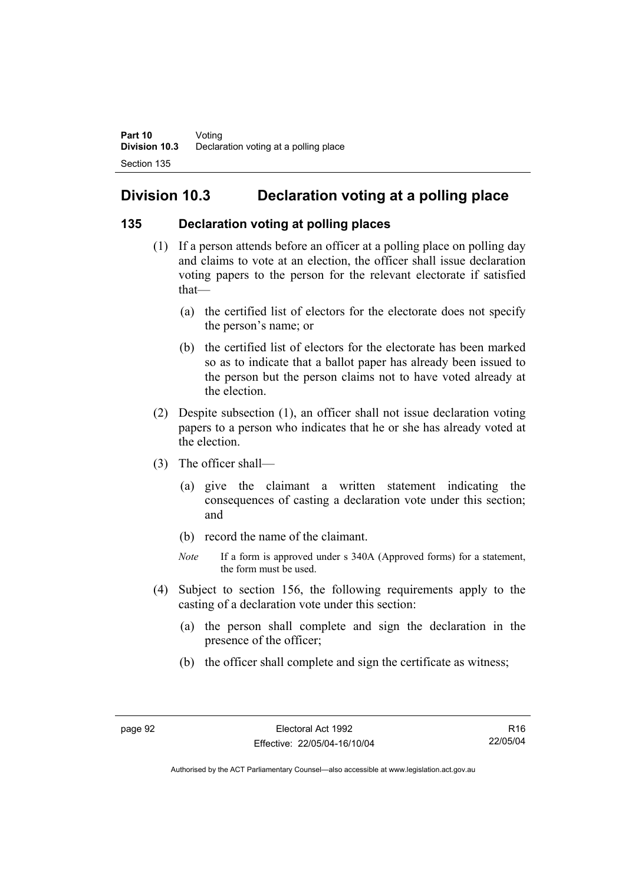# **Division 10.3 Declaration voting at a polling place**

### **135 Declaration voting at polling places**

- (1) If a person attends before an officer at a polling place on polling day and claims to vote at an election, the officer shall issue declaration voting papers to the person for the relevant electorate if satisfied that—
	- (a) the certified list of electors for the electorate does not specify the person's name; or
	- (b) the certified list of electors for the electorate has been marked so as to indicate that a ballot paper has already been issued to the person but the person claims not to have voted already at the election.
- (2) Despite subsection (1), an officer shall not issue declaration voting papers to a person who indicates that he or she has already voted at the election.
- (3) The officer shall—
	- (a) give the claimant a written statement indicating the consequences of casting a declaration vote under this section; and
	- (b) record the name of the claimant.
	- *Note* If a form is approved under s 340A (Approved forms) for a statement, the form must be used.
- (4) Subject to section 156, the following requirements apply to the casting of a declaration vote under this section:
	- (a) the person shall complete and sign the declaration in the presence of the officer;
	- (b) the officer shall complete and sign the certificate as witness;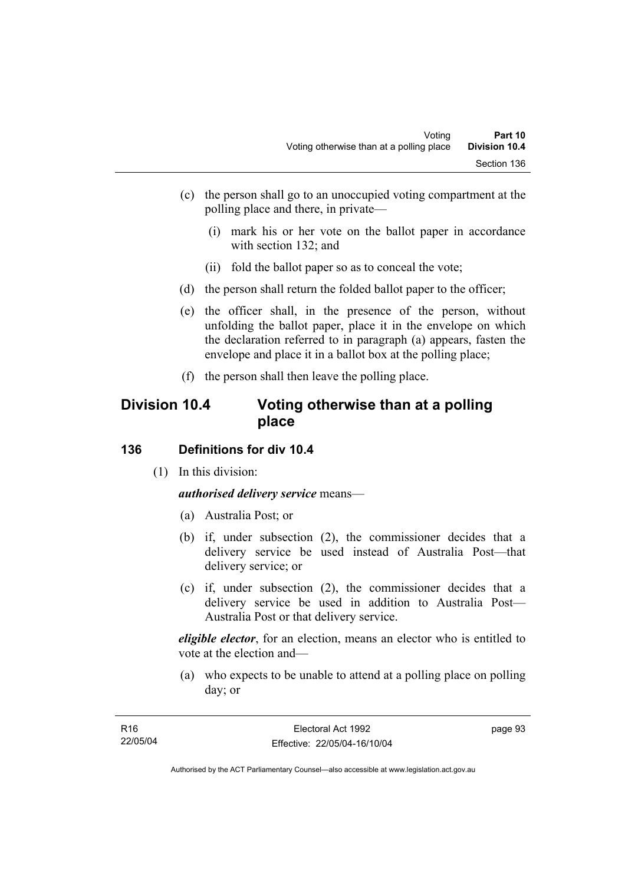- (c) the person shall go to an unoccupied voting compartment at the polling place and there, in private—
	- (i) mark his or her vote on the ballot paper in accordance with section 132; and
	- (ii) fold the ballot paper so as to conceal the vote;
- (d) the person shall return the folded ballot paper to the officer;
- (e) the officer shall, in the presence of the person, without unfolding the ballot paper, place it in the envelope on which the declaration referred to in paragraph (a) appears, fasten the envelope and place it in a ballot box at the polling place;
- (f) the person shall then leave the polling place.

# **Division 10.4 Voting otherwise than at a polling place**

### **136 Definitions for div 10.4**

(1) In this division:

*authorised delivery service* means—

- (a) Australia Post; or
- (b) if, under subsection (2), the commissioner decides that a delivery service be used instead of Australia Post—that delivery service; or
- (c) if, under subsection (2), the commissioner decides that a delivery service be used in addition to Australia Post— Australia Post or that delivery service.

*eligible elector*, for an election, means an elector who is entitled to vote at the election and—

 (a) who expects to be unable to attend at a polling place on polling day; or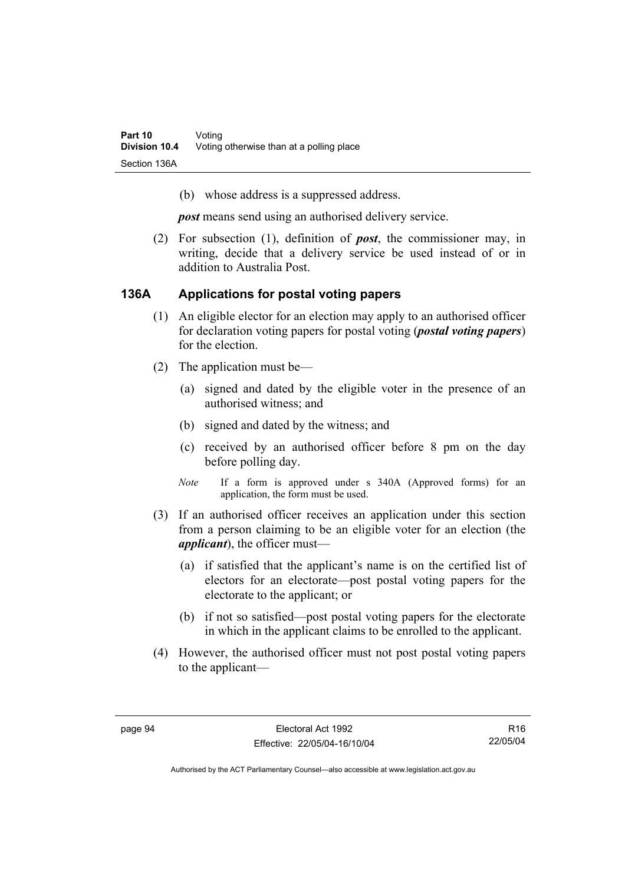(b) whose address is a suppressed address.

*post* means send using an authorised delivery service.

 (2) For subsection (1), definition of *post*, the commissioner may, in writing, decide that a delivery service be used instead of or in addition to Australia Post.

#### **136A Applications for postal voting papers**

- (1) An eligible elector for an election may apply to an authorised officer for declaration voting papers for postal voting (*postal voting papers*) for the election.
- (2) The application must be—
	- (a) signed and dated by the eligible voter in the presence of an authorised witness; and
	- (b) signed and dated by the witness; and
	- (c) received by an authorised officer before 8 pm on the day before polling day.
	- *Note* If a form is approved under s 340A (Approved forms) for an application, the form must be used.
- (3) If an authorised officer receives an application under this section from a person claiming to be an eligible voter for an election (the *applicant*), the officer must—
	- (a) if satisfied that the applicant's name is on the certified list of electors for an electorate—post postal voting papers for the electorate to the applicant; or
	- (b) if not so satisfied—post postal voting papers for the electorate in which in the applicant claims to be enrolled to the applicant.
- (4) However, the authorised officer must not post postal voting papers to the applicant—

R16 22/05/04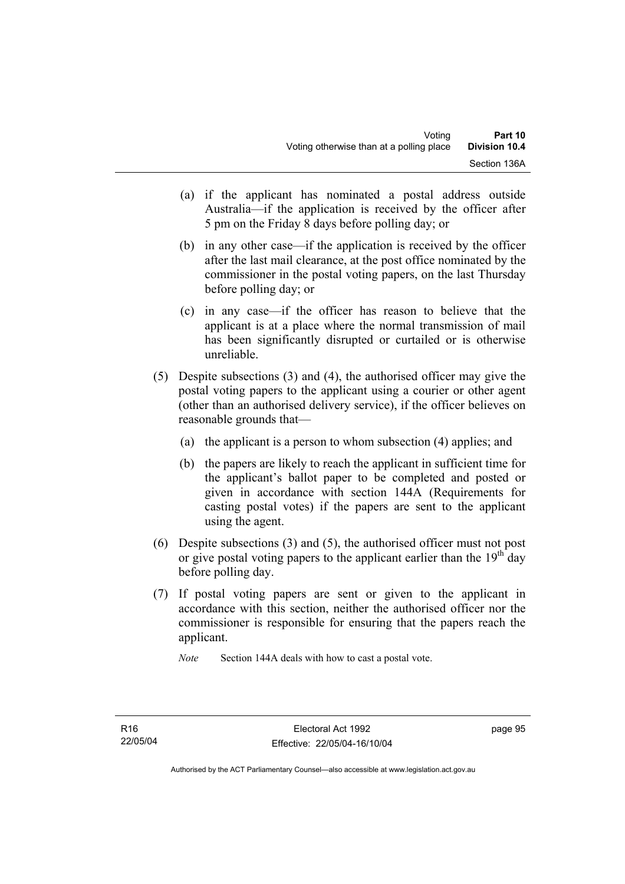- (a) if the applicant has nominated a postal address outside Australia—if the application is received by the officer after 5 pm on the Friday 8 days before polling day; or
- (b) in any other case—if the application is received by the officer after the last mail clearance, at the post office nominated by the commissioner in the postal voting papers, on the last Thursday before polling day; or
- (c) in any case—if the officer has reason to believe that the applicant is at a place where the normal transmission of mail has been significantly disrupted or curtailed or is otherwise unreliable.
- (5) Despite subsections (3) and (4), the authorised officer may give the postal voting papers to the applicant using a courier or other agent (other than an authorised delivery service), if the officer believes on reasonable grounds that—
	- (a) the applicant is a person to whom subsection (4) applies; and
	- (b) the papers are likely to reach the applicant in sufficient time for the applicant's ballot paper to be completed and posted or given in accordance with section 144A (Requirements for casting postal votes) if the papers are sent to the applicant using the agent.
- (6) Despite subsections (3) and (5), the authorised officer must not post or give postal voting papers to the applicant earlier than the  $19<sup>th</sup>$  day before polling day.
- (7) If postal voting papers are sent or given to the applicant in accordance with this section, neither the authorised officer nor the commissioner is responsible for ensuring that the papers reach the applicant.

*Note* Section 144A deals with how to cast a postal vote.

page 95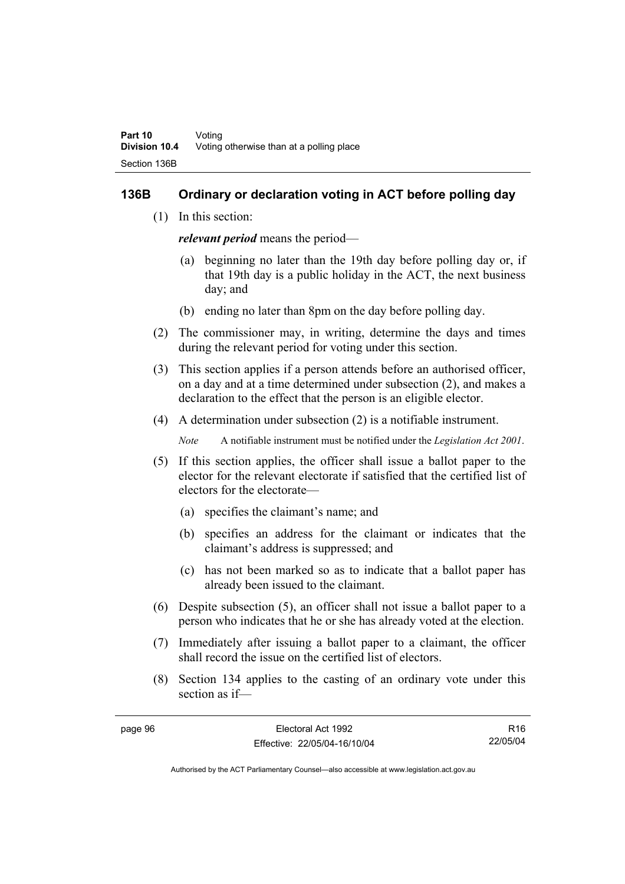#### **136B Ordinary or declaration voting in ACT before polling day**

(1) In this section:

*relevant period* means the period—

- (a) beginning no later than the 19th day before polling day or, if that 19th day is a public holiday in the ACT, the next business day; and
- (b) ending no later than 8pm on the day before polling day.
- (2) The commissioner may, in writing, determine the days and times during the relevant period for voting under this section.
- (3) This section applies if a person attends before an authorised officer, on a day and at a time determined under subsection (2), and makes a declaration to the effect that the person is an eligible elector.
- (4) A determination under subsection (2) is a notifiable instrument.

*Note* A notifiable instrument must be notified under the *Legislation Act 2001*.

- (5) If this section applies, the officer shall issue a ballot paper to the elector for the relevant electorate if satisfied that the certified list of electors for the electorate—
	- (a) specifies the claimant's name; and
	- (b) specifies an address for the claimant or indicates that the claimant's address is suppressed; and
	- (c) has not been marked so as to indicate that a ballot paper has already been issued to the claimant.
- (6) Despite subsection (5), an officer shall not issue a ballot paper to a person who indicates that he or she has already voted at the election.
- (7) Immediately after issuing a ballot paper to a claimant, the officer shall record the issue on the certified list of electors.
- (8) Section 134 applies to the casting of an ordinary vote under this section as if—

R16 22/05/04

| page 96 | Electoral Act 1992           |  |
|---------|------------------------------|--|
|         | Effective: 22/05/04-16/10/04 |  |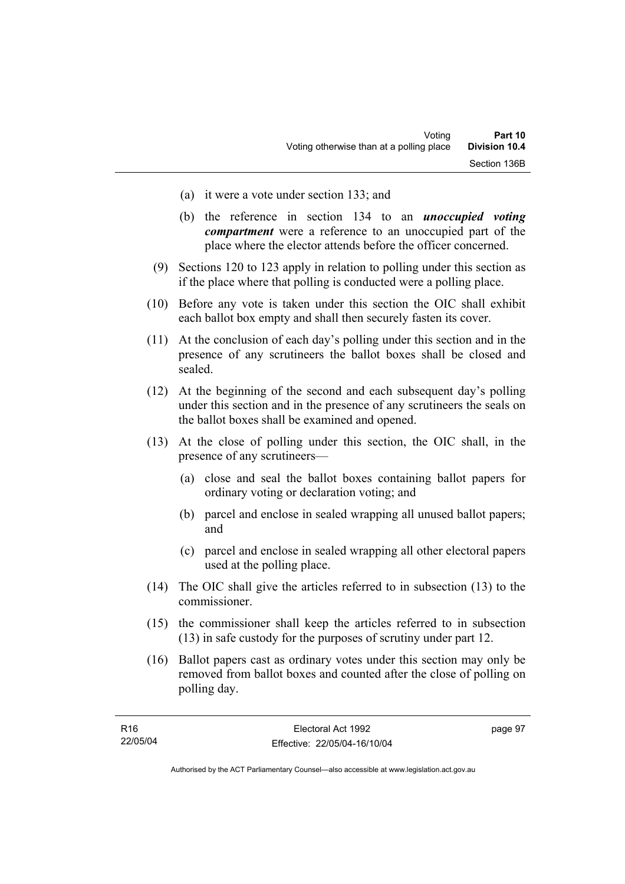- (a) it were a vote under section 133; and
- (b) the reference in section 134 to an *unoccupied voting compartment* were a reference to an unoccupied part of the place where the elector attends before the officer concerned.
- (9) Sections 120 to 123 apply in relation to polling under this section as if the place where that polling is conducted were a polling place.
- (10) Before any vote is taken under this section the OIC shall exhibit each ballot box empty and shall then securely fasten its cover.
- (11) At the conclusion of each day's polling under this section and in the presence of any scrutineers the ballot boxes shall be closed and sealed.
- (12) At the beginning of the second and each subsequent day's polling under this section and in the presence of any scrutineers the seals on the ballot boxes shall be examined and opened.
- (13) At the close of polling under this section, the OIC shall, in the presence of any scrutineers—
	- (a) close and seal the ballot boxes containing ballot papers for ordinary voting or declaration voting; and
	- (b) parcel and enclose in sealed wrapping all unused ballot papers; and
	- (c) parcel and enclose in sealed wrapping all other electoral papers used at the polling place.
- (14) The OIC shall give the articles referred to in subsection (13) to the commissioner.
- (15) the commissioner shall keep the articles referred to in subsection (13) in safe custody for the purposes of scrutiny under part 12.
- (16) Ballot papers cast as ordinary votes under this section may only be removed from ballot boxes and counted after the close of polling on polling day.

| R16      | Electoral Act 1992           | page 97 |
|----------|------------------------------|---------|
| 22/05/04 | Effective: 22/05/04-16/10/04 |         |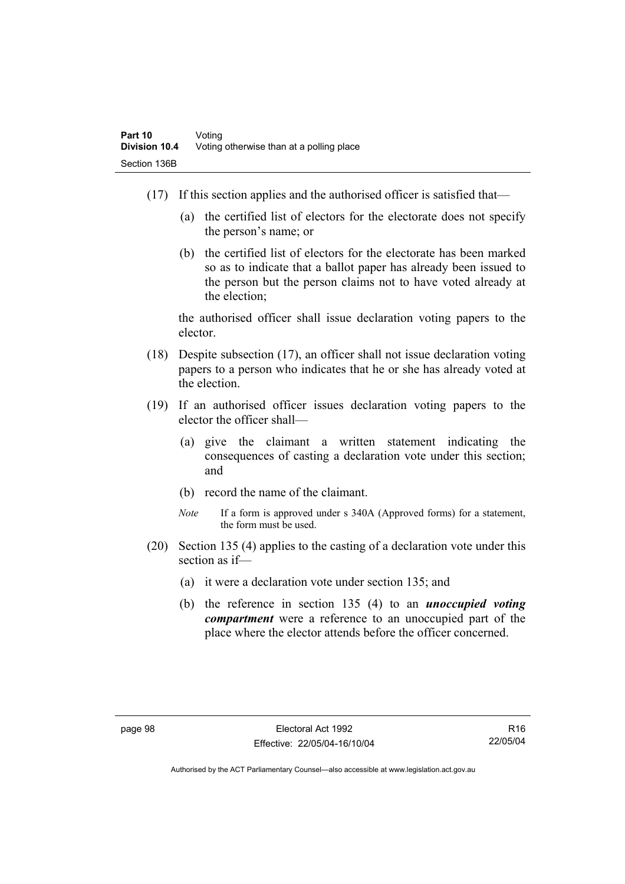- (17) If this section applies and the authorised officer is satisfied that—
	- (a) the certified list of electors for the electorate does not specify the person's name; or
	- (b) the certified list of electors for the electorate has been marked so as to indicate that a ballot paper has already been issued to the person but the person claims not to have voted already at the election;

the authorised officer shall issue declaration voting papers to the elector.

- (18) Despite subsection (17), an officer shall not issue declaration voting papers to a person who indicates that he or she has already voted at the election.
- (19) If an authorised officer issues declaration voting papers to the elector the officer shall—
	- (a) give the claimant a written statement indicating the consequences of casting a declaration vote under this section; and
	- (b) record the name of the claimant.
	- *Note* If a form is approved under s 340A (Approved forms) for a statement, the form must be used.
- (20) Section 135 (4) applies to the casting of a declaration vote under this section as if—
	- (a) it were a declaration vote under section 135; and
	- (b) the reference in section 135 (4) to an *unoccupied voting compartment* were a reference to an unoccupied part of the place where the elector attends before the officer concerned.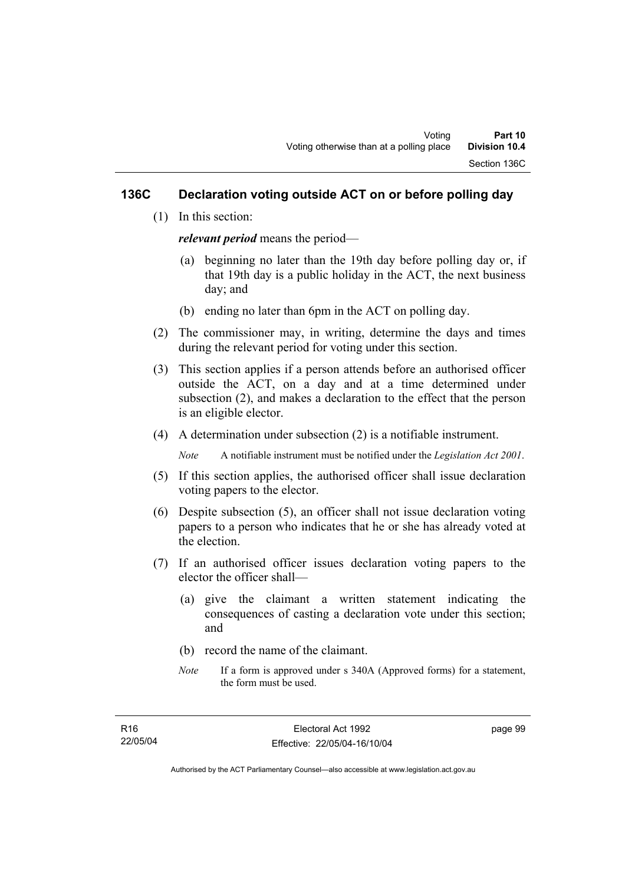### **136C Declaration voting outside ACT on or before polling day**

(1) In this section:

*relevant period* means the period—

- (a) beginning no later than the 19th day before polling day or, if that 19th day is a public holiday in the ACT, the next business day; and
- (b) ending no later than 6pm in the ACT on polling day.
- (2) The commissioner may, in writing, determine the days and times during the relevant period for voting under this section.
- (3) This section applies if a person attends before an authorised officer outside the ACT, on a day and at a time determined under subsection (2), and makes a declaration to the effect that the person is an eligible elector.
- (4) A determination under subsection (2) is a notifiable instrument.

*Note* A notifiable instrument must be notified under the *Legislation Act 2001*.

- (5) If this section applies, the authorised officer shall issue declaration voting papers to the elector.
- (6) Despite subsection (5), an officer shall not issue declaration voting papers to a person who indicates that he or she has already voted at the election.
- (7) If an authorised officer issues declaration voting papers to the elector the officer shall—
	- (a) give the claimant a written statement indicating the consequences of casting a declaration vote under this section; and
	- (b) record the name of the claimant.
	- *Note* If a form is approved under s 340A (Approved forms) for a statement, the form must be used.

page 99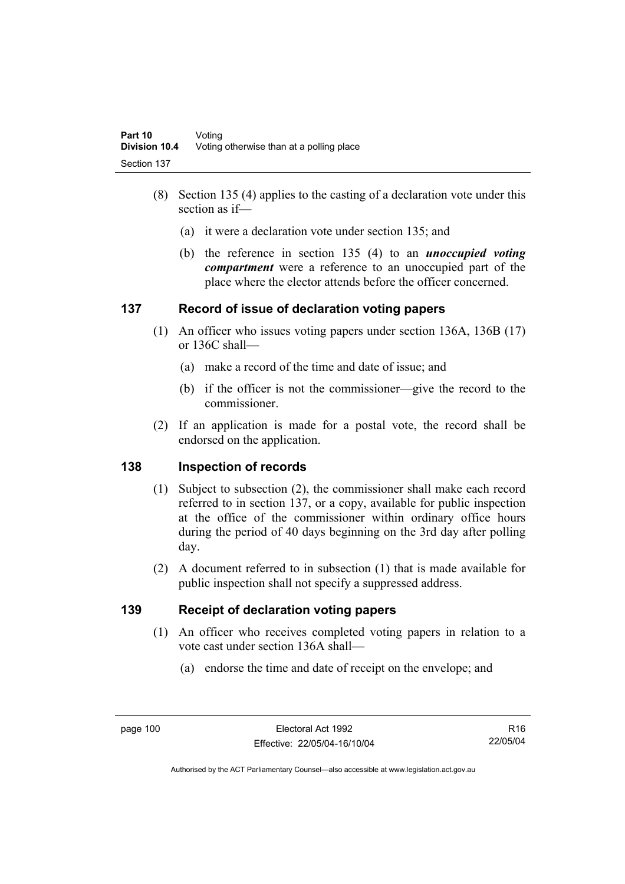- (8) Section 135 (4) applies to the casting of a declaration vote under this section as if—
	- (a) it were a declaration vote under section 135; and
	- (b) the reference in section 135 (4) to an *unoccupied voting compartment* were a reference to an unoccupied part of the place where the elector attends before the officer concerned.

### **137 Record of issue of declaration voting papers**

- (1) An officer who issues voting papers under section 136A, 136B (17) or 136C shall—
	- (a) make a record of the time and date of issue; and
	- (b) if the officer is not the commissioner—give the record to the commissioner.
- (2) If an application is made for a postal vote, the record shall be endorsed on the application.

### **138 Inspection of records**

- (1) Subject to subsection (2), the commissioner shall make each record referred to in section 137, or a copy, available for public inspection at the office of the commissioner within ordinary office hours during the period of 40 days beginning on the 3rd day after polling day.
- (2) A document referred to in subsection (1) that is made available for public inspection shall not specify a suppressed address.

### **139 Receipt of declaration voting papers**

- (1) An officer who receives completed voting papers in relation to a vote cast under section 136A shall—
	- (a) endorse the time and date of receipt on the envelope; and

R16 22/05/04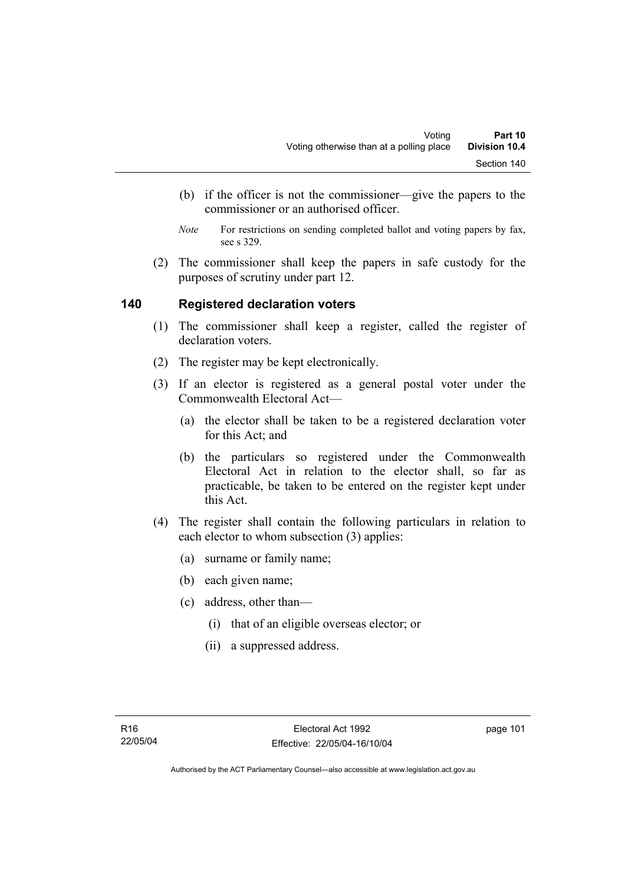- (b) if the officer is not the commissioner—give the papers to the commissioner or an authorised officer.
- *Note* For restrictions on sending completed ballot and voting papers by fax, see s 329.
- (2) The commissioner shall keep the papers in safe custody for the purposes of scrutiny under part 12.

#### **140 Registered declaration voters**

- (1) The commissioner shall keep a register, called the register of declaration voters.
- (2) The register may be kept electronically.
- (3) If an elector is registered as a general postal voter under the Commonwealth Electoral Act—
	- (a) the elector shall be taken to be a registered declaration voter for this Act; and
	- (b) the particulars so registered under the Commonwealth Electoral Act in relation to the elector shall, so far as practicable, be taken to be entered on the register kept under this Act.
- (4) The register shall contain the following particulars in relation to each elector to whom subsection (3) applies:
	- (a) surname or family name;
	- (b) each given name;
	- (c) address, other than—
		- (i) that of an eligible overseas elector; or
		- (ii) a suppressed address.

page 101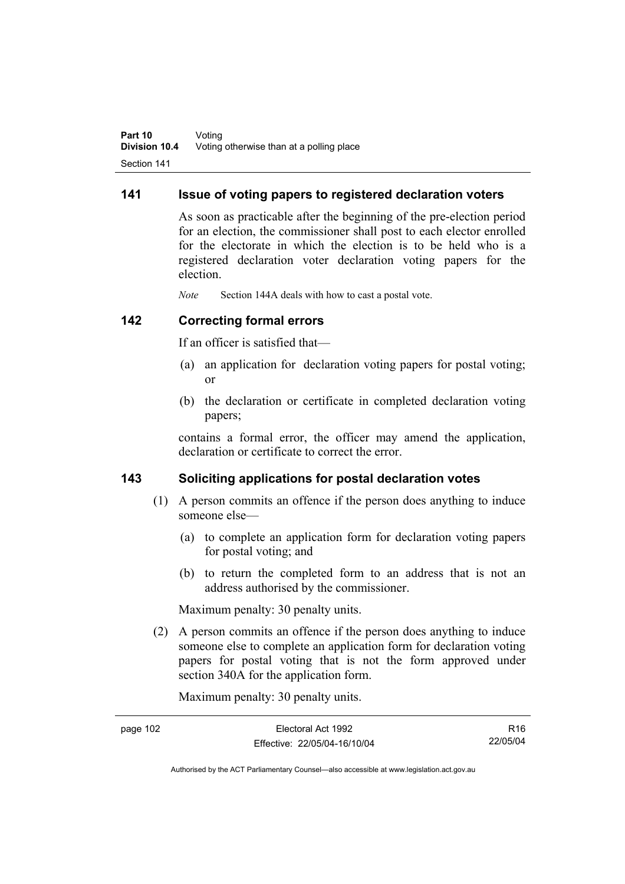#### **141 Issue of voting papers to registered declaration voters**

As soon as practicable after the beginning of the pre-election period for an election, the commissioner shall post to each elector enrolled for the electorate in which the election is to be held who is a registered declaration voter declaration voting papers for the election.

*Note* Section 144A deals with how to cast a postal vote.

#### **142 Correcting formal errors**

If an officer is satisfied that—

- (a) an application for declaration voting papers for postal voting; or
- (b) the declaration or certificate in completed declaration voting papers;

contains a formal error, the officer may amend the application, declaration or certificate to correct the error.

#### **143 Soliciting applications for postal declaration votes**

- (1) A person commits an offence if the person does anything to induce someone else—
	- (a) to complete an application form for declaration voting papers for postal voting; and
	- (b) to return the completed form to an address that is not an address authorised by the commissioner.

Maximum penalty: 30 penalty units.

 (2) A person commits an offence if the person does anything to induce someone else to complete an application form for declaration voting papers for postal voting that is not the form approved under section 340A for the application form.

Maximum penalty: 30 penalty units.

| page 102 | Electoral Act 1992           | R16      |
|----------|------------------------------|----------|
|          | Effective: 22/05/04-16/10/04 | 22/05/04 |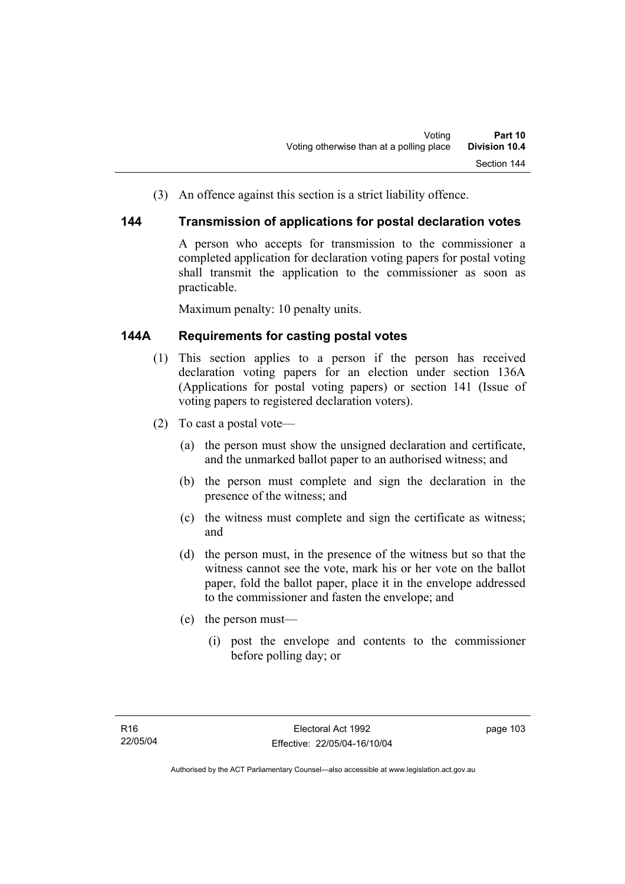(3) An offence against this section is a strict liability offence.

#### **144 Transmission of applications for postal declaration votes**

A person who accepts for transmission to the commissioner a completed application for declaration voting papers for postal voting shall transmit the application to the commissioner as soon as practicable.

Maximum penalty: 10 penalty units.

### **144A Requirements for casting postal votes**

- (1) This section applies to a person if the person has received declaration voting papers for an election under section 136A (Applications for postal voting papers) or section 141 (Issue of voting papers to registered declaration voters).
- (2) To cast a postal vote—
	- (a) the person must show the unsigned declaration and certificate, and the unmarked ballot paper to an authorised witness; and
	- (b) the person must complete and sign the declaration in the presence of the witness; and
	- (c) the witness must complete and sign the certificate as witness; and
	- (d) the person must, in the presence of the witness but so that the witness cannot see the vote, mark his or her vote on the ballot paper, fold the ballot paper, place it in the envelope addressed to the commissioner and fasten the envelope; and
	- (e) the person must—
		- (i) post the envelope and contents to the commissioner before polling day; or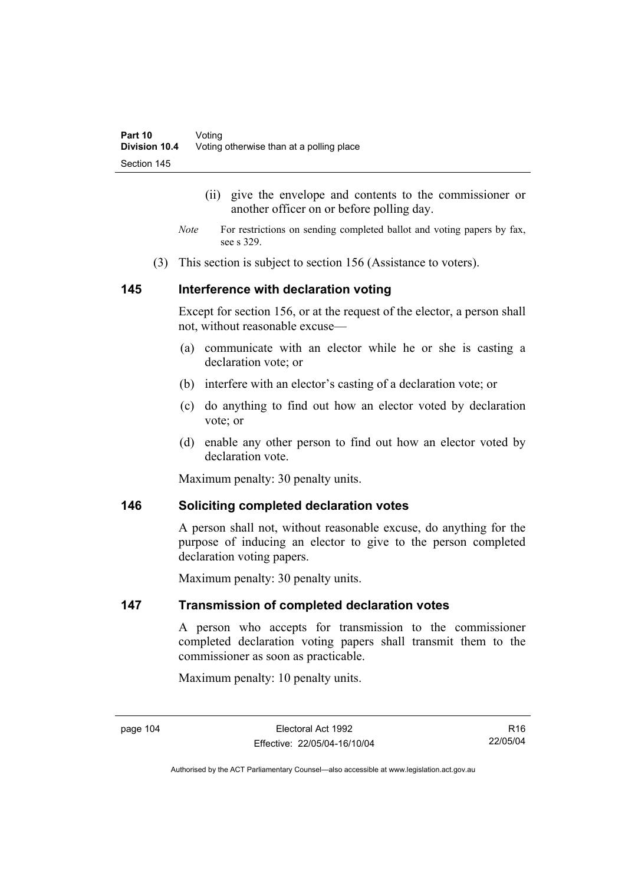- (ii) give the envelope and contents to the commissioner or another officer on or before polling day.
- *Note* For restrictions on sending completed ballot and voting papers by fax, see s 329.
- (3) This section is subject to section 156 (Assistance to voters).

#### **145 Interference with declaration voting**

Except for section 156, or at the request of the elector, a person shall not, without reasonable excuse—

- (a) communicate with an elector while he or she is casting a declaration vote; or
- (b) interfere with an elector's casting of a declaration vote; or
- (c) do anything to find out how an elector voted by declaration vote; or
- (d) enable any other person to find out how an elector voted by declaration vote

Maximum penalty: 30 penalty units.

#### **146 Soliciting completed declaration votes**

A person shall not, without reasonable excuse, do anything for the purpose of inducing an elector to give to the person completed declaration voting papers.

Maximum penalty: 30 penalty units.

#### **147 Transmission of completed declaration votes**

A person who accepts for transmission to the commissioner completed declaration voting papers shall transmit them to the commissioner as soon as practicable.

Maximum penalty: 10 penalty units.

R16 22/05/04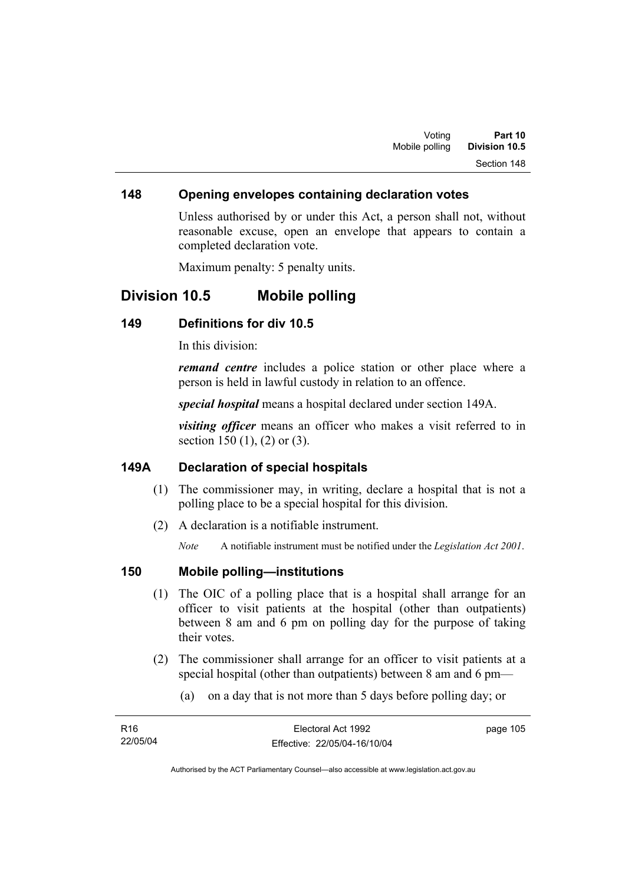#### **148 Opening envelopes containing declaration votes**

Unless authorised by or under this Act, a person shall not, without reasonable excuse, open an envelope that appears to contain a completed declaration vote.

Maximum penalty: 5 penalty units.

## **Division 10.5 Mobile polling**

#### **149 Definitions for div 10.5**

In this division:

*remand centre* includes a police station or other place where a person is held in lawful custody in relation to an offence.

*special hospital* means a hospital declared under section 149A.

*visiting officer* means an officer who makes a visit referred to in section 150 (1), (2) or (3).

#### **149A Declaration of special hospitals**

- (1) The commissioner may, in writing, declare a hospital that is not a polling place to be a special hospital for this division.
- (2) A declaration is a notifiable instrument.

*Note* A notifiable instrument must be notified under the *Legislation Act 2001*.

#### **150 Mobile polling—institutions**

- (1) The OIC of a polling place that is a hospital shall arrange for an officer to visit patients at the hospital (other than outpatients) between 8 am and 6 pm on polling day for the purpose of taking their votes.
- (2) The commissioner shall arrange for an officer to visit patients at a special hospital (other than outpatients) between 8 am and 6 pm—
	- (a) on a day that is not more than 5 days before polling day; or

| R16      | Electoral Act 1992           | page 105 |
|----------|------------------------------|----------|
| 22/05/04 | Effective: 22/05/04-16/10/04 |          |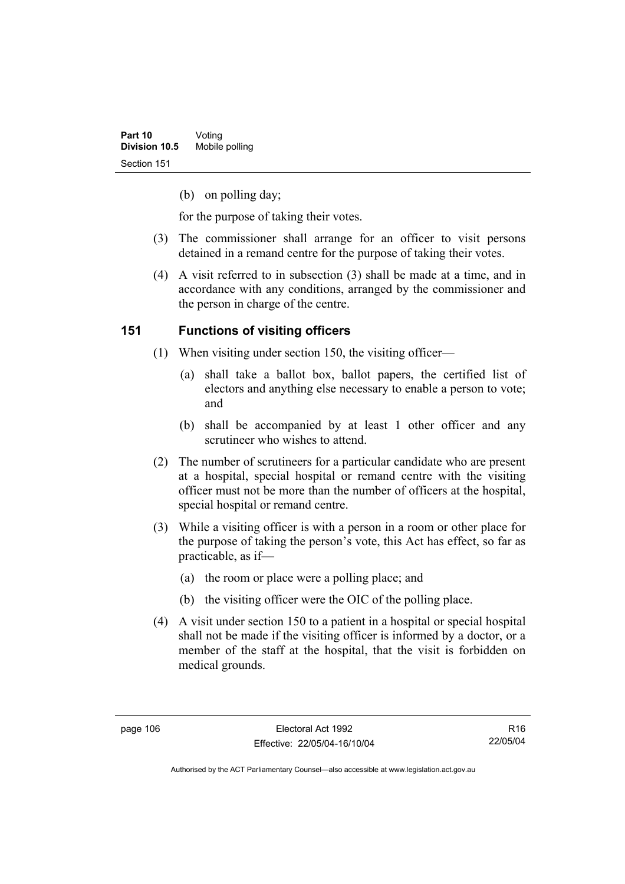(b) on polling day;

for the purpose of taking their votes.

- (3) The commissioner shall arrange for an officer to visit persons detained in a remand centre for the purpose of taking their votes.
- (4) A visit referred to in subsection (3) shall be made at a time, and in accordance with any conditions, arranged by the commissioner and the person in charge of the centre.

### **151 Functions of visiting officers**

- (1) When visiting under section 150, the visiting officer—
	- (a) shall take a ballot box, ballot papers, the certified list of electors and anything else necessary to enable a person to vote; and
	- (b) shall be accompanied by at least 1 other officer and any scrutineer who wishes to attend.
- (2) The number of scrutineers for a particular candidate who are present at a hospital, special hospital or remand centre with the visiting officer must not be more than the number of officers at the hospital, special hospital or remand centre.
- (3) While a visiting officer is with a person in a room or other place for the purpose of taking the person's vote, this Act has effect, so far as practicable, as if—
	- (a) the room or place were a polling place; and
	- (b) the visiting officer were the OIC of the polling place.
- (4) A visit under section 150 to a patient in a hospital or special hospital shall not be made if the visiting officer is informed by a doctor, or a member of the staff at the hospital, that the visit is forbidden on medical grounds.

R16 22/05/04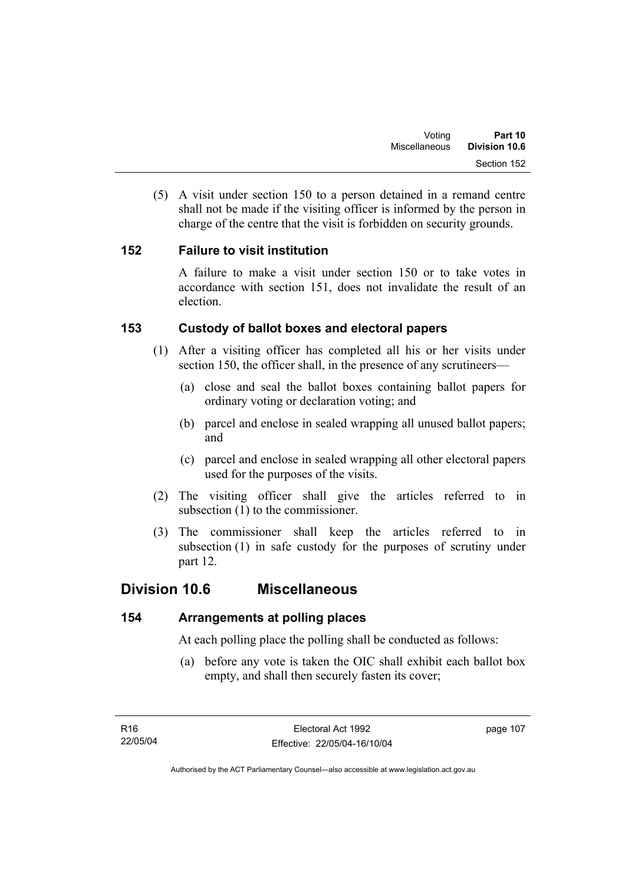(5) A visit under section 150 to a person detained in a remand centre shall not be made if the visiting officer is informed by the person in charge of the centre that the visit is forbidden on security grounds.

### **152 Failure to visit institution**

A failure to make a visit under section 150 or to take votes in accordance with section 151, does not invalidate the result of an election.

### **153 Custody of ballot boxes and electoral papers**

- (1) After a visiting officer has completed all his or her visits under section 150, the officer shall, in the presence of any scrutineers—
	- (a) close and seal the ballot boxes containing ballot papers for ordinary voting or declaration voting; and
	- (b) parcel and enclose in sealed wrapping all unused ballot papers; and
	- (c) parcel and enclose in sealed wrapping all other electoral papers used for the purposes of the visits.
- (2) The visiting officer shall give the articles referred to in subsection (1) to the commissioner.
- (3) The commissioner shall keep the articles referred to in subsection (1) in safe custody for the purposes of scrutiny under part 12.

## **Division 10.6 Miscellaneous**

## **154 Arrangements at polling places**

At each polling place the polling shall be conducted as follows:

 (a) before any vote is taken the OIC shall exhibit each ballot box empty, and shall then securely fasten its cover;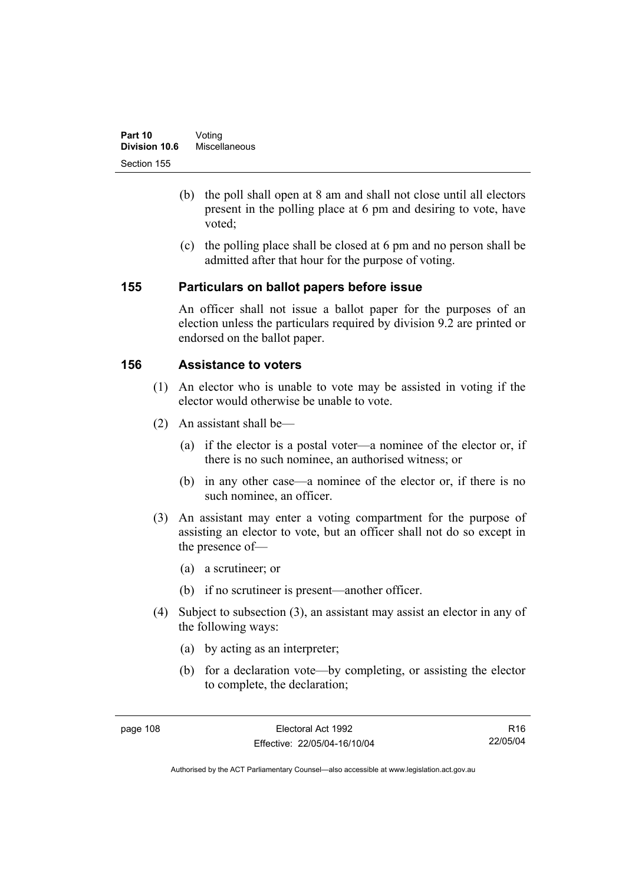- (b) the poll shall open at 8 am and shall not close until all electors present in the polling place at 6 pm and desiring to vote, have voted;
- (c) the polling place shall be closed at 6 pm and no person shall be admitted after that hour for the purpose of voting.

#### **155 Particulars on ballot papers before issue**

An officer shall not issue a ballot paper for the purposes of an election unless the particulars required by division 9.2 are printed or endorsed on the ballot paper.

### **156 Assistance to voters**

- (1) An elector who is unable to vote may be assisted in voting if the elector would otherwise be unable to vote.
- (2) An assistant shall be—
	- (a) if the elector is a postal voter—a nominee of the elector or, if there is no such nominee, an authorised witness; or
	- (b) in any other case—a nominee of the elector or, if there is no such nominee, an officer.
- (3) An assistant may enter a voting compartment for the purpose of assisting an elector to vote, but an officer shall not do so except in the presence of—
	- (a) a scrutineer; or
	- (b) if no scrutineer is present—another officer.
- (4) Subject to subsection (3), an assistant may assist an elector in any of the following ways:
	- (a) by acting as an interpreter;
	- (b) for a declaration vote—by completing, or assisting the elector to complete, the declaration;

R16 22/05/04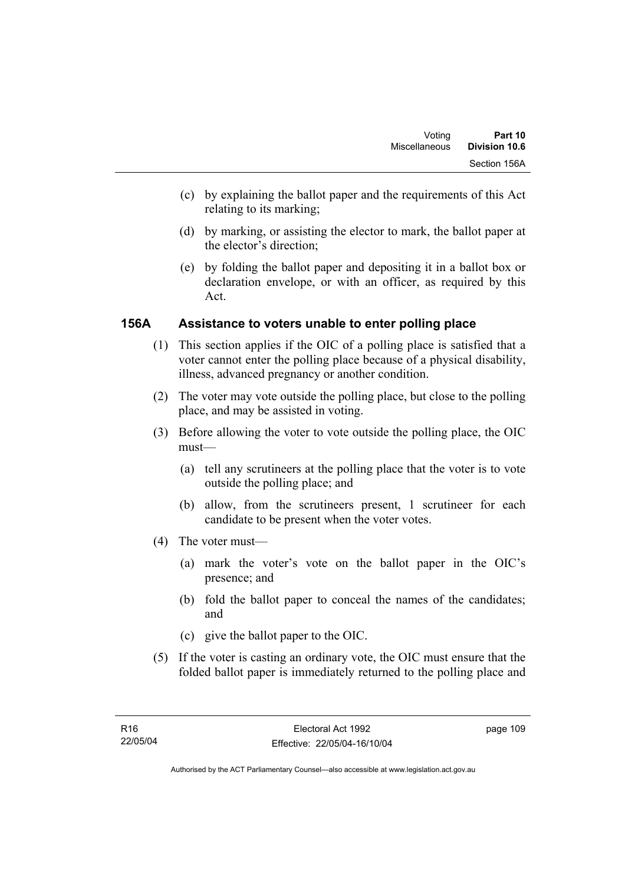- (c) by explaining the ballot paper and the requirements of this Act relating to its marking;
- (d) by marking, or assisting the elector to mark, the ballot paper at the elector's direction;
- (e) by folding the ballot paper and depositing it in a ballot box or declaration envelope, or with an officer, as required by this Act.

### **156A Assistance to voters unable to enter polling place**

- (1) This section applies if the OIC of a polling place is satisfied that a voter cannot enter the polling place because of a physical disability, illness, advanced pregnancy or another condition.
- (2) The voter may vote outside the polling place, but close to the polling place, and may be assisted in voting.
- (3) Before allowing the voter to vote outside the polling place, the OIC must—
	- (a) tell any scrutineers at the polling place that the voter is to vote outside the polling place; and
	- (b) allow, from the scrutineers present, 1 scrutineer for each candidate to be present when the voter votes.
- (4) The voter must—
	- (a) mark the voter's vote on the ballot paper in the OIC's presence; and
	- (b) fold the ballot paper to conceal the names of the candidates; and
	- (c) give the ballot paper to the OIC.
- (5) If the voter is casting an ordinary vote, the OIC must ensure that the folded ballot paper is immediately returned to the polling place and

page 109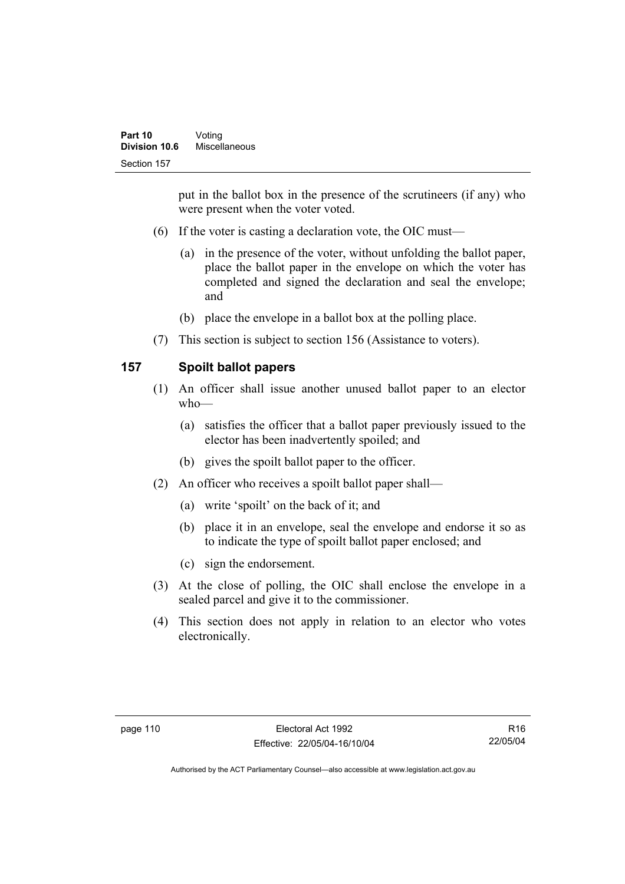put in the ballot box in the presence of the scrutineers (if any) who were present when the voter voted.

- (6) If the voter is casting a declaration vote, the OIC must—
	- (a) in the presence of the voter, without unfolding the ballot paper, place the ballot paper in the envelope on which the voter has completed and signed the declaration and seal the envelope; and
	- (b) place the envelope in a ballot box at the polling place.
- (7) This section is subject to section 156 (Assistance to voters).

## **157 Spoilt ballot papers**

- (1) An officer shall issue another unused ballot paper to an elector who—
	- (a) satisfies the officer that a ballot paper previously issued to the elector has been inadvertently spoiled; and
	- (b) gives the spoilt ballot paper to the officer.
- (2) An officer who receives a spoilt ballot paper shall—
	- (a) write 'spoilt' on the back of it; and
	- (b) place it in an envelope, seal the envelope and endorse it so as to indicate the type of spoilt ballot paper enclosed; and
	- (c) sign the endorsement.
- (3) At the close of polling, the OIC shall enclose the envelope in a sealed parcel and give it to the commissioner.
- (4) This section does not apply in relation to an elector who votes electronically.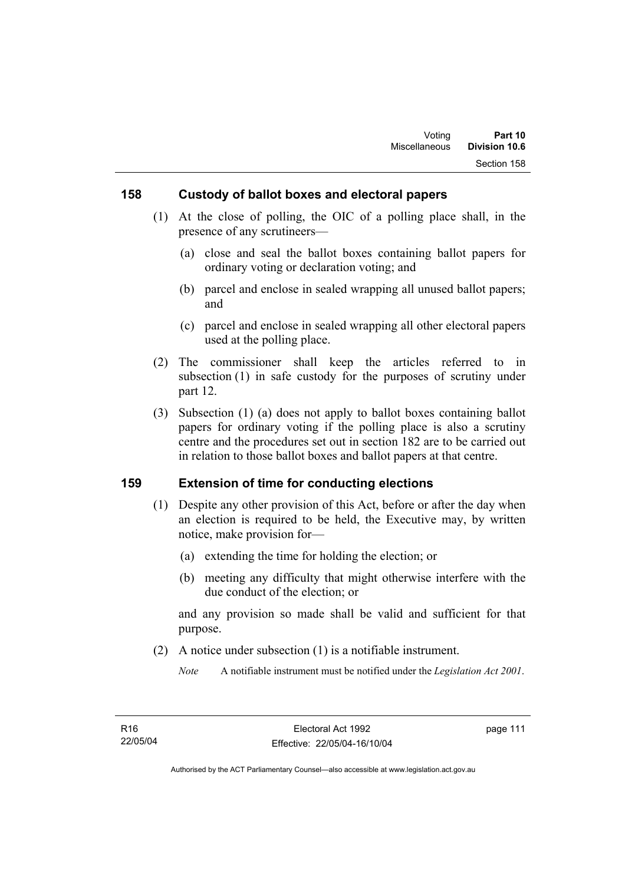### **158 Custody of ballot boxes and electoral papers**

- (1) At the close of polling, the OIC of a polling place shall, in the presence of any scrutineers—
	- (a) close and seal the ballot boxes containing ballot papers for ordinary voting or declaration voting; and
	- (b) parcel and enclose in sealed wrapping all unused ballot papers; and
	- (c) parcel and enclose in sealed wrapping all other electoral papers used at the polling place.
- (2) The commissioner shall keep the articles referred to in subsection (1) in safe custody for the purposes of scrutiny under part 12.
- (3) Subsection (1) (a) does not apply to ballot boxes containing ballot papers for ordinary voting if the polling place is also a scrutiny centre and the procedures set out in section 182 are to be carried out in relation to those ballot boxes and ballot papers at that centre.

#### **159 Extension of time for conducting elections**

- (1) Despite any other provision of this Act, before or after the day when an election is required to be held, the Executive may, by written notice, make provision for—
	- (a) extending the time for holding the election; or
	- (b) meeting any difficulty that might otherwise interfere with the due conduct of the election; or

and any provision so made shall be valid and sufficient for that purpose.

(2) A notice under subsection (1) is a notifiable instrument.

*Note* A notifiable instrument must be notified under the *Legislation Act 2001*.

page 111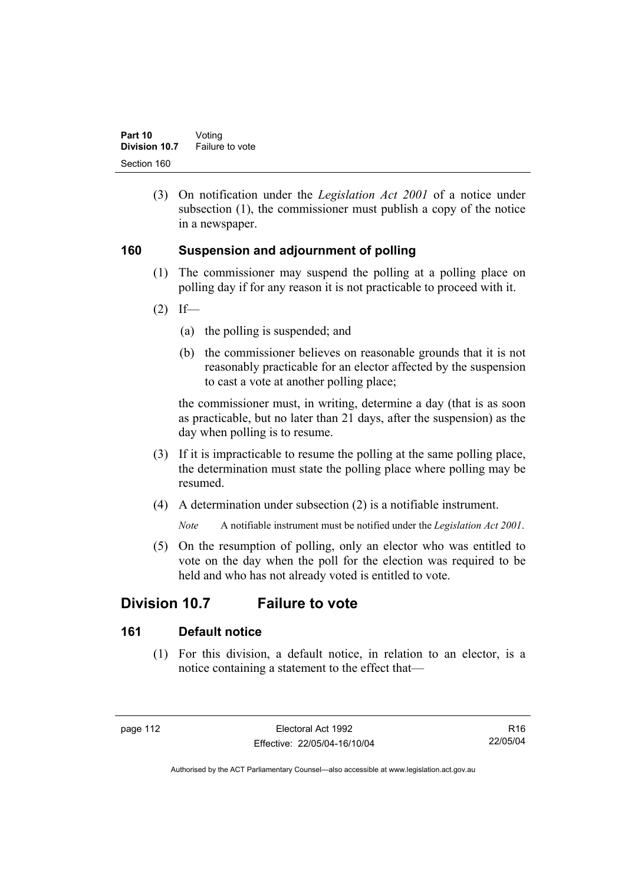(3) On notification under the *Legislation Act 2001* of a notice under subsection (1), the commissioner must publish a copy of the notice in a newspaper.

### **160 Suspension and adjournment of polling**

- (1) The commissioner may suspend the polling at a polling place on polling day if for any reason it is not practicable to proceed with it.
- $(2)$  If—
	- (a) the polling is suspended; and
	- (b) the commissioner believes on reasonable grounds that it is not reasonably practicable for an elector affected by the suspension to cast a vote at another polling place;

the commissioner must, in writing, determine a day (that is as soon as practicable, but no later than 21 days, after the suspension) as the day when polling is to resume.

- (3) If it is impracticable to resume the polling at the same polling place, the determination must state the polling place where polling may be resumed.
- (4) A determination under subsection (2) is a notifiable instrument.

*Note* A notifiable instrument must be notified under the *Legislation Act 2001*.

 (5) On the resumption of polling, only an elector who was entitled to vote on the day when the poll for the election was required to be held and who has not already voted is entitled to vote.

# **Division 10.7 Failure to vote**

### **161 Default notice**

 (1) For this division, a default notice, in relation to an elector, is a notice containing a statement to the effect that—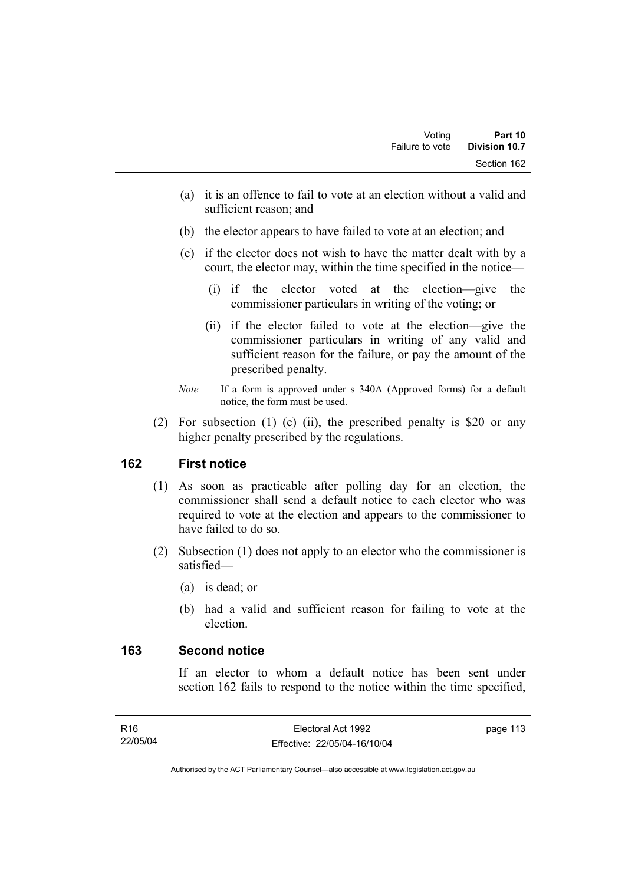- (a) it is an offence to fail to vote at an election without a valid and sufficient reason; and
- (b) the elector appears to have failed to vote at an election; and
- (c) if the elector does not wish to have the matter dealt with by a court, the elector may, within the time specified in the notice—
	- (i) if the elector voted at the election—give the commissioner particulars in writing of the voting; or
	- (ii) if the elector failed to vote at the election—give the commissioner particulars in writing of any valid and sufficient reason for the failure, or pay the amount of the prescribed penalty.
- *Note* If a form is approved under s 340A (Approved forms) for a default notice, the form must be used.
- (2) For subsection (1) (c) (ii), the prescribed penalty is \$20 or any higher penalty prescribed by the regulations.

### **162 First notice**

- (1) As soon as practicable after polling day for an election, the commissioner shall send a default notice to each elector who was required to vote at the election and appears to the commissioner to have failed to do so.
- (2) Subsection (1) does not apply to an elector who the commissioner is satisfied—
	- (a) is dead; or
	- (b) had a valid and sufficient reason for failing to vote at the election.

#### **163 Second notice**

If an elector to whom a default notice has been sent under section 162 fails to respond to the notice within the time specified,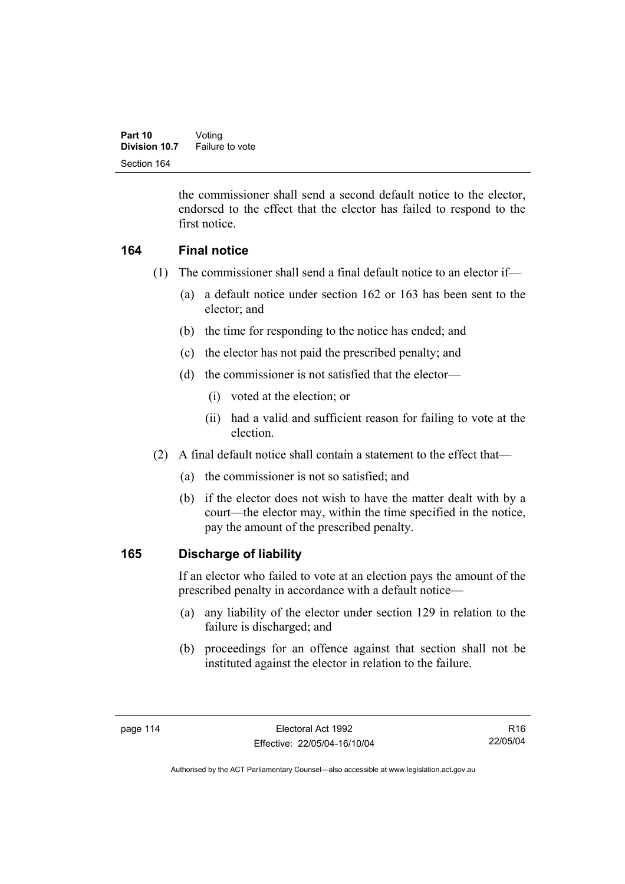the commissioner shall send a second default notice to the elector, endorsed to the effect that the elector has failed to respond to the first notice.

### **164 Final notice**

- (1) The commissioner shall send a final default notice to an elector if—
	- (a) a default notice under section 162 or 163 has been sent to the elector; and
	- (b) the time for responding to the notice has ended; and
	- (c) the elector has not paid the prescribed penalty; and
	- (d) the commissioner is not satisfied that the elector—
		- (i) voted at the election; or
		- (ii) had a valid and sufficient reason for failing to vote at the election.
- (2) A final default notice shall contain a statement to the effect that—
	- (a) the commissioner is not so satisfied; and
	- (b) if the elector does not wish to have the matter dealt with by a court—the elector may, within the time specified in the notice, pay the amount of the prescribed penalty.

### **165 Discharge of liability**

If an elector who failed to vote at an election pays the amount of the prescribed penalty in accordance with a default notice—

- (a) any liability of the elector under section 129 in relation to the failure is discharged; and
- (b) proceedings for an offence against that section shall not be instituted against the elector in relation to the failure.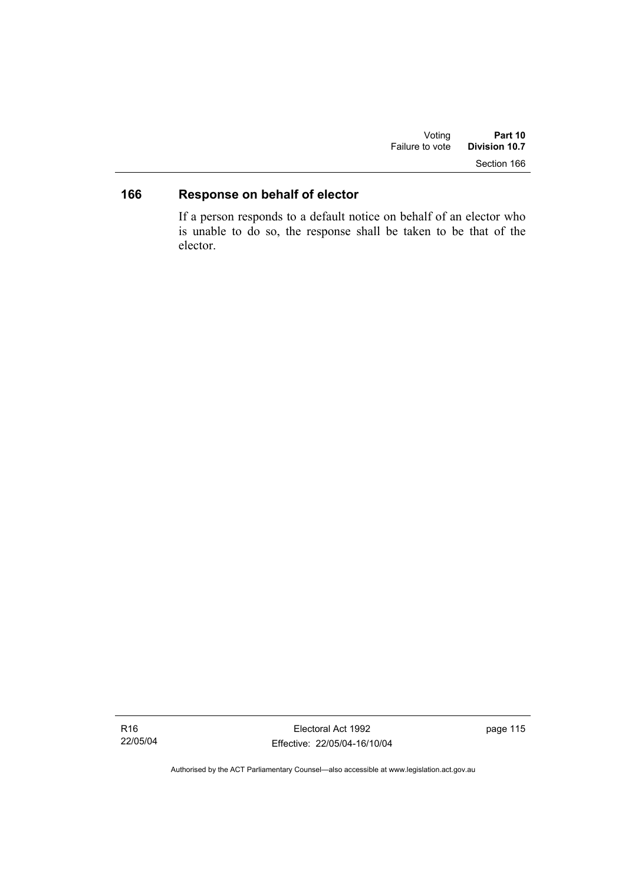| Voting          | Part 10       |  |
|-----------------|---------------|--|
| Failure to vote | Division 10.7 |  |
|                 | Section 166   |  |

# **166 Response on behalf of elector**

If a person responds to a default notice on behalf of an elector who is unable to do so, the response shall be taken to be that of the elector.

Electoral Act 1992 Effective: 22/05/04-16/10/04 page 115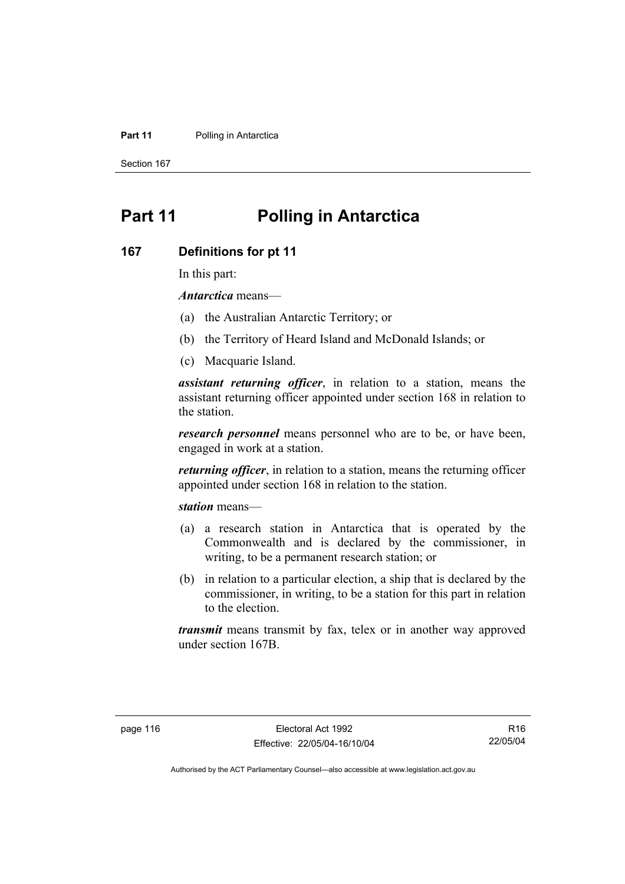#### **Part 11** Polling in Antarctica

Section 167

# **Part 11 Polling in Antarctica**

#### **167 Definitions for pt 11**

In this part:

*Antarctica* means—

- (a) the Australian Antarctic Territory; or
- (b) the Territory of Heard Island and McDonald Islands; or
- (c) Macquarie Island.

*assistant returning officer*, in relation to a station, means the assistant returning officer appointed under section 168 in relation to the station.

*research personnel* means personnel who are to be, or have been, engaged in work at a station.

*returning officer*, in relation to a station, means the returning officer appointed under section 168 in relation to the station.

*station* means—

- (a) a research station in Antarctica that is operated by the Commonwealth and is declared by the commissioner, in writing, to be a permanent research station; or
- (b) in relation to a particular election, a ship that is declared by the commissioner, in writing, to be a station for this part in relation to the election.

*transmit* means transmit by fax, telex or in another way approved under section 167B.

R16 22/05/04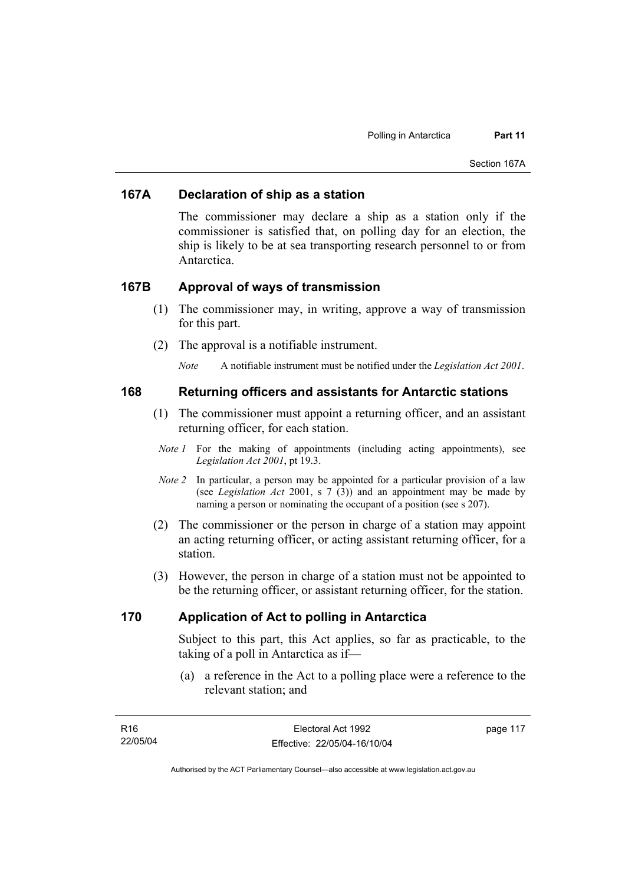#### **167A Declaration of ship as a station**

The commissioner may declare a ship as a station only if the commissioner is satisfied that, on polling day for an election, the ship is likely to be at sea transporting research personnel to or from **Antarctica** 

#### **167B Approval of ways of transmission**

- (1) The commissioner may, in writing, approve a way of transmission for this part.
- (2) The approval is a notifiable instrument.

*Note* A notifiable instrument must be notified under the *Legislation Act 2001*.

#### **168 Returning officers and assistants for Antarctic stations**

- (1) The commissioner must appoint a returning officer, and an assistant returning officer, for each station.
- *Note 1* For the making of appointments (including acting appointments), see *Legislation Act 2001*, pt 19.3.
- *Note 2* In particular, a person may be appointed for a particular provision of a law (see *Legislation Act* 2001, s 7 (3)) and an appointment may be made by naming a person or nominating the occupant of a position (see s 207).
- (2) The commissioner or the person in charge of a station may appoint an acting returning officer, or acting assistant returning officer, for a station.
- (3) However, the person in charge of a station must not be appointed to be the returning officer, or assistant returning officer, for the station.

#### **170 Application of Act to polling in Antarctica**

Subject to this part, this Act applies, so far as practicable, to the taking of a poll in Antarctica as if—

 (a) a reference in the Act to a polling place were a reference to the relevant station; and

| R16      | Electoral Act 1992           | page 117 |
|----------|------------------------------|----------|
| 22/05/04 | Effective: 22/05/04-16/10/04 |          |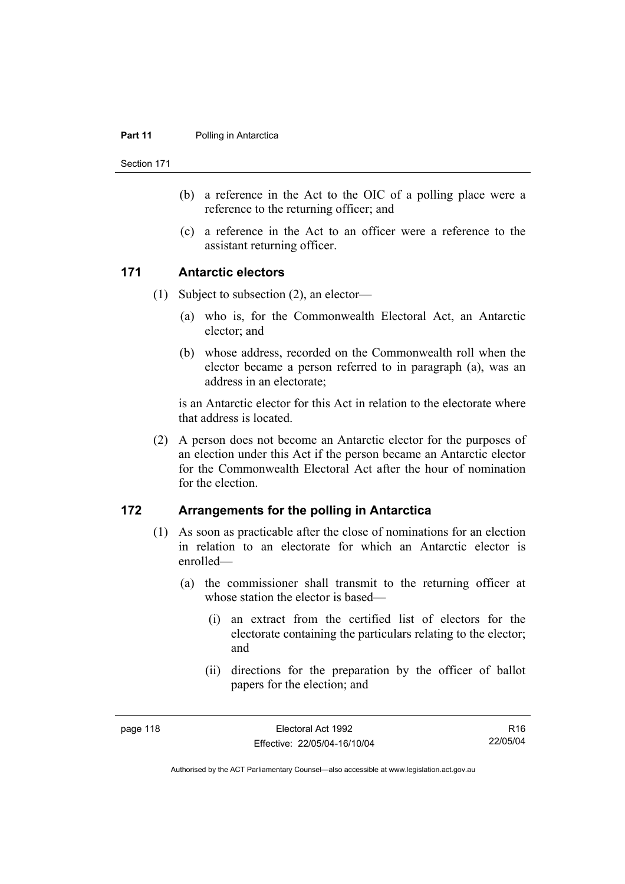#### **Part 11** Polling in Antarctica

Section 171

- (b) a reference in the Act to the OIC of a polling place were a reference to the returning officer; and
- (c) a reference in the Act to an officer were a reference to the assistant returning officer.

#### **171 Antarctic electors**

- (1) Subject to subsection (2), an elector—
	- (a) who is, for the Commonwealth Electoral Act, an Antarctic elector; and
	- (b) whose address, recorded on the Commonwealth roll when the elector became a person referred to in paragraph (a), was an address in an electorate;

is an Antarctic elector for this Act in relation to the electorate where that address is located.

 (2) A person does not become an Antarctic elector for the purposes of an election under this Act if the person became an Antarctic elector for the Commonwealth Electoral Act after the hour of nomination for the election.

#### **172 Arrangements for the polling in Antarctica**

- (1) As soon as practicable after the close of nominations for an election in relation to an electorate for which an Antarctic elector is enrolled—
	- (a) the commissioner shall transmit to the returning officer at whose station the elector is based—
		- (i) an extract from the certified list of electors for the electorate containing the particulars relating to the elector; and
		- (ii) directions for the preparation by the officer of ballot papers for the election; and

R16 22/05/04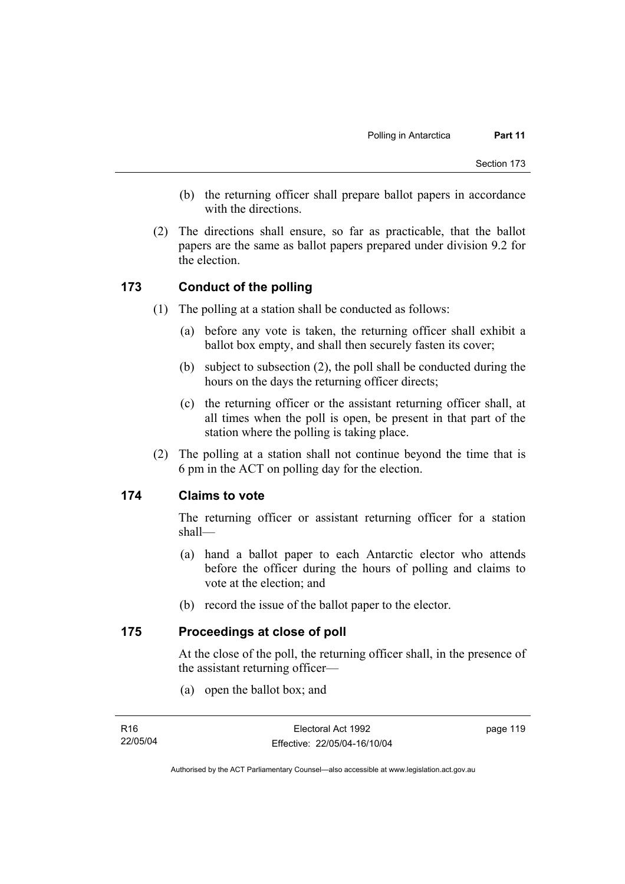- (b) the returning officer shall prepare ballot papers in accordance with the directions.
- (2) The directions shall ensure, so far as practicable, that the ballot papers are the same as ballot papers prepared under division 9.2 for the election.

#### **173 Conduct of the polling**

- (1) The polling at a station shall be conducted as follows:
	- (a) before any vote is taken, the returning officer shall exhibit a ballot box empty, and shall then securely fasten its cover;
	- (b) subject to subsection (2), the poll shall be conducted during the hours on the days the returning officer directs;
	- (c) the returning officer or the assistant returning officer shall, at all times when the poll is open, be present in that part of the station where the polling is taking place.
- (2) The polling at a station shall not continue beyond the time that is 6 pm in the ACT on polling day for the election.

#### **174 Claims to vote**

The returning officer or assistant returning officer for a station shall—

- (a) hand a ballot paper to each Antarctic elector who attends before the officer during the hours of polling and claims to vote at the election; and
- (b) record the issue of the ballot paper to the elector.

#### **175 Proceedings at close of poll**

At the close of the poll, the returning officer shall, in the presence of the assistant returning officer—

(a) open the ballot box; and

page 119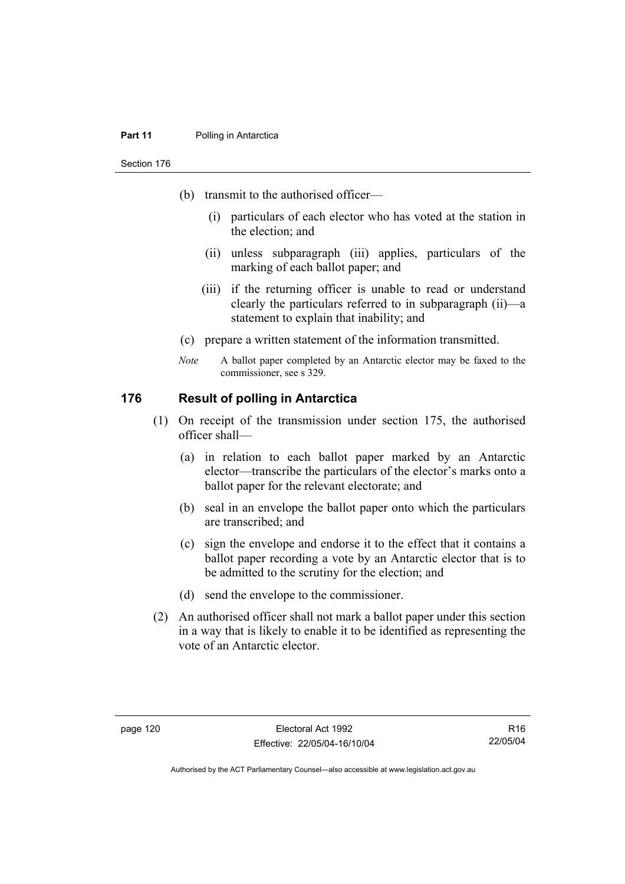#### **Part 11** Polling in Antarctica

Section 176

- (b) transmit to the authorised officer—
	- (i) particulars of each elector who has voted at the station in the election; and
	- (ii) unless subparagraph (iii) applies, particulars of the marking of each ballot paper; and
	- (iii) if the returning officer is unable to read or understand clearly the particulars referred to in subparagraph (ii)—a statement to explain that inability; and
- (c) prepare a written statement of the information transmitted.
- *Note* A ballot paper completed by an Antarctic elector may be faxed to the commissioner, see s 329.

#### **176 Result of polling in Antarctica**

- (1) On receipt of the transmission under section 175, the authorised officer shall—
	- (a) in relation to each ballot paper marked by an Antarctic elector—transcribe the particulars of the elector's marks onto a ballot paper for the relevant electorate; and
	- (b) seal in an envelope the ballot paper onto which the particulars are transcribed; and
	- (c) sign the envelope and endorse it to the effect that it contains a ballot paper recording a vote by an Antarctic elector that is to be admitted to the scrutiny for the election; and
	- (d) send the envelope to the commissioner.
- (2) An authorised officer shall not mark a ballot paper under this section in a way that is likely to enable it to be identified as representing the vote of an Antarctic elector.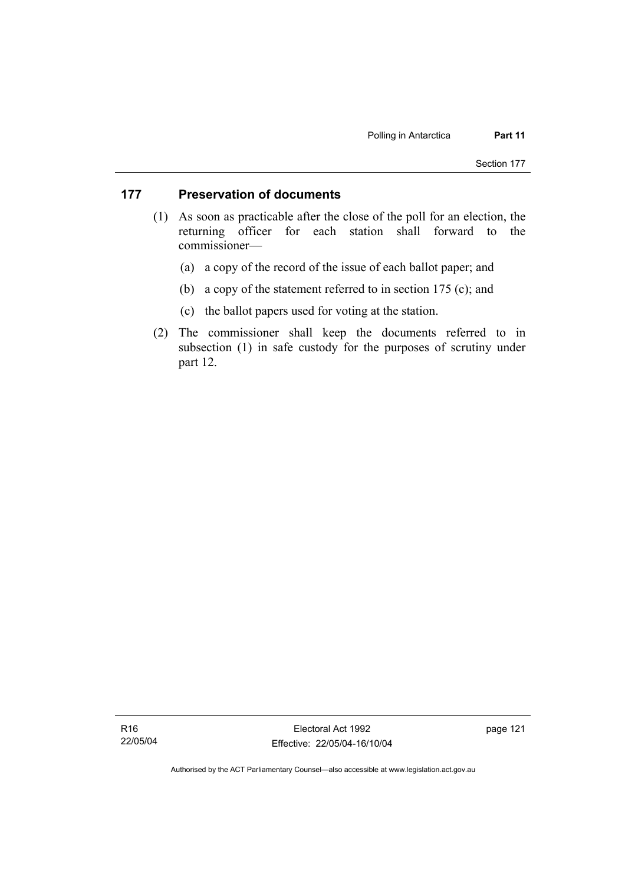#### **177 Preservation of documents**

- (1) As soon as practicable after the close of the poll for an election, the returning officer for each station shall forward to the commissioner—
	- (a) a copy of the record of the issue of each ballot paper; and
	- (b) a copy of the statement referred to in section 175 (c); and
	- (c) the ballot papers used for voting at the station.
- (2) The commissioner shall keep the documents referred to in subsection (1) in safe custody for the purposes of scrutiny under part 12.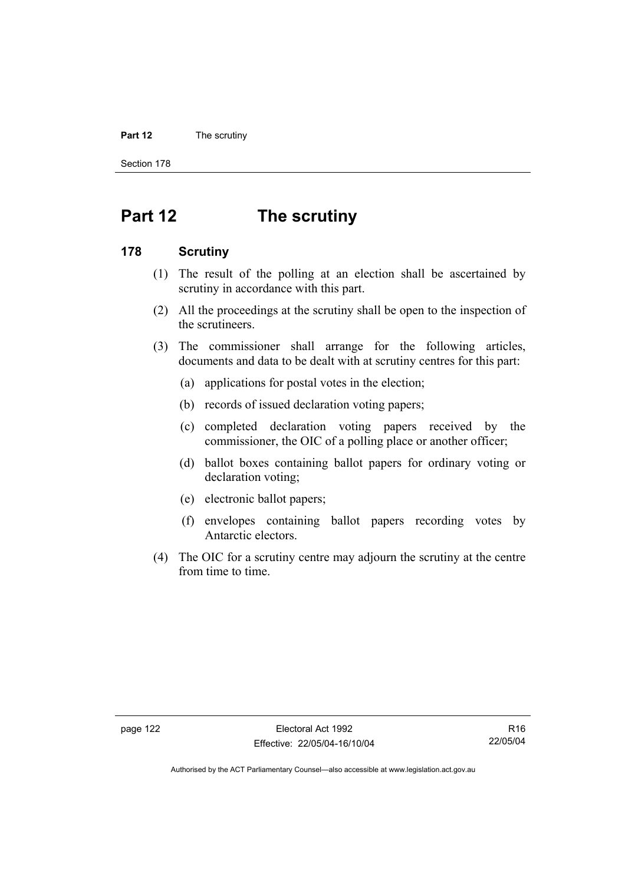#### **Part 12** The scrutiny

Section 178

# **Part 12 The scrutiny**

#### **178 Scrutiny**

- (1) The result of the polling at an election shall be ascertained by scrutiny in accordance with this part.
- (2) All the proceedings at the scrutiny shall be open to the inspection of the scrutineers.
- (3) The commissioner shall arrange for the following articles, documents and data to be dealt with at scrutiny centres for this part:
	- (a) applications for postal votes in the election;
	- (b) records of issued declaration voting papers;
	- (c) completed declaration voting papers received by the commissioner, the OIC of a polling place or another officer;
	- (d) ballot boxes containing ballot papers for ordinary voting or declaration voting;
	- (e) electronic ballot papers;
	- (f) envelopes containing ballot papers recording votes by Antarctic electors.
- (4) The OIC for a scrutiny centre may adjourn the scrutiny at the centre from time to time.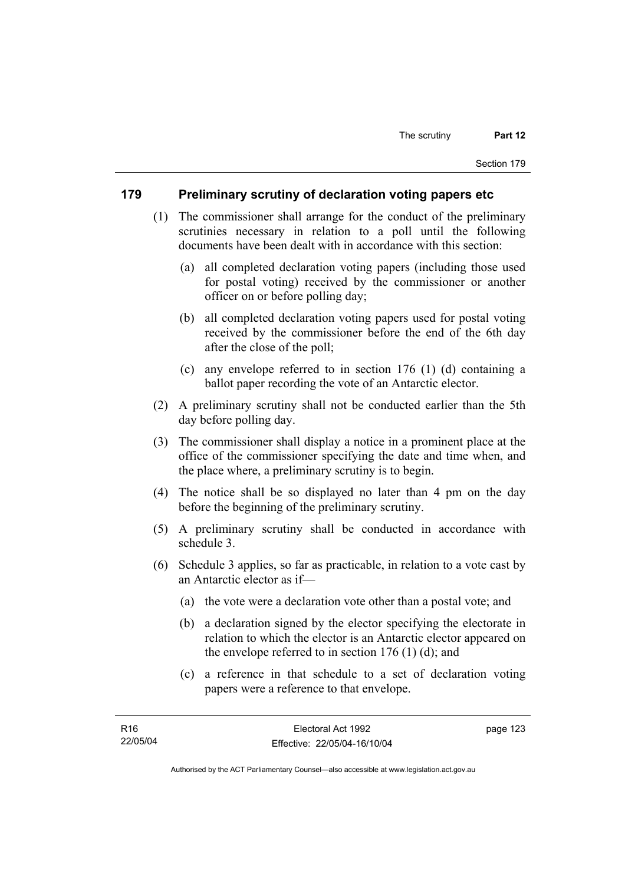#### **179 Preliminary scrutiny of declaration voting papers etc**

- (1) The commissioner shall arrange for the conduct of the preliminary scrutinies necessary in relation to a poll until the following documents have been dealt with in accordance with this section:
	- (a) all completed declaration voting papers (including those used for postal voting) received by the commissioner or another officer on or before polling day;
	- (b) all completed declaration voting papers used for postal voting received by the commissioner before the end of the 6th day after the close of the poll;
	- (c) any envelope referred to in section 176 (1) (d) containing a ballot paper recording the vote of an Antarctic elector.
- (2) A preliminary scrutiny shall not be conducted earlier than the 5th day before polling day.
- (3) The commissioner shall display a notice in a prominent place at the office of the commissioner specifying the date and time when, and the place where, a preliminary scrutiny is to begin.
- (4) The notice shall be so displayed no later than 4 pm on the day before the beginning of the preliminary scrutiny.
- (5) A preliminary scrutiny shall be conducted in accordance with schedule 3.
- (6) Schedule 3 applies, so far as practicable, in relation to a vote cast by an Antarctic elector as if—
	- (a) the vote were a declaration vote other than a postal vote; and
	- (b) a declaration signed by the elector specifying the electorate in relation to which the elector is an Antarctic elector appeared on the envelope referred to in section  $176$  (1) (d); and
	- (c) a reference in that schedule to a set of declaration voting papers were a reference to that envelope.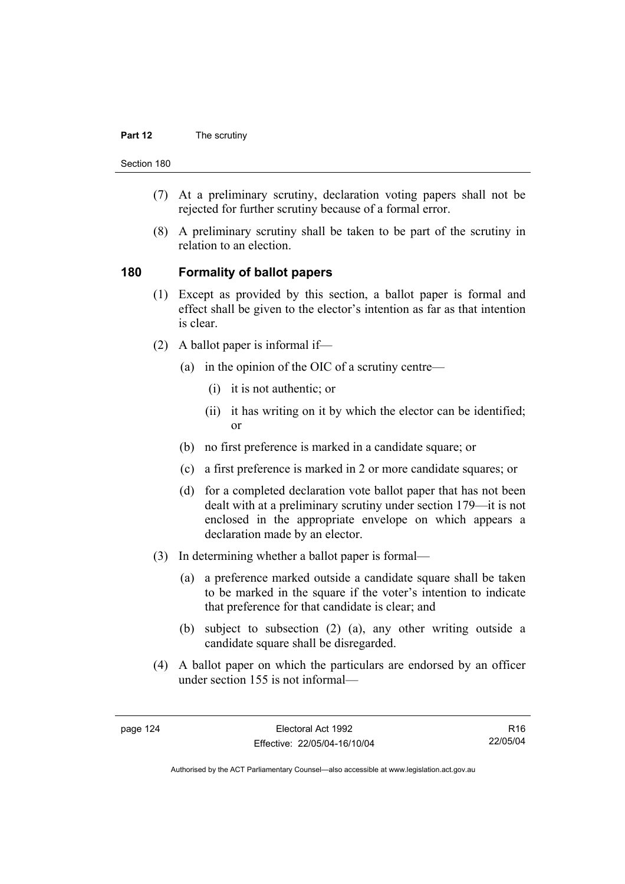#### **Part 12** The scrutiny

Section 180

- (7) At a preliminary scrutiny, declaration voting papers shall not be rejected for further scrutiny because of a formal error.
- (8) A preliminary scrutiny shall be taken to be part of the scrutiny in relation to an election.

#### **180 Formality of ballot papers**

- (1) Except as provided by this section, a ballot paper is formal and effect shall be given to the elector's intention as far as that intention is clear.
- (2) A ballot paper is informal if—
	- (a) in the opinion of the OIC of a scrutiny centre—
		- (i) it is not authentic; or
		- (ii) it has writing on it by which the elector can be identified; or
	- (b) no first preference is marked in a candidate square; or
	- (c) a first preference is marked in 2 or more candidate squares; or
	- (d) for a completed declaration vote ballot paper that has not been dealt with at a preliminary scrutiny under section 179—it is not enclosed in the appropriate envelope on which appears a declaration made by an elector.
- (3) In determining whether a ballot paper is formal—
	- (a) a preference marked outside a candidate square shall be taken to be marked in the square if the voter's intention to indicate that preference for that candidate is clear; and
	- (b) subject to subsection (2) (a), any other writing outside a candidate square shall be disregarded.
- (4) A ballot paper on which the particulars are endorsed by an officer under section 155 is not informal—

R16 22/05/04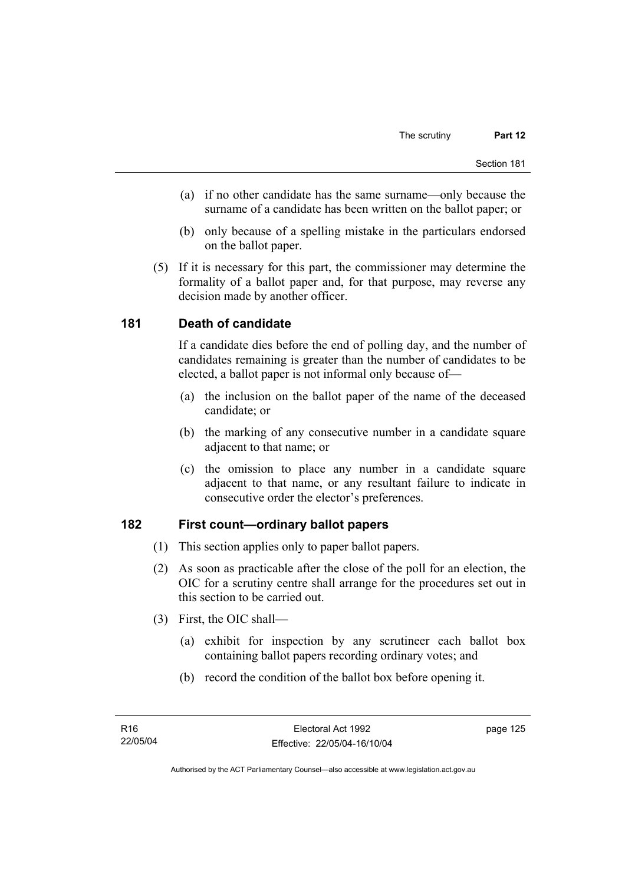- (a) if no other candidate has the same surname—only because the surname of a candidate has been written on the ballot paper; or
- (b) only because of a spelling mistake in the particulars endorsed on the ballot paper.
- (5) If it is necessary for this part, the commissioner may determine the formality of a ballot paper and, for that purpose, may reverse any decision made by another officer.

### **181 Death of candidate**

If a candidate dies before the end of polling day, and the number of candidates remaining is greater than the number of candidates to be elected, a ballot paper is not informal only because of—

- (a) the inclusion on the ballot paper of the name of the deceased candidate; or
- (b) the marking of any consecutive number in a candidate square adjacent to that name; or
- (c) the omission to place any number in a candidate square adjacent to that name, or any resultant failure to indicate in consecutive order the elector's preferences.

### **182 First count—ordinary ballot papers**

- (1) This section applies only to paper ballot papers.
- (2) As soon as practicable after the close of the poll for an election, the OIC for a scrutiny centre shall arrange for the procedures set out in this section to be carried out.
- (3) First, the OIC shall—
	- (a) exhibit for inspection by any scrutineer each ballot box containing ballot papers recording ordinary votes; and
	- (b) record the condition of the ballot box before opening it.

page 125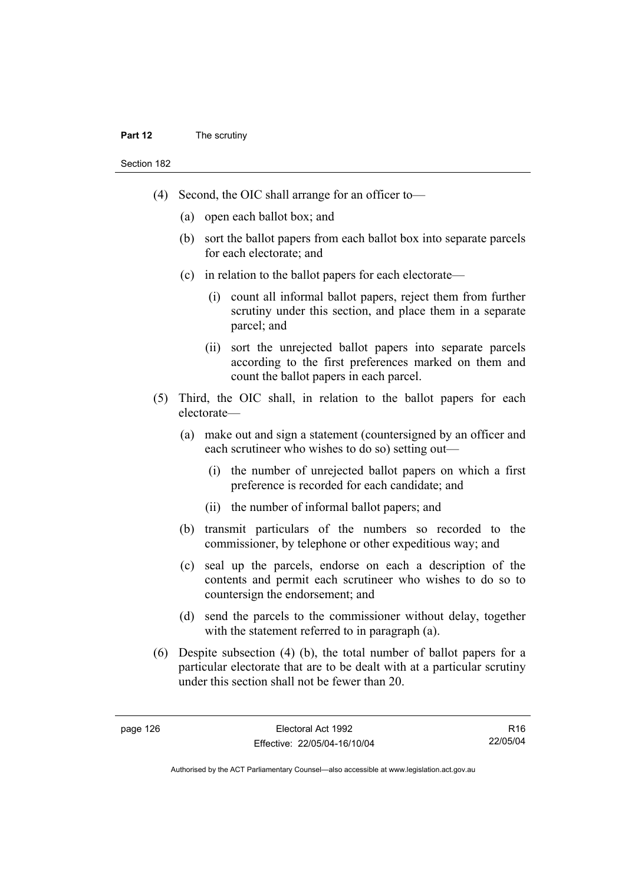#### **Part 12** The scrutiny

Section 182

- (4) Second, the OIC shall arrange for an officer to—
	- (a) open each ballot box; and
	- (b) sort the ballot papers from each ballot box into separate parcels for each electorate; and
	- (c) in relation to the ballot papers for each electorate—
		- (i) count all informal ballot papers, reject them from further scrutiny under this section, and place them in a separate parcel; and
		- (ii) sort the unrejected ballot papers into separate parcels according to the first preferences marked on them and count the ballot papers in each parcel.
- (5) Third, the OIC shall, in relation to the ballot papers for each electorate—
	- (a) make out and sign a statement (countersigned by an officer and each scrutineer who wishes to do so) setting out—
		- (i) the number of unrejected ballot papers on which a first preference is recorded for each candidate; and
		- (ii) the number of informal ballot papers; and
	- (b) transmit particulars of the numbers so recorded to the commissioner, by telephone or other expeditious way; and
	- (c) seal up the parcels, endorse on each a description of the contents and permit each scrutineer who wishes to do so to countersign the endorsement; and
	- (d) send the parcels to the commissioner without delay, together with the statement referred to in paragraph (a).
- (6) Despite subsection (4) (b), the total number of ballot papers for a particular electorate that are to be dealt with at a particular scrutiny under this section shall not be fewer than 20.

R16 22/05/04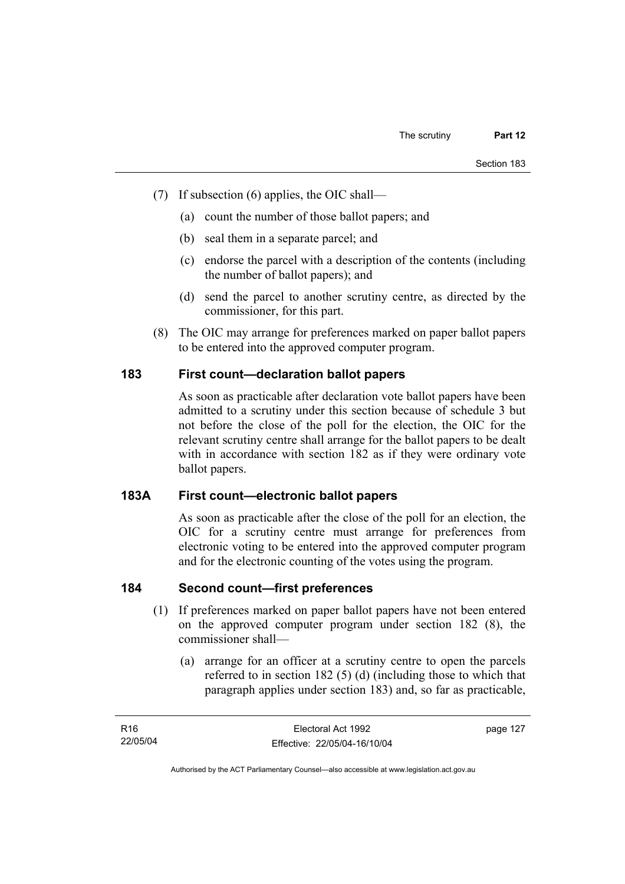- (7) If subsection (6) applies, the OIC shall—
	- (a) count the number of those ballot papers; and
	- (b) seal them in a separate parcel; and
	- (c) endorse the parcel with a description of the contents (including the number of ballot papers); and
	- (d) send the parcel to another scrutiny centre, as directed by the commissioner, for this part.
- (8) The OIC may arrange for preferences marked on paper ballot papers to be entered into the approved computer program.

# **183 First count—declaration ballot papers**

As soon as practicable after declaration vote ballot papers have been admitted to a scrutiny under this section because of schedule 3 but not before the close of the poll for the election, the OIC for the relevant scrutiny centre shall arrange for the ballot papers to be dealt with in accordance with section 182 as if they were ordinary vote ballot papers.

### **183A First count—electronic ballot papers**

As soon as practicable after the close of the poll for an election, the OIC for a scrutiny centre must arrange for preferences from electronic voting to be entered into the approved computer program and for the electronic counting of the votes using the program.

# **184 Second count—first preferences**

- (1) If preferences marked on paper ballot papers have not been entered on the approved computer program under section 182 (8), the commissioner shall—
	- (a) arrange for an officer at a scrutiny centre to open the parcels referred to in section 182 (5) (d) (including those to which that paragraph applies under section 183) and, so far as practicable,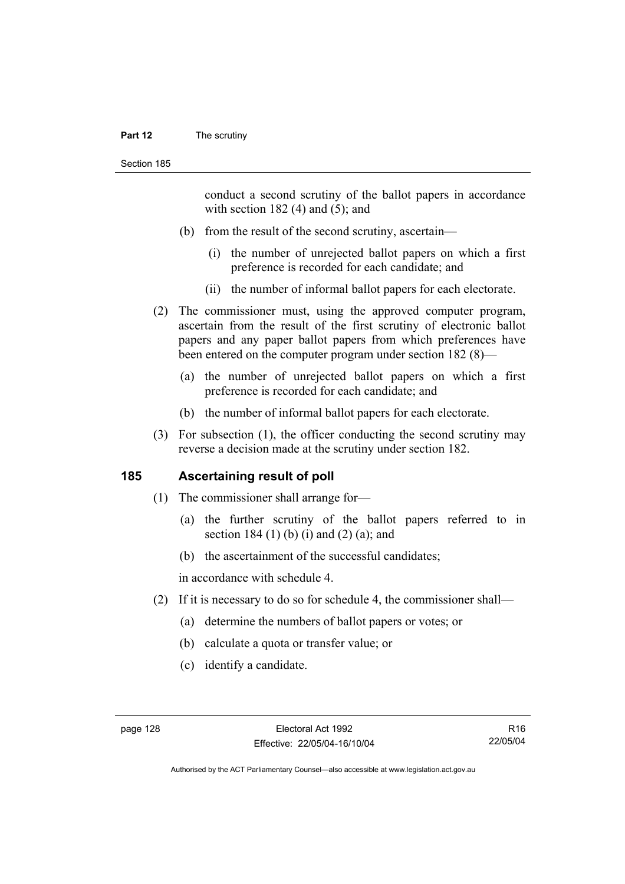#### **Part 12** The scrutiny

conduct a second scrutiny of the ballot papers in accordance with section  $182$  (4) and (5); and

- (b) from the result of the second scrutiny, ascertain—
	- (i) the number of unrejected ballot papers on which a first preference is recorded for each candidate; and
	- (ii) the number of informal ballot papers for each electorate.
- (2) The commissioner must, using the approved computer program, ascertain from the result of the first scrutiny of electronic ballot papers and any paper ballot papers from which preferences have been entered on the computer program under section 182 (8)—
	- (a) the number of unrejected ballot papers on which a first preference is recorded for each candidate; and
	- (b) the number of informal ballot papers for each electorate.
- (3) For subsection (1), the officer conducting the second scrutiny may reverse a decision made at the scrutiny under section 182.

#### **185 Ascertaining result of poll**

- (1) The commissioner shall arrange for—
	- (a) the further scrutiny of the ballot papers referred to in section 184 $(1)$  (b) (i) and  $(2)$  (a); and
	- (b) the ascertainment of the successful candidates;

in accordance with schedule 4.

- (2) If it is necessary to do so for schedule 4, the commissioner shall—
	- (a) determine the numbers of ballot papers or votes; or
	- (b) calculate a quota or transfer value; or
	- (c) identify a candidate.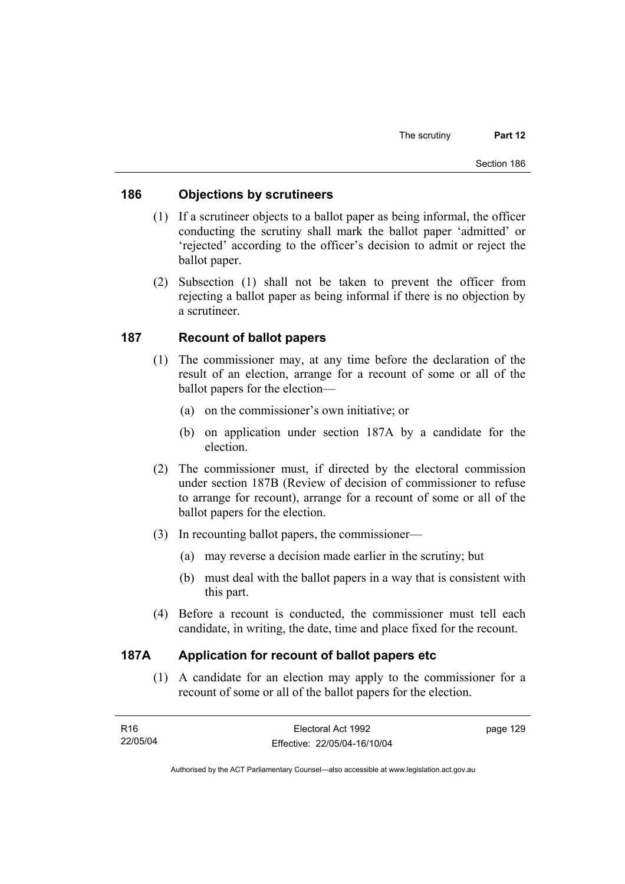## **186 Objections by scrutineers**

- (1) If a scrutineer objects to a ballot paper as being informal, the officer conducting the scrutiny shall mark the ballot paper 'admitted' or 'rejected' according to the officer's decision to admit or reject the ballot paper.
- (2) Subsection (1) shall not be taken to prevent the officer from rejecting a ballot paper as being informal if there is no objection by a scrutineer.

# **187 Recount of ballot papers**

- (1) The commissioner may, at any time before the declaration of the result of an election, arrange for a recount of some or all of the ballot papers for the election—
	- (a) on the commissioner's own initiative; or
	- (b) on application under section 187A by a candidate for the election.
- (2) The commissioner must, if directed by the electoral commission under section 187B (Review of decision of commissioner to refuse to arrange for recount), arrange for a recount of some or all of the ballot papers for the election.
- (3) In recounting ballot papers, the commissioner—
	- (a) may reverse a decision made earlier in the scrutiny; but
	- (b) must deal with the ballot papers in a way that is consistent with this part.
- (4) Before a recount is conducted, the commissioner must tell each candidate, in writing, the date, time and place fixed for the recount.

## **187A Application for recount of ballot papers etc**

 (1) A candidate for an election may apply to the commissioner for a recount of some or all of the ballot papers for the election.

| R16      | Electoral Act 1992           | page 129 |
|----------|------------------------------|----------|
| 22/05/04 | Effective: 22/05/04-16/10/04 |          |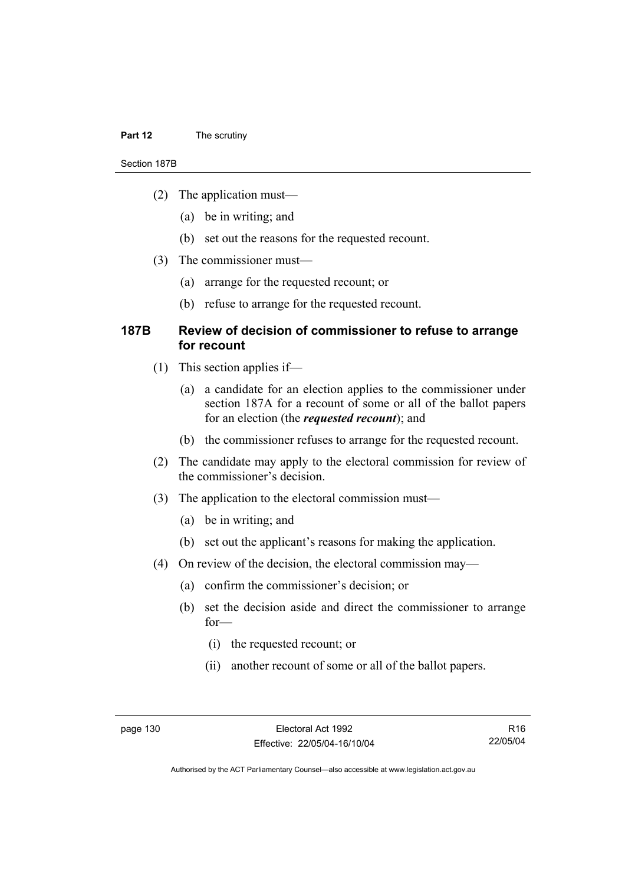#### **Part 12** The scrutiny

#### Section 187B

- (2) The application must—
	- (a) be in writing; and
	- (b) set out the reasons for the requested recount.
- (3) The commissioner must—
	- (a) arrange for the requested recount; or
	- (b) refuse to arrange for the requested recount.

### **187B Review of decision of commissioner to refuse to arrange for recount**

- (1) This section applies if—
	- (a) a candidate for an election applies to the commissioner under section 187A for a recount of some or all of the ballot papers for an election (the *requested recount*); and
	- (b) the commissioner refuses to arrange for the requested recount.
- (2) The candidate may apply to the electoral commission for review of the commissioner's decision.
- (3) The application to the electoral commission must—
	- (a) be in writing; and
	- (b) set out the applicant's reasons for making the application.
- (4) On review of the decision, the electoral commission may—
	- (a) confirm the commissioner's decision; or
	- (b) set the decision aside and direct the commissioner to arrange for—
		- (i) the requested recount; or
		- (ii) another recount of some or all of the ballot papers.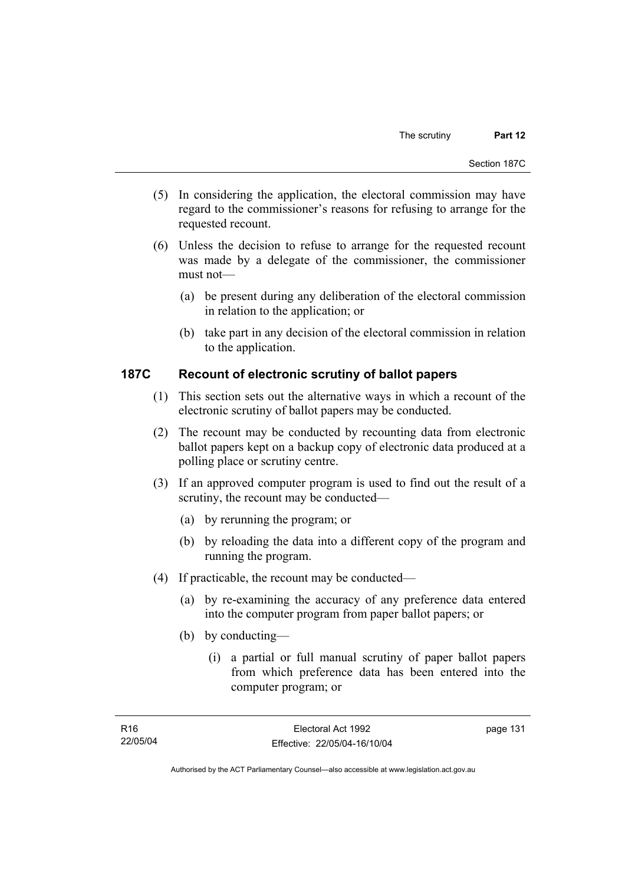- (5) In considering the application, the electoral commission may have regard to the commissioner's reasons for refusing to arrange for the requested recount.
- (6) Unless the decision to refuse to arrange for the requested recount was made by a delegate of the commissioner, the commissioner must not—
	- (a) be present during any deliberation of the electoral commission in relation to the application; or
	- (b) take part in any decision of the electoral commission in relation to the application.

# **187C Recount of electronic scrutiny of ballot papers**

- (1) This section sets out the alternative ways in which a recount of the electronic scrutiny of ballot papers may be conducted.
- (2) The recount may be conducted by recounting data from electronic ballot papers kept on a backup copy of electronic data produced at a polling place or scrutiny centre.
- (3) If an approved computer program is used to find out the result of a scrutiny, the recount may be conducted—
	- (a) by rerunning the program; or
	- (b) by reloading the data into a different copy of the program and running the program.
- (4) If practicable, the recount may be conducted—
	- (a) by re-examining the accuracy of any preference data entered into the computer program from paper ballot papers; or
	- (b) by conducting—
		- (i) a partial or full manual scrutiny of paper ballot papers from which preference data has been entered into the computer program; or

Authorised by the ACT Parliamentary Counsel—also accessible at www.legislation.act.gov.au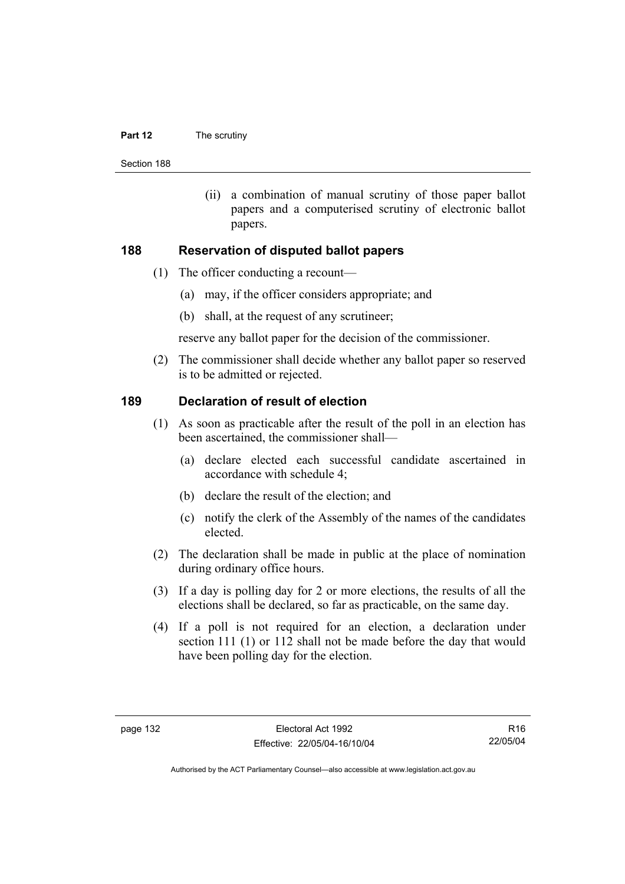#### **Part 12** The scrutiny

Section 188

 (ii) a combination of manual scrutiny of those paper ballot papers and a computerised scrutiny of electronic ballot papers.

#### **188 Reservation of disputed ballot papers**

- (1) The officer conducting a recount—
	- (a) may, if the officer considers appropriate; and
	- (b) shall, at the request of any scrutineer;

reserve any ballot paper for the decision of the commissioner.

 (2) The commissioner shall decide whether any ballot paper so reserved is to be admitted or rejected.

#### **189 Declaration of result of election**

- (1) As soon as practicable after the result of the poll in an election has been ascertained, the commissioner shall—
	- (a) declare elected each successful candidate ascertained in accordance with schedule 4;
	- (b) declare the result of the election; and
	- (c) notify the clerk of the Assembly of the names of the candidates elected.
- (2) The declaration shall be made in public at the place of nomination during ordinary office hours.
- (3) If a day is polling day for 2 or more elections, the results of all the elections shall be declared, so far as practicable, on the same day.
- (4) If a poll is not required for an election, a declaration under section 111 (1) or 112 shall not be made before the day that would have been polling day for the election.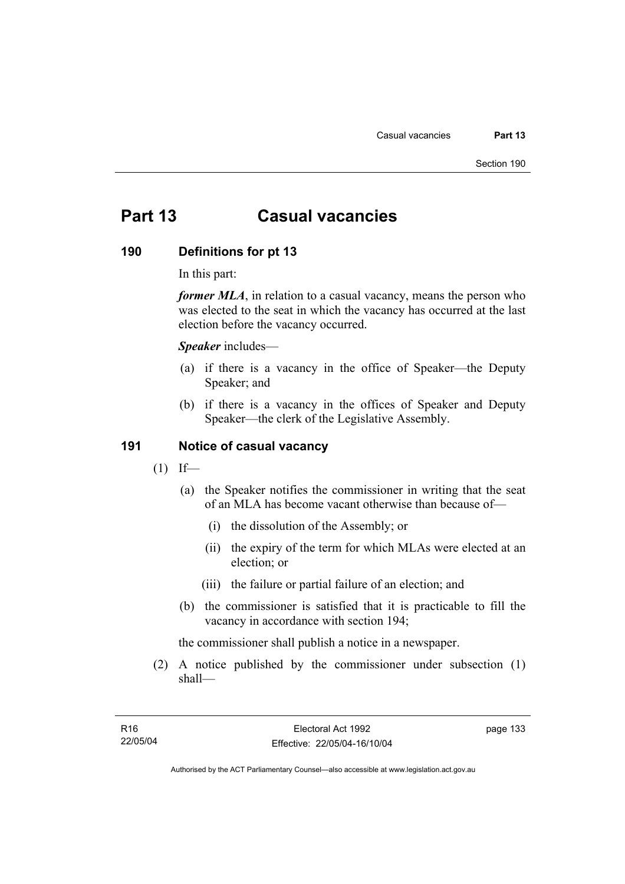# **Part 13 Casual vacancies**

#### **190 Definitions for pt 13**

In this part:

*former MLA*, in relation to a casual vacancy, means the person who was elected to the seat in which the vacancy has occurred at the last election before the vacancy occurred.

*Speaker* includes—

- (a) if there is a vacancy in the office of Speaker—the Deputy Speaker; and
- (b) if there is a vacancy in the offices of Speaker and Deputy Speaker—the clerk of the Legislative Assembly.

#### **191 Notice of casual vacancy**

- $(1)$  If—
	- (a) the Speaker notifies the commissioner in writing that the seat of an MLA has become vacant otherwise than because of—
		- (i) the dissolution of the Assembly; or
		- (ii) the expiry of the term for which MLAs were elected at an election; or
		- (iii) the failure or partial failure of an election; and
	- (b) the commissioner is satisfied that it is practicable to fill the vacancy in accordance with section 194;

the commissioner shall publish a notice in a newspaper.

 (2) A notice published by the commissioner under subsection (1) shall—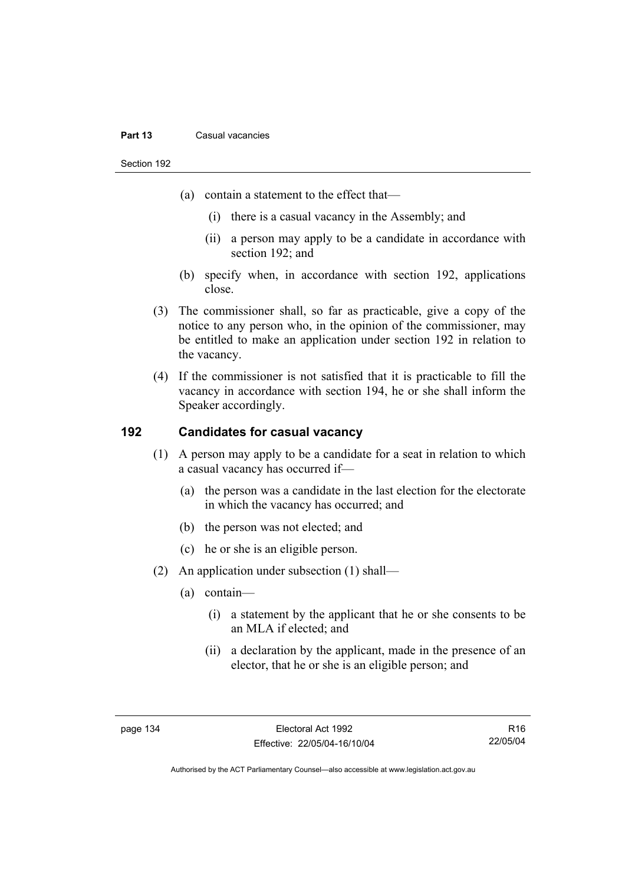#### **Part 13** Casual vacancies

Section 192

- (a) contain a statement to the effect that—
	- (i) there is a casual vacancy in the Assembly; and
	- (ii) a person may apply to be a candidate in accordance with section 192; and
- (b) specify when, in accordance with section 192, applications close.
- (3) The commissioner shall, so far as practicable, give a copy of the notice to any person who, in the opinion of the commissioner, may be entitled to make an application under section 192 in relation to the vacancy.
- (4) If the commissioner is not satisfied that it is practicable to fill the vacancy in accordance with section 194, he or she shall inform the Speaker accordingly.

# **192 Candidates for casual vacancy**

- (1) A person may apply to be a candidate for a seat in relation to which a casual vacancy has occurred if—
	- (a) the person was a candidate in the last election for the electorate in which the vacancy has occurred; and
	- (b) the person was not elected; and
	- (c) he or she is an eligible person.
- (2) An application under subsection (1) shall—
	- (a) contain—
		- (i) a statement by the applicant that he or she consents to be an MLA if elected; and
		- (ii) a declaration by the applicant, made in the presence of an elector, that he or she is an eligible person; and

R16 22/05/04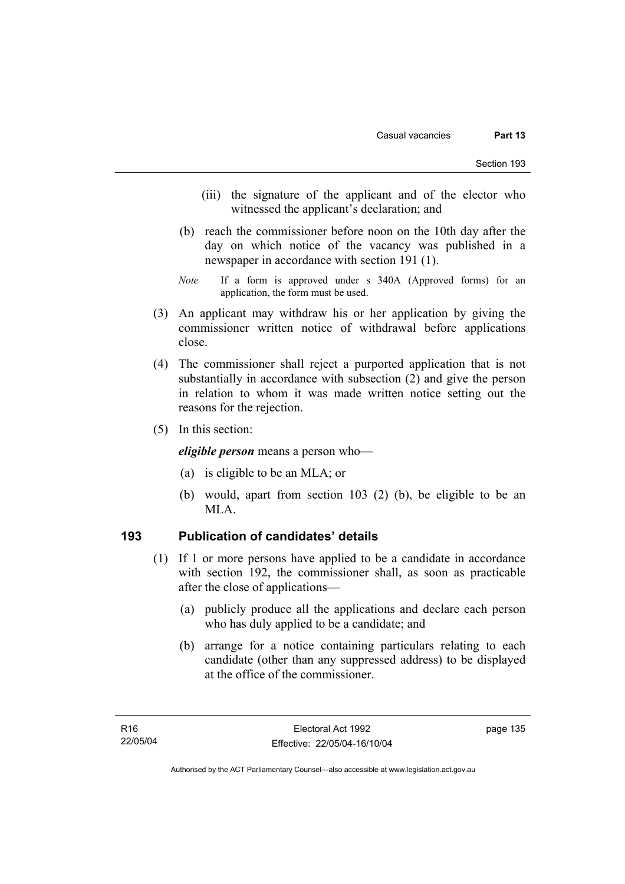- (iii) the signature of the applicant and of the elector who witnessed the applicant's declaration; and
- (b) reach the commissioner before noon on the 10th day after the day on which notice of the vacancy was published in a newspaper in accordance with section 191 (1).
- *Note* If a form is approved under s 340A (Approved forms) for an application, the form must be used.
- (3) An applicant may withdraw his or her application by giving the commissioner written notice of withdrawal before applications close.
- (4) The commissioner shall reject a purported application that is not substantially in accordance with subsection (2) and give the person in relation to whom it was made written notice setting out the reasons for the rejection.
- (5) In this section:

*eligible person* means a person who—

- (a) is eligible to be an MLA; or
- (b) would, apart from section 103 (2) (b), be eligible to be an MLA.

# **193 Publication of candidates' details**

- (1) If 1 or more persons have applied to be a candidate in accordance with section 192, the commissioner shall, as soon as practicable after the close of applications—
	- (a) publicly produce all the applications and declare each person who has duly applied to be a candidate; and
	- (b) arrange for a notice containing particulars relating to each candidate (other than any suppressed address) to be displayed at the office of the commissioner.

Authorised by the ACT Parliamentary Counsel—also accessible at www.legislation.act.gov.au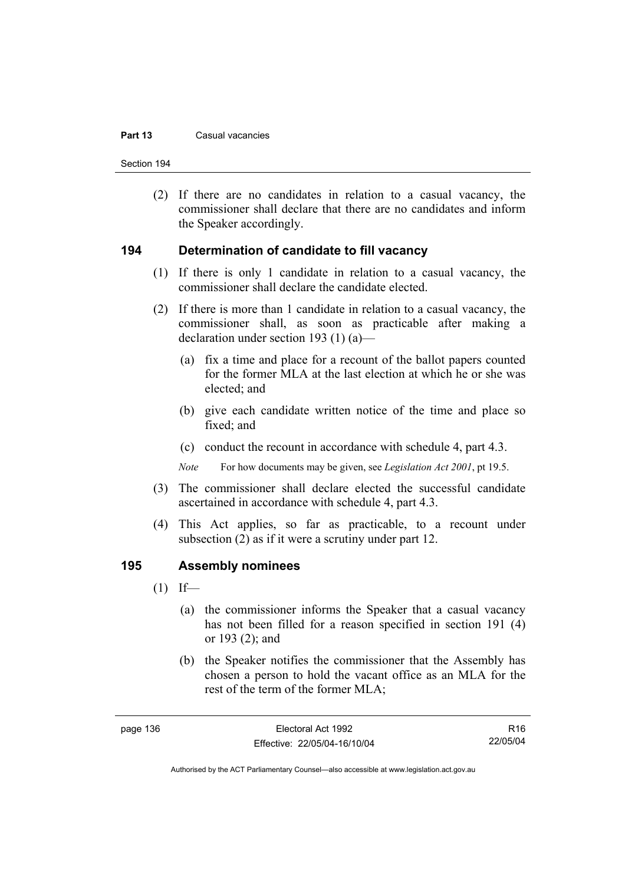#### **Part 13** Casual vacancies

Section 194

 (2) If there are no candidates in relation to a casual vacancy, the commissioner shall declare that there are no candidates and inform the Speaker accordingly.

#### **194 Determination of candidate to fill vacancy**

- (1) If there is only 1 candidate in relation to a casual vacancy, the commissioner shall declare the candidate elected.
- (2) If there is more than 1 candidate in relation to a casual vacancy, the commissioner shall, as soon as practicable after making a declaration under section 193 (1) (a)—
	- (a) fix a time and place for a recount of the ballot papers counted for the former MLA at the last election at which he or she was elected; and
	- (b) give each candidate written notice of the time and place so fixed; and
	- (c) conduct the recount in accordance with schedule 4, part 4.3.

*Note* For how documents may be given, see *Legislation Act 2001*, pt 19.5.

- (3) The commissioner shall declare elected the successful candidate ascertained in accordance with schedule 4, part 4.3.
- (4) This Act applies, so far as practicable, to a recount under subsection (2) as if it were a scrutiny under part 12.

#### **195 Assembly nominees**

- $(1)$  If—
	- (a) the commissioner informs the Speaker that a casual vacancy has not been filled for a reason specified in section 191 (4) or 193 (2); and
	- (b) the Speaker notifies the commissioner that the Assembly has chosen a person to hold the vacant office as an MLA for the rest of the term of the former MLA;

R16 22/05/04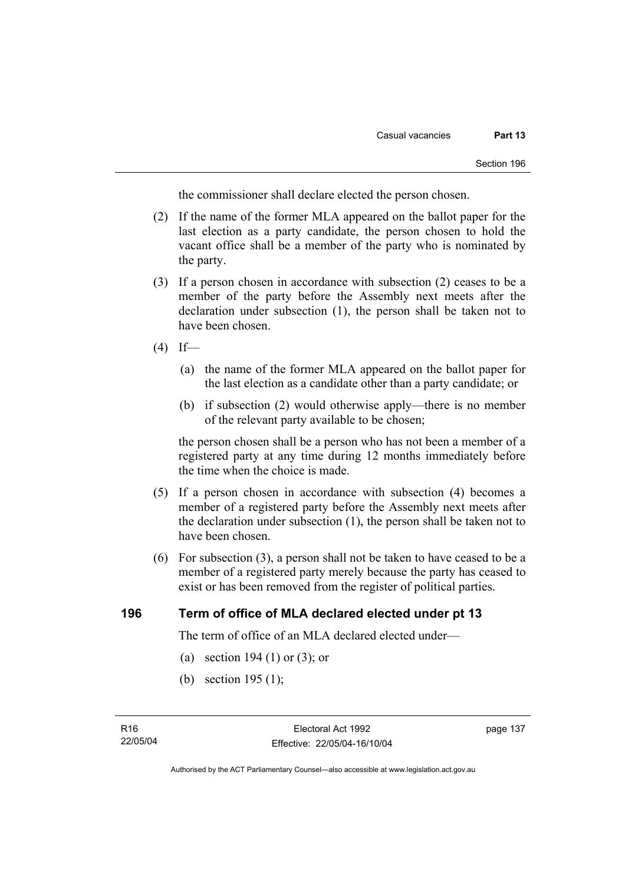the commissioner shall declare elected the person chosen.

- (2) If the name of the former MLA appeared on the ballot paper for the last election as a party candidate, the person chosen to hold the vacant office shall be a member of the party who is nominated by the party.
- (3) If a person chosen in accordance with subsection (2) ceases to be a member of the party before the Assembly next meets after the declaration under subsection (1), the person shall be taken not to have been chosen.
- $(4)$  If—
	- (a) the name of the former MLA appeared on the ballot paper for the last election as a candidate other than a party candidate; or
	- (b) if subsection (2) would otherwise apply—there is no member of the relevant party available to be chosen;

the person chosen shall be a person who has not been a member of a registered party at any time during 12 months immediately before the time when the choice is made.

- (5) If a person chosen in accordance with subsection (4) becomes a member of a registered party before the Assembly next meets after the declaration under subsection (1), the person shall be taken not to have been chosen.
- (6) For subsection (3), a person shall not be taken to have ceased to be a member of a registered party merely because the party has ceased to exist or has been removed from the register of political parties.

### **196 Term of office of MLA declared elected under pt 13**

The term of office of an MLA declared elected under—

- (a) section 194 (1) or (3); or
- (b) section 195 (1);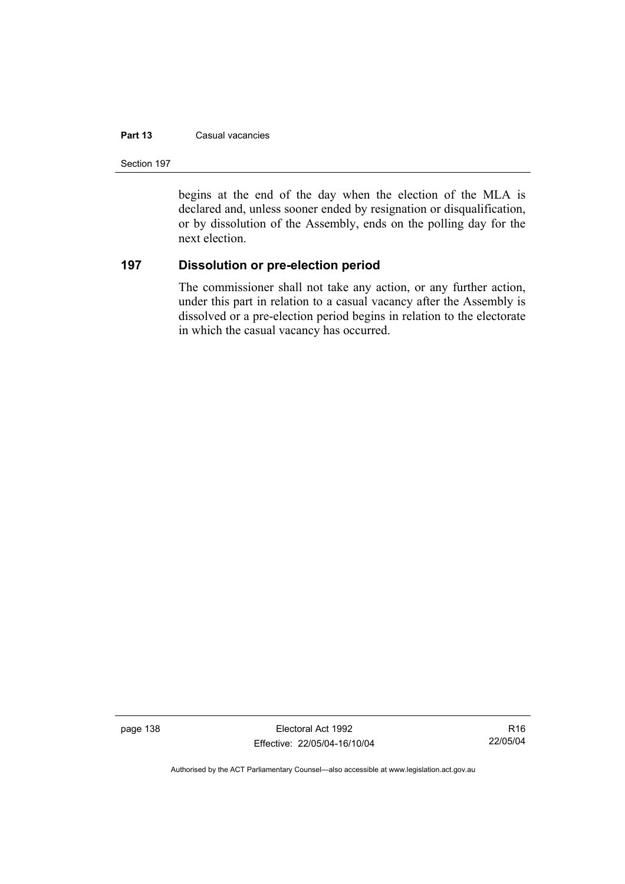#### **Part 13** Casual vacancies

Section 197

begins at the end of the day when the election of the MLA is declared and, unless sooner ended by resignation or disqualification, or by dissolution of the Assembly, ends on the polling day for the next election.

# **197 Dissolution or pre-election period**

The commissioner shall not take any action, or any further action, under this part in relation to a casual vacancy after the Assembly is dissolved or a pre-election period begins in relation to the electorate in which the casual vacancy has occurred.

page 138 Electoral Act 1992 Effective: 22/05/04-16/10/04

R16 22/05/04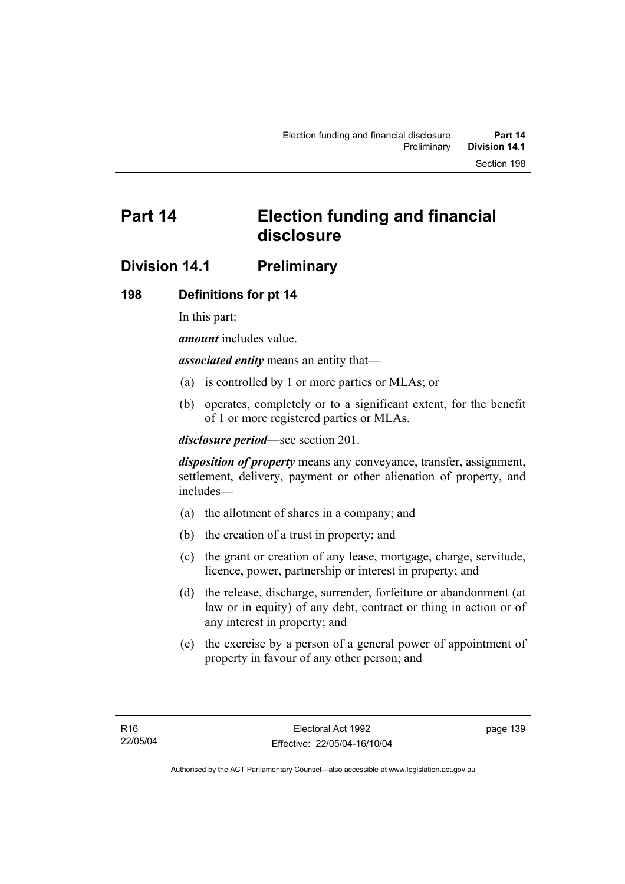# **Part 14 Election funding and financial disclosure**

# **Division 14.1 Preliminary**

# **198 Definitions for pt 14**

In this part:

*amount* includes value.

*associated entity* means an entity that—

- (a) is controlled by 1 or more parties or MLAs; or
- (b) operates, completely or to a significant extent, for the benefit of 1 or more registered parties or MLAs.

*disclosure period*—see section 201.

*disposition of property* means any conveyance, transfer, assignment, settlement, delivery, payment or other alienation of property, and includes—

- (a) the allotment of shares in a company; and
- (b) the creation of a trust in property; and
- (c) the grant or creation of any lease, mortgage, charge, servitude, licence, power, partnership or interest in property; and
- (d) the release, discharge, surrender, forfeiture or abandonment (at law or in equity) of any debt, contract or thing in action or of any interest in property; and
- (e) the exercise by a person of a general power of appointment of property in favour of any other person; and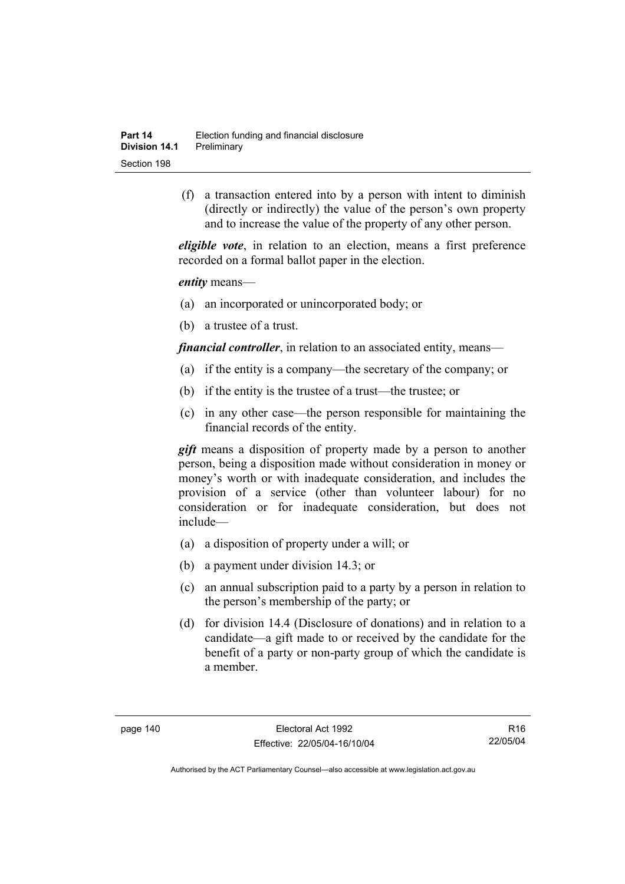(f) a transaction entered into by a person with intent to diminish (directly or indirectly) the value of the person's own property and to increase the value of the property of any other person.

*eligible vote*, in relation to an election, means a first preference recorded on a formal ballot paper in the election.

*entity* means—

- (a) an incorporated or unincorporated body; or
- (b) a trustee of a trust.

*financial controller*, in relation to an associated entity, means—

- (a) if the entity is a company—the secretary of the company; or
- (b) if the entity is the trustee of a trust—the trustee; or
- (c) in any other case—the person responsible for maintaining the financial records of the entity.

*gift* means a disposition of property made by a person to another person, being a disposition made without consideration in money or money's worth or with inadequate consideration, and includes the provision of a service (other than volunteer labour) for no consideration or for inadequate consideration, but does not include—

- (a) a disposition of property under a will; or
- (b) a payment under division 14.3; or
- (c) an annual subscription paid to a party by a person in relation to the person's membership of the party; or
- (d) for division 14.4 (Disclosure of donations) and in relation to a candidate—a gift made to or received by the candidate for the benefit of a party or non-party group of which the candidate is a member.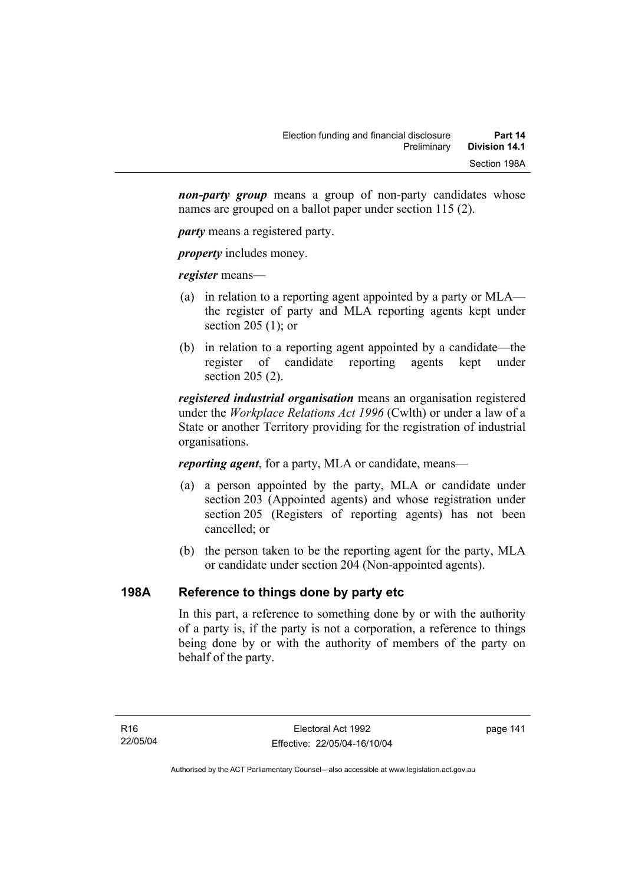*non-party group* means a group of non-party candidates whose names are grouped on a ballot paper under section 115 (2).

*party* means a registered party.

*property* includes money.

*register* means—

- (a) in relation to a reporting agent appointed by a party or MLA the register of party and MLA reporting agents kept under section 205 (1); or
- (b) in relation to a reporting agent appointed by a candidate—the register of candidate reporting agents kept under section 205 (2).

*registered industrial organisation* means an organisation registered under the *Workplace Relations Act 1996* (Cwlth) or under a law of a State or another Territory providing for the registration of industrial organisations.

*reporting agent*, for a party, MLA or candidate, means—

- (a) a person appointed by the party, MLA or candidate under section 203 (Appointed agents) and whose registration under section 205 (Registers of reporting agents) has not been cancelled; or
- (b) the person taken to be the reporting agent for the party, MLA or candidate under section 204 (Non-appointed agents).

# **198A Reference to things done by party etc**

In this part, a reference to something done by or with the authority of a party is, if the party is not a corporation, a reference to things being done by or with the authority of members of the party on behalf of the party.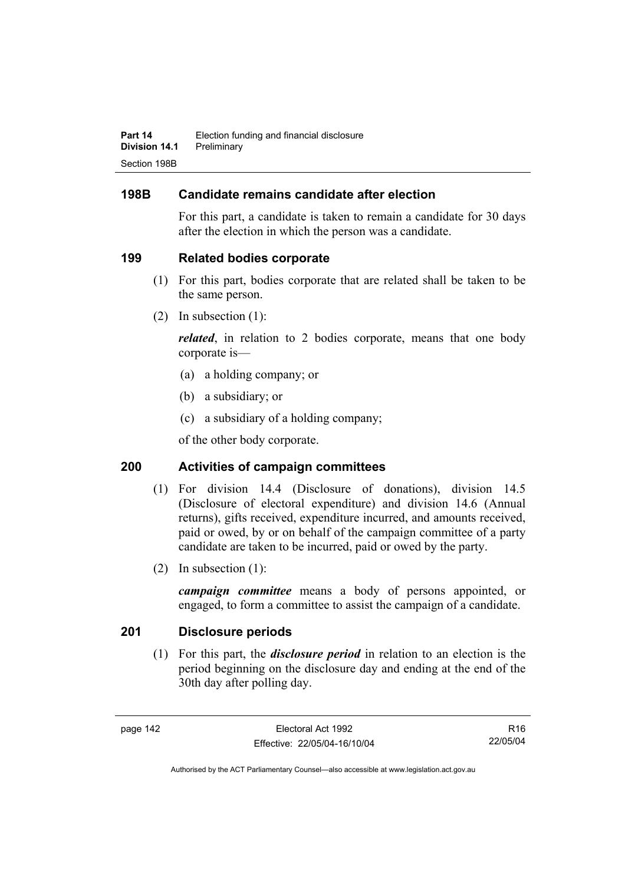# **198B Candidate remains candidate after election**

For this part, a candidate is taken to remain a candidate for 30 days after the election in which the person was a candidate.

# **199 Related bodies corporate**

- (1) For this part, bodies corporate that are related shall be taken to be the same person.
- (2) In subsection (1):

*related*, in relation to 2 bodies corporate, means that one body corporate is—

- (a) a holding company; or
- (b) a subsidiary; or
- (c) a subsidiary of a holding company;

of the other body corporate.

# **200 Activities of campaign committees**

- (1) For division 14.4 (Disclosure of donations), division 14.5 (Disclosure of electoral expenditure) and division 14.6 (Annual returns), gifts received, expenditure incurred, and amounts received, paid or owed, by or on behalf of the campaign committee of a party candidate are taken to be incurred, paid or owed by the party.
- (2) In subsection (1):

*campaign committee* means a body of persons appointed, or engaged, to form a committee to assist the campaign of a candidate.

# **201 Disclosure periods**

 (1) For this part, the *disclosure period* in relation to an election is the period beginning on the disclosure day and ending at the end of the 30th day after polling day.

R16 22/05/04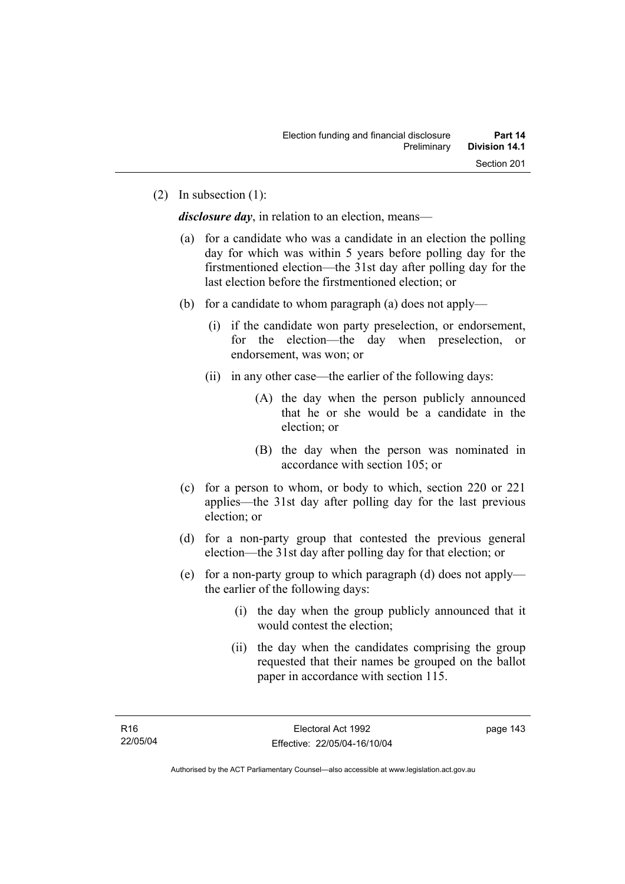(2) In subsection (1):

*disclosure day*, in relation to an election, means—

- (a) for a candidate who was a candidate in an election the polling day for which was within 5 years before polling day for the firstmentioned election—the 31st day after polling day for the last election before the firstmentioned election; or
- (b) for a candidate to whom paragraph (a) does not apply—
	- (i) if the candidate won party preselection, or endorsement, for the election—the day when preselection, or endorsement, was won; or
	- (ii) in any other case—the earlier of the following days:
		- (A) the day when the person publicly announced that he or she would be a candidate in the election; or
		- (B) the day when the person was nominated in accordance with section 105; or
- (c) for a person to whom, or body to which, section 220 or 221 applies—the 31st day after polling day for the last previous election; or
- (d) for a non-party group that contested the previous general election—the 31st day after polling day for that election; or
- (e) for a non-party group to which paragraph (d) does not apply the earlier of the following days:
	- (i) the day when the group publicly announced that it would contest the election;
	- (ii) the day when the candidates comprising the group requested that their names be grouped on the ballot paper in accordance with section 115.

Authorised by the ACT Parliamentary Counsel—also accessible at www.legislation.act.gov.au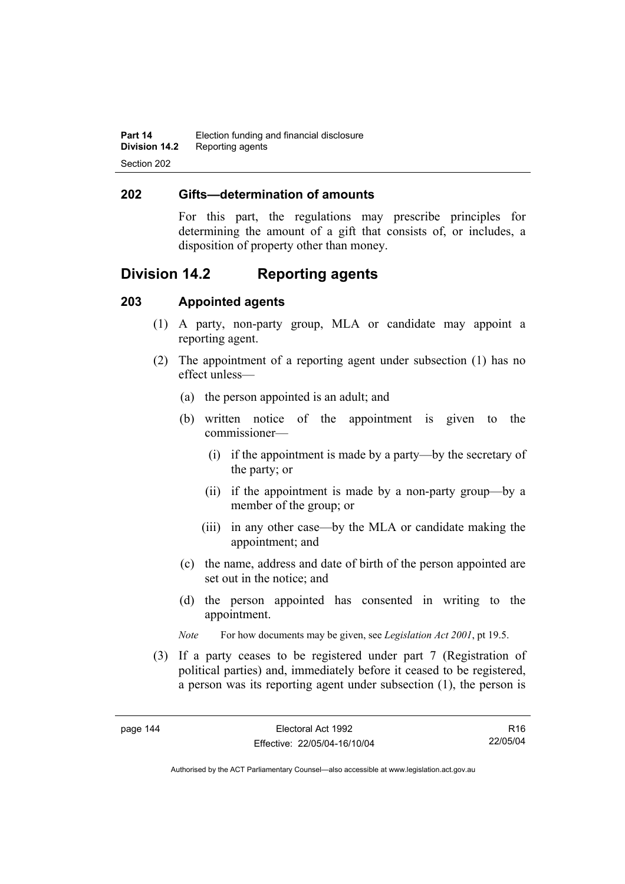### **202 Gifts—determination of amounts**

For this part, the regulations may prescribe principles for determining the amount of a gift that consists of, or includes, a disposition of property other than money.

# **Division 14.2 Reporting agents**

# **203 Appointed agents**

- (1) A party, non-party group, MLA or candidate may appoint a reporting agent.
- (2) The appointment of a reporting agent under subsection (1) has no effect unless—
	- (a) the person appointed is an adult; and
	- (b) written notice of the appointment is given to the commissioner—
		- (i) if the appointment is made by a party—by the secretary of the party; or
		- (ii) if the appointment is made by a non-party group—by a member of the group; or
		- (iii) in any other case—by the MLA or candidate making the appointment; and
	- (c) the name, address and date of birth of the person appointed are set out in the notice; and
	- (d) the person appointed has consented in writing to the appointment.
	- *Note* For how documents may be given, see *Legislation Act 2001*, pt 19.5.
- (3) If a party ceases to be registered under part 7 (Registration of political parties) and, immediately before it ceased to be registered, a person was its reporting agent under subsection (1), the person is

R16 22/05/04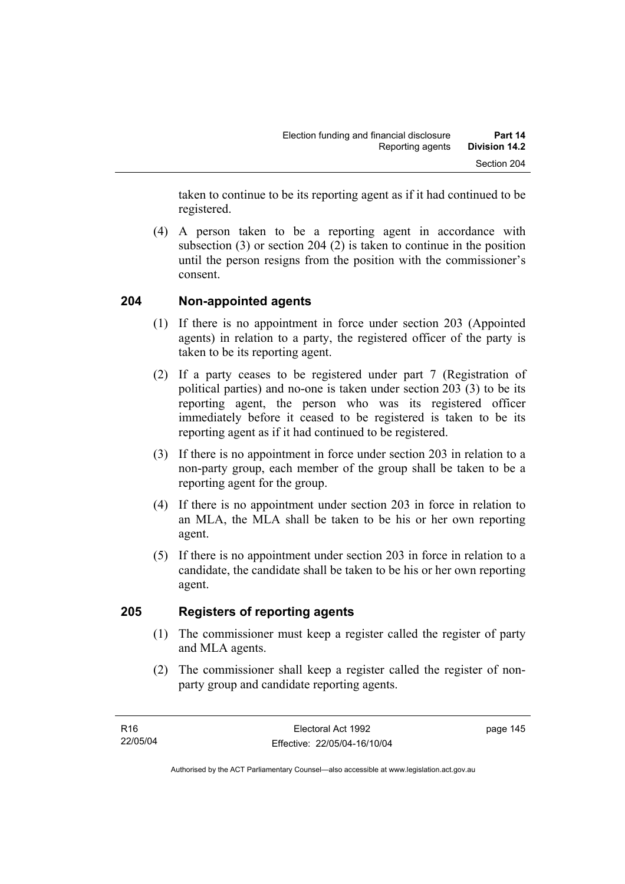taken to continue to be its reporting agent as if it had continued to be registered.

 (4) A person taken to be a reporting agent in accordance with subsection (3) or section 204 (2) is taken to continue in the position until the person resigns from the position with the commissioner's consent.

# **204 Non-appointed agents**

- (1) If there is no appointment in force under section 203 (Appointed agents) in relation to a party, the registered officer of the party is taken to be its reporting agent.
- (2) If a party ceases to be registered under part 7 (Registration of political parties) and no-one is taken under section 203 (3) to be its reporting agent, the person who was its registered officer immediately before it ceased to be registered is taken to be its reporting agent as if it had continued to be registered.
- (3) If there is no appointment in force under section 203 in relation to a non-party group, each member of the group shall be taken to be a reporting agent for the group.
- (4) If there is no appointment under section 203 in force in relation to an MLA, the MLA shall be taken to be his or her own reporting agent.
- (5) If there is no appointment under section 203 in force in relation to a candidate, the candidate shall be taken to be his or her own reporting agent.

# **205 Registers of reporting agents**

- (1) The commissioner must keep a register called the register of party and MLA agents.
- (2) The commissioner shall keep a register called the register of nonparty group and candidate reporting agents.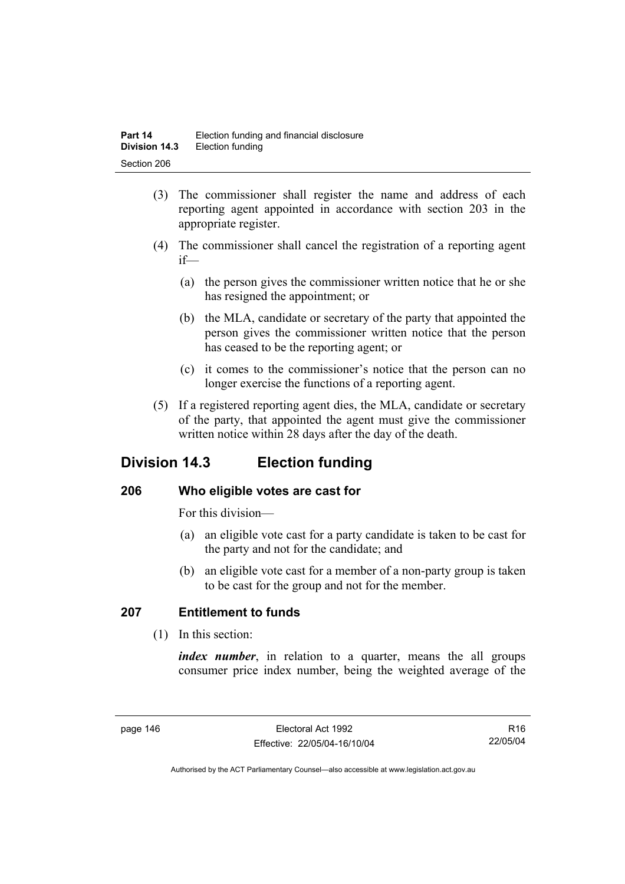- (3) The commissioner shall register the name and address of each reporting agent appointed in accordance with section 203 in the appropriate register.
- (4) The commissioner shall cancel the registration of a reporting agent if—
	- (a) the person gives the commissioner written notice that he or she has resigned the appointment; or
	- (b) the MLA, candidate or secretary of the party that appointed the person gives the commissioner written notice that the person has ceased to be the reporting agent; or
	- (c) it comes to the commissioner's notice that the person can no longer exercise the functions of a reporting agent.
- (5) If a registered reporting agent dies, the MLA, candidate or secretary of the party, that appointed the agent must give the commissioner written notice within 28 days after the day of the death.

# **Division 14.3 Election funding**

# **206 Who eligible votes are cast for**

For this division—

- (a) an eligible vote cast for a party candidate is taken to be cast for the party and not for the candidate; and
- (b) an eligible vote cast for a member of a non-party group is taken to be cast for the group and not for the member.

# **207 Entitlement to funds**

(1) In this section:

*index number*, in relation to a quarter, means the all groups consumer price index number, being the weighted average of the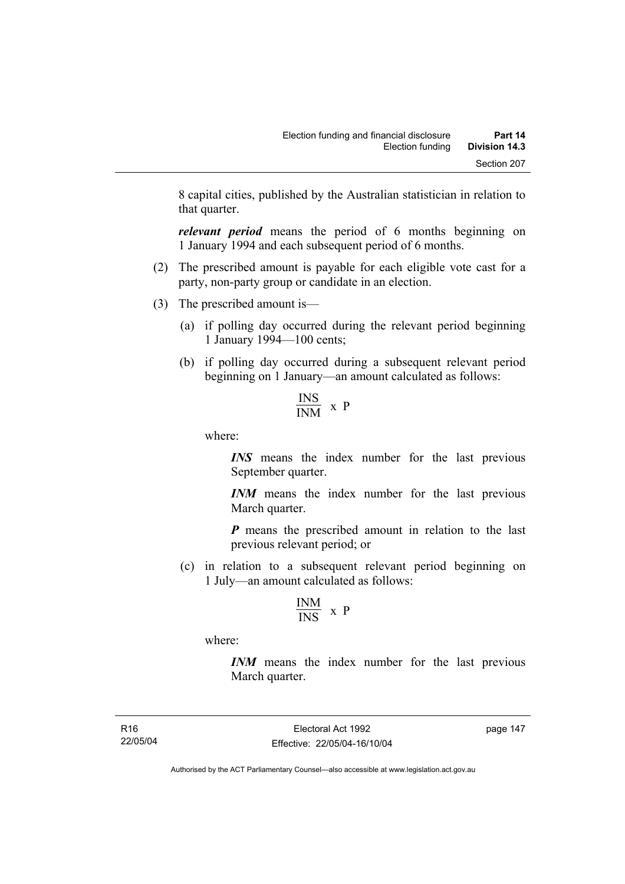8 capital cities, published by the Australian statistician in relation to that quarter.

*relevant period* means the period of 6 months beginning on 1 January 1994 and each subsequent period of 6 months.

- (2) The prescribed amount is payable for each eligible vote cast for a party, non-party group or candidate in an election.
- (3) The prescribed amount is—
	- (a) if polling day occurred during the relevant period beginning 1 January 1994—100 cents;
	- (b) if polling day occurred during a subsequent relevant period beginning on 1 January—an amount calculated as follows:

$$
\frac{\text{INS}}{\text{INM}} \times P
$$

where:

*INS* means the index number for the last previous September quarter.

*INM* means the index number for the last previous March quarter.

*P* means the prescribed amount in relation to the last previous relevant period; or

 (c) in relation to a subsequent relevant period beginning on 1 July—an amount calculated as follows:

$$
\frac{\text{INM}}{\text{INS}} \ x \ p
$$

where:

*INM* means the index number for the last previous March quarter.

R16 22/05/04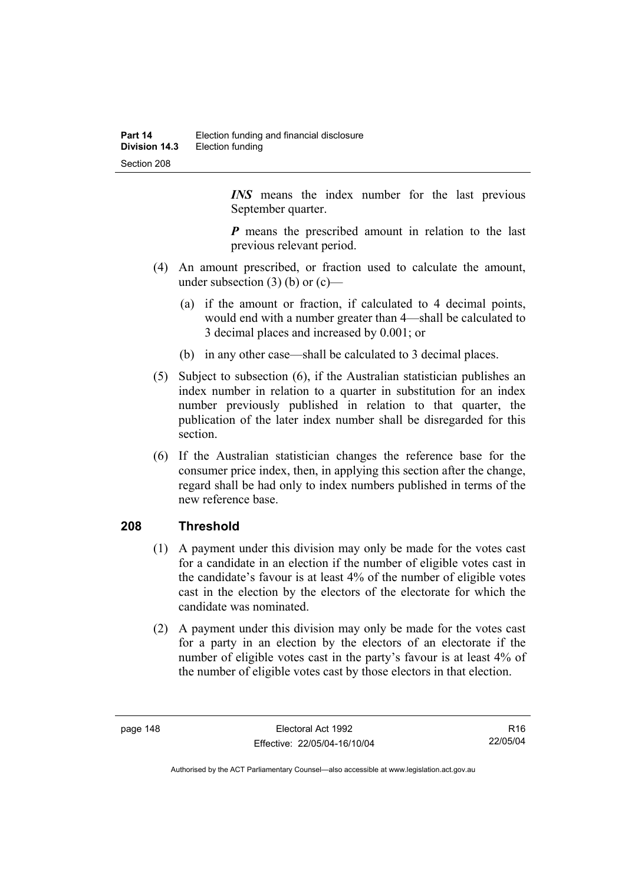*INS* means the index number for the last previous September quarter.

*P* means the prescribed amount in relation to the last previous relevant period.

- (4) An amount prescribed, or fraction used to calculate the amount, under subsection  $(3)$  (b) or  $(c)$ —
	- (a) if the amount or fraction, if calculated to 4 decimal points, would end with a number greater than 4—shall be calculated to 3 decimal places and increased by 0.001; or
	- (b) in any other case—shall be calculated to 3 decimal places.
- (5) Subject to subsection (6), if the Australian statistician publishes an index number in relation to a quarter in substitution for an index number previously published in relation to that quarter, the publication of the later index number shall be disregarded for this section.
- (6) If the Australian statistician changes the reference base for the consumer price index, then, in applying this section after the change, regard shall be had only to index numbers published in terms of the new reference base.

### **208 Threshold**

- (1) A payment under this division may only be made for the votes cast for a candidate in an election if the number of eligible votes cast in the candidate's favour is at least 4% of the number of eligible votes cast in the election by the electors of the electorate for which the candidate was nominated.
- (2) A payment under this division may only be made for the votes cast for a party in an election by the electors of an electorate if the number of eligible votes cast in the party's favour is at least 4% of the number of eligible votes cast by those electors in that election.

R16 22/05/04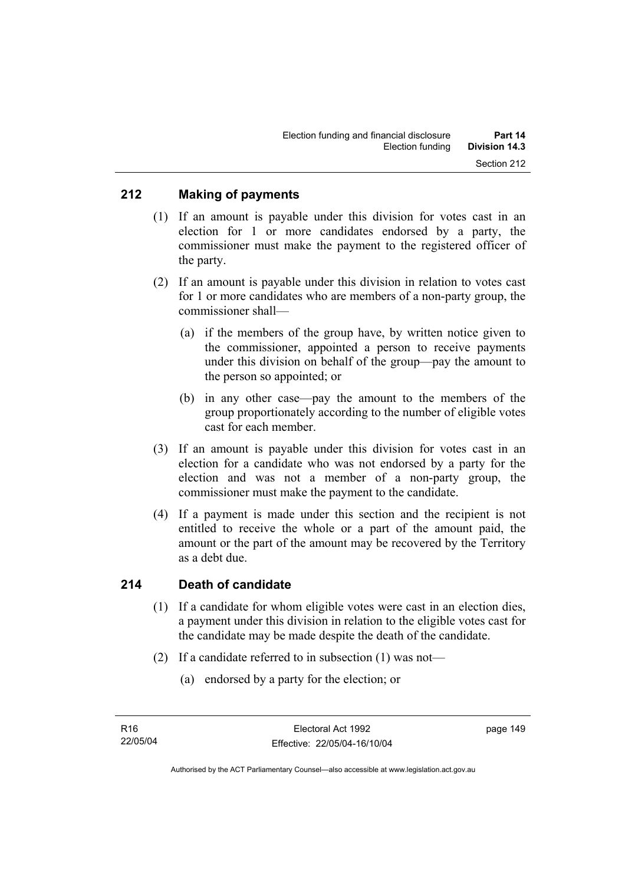# **212 Making of payments**

- (1) If an amount is payable under this division for votes cast in an election for 1 or more candidates endorsed by a party, the commissioner must make the payment to the registered officer of the party.
- (2) If an amount is payable under this division in relation to votes cast for 1 or more candidates who are members of a non-party group, the commissioner shall—
	- (a) if the members of the group have, by written notice given to the commissioner, appointed a person to receive payments under this division on behalf of the group—pay the amount to the person so appointed; or
	- (b) in any other case—pay the amount to the members of the group proportionately according to the number of eligible votes cast for each member.
- (3) If an amount is payable under this division for votes cast in an election for a candidate who was not endorsed by a party for the election and was not a member of a non-party group, the commissioner must make the payment to the candidate.
- (4) If a payment is made under this section and the recipient is not entitled to receive the whole or a part of the amount paid, the amount or the part of the amount may be recovered by the Territory as a debt due.

# **214 Death of candidate**

- (1) If a candidate for whom eligible votes were cast in an election dies, a payment under this division in relation to the eligible votes cast for the candidate may be made despite the death of the candidate.
- (2) If a candidate referred to in subsection (1) was not—
	- (a) endorsed by a party for the election; or

Authorised by the ACT Parliamentary Counsel—also accessible at www.legislation.act.gov.au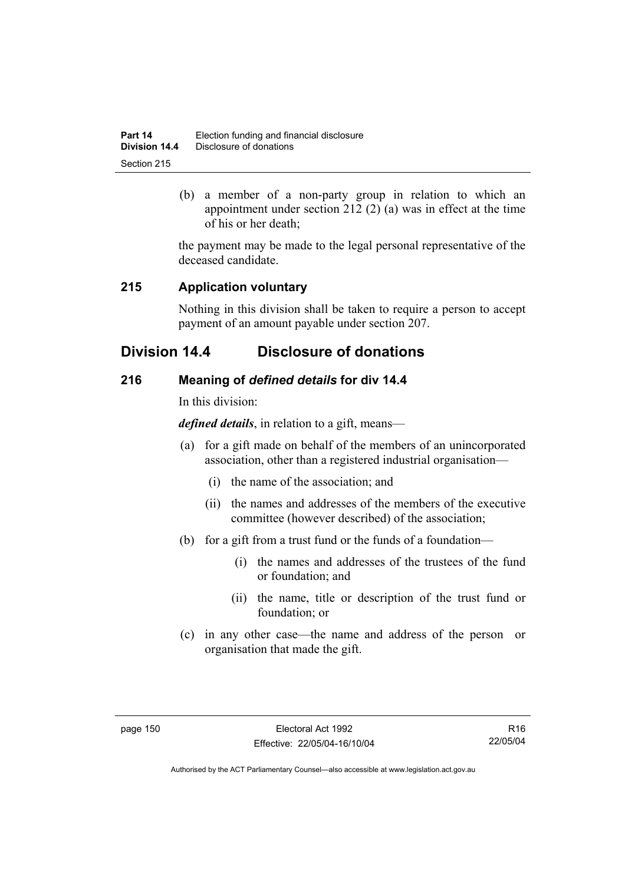| Part 14       | Election funding and financial disclosure |
|---------------|-------------------------------------------|
| Division 14.4 | Disclosure of donations                   |
| Section 215   |                                           |

 (b) a member of a non-party group in relation to which an appointment under section 212 (2) (a) was in effect at the time of his or her death;

the payment may be made to the legal personal representative of the deceased candidate.

# **215 Application voluntary**

Nothing in this division shall be taken to require a person to accept payment of an amount payable under section 207.

# **Division 14.4 Disclosure of donations**

# **216 Meaning of** *defined details* **for div 14.4**

In this division:

*defined details*, in relation to a gift, means—

- (a) for a gift made on behalf of the members of an unincorporated association, other than a registered industrial organisation—
	- (i) the name of the association; and
	- (ii) the names and addresses of the members of the executive committee (however described) of the association;
- (b) for a gift from a trust fund or the funds of a foundation—
	- (i) the names and addresses of the trustees of the fund or foundation; and
	- (ii) the name, title or description of the trust fund or foundation; or
- (c) in any other case—the name and address of the person or organisation that made the gift.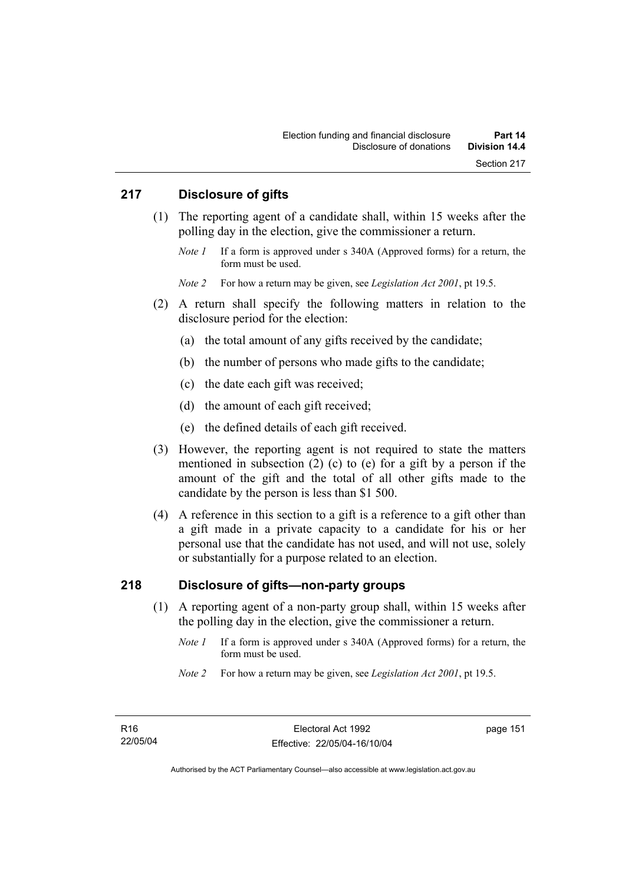## **217 Disclosure of gifts**

- (1) The reporting agent of a candidate shall, within 15 weeks after the polling day in the election, give the commissioner a return.
	- *Note 1* If a form is approved under s 340A (Approved forms) for a return, the form must be used.

*Note 2* For how a return may be given, see *Legislation Act 2001*, pt 19.5.

- (2) A return shall specify the following matters in relation to the disclosure period for the election:
	- (a) the total amount of any gifts received by the candidate;
	- (b) the number of persons who made gifts to the candidate;
	- (c) the date each gift was received;
	- (d) the amount of each gift received;
	- (e) the defined details of each gift received.
- (3) However, the reporting agent is not required to state the matters mentioned in subsection (2) (c) to (e) for a gift by a person if the amount of the gift and the total of all other gifts made to the candidate by the person is less than \$1 500.
- (4) A reference in this section to a gift is a reference to a gift other than a gift made in a private capacity to a candidate for his or her personal use that the candidate has not used, and will not use, solely or substantially for a purpose related to an election.

## **218 Disclosure of gifts—non-party groups**

- (1) A reporting agent of a non-party group shall, within 15 weeks after the polling day in the election, give the commissioner a return.
	- *Note 1* If a form is approved under s 340A (Approved forms) for a return, the form must be used.
	- *Note 2* For how a return may be given, see *Legislation Act 2001*, pt 19.5.

page 151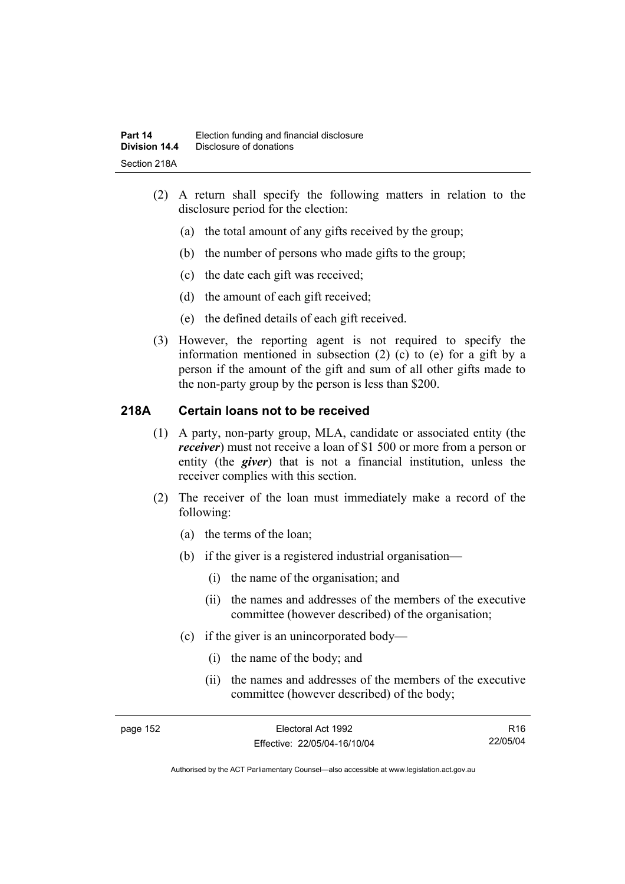- (2) A return shall specify the following matters in relation to the disclosure period for the election:
	- (a) the total amount of any gifts received by the group;
	- (b) the number of persons who made gifts to the group;
	- (c) the date each gift was received;
	- (d) the amount of each gift received;
	- (e) the defined details of each gift received.
- (3) However, the reporting agent is not required to specify the information mentioned in subsection (2) (c) to (e) for a gift by a person if the amount of the gift and sum of all other gifts made to the non-party group by the person is less than \$200.

# **218A Certain loans not to be received**

- (1) A party, non-party group, MLA, candidate or associated entity (the *receiver*) must not receive a loan of \$1 500 or more from a person or entity (the *giver*) that is not a financial institution, unless the receiver complies with this section.
- (2) The receiver of the loan must immediately make a record of the following:
	- (a) the terms of the loan;
	- (b) if the giver is a registered industrial organisation—
		- (i) the name of the organisation; and
		- (ii) the names and addresses of the members of the executive committee (however described) of the organisation;
	- (c) if the giver is an unincorporated body—
		- (i) the name of the body; and
		- (ii) the names and addresses of the members of the executive committee (however described) of the body;

R16 22/05/04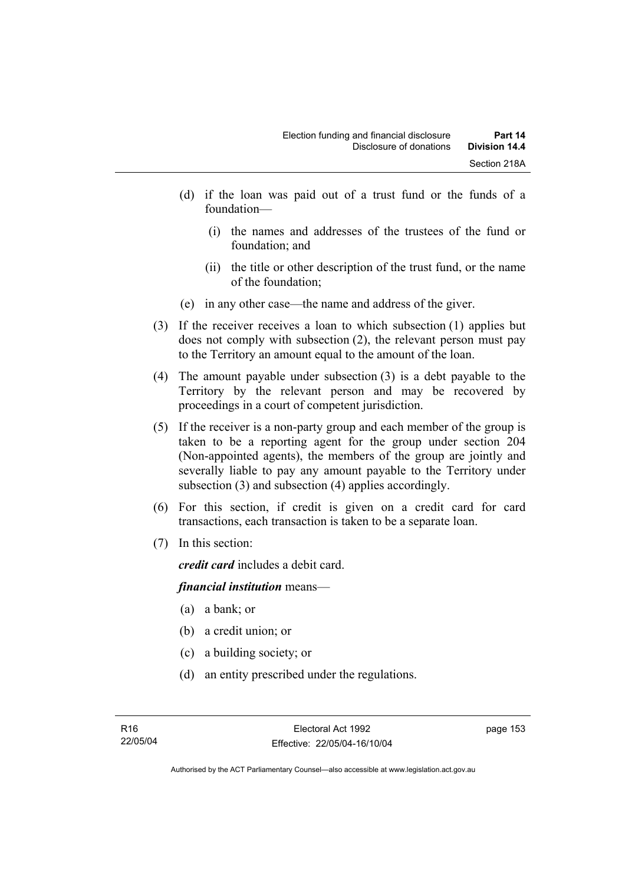- (d) if the loan was paid out of a trust fund or the funds of a foundation—
	- (i) the names and addresses of the trustees of the fund or foundation; and
	- (ii) the title or other description of the trust fund, or the name of the foundation;
- (e) in any other case—the name and address of the giver.
- (3) If the receiver receives a loan to which subsection (1) applies but does not comply with subsection (2), the relevant person must pay to the Territory an amount equal to the amount of the loan.
- (4) The amount payable under subsection (3) is a debt payable to the Territory by the relevant person and may be recovered by proceedings in a court of competent jurisdiction.
- (5) If the receiver is a non-party group and each member of the group is taken to be a reporting agent for the group under section 204 (Non-appointed agents), the members of the group are jointly and severally liable to pay any amount payable to the Territory under subsection (3) and subsection (4) applies accordingly.
- (6) For this section, if credit is given on a credit card for card transactions, each transaction is taken to be a separate loan.
- (7) In this section:

*credit card* includes a debit card.

### *financial institution* means—

- (a) a bank; or
- (b) a credit union; or
- (c) a building society; or
- (d) an entity prescribed under the regulations.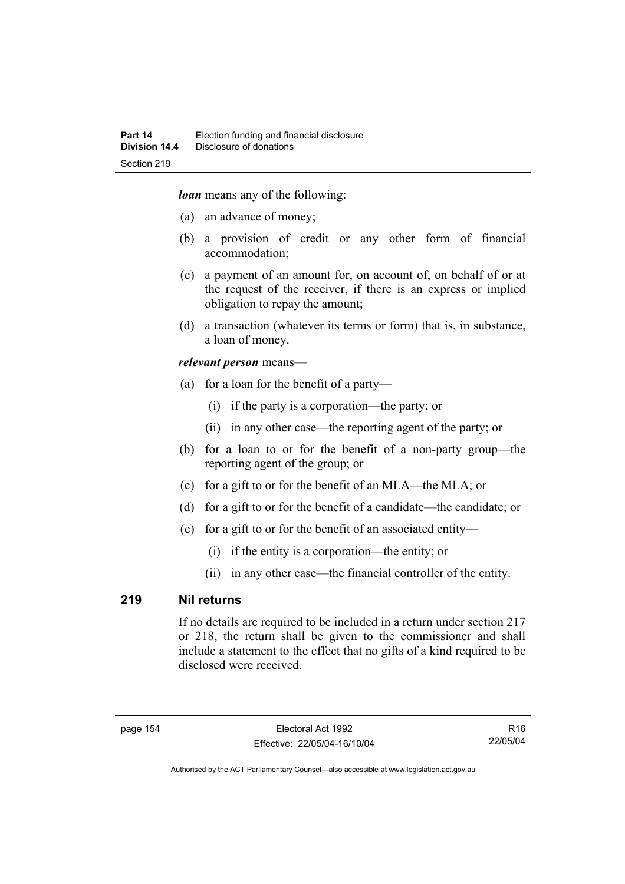*loan* means any of the following:

- (a) an advance of money;
- (b) a provision of credit or any other form of financial accommodation;
- (c) a payment of an amount for, on account of, on behalf of or at the request of the receiver, if there is an express or implied obligation to repay the amount;
- (d) a transaction (whatever its terms or form) that is, in substance, a loan of money.

#### *relevant person* means—

- (a) for a loan for the benefit of a party—
	- (i) if the party is a corporation—the party; or
	- (ii) in any other case—the reporting agent of the party; or
- (b) for a loan to or for the benefit of a non-party group—the reporting agent of the group; or
- (c) for a gift to or for the benefit of an MLA—the MLA; or
- (d) for a gift to or for the benefit of a candidate—the candidate; or
- (e) for a gift to or for the benefit of an associated entity—
	- (i) if the entity is a corporation—the entity; or
	- (ii) in any other case—the financial controller of the entity.

### **219 Nil returns**

If no details are required to be included in a return under section 217 or 218, the return shall be given to the commissioner and shall include a statement to the effect that no gifts of a kind required to be disclosed were received.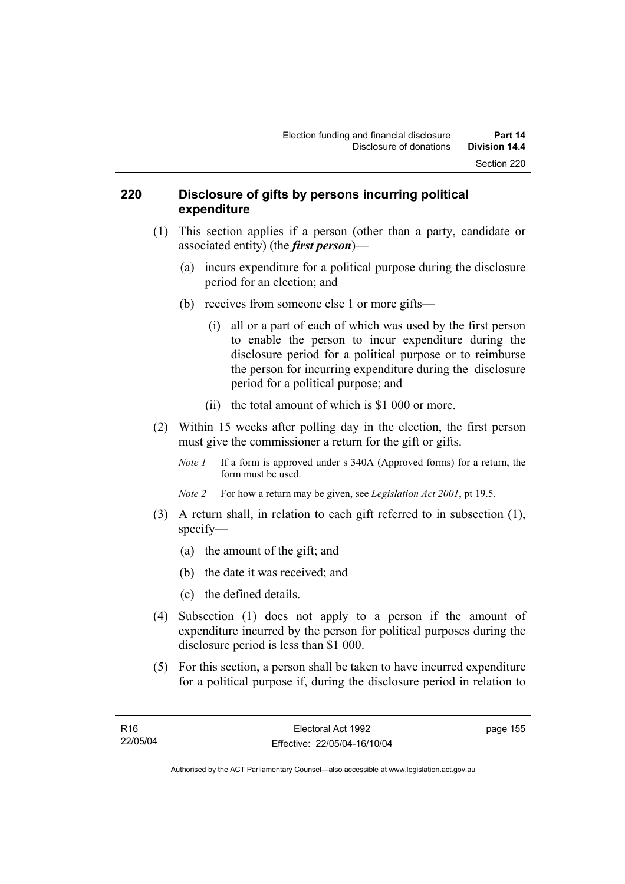### **220 Disclosure of gifts by persons incurring political expenditure**

- (1) This section applies if a person (other than a party, candidate or associated entity) (the *first person*)—
	- (a) incurs expenditure for a political purpose during the disclosure period for an election; and
	- (b) receives from someone else 1 or more gifts—
		- (i) all or a part of each of which was used by the first person to enable the person to incur expenditure during the disclosure period for a political purpose or to reimburse the person for incurring expenditure during the disclosure period for a political purpose; and
		- (ii) the total amount of which is \$1 000 or more.
- (2) Within 15 weeks after polling day in the election, the first person must give the commissioner a return for the gift or gifts.
	- *Note 1* If a form is approved under s 340A (Approved forms) for a return, the form must be used.
	- *Note 2* For how a return may be given, see *Legislation Act 2001*, pt 19.5.
- (3) A return shall, in relation to each gift referred to in subsection (1), specify—
	- (a) the amount of the gift; and
	- (b) the date it was received; and
	- (c) the defined details.
- (4) Subsection (1) does not apply to a person if the amount of expenditure incurred by the person for political purposes during the disclosure period is less than \$1 000.
- (5) For this section, a person shall be taken to have incurred expenditure for a political purpose if, during the disclosure period in relation to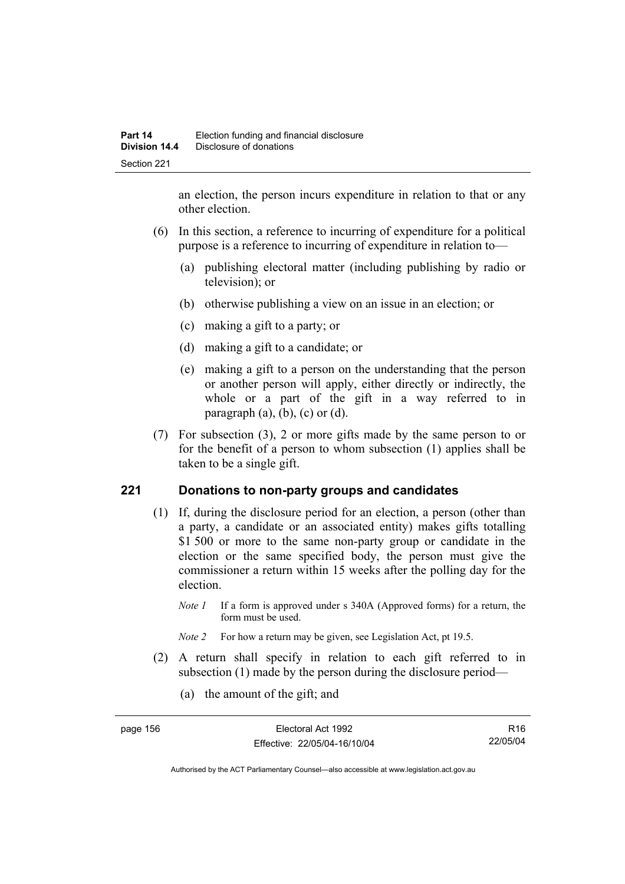an election, the person incurs expenditure in relation to that or any other election.

- (6) In this section, a reference to incurring of expenditure for a political purpose is a reference to incurring of expenditure in relation to—
	- (a) publishing electoral matter (including publishing by radio or television); or
	- (b) otherwise publishing a view on an issue in an election; or
	- (c) making a gift to a party; or
	- (d) making a gift to a candidate; or
	- (e) making a gift to a person on the understanding that the person or another person will apply, either directly or indirectly, the whole or a part of the gift in a way referred to in paragraph  $(a)$ ,  $(b)$ ,  $(c)$  or  $(d)$ .
- (7) For subsection (3), 2 or more gifts made by the same person to or for the benefit of a person to whom subsection (1) applies shall be taken to be a single gift.

# **221 Donations to non-party groups and candidates**

- (1) If, during the disclosure period for an election, a person (other than a party, a candidate or an associated entity) makes gifts totalling \$1,500 or more to the same non-party group or candidate in the election or the same specified body, the person must give the commissioner a return within 15 weeks after the polling day for the election.
	- *Note 1* If a form is approved under s 340A (Approved forms) for a return, the form must be used.
	- *Note 2* For how a return may be given, see Legislation Act, pt 19.5.
- (2) A return shall specify in relation to each gift referred to in subsection (1) made by the person during the disclosure period—
	- (a) the amount of the gift; and

| page 156 | Electoral Act 1992           | R <sub>16</sub> |
|----------|------------------------------|-----------------|
|          | Effective: 22/05/04-16/10/04 | 22/05/04        |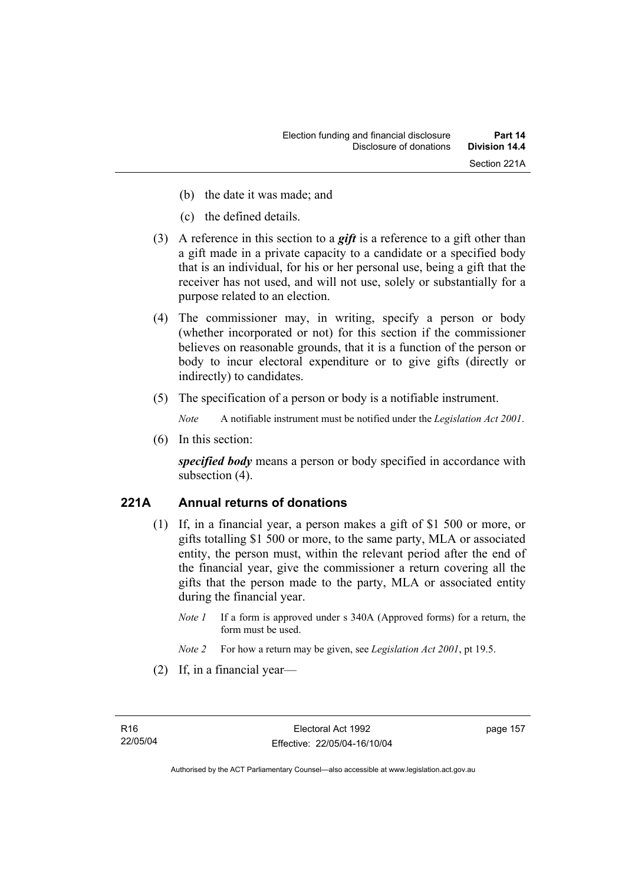- (b) the date it was made; and
- (c) the defined details.
- (3) A reference in this section to a *gift* is a reference to a gift other than a gift made in a private capacity to a candidate or a specified body that is an individual, for his or her personal use, being a gift that the receiver has not used, and will not use, solely or substantially for a purpose related to an election.
- (4) The commissioner may, in writing, specify a person or body (whether incorporated or not) for this section if the commissioner believes on reasonable grounds, that it is a function of the person or body to incur electoral expenditure or to give gifts (directly or indirectly) to candidates.
- (5) The specification of a person or body is a notifiable instrument.

*Note* A notifiable instrument must be notified under the *Legislation Act 2001*.

(6) In this section:

*specified body* means a person or body specified in accordance with subsection  $(4)$ .

# **221A Annual returns of donations**

- (1) If, in a financial year, a person makes a gift of \$1 500 or more, or gifts totalling \$1 500 or more, to the same party, MLA or associated entity, the person must, within the relevant period after the end of the financial year, give the commissioner a return covering all the gifts that the person made to the party, MLA or associated entity during the financial year.
	- *Note 1* If a form is approved under s 340A (Approved forms) for a return, the form must be used.
	- *Note 2* For how a return may be given, see *Legislation Act 2001*, pt 19.5.
- (2) If, in a financial year—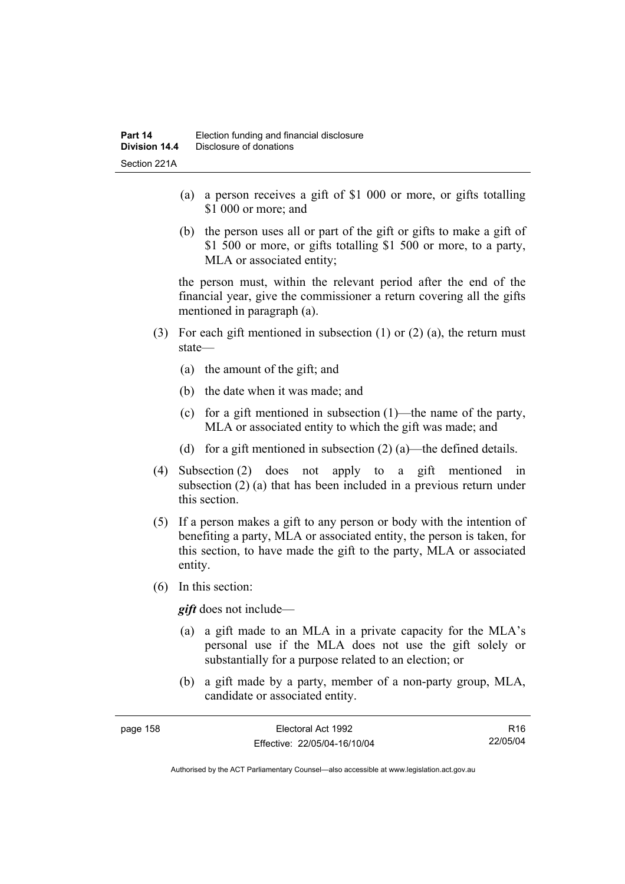- (a) a person receives a gift of \$1 000 or more, or gifts totalling \$1 000 or more; and
- (b) the person uses all or part of the gift or gifts to make a gift of \$1 500 or more, or gifts totalling \$1 500 or more, to a party, MLA or associated entity;

the person must, within the relevant period after the end of the financial year, give the commissioner a return covering all the gifts mentioned in paragraph (a).

- (3) For each gift mentioned in subsection (1) or (2) (a), the return must state—
	- (a) the amount of the gift; and
	- (b) the date when it was made; and
	- (c) for a gift mentioned in subsection (1)—the name of the party, MLA or associated entity to which the gift was made; and
	- (d) for a gift mentioned in subsection  $(2)$  (a)—the defined details.
- (4) Subsection (2) does not apply to a gift mentioned in subsection (2) (a) that has been included in a previous return under this section.
- (5) If a person makes a gift to any person or body with the intention of benefiting a party, MLA or associated entity, the person is taken, for this section, to have made the gift to the party, MLA or associated entity.
- (6) In this section:

*gift* does not include—

- (a) a gift made to an MLA in a private capacity for the MLA's personal use if the MLA does not use the gift solely or substantially for a purpose related to an election; or
- (b) a gift made by a party, member of a non-party group, MLA, candidate or associated entity.

| page 158 | Electoral Act 1992           | R16      |
|----------|------------------------------|----------|
|          | Effective: 22/05/04-16/10/04 | 22/05/04 |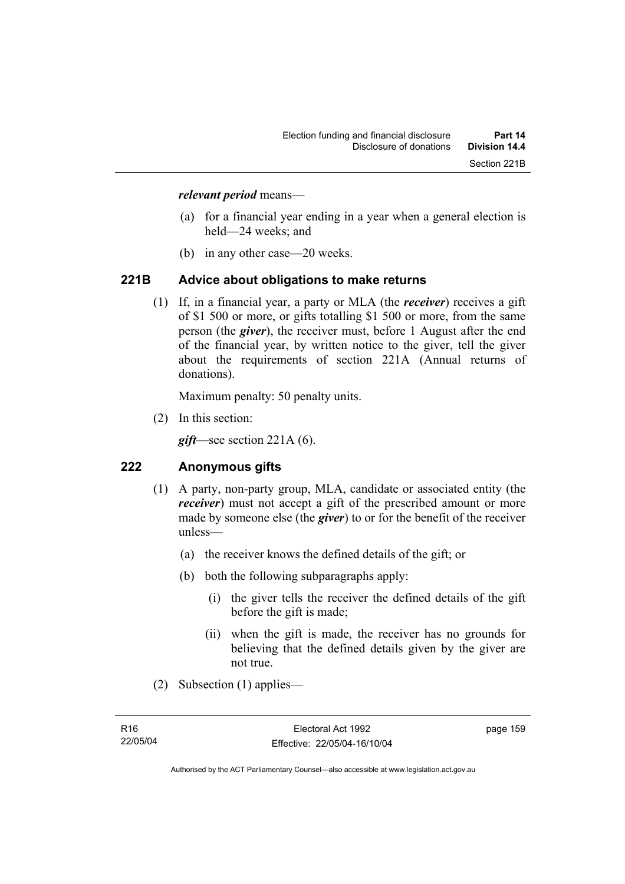### *relevant period* means—

- (a) for a financial year ending in a year when a general election is held—24 weeks; and
- (b) in any other case—20 weeks.

#### **221B Advice about obligations to make returns**

 (1) If, in a financial year, a party or MLA (the *receiver*) receives a gift of \$1 500 or more, or gifts totalling \$1 500 or more, from the same person (the *giver*), the receiver must, before 1 August after the end of the financial year, by written notice to the giver, tell the giver about the requirements of section 221A (Annual returns of donations).

Maximum penalty: 50 penalty units.

(2) In this section:

*gift*—see section 221A (6).

# **222 Anonymous gifts**

- (1) A party, non-party group, MLA, candidate or associated entity (the *receiver*) must not accept a gift of the prescribed amount or more made by someone else (the *giver*) to or for the benefit of the receiver unless—
	- (a) the receiver knows the defined details of the gift; or
	- (b) both the following subparagraphs apply:
		- (i) the giver tells the receiver the defined details of the gift before the gift is made;
		- (ii) when the gift is made, the receiver has no grounds for believing that the defined details given by the giver are not true.
- (2) Subsection (1) applies—

page 159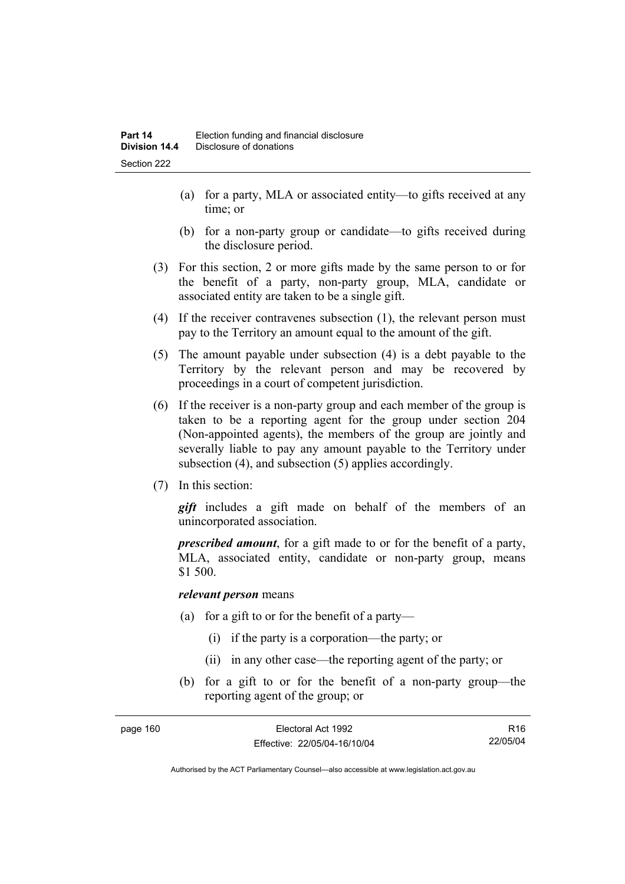- (a) for a party, MLA or associated entity—to gifts received at any time; or
- (b) for a non-party group or candidate—to gifts received during the disclosure period.
- (3) For this section, 2 or more gifts made by the same person to or for the benefit of a party, non-party group, MLA, candidate or associated entity are taken to be a single gift.
- (4) If the receiver contravenes subsection (1), the relevant person must pay to the Territory an amount equal to the amount of the gift.
- (5) The amount payable under subsection (4) is a debt payable to the Territory by the relevant person and may be recovered by proceedings in a court of competent jurisdiction.
- (6) If the receiver is a non-party group and each member of the group is taken to be a reporting agent for the group under section 204 (Non-appointed agents), the members of the group are jointly and severally liable to pay any amount payable to the Territory under subsection (4), and subsection (5) applies accordingly.
- (7) In this section:

*gift* includes a gift made on behalf of the members of an unincorporated association.

*prescribed amount*, for a gift made to or for the benefit of a party, MLA, associated entity, candidate or non-party group, means \$1 500.

#### *relevant person* means

- (a) for a gift to or for the benefit of a party—
	- (i) if the party is a corporation—the party; or
	- (ii) in any other case—the reporting agent of the party; or
- (b) for a gift to or for the benefit of a non-party group—the reporting agent of the group; or

| page 160 | Electoral Act 1992           | R <sub>16</sub> |
|----------|------------------------------|-----------------|
|          | Effective: 22/05/04-16/10/04 | 22/05/04        |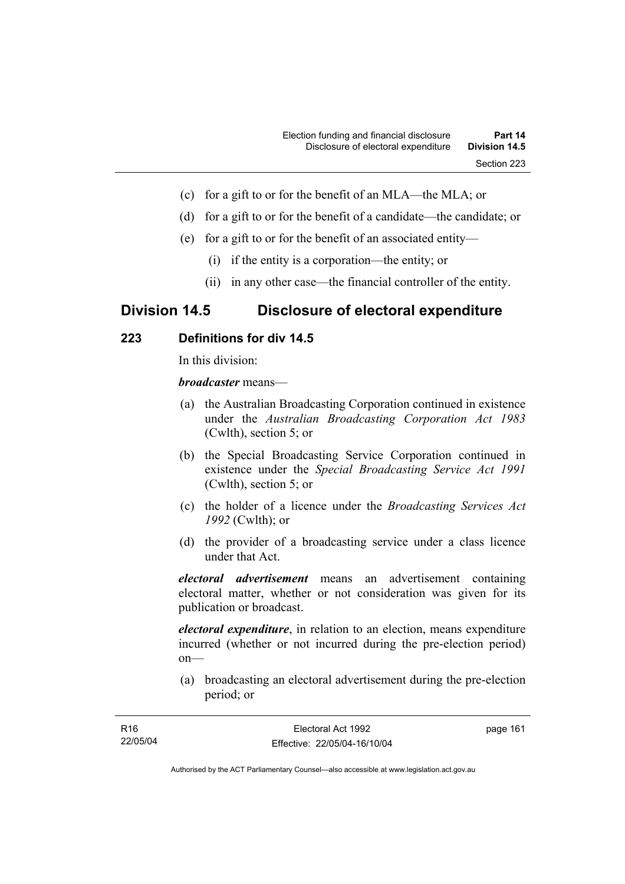- (c) for a gift to or for the benefit of an MLA—the MLA; or
- (d) for a gift to or for the benefit of a candidate—the candidate; or
- (e) for a gift to or for the benefit of an associated entity—
	- (i) if the entity is a corporation—the entity; or
	- (ii) in any other case—the financial controller of the entity.

# **Division 14.5 Disclosure of electoral expenditure**

# **223 Definitions for div 14.5**

In this division:

*broadcaster* means—

- (a) the Australian Broadcasting Corporation continued in existence under the *Australian Broadcasting Corporation Act 1983* (Cwlth), section 5; or
- (b) the Special Broadcasting Service Corporation continued in existence under the *Special Broadcasting Service Act 1991*  (Cwlth), section 5; or
- (c) the holder of a licence under the *Broadcasting Services Act 1992* (Cwlth); or
- (d) the provider of a broadcasting service under a class licence under that Act.

*electoral advertisement* means an advertisement containing electoral matter, whether or not consideration was given for its publication or broadcast.

*electoral expenditure*, in relation to an election, means expenditure incurred (whether or not incurred during the pre-election period) on—

 (a) broadcasting an electoral advertisement during the pre-election period; or

| R16      | Electoral Act 1992           | page 161 |
|----------|------------------------------|----------|
| 22/05/04 | Effective: 22/05/04-16/10/04 |          |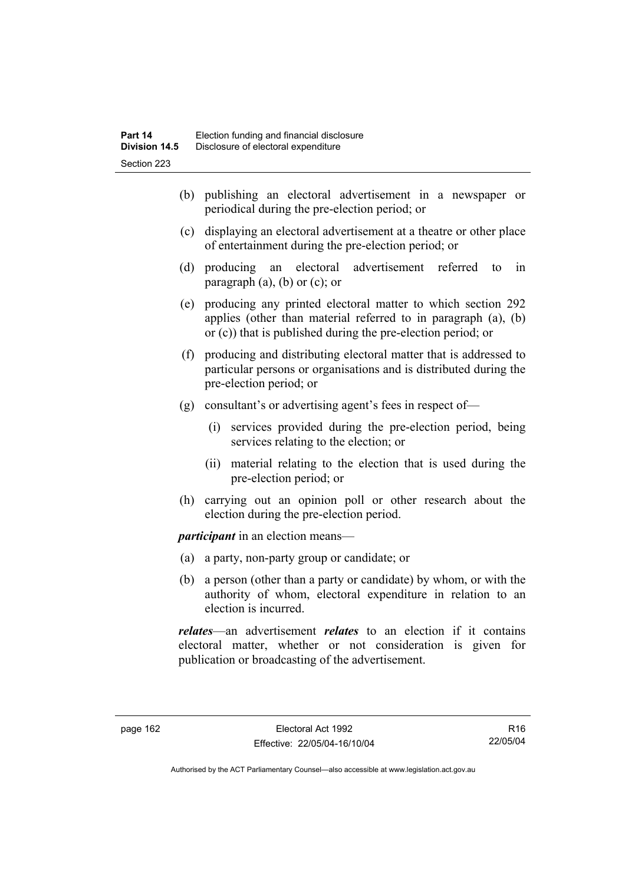- (b) publishing an electoral advertisement in a newspaper or periodical during the pre-election period; or
- (c) displaying an electoral advertisement at a theatre or other place of entertainment during the pre-election period; or
- (d) producing an electoral advertisement referred to in paragraph  $(a)$ ,  $(b)$  or  $(c)$ ; or
- (e) producing any printed electoral matter to which section 292 applies (other than material referred to in paragraph (a), (b) or (c)) that is published during the pre-election period; or
- (f) producing and distributing electoral matter that is addressed to particular persons or organisations and is distributed during the pre-election period; or
- (g) consultant's or advertising agent's fees in respect of—
	- (i) services provided during the pre-election period, being services relating to the election; or
	- (ii) material relating to the election that is used during the pre-election period; or
- (h) carrying out an opinion poll or other research about the election during the pre-election period.

*participant* in an election means—

- (a) a party, non-party group or candidate; or
- (b) a person (other than a party or candidate) by whom, or with the authority of whom, electoral expenditure in relation to an election is incurred.

*relates*—an advertisement *relates* to an election if it contains electoral matter, whether or not consideration is given for publication or broadcasting of the advertisement.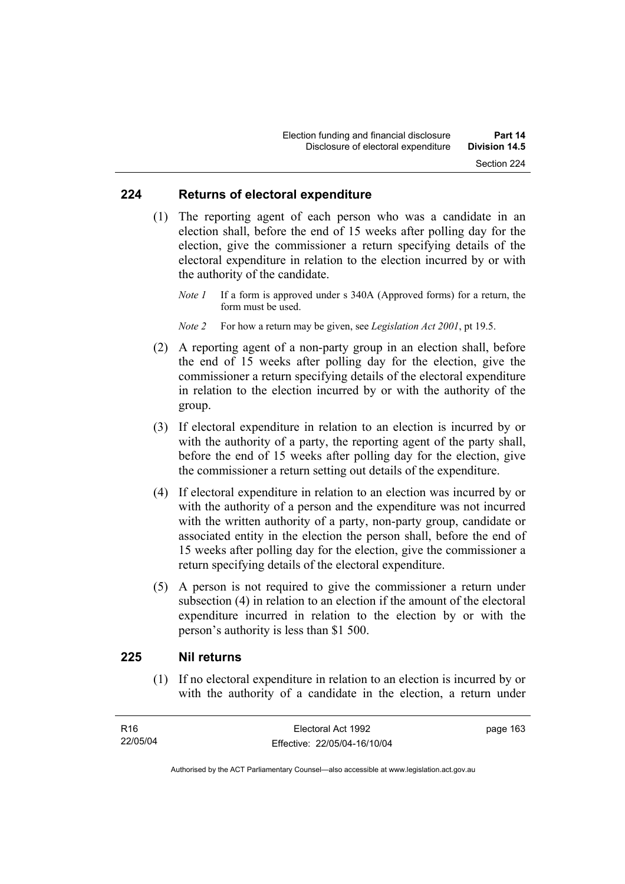#### **224 Returns of electoral expenditure**

 (1) The reporting agent of each person who was a candidate in an election shall, before the end of 15 weeks after polling day for the election, give the commissioner a return specifying details of the electoral expenditure in relation to the election incurred by or with the authority of the candidate.

*Note 1* If a form is approved under s 340A (Approved forms) for a return, the form must be used.

*Note 2* For how a return may be given, see *Legislation Act 2001*, pt 19.5.

- (2) A reporting agent of a non-party group in an election shall, before the end of 15 weeks after polling day for the election, give the commissioner a return specifying details of the electoral expenditure in relation to the election incurred by or with the authority of the group.
- (3) If electoral expenditure in relation to an election is incurred by or with the authority of a party, the reporting agent of the party shall, before the end of 15 weeks after polling day for the election, give the commissioner a return setting out details of the expenditure.
- (4) If electoral expenditure in relation to an election was incurred by or with the authority of a person and the expenditure was not incurred with the written authority of a party, non-party group, candidate or associated entity in the election the person shall, before the end of 15 weeks after polling day for the election, give the commissioner a return specifying details of the electoral expenditure.
- (5) A person is not required to give the commissioner a return under subsection (4) in relation to an election if the amount of the electoral expenditure incurred in relation to the election by or with the person's authority is less than \$1 500.

# **225 Nil returns**

 (1) If no electoral expenditure in relation to an election is incurred by or with the authority of a candidate in the election, a return under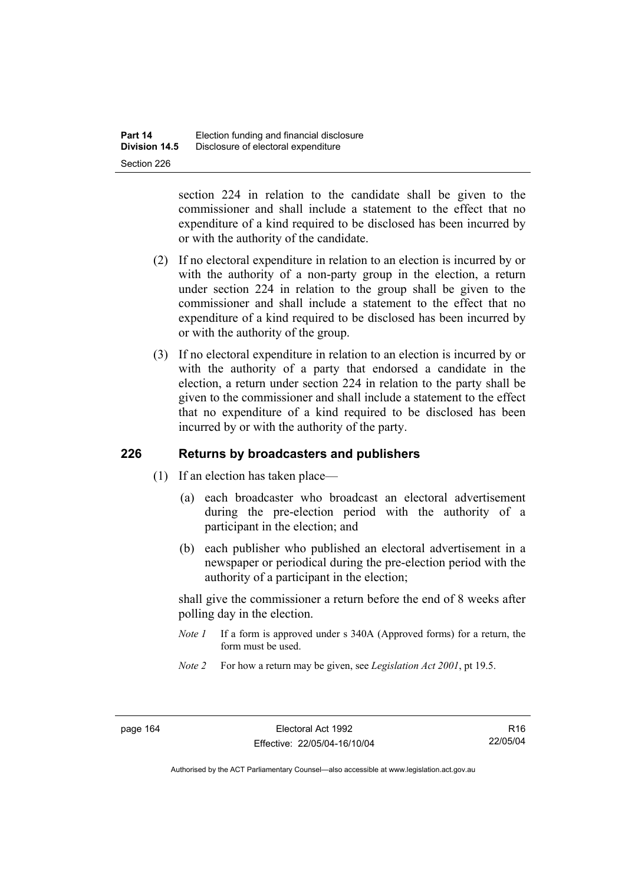section 224 in relation to the candidate shall be given to the commissioner and shall include a statement to the effect that no expenditure of a kind required to be disclosed has been incurred by or with the authority of the candidate.

- (2) If no electoral expenditure in relation to an election is incurred by or with the authority of a non-party group in the election, a return under section 224 in relation to the group shall be given to the commissioner and shall include a statement to the effect that no expenditure of a kind required to be disclosed has been incurred by or with the authority of the group.
- (3) If no electoral expenditure in relation to an election is incurred by or with the authority of a party that endorsed a candidate in the election, a return under section 224 in relation to the party shall be given to the commissioner and shall include a statement to the effect that no expenditure of a kind required to be disclosed has been incurred by or with the authority of the party.

# **226 Returns by broadcasters and publishers**

- (1) If an election has taken place—
	- (a) each broadcaster who broadcast an electoral advertisement during the pre-election period with the authority of a participant in the election; and
	- (b) each publisher who published an electoral advertisement in a newspaper or periodical during the pre-election period with the authority of a participant in the election;

shall give the commissioner a return before the end of 8 weeks after polling day in the election.

- *Note 1* If a form is approved under s 340A (Approved forms) for a return, the form must be used.
- *Note 2* For how a return may be given, see *Legislation Act 2001*, pt 19.5.

R16 22/05/04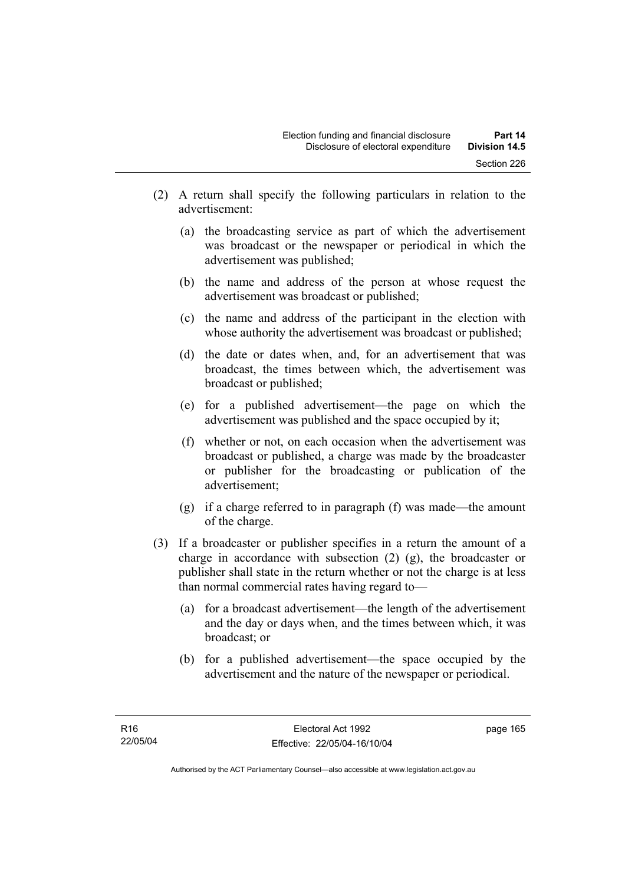- (2) A return shall specify the following particulars in relation to the advertisement:
	- (a) the broadcasting service as part of which the advertisement was broadcast or the newspaper or periodical in which the advertisement was published;
	- (b) the name and address of the person at whose request the advertisement was broadcast or published;
	- (c) the name and address of the participant in the election with whose authority the advertisement was broadcast or published;
	- (d) the date or dates when, and, for an advertisement that was broadcast, the times between which, the advertisement was broadcast or published;
	- (e) for a published advertisement—the page on which the advertisement was published and the space occupied by it;
	- (f) whether or not, on each occasion when the advertisement was broadcast or published, a charge was made by the broadcaster or publisher for the broadcasting or publication of the advertisement;
	- (g) if a charge referred to in paragraph (f) was made—the amount of the charge.
- (3) If a broadcaster or publisher specifies in a return the amount of a charge in accordance with subsection (2) (g), the broadcaster or publisher shall state in the return whether or not the charge is at less than normal commercial rates having regard to—
	- (a) for a broadcast advertisement—the length of the advertisement and the day or days when, and the times between which, it was broadcast; or
	- (b) for a published advertisement—the space occupied by the advertisement and the nature of the newspaper or periodical.

page 165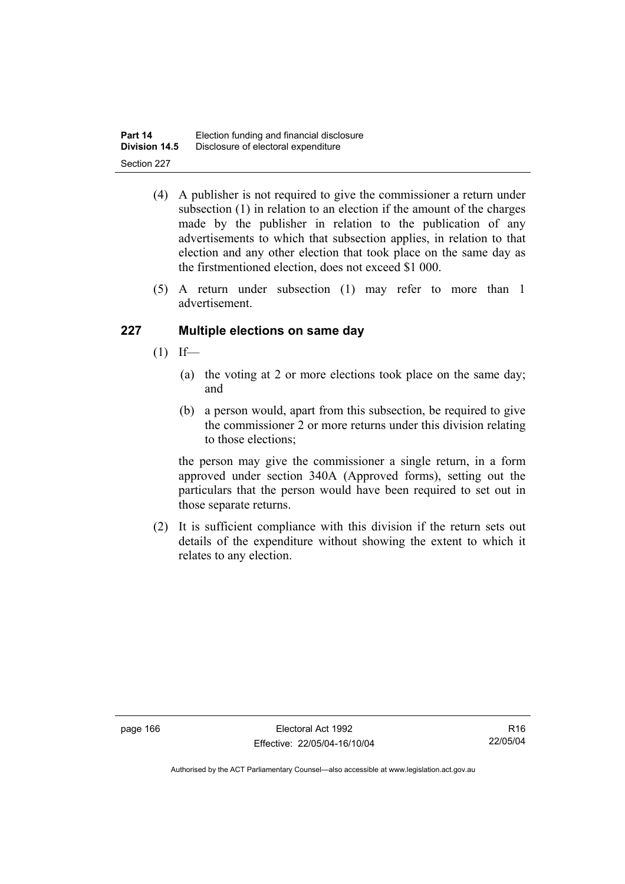| Part 14              | Election funding and financial disclosure |
|----------------------|-------------------------------------------|
| <b>Division 14.5</b> | Disclosure of electoral expenditure       |
| Section 227          |                                           |

- (4) A publisher is not required to give the commissioner a return under subsection (1) in relation to an election if the amount of the charges made by the publisher in relation to the publication of any advertisements to which that subsection applies, in relation to that election and any other election that took place on the same day as the firstmentioned election, does not exceed \$1 000.
- (5) A return under subsection (1) may refer to more than 1 advertisement.

# **227 Multiple elections on same day**

- $(1)$  If—
	- (a) the voting at 2 or more elections took place on the same day; and
	- (b) a person would, apart from this subsection, be required to give the commissioner 2 or more returns under this division relating to those elections;

the person may give the commissioner a single return, in a form approved under section 340A (Approved forms), setting out the particulars that the person would have been required to set out in those separate returns.

 (2) It is sufficient compliance with this division if the return sets out details of the expenditure without showing the extent to which it relates to any election.

R16 22/05/04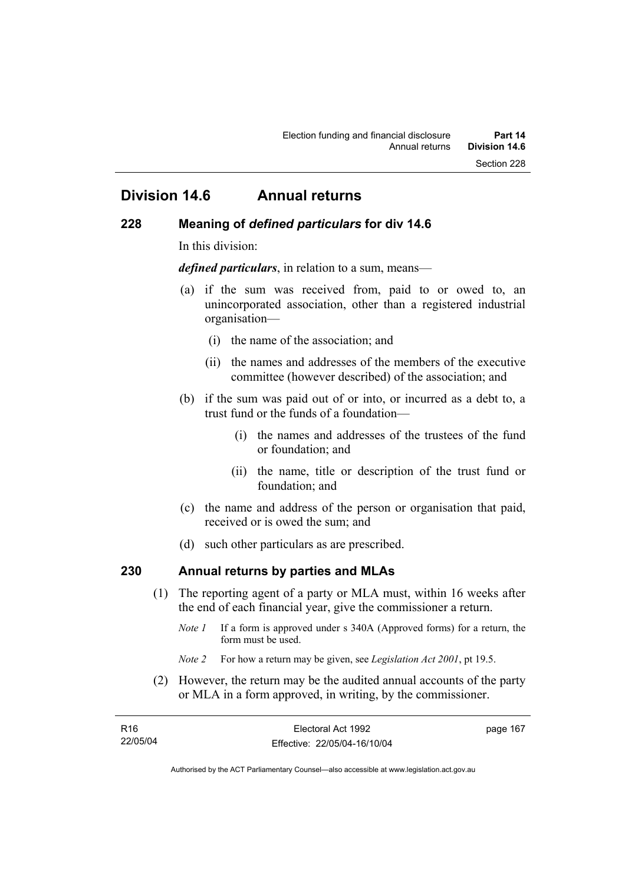# **Division 14.6 Annual returns**

### **228 Meaning of** *defined particulars* **for div 14.6**

In this division:

*defined particulars*, in relation to a sum, means—

- (a) if the sum was received from, paid to or owed to, an unincorporated association, other than a registered industrial organisation—
	- (i) the name of the association; and
	- (ii) the names and addresses of the members of the executive committee (however described) of the association; and
- (b) if the sum was paid out of or into, or incurred as a debt to, a trust fund or the funds of a foundation—
	- (i) the names and addresses of the trustees of the fund or foundation; and
	- (ii) the name, title or description of the trust fund or foundation; and
- (c) the name and address of the person or organisation that paid, received or is owed the sum; and
- (d) such other particulars as are prescribed.

# **230 Annual returns by parties and MLAs**

- (1) The reporting agent of a party or MLA must, within 16 weeks after the end of each financial year, give the commissioner a return.
	- *Note 1* If a form is approved under s 340A (Approved forms) for a return, the form must be used.
	- *Note 2* For how a return may be given, see *Legislation Act 2001*, pt 19.5.
- (2) However, the return may be the audited annual accounts of the party or MLA in a form approved, in writing, by the commissioner.

| R <sub>16</sub> | Electoral Act 1992           | page 167 |
|-----------------|------------------------------|----------|
| 22/05/04        | Effective: 22/05/04-16/10/04 |          |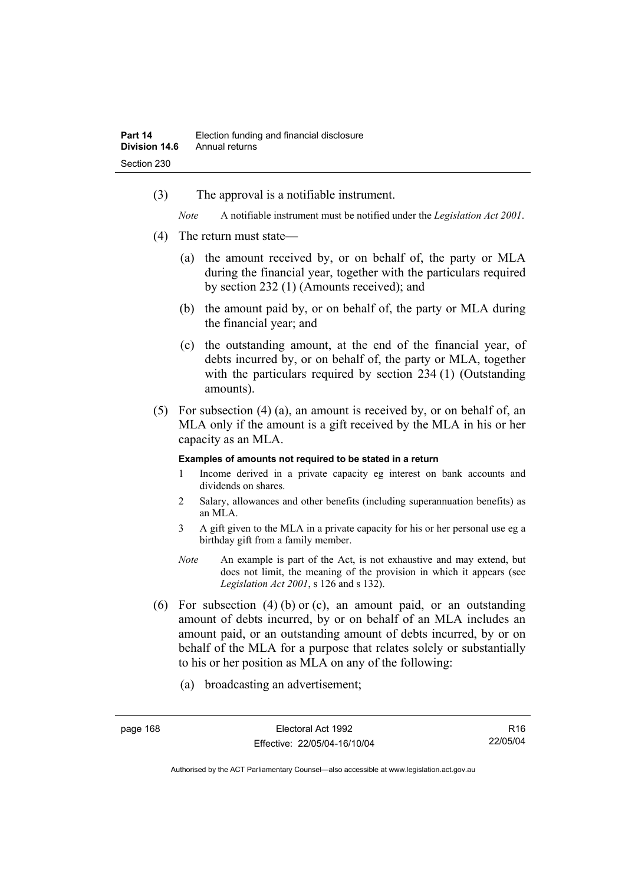(3) The approval is a notifiable instrument.

*Note* A notifiable instrument must be notified under the *Legislation Act 2001*.

- (4) The return must state—
	- (a) the amount received by, or on behalf of, the party or MLA during the financial year, together with the particulars required by section 232 (1) (Amounts received); and
	- (b) the amount paid by, or on behalf of, the party or MLA during the financial year; and
	- (c) the outstanding amount, at the end of the financial year, of debts incurred by, or on behalf of, the party or MLA, together with the particulars required by section 234 (1) (Outstanding amounts).
- (5) For subsection (4) (a), an amount is received by, or on behalf of, an MLA only if the amount is a gift received by the MLA in his or her capacity as an MLA.

#### **Examples of amounts not required to be stated in a return**

- 1 Income derived in a private capacity eg interest on bank accounts and dividends on shares.
- 2 Salary, allowances and other benefits (including superannuation benefits) as an MLA.
- 3 A gift given to the MLA in a private capacity for his or her personal use eg a birthday gift from a family member.
- *Note* An example is part of the Act, is not exhaustive and may extend, but does not limit, the meaning of the provision in which it appears (see *Legislation Act 2001*, s 126 and s 132).
- (6) For subsection (4) (b) or (c), an amount paid, or an outstanding amount of debts incurred, by or on behalf of an MLA includes an amount paid, or an outstanding amount of debts incurred, by or on behalf of the MLA for a purpose that relates solely or substantially to his or her position as MLA on any of the following:
	- (a) broadcasting an advertisement;

R16 22/05/04

Authorised by the ACT Parliamentary Counsel—also accessible at www.legislation.act.gov.au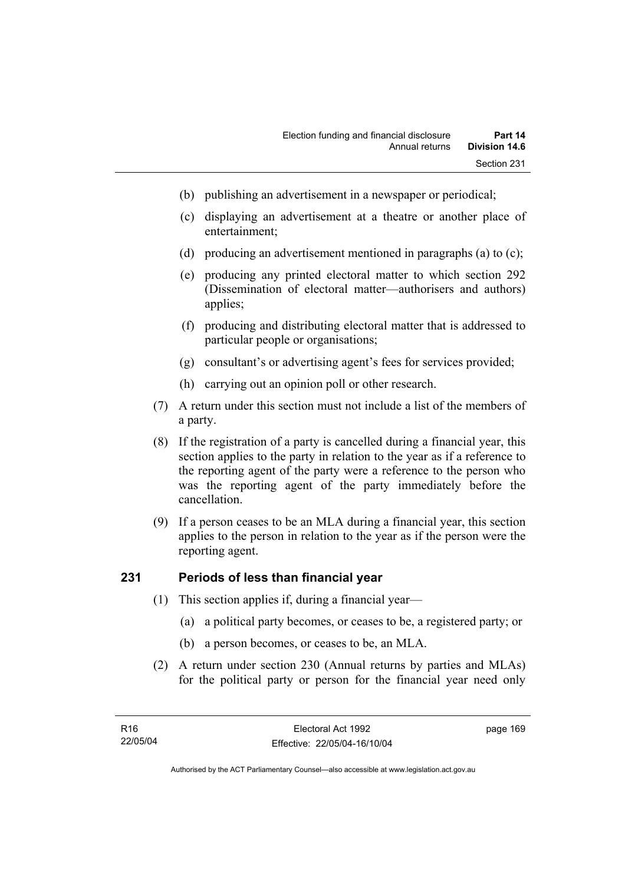- (b) publishing an advertisement in a newspaper or periodical;
- (c) displaying an advertisement at a theatre or another place of entertainment;
- (d) producing an advertisement mentioned in paragraphs (a) to (c);
- (e) producing any printed electoral matter to which section 292 (Dissemination of electoral matter—authorisers and authors) applies;
- (f) producing and distributing electoral matter that is addressed to particular people or organisations;
- (g) consultant's or advertising agent's fees for services provided;
- (h) carrying out an opinion poll or other research.
- (7) A return under this section must not include a list of the members of a party.
- (8) If the registration of a party is cancelled during a financial year, this section applies to the party in relation to the year as if a reference to the reporting agent of the party were a reference to the person who was the reporting agent of the party immediately before the cancellation.
- (9) If a person ceases to be an MLA during a financial year, this section applies to the person in relation to the year as if the person were the reporting agent.

# **231 Periods of less than financial year**

- (1) This section applies if, during a financial year—
	- (a) a political party becomes, or ceases to be, a registered party; or
	- (b) a person becomes, or ceases to be, an MLA.
- (2) A return under section 230 (Annual returns by parties and MLAs) for the political party or person for the financial year need only

page 169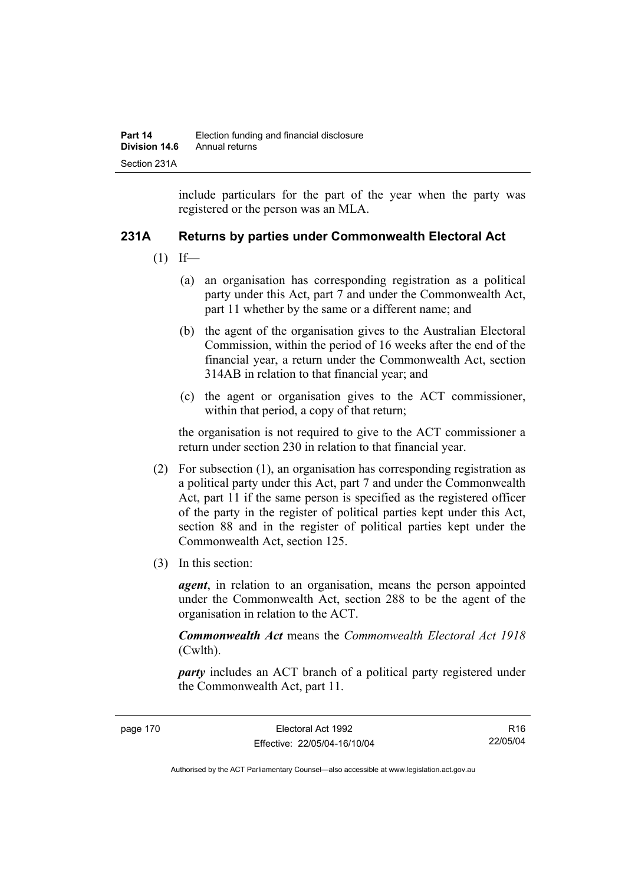include particulars for the part of the year when the party was registered or the person was an MLA.

# **231A Returns by parties under Commonwealth Electoral Act**

- $(1)$  If—
	- (a) an organisation has corresponding registration as a political party under this Act, part 7 and under the Commonwealth Act, part 11 whether by the same or a different name; and
	- (b) the agent of the organisation gives to the Australian Electoral Commission, within the period of 16 weeks after the end of the financial year, a return under the Commonwealth Act, section 314AB in relation to that financial year; and
	- (c) the agent or organisation gives to the ACT commissioner, within that period, a copy of that return;

the organisation is not required to give to the ACT commissioner a return under section 230 in relation to that financial year.

- (2) For subsection (1), an organisation has corresponding registration as a political party under this Act, part 7 and under the Commonwealth Act, part 11 if the same person is specified as the registered officer of the party in the register of political parties kept under this Act, section 88 and in the register of political parties kept under the Commonwealth Act, section 125.
- (3) In this section:

*agent*, in relation to an organisation, means the person appointed under the Commonwealth Act, section 288 to be the agent of the organisation in relation to the ACT.

*Commonwealth Act* means the *Commonwealth Electoral Act 1918* (Cwlth).

*party* includes an ACT branch of a political party registered under the Commonwealth Act, part 11.

R16 22/05/04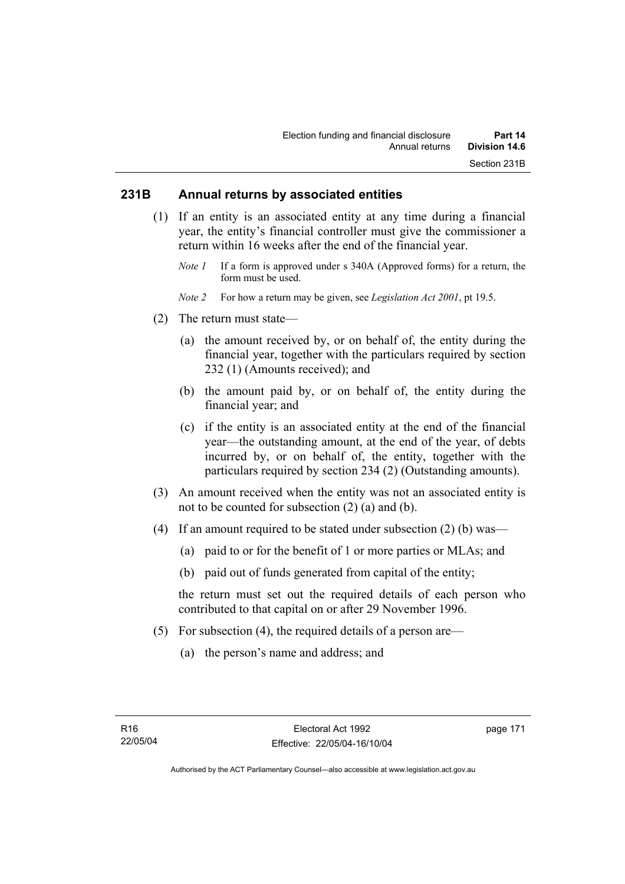# **231B Annual returns by associated entities**

- (1) If an entity is an associated entity at any time during a financial year, the entity's financial controller must give the commissioner a return within 16 weeks after the end of the financial year.
	- *Note 1* If a form is approved under s 340A (Approved forms) for a return, the form must be used.
	- *Note 2* For how a return may be given, see *Legislation Act 2001*, pt 19.5.
- (2) The return must state—
	- (a) the amount received by, or on behalf of, the entity during the financial year, together with the particulars required by section 232 (1) (Amounts received); and
	- (b) the amount paid by, or on behalf of, the entity during the financial year; and
	- (c) if the entity is an associated entity at the end of the financial year—the outstanding amount, at the end of the year, of debts incurred by, or on behalf of, the entity, together with the particulars required by section 234 (2) (Outstanding amounts).
- (3) An amount received when the entity was not an associated entity is not to be counted for subsection (2) (a) and (b).
- (4) If an amount required to be stated under subsection (2) (b) was—
	- (a) paid to or for the benefit of 1 or more parties or MLAs; and
	- (b) paid out of funds generated from capital of the entity;

the return must set out the required details of each person who contributed to that capital on or after 29 November 1996.

- (5) For subsection (4), the required details of a person are—
	- (a) the person's name and address; and

page 171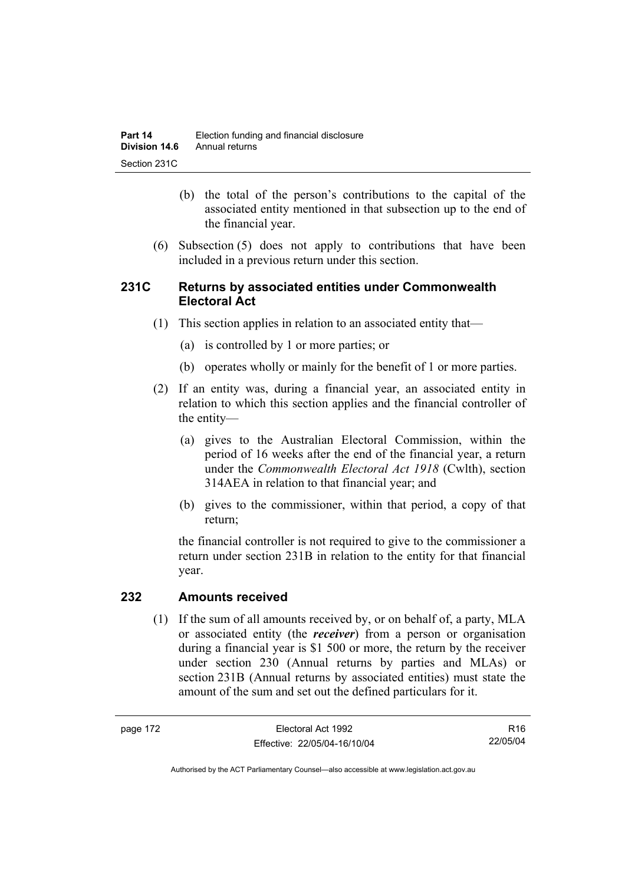- (b) the total of the person's contributions to the capital of the associated entity mentioned in that subsection up to the end of the financial year.
- (6) Subsection (5) does not apply to contributions that have been included in a previous return under this section.

# **231C Returns by associated entities under Commonwealth Electoral Act**

- (1) This section applies in relation to an associated entity that—
	- (a) is controlled by 1 or more parties; or
	- (b) operates wholly or mainly for the benefit of 1 or more parties.
- (2) If an entity was, during a financial year, an associated entity in relation to which this section applies and the financial controller of the entity—
	- (a) gives to the Australian Electoral Commission, within the period of 16 weeks after the end of the financial year, a return under the *Commonwealth Electoral Act 1918* (Cwlth), section 314AEA in relation to that financial year; and
	- (b) gives to the commissioner, within that period, a copy of that return;

the financial controller is not required to give to the commissioner a return under section 231B in relation to the entity for that financial year.

## **232 Amounts received**

 (1) If the sum of all amounts received by, or on behalf of, a party, MLA or associated entity (the *receiver*) from a person or organisation during a financial year is \$1 500 or more, the return by the receiver under section 230 (Annual returns by parties and MLAs) or section 231B (Annual returns by associated entities) must state the amount of the sum and set out the defined particulars for it.

R16 22/05/04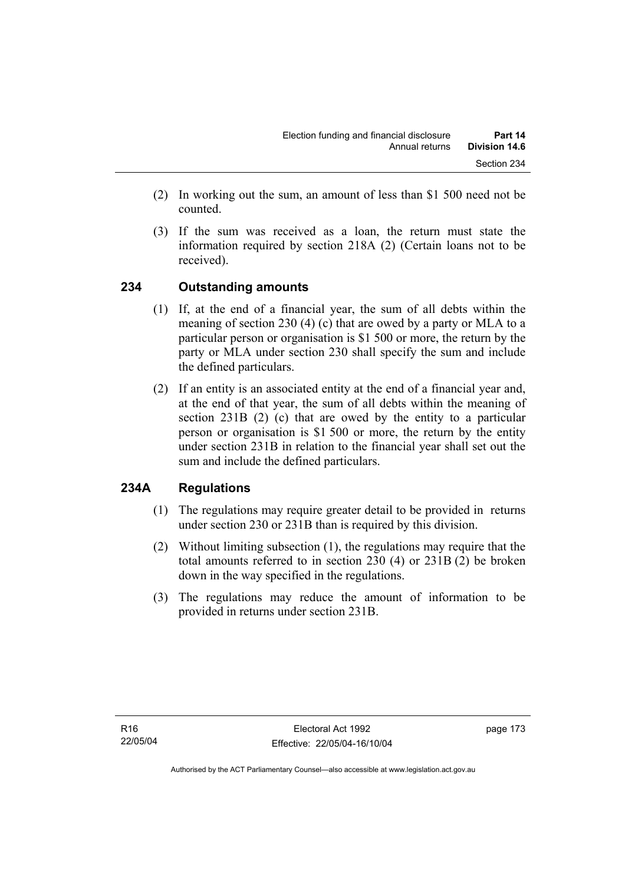- (2) In working out the sum, an amount of less than \$1 500 need not be counted.
- (3) If the sum was received as a loan, the return must state the information required by section 218A (2) (Certain loans not to be received).

# **234 Outstanding amounts**

- (1) If, at the end of a financial year, the sum of all debts within the meaning of section 230 (4) (c) that are owed by a party or MLA to a particular person or organisation is \$1 500 or more, the return by the party or MLA under section 230 shall specify the sum and include the defined particulars.
- (2) If an entity is an associated entity at the end of a financial year and, at the end of that year, the sum of all debts within the meaning of section 231B (2) (c) that are owed by the entity to a particular person or organisation is \$1 500 or more, the return by the entity under section 231B in relation to the financial year shall set out the sum and include the defined particulars.

# **234A Regulations**

- (1) The regulations may require greater detail to be provided in returns under section 230 or 231B than is required by this division.
- (2) Without limiting subsection (1), the regulations may require that the total amounts referred to in section 230 (4) or 231B (2) be broken down in the way specified in the regulations.
- (3) The regulations may reduce the amount of information to be provided in returns under section 231B.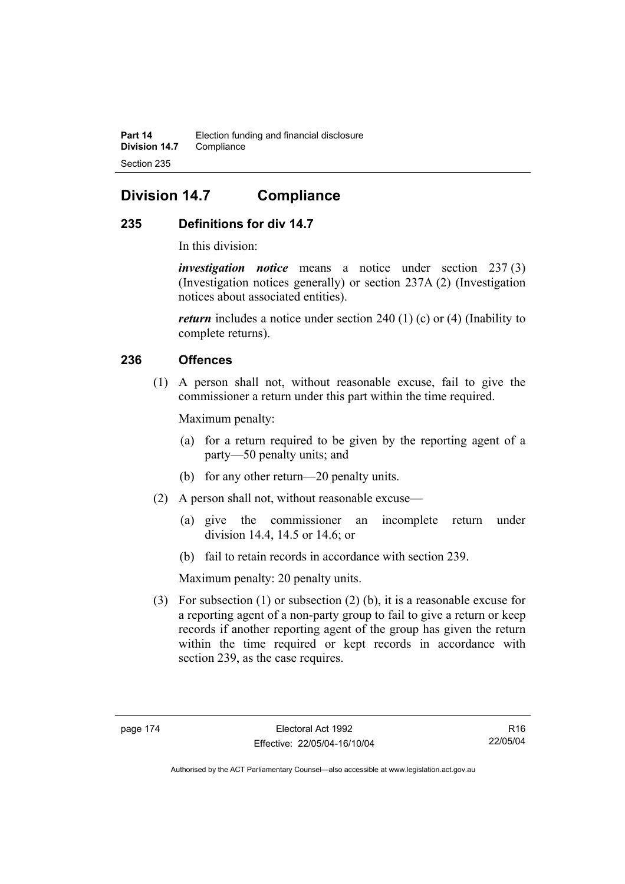# **Division 14.7 Compliance**

# **235 Definitions for div 14.7**

In this division:

*investigation notice* means a notice under section 237 (3) (Investigation notices generally) or section 237A (2) (Investigation notices about associated entities).

*return* includes a notice under section 240 (1) (c) or (4) (Inability to complete returns).

# **236 Offences**

 (1) A person shall not, without reasonable excuse, fail to give the commissioner a return under this part within the time required.

Maximum penalty:

- (a) for a return required to be given by the reporting agent of a party—50 penalty units; and
- (b) for any other return—20 penalty units.
- (2) A person shall not, without reasonable excuse—
	- (a) give the commissioner an incomplete return under division 14.4, 14.5 or 14.6; or
	- (b) fail to retain records in accordance with section 239.

Maximum penalty: 20 penalty units.

 (3) For subsection (1) or subsection (2) (b), it is a reasonable excuse for a reporting agent of a non-party group to fail to give a return or keep records if another reporting agent of the group has given the return within the time required or kept records in accordance with section 239, as the case requires.

R16 22/05/04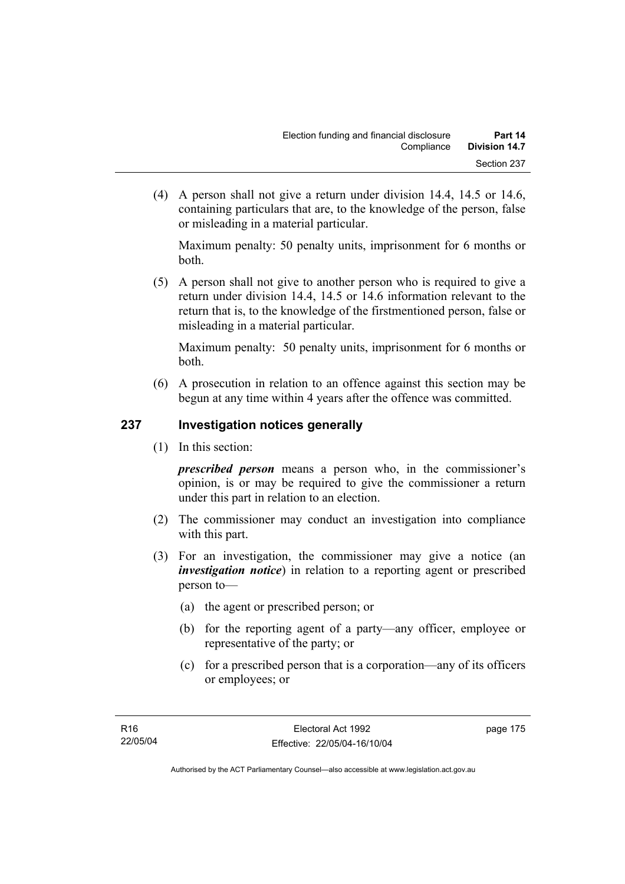(4) A person shall not give a return under division 14.4, 14.5 or 14.6, containing particulars that are, to the knowledge of the person, false or misleading in a material particular.

Maximum penalty: 50 penalty units, imprisonment for 6 months or both.

 (5) A person shall not give to another person who is required to give a return under division 14.4, 14.5 or 14.6 information relevant to the return that is, to the knowledge of the firstmentioned person, false or misleading in a material particular.

Maximum penalty: 50 penalty units, imprisonment for 6 months or both.

 (6) A prosecution in relation to an offence against this section may be begun at any time within 4 years after the offence was committed.

# **237 Investigation notices generally**

(1) In this section:

*prescribed person* means a person who, in the commissioner's opinion, is or may be required to give the commissioner a return under this part in relation to an election.

- (2) The commissioner may conduct an investigation into compliance with this part.
- (3) For an investigation, the commissioner may give a notice (an *investigation notice*) in relation to a reporting agent or prescribed person to—
	- (a) the agent or prescribed person; or
	- (b) for the reporting agent of a party—any officer, employee or representative of the party; or
	- (c) for a prescribed person that is a corporation—any of its officers or employees; or

page 175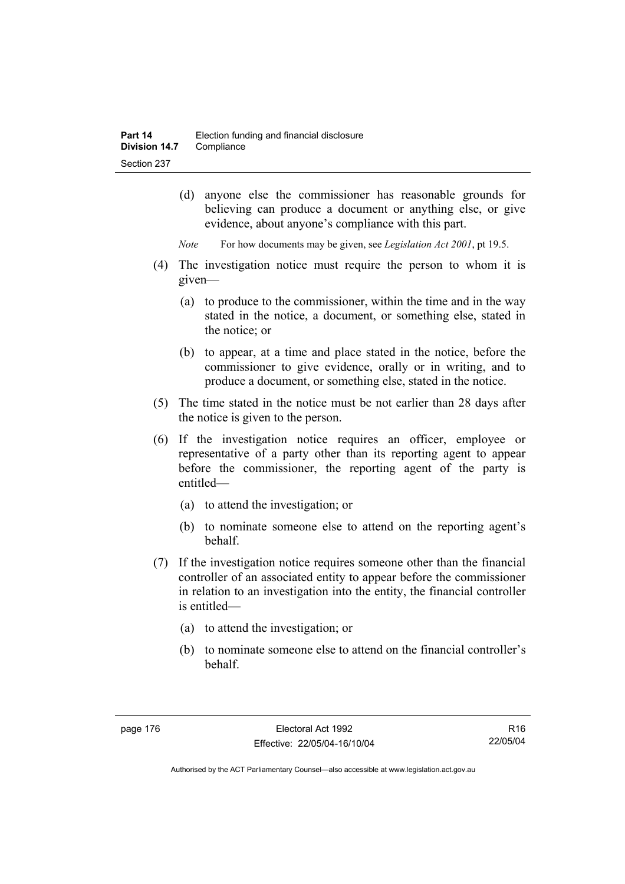- (d) anyone else the commissioner has reasonable grounds for believing can produce a document or anything else, or give evidence, about anyone's compliance with this part.
- *Note* For how documents may be given, see *Legislation Act 2001*, pt 19.5.
- (4) The investigation notice must require the person to whom it is given—
	- (a) to produce to the commissioner, within the time and in the way stated in the notice, a document, or something else, stated in the notice; or
	- (b) to appear, at a time and place stated in the notice, before the commissioner to give evidence, orally or in writing, and to produce a document, or something else, stated in the notice.
- (5) The time stated in the notice must be not earlier than 28 days after the notice is given to the person.
- (6) If the investigation notice requires an officer, employee or representative of a party other than its reporting agent to appear before the commissioner, the reporting agent of the party is entitled—
	- (a) to attend the investigation; or
	- (b) to nominate someone else to attend on the reporting agent's behalf.
- (7) If the investigation notice requires someone other than the financial controller of an associated entity to appear before the commissioner in relation to an investigation into the entity, the financial controller is entitled—
	- (a) to attend the investigation; or
	- (b) to nominate someone else to attend on the financial controller's behalf.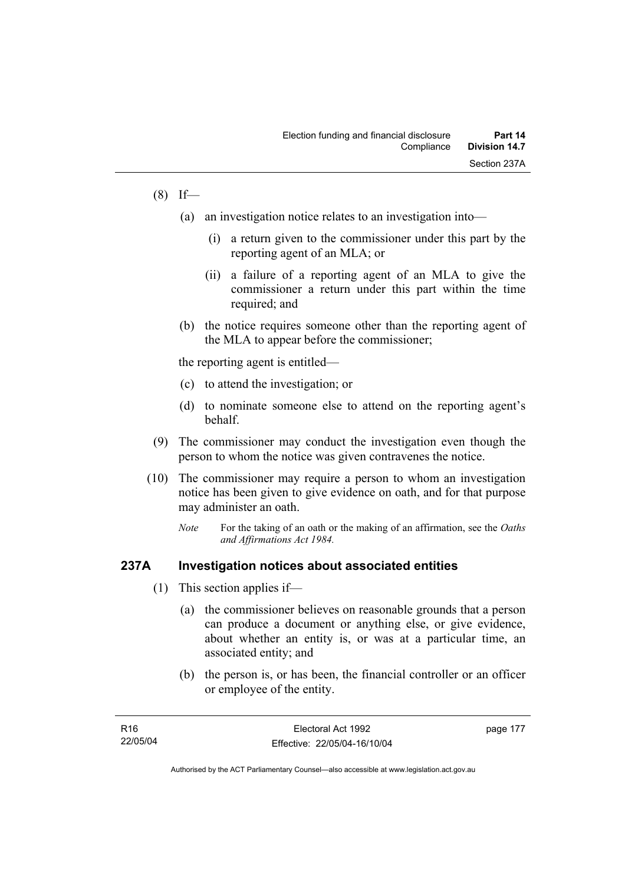## $(8)$  If—

- (a) an investigation notice relates to an investigation into—
	- (i) a return given to the commissioner under this part by the reporting agent of an MLA; or
	- (ii) a failure of a reporting agent of an MLA to give the commissioner a return under this part within the time required; and
- (b) the notice requires someone other than the reporting agent of the MLA to appear before the commissioner;

the reporting agent is entitled—

- (c) to attend the investigation; or
- (d) to nominate someone else to attend on the reporting agent's behalf.
- (9) The commissioner may conduct the investigation even though the person to whom the notice was given contravenes the notice.
- (10) The commissioner may require a person to whom an investigation notice has been given to give evidence on oath, and for that purpose may administer an oath.
	- *Note* For the taking of an oath or the making of an affirmation, see the *Oaths and Affirmations Act 1984.*

### **237A Investigation notices about associated entities**

- (1) This section applies if—
	- (a) the commissioner believes on reasonable grounds that a person can produce a document or anything else, or give evidence, about whether an entity is, or was at a particular time, an associated entity; and
	- (b) the person is, or has been, the financial controller or an officer or employee of the entity.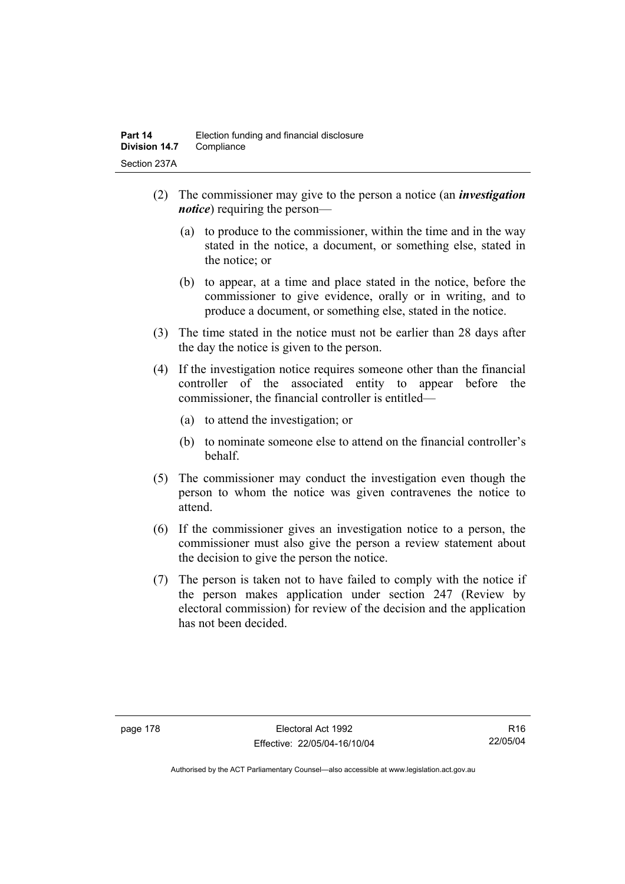- (2) The commissioner may give to the person a notice (an *investigation notice*) requiring the person—
	- (a) to produce to the commissioner, within the time and in the way stated in the notice, a document, or something else, stated in the notice; or
	- (b) to appear, at a time and place stated in the notice, before the commissioner to give evidence, orally or in writing, and to produce a document, or something else, stated in the notice.
- (3) The time stated in the notice must not be earlier than 28 days after the day the notice is given to the person.
- (4) If the investigation notice requires someone other than the financial controller of the associated entity to appear before the commissioner, the financial controller is entitled—
	- (a) to attend the investigation; or
	- (b) to nominate someone else to attend on the financial controller's behalf.
- (5) The commissioner may conduct the investigation even though the person to whom the notice was given contravenes the notice to attend.
- (6) If the commissioner gives an investigation notice to a person, the commissioner must also give the person a review statement about the decision to give the person the notice.
- (7) The person is taken not to have failed to comply with the notice if the person makes application under section 247 (Review by electoral commission) for review of the decision and the application has not been decided.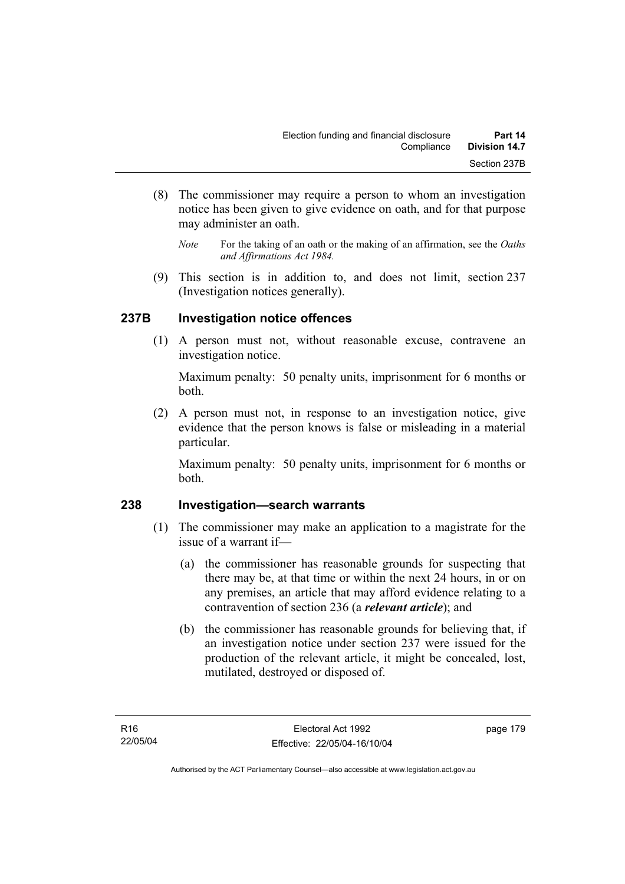- (8) The commissioner may require a person to whom an investigation notice has been given to give evidence on oath, and for that purpose may administer an oath.
	- *Note* For the taking of an oath or the making of an affirmation, see the *Oaths and Affirmations Act 1984.*
- (9) This section is in addition to, and does not limit, section 237 (Investigation notices generally).

# **237B Investigation notice offences**

 (1) A person must not, without reasonable excuse, contravene an investigation notice.

Maximum penalty: 50 penalty units, imprisonment for 6 months or both.

 (2) A person must not, in response to an investigation notice, give evidence that the person knows is false or misleading in a material particular.

Maximum penalty: 50 penalty units, imprisonment for 6 months or both.

## **238 Investigation—search warrants**

- (1) The commissioner may make an application to a magistrate for the issue of a warrant if—
	- (a) the commissioner has reasonable grounds for suspecting that there may be, at that time or within the next 24 hours, in or on any premises, an article that may afford evidence relating to a contravention of section 236 (a *relevant article*); and
	- (b) the commissioner has reasonable grounds for believing that, if an investigation notice under section 237 were issued for the production of the relevant article, it might be concealed, lost, mutilated, destroyed or disposed of.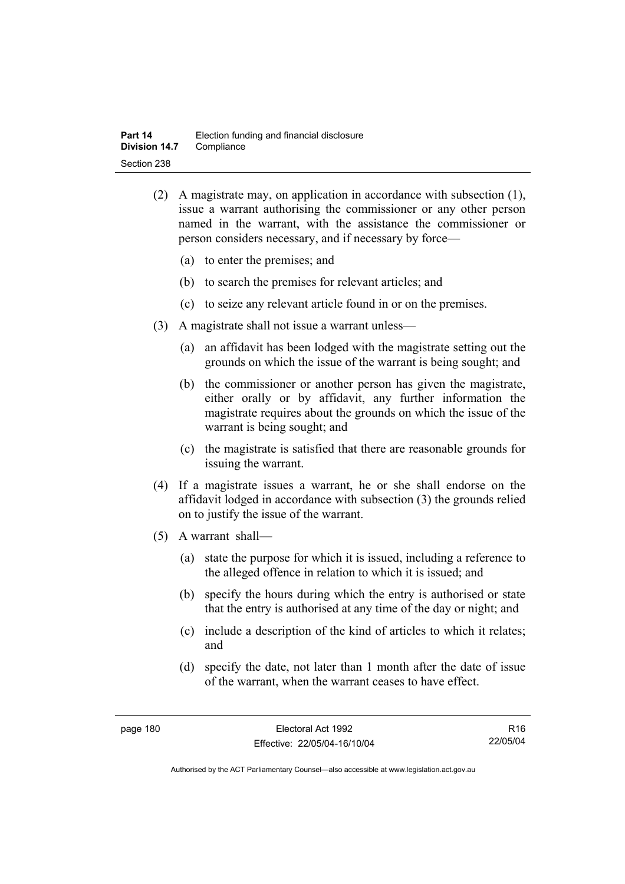- (2) A magistrate may, on application in accordance with subsection (1), issue a warrant authorising the commissioner or any other person named in the warrant, with the assistance the commissioner or person considers necessary, and if necessary by force—
	- (a) to enter the premises; and
	- (b) to search the premises for relevant articles; and
	- (c) to seize any relevant article found in or on the premises.
- (3) A magistrate shall not issue a warrant unless—
	- (a) an affidavit has been lodged with the magistrate setting out the grounds on which the issue of the warrant is being sought; and
	- (b) the commissioner or another person has given the magistrate, either orally or by affidavit, any further information the magistrate requires about the grounds on which the issue of the warrant is being sought; and
	- (c) the magistrate is satisfied that there are reasonable grounds for issuing the warrant.
- (4) If a magistrate issues a warrant, he or she shall endorse on the affidavit lodged in accordance with subsection (3) the grounds relied on to justify the issue of the warrant.
- (5) A warrant shall—
	- (a) state the purpose for which it is issued, including a reference to the alleged offence in relation to which it is issued; and
	- (b) specify the hours during which the entry is authorised or state that the entry is authorised at any time of the day or night; and
	- (c) include a description of the kind of articles to which it relates; and
	- (d) specify the date, not later than 1 month after the date of issue of the warrant, when the warrant ceases to have effect.

R16 22/05/04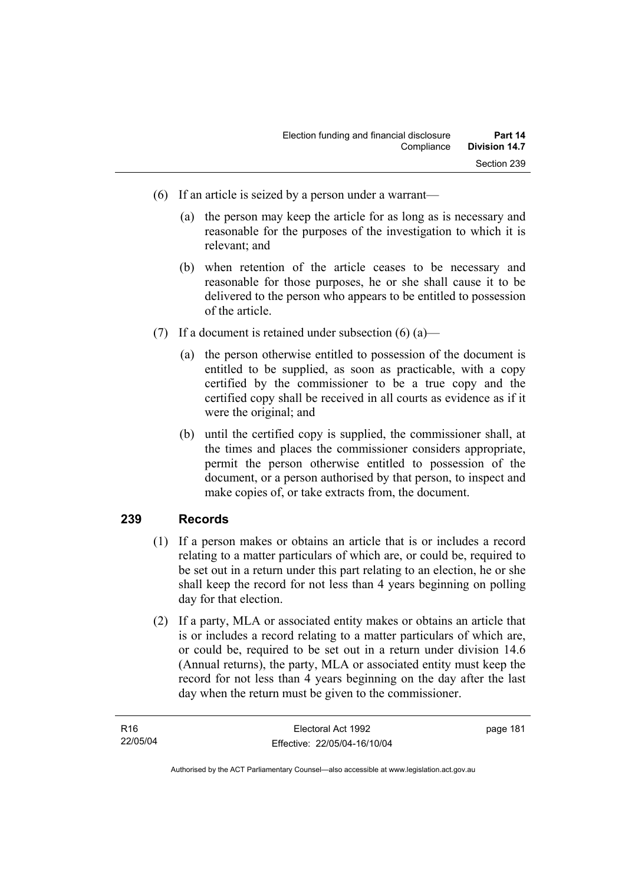- (6) If an article is seized by a person under a warrant—
	- (a) the person may keep the article for as long as is necessary and reasonable for the purposes of the investigation to which it is relevant; and
	- (b) when retention of the article ceases to be necessary and reasonable for those purposes, he or she shall cause it to be delivered to the person who appears to be entitled to possession of the article.
- (7) If a document is retained under subsection  $(6)$  (a)—
	- (a) the person otherwise entitled to possession of the document is entitled to be supplied, as soon as practicable, with a copy certified by the commissioner to be a true copy and the certified copy shall be received in all courts as evidence as if it were the original; and
	- (b) until the certified copy is supplied, the commissioner shall, at the times and places the commissioner considers appropriate, permit the person otherwise entitled to possession of the document, or a person authorised by that person, to inspect and make copies of, or take extracts from, the document.

# **239 Records**

- (1) If a person makes or obtains an article that is or includes a record relating to a matter particulars of which are, or could be, required to be set out in a return under this part relating to an election, he or she shall keep the record for not less than 4 years beginning on polling day for that election.
- (2) If a party, MLA or associated entity makes or obtains an article that is or includes a record relating to a matter particulars of which are, or could be, required to be set out in a return under division 14.6 (Annual returns), the party, MLA or associated entity must keep the record for not less than 4 years beginning on the day after the last day when the return must be given to the commissioner.

| R16      | Electoral Act 1992           | page 181 |
|----------|------------------------------|----------|
| 22/05/04 | Effective: 22/05/04-16/10/04 |          |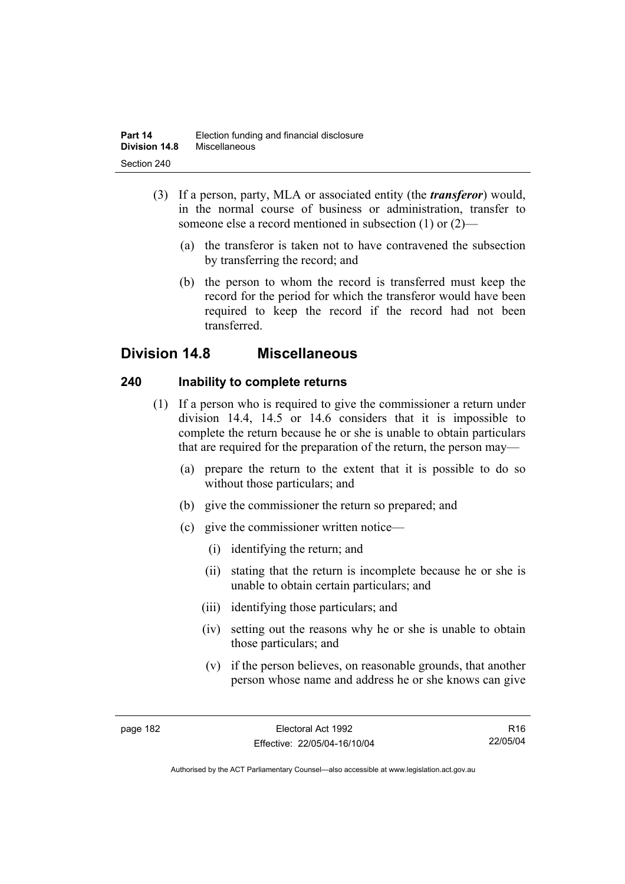- (3) If a person, party, MLA or associated entity (the *transferor*) would, in the normal course of business or administration, transfer to someone else a record mentioned in subsection (1) or (2)—
	- (a) the transferor is taken not to have contravened the subsection by transferring the record; and
	- (b) the person to whom the record is transferred must keep the record for the period for which the transferor would have been required to keep the record if the record had not been transferred.

# **Division 14.8 Miscellaneous**

# **240 Inability to complete returns**

- (1) If a person who is required to give the commissioner a return under division 14.4, 14.5 or 14.6 considers that it is impossible to complete the return because he or she is unable to obtain particulars that are required for the preparation of the return, the person may—
	- (a) prepare the return to the extent that it is possible to do so without those particulars; and
	- (b) give the commissioner the return so prepared; and
	- (c) give the commissioner written notice—
		- (i) identifying the return; and
		- (ii) stating that the return is incomplete because he or she is unable to obtain certain particulars; and
		- (iii) identifying those particulars; and
		- (iv) setting out the reasons why he or she is unable to obtain those particulars; and
		- (v) if the person believes, on reasonable grounds, that another person whose name and address he or she knows can give

R16 22/05/04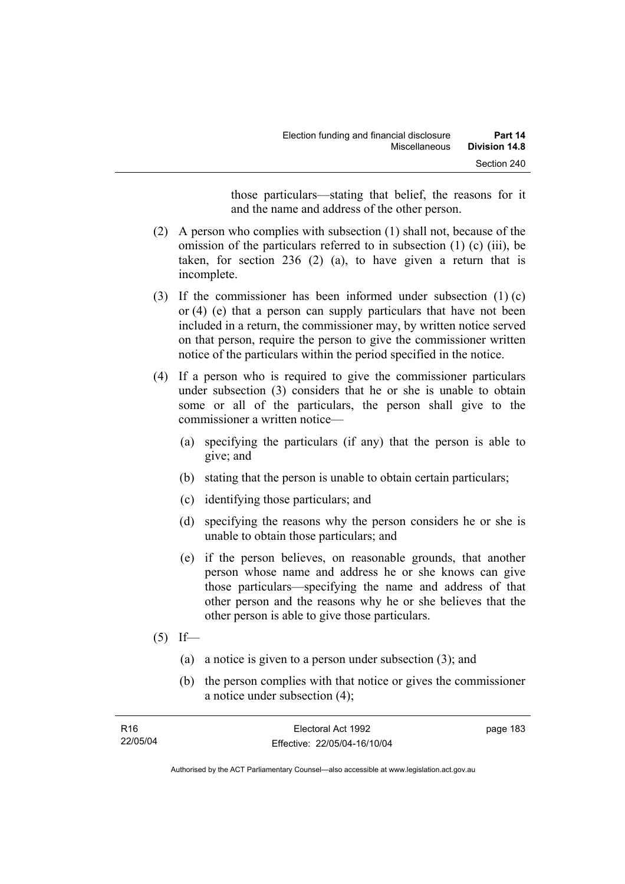those particulars—stating that belief, the reasons for it and the name and address of the other person.

- (2) A person who complies with subsection (1) shall not, because of the omission of the particulars referred to in subsection (1) (c) (iii), be taken, for section 236 (2) (a), to have given a return that is incomplete.
- (3) If the commissioner has been informed under subsection (1) (c) or (4) (e) that a person can supply particulars that have not been included in a return, the commissioner may, by written notice served on that person, require the person to give the commissioner written notice of the particulars within the period specified in the notice.
- (4) If a person who is required to give the commissioner particulars under subsection (3) considers that he or she is unable to obtain some or all of the particulars, the person shall give to the commissioner a written notice—
	- (a) specifying the particulars (if any) that the person is able to give; and
	- (b) stating that the person is unable to obtain certain particulars;
	- (c) identifying those particulars; and
	- (d) specifying the reasons why the person considers he or she is unable to obtain those particulars; and
	- (e) if the person believes, on reasonable grounds, that another person whose name and address he or she knows can give those particulars—specifying the name and address of that other person and the reasons why he or she believes that the other person is able to give those particulars.
- $(5)$  If—
	- (a) a notice is given to a person under subsection (3); and
	- (b) the person complies with that notice or gives the commissioner a notice under subsection (4);

| R <sub>16</sub> | Electoral Act 1992           | page 183 |
|-----------------|------------------------------|----------|
| 22/05/04        | Effective: 22/05/04-16/10/04 |          |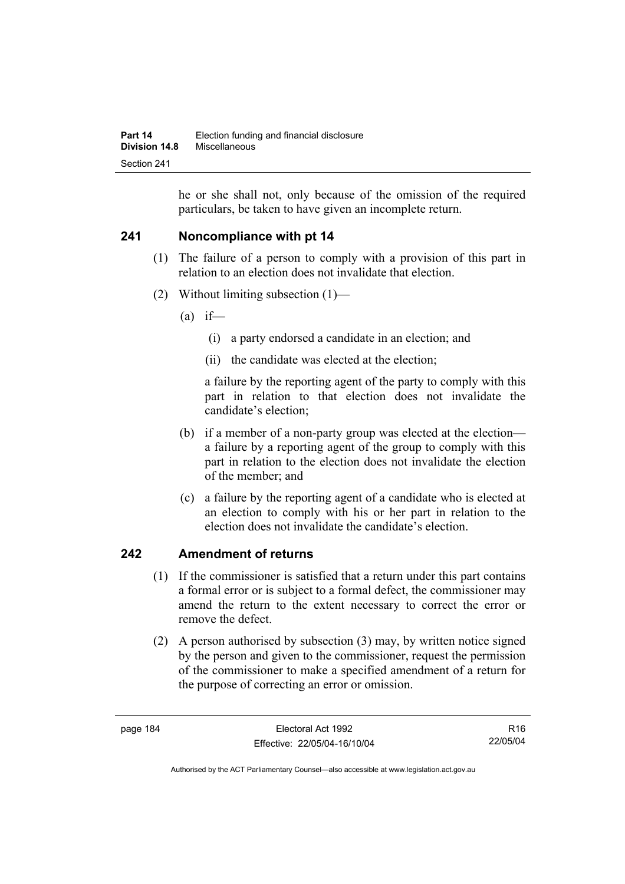he or she shall not, only because of the omission of the required particulars, be taken to have given an incomplete return.

# **241 Noncompliance with pt 14**

- (1) The failure of a person to comply with a provision of this part in relation to an election does not invalidate that election.
- (2) Without limiting subsection (1)—
	- $(a)$  if—
		- (i) a party endorsed a candidate in an election; and
		- (ii) the candidate was elected at the election;

a failure by the reporting agent of the party to comply with this part in relation to that election does not invalidate the candidate's election;

- (b) if a member of a non-party group was elected at the election a failure by a reporting agent of the group to comply with this part in relation to the election does not invalidate the election of the member; and
- (c) a failure by the reporting agent of a candidate who is elected at an election to comply with his or her part in relation to the election does not invalidate the candidate's election.

# **242 Amendment of returns**

- (1) If the commissioner is satisfied that a return under this part contains a formal error or is subject to a formal defect, the commissioner may amend the return to the extent necessary to correct the error or remove the defect.
- (2) A person authorised by subsection (3) may, by written notice signed by the person and given to the commissioner, request the permission of the commissioner to make a specified amendment of a return for the purpose of correcting an error or omission.

R16 22/05/04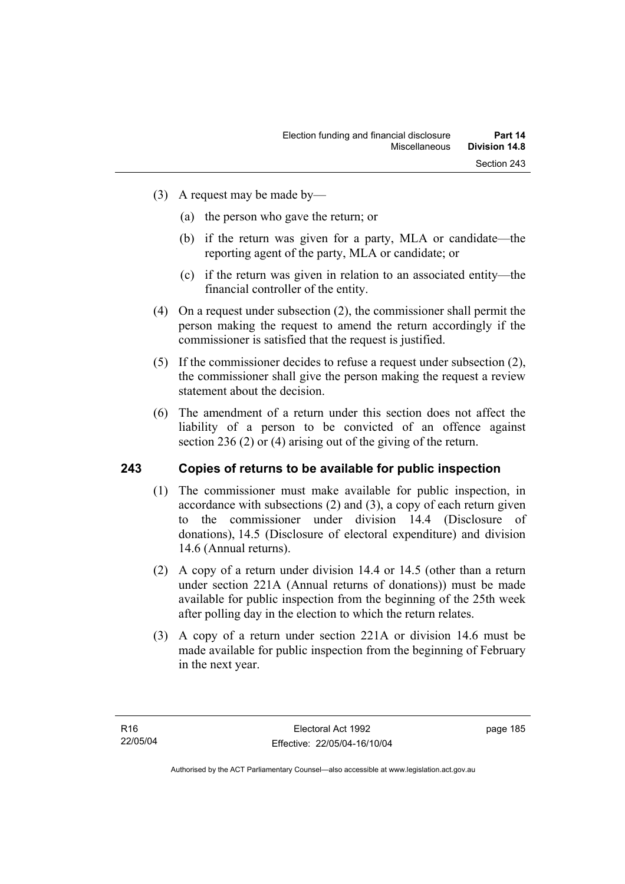- (3) A request may be made by—
	- (a) the person who gave the return; or
	- (b) if the return was given for a party, MLA or candidate—the reporting agent of the party, MLA or candidate; or
	- (c) if the return was given in relation to an associated entity—the financial controller of the entity.
- (4) On a request under subsection (2), the commissioner shall permit the person making the request to amend the return accordingly if the commissioner is satisfied that the request is justified.
- (5) If the commissioner decides to refuse a request under subsection (2), the commissioner shall give the person making the request a review statement about the decision.
- (6) The amendment of a return under this section does not affect the liability of a person to be convicted of an offence against section 236 (2) or (4) arising out of the giving of the return.

## **243 Copies of returns to be available for public inspection**

- (1) The commissioner must make available for public inspection, in accordance with subsections (2) and (3), a copy of each return given to the commissioner under division 14.4 (Disclosure of donations), 14.5 (Disclosure of electoral expenditure) and division 14.6 (Annual returns).
- (2) A copy of a return under division 14.4 or 14.5 (other than a return under section 221A (Annual returns of donations)) must be made available for public inspection from the beginning of the 25th week after polling day in the election to which the return relates.
- (3) A copy of a return under section 221A or division 14.6 must be made available for public inspection from the beginning of February in the next year.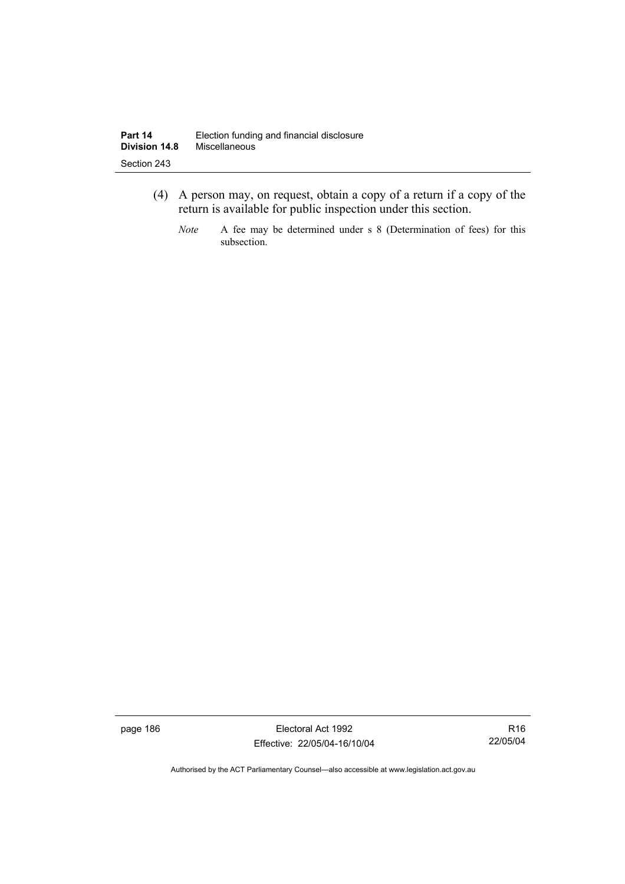- (4) A person may, on request, obtain a copy of a return if a copy of the return is available for public inspection under this section.
	- *Note* A fee may be determined under s 8 (Determination of fees) for this subsection.

page 186 Electoral Act 1992 Effective: 22/05/04-16/10/04

R16 22/05/04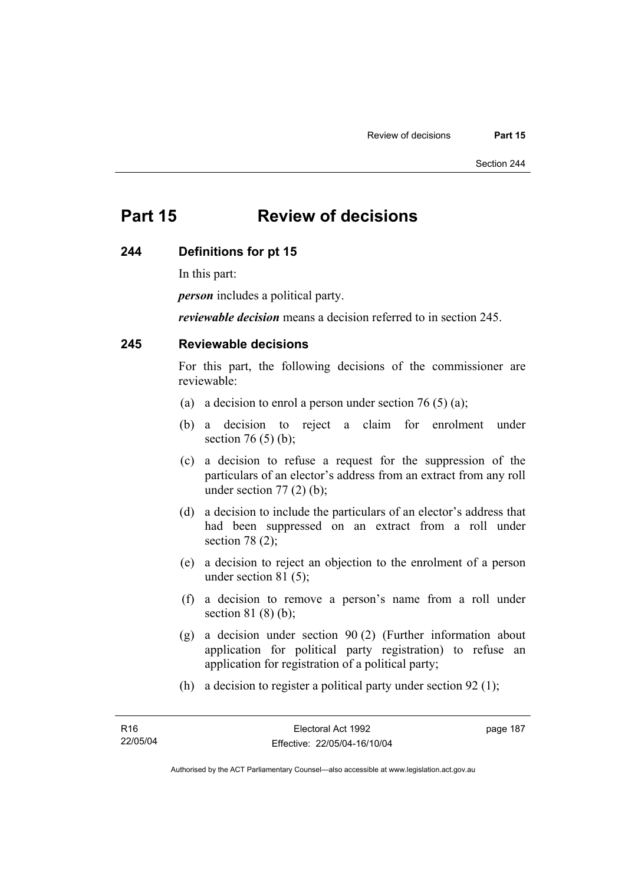# **Part 15 Review of decisions**

#### **244 Definitions for pt 15**

In this part:

*person* includes a political party.

*reviewable decision* means a decision referred to in section 245.

# **245 Reviewable decisions**

For this part, the following decisions of the commissioner are reviewable:

- (a) a decision to enrol a person under section 76 (5) (a);
- (b) a decision to reject a claim for enrolment under section 76 $(5)$  $(b)$ ;
- (c) a decision to refuse a request for the suppression of the particulars of an elector's address from an extract from any roll under section  $77(2)$  (b);
- (d) a decision to include the particulars of an elector's address that had been suppressed on an extract from a roll under section 78 (2);
- (e) a decision to reject an objection to the enrolment of a person under section 81 (5);
- (f) a decision to remove a person's name from a roll under section 81 (8) (b);
- (g) a decision under section 90 (2) (Further information about application for political party registration) to refuse an application for registration of a political party;
- (h) a decision to register a political party under section 92 (1);

page 187

Authorised by the ACT Parliamentary Counsel—also accessible at www.legislation.act.gov.au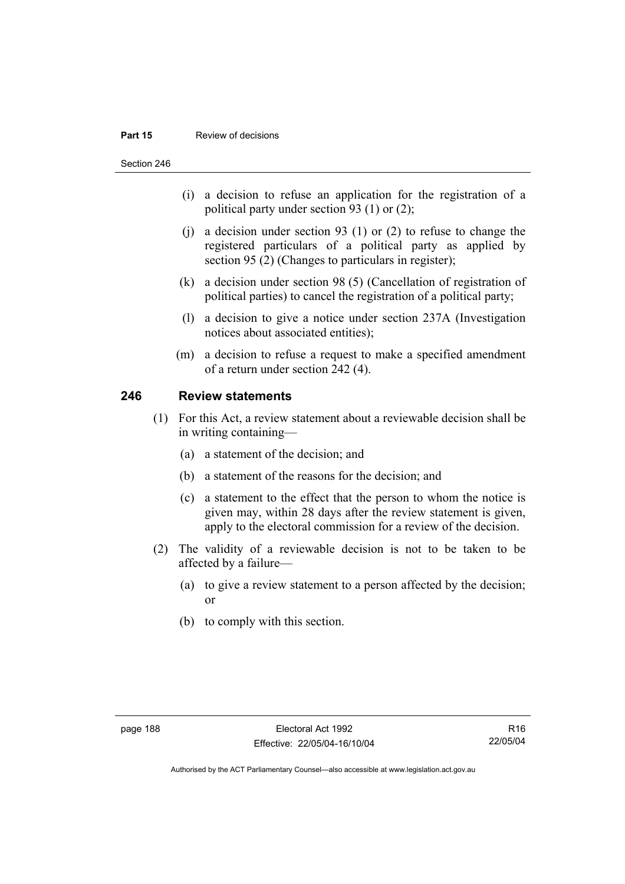#### **Part 15 Review of decisions**

Section 246

- (i) a decision to refuse an application for the registration of a political party under section 93 (1) or (2);
- (j) a decision under section 93 (1) or (2) to refuse to change the registered particulars of a political party as applied by section 95 (2) (Changes to particulars in register);
- (k) a decision under section 98 (5) (Cancellation of registration of political parties) to cancel the registration of a political party;
- (l) a decision to give a notice under section 237A (Investigation notices about associated entities);
- (m) a decision to refuse a request to make a specified amendment of a return under section 242 (4).

# **246 Review statements**

- (1) For this Act, a review statement about a reviewable decision shall be in writing containing—
	- (a) a statement of the decision; and
	- (b) a statement of the reasons for the decision; and
	- (c) a statement to the effect that the person to whom the notice is given may, within 28 days after the review statement is given, apply to the electoral commission for a review of the decision.
- (2) The validity of a reviewable decision is not to be taken to be affected by a failure—
	- (a) to give a review statement to a person affected by the decision; or
	- (b) to comply with this section.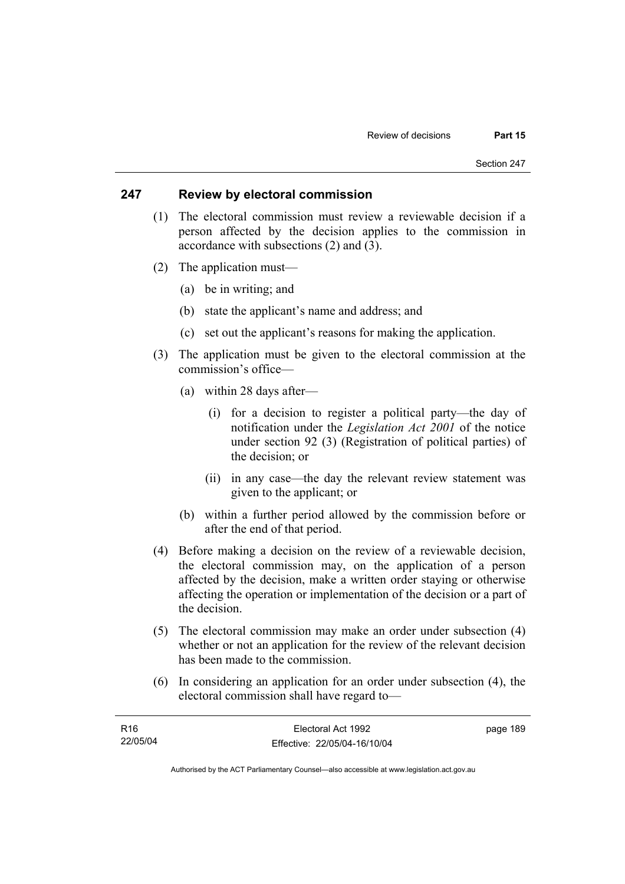### **247 Review by electoral commission**

- (1) The electoral commission must review a reviewable decision if a person affected by the decision applies to the commission in accordance with subsections (2) and (3).
- (2) The application must—
	- (a) be in writing; and
	- (b) state the applicant's name and address; and
	- (c) set out the applicant's reasons for making the application.
- (3) The application must be given to the electoral commission at the commission's office—
	- (a) within 28 days after—
		- (i) for a decision to register a political party—the day of notification under the *Legislation Act 2001* of the notice under section 92 (3) (Registration of political parties) of the decision; or
		- (ii) in any case—the day the relevant review statement was given to the applicant; or
	- (b) within a further period allowed by the commission before or after the end of that period.
- (4) Before making a decision on the review of a reviewable decision, the electoral commission may, on the application of a person affected by the decision, make a written order staying or otherwise affecting the operation or implementation of the decision or a part of the decision.
- (5) The electoral commission may make an order under subsection (4) whether or not an application for the review of the relevant decision has been made to the commission.
- (6) In considering an application for an order under subsection (4), the electoral commission shall have regard to—

| R16      | Electoral Act 1992           | page 189 |
|----------|------------------------------|----------|
| 22/05/04 | Effective: 22/05/04-16/10/04 |          |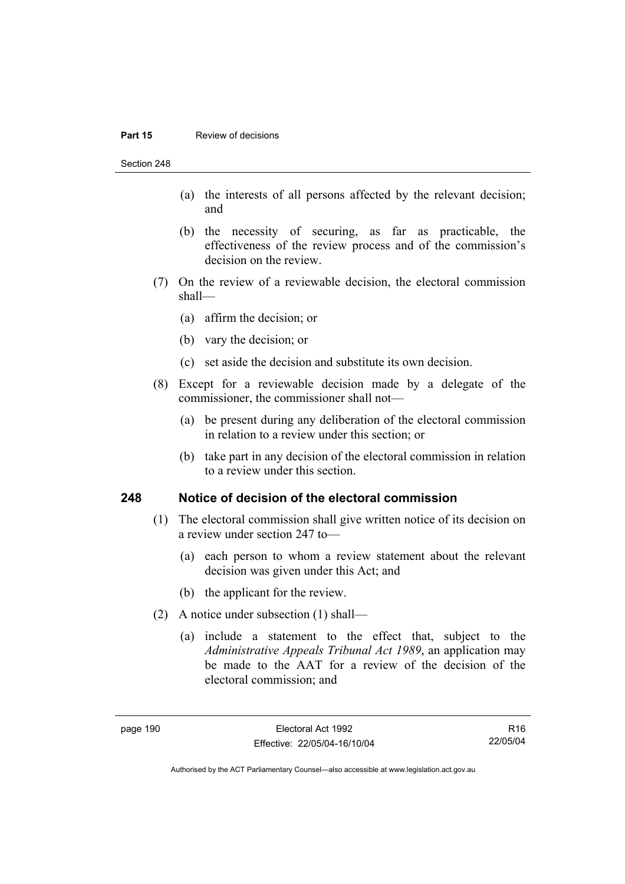#### **Part 15 Review of decisions**

Section 248

- (a) the interests of all persons affected by the relevant decision; and
- (b) the necessity of securing, as far as practicable, the effectiveness of the review process and of the commission's decision on the review.
- (7) On the review of a reviewable decision, the electoral commission shall—
	- (a) affirm the decision; or
	- (b) vary the decision; or
	- (c) set aside the decision and substitute its own decision.
- (8) Except for a reviewable decision made by a delegate of the commissioner, the commissioner shall not—
	- (a) be present during any deliberation of the electoral commission in relation to a review under this section; or
	- (b) take part in any decision of the electoral commission in relation to a review under this section.

#### **248 Notice of decision of the electoral commission**

- (1) The electoral commission shall give written notice of its decision on a review under section 247 to—
	- (a) each person to whom a review statement about the relevant decision was given under this Act; and
	- (b) the applicant for the review.
- (2) A notice under subsection (1) shall—
	- (a) include a statement to the effect that, subject to the *Administrative Appeals Tribunal Act 1989*, an application may be made to the AAT for a review of the decision of the electoral commission; and

R16 22/05/04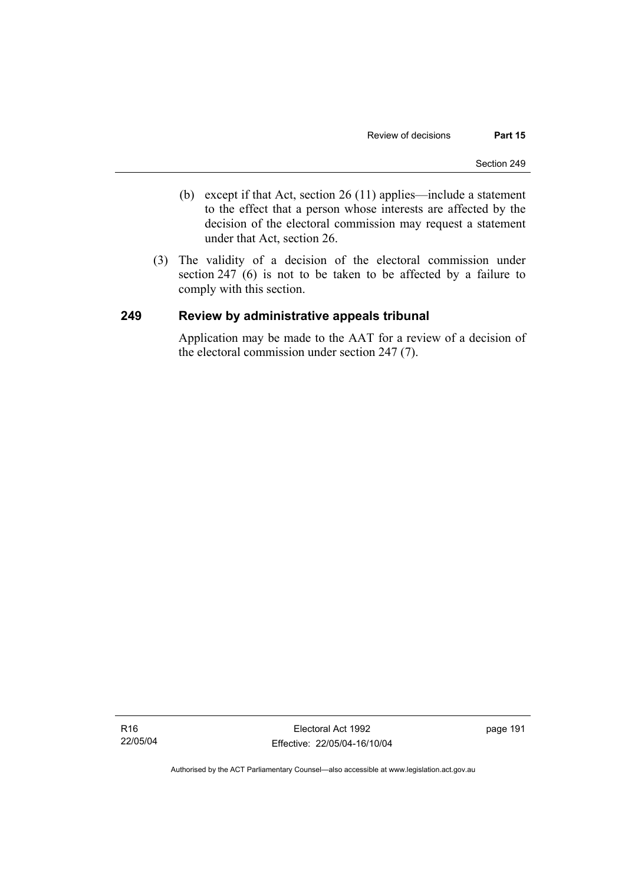- (b) except if that Act, section 26 (11) applies—include a statement to the effect that a person whose interests are affected by the decision of the electoral commission may request a statement under that Act, section 26.
- (3) The validity of a decision of the electoral commission under section 247 (6) is not to be taken to be affected by a failure to comply with this section.

## **249 Review by administrative appeals tribunal**

Application may be made to the AAT for a review of a decision of the electoral commission under section 247 (7).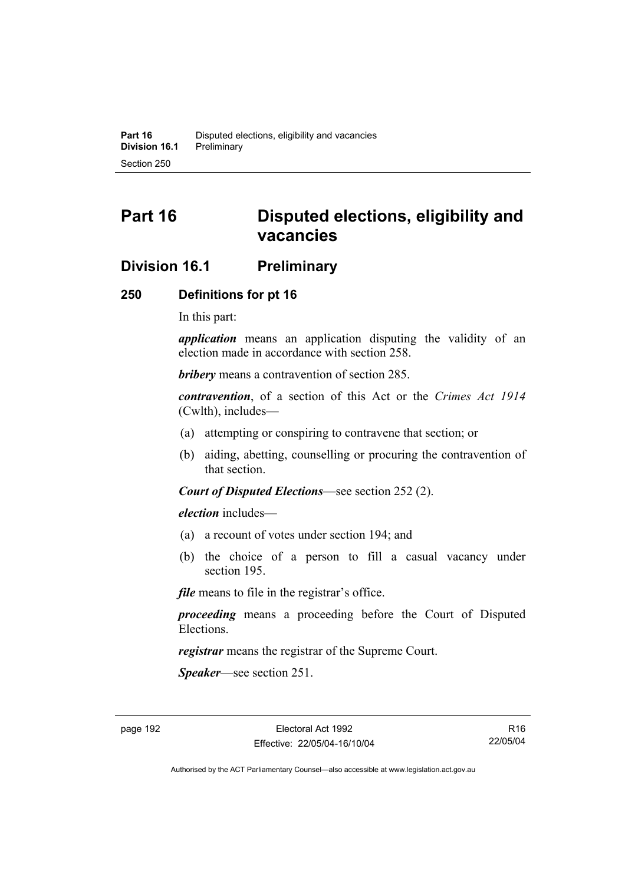# **Part 16 Disputed elections, eligibility and vacancies**

# **Division 16.1 Preliminary**

## **250 Definitions for pt 16**

In this part:

*application* means an application disputing the validity of an election made in accordance with section 258.

*bribery* means a contravention of section 285.

*contravention*, of a section of this Act or the *Crimes Act 1914* (Cwlth), includes—

- (a) attempting or conspiring to contravene that section; or
- (b) aiding, abetting, counselling or procuring the contravention of that section.

*Court of Disputed Elections*—see section 252 (2).

*election* includes—

- (a) a recount of votes under section 194; and
- (b) the choice of a person to fill a casual vacancy under section 195.

*file* means to file in the registrar's office.

*proceeding* means a proceeding before the Court of Disputed Elections.

*registrar* means the registrar of the Supreme Court.

*Speaker*—see section 251.

R16 22/05/04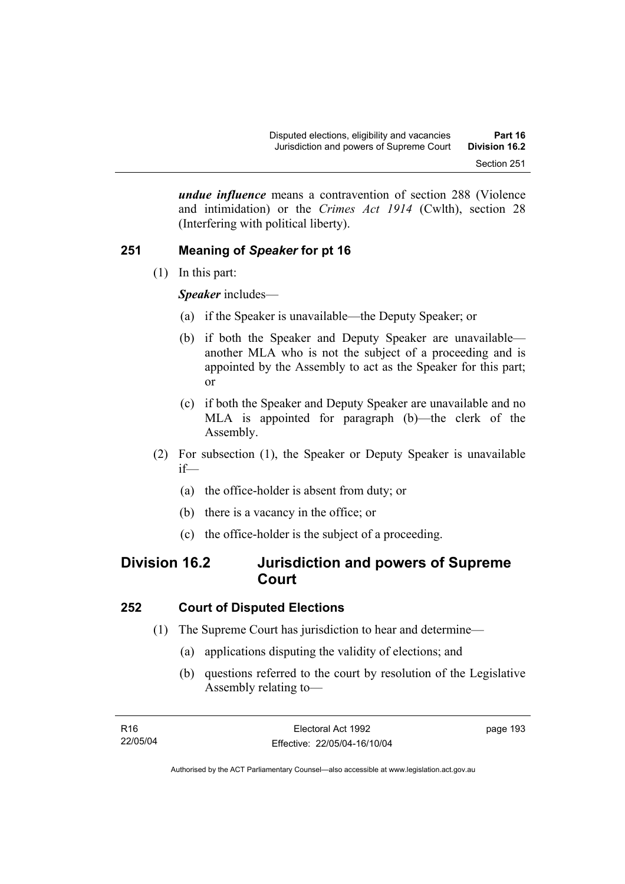*undue influence* means a contravention of section 288 (Violence and intimidation) or the *Crimes Act 1914* (Cwlth), section 28 (Interfering with political liberty).

# **251 Meaning of** *Speaker* **for pt 16**

(1) In this part:

*Speaker* includes—

- (a) if the Speaker is unavailable—the Deputy Speaker; or
- (b) if both the Speaker and Deputy Speaker are unavailable another MLA who is not the subject of a proceeding and is appointed by the Assembly to act as the Speaker for this part; or
- (c) if both the Speaker and Deputy Speaker are unavailable and no MLA is appointed for paragraph (b)—the clerk of the Assembly.
- (2) For subsection (1), the Speaker or Deputy Speaker is unavailable if—
	- (a) the office-holder is absent from duty; or
	- (b) there is a vacancy in the office; or
	- (c) the office-holder is the subject of a proceeding.

# **Division 16.2 Jurisdiction and powers of Supreme Court**

# **252 Court of Disputed Elections**

- (1) The Supreme Court has jurisdiction to hear and determine—
	- (a) applications disputing the validity of elections; and
	- (b) questions referred to the court by resolution of the Legislative Assembly relating to—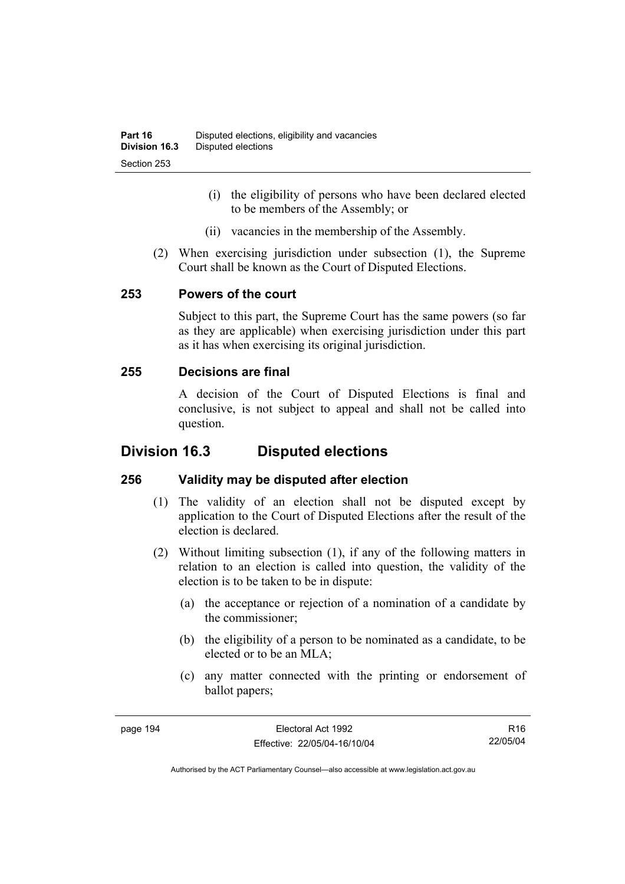- (i) the eligibility of persons who have been declared elected to be members of the Assembly; or
- (ii) vacancies in the membership of the Assembly.
- (2) When exercising jurisdiction under subsection (1), the Supreme Court shall be known as the Court of Disputed Elections.

# **253 Powers of the court**

Subject to this part, the Supreme Court has the same powers (so far as they are applicable) when exercising jurisdiction under this part as it has when exercising its original jurisdiction.

# **255 Decisions are final**

A decision of the Court of Disputed Elections is final and conclusive, is not subject to appeal and shall not be called into question.

# **Division 16.3 Disputed elections**

# **256 Validity may be disputed after election**

- (1) The validity of an election shall not be disputed except by application to the Court of Disputed Elections after the result of the election is declared.
- (2) Without limiting subsection (1), if any of the following matters in relation to an election is called into question, the validity of the election is to be taken to be in dispute:
	- (a) the acceptance or rejection of a nomination of a candidate by the commissioner;
	- (b) the eligibility of a person to be nominated as a candidate, to be elected or to be an MLA;
	- (c) any matter connected with the printing or endorsement of ballot papers;

R16 22/05/04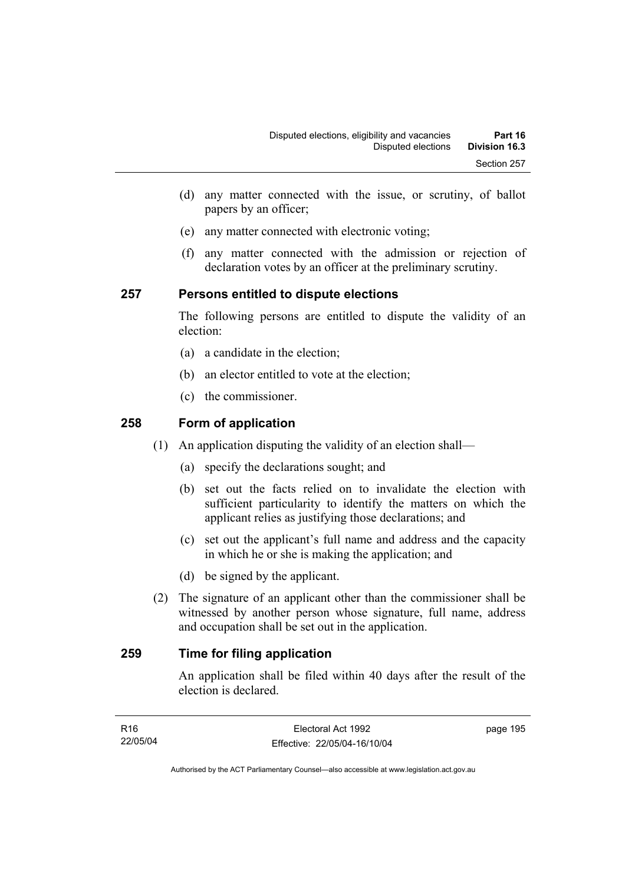- (d) any matter connected with the issue, or scrutiny, of ballot papers by an officer;
- (e) any matter connected with electronic voting;
- (f) any matter connected with the admission or rejection of declaration votes by an officer at the preliminary scrutiny.

# **257 Persons entitled to dispute elections**

The following persons are entitled to dispute the validity of an election:

- (a) a candidate in the election;
- (b) an elector entitled to vote at the election;
- (c) the commissioner.

# **258 Form of application**

- (1) An application disputing the validity of an election shall—
	- (a) specify the declarations sought; and
	- (b) set out the facts relied on to invalidate the election with sufficient particularity to identify the matters on which the applicant relies as justifying those declarations; and
	- (c) set out the applicant's full name and address and the capacity in which he or she is making the application; and
	- (d) be signed by the applicant.
- (2) The signature of an applicant other than the commissioner shall be witnessed by another person whose signature, full name, address and occupation shall be set out in the application.

# **259 Time for filing application**

An application shall be filed within 40 days after the result of the election is declared.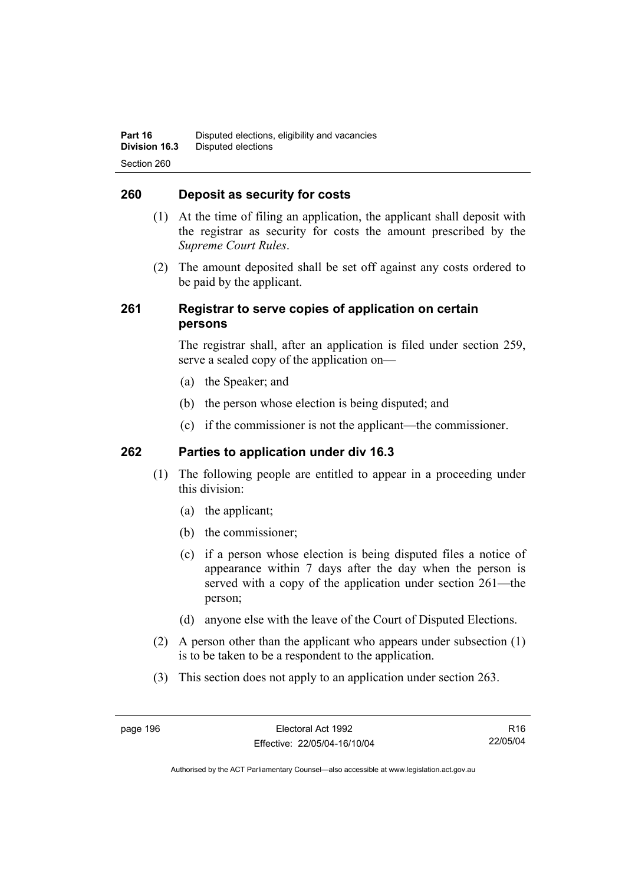## **260 Deposit as security for costs**

- (1) At the time of filing an application, the applicant shall deposit with the registrar as security for costs the amount prescribed by the *Supreme Court Rules*.
- (2) The amount deposited shall be set off against any costs ordered to be paid by the applicant.

# **261 Registrar to serve copies of application on certain persons**

The registrar shall, after an application is filed under section 259, serve a sealed copy of the application on—

- (a) the Speaker; and
- (b) the person whose election is being disputed; and
- (c) if the commissioner is not the applicant—the commissioner.

## **262 Parties to application under div 16.3**

- (1) The following people are entitled to appear in a proceeding under this division:
	- (a) the applicant;
	- (b) the commissioner;
	- (c) if a person whose election is being disputed files a notice of appearance within 7 days after the day when the person is served with a copy of the application under section 261—the person;
	- (d) anyone else with the leave of the Court of Disputed Elections.
- (2) A person other than the applicant who appears under subsection (1) is to be taken to be a respondent to the application.
- (3) This section does not apply to an application under section 263.

R16 22/05/04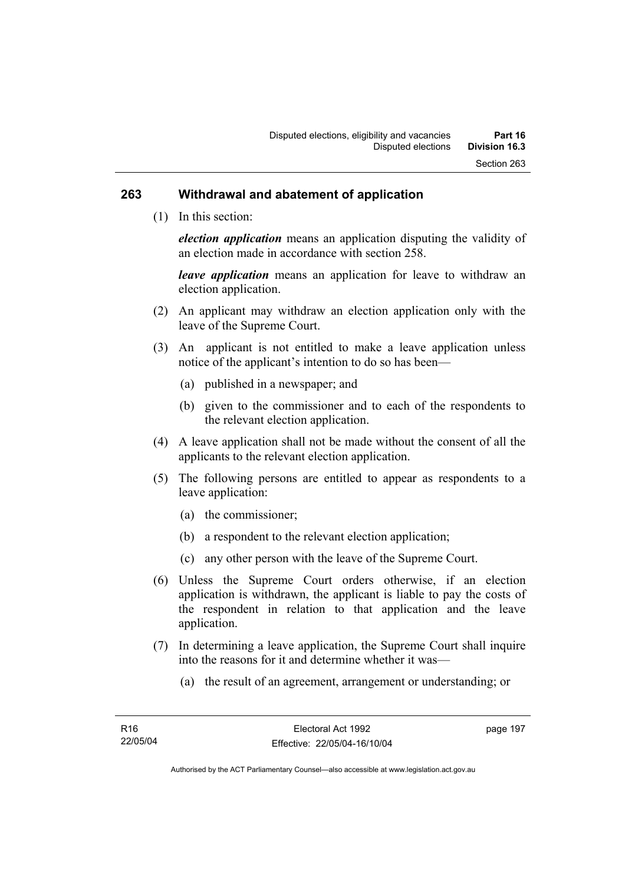#### **263 Withdrawal and abatement of application**

(1) In this section:

*election application* means an application disputing the validity of an election made in accordance with section 258.

*leave application* means an application for leave to withdraw an election application.

- (2) An applicant may withdraw an election application only with the leave of the Supreme Court.
- (3) An applicant is not entitled to make a leave application unless notice of the applicant's intention to do so has been—
	- (a) published in a newspaper; and
	- (b) given to the commissioner and to each of the respondents to the relevant election application.
- (4) A leave application shall not be made without the consent of all the applicants to the relevant election application.
- (5) The following persons are entitled to appear as respondents to a leave application:
	- (a) the commissioner;
	- (b) a respondent to the relevant election application;
	- (c) any other person with the leave of the Supreme Court.
- (6) Unless the Supreme Court orders otherwise, if an election application is withdrawn, the applicant is liable to pay the costs of the respondent in relation to that application and the leave application.
- (7) In determining a leave application, the Supreme Court shall inquire into the reasons for it and determine whether it was—
	- (a) the result of an agreement, arrangement or understanding; or

page 197

Authorised by the ACT Parliamentary Counsel—also accessible at www.legislation.act.gov.au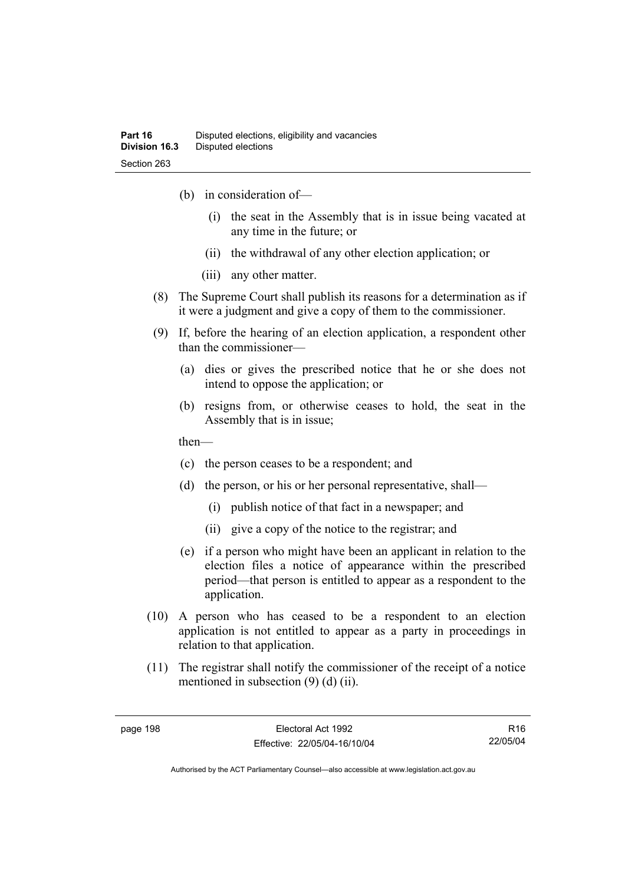- (b) in consideration of—
	- (i) the seat in the Assembly that is in issue being vacated at any time in the future; or
	- (ii) the withdrawal of any other election application; or
	- (iii) any other matter.
- (8) The Supreme Court shall publish its reasons for a determination as if it were a judgment and give a copy of them to the commissioner.
- (9) If, before the hearing of an election application, a respondent other than the commissioner—
	- (a) dies or gives the prescribed notice that he or she does not intend to oppose the application; or
	- (b) resigns from, or otherwise ceases to hold, the seat in the Assembly that is in issue;

then—

- (c) the person ceases to be a respondent; and
- (d) the person, or his or her personal representative, shall—
	- (i) publish notice of that fact in a newspaper; and
	- (ii) give a copy of the notice to the registrar; and
- (e) if a person who might have been an applicant in relation to the election files a notice of appearance within the prescribed period—that person is entitled to appear as a respondent to the application.
- (10) A person who has ceased to be a respondent to an election application is not entitled to appear as a party in proceedings in relation to that application.
- (11) The registrar shall notify the commissioner of the receipt of a notice mentioned in subsection (9) (d) (ii).

R16 22/05/04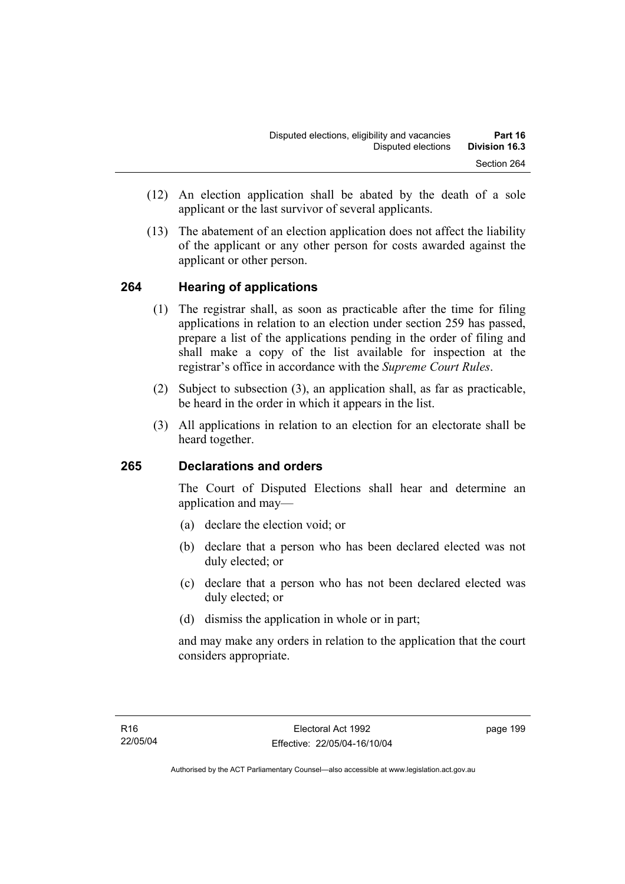- (12) An election application shall be abated by the death of a sole applicant or the last survivor of several applicants.
- (13) The abatement of an election application does not affect the liability of the applicant or any other person for costs awarded against the applicant or other person.

### **264 Hearing of applications**

- (1) The registrar shall, as soon as practicable after the time for filing applications in relation to an election under section 259 has passed, prepare a list of the applications pending in the order of filing and shall make a copy of the list available for inspection at the registrar's office in accordance with the *Supreme Court Rules*.
- (2) Subject to subsection (3), an application shall, as far as practicable, be heard in the order in which it appears in the list.
- (3) All applications in relation to an election for an electorate shall be heard together.

### **265 Declarations and orders**

The Court of Disputed Elections shall hear and determine an application and may—

- (a) declare the election void; or
- (b) declare that a person who has been declared elected was not duly elected; or
- (c) declare that a person who has not been declared elected was duly elected; or
- (d) dismiss the application in whole or in part;

and may make any orders in relation to the application that the court considers appropriate.

page 199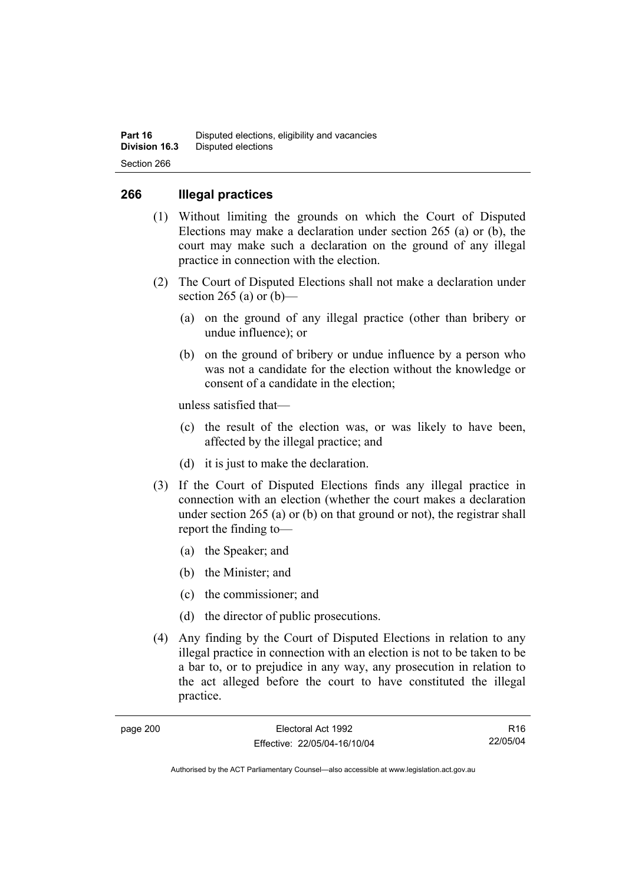### **266 Illegal practices**

- (1) Without limiting the grounds on which the Court of Disputed Elections may make a declaration under section 265 (a) or (b), the court may make such a declaration on the ground of any illegal practice in connection with the election.
- (2) The Court of Disputed Elections shall not make a declaration under section 265 (a) or  $(b)$ —
	- (a) on the ground of any illegal practice (other than bribery or undue influence); or
	- (b) on the ground of bribery or undue influence by a person who was not a candidate for the election without the knowledge or consent of a candidate in the election;

unless satisfied that—

- (c) the result of the election was, or was likely to have been, affected by the illegal practice; and
- (d) it is just to make the declaration.
- (3) If the Court of Disputed Elections finds any illegal practice in connection with an election (whether the court makes a declaration under section 265 (a) or (b) on that ground or not), the registrar shall report the finding to—
	- (a) the Speaker; and
	- (b) the Minister; and
	- (c) the commissioner; and
	- (d) the director of public prosecutions.
- (4) Any finding by the Court of Disputed Elections in relation to any illegal practice in connection with an election is not to be taken to be a bar to, or to prejudice in any way, any prosecution in relation to the act alleged before the court to have constituted the illegal practice.

| page 200 |  |
|----------|--|
|----------|--|

R16 22/05/04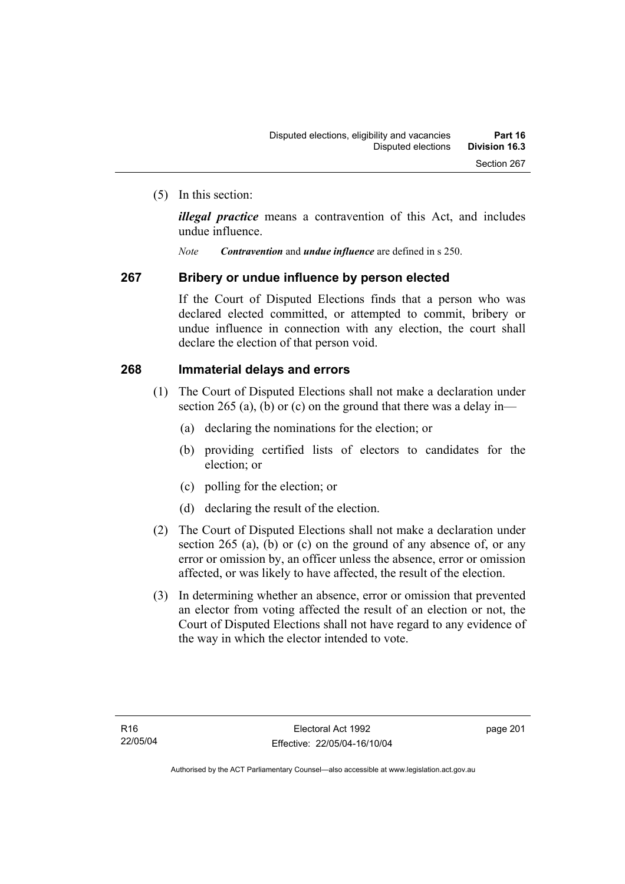(5) In this section:

*illegal practice* means a contravention of this Act, and includes undue influence.

*Note Contravention* and *undue influence* are defined in s 250.

### **267 Bribery or undue influence by person elected**

If the Court of Disputed Elections finds that a person who was declared elected committed, or attempted to commit, bribery or undue influence in connection with any election, the court shall declare the election of that person void.

### **268 Immaterial delays and errors**

- (1) The Court of Disputed Elections shall not make a declaration under section 265 (a), (b) or (c) on the ground that there was a delay in—
	- (a) declaring the nominations for the election; or
	- (b) providing certified lists of electors to candidates for the election; or
	- (c) polling for the election; or
	- (d) declaring the result of the election.
- (2) The Court of Disputed Elections shall not make a declaration under section 265 (a), (b) or (c) on the ground of any absence of, or any error or omission by, an officer unless the absence, error or omission affected, or was likely to have affected, the result of the election.
- (3) In determining whether an absence, error or omission that prevented an elector from voting affected the result of an election or not, the Court of Disputed Elections shall not have regard to any evidence of the way in which the elector intended to vote.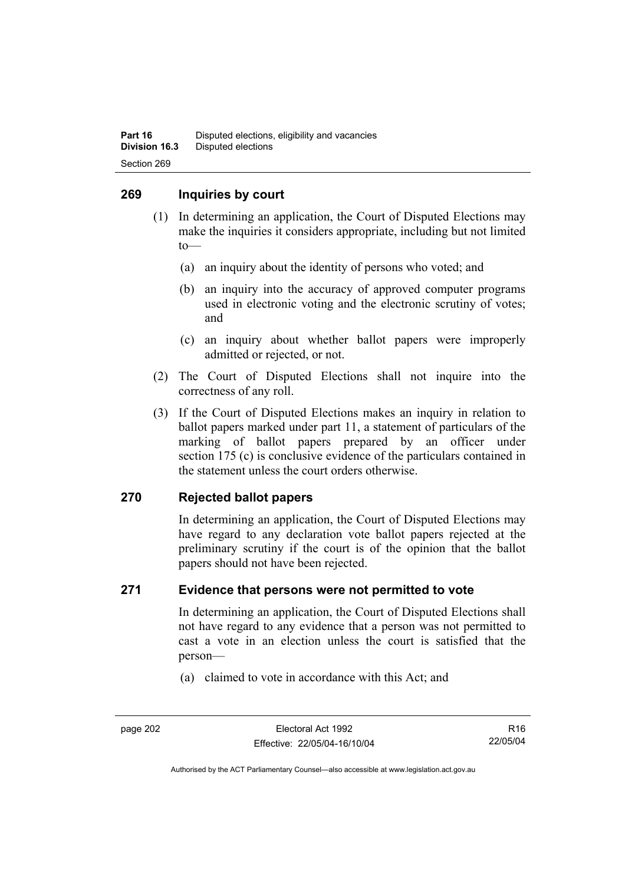### **269 Inquiries by court**

- (1) In determining an application, the Court of Disputed Elections may make the inquiries it considers appropriate, including but not limited to—
	- (a) an inquiry about the identity of persons who voted; and
	- (b) an inquiry into the accuracy of approved computer programs used in electronic voting and the electronic scrutiny of votes; and
	- (c) an inquiry about whether ballot papers were improperly admitted or rejected, or not.
- (2) The Court of Disputed Elections shall not inquire into the correctness of any roll.
- (3) If the Court of Disputed Elections makes an inquiry in relation to ballot papers marked under part 11, a statement of particulars of the marking of ballot papers prepared by an officer under section 175 (c) is conclusive evidence of the particulars contained in the statement unless the court orders otherwise.

### **270 Rejected ballot papers**

In determining an application, the Court of Disputed Elections may have regard to any declaration vote ballot papers rejected at the preliminary scrutiny if the court is of the opinion that the ballot papers should not have been rejected.

### **271 Evidence that persons were not permitted to vote**

In determining an application, the Court of Disputed Elections shall not have regard to any evidence that a person was not permitted to cast a vote in an election unless the court is satisfied that the person—

(a) claimed to vote in accordance with this Act; and

R16 22/05/04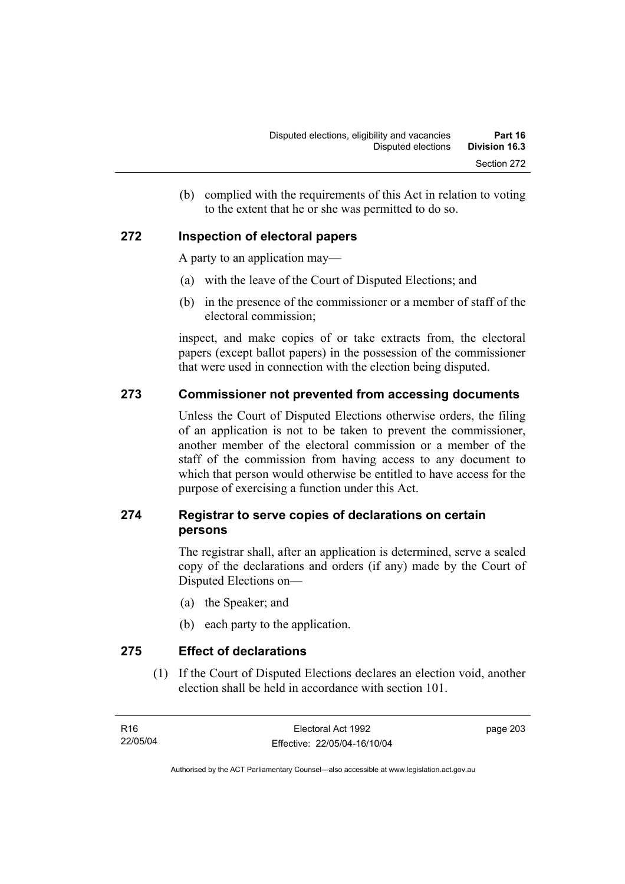(b) complied with the requirements of this Act in relation to voting to the extent that he or she was permitted to do so.

### **272 Inspection of electoral papers**

A party to an application may—

- (a) with the leave of the Court of Disputed Elections; and
- (b) in the presence of the commissioner or a member of staff of the electoral commission;

inspect, and make copies of or take extracts from, the electoral papers (except ballot papers) in the possession of the commissioner that were used in connection with the election being disputed.

### **273 Commissioner not prevented from accessing documents**

Unless the Court of Disputed Elections otherwise orders, the filing of an application is not to be taken to prevent the commissioner, another member of the electoral commission or a member of the staff of the commission from having access to any document to which that person would otherwise be entitled to have access for the purpose of exercising a function under this Act.

### **274 Registrar to serve copies of declarations on certain persons**

The registrar shall, after an application is determined, serve a sealed copy of the declarations and orders (if any) made by the Court of Disputed Elections on—

- (a) the Speaker; and
- (b) each party to the application.

**275 Effect of declarations** 

 (1) If the Court of Disputed Elections declares an election void, another election shall be held in accordance with section 101.

page 203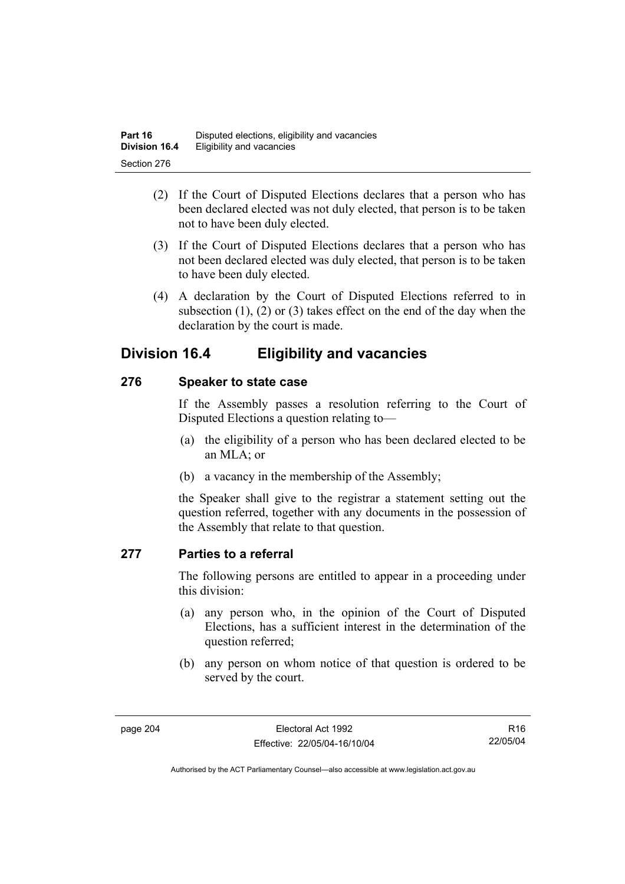- (2) If the Court of Disputed Elections declares that a person who has been declared elected was not duly elected, that person is to be taken not to have been duly elected.
- (3) If the Court of Disputed Elections declares that a person who has not been declared elected was duly elected, that person is to be taken to have been duly elected.
- (4) A declaration by the Court of Disputed Elections referred to in subsection (1), (2) or (3) takes effect on the end of the day when the declaration by the court is made.

## **Division 16.4 Eligibility and vacancies**

## **276 Speaker to state case**

If the Assembly passes a resolution referring to the Court of Disputed Elections a question relating to—

- (a) the eligibility of a person who has been declared elected to be an MLA; or
- (b) a vacancy in the membership of the Assembly;

the Speaker shall give to the registrar a statement setting out the question referred, together with any documents in the possession of the Assembly that relate to that question.

### **277 Parties to a referral**

The following persons are entitled to appear in a proceeding under this division:

- (a) any person who, in the opinion of the Court of Disputed Elections, has a sufficient interest in the determination of the question referred;
- (b) any person on whom notice of that question is ordered to be served by the court.

R16 22/05/04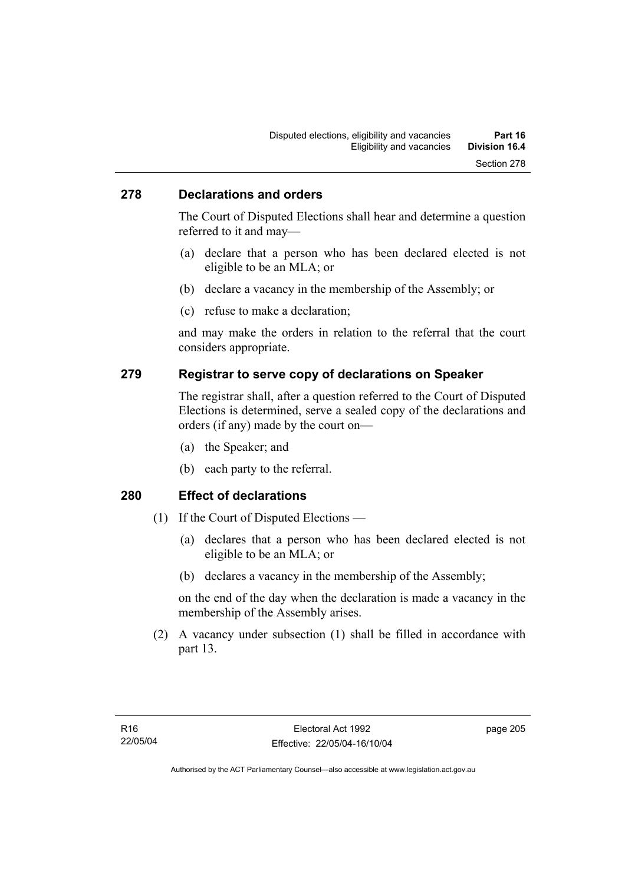### **278 Declarations and orders**

The Court of Disputed Elections shall hear and determine a question referred to it and may—

- (a) declare that a person who has been declared elected is not eligible to be an MLA; or
- (b) declare a vacancy in the membership of the Assembly; or
- (c) refuse to make a declaration;

and may make the orders in relation to the referral that the court considers appropriate.

### **279 Registrar to serve copy of declarations on Speaker**

The registrar shall, after a question referred to the Court of Disputed Elections is determined, serve a sealed copy of the declarations and orders (if any) made by the court on—

- (a) the Speaker; and
- (b) each party to the referral.

### **280 Effect of declarations**

- (1) If the Court of Disputed Elections
	- (a) declares that a person who has been declared elected is not eligible to be an MLA; or
	- (b) declares a vacancy in the membership of the Assembly;

on the end of the day when the declaration is made a vacancy in the membership of the Assembly arises.

 (2) A vacancy under subsection (1) shall be filled in accordance with part 13.

page 205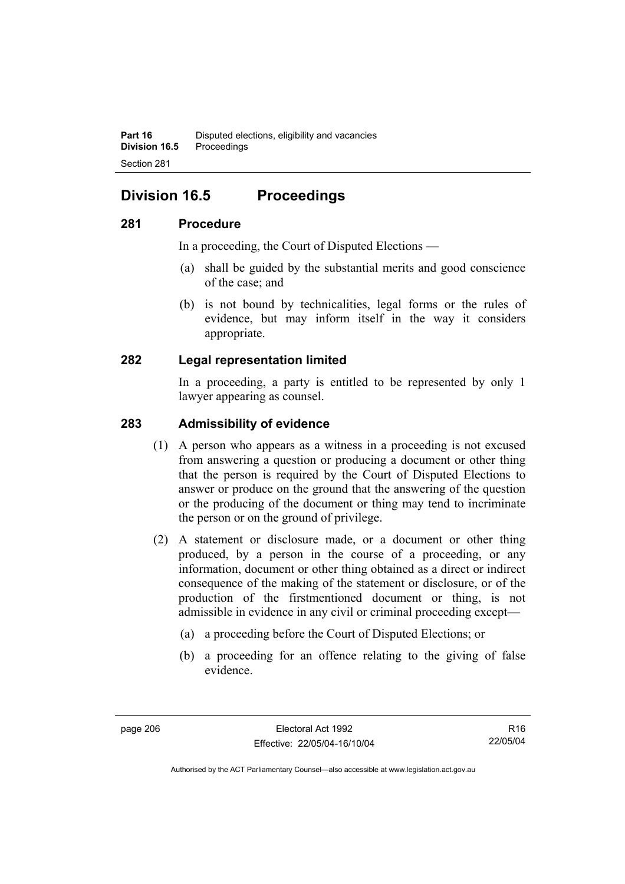## **Division 16.5 Proceedings**

### **281 Procedure**

In a proceeding, the Court of Disputed Elections —

- (a) shall be guided by the substantial merits and good conscience of the case; and
- (b) is not bound by technicalities, legal forms or the rules of evidence, but may inform itself in the way it considers appropriate.

### **282 Legal representation limited**

In a proceeding, a party is entitled to be represented by only 1 lawyer appearing as counsel.

### **283 Admissibility of evidence**

- (1) A person who appears as a witness in a proceeding is not excused from answering a question or producing a document or other thing that the person is required by the Court of Disputed Elections to answer or produce on the ground that the answering of the question or the producing of the document or thing may tend to incriminate the person or on the ground of privilege.
- (2) A statement or disclosure made, or a document or other thing produced, by a person in the course of a proceeding, or any information, document or other thing obtained as a direct or indirect consequence of the making of the statement or disclosure, or of the production of the firstmentioned document or thing, is not admissible in evidence in any civil or criminal proceeding except—
	- (a) a proceeding before the Court of Disputed Elections; or
	- (b) a proceeding for an offence relating to the giving of false evidence.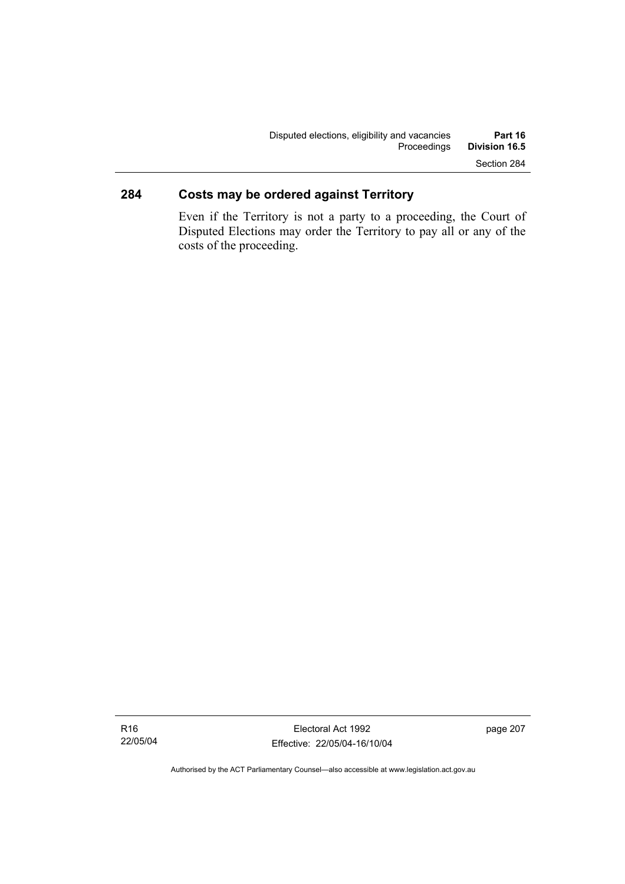## **284 Costs may be ordered against Territory**

Even if the Territory is not a party to a proceeding, the Court of Disputed Elections may order the Territory to pay all or any of the costs of the proceeding.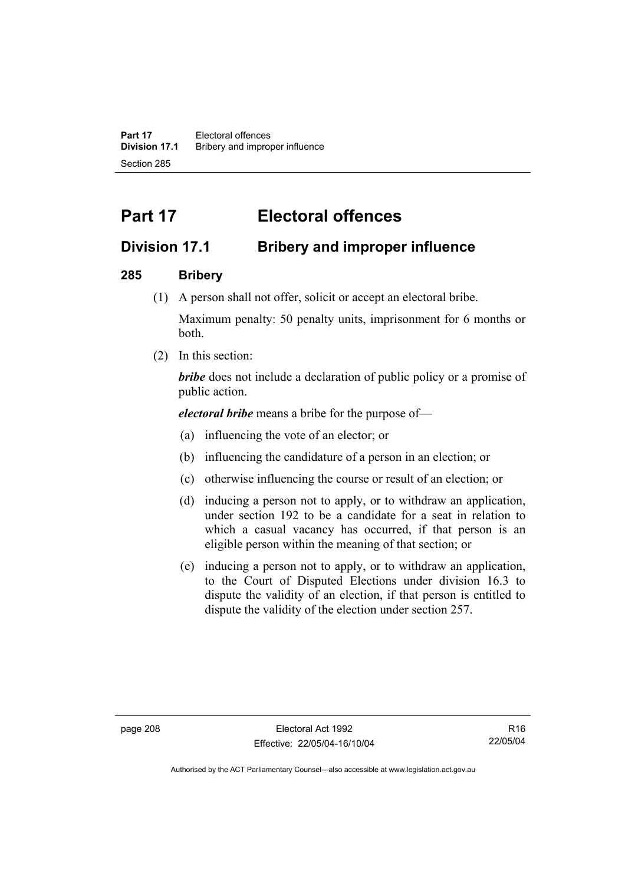**Part 17** Electoral offences **Division 17.1** Bribery and improper influence Section 285

# **Part 17 Electoral offences**

## **Division 17.1 Bribery and improper influence**

### **285 Bribery**

(1) A person shall not offer, solicit or accept an electoral bribe.

Maximum penalty: 50 penalty units, imprisonment for 6 months or both.

(2) In this section:

*bribe* does not include a declaration of public policy or a promise of public action.

*electoral bribe* means a bribe for the purpose of—

- (a) influencing the vote of an elector; or
- (b) influencing the candidature of a person in an election; or
- (c) otherwise influencing the course or result of an election; or
- (d) inducing a person not to apply, or to withdraw an application, under section 192 to be a candidate for a seat in relation to which a casual vacancy has occurred, if that person is an eligible person within the meaning of that section; or
- (e) inducing a person not to apply, or to withdraw an application, to the Court of Disputed Elections under division 16.3 to dispute the validity of an election, if that person is entitled to dispute the validity of the election under section 257.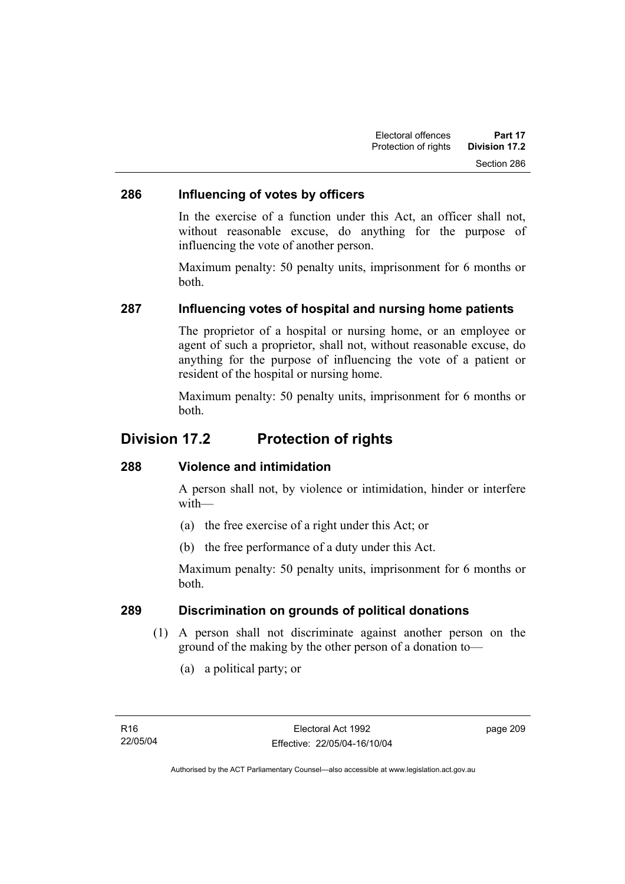### **286 Influencing of votes by officers**

In the exercise of a function under this Act, an officer shall not, without reasonable excuse, do anything for the purpose of influencing the vote of another person.

Maximum penalty: 50 penalty units, imprisonment for 6 months or both.

### **287 Influencing votes of hospital and nursing home patients**

The proprietor of a hospital or nursing home, or an employee or agent of such a proprietor, shall not, without reasonable excuse, do anything for the purpose of influencing the vote of a patient or resident of the hospital or nursing home.

Maximum penalty: 50 penalty units, imprisonment for 6 months or both.

## **Division 17.2 Protection of rights**

### **288 Violence and intimidation**

A person shall not, by violence or intimidation, hinder or interfere with—

- (a) the free exercise of a right under this Act; or
- (b) the free performance of a duty under this Act.

Maximum penalty: 50 penalty units, imprisonment for 6 months or both.

### **289 Discrimination on grounds of political donations**

- (1) A person shall not discriminate against another person on the ground of the making by the other person of a donation to—
	- (a) a political party; or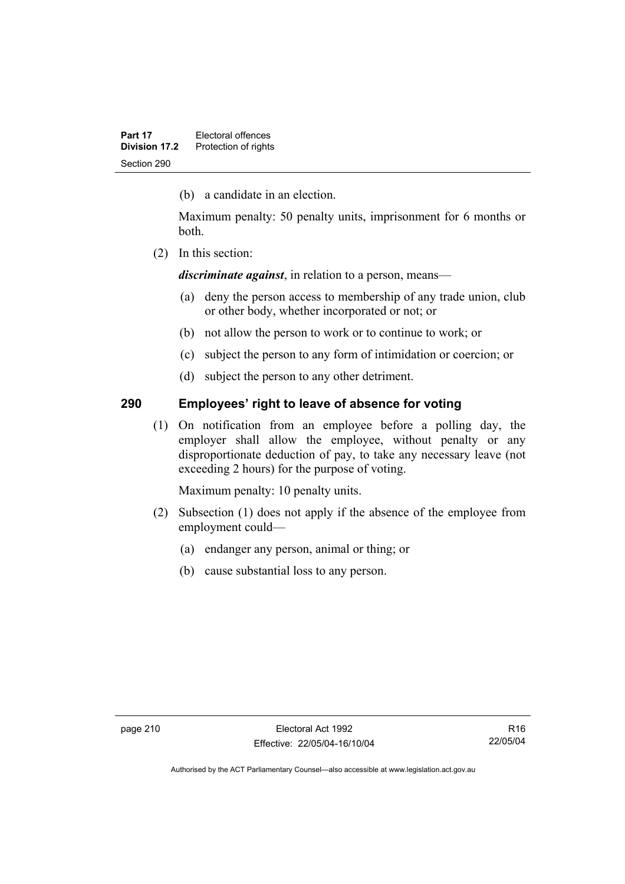(b) a candidate in an election.

Maximum penalty: 50 penalty units, imprisonment for 6 months or both.

(2) In this section:

*discriminate against*, in relation to a person, means—

- (a) deny the person access to membership of any trade union, club or other body, whether incorporated or not; or
- (b) not allow the person to work or to continue to work; or
- (c) subject the person to any form of intimidation or coercion; or
- (d) subject the person to any other detriment.

### **290 Employees' right to leave of absence for voting**

 (1) On notification from an employee before a polling day, the employer shall allow the employee, without penalty or any disproportionate deduction of pay, to take any necessary leave (not exceeding 2 hours) for the purpose of voting.

Maximum penalty: 10 penalty units.

- (2) Subsection (1) does not apply if the absence of the employee from employment could—
	- (a) endanger any person, animal or thing; or
	- (b) cause substantial loss to any person.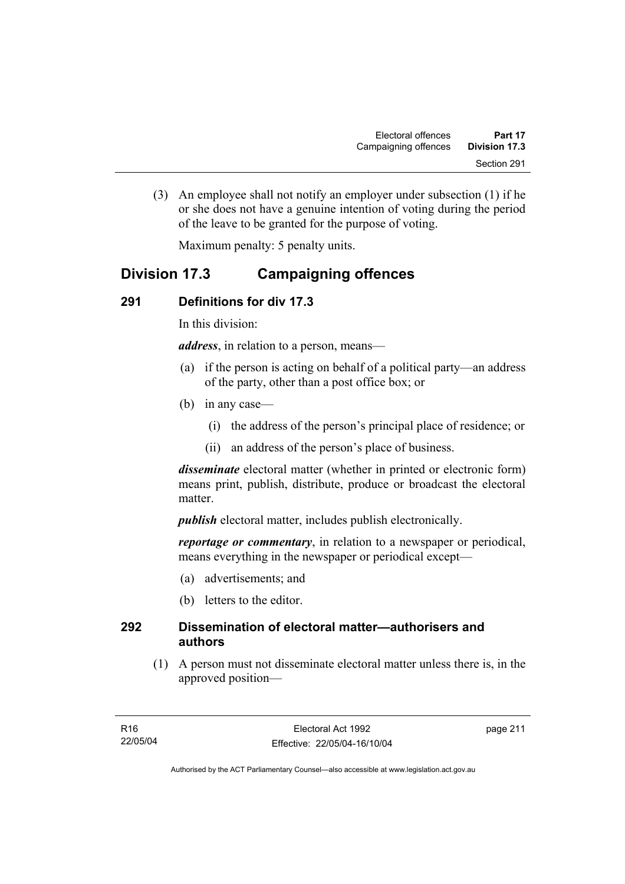(3) An employee shall not notify an employer under subsection (1) if he or she does not have a genuine intention of voting during the period of the leave to be granted for the purpose of voting.

Maximum penalty: 5 penalty units.

## **Division 17.3 Campaigning offences**

## **291 Definitions for div 17.3**

In this division:

*address*, in relation to a person, means—

- (a) if the person is acting on behalf of a political party—an address of the party, other than a post office box; or
- (b) in any case—
	- (i) the address of the person's principal place of residence; or
	- (ii) an address of the person's place of business.

*disseminate* electoral matter (whether in printed or electronic form) means print, publish, distribute, produce or broadcast the electoral matter.

*publish* electoral matter, includes publish electronically.

*reportage or commentary*, in relation to a newspaper or periodical, means everything in the newspaper or periodical except—

- (a) advertisements; and
- (b) letters to the editor.

### **292 Dissemination of electoral matter—authorisers and authors**

 (1) A person must not disseminate electoral matter unless there is, in the approved position—

page 211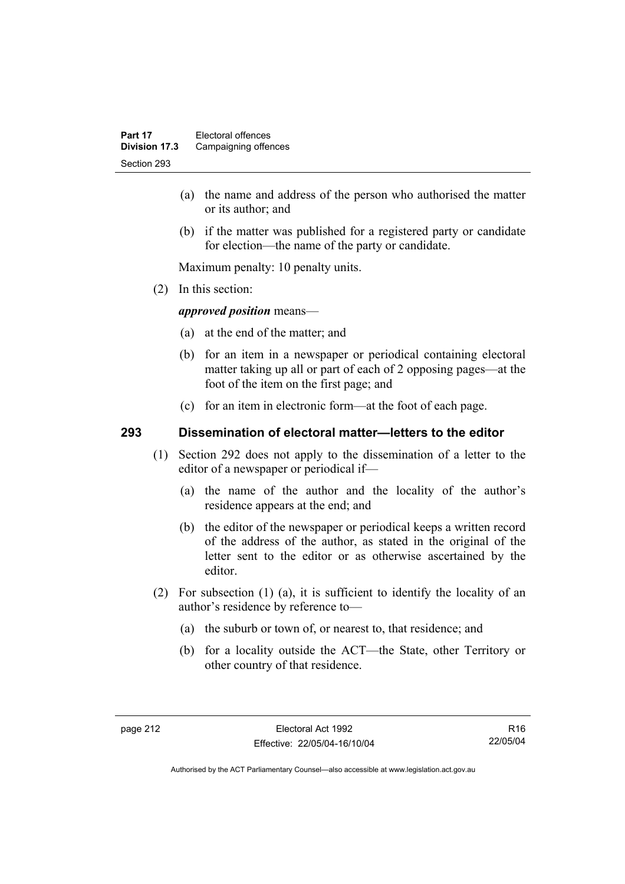- (a) the name and address of the person who authorised the matter or its author; and
- (b) if the matter was published for a registered party or candidate for election—the name of the party or candidate.

Maximum penalty: 10 penalty units.

(2) In this section:

*approved position* means—

- (a) at the end of the matter; and
- (b) for an item in a newspaper or periodical containing electoral matter taking up all or part of each of 2 opposing pages—at the foot of the item on the first page; and
- (c) for an item in electronic form—at the foot of each page.

### **293 Dissemination of electoral matter—letters to the editor**

- (1) Section 292 does not apply to the dissemination of a letter to the editor of a newspaper or periodical if—
	- (a) the name of the author and the locality of the author's residence appears at the end; and
	- (b) the editor of the newspaper or periodical keeps a written record of the address of the author, as stated in the original of the letter sent to the editor or as otherwise ascertained by the editor.
- (2) For subsection (1) (a), it is sufficient to identify the locality of an author's residence by reference to—
	- (a) the suburb or town of, or nearest to, that residence; and
	- (b) for a locality outside the ACT—the State, other Territory or other country of that residence.

R16 22/05/04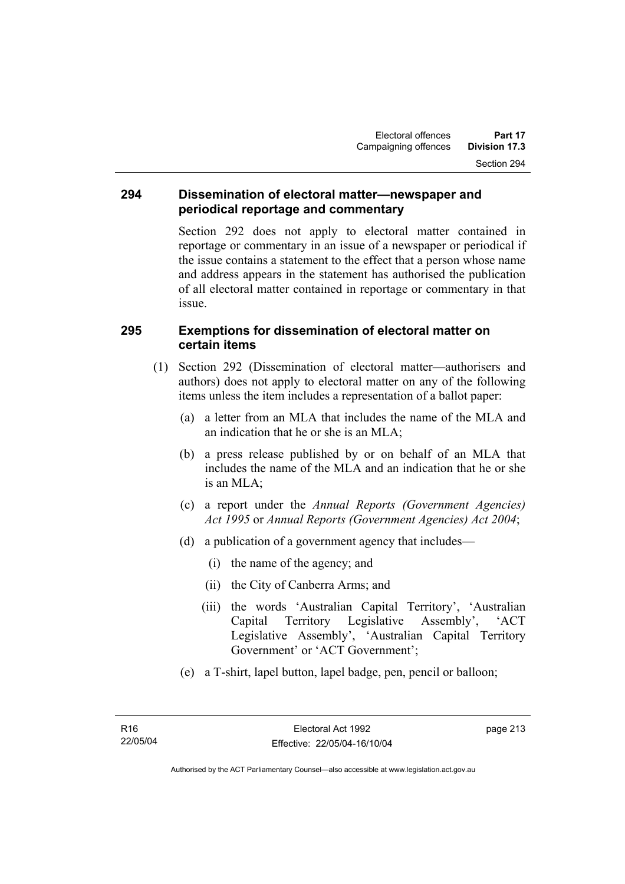### **294 Dissemination of electoral matter—newspaper and periodical reportage and commentary**

Section 292 does not apply to electoral matter contained in reportage or commentary in an issue of a newspaper or periodical if the issue contains a statement to the effect that a person whose name and address appears in the statement has authorised the publication of all electoral matter contained in reportage or commentary in that issue.

### **295 Exemptions for dissemination of electoral matter on certain items**

- (1) Section 292 (Dissemination of electoral matter—authorisers and authors) does not apply to electoral matter on any of the following items unless the item includes a representation of a ballot paper:
	- (a) a letter from an MLA that includes the name of the MLA and an indication that he or she is an MLA;
	- (b) a press release published by or on behalf of an MLA that includes the name of the MLA and an indication that he or she is an MLA;
	- (c) a report under the *Annual Reports (Government Agencies) Act 1995* or *Annual Reports (Government Agencies) Act 2004*;
	- (d) a publication of a government agency that includes—
		- (i) the name of the agency; and
		- (ii) the City of Canberra Arms; and
		- (iii) the words 'Australian Capital Territory', 'Australian Capital Territory Legislative Assembly', 'ACT Legislative Assembly', 'Australian Capital Territory Government' or 'ACT Government';
	- (e) a T-shirt, lapel button, lapel badge, pen, pencil or balloon;

page 213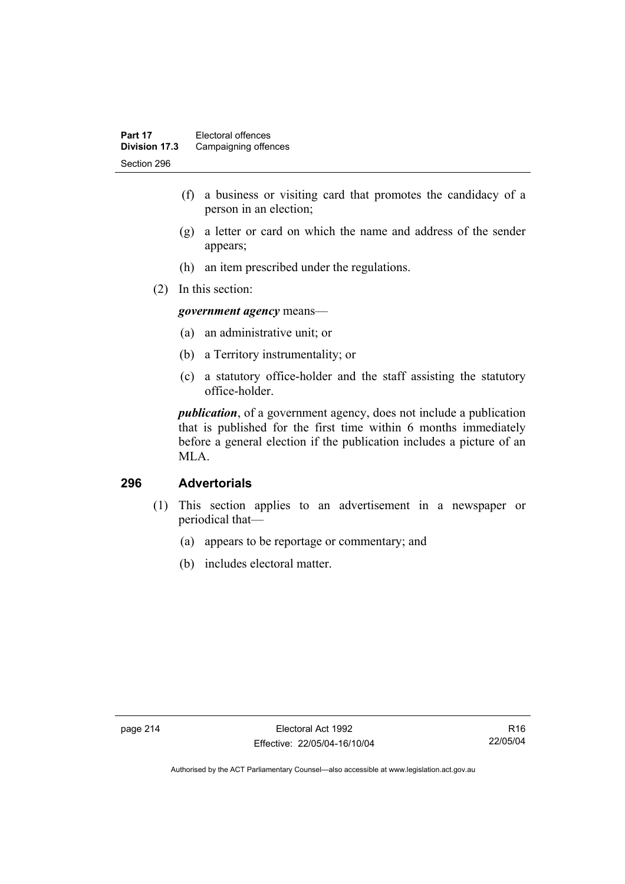- (f) a business or visiting card that promotes the candidacy of a person in an election;
- (g) a letter or card on which the name and address of the sender appears;
- (h) an item prescribed under the regulations.
- (2) In this section:

*government agency* means—

- (a) an administrative unit; or
- (b) a Territory instrumentality; or
- (c) a statutory office-holder and the staff assisting the statutory office-holder.

*publication*, of a government agency, does not include a publication that is published for the first time within 6 months immediately before a general election if the publication includes a picture of an MLA.

### **296 Advertorials**

- (1) This section applies to an advertisement in a newspaper or periodical that—
	- (a) appears to be reportage or commentary; and
	- (b) includes electoral matter.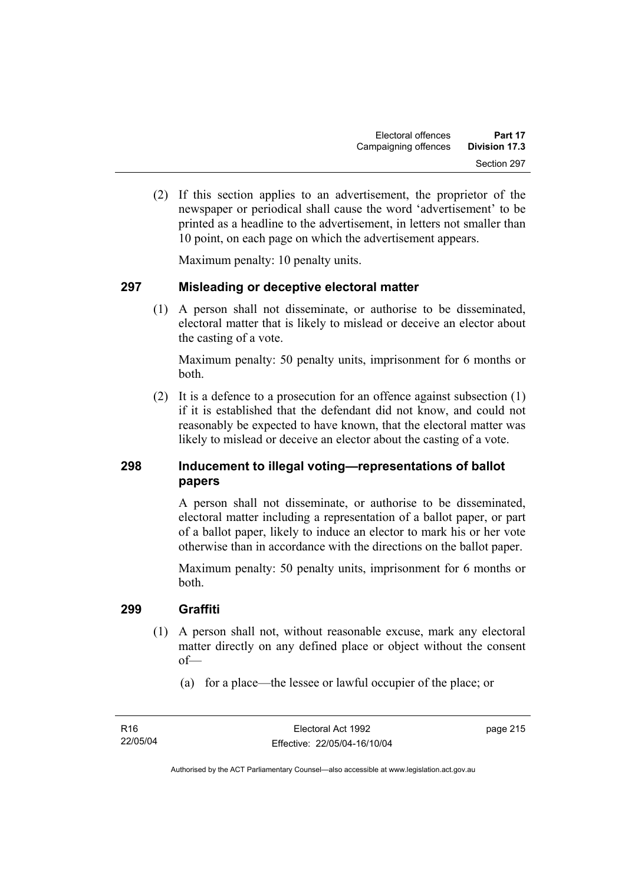(2) If this section applies to an advertisement, the proprietor of the newspaper or periodical shall cause the word 'advertisement' to be printed as a headline to the advertisement, in letters not smaller than 10 point, on each page on which the advertisement appears.

Maximum penalty: 10 penalty units.

### **297 Misleading or deceptive electoral matter**

 (1) A person shall not disseminate, or authorise to be disseminated, electoral matter that is likely to mislead or deceive an elector about the casting of a vote.

Maximum penalty: 50 penalty units, imprisonment for 6 months or both.

 (2) It is a defence to a prosecution for an offence against subsection (1) if it is established that the defendant did not know, and could not reasonably be expected to have known, that the electoral matter was likely to mislead or deceive an elector about the casting of a vote.

## **298 Inducement to illegal voting—representations of ballot papers**

A person shall not disseminate, or authorise to be disseminated, electoral matter including a representation of a ballot paper, or part of a ballot paper, likely to induce an elector to mark his or her vote otherwise than in accordance with the directions on the ballot paper.

Maximum penalty: 50 penalty units, imprisonment for 6 months or both.

### **299 Graffiti**

- (1) A person shall not, without reasonable excuse, mark any electoral matter directly on any defined place or object without the consent of—
	- (a) for a place—the lessee or lawful occupier of the place; or

page 215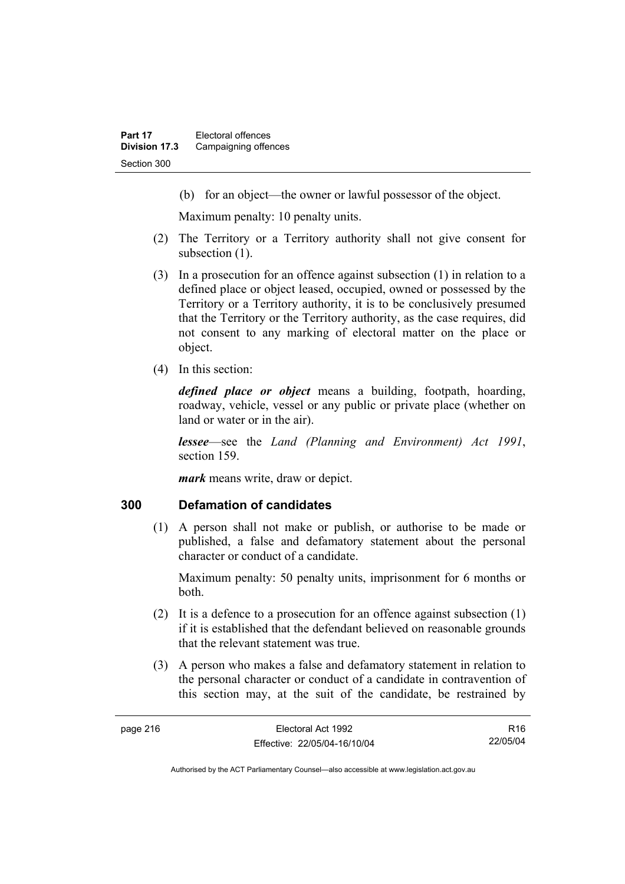(b) for an object—the owner or lawful possessor of the object.

Maximum penalty: 10 penalty units.

- (2) The Territory or a Territory authority shall not give consent for subsection  $(1)$ .
- (3) In a prosecution for an offence against subsection (1) in relation to a defined place or object leased, occupied, owned or possessed by the Territory or a Territory authority, it is to be conclusively presumed that the Territory or the Territory authority, as the case requires, did not consent to any marking of electoral matter on the place or object.
- (4) In this section:

*defined place or object* means a building, footpath, hoarding, roadway, vehicle, vessel or any public or private place (whether on land or water or in the air).

*lessee*—see the *Land (Planning and Environment) Act 1991*, section 159.

*mark* means write, draw or depict.

### **300 Defamation of candidates**

 (1) A person shall not make or publish, or authorise to be made or published, a false and defamatory statement about the personal character or conduct of a candidate.

Maximum penalty: 50 penalty units, imprisonment for 6 months or both.

- (2) It is a defence to a prosecution for an offence against subsection (1) if it is established that the defendant believed on reasonable grounds that the relevant statement was true.
- (3) A person who makes a false and defamatory statement in relation to the personal character or conduct of a candidate in contravention of this section may, at the suit of the candidate, be restrained by

R16 22/05/04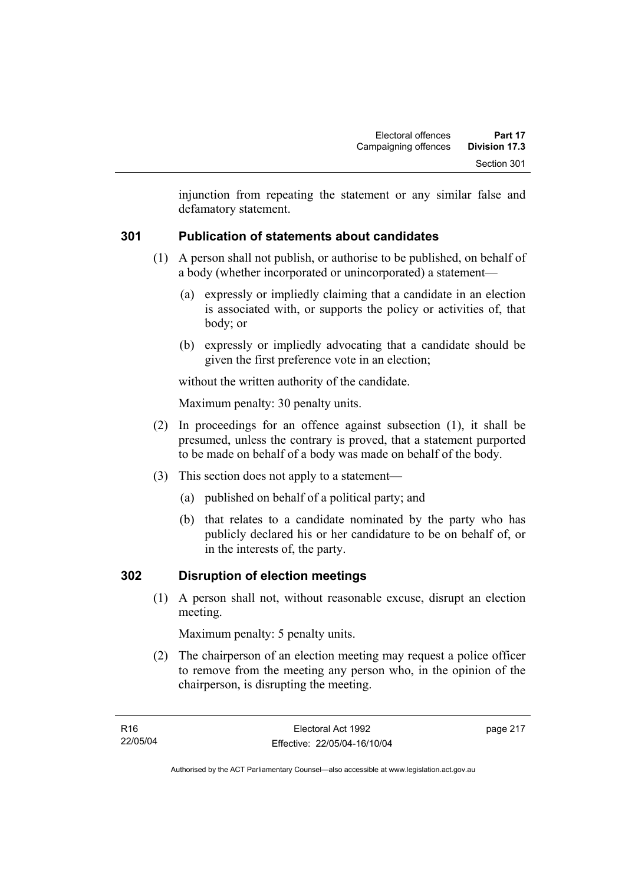injunction from repeating the statement or any similar false and defamatory statement.

## **301 Publication of statements about candidates**

- (1) A person shall not publish, or authorise to be published, on behalf of a body (whether incorporated or unincorporated) a statement—
	- (a) expressly or impliedly claiming that a candidate in an election is associated with, or supports the policy or activities of, that body; or
	- (b) expressly or impliedly advocating that a candidate should be given the first preference vote in an election;

without the written authority of the candidate.

Maximum penalty: 30 penalty units.

- (2) In proceedings for an offence against subsection (1), it shall be presumed, unless the contrary is proved, that a statement purported to be made on behalf of a body was made on behalf of the body.
- (3) This section does not apply to a statement—
	- (a) published on behalf of a political party; and
	- (b) that relates to a candidate nominated by the party who has publicly declared his or her candidature to be on behalf of, or in the interests of, the party.

### **302 Disruption of election meetings**

 (1) A person shall not, without reasonable excuse, disrupt an election meeting.

Maximum penalty: 5 penalty units.

 (2) The chairperson of an election meeting may request a police officer to remove from the meeting any person who, in the opinion of the chairperson, is disrupting the meeting.

page 217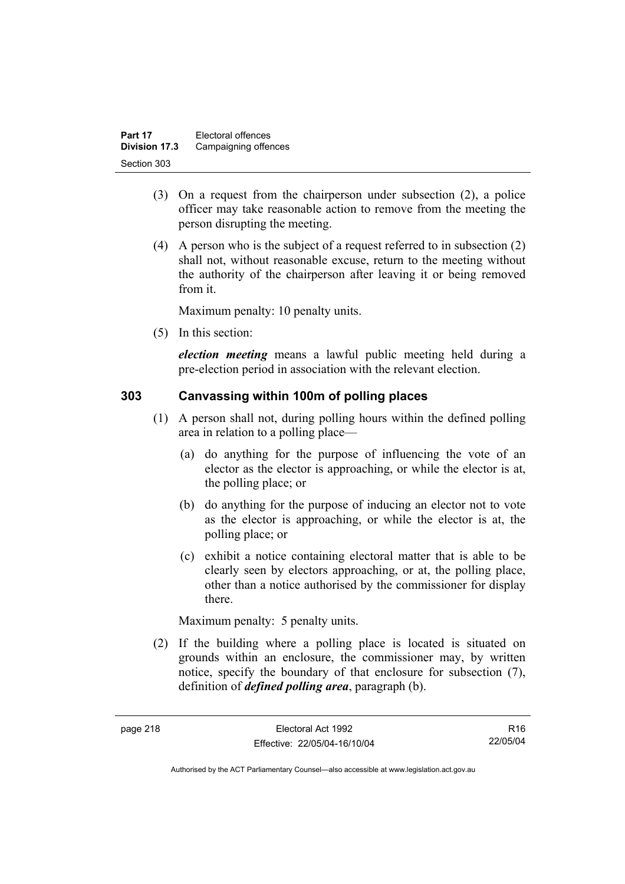| Part 17       | Electoral offences   |
|---------------|----------------------|
| Division 17.3 | Campaigning offences |
| Section 303   |                      |

- (3) On a request from the chairperson under subsection (2), a police officer may take reasonable action to remove from the meeting the person disrupting the meeting.
- (4) A person who is the subject of a request referred to in subsection (2) shall not, without reasonable excuse, return to the meeting without the authority of the chairperson after leaving it or being removed from it.

Maximum penalty: 10 penalty units.

(5) In this section:

*election meeting* means a lawful public meeting held during a pre-election period in association with the relevant election.

### **303 Canvassing within 100m of polling places**

- (1) A person shall not, during polling hours within the defined polling area in relation to a polling place—
	- (a) do anything for the purpose of influencing the vote of an elector as the elector is approaching, or while the elector is at, the polling place; or
	- (b) do anything for the purpose of inducing an elector not to vote as the elector is approaching, or while the elector is at, the polling place; or
	- (c) exhibit a notice containing electoral matter that is able to be clearly seen by electors approaching, or at, the polling place, other than a notice authorised by the commissioner for display there.

Maximum penalty: 5 penalty units.

 (2) If the building where a polling place is located is situated on grounds within an enclosure, the commissioner may, by written notice, specify the boundary of that enclosure for subsection (7), definition of *defined polling area*, paragraph (b).

R16 22/05/04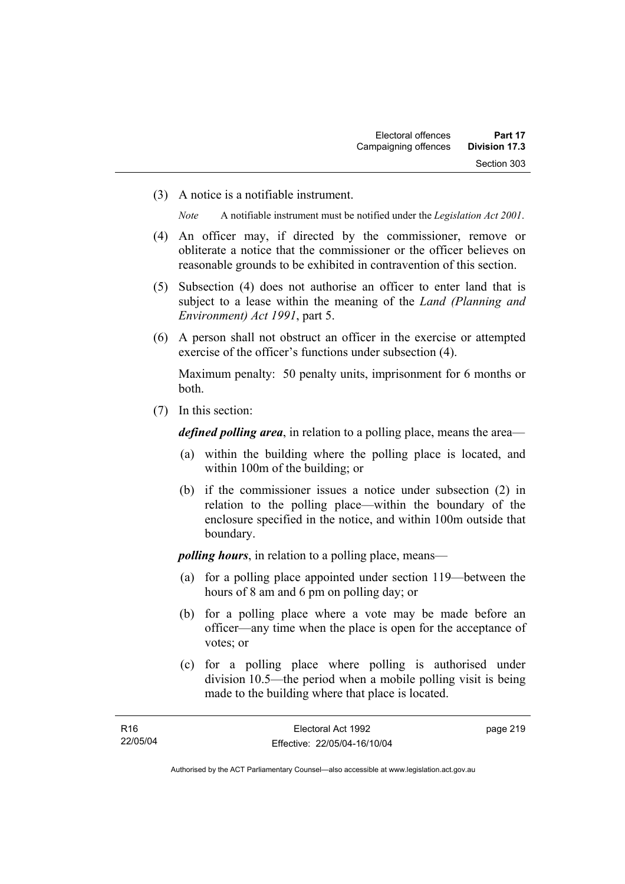(3) A notice is a notifiable instrument.

*Note* A notifiable instrument must be notified under the *Legislation Act 2001*.

- (4) An officer may, if directed by the commissioner, remove or obliterate a notice that the commissioner or the officer believes on reasonable grounds to be exhibited in contravention of this section.
- (5) Subsection (4) does not authorise an officer to enter land that is subject to a lease within the meaning of the *Land (Planning and Environment) Act 1991*, part 5.
- (6) A person shall not obstruct an officer in the exercise or attempted exercise of the officer's functions under subsection (4).

Maximum penalty: 50 penalty units, imprisonment for 6 months or both.

(7) In this section:

*defined polling area*, in relation to a polling place, means the area—

- (a) within the building where the polling place is located, and within 100m of the building; or
- (b) if the commissioner issues a notice under subsection (2) in relation to the polling place—within the boundary of the enclosure specified in the notice, and within 100m outside that boundary.

*polling hours*, in relation to a polling place, means—

- (a) for a polling place appointed under section 119—between the hours of 8 am and 6 pm on polling day; or
- (b) for a polling place where a vote may be made before an officer—any time when the place is open for the acceptance of votes; or
- (c) for a polling place where polling is authorised under division 10.5—the period when a mobile polling visit is being made to the building where that place is located.

page 219

Authorised by the ACT Parliamentary Counsel—also accessible at www.legislation.act.gov.au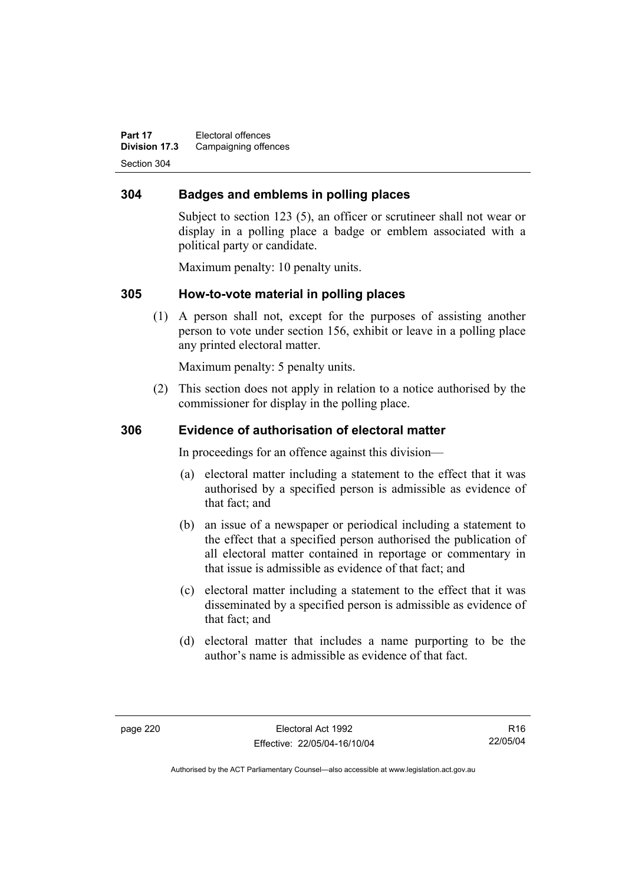**Part 17** Electoral offences **Division 17.3** Campaigning offences Section 304

### **304 Badges and emblems in polling places**

Subject to section 123 (5), an officer or scrutineer shall not wear or display in a polling place a badge or emblem associated with a political party or candidate.

Maximum penalty: 10 penalty units.

### **305 How-to-vote material in polling places**

 (1) A person shall not, except for the purposes of assisting another person to vote under section 156, exhibit or leave in a polling place any printed electoral matter.

Maximum penalty: 5 penalty units.

 (2) This section does not apply in relation to a notice authorised by the commissioner for display in the polling place.

### **306 Evidence of authorisation of electoral matter**

In proceedings for an offence against this division—

- (a) electoral matter including a statement to the effect that it was authorised by a specified person is admissible as evidence of that fact; and
- (b) an issue of a newspaper or periodical including a statement to the effect that a specified person authorised the publication of all electoral matter contained in reportage or commentary in that issue is admissible as evidence of that fact; and
- (c) electoral matter including a statement to the effect that it was disseminated by a specified person is admissible as evidence of that fact; and
- (d) electoral matter that includes a name purporting to be the author's name is admissible as evidence of that fact.

R16 22/05/04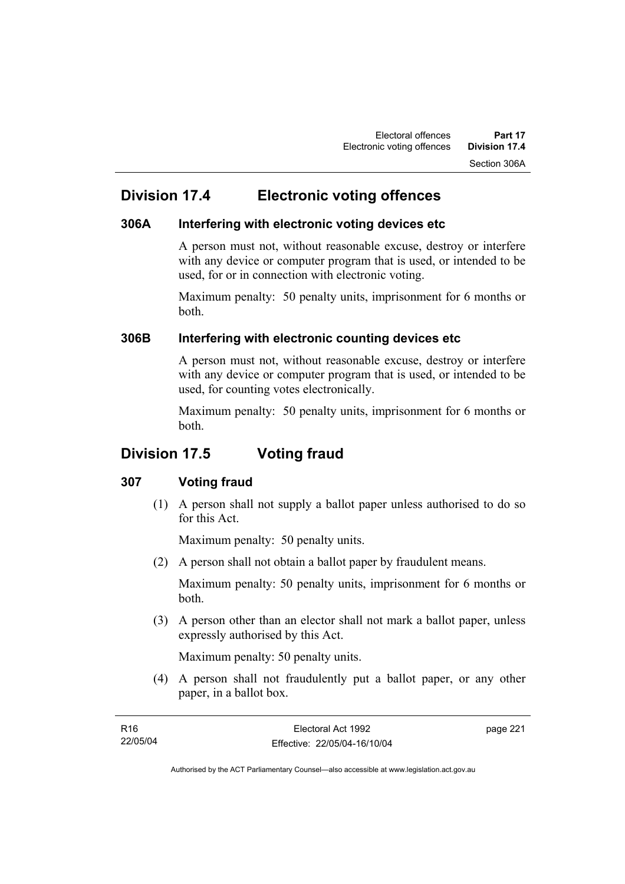## **Division 17.4 Electronic voting offences**

### **306A Interfering with electronic voting devices etc**

A person must not, without reasonable excuse, destroy or interfere with any device or computer program that is used, or intended to be used, for or in connection with electronic voting.

Maximum penalty: 50 penalty units, imprisonment for 6 months or both.

### **306B Interfering with electronic counting devices etc**

A person must not, without reasonable excuse, destroy or interfere with any device or computer program that is used, or intended to be used, for counting votes electronically.

Maximum penalty: 50 penalty units, imprisonment for 6 months or both.

## **Division 17.5 Voting fraud**

### **307 Voting fraud**

 (1) A person shall not supply a ballot paper unless authorised to do so for this Act.

Maximum penalty: 50 penalty units.

(2) A person shall not obtain a ballot paper by fraudulent means.

Maximum penalty: 50 penalty units, imprisonment for 6 months or both.

 (3) A person other than an elector shall not mark a ballot paper, unless expressly authorised by this Act.

Maximum penalty: 50 penalty units.

 (4) A person shall not fraudulently put a ballot paper, or any other paper, in a ballot box.

| R16      | Electoral Act 1992           | page 221 |
|----------|------------------------------|----------|
| 22/05/04 | Effective: 22/05/04-16/10/04 |          |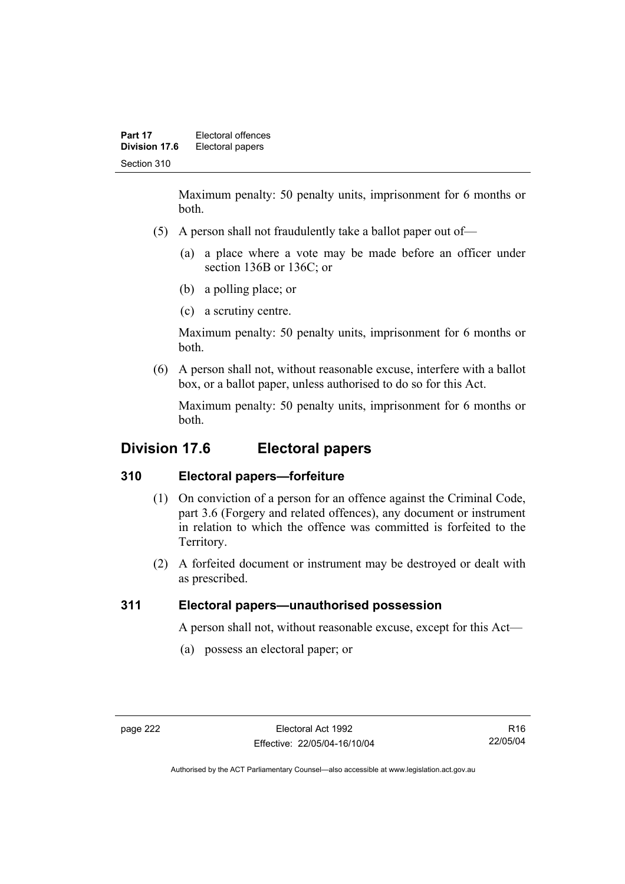Maximum penalty: 50 penalty units, imprisonment for 6 months or both.

- (5) A person shall not fraudulently take a ballot paper out of—
	- (a) a place where a vote may be made before an officer under section 136B or 136C; or
	- (b) a polling place; or
	- (c) a scrutiny centre.

Maximum penalty: 50 penalty units, imprisonment for 6 months or both.

 (6) A person shall not, without reasonable excuse, interfere with a ballot box, or a ballot paper, unless authorised to do so for this Act.

Maximum penalty: 50 penalty units, imprisonment for 6 months or both.

## **Division 17.6 Electoral papers**

## **310 Electoral papers—forfeiture**

- (1) On conviction of a person for an offence against the Criminal Code, part 3.6 (Forgery and related offences), any document or instrument in relation to which the offence was committed is forfeited to the Territory.
- (2) A forfeited document or instrument may be destroyed or dealt with as prescribed.

## **311 Electoral papers—unauthorised possession**

A person shall not, without reasonable excuse, except for this Act—

(a) possess an electoral paper; or

R16 22/05/04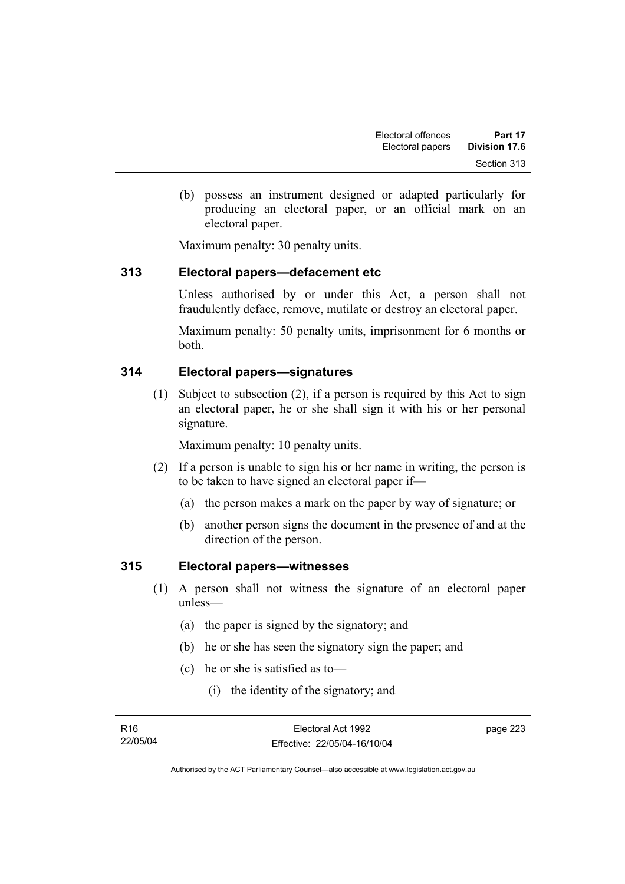(b) possess an instrument designed or adapted particularly for producing an electoral paper, or an official mark on an electoral paper.

Maximum penalty: 30 penalty units.

### **313 Electoral papers—defacement etc**

Unless authorised by or under this Act, a person shall not fraudulently deface, remove, mutilate or destroy an electoral paper.

Maximum penalty: 50 penalty units, imprisonment for 6 months or both.

## **314 Electoral papers—signatures**

 (1) Subject to subsection (2), if a person is required by this Act to sign an electoral paper, he or she shall sign it with his or her personal signature.

Maximum penalty: 10 penalty units.

- (2) If a person is unable to sign his or her name in writing, the person is to be taken to have signed an electoral paper if—
	- (a) the person makes a mark on the paper by way of signature; or
	- (b) another person signs the document in the presence of and at the direction of the person.

### **315 Electoral papers—witnesses**

- (1) A person shall not witness the signature of an electoral paper unless—
	- (a) the paper is signed by the signatory; and
	- (b) he or she has seen the signatory sign the paper; and
	- (c) he or she is satisfied as to—
		- (i) the identity of the signatory; and

page 223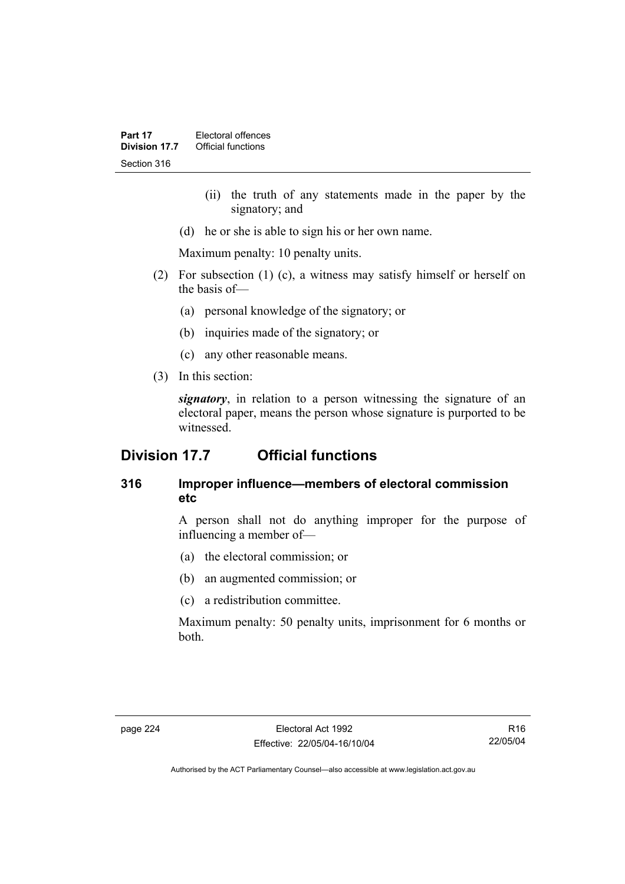- (ii) the truth of any statements made in the paper by the signatory; and
- (d) he or she is able to sign his or her own name.

Maximum penalty: 10 penalty units.

- (2) For subsection (1) (c), a witness may satisfy himself or herself on the basis of—
	- (a) personal knowledge of the signatory; or
	- (b) inquiries made of the signatory; or
	- (c) any other reasonable means.
- (3) In this section:

*signatory*, in relation to a person witnessing the signature of an electoral paper, means the person whose signature is purported to be witnessed.

## **Division 17.7 Official functions**

### **316 Improper influence—members of electoral commission etc**

A person shall not do anything improper for the purpose of influencing a member of—

- (a) the electoral commission; or
- (b) an augmented commission; or
- (c) a redistribution committee.

Maximum penalty: 50 penalty units, imprisonment for 6 months or both.

R16 22/05/04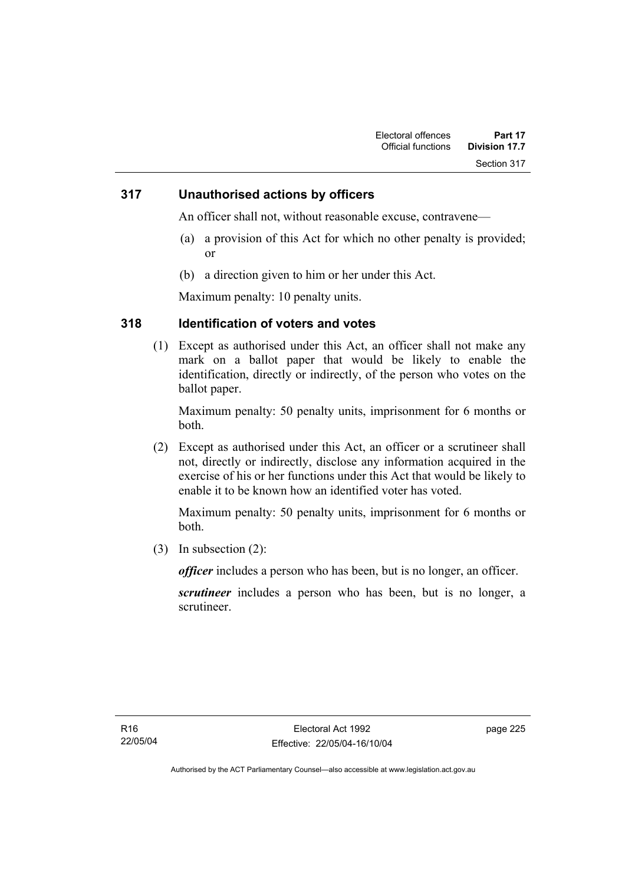### **317 Unauthorised actions by officers**

An officer shall not, without reasonable excuse, contravene—

- (a) a provision of this Act for which no other penalty is provided; or
- (b) a direction given to him or her under this Act.

Maximum penalty: 10 penalty units.

### **318 Identification of voters and votes**

 (1) Except as authorised under this Act, an officer shall not make any mark on a ballot paper that would be likely to enable the identification, directly or indirectly, of the person who votes on the ballot paper.

Maximum penalty: 50 penalty units, imprisonment for 6 months or both.

 (2) Except as authorised under this Act, an officer or a scrutineer shall not, directly or indirectly, disclose any information acquired in the exercise of his or her functions under this Act that would be likely to enable it to be known how an identified voter has voted.

Maximum penalty: 50 penalty units, imprisonment for 6 months or both.

(3) In subsection (2):

*officer* includes a person who has been, but is no longer, an officer.

*scrutineer* includes a person who has been, but is no longer, a scrutineer.

page 225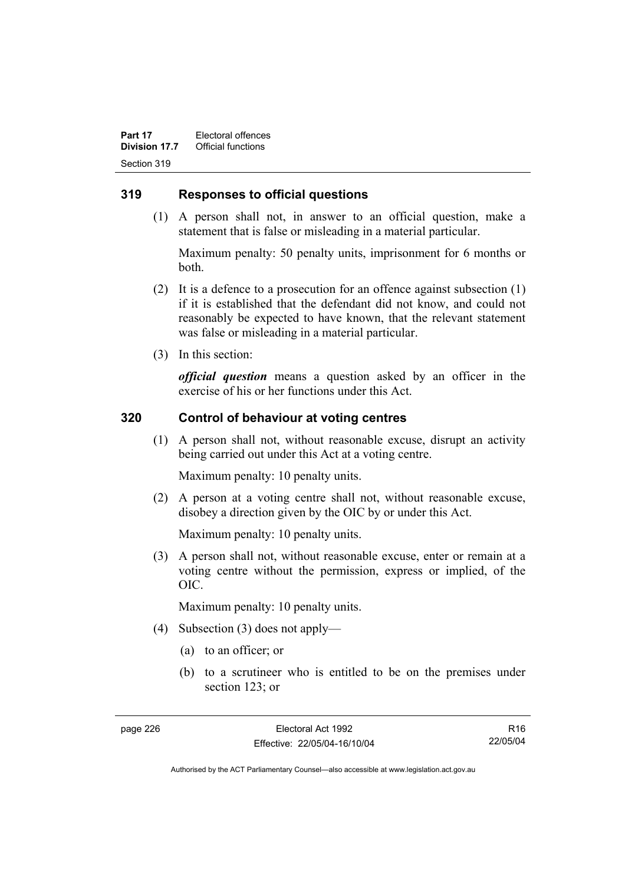### **319 Responses to official questions**

 (1) A person shall not, in answer to an official question, make a statement that is false or misleading in a material particular.

Maximum penalty: 50 penalty units, imprisonment for 6 months or both.

- (2) It is a defence to a prosecution for an offence against subsection (1) if it is established that the defendant did not know, and could not reasonably be expected to have known, that the relevant statement was false or misleading in a material particular.
- (3) In this section:

*official question* means a question asked by an officer in the exercise of his or her functions under this Act.

### **320 Control of behaviour at voting centres**

 (1) A person shall not, without reasonable excuse, disrupt an activity being carried out under this Act at a voting centre.

Maximum penalty: 10 penalty units.

 (2) A person at a voting centre shall not, without reasonable excuse, disobey a direction given by the OIC by or under this Act.

Maximum penalty: 10 penalty units.

 (3) A person shall not, without reasonable excuse, enter or remain at a voting centre without the permission, express or implied, of the OIC.

Maximum penalty: 10 penalty units.

- (4) Subsection (3) does not apply—
	- (a) to an officer; or
	- (b) to a scrutineer who is entitled to be on the premises under section 123; or

R16 22/05/04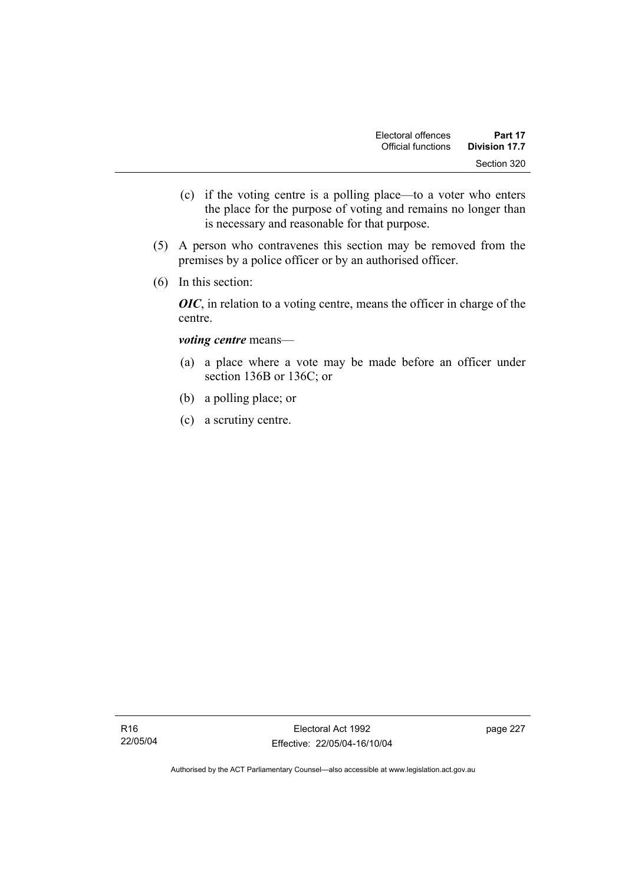- (c) if the voting centre is a polling place—to a voter who enters the place for the purpose of voting and remains no longer than is necessary and reasonable for that purpose.
- (5) A person who contravenes this section may be removed from the premises by a police officer or by an authorised officer.
- (6) In this section:

*OIC*, in relation to a voting centre, means the officer in charge of the centre.

#### *voting centre* means—

- (a) a place where a vote may be made before an officer under section 136B or 136C; or
- (b) a polling place; or
- (c) a scrutiny centre.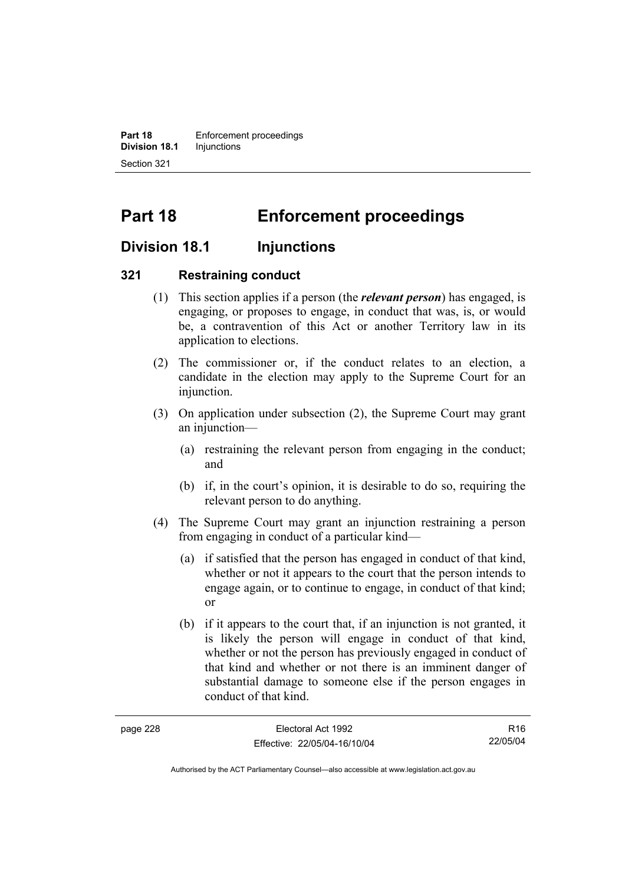**Part 18 Enforcement proceedings Division 18.1** Injunctions Section 321

# **Part 18 Enforcement proceedings**

## **Division 18.1 Injunctions**

### **321 Restraining conduct**

- (1) This section applies if a person (the *relevant person*) has engaged, is engaging, or proposes to engage, in conduct that was, is, or would be, a contravention of this Act or another Territory law in its application to elections.
- (2) The commissioner or, if the conduct relates to an election, a candidate in the election may apply to the Supreme Court for an injunction.
- (3) On application under subsection (2), the Supreme Court may grant an injunction—
	- (a) restraining the relevant person from engaging in the conduct; and
	- (b) if, in the court's opinion, it is desirable to do so, requiring the relevant person to do anything.
- (4) The Supreme Court may grant an injunction restraining a person from engaging in conduct of a particular kind—
	- (a) if satisfied that the person has engaged in conduct of that kind, whether or not it appears to the court that the person intends to engage again, or to continue to engage, in conduct of that kind; or
	- (b) if it appears to the court that, if an injunction is not granted, it is likely the person will engage in conduct of that kind, whether or not the person has previously engaged in conduct of that kind and whether or not there is an imminent danger of substantial damage to someone else if the person engages in conduct of that kind.

| page 228 | Electoral Act 1992           | R <sub>16</sub> |
|----------|------------------------------|-----------------|
|          | Effective: 22/05/04-16/10/04 | 22/05/04        |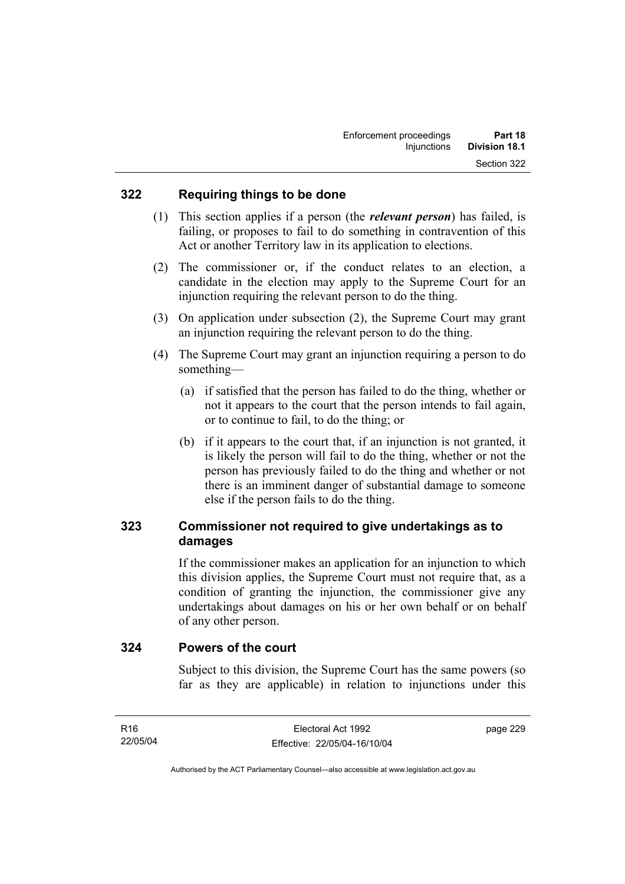### **322 Requiring things to be done**

- (1) This section applies if a person (the *relevant person*) has failed, is failing, or proposes to fail to do something in contravention of this Act or another Territory law in its application to elections.
- (2) The commissioner or, if the conduct relates to an election, a candidate in the election may apply to the Supreme Court for an injunction requiring the relevant person to do the thing.
- (3) On application under subsection (2), the Supreme Court may grant an injunction requiring the relevant person to do the thing.
- (4) The Supreme Court may grant an injunction requiring a person to do something—
	- (a) if satisfied that the person has failed to do the thing, whether or not it appears to the court that the person intends to fail again, or to continue to fail, to do the thing; or
	- (b) if it appears to the court that, if an injunction is not granted, it is likely the person will fail to do the thing, whether or not the person has previously failed to do the thing and whether or not there is an imminent danger of substantial damage to someone else if the person fails to do the thing.

## **323 Commissioner not required to give undertakings as to damages**

If the commissioner makes an application for an injunction to which this division applies, the Supreme Court must not require that, as a condition of granting the injunction, the commissioner give any undertakings about damages on his or her own behalf or on behalf of any other person.

### **324 Powers of the court**

Subject to this division, the Supreme Court has the same powers (so far as they are applicable) in relation to injunctions under this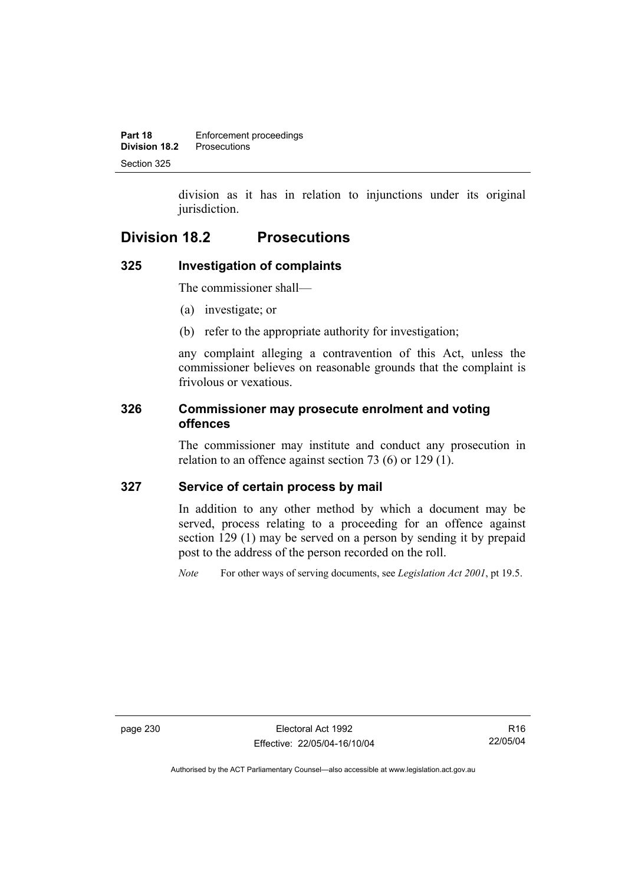division as it has in relation to injunctions under its original jurisdiction.

## **Division 18.2 Prosecutions**

### **325 Investigation of complaints**

The commissioner shall—

- (a) investigate; or
- (b) refer to the appropriate authority for investigation;

any complaint alleging a contravention of this Act, unless the commissioner believes on reasonable grounds that the complaint is frivolous or vexatious.

### **326 Commissioner may prosecute enrolment and voting offences**

The commissioner may institute and conduct any prosecution in relation to an offence against section 73 (6) or 129 (1).

### **327 Service of certain process by mail**

In addition to any other method by which a document may be served, process relating to a proceeding for an offence against section 129 (1) may be served on a person by sending it by prepaid post to the address of the person recorded on the roll.

*Note* For other ways of serving documents, see *Legislation Act 2001*, pt 19.5.

page 230 Electoral Act 1992 Effective: 22/05/04-16/10/04

R16 22/05/04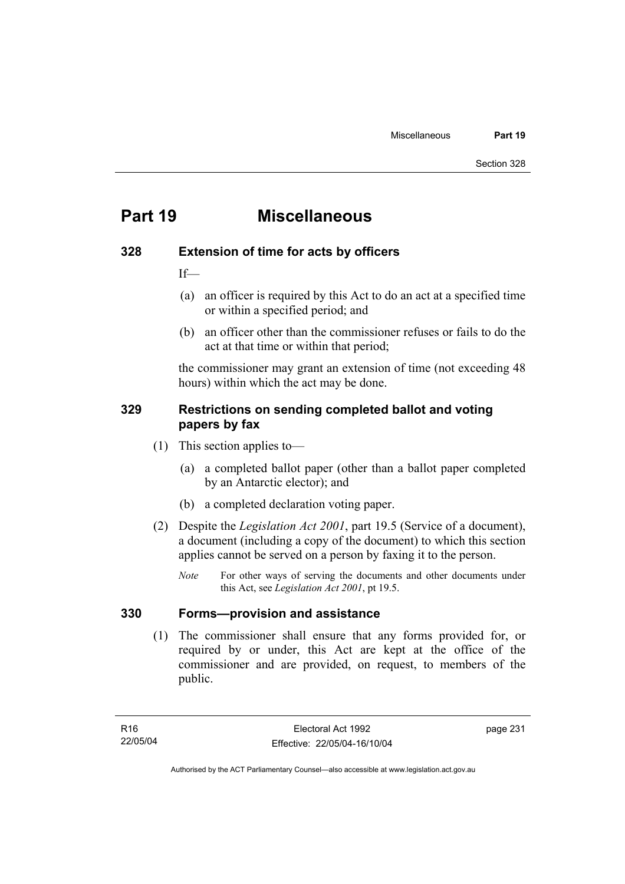## **Part 19 Miscellaneous**

### **328 Extension of time for acts by officers**

If—

- (a) an officer is required by this Act to do an act at a specified time or within a specified period; and
- (b) an officer other than the commissioner refuses or fails to do the act at that time or within that period;

the commissioner may grant an extension of time (not exceeding 48 hours) within which the act may be done.

### **329 Restrictions on sending completed ballot and voting papers by fax**

- (1) This section applies to—
	- (a) a completed ballot paper (other than a ballot paper completed by an Antarctic elector); and
	- (b) a completed declaration voting paper.
- (2) Despite the *Legislation Act 2001*, part 19.5 (Service of a document), a document (including a copy of the document) to which this section applies cannot be served on a person by faxing it to the person.
	- *Note* For other ways of serving the documents and other documents under this Act, see *Legislation Act 2001*, pt 19.5.

### **330 Forms—provision and assistance**

 (1) The commissioner shall ensure that any forms provided for, or required by or under, this Act are kept at the office of the commissioner and are provided, on request, to members of the public.

page 231

Authorised by the ACT Parliamentary Counsel—also accessible at www.legislation.act.gov.au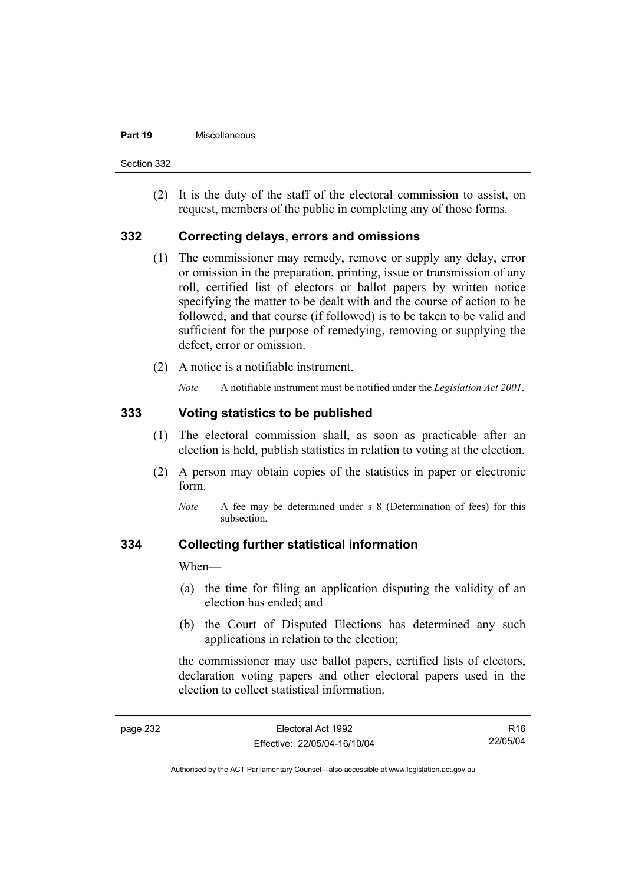#### **Part 19** Miscellaneous

Section 332

 (2) It is the duty of the staff of the electoral commission to assist, on request, members of the public in completing any of those forms.

### **332 Correcting delays, errors and omissions**

- (1) The commissioner may remedy, remove or supply any delay, error or omission in the preparation, printing, issue or transmission of any roll, certified list of electors or ballot papers by written notice specifying the matter to be dealt with and the course of action to be followed, and that course (if followed) is to be taken to be valid and sufficient for the purpose of remedying, removing or supplying the defect, error or omission.
- (2) A notice is a notifiable instrument.

*Note* A notifiable instrument must be notified under the *Legislation Act 2001*.

### **333 Voting statistics to be published**

- (1) The electoral commission shall, as soon as practicable after an election is held, publish statistics in relation to voting at the election.
- (2) A person may obtain copies of the statistics in paper or electronic form.
	- *Note* A fee may be determined under s 8 (Determination of fees) for this subsection.

#### **334 Collecting further statistical information**

When—

- (a) the time for filing an application disputing the validity of an election has ended; and
- (b) the Court of Disputed Elections has determined any such applications in relation to the election;

the commissioner may use ballot papers, certified lists of electors, declaration voting papers and other electoral papers used in the election to collect statistical information.

R16 22/05/04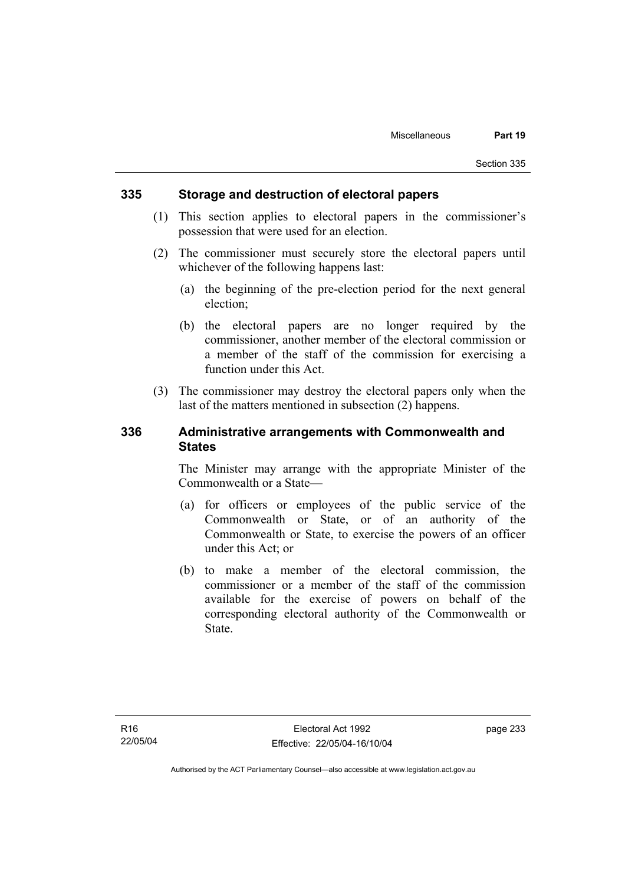#### **335 Storage and destruction of electoral papers**

- (1) This section applies to electoral papers in the commissioner's possession that were used for an election.
- (2) The commissioner must securely store the electoral papers until whichever of the following happens last:
	- (a) the beginning of the pre-election period for the next general election;
	- (b) the electoral papers are no longer required by the commissioner, another member of the electoral commission or a member of the staff of the commission for exercising a function under this Act.
- (3) The commissioner may destroy the electoral papers only when the last of the matters mentioned in subsection (2) happens.

### **336 Administrative arrangements with Commonwealth and States**

The Minister may arrange with the appropriate Minister of the Commonwealth or a State—

- (a) for officers or employees of the public service of the Commonwealth or State, or of an authority of the Commonwealth or State, to exercise the powers of an officer under this Act; or
- (b) to make a member of the electoral commission, the commissioner or a member of the staff of the commission available for the exercise of powers on behalf of the corresponding electoral authority of the Commonwealth or State.

page 233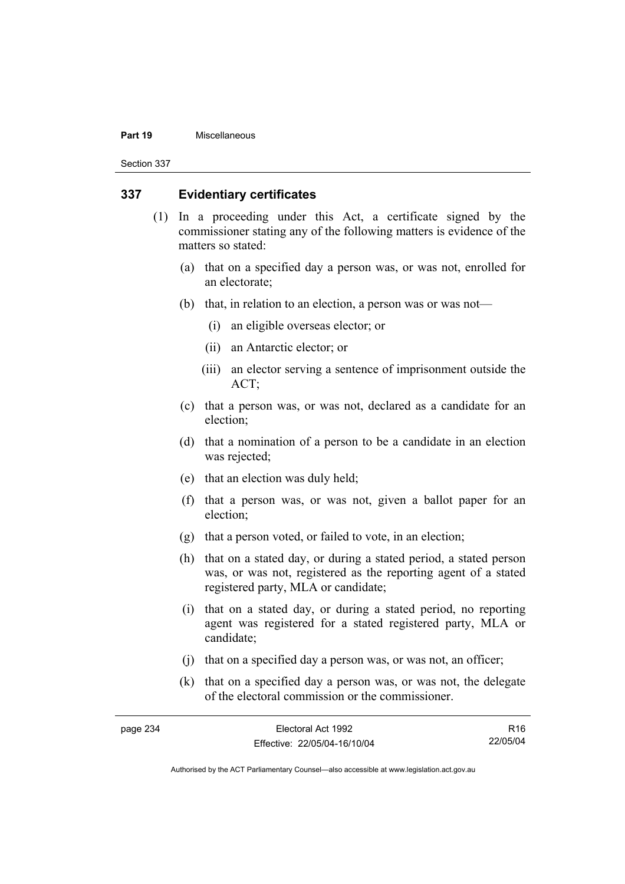#### **Part 19** Miscellaneous

Section 337

#### **337 Evidentiary certificates**

- (1) In a proceeding under this Act, a certificate signed by the commissioner stating any of the following matters is evidence of the matters so stated:
	- (a) that on a specified day a person was, or was not, enrolled for an electorate;
	- (b) that, in relation to an election, a person was or was not—
		- (i) an eligible overseas elector; or
		- (ii) an Antarctic elector; or
		- (iii) an elector serving a sentence of imprisonment outside the ACT;
	- (c) that a person was, or was not, declared as a candidate for an election;
	- (d) that a nomination of a person to be a candidate in an election was rejected;
	- (e) that an election was duly held;
	- (f) that a person was, or was not, given a ballot paper for an election;
	- (g) that a person voted, or failed to vote, in an election;
	- (h) that on a stated day, or during a stated period, a stated person was, or was not, registered as the reporting agent of a stated registered party, MLA or candidate;
	- (i) that on a stated day, or during a stated period, no reporting agent was registered for a stated registered party, MLA or candidate;
	- (j) that on a specified day a person was, or was not, an officer;
	- (k) that on a specified day a person was, or was not, the delegate of the electoral commission or the commissioner.

| page 234 | Electoral Act 1992           | R16      |
|----------|------------------------------|----------|
|          | Effective: 22/05/04-16/10/04 | 22/05/04 |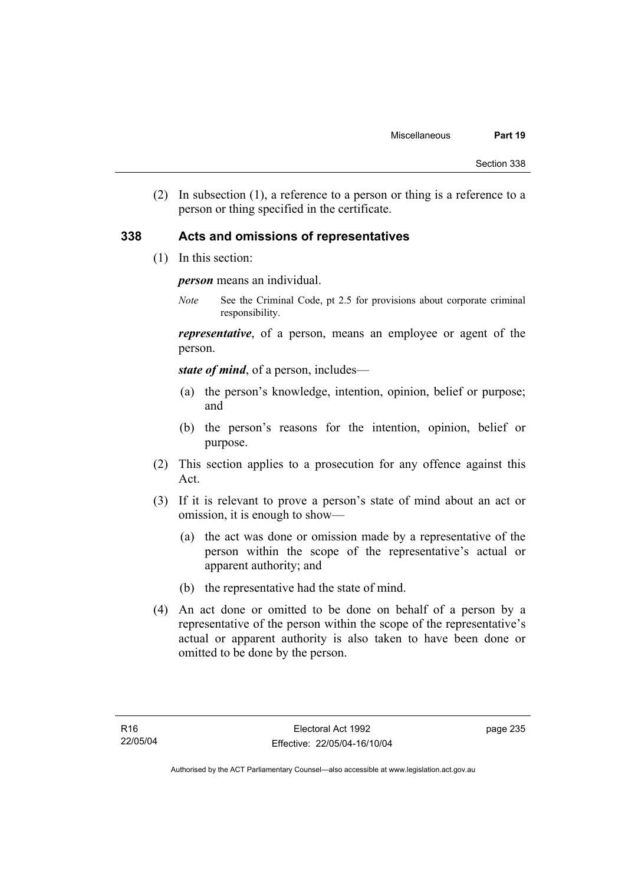(2) In subsection (1), a reference to a person or thing is a reference to a person or thing specified in the certificate.

#### **338 Acts and omissions of representatives**

(1) In this section:

*person* means an individual.

*Note* See the Criminal Code, pt 2.5 for provisions about corporate criminal responsibility.

*representative*, of a person, means an employee or agent of the person.

*state of mind*, of a person, includes—

- (a) the person's knowledge, intention, opinion, belief or purpose; and
- (b) the person's reasons for the intention, opinion, belief or purpose.
- (2) This section applies to a prosecution for any offence against this Act.
- (3) If it is relevant to prove a person's state of mind about an act or omission, it is enough to show—
	- (a) the act was done or omission made by a representative of the person within the scope of the representative's actual or apparent authority; and
	- (b) the representative had the state of mind.
- (4) An act done or omitted to be done on behalf of a person by a representative of the person within the scope of the representative's actual or apparent authority is also taken to have been done or omitted to be done by the person.

page 235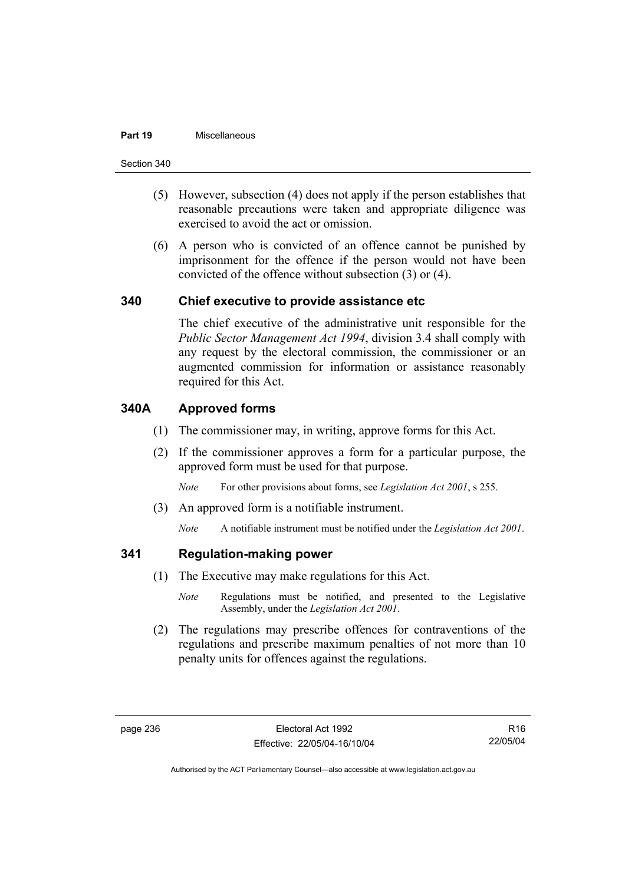#### **Part 19** Miscellaneous

Section 340

- (5) However, subsection (4) does not apply if the person establishes that reasonable precautions were taken and appropriate diligence was exercised to avoid the act or omission.
- (6) A person who is convicted of an offence cannot be punished by imprisonment for the offence if the person would not have been convicted of the offence without subsection (3) or (4).

#### **340 Chief executive to provide assistance etc**

The chief executive of the administrative unit responsible for the *Public Sector Management Act 1994*, division 3.4 shall comply with any request by the electoral commission, the commissioner or an augmented commission for information or assistance reasonably required for this Act.

### **340A Approved forms**

- (1) The commissioner may, in writing, approve forms for this Act.
- (2) If the commissioner approves a form for a particular purpose, the approved form must be used for that purpose.

*Note* For other provisions about forms, see *Legislation Act 2001*, s 255.

(3) An approved form is a notifiable instrument.

*Note* A notifiable instrument must be notified under the *Legislation Act 2001*.

### **341 Regulation-making power**

- (1) The Executive may make regulations for this Act.
	- *Note* Regulations must be notified, and presented to the Legislative Assembly, under the *Legislation Act 2001*.
- (2) The regulations may prescribe offences for contraventions of the regulations and prescribe maximum penalties of not more than 10 penalty units for offences against the regulations.

R16 22/05/04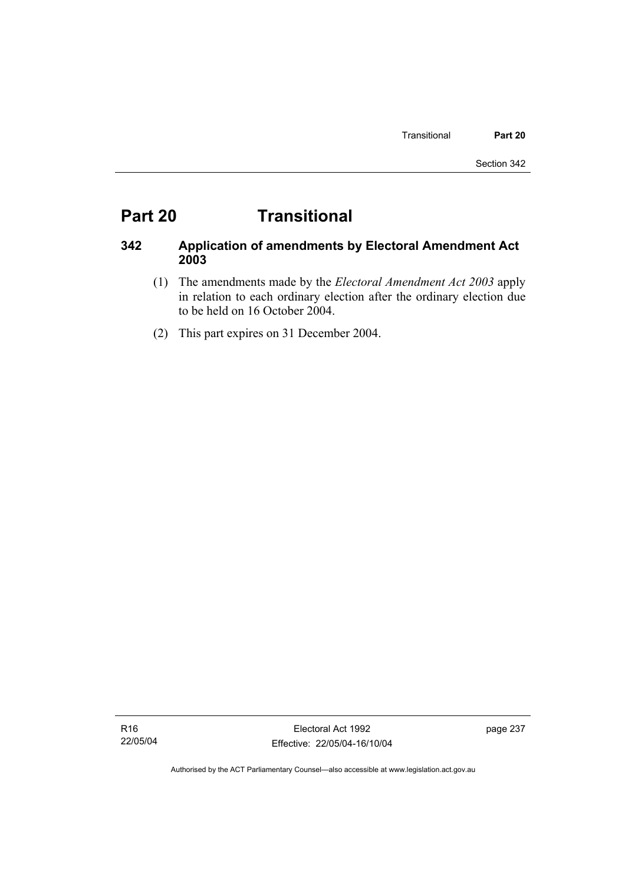# **Part 20 Transitional**

# **342 Application of amendments by Electoral Amendment Act 2003**

- (1) The amendments made by the *Electoral Amendment Act 2003* apply in relation to each ordinary election after the ordinary election due to be held on 16 October 2004.
- (2) This part expires on 31 December 2004.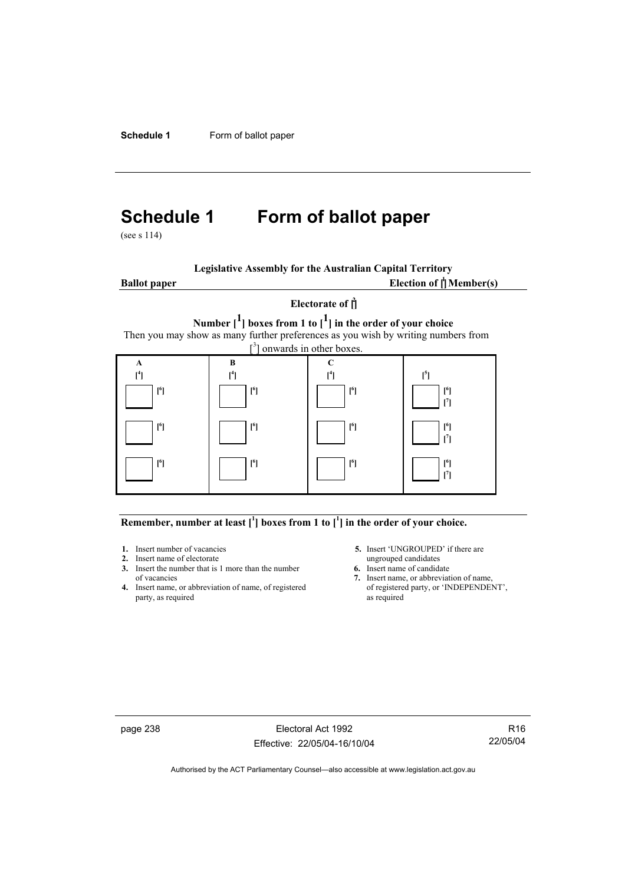**Schedule 1** Form of ballot paper

# **Schedule 1 Form of ballot paper**

(see s 114)

| <b>Legislative Assembly for the Australian Capital Territory</b> |  |
|------------------------------------------------------------------|--|
|------------------------------------------------------------------|--|

**Ballot paper** Election of  $\int_1^1$ **Member(s)** 

# **Electorate of [ 2 ] Number [1] boxes from 1 to [1] in the order of your choice**  Then you may show as many further preferences as you wish by writing numbers from



#### Remember, number at least  $\begin{bmatrix} 1 \end{bmatrix}$  boxes from 1 to  $\begin{bmatrix} 1 \end{bmatrix}$  in the order of your choice.

- 
- **2.** Insert name of electorate ungrouped candidates<br> **3.** Insert the number that is 1 more than the number<br> **6.** Insert name of candidate **3.** Insert the number that is 1 more than the number
- **4.** Insert name, or abbreviation of name, of registered party, as required as required
- **1.** Insert number of vacancies **5.** Insert 'UNGROUPED' if there are **2.** Insert name of electorate **1.** Insert name of electorate
	-
	- of vacancies **7.** Insert name, or abbreviation of name, or abbreviation of name, or abbreviation of name, of registered **7.** Insert name, or 'INDEPENDENT',

page 238 Electoral Act 1992 Effective: 22/05/04-16/10/04

R16 22/05/04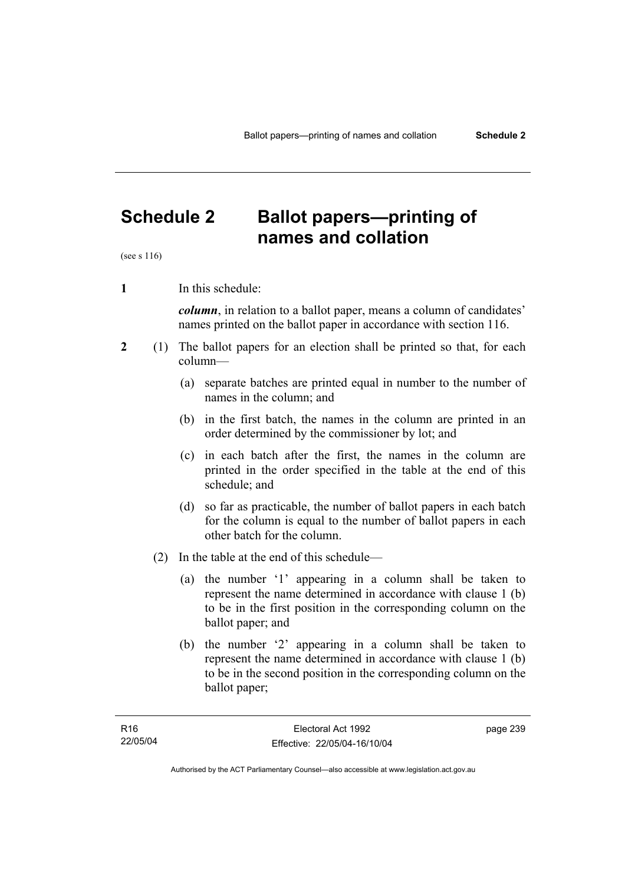# **Schedule 2 Ballot papers—printing of names and collation**

(see s 116)

**1** In this schedule:

*column*, in relation to a ballot paper, means a column of candidates' names printed on the ballot paper in accordance with section 116.

- **2** (1) The ballot papers for an election shall be printed so that, for each column—
	- (a) separate batches are printed equal in number to the number of names in the column; and
	- (b) in the first batch, the names in the column are printed in an order determined by the commissioner by lot; and
	- (c) in each batch after the first, the names in the column are printed in the order specified in the table at the end of this schedule; and
	- (d) so far as practicable, the number of ballot papers in each batch for the column is equal to the number of ballot papers in each other batch for the column.
	- (2) In the table at the end of this schedule—
		- (a) the number '1' appearing in a column shall be taken to represent the name determined in accordance with clause 1 (b) to be in the first position in the corresponding column on the ballot paper; and
		- (b) the number '2' appearing in a column shall be taken to represent the name determined in accordance with clause 1 (b) to be in the second position in the corresponding column on the ballot paper;

page 239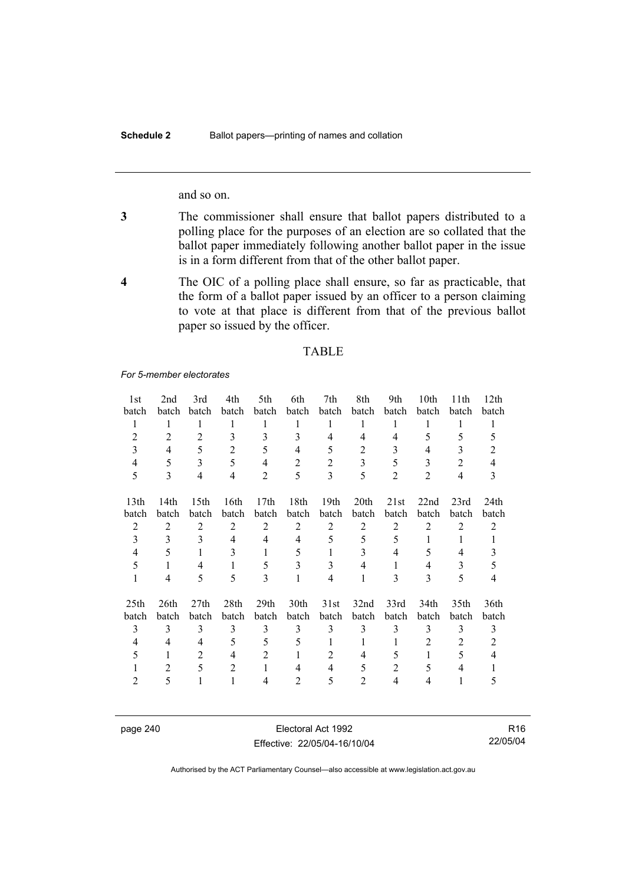and so on.

- **3** The commissioner shall ensure that ballot papers distributed to a polling place for the purposes of an election are so collated that the ballot paper immediately following another ballot paper in the issue is in a form different from that of the other ballot paper.
- **4** The OIC of a polling place shall ensure, so far as practicable, that the form of a ballot paper issued by an officer to a person claiming to vote at that place is different from that of the previous ballot paper so issued by the officer.

#### TABLE

*For 5-member electorates*

| 1st              | 2nd            | 3rd              | 4th            | 5th            | 6th            | 7th              | 8th            | 9th            | 10th           | 11 <sup>th</sup> | 12 <sup>th</sup> |
|------------------|----------------|------------------|----------------|----------------|----------------|------------------|----------------|----------------|----------------|------------------|------------------|
| batch            | batch          | batch            | batch          | batch          | batch          | batch            | batch          | batch          | batch          | batch            | batch            |
| 1                | 1              | 1                | 1              | 1              | 1              | 1                | 1              | 1              | 1              | 1                | 1                |
| $\overline{2}$   | $\overline{2}$ | $\overline{2}$   | 3              | 3              | 3              | 4                | $\overline{4}$ | $\overline{4}$ | 5              | 5                | 5                |
| 3                | $\overline{4}$ | 5                | $\overline{2}$ | 5              | 4              | 5                | 2              | 3              | 4              | 3                | 2                |
| 4                | 5              | 3                | 5              | 4              | 2              | 2                | 3              | 5              | 3              | $\overline{2}$   | 4                |
| 5                | 3              | $\overline{4}$   | 4              | $\overline{2}$ | 5              | 3                | 5              | $\overline{2}$ | $\overline{2}$ | 4                | 3                |
|                  |                |                  |                |                |                |                  |                |                |                |                  |                  |
| 13th             | 14th           | 15 <sup>th</sup> | 16th           | 17th           | 18th           | 19 <sub>th</sub> | 20th           | 21st           | 22nd           | 23rd             | 24 <sub>th</sub> |
| batch            | batch          | batch            | batch          | batch          | batch          | batch            | batch          | batch          | batch          | batch            | batch            |
| $\overline{2}$   | 2              | 2                | 2              | 2              | 2              | $\overline{2}$   | 2              | 2              | 2              | $\overline{2}$   | 2                |
| 3                | 3              | 3                | $\overline{4}$ | $\overline{4}$ | 4              | 5                | 5              | 5              | 1              | 1                | 1                |
| 4                | 5              | 1                | 3              | 1              | 5              | 1                | 3              | 4              | 5              | 4                | 3                |
| 5                | 1              | 4                | 1              | 5              | 3              | 3                | 4              | 1              | 4              | 3                | 5                |
| 1                | 4              | 5                | 5              | 3              | 1              | $\overline{4}$   | 1              | 3              | 3              | 5                | 4                |
|                  |                |                  |                |                |                |                  |                |                |                |                  |                  |
| 25 <sub>th</sub> | 26th           | 27 <sub>th</sub> | 28th           | 29th           | 30th           | 31st             | 32nd           | 33rd           | 34th           | 35 <sub>th</sub> | 36th             |
| batch            | batch          | batch            | batch          | batch          | batch          | batch            | batch          | batch          | batch          | batch            | batch            |
| 3                | 3              | 3                | 3              | 3              | 3              | 3                | 3              | 3              | 3              | 3                | 3                |
| 4                | 4              | 4                | 5              | 5              | 5              | 1                | 1              | 1              | 2              | 2                | 2                |
| 5                | 1              | 2                | 4              | $\overline{2}$ | 1              | $\overline{2}$   | 4              | 5              | 1              | 5                | 4                |
|                  | $\overline{2}$ | 5                | $\overline{2}$ | 1              | 4              | 4                | 5              | $\overline{2}$ | 5              | 4                |                  |
| $\overline{2}$   | 5              | 1                | 1              | 4              | $\overline{2}$ | 5                | 2              | 4              | 4              | 1                | 5                |
|                  |                |                  |                |                |                |                  |                |                |                |                  |                  |

page 240 Electoral Act 1992 Effective: 22/05/04-16/10/04

R16 22/05/04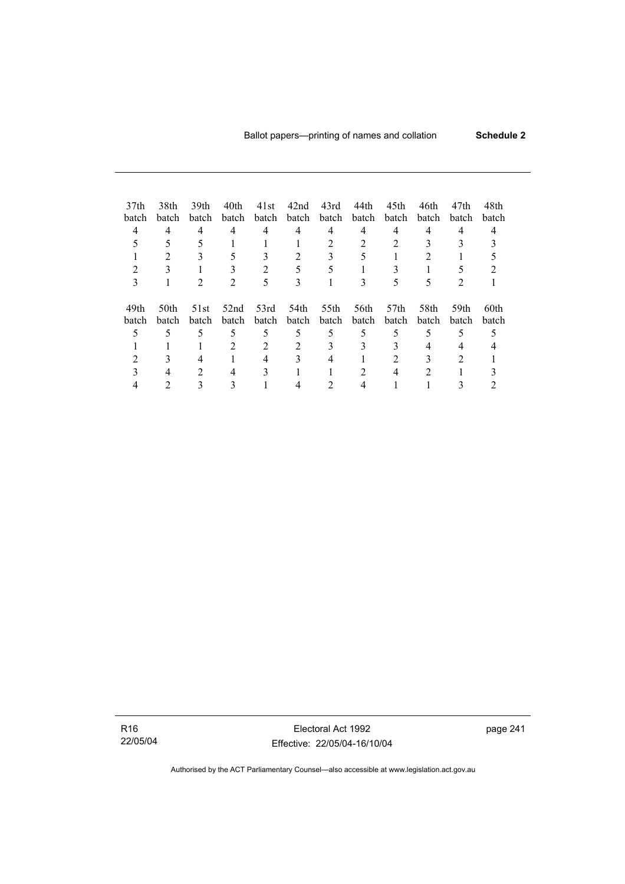| 37 <sub>th</sub> | 38th  | 39th             | 40th  | 41st          | 42nd           | 43rd  | 44th  | 45th             | 46th  | 47th  | 48th  |  |
|------------------|-------|------------------|-------|---------------|----------------|-------|-------|------------------|-------|-------|-------|--|
| batch            | batch | batch            | batch | batch         | batch          | batch | batch | batch            | batch | batch | batch |  |
| 4                | 4     | 4                | 4     | 4             | 4              | 4     | 4     | 4                | 4     | 4     |       |  |
|                  |       |                  |       |               |                | っ     |       |                  |       |       |       |  |
|                  |       |                  |       |               |                |       |       |                  |       |       |       |  |
|                  |       |                  |       | $\mathcal{L}$ | 5              |       |       |                  |       |       |       |  |
|                  |       |                  |       |               | 3              |       |       |                  |       |       |       |  |
| 49th             | 50th  | 51 <sub>st</sub> | 52nd  | 53rd          | 54th           | 55th  | 56th  | 57 <sub>th</sub> | 58th  | 59th  | 60th  |  |
| batch            | batch | batch            | batch | batch         | batch          | batch | batch | batch            | batch | batch | batch |  |
|                  | 5     | 5                | 5     | 5             | 5              | 5     | 5     | 5                | 5     | 5     |       |  |
|                  |       |                  |       | 2             | $\mathfrak{D}$ | 3     | 3     |                  | 4     |       |       |  |
|                  |       |                  |       | 4             |                |       |       |                  |       |       |       |  |
|                  |       | $\mathfrak{D}$   |       |               |                |       |       | 4                | 2     |       |       |  |
|                  |       |                  |       |               |                |       |       |                  |       |       |       |  |

R16 22/05/04

Electoral Act 1992 Effective: 22/05/04-16/10/04 page 241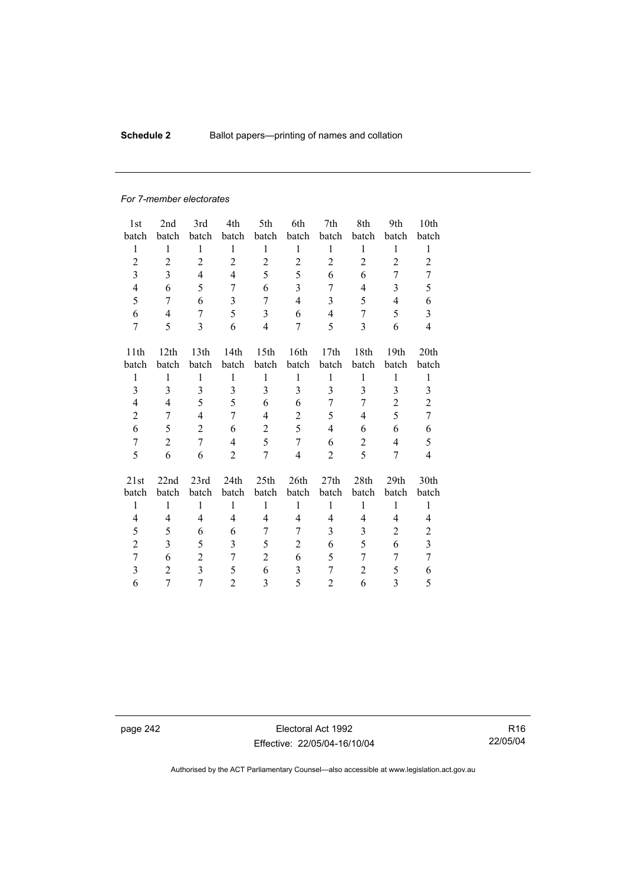# **Schedule 2** Ballot papers—printing of names and collation

#### *For 7-member electorates*

| 1st            | 2nd              | 3rd                     | 4th            | 5th              | 6th                     | 7th            | 8th            | 9th            | 10th                    |
|----------------|------------------|-------------------------|----------------|------------------|-------------------------|----------------|----------------|----------------|-------------------------|
| batch          | batch            | batch                   | batch          | batch            | batch                   | batch          | batch          | batch          | batch                   |
| $\mathbf{1}$   | $\mathbf{1}$     | $\mathbf{1}$            | $\mathbf{1}$   | $\mathbf{1}$     | $\mathbf{1}$            | $\mathbf{1}$   | $\mathbf{1}$   | 1              | 1                       |
| $\overline{c}$ | $\overline{2}$   | $\overline{2}$          | $\overline{2}$ | $\overline{2}$   | $\overline{c}$          | $\overline{2}$ | $\overline{2}$ | $\overline{2}$ | $\overline{2}$          |
| $\overline{3}$ | 3                | $\overline{4}$          | $\overline{4}$ | 5                | 5                       | 6              | 6              | 7              | 7                       |
| $\overline{4}$ | 6                | 5                       | 7              | 6                | $\overline{3}$          | 7              | $\overline{4}$ | 3              | 5                       |
| 5              | 7                | 6                       | 3              | 7                | $\overline{4}$          | 3              | 5              | $\overline{4}$ | 6                       |
| 6              | $\overline{4}$   | 7                       | 5              | 3                | 6                       | $\overline{4}$ | 7              | 5              | $\mathfrak{Z}$          |
| 7              | 5                | 3                       | 6              | $\overline{4}$   | 7                       | 5              | 3              | 6              | $\overline{4}$          |
| 11th           | 12 <sub>th</sub> | 13th                    | 14th           | 15 <sup>th</sup> | 16th                    | 17th           | 18th           | 19th           | 20 <sub>th</sub>        |
| batch          | batch            | batch                   | batch          | batch            | batch                   | batch          | batch          | batch          | batch                   |
| $\mathbf{1}$   | $\mathbf{1}$     | $\mathbf{1}$            | $\mathbf{1}$   | $\mathbf{1}$     | $\mathbf{1}$            | $\mathbf{1}$   | 1              | $\mathbf{1}$   | 1                       |
| 3              | 3                | $\overline{3}$          | 3              | $\overline{3}$   | $\overline{3}$          | $\overline{3}$ | 3              | 3              | 3                       |
| $\overline{4}$ | 4                | 5                       | 5              | 6                | 6                       | 7              | 7              | $\overline{2}$ | $\overline{2}$          |
| $\overline{c}$ | 7                | $\overline{4}$          | 7              | 4                | $\overline{c}$          | 5              | 4              | 5              | $\overline{7}$          |
| 6              |                  | $\overline{2}$          | 6              |                  | 5                       | $\overline{4}$ | 6              | 6              |                         |
|                | 5                |                         |                | $\overline{2}$   |                         |                |                |                | 6                       |
| $\tau$         | $\overline{2}$   | $\overline{7}$          | $\overline{4}$ | 5                | $\overline{7}$          | 6              | $\overline{2}$ | $\overline{4}$ | 5                       |
| 5              | 6                | 6                       | $\overline{2}$ | 7                | $\overline{\mathbf{4}}$ | $\overline{2}$ | 5              | 7              | $\overline{4}$          |
| 21st           | 22nd             | 23rd                    | 24th           | 25th             | 26th                    | 27th           | 28th           | 29th           | 30th                    |
| batch          | batch            | batch                   | batch          | batch            | batch                   | batch          | batch          | batch          | batch                   |
| $\mathbf{1}$   | $\mathbf{1}$     | $\mathbf{1}$            | $\mathbf{1}$   | $\mathbf{1}$     | $\mathbf{1}$            | $\mathbf{1}$   | $\mathbf{1}$   | $\mathbf{1}$   | $\mathbf{1}$            |
| 4              | $\overline{4}$   | $\overline{4}$          | 4              | $\overline{4}$   | 4                       | $\overline{4}$ | 4              | $\overline{4}$ | 4                       |
| 5              | 5                | 6                       | 6              | 7                | 7                       | 3              | 3              | $\overline{2}$ | $\mathbf{2}$            |
| $\overline{2}$ | 3                | 5                       | 3              | 5                | $\overline{2}$          | 6              | 5              | 6              | $\overline{\mathbf{3}}$ |
| 7              | 6                | $\overline{2}$          | 7              | $\overline{2}$   | 6                       | 5              | 7              | 7              | 7                       |
| 3              | $\overline{2}$   | $\overline{\mathbf{3}}$ | 5              | 6                | 3                       | 7              | $\overline{2}$ | 5              | 6                       |
| 6              | 7                | $\overline{7}$          | $\overline{2}$ | 3                | 5                       | 2              | 6              | 3              | 5                       |

page 242 Electoral Act 1992 Effective: 22/05/04-16/10/04

R16 22/05/04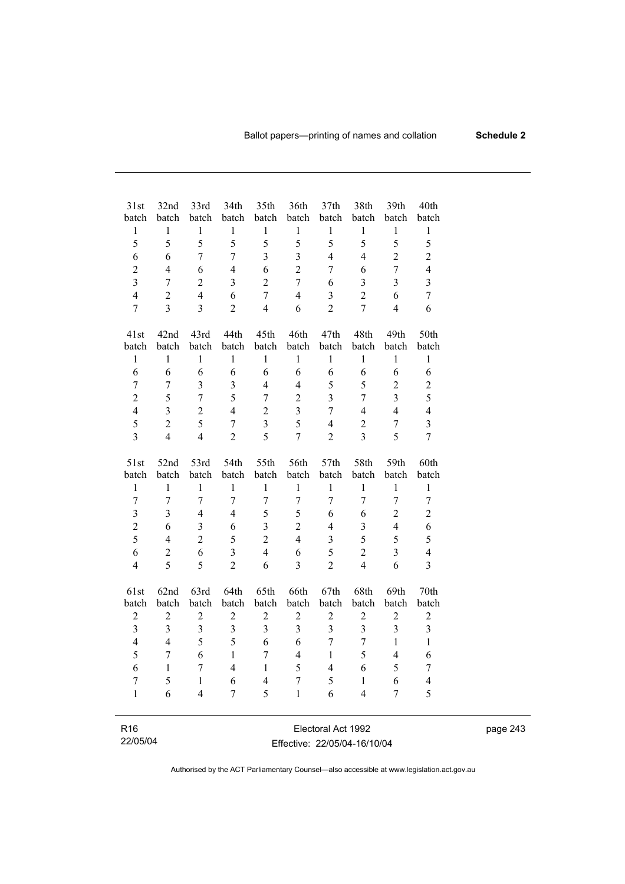| 31st                    | 32nd             | 33rd           | 34th                    | 35th                    | 36th                    | 37th                    | 38th                     | 39th           | 40th                    |
|-------------------------|------------------|----------------|-------------------------|-------------------------|-------------------------|-------------------------|--------------------------|----------------|-------------------------|
| batch                   | batch            | batch          | batch                   | batch                   | batch                   | batch                   | batch                    | batch          | batch                   |
| $\,1$                   | $\mathbf{1}$     | $\,1$          | $\mathbf{1}$            | $\mathbf{1}$            | $\mathbf{1}$            | $\mathbf{1}$            | $\,1$                    | $\mathbf{1}$   | $\,1$                   |
| 5                       | 5                | 5              | 5                       | 5                       | 5                       | 5                       | 5                        | 5              | 5                       |
| 6                       | 6                | $\overline{7}$ | $\overline{7}$          | $\overline{\mathbf{3}}$ | $\overline{3}$          | $\overline{4}$          | $\overline{4}$           | $\overline{2}$ | $\overline{2}$          |
| $\overline{c}$          | $\overline{4}$   | 6              | $\overline{4}$          | 6                       | $\overline{2}$          | $\tau$                  | 6                        | $\overline{7}$ | $\overline{4}$          |
| $\overline{\mathbf{3}}$ | $\overline{7}$   | $\overline{2}$ | $\overline{3}$          | $\overline{2}$          | $\overline{7}$          | 6                       | $\overline{3}$           | $\overline{3}$ | $\overline{\mathbf{3}}$ |
| $\overline{4}$          | $\overline{c}$   | $\overline{4}$ | 6                       | $\overline{7}$          | $\overline{4}$          | $\overline{\mathbf{3}}$ | $\overline{c}$           | 6              | $\overline{7}$          |
| $\overline{7}$          | $\overline{3}$   | $\overline{3}$ | $\overline{2}$          | $\overline{4}$          | 6                       | $\overline{2}$          | $\overline{7}$           | $\overline{4}$ | 6                       |
|                         |                  |                |                         |                         |                         |                         |                          |                |                         |
| 41st                    | 42nd             | 43rd           | 44th                    | 45th                    | 46th                    | 47th                    | 48th                     | 49th           | 50th                    |
| batch                   | batch            | batch          | batch                   | batch                   | batch                   | batch                   | batch                    | batch          | batch                   |
| $\mathbf{1}$            | $\mathbf{1}$     | $\mathbf{1}$   | $\mathbf{1}$            | $\,1$                   | $\mathbf{1}$            | $\mathbf{1}$            | $\,1$                    | $\mathbf{1}$   | $\mathbf{1}$            |
| 6                       | 6                | 6              | 6                       | 6                       | 6                       | 6                       | 6                        | 6              | 6                       |
| $\overline{7}$          | $\overline{7}$   | $\overline{3}$ | $\overline{\mathbf{3}}$ | $\overline{4}$          | $\overline{4}$          | 5                       | 5                        | $\overline{2}$ | $\overline{c}$          |
| $\overline{c}$          | 5                | $\overline{7}$ | 5                       | $\overline{7}$          | $\overline{2}$          | 3                       | $\overline{7}$           | $\overline{3}$ | 5                       |
| $\overline{\mathbf{4}}$ | $\overline{3}$   | $\overline{c}$ | $\overline{4}$          | $\overline{2}$          | $\overline{\mathbf{3}}$ | $\overline{7}$          | $\overline{4}$           | $\overline{4}$ | $\overline{4}$          |
| 5                       | $\overline{2}$   | 5              | $\boldsymbol{7}$        | $\overline{3}$          | 5                       | $\overline{4}$          | $\mathbf{2}$             | $\tau$         | $\overline{\mathbf{3}}$ |
| $\overline{3}$          | $\overline{4}$   | $\overline{4}$ | $\overline{2}$          | 5                       | $\overline{7}$          | $\overline{2}$          | $\overline{3}$           | 5              | $\overline{7}$          |
|                         |                  |                |                         |                         |                         |                         |                          |                |                         |
| 51st                    | 52nd             | 53rd           | 54th                    | 55th                    | 56th                    | 57th                    | 58th                     | 59th           | 60th                    |
| batch                   | batch            | batch          | batch                   | batch                   | batch                   | batch                   | batch                    | batch          | batch                   |
| $\mathbf{1}$            | $\mathbf{1}$     | 1              | 1                       | $\mathbf{1}$            | $\mathbf{1}$            | 1                       | $\mathbf{1}$             | 1              | $\mathbf{1}$            |
| $\overline{7}$          | $\overline{7}$   | $\overline{7}$ | $\overline{7}$          | $\overline{7}$          | $\overline{7}$          | $\overline{7}$          | $\overline{7}$           | $\overline{7}$ | $\boldsymbol{7}$        |
| $\overline{\mathbf{3}}$ | $\overline{3}$   | $\overline{4}$ | $\overline{4}$          | 5                       | 5                       | 6                       | 6                        | $\overline{2}$ | $\overline{2}$          |
| $\overline{c}$          | 6                | 3              | 6                       | $\overline{\mathbf{3}}$ | $\overline{2}$          | $\overline{4}$          | $\overline{\mathbf{3}}$  | $\overline{4}$ | 6                       |
| 5                       | $\overline{4}$   | $\overline{c}$ | 5                       | $\overline{2}$          | $\overline{4}$          | $\overline{3}$          | 5                        | 5              | 5                       |
| 6                       | $\overline{c}$   | 6              | $\overline{\mathbf{3}}$ | $\overline{4}$          | 6                       | 5                       | $\overline{c}$           | $\overline{3}$ | $\overline{4}$          |
| $\overline{4}$          | 5                | 5              | $\overline{2}$          | 6                       | $\overline{3}$          | $\overline{2}$          | $\overline{4}$           | 6              | $\overline{3}$          |
|                         |                  |                |                         |                         |                         |                         |                          |                |                         |
| 61st                    | 62nd             | 63rd           | 64th                    | 65th                    | 66th                    | 67th                    | 68th                     | 69th           | 70th                    |
| batch                   | batch            | batch          | batch                   | batch                   | batch                   | batch                   | batch                    | batch          | batch                   |
| $\sqrt{2}$              | $\mathbf{2}$     | $\sqrt{2}$     | $\sqrt{2}$              | $\sqrt{2}$              | $\boldsymbol{2}$        | $\sqrt{2}$              | $\sqrt{2}$               | $\sqrt{2}$     | $\overline{c}$          |
| $\overline{3}$          | 3                | $\overline{3}$ | $\overline{\mathbf{3}}$ | $\overline{3}$          | $\overline{3}$          | $\overline{\mathbf{3}}$ | 3                        | 3              | $\overline{\mathbf{3}}$ |
| $\overline{\mathbf{4}}$ | $\overline{4}$   | 5              | 5                       | 6                       | 6                       | $\overline{7}$          | $\overline{7}$           | $\mathbf{1}$   | $\mathbf{1}$            |
| 5                       | $\boldsymbol{7}$ | 6              | $\mathbf{1}$            | $\overline{7}$          | $\overline{4}$          | $\mathbf{1}$            | 5                        | $\overline{4}$ | 6                       |
| 6                       | $\mathbf{1}$     | $\overline{7}$ | $\overline{4}$          | $\mathbf{1}$            | 5                       | $\overline{4}$          | 6                        | 5              | $\tau$                  |
| $\overline{7}$          | 5                | $\mathbf{1}$   | 6                       | $\overline{4}$          | $\boldsymbol{7}$        | 5                       | $\mathbf{1}$             | 6              | $\overline{4}$          |
| $\mathbf{1}$            | 6                | $\overline{4}$ | $\overline{7}$          | 5                       | $\mathbf{1}$            | 6                       | $\overline{\mathcal{L}}$ | $\overline{7}$ | 5                       |
|                         |                  |                |                         |                         |                         |                         |                          |                |                         |

R16 22/05/04

Electoral Act 1992 Effective: 22/05/04-16/10/04 page 243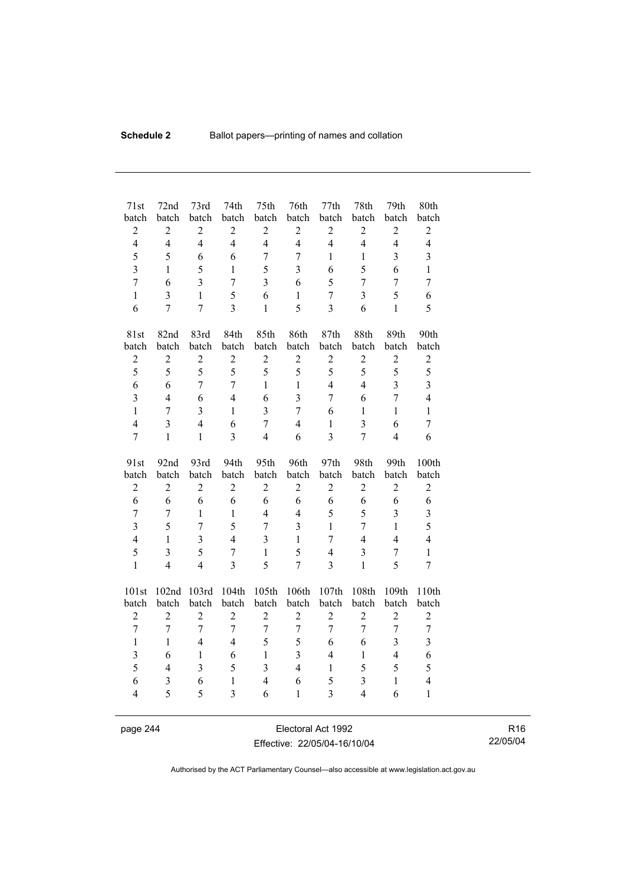| 71st                    | 72nd           | 73rd                    | 74th             | 75th           | 76th           | 77th           | 78th           | 79th                    | 80th                    |
|-------------------------|----------------|-------------------------|------------------|----------------|----------------|----------------|----------------|-------------------------|-------------------------|
| batch                   | batch          | batch                   | batch            | batch          | batch          | batch          | batch          | batch                   | batch                   |
| $\overline{c}$          | $\overline{2}$ | $\overline{c}$          | $\sqrt{2}$       | $\overline{c}$ | $\mathfrak{2}$ | $\overline{c}$ | $\sqrt{2}$     | $\sqrt{2}$              | $\mathbf{2}$            |
| $\overline{4}$          | $\overline{4}$ | $\overline{4}$          | $\overline{4}$   | $\overline{4}$ | $\overline{4}$ | $\overline{4}$ | $\overline{4}$ | $\overline{4}$          | $\overline{4}$          |
| 5                       | 5              | 6                       | 6                | $\overline{7}$ | $\overline{7}$ | $\mathbf{1}$   | $\mathbf{1}$   | $\overline{\mathbf{3}}$ | $\overline{\mathbf{3}}$ |
| $\overline{3}$          | 1              | 5                       | $\mathbf{1}$     | 5              | $\overline{3}$ | 6              | 5              | 6                       | $\mathbf{1}$            |
| $\overline{7}$          | 6              | $\overline{3}$          | $\overline{7}$   | $\overline{3}$ | 6              | 5              | $\overline{7}$ | $\overline{7}$          | $\overline{7}$          |
| $\mathbf{1}$            | $\overline{3}$ | $\mathbf{1}$            | 5                | 6              | $\mathbf{1}$   | $\overline{7}$ | $\overline{3}$ | 5                       | 6                       |
| 6                       | $\overline{7}$ | $\overline{7}$          | $\overline{3}$   | $\mathbf{1}$   | 5              | $\overline{3}$ | 6              | $\mathbf{1}$            | 5                       |
| 81st                    | 82nd           | 83rd                    | 84th             | 85th           | 86th           | 87th           | 88th           | 89th                    | 90th                    |
| batch                   | batch          | batch                   | batch            | batch          | batch          | batch          | batch          | batch                   | batch                   |
| $\overline{c}$          | $\overline{c}$ | $\overline{c}$          | $\boldsymbol{2}$ | $\overline{c}$ | $\overline{2}$ | $\overline{c}$ | $\overline{c}$ | $\overline{c}$          | $\mathbf{2}$            |
| 5                       | 5              | 5                       | 5                | 5              | 5              | 5              | 5              | 5                       | 5                       |
| 6                       | 6              | $\overline{7}$          | $\overline{7}$   | $\mathbf{1}$   | $\mathbf{1}$   | $\overline{4}$ | $\overline{4}$ | $\overline{3}$          | $\overline{3}$          |
| $\overline{\mathbf{3}}$ | $\overline{4}$ | 6                       | $\overline{4}$   | 6              | $\overline{3}$ | $\overline{7}$ | 6              | $\overline{7}$          | $\overline{4}$          |
| $\mathbf{1}$            | $\overline{7}$ | $\overline{\mathbf{3}}$ | $\mathbf{1}$     | $\overline{3}$ | $\overline{7}$ | 6              | $\mathbf{1}$   | $\mathbf{1}$            | $\mathbf{1}$            |
| $\overline{4}$          | 3              | $\overline{4}$          | 6                | $\overline{7}$ | $\overline{4}$ | $\,1$          | $\overline{3}$ | 6                       | 7                       |
| $\overline{7}$          | $\mathbf{1}$   | $\mathbf{1}$            | $\overline{3}$   | $\overline{4}$ | 6              | $\overline{3}$ | $\overline{7}$ | $\overline{4}$          | 6                       |
| 91st                    | 92nd           | 93rd                    | 94th             | 95th           | 96th           | 97th           | 98th           | 99th                    | 100th                   |
| batch                   | batch          | batch                   | batch            | batch          | batch          | batch          | batch          | batch                   | batch                   |
| $\overline{c}$          | $\overline{2}$ | $\overline{2}$          | $\overline{2}$   | $\overline{2}$ | $\overline{2}$ | $\overline{2}$ | $\overline{2}$ | $\overline{2}$          | $\overline{c}$          |
| 6                       | 6              | 6                       | 6                | 6              | 6              | 6              | 6              | 6                       | 6                       |
| $\overline{7}$          | 7              | $\mathbf{1}$            | $\mathbf{1}$     | $\overline{4}$ | $\overline{4}$ | 5              | 5              | $\overline{\mathbf{3}}$ | 3                       |
| $\overline{\mathbf{3}}$ | 5              | $\overline{7}$          | 5                | $\overline{7}$ | 3              | $\mathbf{1}$   | $\overline{7}$ | $\mathbf{1}$            | 5                       |
| $\overline{4}$          | $\mathbf{1}$   | $\overline{3}$          | $\overline{4}$   | $\overline{3}$ | $\mathbf{1}$   | $\tau$         | $\overline{4}$ | $\overline{4}$          | $\overline{4}$          |
| 5                       | $\overline{3}$ | 5                       | $\overline{7}$   | $\mathbf{1}$   | 5              | $\overline{4}$ | $\overline{3}$ | $\overline{7}$          | $\mathbf{1}$            |
| $\mathbf{1}$            | $\overline{4}$ | $\overline{4}$          | $\overline{3}$   | 5              | $\overline{7}$ | $\overline{3}$ | $\mathbf{1}$   | 5                       | $\overline{7}$          |
| 101st                   | 102nd          | 103rd                   | 104th            | 105th          | 106th          | 107th          | 108th          | 109th                   | 110th                   |
| batch                   | batch          | batch                   | batch            | batch          | batch          | batch          | batch          | batch                   | batch                   |
| $\overline{c}$          | $\overline{2}$ | $\overline{c}$          | $\overline{c}$   | $\overline{c}$ | $\overline{2}$ | $\overline{c}$ | $\overline{c}$ | $\overline{c}$          | $\overline{c}$          |
| $\overline{7}$          | $\overline{7}$ | $\overline{7}$          | $\overline{7}$   | $\overline{7}$ | $\overline{7}$ | $\overline{7}$ | $\overline{7}$ | $\overline{7}$          | $\boldsymbol{7}$        |
| $\mathbf{1}$            | $\mathbf{1}$   | $\overline{4}$          | $\overline{4}$   | 5              | 5              | 6              | 6              | $\overline{\mathbf{3}}$ | $\overline{\mathbf{3}}$ |
| $\overline{\mathbf{3}}$ | 6              | $\mathbf{1}$            | 6                | $\mathbf{1}$   | $\overline{3}$ | $\overline{4}$ | $\mathbf{1}$   | $\overline{4}$          | 6                       |
| 5                       | $\overline{4}$ | $\overline{3}$          | 5                | $\overline{3}$ | $\overline{4}$ | $\mathbf{1}$   | 5              | 5                       | 5                       |
| 6                       | 3              | 6                       | $\mathbf{1}$     | $\overline{4}$ | 6              | 5              | 3              | $\mathbf{1}$            | $\overline{\mathbf{4}}$ |
| $\overline{4}$          | 5              | 5                       | $\overline{3}$   | 6              | $\mathbf{1}$   | 3              | $\overline{4}$ | 6                       | $\mathbf{1}$            |

page 244 Electoral Act 1992 Effective: 22/05/04-16/10/04

R16 22/05/04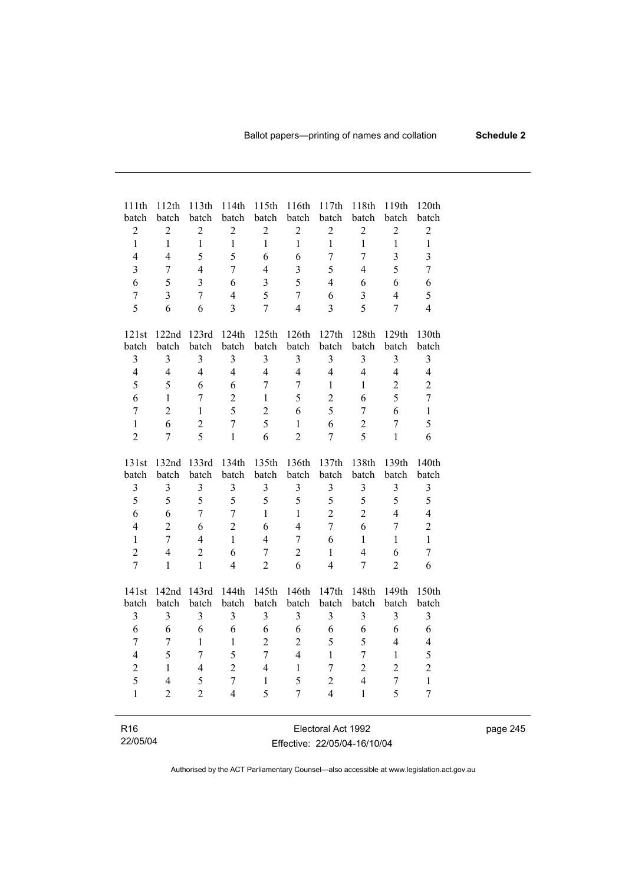| 111th<br>batch          | 112th<br>batch          | 113th<br>batch          | 114th<br>batch | 115th<br>batch          | 116th<br>batch | 117th<br>batch          | 118th<br>batch   | 119th<br>batch   | 120th<br>batch          |
|-------------------------|-------------------------|-------------------------|----------------|-------------------------|----------------|-------------------------|------------------|------------------|-------------------------|
| $\overline{2}$          | $\overline{2}$          | $\overline{2}$          | $\overline{2}$ | $\overline{2}$          | $\overline{2}$ | $\overline{c}$          | $\overline{2}$   | $\overline{2}$   | $\overline{c}$          |
| $\mathbf{1}$            | $\mathbf{1}$            | $\mathbf{1}$            | $\mathbf{1}$   | $\mathbf{1}$            | $\mathbf{1}$   | $\mathbf{1}$            | $\mathbf{1}$     | $\mathbf{1}$     | $\mathbf{1}$            |
| $\overline{4}$          | $\overline{4}$          | 5                       | 5              | 6                       | 6              | $\overline{7}$          | $\overline{7}$   | 3                | $\overline{\mathbf{3}}$ |
| $\overline{3}$          | $\overline{7}$          | $\overline{4}$          | 7              | $\overline{4}$          | 3              | 5                       | 4                | 5                | $\overline{7}$          |
| 6                       | 5                       | $\overline{\mathbf{3}}$ | 6              | $\overline{\mathbf{3}}$ | 5              | $\overline{4}$          | 6                | 6                | 6                       |
| $\overline{7}$          | $\overline{\mathbf{3}}$ | $\overline{7}$          | $\overline{4}$ | 5                       | $\overline{7}$ | 6                       | 3                | $\overline{4}$   | 5                       |
| 5                       | 6                       | 6                       | $\overline{3}$ | $\overline{7}$          | $\overline{4}$ | $\overline{\mathbf{3}}$ | 5                | $\overline{7}$   | $\overline{4}$          |
| 121st                   | 122nd                   | 123rd                   | 124th          | 125th                   | 126th          | 127th                   | 128th            | 129th            | 130th                   |
| batch                   | batch                   | batch                   | batch          | batch                   | batch          | batch                   | batch            | batch            | batch                   |
| $\overline{\mathbf{3}}$ | 3                       | 3                       | 3              | $\overline{3}$          | $\mathfrak{Z}$ | $\mathfrak{Z}$          | 3                | $\mathfrak{Z}$   | $\overline{3}$          |
| $\overline{4}$          | $\overline{4}$          | $\overline{4}$          | $\overline{4}$ | $\overline{4}$          | $\overline{4}$ | $\overline{4}$          | $\overline{4}$   | $\overline{4}$   | $\overline{4}$          |
| 5                       | 5                       | 6                       | 6              | $\overline{7}$          | $\overline{7}$ | 1                       | 1                | $\overline{2}$   | $\overline{c}$          |
| 6                       | $\mathbf{1}$            | $\overline{7}$          | $\overline{2}$ | $\mathbf{1}$            | 5              | $\overline{2}$          | 6                | 5                | $\overline{7}$          |
| $\overline{7}$          | $\overline{2}$          | $\mathbf{1}$            | 5              | $\overline{2}$          | 6              | 5                       | $\overline{7}$   | 6                | $\mathbf{1}$            |
| $\mathbf{1}$            | 6                       | $\overline{c}$          | $\overline{7}$ | 5                       | $\mathbf{1}$   | 6                       | $\boldsymbol{2}$ | $\overline{7}$   | 5                       |
| $\overline{2}$          | 7                       | 5                       | $\mathbf{1}$   | 6                       | $\overline{2}$ | 7                       | 5                | $\mathbf{1}$     | 6                       |
|                         |                         |                         |                |                         |                |                         |                  |                  |                         |
| 131st                   | 132nd<br>batch          | 133rd<br>batch          | 134th<br>batch | 135th<br>batch          | 136th<br>batch | 137th<br>batch          | 138th<br>batch   | 139th<br>batch   | 140th<br>batch          |
| batch                   | 3                       | 3                       | 3              | $\mathfrak{Z}$          | $\mathfrak{Z}$ |                         | $\mathfrak{Z}$   | $\mathfrak{Z}$   | $\mathfrak{Z}$          |
| $\mathfrak{Z}$          |                         |                         |                |                         |                | $\mathfrak{Z}$          |                  |                  |                         |
| 5                       | 5                       | 5                       | 5              | 5                       | 5              | 5                       | 5                | 5                | 5                       |
| 6                       | 6                       | $\overline{7}$          | $\overline{7}$ | $\mathbf{1}$            | $\mathbf{1}$   | $\overline{2}$          | $\overline{2}$   | $\overline{4}$   | $\overline{\mathbf{4}}$ |
| $\overline{4}$          | $\overline{2}$          | 6                       | $\overline{2}$ | 6                       | $\overline{4}$ | $\overline{7}$          | 6                | $\overline{7}$   | $\overline{2}$          |
| $\mathbf{1}$            | $\overline{7}$          | $\overline{4}$          | $\mathbf{1}$   | $\overline{4}$          | $\overline{7}$ | 6                       | $\mathbf{1}$     | $\mathbf{1}$     | $\mathbf{1}$            |
| $\overline{2}$          | $\overline{4}$          | $\overline{2}$          | 6              | $\overline{7}$          | $\overline{2}$ | $\mathbf{1}$            | $\overline{4}$   | 6                | $\overline{7}$          |
| $\overline{7}$          | $\mathbf{1}$            | $\mathbf{1}$            | 4              | $\overline{2}$          | 6              | $\overline{4}$          | $\overline{7}$   | $\overline{2}$   | 6                       |
| 141st                   | 142nd                   | 143rd                   | 144th          | 145th                   | 146th          | 147th                   | 148th            | 149th            | 150th                   |
| batch                   | batch                   | batch                   | batch          | batch                   | batch          | batch                   | batch            | batch            | batch                   |
| 3                       | 3                       | 3                       | 3              | 3                       | 3              | 3                       | 3                | 3                | 3                       |
| 6                       | 6                       | 6                       | 6              | 6                       | 6              | 6                       | 6                | 6                | 6                       |
| $\overline{7}$          | $\overline{7}$          | $\mathbf{1}$            | $\mathbf{1}$   | $\overline{2}$          | $\overline{c}$ | 5                       | 5                | $\overline{4}$   | $\overline{\mathbf{4}}$ |
| $\overline{4}$          | 5                       | $\overline{7}$          | 5              | $\overline{7}$          | $\overline{4}$ | $\mathbf{1}$            | $\overline{7}$   | $\mathbf{1}$     | 5                       |
| $\overline{c}$          | $\mathbf{1}$            | $\overline{4}$          | $\overline{2}$ | $\overline{4}$          | $\mathbf{1}$   | 7                       | $\overline{2}$   | $\overline{2}$   | $\overline{c}$          |
| 5                       | $\overline{4}$          | 5                       | $\overline{7}$ | $\mathbf{1}$            | 5              | $\overline{2}$          | $\overline{4}$   | $\boldsymbol{7}$ | $\,1$                   |
| $\mathbf{1}$            | $\overline{2}$          | $\overline{2}$          | 4              | 5                       | 7              | $\overline{4}$          | 1                | 5                | $\boldsymbol{7}$        |
|                         |                         |                         |                |                         |                |                         |                  |                  |                         |
| R <sub>16</sub>         |                         |                         |                |                         |                | Electoral Act 1992      |                  |                  |                         |

| R <sub>16</sub> | Electoral Act 1992           |
|-----------------|------------------------------|
| 22/05/04        | Effective: 22/05/04-16/10/04 |

page 245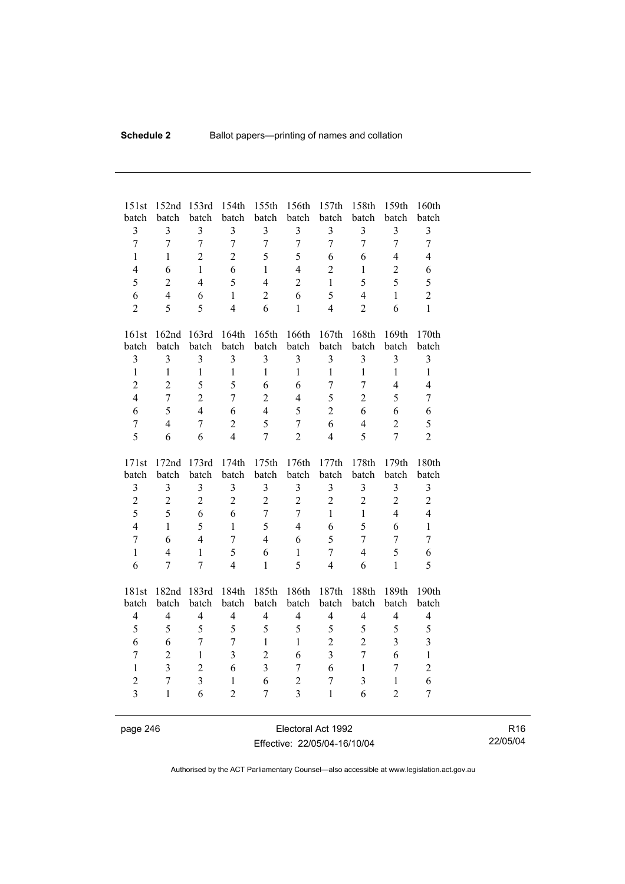| 151st<br>batch | 152nd<br>batch | 153rd<br>batch          | 154th<br>batch   | 155th<br>batch   | 156th<br>batch          | 157th<br>batch | 158th<br>batch          | 159th<br>batch          | 160th<br>batch |
|----------------|----------------|-------------------------|------------------|------------------|-------------------------|----------------|-------------------------|-------------------------|----------------|
| $\overline{3}$ | $\overline{3}$ | $\overline{3}$          | 3                | $\overline{3}$   | $\overline{\mathbf{3}}$ | $\overline{3}$ | $\overline{\mathbf{3}}$ | 3                       | $\mathfrak{Z}$ |
| $\overline{7}$ | $\overline{7}$ | $\overline{7}$          | $\overline{7}$   | $\overline{7}$   | $\overline{7}$          | $\overline{7}$ | $\overline{7}$          | $\overline{7}$          | $\overline{7}$ |
| $\mathbf{1}$   | $\mathbf{1}$   | $\overline{2}$          | $\overline{2}$   | 5                | 5                       | 6              | 6                       | $\overline{4}$          | $\overline{4}$ |
| $\overline{4}$ | 6              | $\mathbf{1}$            | 6                | $\mathbf{1}$     | $\overline{4}$          | $\overline{2}$ | $\mathbf{1}$            | $\overline{2}$          | 6              |
| 5              | $\overline{2}$ | $\overline{4}$          | 5                | $\overline{4}$   | $\overline{2}$          | $\mathbf{1}$   | 5                       | 5                       | 5              |
| 6              | $\overline{4}$ | 6                       | $\mathbf{1}$     | $\overline{2}$   | 6                       | 5              | $\overline{4}$          | $\mathbf{1}$            | $\overline{2}$ |
| $\overline{2}$ | 5              | 5                       | $\overline{4}$   | 6                | $\mathbf{1}$            | $\overline{4}$ | $\overline{2}$          | 6                       | $\mathbf{1}$   |
| 161st          | 162nd          | 163rd                   | 164th            | 165th            | 166th                   | 167th          | 168th                   | 169th                   | 170th          |
| batch          | batch          | batch                   | batch            | batch            | batch                   | batch          | batch                   | batch                   | batch          |
| $\overline{3}$ | 3              | $\overline{3}$          | $\overline{3}$   | $\overline{3}$   | $\overline{\mathbf{3}}$ | $\overline{3}$ | 3                       | 3                       | $\overline{3}$ |
| $\mathbf{1}$   | $\mathbf{1}$   | $\mathbf{1}$            | $\mathbf{1}$     | $\mathbf{1}$     | $\mathbf{1}$            | $\mathbf{1}$   | $\mathbf{1}$            | $\mathbf{1}$            | $\mathbf{1}$   |
| $\overline{2}$ | $\overline{2}$ | 5                       | 5                | 6                | 6                       | $\overline{7}$ | $\overline{7}$          | $\overline{4}$          | $\overline{4}$ |
| $\overline{4}$ | $\overline{7}$ | $\overline{2}$          | $\overline{7}$   | $\overline{2}$   | $\overline{4}$          | 5              | $\overline{2}$          | 5                       | $\overline{7}$ |
| 6              | 5              | $\overline{4}$          | 6                | $\overline{4}$   | 5                       | $\overline{2}$ | 6                       | 6                       | 6              |
| $\overline{7}$ | $\overline{4}$ | $\overline{7}$          | $\boldsymbol{2}$ | 5                | $\boldsymbol{7}$        | 6              | $\overline{4}$          | $\overline{2}$          | 5              |
| 5              | 6              | 6                       | $\overline{4}$   | $\overline{7}$   | $\overline{2}$          | $\overline{4}$ | 5                       | $\overline{7}$          | $\overline{2}$ |
|                |                |                         |                  |                  |                         |                |                         |                         |                |
| 171st          | 172nd          | 173rd                   | 174th            | 175th            | 176th                   | 177th          | 178th                   | 179th                   | 180th          |
| batch          | batch          | batch                   | batch            | batch            | batch                   | batch          | batch                   | batch                   | batch          |
| $\mathfrak{Z}$ | 3              | 3                       | $\overline{3}$   | $\mathfrak{Z}$   | $\overline{\mathbf{3}}$ | $\overline{3}$ | 3                       | $\overline{\mathbf{3}}$ | $\mathfrak{Z}$ |
| $\overline{2}$ | $\overline{2}$ | $\overline{2}$          | $\overline{2}$   | $\overline{2}$   | $\overline{2}$          | $\overline{2}$ | $\overline{2}$          | $\overline{c}$          | $\overline{2}$ |
| 5              | 5              | 6                       | 6                | $\boldsymbol{7}$ | 7                       | $\mathbf{1}$   | $\mathbf{1}$            | $\overline{4}$          | $\overline{4}$ |
| $\overline{4}$ | $\mathbf{1}$   | 5                       | $\mathbf{1}$     | 5                | $\overline{4}$          | 6              | 5                       | 6                       | $\mathbf{1}$   |
| $\overline{7}$ | 6              | $\overline{4}$          | $\overline{7}$   | $\overline{4}$   | 6                       | 5              | $\overline{7}$          | $\overline{7}$          | $\overline{7}$ |
| $\mathbf{1}$   | $\overline{4}$ | $\mathbf{1}$            | 5                | 6                | $\mathbf{1}$            | $\overline{7}$ | $\overline{4}$          | 5                       | 6              |
| 6              | 7              | $\overline{7}$          | $\overline{4}$   | $\mathbf{1}$     | 5                       | $\overline{4}$ | 6                       | $\mathbf{1}$            | 5              |
| 181st          | 182nd          | 183rd                   | 184th            | 185th            | 186th                   | 187th          | 188th                   | 189th                   | 190th          |
| batch          | batch          | batch                   | batch            | batch            | batch                   | batch          | batch                   | batch                   | batch          |
| $\overline{4}$ | $\overline{4}$ | $\overline{4}$          | $\overline{4}$   | $\overline{4}$   | $\overline{4}$          | $\overline{4}$ | $\overline{4}$          | $\overline{4}$          | $\overline{4}$ |
| 5              | 5              | 5                       | 5                | 5                | 5                       | 5              | 5                       | 5                       | 5              |
| 6              | 6              | $\overline{7}$          | $\overline{7}$   | $\mathbf{1}$     | $\mathbf{1}$            | $\overline{2}$ | $\overline{2}$          | $\overline{3}$          | $\overline{3}$ |
| $\tau$         | $\overline{2}$ | $\mathbf{1}$            | $\overline{3}$   | $\overline{2}$   | 6                       | $\overline{3}$ | $\overline{7}$          | 6                       | $\mathbf{1}$   |
| $\mathbf{1}$   | $\overline{3}$ | $\overline{2}$          | 6                | $\overline{3}$   | 7                       | 6              | $\mathbf{1}$            | $\overline{7}$          | $\overline{c}$ |
| $\overline{2}$ | $\overline{7}$ | $\overline{\mathbf{3}}$ | $\mathbf{1}$     | 6                | $\overline{c}$          | $\overline{7}$ | 3                       | $\mathbf{1}$            | 6              |
| $\overline{3}$ | $\mathbf{1}$   | 6                       | $\overline{2}$   | 7                | $\overline{\mathbf{3}}$ | $\mathbf{1}$   | 6                       | $\overline{2}$          | 7              |

page 246 Electoral Act 1992 Effective: 22/05/04-16/10/04

R16 22/05/04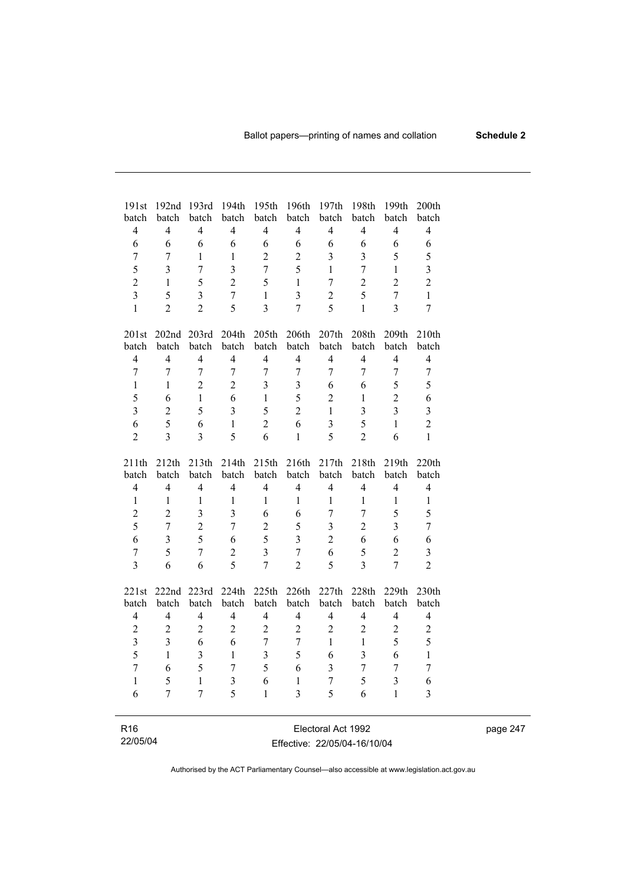| 191st<br>batch          | 192nd<br>batch           | 193rd<br>batch | 194th<br>batch          | 195th<br>batch           | 196th<br>batch | 197th<br>batch          | 198th<br>batch          | 199th<br>batch          | 200th<br>batch          |
|-------------------------|--------------------------|----------------|-------------------------|--------------------------|----------------|-------------------------|-------------------------|-------------------------|-------------------------|
| $\overline{4}$          | $\overline{4}$           | $\overline{4}$ | $\overline{4}$          | $\overline{4}$           | $\overline{4}$ | $\overline{4}$          | $\overline{4}$          | $\overline{4}$          | $\overline{4}$          |
| 6                       | 6                        | 6              | 6                       | 6                        | 6              | 6                       | 6                       | 6                       | 6                       |
| 7                       | 7                        | 1              | $\mathbf{1}$            | $\overline{2}$           |                | 3                       |                         | 5                       |                         |
|                         |                          |                |                         |                          | $\overline{2}$ |                         | $\mathfrak{Z}$          |                         | 5                       |
| 5                       | $\overline{3}$           | $\overline{7}$ | $\overline{\mathbf{3}}$ | $\overline{7}$           | 5              | $\mathbf{1}$            | $\overline{7}$          | $\mathbf{1}$            | $\overline{\mathbf{3}}$ |
| $\overline{2}$          | $\mathbf{1}$             | 5              | $\overline{2}$          | 5                        | $\mathbf{1}$   | $\overline{7}$          | $\overline{2}$          | $\overline{2}$          | $\overline{2}$          |
| $\overline{3}$          | 5                        | $\overline{3}$ | $\overline{7}$          | $\mathbf{1}$             | $\overline{3}$ | $\overline{2}$          | 5                       | $\overline{7}$          | $\mathbf{1}$            |
| $\mathbf{1}$            | $\overline{2}$           | $\overline{2}$ | 5                       | $\overline{3}$           | $\overline{7}$ | 5                       | $\mathbf{1}$            | $\overline{3}$          | $\overline{7}$          |
| 201st                   | 202 <sub>nd</sub>        | 203rd          | 204th                   | 205th                    | 206th          | 207th                   | 208th                   | 209th                   | 210th                   |
| batch                   | batch                    | batch          | batch                   | batch                    | batch          | batch                   | batch                   | batch                   | batch                   |
| $\overline{4}$          | $\overline{4}$           | $\overline{4}$ | $\overline{4}$          | $\overline{4}$           | $\overline{4}$ | $\overline{4}$          | $\overline{4}$          | $\overline{4}$          | $\overline{4}$          |
| $\overline{7}$          | $\overline{7}$           | $\overline{7}$ | $\overline{7}$          | $\overline{7}$           | $\overline{7}$ | $\overline{7}$          | $\overline{7}$          | $\overline{7}$          | $\overline{7}$          |
| $\mathbf{1}$            | $\mathbf{1}$             | $\overline{2}$ | $\overline{2}$          | 3                        | 3              | 6                       | 6                       | 5                       | 5                       |
| 5                       | 6                        | $\mathbf{1}$   | 6                       | $\mathbf{1}$             | 5              | $\overline{2}$          | $\mathbf{1}$            | $\overline{2}$          | 6                       |
| $\overline{\mathbf{3}}$ | $\overline{c}$           | 5              | $\overline{3}$          | 5                        | $\overline{2}$ | $\mathbf{1}$            | $\overline{\mathbf{3}}$ | $\overline{3}$          | $\overline{\mathbf{3}}$ |
| 6                       | 5                        | 6              | $\mathbf{1}$            | $\overline{2}$           | 6              | $\overline{3}$          | 5                       | $\mathbf{1}$            | $\overline{c}$          |
| $\overline{2}$          | $\overline{3}$           | 3              | 5                       | 6                        | $\mathbf{1}$   | 5                       | $\overline{2}$          | 6                       | $\mathbf{1}$            |
| 211th                   | 212th                    | 213th          | 214th                   | 215th                    | 216th          | 217th                   | 218th                   | 219th                   | 220th                   |
| batch                   | batch                    | batch          | batch                   | batch                    | batch          | batch                   | batch                   | batch                   | batch                   |
| $\overline{4}$          | $\overline{4}$           | $\overline{4}$ | $\overline{4}$          | $\overline{4}$           | $\overline{4}$ | $\overline{4}$          | $\overline{4}$          | $\overline{4}$          | $\overline{4}$          |
| $\mathbf{1}$            | $\mathbf{1}$             | $\mathbf{1}$   | $\mathbf{1}$            | 1                        | $\mathbf{1}$   | $\mathbf{1}$            | $\mathbf{1}$            | $\mathbf{1}$            | $\mathbf{1}$            |
| $\overline{2}$          | $\overline{2}$           | $\overline{3}$ | $\overline{3}$          | 6                        | 6              | $\overline{7}$          | $\overline{7}$          | 5                       | 5                       |
| 5                       | $\overline{7}$           | $\overline{2}$ | $\overline{7}$          | $\overline{2}$           | 5              | $\overline{3}$          | $\overline{2}$          | $\overline{3}$          | $\overline{7}$          |
| 6                       | $\overline{\mathbf{3}}$  | 5              | 6                       | 5                        | $\overline{3}$ | $\overline{2}$          | 6                       | 6                       | 6                       |
| $\overline{7}$          | 5                        | $\overline{7}$ | $\overline{2}$          | $\overline{3}$           | $\overline{7}$ | 6                       | 5                       | $\overline{2}$          | $\overline{3}$          |
| $\overline{3}$          | 6                        | 6              | 5                       | $\overline{7}$           | $\overline{2}$ | 5                       | $\overline{3}$          | $\overline{7}$          | $\overline{2}$          |
|                         |                          |                |                         |                          |                |                         |                         |                         |                         |
| 221st                   | 222nd                    | 223rd          | 224th                   | 225th                    | 226th          | 227th                   | 228th                   | 229th                   | 230th                   |
| batch                   | batch                    | batch          | batch                   | batch                    | batch          | batch                   | batch                   | batch                   | batch                   |
| $\overline{4}$          | $\overline{\mathcal{L}}$ | $\overline{4}$ | $\overline{4}$          | $\overline{\mathcal{L}}$ | $\overline{4}$ | $\overline{4}$          | $\overline{4}$          | $\overline{\mathbf{4}}$ | $\overline{4}$          |
| $\overline{2}$          | $\overline{2}$           | $\overline{2}$ | $\overline{2}$          | $\sqrt{2}$               | $\overline{2}$ | $\overline{2}$          | $\overline{2}$          | $\overline{2}$          | $\overline{c}$          |
| $\overline{\mathbf{3}}$ | $\overline{3}$           | 6              | 6                       | $\overline{7}$           | $\overline{7}$ | $\mathbf{1}$            | $\mathbf{1}$            | 5                       | 5                       |
| 5                       | $\mathbf{1}$             | $\overline{3}$ | $\mathbf{1}$            | $\overline{3}$           | 5              | 6                       | $\overline{3}$          | 6                       | $\mathbf{1}$            |
| $\overline{7}$          | 6                        | 5              | $\overline{7}$          | 5                        | 6              | $\overline{\mathbf{3}}$ | $\overline{7}$          | $\overline{7}$          | $\overline{7}$          |
| $\mathbf{1}$            | 5                        | $\mathbf{1}$   | $\overline{\mathbf{3}}$ | 6                        | $\mathbf{1}$   | $\overline{7}$          | 5                       | $\overline{3}$          | 6                       |
| 6                       | $\overline{7}$           | $\overline{7}$ | 5                       | $\mathbf{1}$             | $\overline{3}$ | 5                       | 6                       | $\mathbf{1}$            | $\overline{3}$          |
|                         |                          |                |                         |                          |                |                         |                         |                         |                         |
| R <sub>16</sub>         |                          |                |                         |                          |                | Electoral Act 1992      |                         |                         |                         |

22/05/04

 $\overline{\phantom{0}}$ 

Effective: 22/05/04-16/10/04

page 247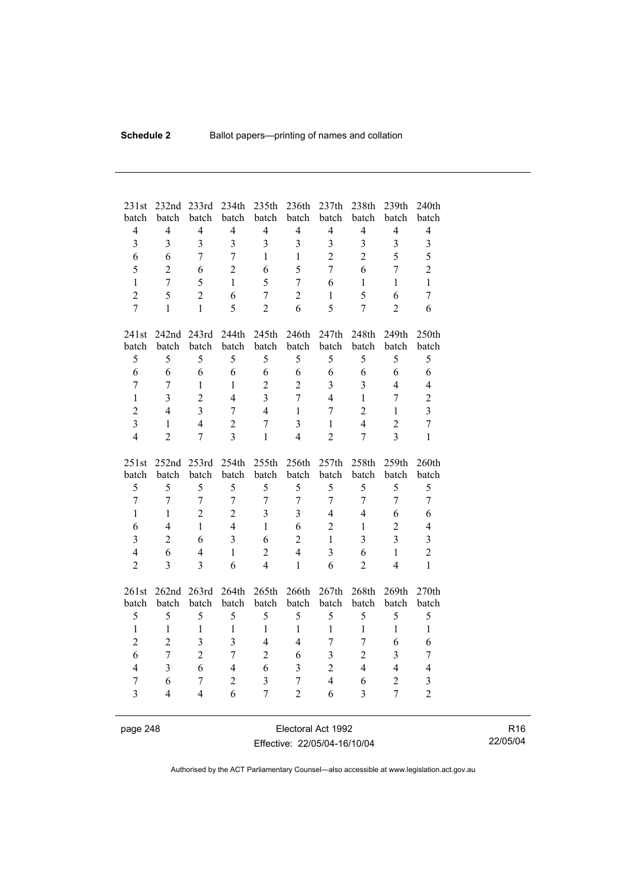| 231st                              | 232nd                            | 233rd                                     | 234 <sub>th</sub>                | 235th                            | 236th                            | 237th                   | 238th                            | 239th                                     | 240th                            |
|------------------------------------|----------------------------------|-------------------------------------------|----------------------------------|----------------------------------|----------------------------------|-------------------------|----------------------------------|-------------------------------------------|----------------------------------|
| batch                              | batch                            | batch                                     | batch                            | batch                            | batch                            | batch                   | batch                            | batch                                     | batch                            |
| $\overline{4}$<br>$\overline{3}$   | $\overline{4}$                   | $\overline{4}$<br>$\overline{3}$          | $\overline{4}$<br>$\overline{3}$ | $\overline{4}$                   | $\overline{4}$<br>$\overline{3}$ | $\overline{4}$          | $\overline{4}$                   | $\overline{4}$                            | $\overline{4}$                   |
|                                    | $\overline{3}$                   | $\overline{7}$                            | $\overline{7}$                   | $\overline{3}$<br>$\mathbf{1}$   | $\mathbf{1}$                     | $\overline{\mathbf{3}}$ | $\overline{3}$<br>$\overline{2}$ | 3<br>5                                    | $\overline{\mathbf{3}}$          |
| 6                                  | 6                                |                                           |                                  |                                  |                                  | $\overline{2}$          |                                  |                                           | 5                                |
| 5                                  | $\overline{2}$                   | 6                                         | $\overline{2}$                   | 6                                | 5                                | $\overline{7}$          | 6                                | $\overline{7}$                            | $\overline{2}$                   |
| $\mathbf{1}$                       | $\overline{7}$                   | 5                                         | $\mathbf{1}$                     | 5                                | 7                                | 6                       | $\mathbf{1}$                     | $\mathbf{1}$                              | $\mathbf{1}$                     |
| $\overline{2}$                     | 5                                | $\overline{2}$                            | 6                                | $\overline{7}$                   | $\overline{2}$                   | $\mathbf{1}$            | 5                                | 6                                         | $\overline{7}$                   |
| $\overline{7}$                     | $\mathbf{1}$                     | $\mathbf{1}$                              | 5                                | $\overline{2}$                   | 6                                | 5                       | $\overline{7}$                   | $\overline{2}$                            | 6                                |
| 241st                              |                                  | 242nd 243rd                               | 244th                            | 245th                            | 246th                            | 247th                   | 248th                            | 249th                                     | 250th                            |
| batch                              | batch                            | batch                                     | batch                            | batch                            | batch                            | batch                   | batch                            | batch                                     | batch                            |
| 5                                  | 5                                | 5                                         | 5                                | 5                                | 5                                | 5                       | 5                                | 5                                         | 5                                |
| 6                                  | 6                                | 6                                         | 6                                | 6                                | 6                                | 6                       | 6                                | 6                                         | 6                                |
| $\overline{7}$                     | $\overline{7}$                   | $\mathbf{1}$                              | $\mathbf{1}$                     | $\overline{2}$                   | $\overline{2}$                   | $\overline{\mathbf{3}}$ | $\overline{3}$                   | $\overline{4}$                            | $\overline{4}$                   |
| $\mathbf{1}$                       | 3                                | $\overline{2}$                            | $\overline{4}$                   | $\overline{3}$                   | $\overline{7}$                   | $\overline{4}$          | $\mathbf{1}$                     | $\overline{7}$                            | $\overline{2}$                   |
| $\overline{2}$                     | $\overline{4}$                   | $\overline{3}$                            | $\overline{7}$                   | $\overline{4}$                   | $\mathbf{1}$                     | $\overline{7}$          | $\overline{2}$                   | $\mathbf{1}$                              | $\overline{3}$                   |
| $\overline{3}$                     | $\mathbf{1}$                     | $\overline{4}$                            | $\overline{2}$                   | $\overline{7}$                   | $\overline{3}$                   | $\mathbf{1}$            | $\overline{4}$                   | $\overline{2}$                            | $\overline{7}$                   |
| $\overline{4}$                     | $\overline{2}$                   | $\overline{7}$                            | 3                                | $\mathbf{1}$                     | $\overline{4}$                   | $\overline{2}$          | $\overline{7}$                   | $\overline{3}$                            | $\mathbf{1}$                     |
|                                    |                                  |                                           |                                  |                                  |                                  |                         |                                  |                                           |                                  |
| 251st                              | 252nd                            | 253rd                                     | 254th                            | 255th                            | 256th                            | 257th                   | 258th                            | 259th                                     | 260th                            |
| batch                              | batch                            | batch                                     | batch                            | batch                            | batch                            | batch                   | batch                            | batch                                     | batch                            |
| 5                                  | 5                                | 5                                         | 5                                | 5                                | 5                                | 5                       | 5                                | 5                                         | 5                                |
| $\overline{7}$                     | $\overline{7}$                   | $\overline{7}$                            | $\overline{7}$                   | $\overline{7}$                   | $\overline{7}$                   | $\overline{7}$          | $\overline{7}$                   | $\overline{7}$                            | $\overline{7}$                   |
| $\mathbf{1}$                       | $\mathbf{1}$                     | $\overline{2}$                            | $\overline{2}$                   | $\overline{3}$                   | $\overline{3}$                   | $\overline{4}$          | $\overline{4}$                   | 6                                         | 6                                |
| 6                                  | $\overline{4}$                   | $\mathbf{1}$                              | $\overline{4}$                   | $\mathbf{1}$                     | 6                                | $\overline{2}$          | $\,1$                            | $\overline{2}$                            | $\overline{4}$                   |
| $\overline{3}$                     | $\overline{2}$                   | 6                                         | $\overline{3}$                   | 6                                | $\overline{2}$                   | $\mathbf{1}$            | $\overline{3}$                   | $\overline{3}$                            | $\overline{\mathbf{3}}$          |
| $\overline{4}$                     | 6                                | $\overline{4}$                            | $\mathbf{1}$                     | $\overline{c}$                   | $\overline{4}$                   | 3                       | 6                                | $\mathbf{1}$                              | $\overline{2}$                   |
| $\overline{2}$                     | $\overline{3}$                   | $\overline{3}$                            | 6                                | $\overline{4}$                   | $\mathbf{1}$                     | 6                       | $\overline{2}$                   | $\overline{4}$                            | $\mathbf{1}$                     |
|                                    |                                  |                                           |                                  |                                  |                                  |                         |                                  |                                           |                                  |
| 261st                              | 262nd<br>batch                   | 263rd                                     | 264th                            | 265th                            | 266th                            | 267th                   | 268th<br>batch                   | 269th                                     | 270th                            |
| batch                              |                                  | batch                                     | batch                            | batch                            | batch                            | batch                   |                                  | batch                                     | batch                            |
| 5                                  | 5<br>$\mathbf{1}$                | 5<br>$\mathbf{1}$                         | 5<br>$\mathbf{1}$                | 5<br>$\mathbf{1}$                | 5<br>$\mathbf{1}$                | 5<br>$\mathbf{1}$       | 5<br>$\mathbf{1}$                | 5<br>$\mathbf{1}$                         | 5                                |
| $\mathbf{1}$                       |                                  |                                           | $\overline{3}$                   | $\overline{4}$                   | $\overline{4}$                   |                         | $\overline{7}$                   |                                           | $\mathbf{1}$                     |
| $\overline{2}$                     | $\overline{2}$<br>$\overline{7}$ | $\overline{\mathbf{3}}$<br>$\overline{2}$ | $\overline{7}$                   |                                  | 6                                | $\overline{7}$          | $\overline{2}$                   | 6                                         | 6                                |
| 6<br>$\overline{4}$                |                                  |                                           | $\overline{4}$                   | $\overline{2}$                   |                                  | $\overline{\mathbf{3}}$ | $\overline{4}$                   | $\overline{\mathbf{3}}$<br>$\overline{4}$ | $\overline{7}$<br>$\overline{4}$ |
|                                    | $\overline{3}$                   | 6<br>$\overline{7}$                       |                                  | 6                                | 3                                | $\overline{2}$          |                                  |                                           |                                  |
| $\boldsymbol{7}$<br>$\overline{3}$ | 6<br>$\overline{4}$              | $\overline{4}$                            | $\overline{2}$<br>6              | $\overline{3}$<br>$\overline{7}$ | $\overline{7}$<br>$\overline{2}$ | $\overline{4}$<br>6     | 6<br>$\overline{3}$              | $\overline{2}$<br>$\overline{7}$          | 3<br>$\overline{2}$              |

page 248 Electoral Act 1992 Effective: 22/05/04-16/10/04

R16 22/05/04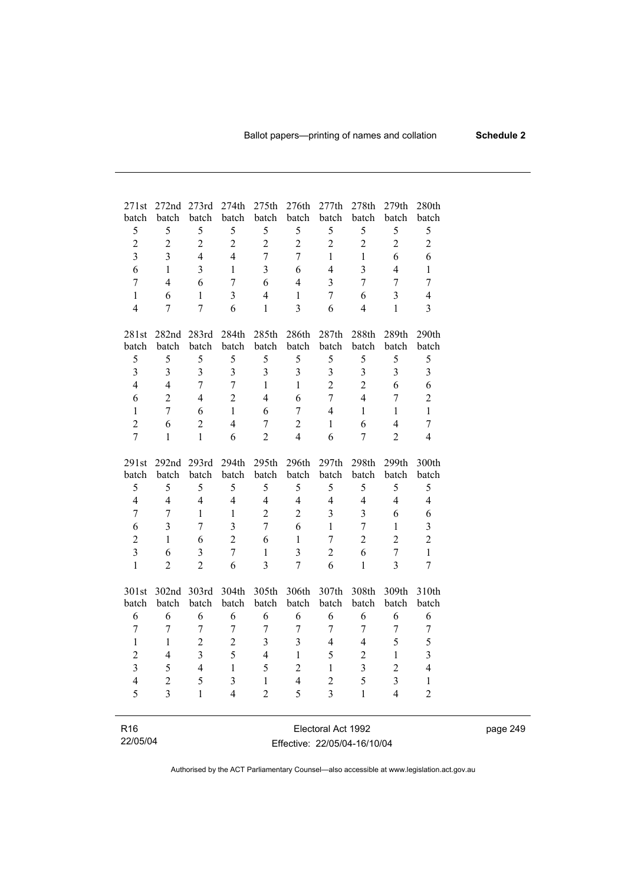| 271st                   | 272nd                   | 273rd                   | 274th                   | 275th          | 276th                   | 277th                   | 278th          | 279th          | 280th          |
|-------------------------|-------------------------|-------------------------|-------------------------|----------------|-------------------------|-------------------------|----------------|----------------|----------------|
| batch                   | batch                   | batch                   | batch                   | batch          | batch                   | batch                   | batch          | batch          | batch          |
| 5                       | 5                       | 5                       | 5                       | 5              | 5                       | 5                       | 5              | 5              | 5              |
| $\overline{2}$          | $\overline{2}$          | $\overline{2}$          | $\overline{2}$          | $\overline{2}$ | $\overline{2}$          | $\overline{2}$          | $\overline{2}$ | $\overline{2}$ | $\sqrt{2}$     |
| $\overline{\mathbf{3}}$ | $\overline{3}$          | $\overline{4}$          | $\overline{4}$          | $\overline{7}$ | $\overline{7}$          | $\mathbf{1}$            | $\,1$          | 6              | 6              |
| 6                       | $\mathbf{1}$            | $\overline{3}$          | $\mathbf{1}$            | $\overline{3}$ | 6                       | $\overline{4}$          | 3              | $\overline{4}$ | $\mathbf{1}$   |
| $\overline{7}$          | $\overline{4}$          | 6                       | $\overline{7}$          | 6              | $\overline{4}$          | 3                       | $\overline{7}$ | $\overline{7}$ | $\tau$         |
| $\mathbf{1}$            | 6                       | $\mathbf{1}$            | $\overline{\mathbf{3}}$ | $\overline{4}$ | $\mathbf{1}$            | $\overline{7}$          | 6              | $\overline{3}$ | $\overline{4}$ |
| $\overline{4}$          | 7                       | $\overline{7}$          | 6                       | $\mathbf{1}$   | $\overline{3}$          | 6                       | $\overline{4}$ | $\mathbf{1}$   | $\overline{3}$ |
|                         |                         |                         |                         |                |                         |                         |                |                |                |
| 281st                   | 282nd 283rd             |                         | 284th                   | 285th          | 286th                   | 287th                   | 288th          | 289th          | 290th          |
| batch                   | batch                   | batch                   | batch                   | batch          | batch                   | batch                   | batch          | batch          | batch          |
| 5                       | 5                       | 5                       | 5                       | 5              | 5                       | 5                       | 5              | 5              | 5              |
| $\overline{\mathbf{3}}$ | $\overline{\mathbf{3}}$ | $\overline{\mathbf{3}}$ | $\overline{3}$          | $\overline{3}$ | $\overline{\mathbf{3}}$ | $\overline{\mathbf{3}}$ | $\overline{3}$ | $\overline{3}$ | $\overline{3}$ |
| $\overline{4}$          | $\overline{4}$          | $\overline{7}$          | $\overline{7}$          | $\mathbf{1}$   | $\mathbf{1}$            | $\overline{2}$          | $\overline{2}$ | 6              | 6              |
| 6                       | $\overline{2}$          | $\overline{4}$          | $\overline{2}$          | $\overline{4}$ | 6                       | $\overline{7}$          | $\overline{4}$ | $\overline{7}$ | $\overline{2}$ |
| $\mathbf{1}$            | $\overline{7}$          | 6                       | $\mathbf{1}$            | 6              | 7                       | $\overline{4}$          | $\mathbf{1}$   | $\mathbf{1}$   | $\mathbf{1}$   |
| $\overline{2}$          | 6                       | $\overline{2}$          | $\overline{4}$          | $\overline{7}$ | $\overline{2}$          | $\mathbf{1}$            | 6              | $\overline{4}$ | 7              |
| $\overline{7}$          | $\mathbf{1}$            | $\mathbf{1}$            | 6                       | $\overline{2}$ | $\overline{4}$          | 6                       | $\overline{7}$ | $\overline{2}$ | $\overline{4}$ |
|                         |                         |                         |                         |                |                         |                         |                |                |                |
| 291st                   |                         | 292nd 293rd             | 294th                   | 295th          | 296th                   | 297th                   | 298th          | 299th          | 300th          |
| batch                   | batch                   | batch                   | batch                   | batch          | batch                   | batch                   | batch          | batch          | batch          |
| 5                       | 5                       | 5                       | 5                       | 5              | 5                       | 5                       | 5              | 5              | 5              |
| $\overline{4}$          | $\overline{4}$          | $\overline{4}$          | $\overline{4}$          | $\overline{4}$ | $\overline{4}$          | $\overline{4}$          | $\overline{4}$ | $\overline{4}$ | $\overline{4}$ |
| 7                       | $\overline{7}$          | $\mathbf{1}$            | $\mathbf{1}$            | $\overline{2}$ | $\overline{2}$          | $\overline{\mathbf{3}}$ | $\overline{3}$ | 6              | 6              |
| 6                       | $\overline{3}$          | $\overline{7}$          | $\overline{3}$          | $\overline{7}$ | 6                       | $\mathbf{1}$            | $\overline{7}$ | $\mathbf{1}$   | $\overline{3}$ |
| $\overline{c}$          | $\mathbf{1}$            | 6                       | $\overline{2}$          | 6              | $\mathbf{1}$            | $\overline{7}$          | $\overline{2}$ | $\overline{2}$ | $\overline{2}$ |
| $\overline{3}$          | 6                       | 3                       | $\overline{7}$          | $\,1$          | $\overline{3}$          | $\overline{c}$          | 6              | $\overline{7}$ | $\mathbf{1}$   |
| $\mathbf{1}$            | $\overline{c}$          | $\overline{2}$          | 6                       | $\overline{3}$ | 7                       | 6                       | $\mathbf{1}$   | $\overline{3}$ | $\tau$         |
|                         |                         |                         |                         |                |                         |                         |                |                |                |
| 301st                   | 302nd 303rd             |                         | 304th                   | 305th          | 306th                   | 307th                   | 308th          | 309th          | 310th          |
| batch                   | batch<br>6              | batch                   | batch                   | batch<br>6     | batch<br>6              | batch<br>6              | batch<br>6     | batch          | batch          |
| 6                       |                         | 6                       | 6                       |                |                         | $\overline{7}$          | $\overline{7}$ | 6              | 6              |
| $\overline{7}$          | $\overline{7}$          | $\overline{7}$          | $\overline{7}$          | $\overline{7}$ | $\overline{7}$          |                         |                | $\overline{7}$ | $\overline{7}$ |
| $\mathbf{1}$            | 1                       | $\overline{2}$          | $\overline{2}$          | $\overline{3}$ | $\overline{\mathbf{3}}$ | $\overline{4}$          | 4              | 5              | 5              |
| $\overline{c}$          | $\overline{4}$          | $\overline{\mathbf{3}}$ | 5                       | $\overline{4}$ | $\mathbf{1}$            | 5                       | $\overline{2}$ | $\mathbf{1}$   | 3              |
| $\overline{\mathbf{3}}$ | 5                       | $\overline{4}$          | $\mathbf{1}$            | 5              | $\overline{2}$          | $\mathbf{1}$            | $\overline{3}$ | $\overline{2}$ | $\overline{4}$ |
| $\overline{4}$          | $\overline{2}$          | 5                       | $\overline{\mathbf{3}}$ | $\mathbf{1}$   | $\overline{4}$          | $\overline{2}$          | 5              | $\overline{3}$ | $\mathbf{1}$   |
| 5                       | $\overline{3}$          | $\mathbf{1}$            | $\overline{4}$          | $\overline{2}$ | 5                       | $\overline{\mathbf{3}}$ | $\mathbf{1}$   | $\overline{4}$ | $\overline{2}$ |
|                         |                         |                         |                         |                |                         |                         |                |                |                |

| R <sub>16</sub> | Electoral Act 1992           |
|-----------------|------------------------------|
| 22/05/04        | Effective: 22/05/04-16/10/04 |

 $\overline{\phantom{a}}$ 

page 249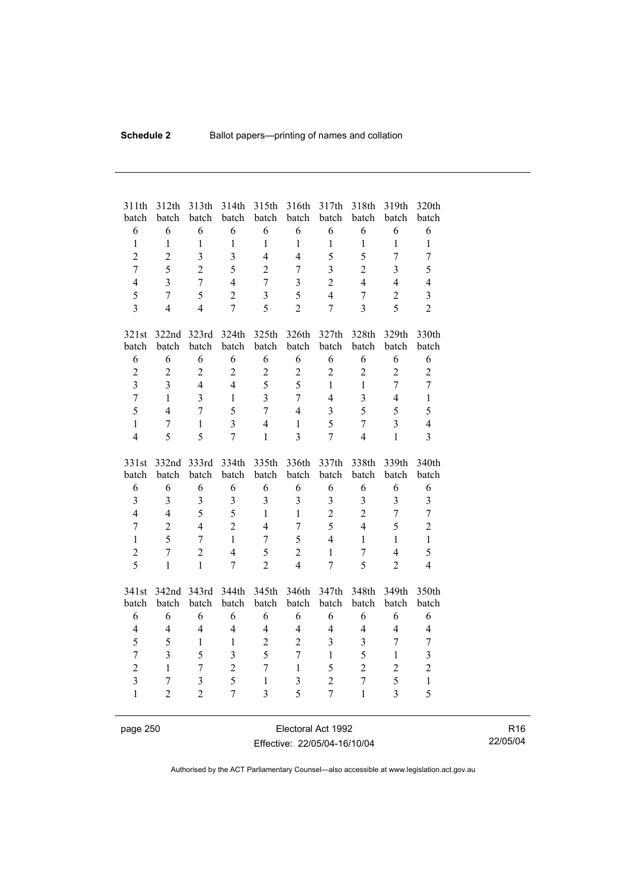| 311th<br>batch                          | 312th<br>batch                   | 313th<br>batch                            | 314th<br>batch          | 315th<br>batch                 | 316th<br>batch               | 317th<br>batch                   | 318th<br>batch                 | 319th<br>batch          | 320th<br>batch          |
|-----------------------------------------|----------------------------------|-------------------------------------------|-------------------------|--------------------------------|------------------------------|----------------------------------|--------------------------------|-------------------------|-------------------------|
| 6                                       | 6                                | 6                                         | 6                       | 6                              | 6                            | 6                                | 6                              | 6                       | 6                       |
| $\mathbf{1}$                            | $\mathbf{1}$                     | $\mathbf{1}$                              | $\mathbf{1}$            | $\mathbf{1}$                   | $\mathbf{1}$                 | $\mathbf{1}$                     | $\mathbf{1}$                   | $\mathbf{1}$            | $\mathbf{1}$            |
| $\overline{2}$                          | $\overline{2}$                   | $\overline{\mathbf{3}}$                   | $\overline{3}$          | $\overline{4}$                 | $\overline{4}$               | 5                                | 5                              | $\overline{7}$          | $\overline{7}$          |
| $\overline{7}$                          | 5                                | $\overline{2}$                            | 5                       | $\overline{2}$                 | $\overline{7}$               | $\overline{\mathbf{3}}$          | $\overline{2}$                 | $\overline{3}$          | 5                       |
| $\overline{4}$                          | $\overline{3}$                   | $\overline{7}$                            | $\overline{4}$          | $\overline{7}$                 | 3                            | $\overline{2}$                   | $\overline{4}$                 | $\overline{4}$          | $\overline{4}$          |
| 5                                       | $\overline{7}$                   | 5                                         | $\overline{2}$          | $\overline{3}$                 | 5                            | $\overline{4}$                   | $\overline{7}$                 | $\overline{2}$          | $\overline{\mathbf{3}}$ |
| $\overline{3}$                          | $\overline{4}$                   | $\overline{4}$                            | $\overline{7}$          | 5                              | $\overline{2}$               | $\overline{7}$                   | $\overline{3}$                 | 5                       | $\overline{2}$          |
| 321st                                   | 322nd                            | 323rd                                     | 324th                   | 325th                          | 326th                        | 327th                            | 328th                          | 329th                   | 330th                   |
| batch                                   | batch                            | batch                                     | batch                   | batch                          | batch                        | batch                            | batch                          | batch                   | batch                   |
| 6                                       | 6                                | 6                                         | 6                       | 6                              | 6                            | 6                                | 6                              | 6                       | 6                       |
| $\sqrt{2}$                              | $\overline{2}$                   | $\overline{2}$                            | $\overline{c}$          | $\sqrt{2}$                     | $\overline{2}$               | $\overline{2}$                   | $\overline{2}$                 | $\overline{2}$          | $\sqrt{2}$              |
| $\overline{3}$                          | $\overline{3}$                   | $\overline{4}$                            | $\overline{4}$          | 5                              | 5                            | $\mathbf{1}$                     | $\mathbf{1}$                   | $\overline{7}$          | $\overline{7}$          |
| $\overline{7}$                          | $\mathbf{1}$                     | $\overline{3}$                            | $\mathbf{1}$            | $\overline{3}$                 | $\overline{7}$               | $\overline{4}$                   | $\overline{\mathbf{3}}$        | $\overline{4}$          | $\mathbf{1}$            |
| 5                                       | $\overline{4}$                   | $\overline{7}$                            | 5                       | $\overline{7}$                 | $\overline{4}$               | $\overline{3}$                   | 5                              | 5                       | 5                       |
| $\mathbf{1}$                            | $\overline{7}$                   | $\mathbf{1}$                              | $\overline{3}$          | $\overline{4}$                 | $\mathbf{1}$                 | 5                                | $\overline{7}$                 | $\overline{3}$          | $\overline{4}$          |
| $\overline{4}$                          | 5                                | 5                                         | $\overline{7}$          | $\mathbf{1}$                   | 3                            | $\tau$                           | $\overline{4}$                 | $\mathbf{1}$            | $\overline{3}$          |
|                                         |                                  |                                           |                         |                                |                              |                                  |                                |                         |                         |
|                                         |                                  |                                           |                         |                                |                              |                                  |                                |                         |                         |
| 331st                                   | 332nd                            | 333rd                                     | 334th                   | 335th                          | 336th                        | 337th                            | 338th                          | 339th                   | 340th                   |
| batch                                   | batch                            | batch                                     | batch                   | batch                          | batch                        | batch                            | batch                          | batch                   | batch                   |
| 6                                       | 6                                | 6                                         | 6                       | 6                              | 6                            | 6                                | 6                              | 6                       | 6                       |
| $\mathfrak{Z}$                          | $\overline{3}$                   | 3                                         | $\overline{3}$          | $\overline{3}$                 | $\overline{\mathbf{3}}$      | 3                                | 3                              | $\overline{\mathbf{3}}$ | $\mathfrak{Z}$          |
| $\overline{4}$                          | $\overline{4}$                   | 5                                         | 5                       | $\mathbf{1}$                   | $\mathbf{1}$                 | $\overline{2}$                   | $\overline{2}$                 | $\overline{7}$          | $\overline{7}$          |
| $\overline{7}$                          | $\overline{2}$                   | $\overline{4}$                            | $\overline{2}$          | $\overline{4}$                 | $\overline{7}$               | 5                                | $\overline{4}$                 | 5                       | $\overline{2}$          |
| $\mathbf{1}$                            | 5                                | $\overline{7}$                            | $\mathbf{1}$            | $\overline{7}$                 | 5                            | $\overline{4}$                   | $\mathbf{1}$                   | $\mathbf{1}$            | $\mathbf{1}$            |
| $\overline{2}$                          | $\overline{7}$                   | $\overline{2}$                            | $\overline{4}$          | 5                              | $\overline{c}$               | $\mathbf{1}$                     | $\overline{7}$                 | $\overline{4}$          | 5                       |
| $\overline{5}$                          | $\mathbf{1}$                     | $\mathbf{1}$                              | $\overline{7}$          | $\overline{2}$                 | $\overline{4}$               | $\overline{7}$                   | 5                              | $\overline{2}$          | $\overline{4}$          |
|                                         |                                  |                                           |                         |                                |                              |                                  |                                |                         |                         |
| 341st                                   | 342nd                            | 343rd                                     | 344th                   | 345th                          | 346th                        | 347th                            | 348th                          | 349th                   | 350th                   |
| batch                                   | batch                            | batch                                     | batch                   | batch                          | batch                        | batch                            | batch                          | batch                   | batch                   |
| 6                                       | 6                                | 6                                         | 6                       | 6                              | 6                            | 6                                | 6                              | 6                       | 6                       |
| $\overline{4}$                          | $\overline{4}$                   | $\overline{4}$                            | $\overline{4}$          | $\overline{4}$                 | $\overline{4}$               | $\overline{4}$                   | $\overline{4}$                 | $\overline{4}$          | $\overline{4}$          |
| 5                                       | 5                                | $\mathbf{1}$                              | $\mathbf{1}$            | $\overline{2}$                 | $\overline{2}$               | 3                                | $\overline{\mathbf{3}}$        | $\overline{7}$          | $\boldsymbol{7}$        |
| $\overline{7}$                          | $\overline{3}$                   | 5                                         | $\overline{\mathbf{3}}$ | 5                              | $\overline{7}$               | $\mathbf{1}$                     | 5                              | $\mathbf{1}$            | $\overline{\mathbf{3}}$ |
| $\overline{2}$                          | $\mathbf{1}$                     | $\overline{7}$                            | $\overline{2}$          | $\overline{7}$                 | $\mathbf{1}$                 | 5                                | $\overline{2}$                 | $\overline{2}$          | $\sqrt{2}$              |
| $\overline{\mathbf{3}}$<br>$\mathbf{1}$ | $\overline{7}$<br>$\overline{2}$ | $\overline{\mathbf{3}}$<br>$\overline{2}$ | 5<br>$\overline{7}$     | $\mathbf{1}$<br>$\overline{3}$ | $\overline{\mathbf{3}}$<br>5 | $\overline{c}$<br>$\overline{7}$ | $\overline{7}$<br>$\mathbf{1}$ | 5<br>$\overline{3}$     | $\mathbf{1}$<br>5       |

page 250 **Electoral Act 1992** Effective: 22/05/04-16/10/04

R16 22/05/04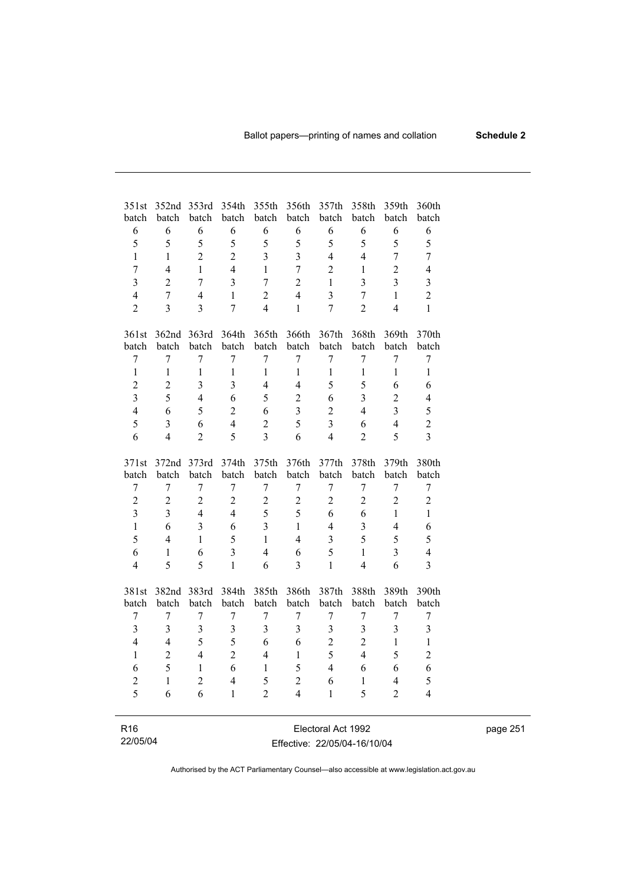| 351st                   | 352nd<br>batch     | 353rd                   | 354th                   | 355th            | 356th                   | 357th                   | 358th<br>batch          | 359th                   | 360th                   |
|-------------------------|--------------------|-------------------------|-------------------------|------------------|-------------------------|-------------------------|-------------------------|-------------------------|-------------------------|
| batch<br>6              | 6                  | batch<br>6              | batch<br>6              | batch<br>6       | batch<br>6              | batch<br>6              | 6                       | batch<br>6              | batch<br>6              |
| 5                       | 5                  | 5                       | 5                       | 5                | 5                       | 5                       | 5                       | 5                       | 5                       |
| $\mathbf{1}$            | $\mathbf{1}$       | $\overline{2}$          | $\overline{2}$          | $\overline{3}$   | $\overline{3}$          | $\overline{4}$          | $\overline{4}$          | $\overline{7}$          | $\overline{7}$          |
| $\overline{7}$          | $\overline{4}$     | $\mathbf{1}$            | $\overline{4}$          | $\mathbf{1}$     | $\overline{7}$          | $\overline{2}$          | $\mathbf{1}$            | $\overline{2}$          | $\overline{4}$          |
| $\overline{3}$          | $\overline{2}$     | $\overline{7}$          | $\overline{3}$          | $\overline{7}$   | $\overline{2}$          | $\,1$                   | $\overline{3}$          | $\overline{3}$          | $\overline{\mathbf{3}}$ |
| $\overline{4}$          | $\overline{7}$     | $\overline{4}$          | $\mathbf{1}$            | $\overline{2}$   | $\overline{4}$          | $\overline{\mathbf{3}}$ | $\overline{7}$          | $\mathbf{1}$            | $\overline{2}$          |
| $\overline{2}$          | $\overline{3}$     | $\overline{3}$          | $\overline{7}$          | $\overline{4}$   | $\mathbf{1}$            | $\overline{7}$          | $\overline{2}$          | $\overline{4}$          | $\mathbf{1}$            |
|                         |                    |                         |                         |                  |                         |                         |                         |                         |                         |
| 361st                   | 362nd              | 363rd                   | 364th                   | 365th            | 366th                   | 367th                   | 368th                   | 369th                   | 370th                   |
| batch                   | batch              | batch                   | batch                   | batch            | batch                   | batch                   | batch                   | batch                   | batch                   |
| $\overline{7}$          | $\overline{7}$     | $\overline{7}$          | $\overline{7}$          | $\overline{7}$   | $\overline{7}$          | $\overline{7}$          | $\overline{7}$          | $\overline{7}$          | $\overline{7}$          |
| $\mathbf{1}$            | $\mathbf{1}$       | $\mathbf{1}$            | $\mathbf{1}$            | $\mathbf{1}$     | $\mathbf{1}$            | $\mathbf{1}$            | $\mathbf{1}$            | $\mathbf{1}$            | $\mathbf{1}$            |
| $\overline{2}$          | $\overline{c}$     | $\overline{\mathbf{3}}$ | $\overline{\mathbf{3}}$ | $\overline{4}$   | $\overline{4}$          | 5                       | 5                       | 6                       | 6                       |
| $\overline{3}$          | 5                  | $\overline{4}$          | 6                       | 5                | $\overline{2}$          | 6                       | $\overline{3}$          | $\overline{2}$          | $\overline{4}$          |
| $\overline{4}$          | 6                  | 5                       | $\overline{2}$          | 6                | $\overline{\mathbf{3}}$ | $\overline{2}$          | $\overline{4}$          | $\overline{3}$          | 5                       |
| 5                       | $\overline{3}$     | 6                       | $\overline{4}$          | $\overline{2}$   | 5                       | $\overline{\mathbf{3}}$ | 6                       | $\overline{4}$          | $\overline{c}$          |
| 6                       | $\overline{4}$     | $\overline{2}$          | 5                       | $\overline{3}$   | 6                       | $\overline{4}$          | $\overline{2}$          | 5                       | $\overline{3}$          |
| 371st                   | 372nd              | 373rd                   | 374th                   | 375th            | 376th                   | 377th                   | 378th                   | 379th                   | 380th                   |
| batch                   | batch              | batch                   | batch                   | batch            | batch                   | batch                   | batch                   | batch                   | batch                   |
| $\overline{7}$          | $\overline{7}$     | $\boldsymbol{7}$        | $\boldsymbol{7}$        | $\boldsymbol{7}$ | 7                       | $\boldsymbol{7}$        | $\boldsymbol{7}$        | $\overline{7}$          | $\overline{7}$          |
| $\overline{2}$          | $\overline{2}$     | $\overline{2}$          | $\overline{2}$          | $\overline{2}$   | $\overline{2}$          | $\overline{2}$          | $\overline{2}$          | $\overline{2}$          | $\overline{c}$          |
| $\overline{3}$          | $\overline{3}$     | $\overline{4}$          | $\overline{4}$          | 5                | 5                       | 6                       | 6                       | $\mathbf{1}$            | $\mathbf{1}$            |
| $\mathbf{1}$            | 6                  | $\overline{3}$          | 6                       | $\overline{3}$   | $\mathbf{1}$            | $\overline{4}$          | $\overline{3}$          | $\overline{4}$          | 6                       |
| 5                       | $\overline{4}$     | $\mathbf{1}$            | 5                       | $\mathbf{1}$     | $\overline{4}$          | $\overline{\mathbf{3}}$ | 5                       | 5                       | 5                       |
| 6                       | $\mathbf{1}$       | 6                       | $\overline{\mathbf{3}}$ | $\overline{4}$   | 6                       | 5                       | $\mathbf{1}$            | $\overline{3}$          | $\overline{4}$          |
| $\overline{4}$          | 5                  | 5                       | $\mathbf{1}$            | 6                | $\overline{3}$          | $\mathbf{1}$            | $\overline{4}$          | 6                       | $\overline{3}$          |
| 381st                   | 382nd              | 383rd                   | 384th                   | 385th            | 386th                   | 387th                   | 388th                   | 389th                   | 390th                   |
| batch                   | batch              | batch                   | batch                   | batch            | batch                   | batch                   | batch                   | batch                   | batch                   |
| 7                       | 7                  | 7                       | $\overline{7}$          | $\overline{7}$   | 7                       | 7                       | $\overline{7}$          | 7                       | 7                       |
| $\overline{\mathbf{3}}$ | $\overline{3}$     | $\overline{\mathbf{3}}$ | $\overline{\mathbf{3}}$ | $\overline{3}$   | $\overline{3}$          | $\overline{\mathbf{3}}$ | $\overline{\mathbf{3}}$ | $\overline{3}$          | $\overline{\mathbf{3}}$ |
| $\overline{4}$          | $\overline{4}$     | 5                       | 5                       | 6                | 6                       | $\overline{2}$          | $\overline{2}$          | $\mathbf{1}$            | $\,1$                   |
| $\mathbf{1}$            | $\overline{2}$     | $\overline{4}$          | $\overline{2}$          | $\overline{4}$   | $\mathbf{1}$            | 5                       | $\overline{4}$          | 5                       | $\overline{c}$          |
| 6                       | 5                  | $\mathbf{1}$            | 6                       | $\mathbf{1}$     | 5                       | $\overline{4}$          | 6                       | 6                       | 6                       |
| $\overline{c}$          | $\mathbf{1}$       | $\overline{2}$          | $\overline{4}$          | 5                | $\overline{c}$          | 6                       | $\mathbf{1}$            | $\overline{\mathbf{4}}$ | 5                       |
| 5                       | 6                  | 6                       | $\mathbf{1}$            | $\overline{2}$   | $\overline{4}$          | $\mathbf{1}$            | 5                       | $\overline{2}$          | $\overline{4}$          |
|                         |                    |                         |                         |                  |                         |                         |                         |                         |                         |
| R <sub>16</sub>         | Electoral Act 1992 |                         |                         |                  |                         |                         |                         |                         |                         |

22/05/04 Electoral Act 1992 Effective: 22/05/04-16/10/04 page 251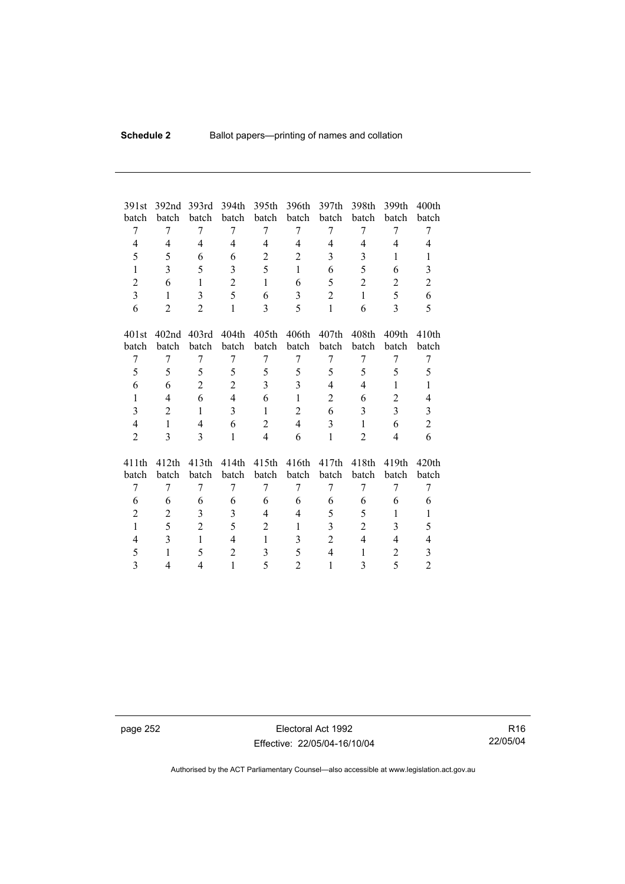| 391st          | 392 <sub>nd</sub> | 393rd          | 394th          | 395th          | 396th          | 397th          | 398th          | 399th             | 400 <sub>th</sub> |
|----------------|-------------------|----------------|----------------|----------------|----------------|----------------|----------------|-------------------|-------------------|
| batch          | batch             | batch          | batch          | batch          | batch          | batch          | batch          | batch             | batch             |
| 7              | 7                 | 7              | 7              | 7              | 7              | 7              | 7              | 7                 | 7                 |
| 4              | 4                 | 4              | 4              | 4              | 4              | 4              | 4              | 4                 | 4                 |
| 5              | 5                 | 6              | 6              | $\overline{2}$ | $\overline{2}$ | 3              | 3              | 1                 | 1                 |
| $\mathbf{1}$   | 3                 | 5              | 3              | 5              | $\mathbf{1}$   | 6              | 5              | 6                 | 3                 |
| $\overline{c}$ | 6                 | $\mathbf{1}$   | $\overline{2}$ | $\mathbf{1}$   | 6              | 5              | $\overline{2}$ | $\overline{2}$    | $\overline{c}$    |
| $\overline{3}$ | $\mathbf{1}$      | 3              | 5              | 6              | 3              | $\overline{2}$ | $\mathbf{1}$   | 5                 | 6                 |
| 6              | $\overline{c}$    | $\overline{2}$ | $\mathbf{1}$   | 3              | 5              | $\mathbf{1}$   | 6              | $\overline{3}$    | 5                 |
|                |                   |                |                |                |                |                |                |                   |                   |
| 401st          | 402 <sub>nd</sub> | 403rd          | 404th          | 405th          | 406th          | 407th          | 408th          | 409 <sub>th</sub> | 410 <sub>th</sub> |
| batch          | batch             | batch          | batch          | batch          | batch          | batch          | batch          | batch             | batch             |
| 7              | 7                 | 7              | 7              | 7              | 7              | 7              | 7              | 7                 | 7                 |
| 5              | 5                 | 5              | 5              | 5              | 5              | 5              | 5              | 5                 | 5                 |
| 6              | 6                 | $\overline{2}$ | $\overline{2}$ | 3              | 3              | 4              | 4              | 1                 | 1                 |
| $\mathbf{1}$   | 4                 | 6              | $\overline{4}$ | 6              | $\mathbf{1}$   | $\overline{2}$ | 6              | $\overline{2}$    | 4                 |
| 3              | $\overline{2}$    | $\mathbf{1}$   | 3              | $\mathbf{1}$   | $\overline{2}$ | 6              | 3              | $\overline{3}$    | 3                 |
| $\overline{4}$ | $\mathbf{1}$      | $\overline{4}$ | 6              | $\overline{2}$ | $\overline{4}$ | 3              | $\mathbf{1}$   | 6                 | $\overline{c}$    |
| $\overline{2}$ | 3                 | 3              | 1              | $\overline{4}$ | 6              | $\mathbf{1}$   | $\overline{2}$ | $\overline{4}$    | 6                 |
|                |                   |                |                |                |                |                |                |                   |                   |
| 411th          | 412th             | 413th          | 414th          | 415th          | 416th          | 417th          | 418th          | 419th             | 420 <sub>th</sub> |
| batch          | batch             | batch          | batch          | batch          | batch          | batch          | batch          | batch             | batch             |
| 7              | 7                 | 7              | 7              | 7              | 7              | 7              | 7              | 7                 | 7                 |
| 6              | 6                 | 6              | 6              | 6              | 6              | 6              | 6              | 6                 | 6                 |
| $\overline{2}$ | 2                 | 3              | 3              | 4              | $\overline{4}$ | 5              | 5              | 1                 | 1                 |
| $\mathbf{1}$   | 5                 | $\overline{2}$ | 5              | $\overline{2}$ | $\mathbf{1}$   | $\overline{3}$ | $\overline{2}$ | 3                 | 5                 |
| $\overline{4}$ | 3                 | 1              | $\overline{4}$ | $\mathbf{1}$   | 3              | $\overline{2}$ | 4              | 4                 | 4                 |
| 5              | $\mathbf{1}$      | 5              | $\overline{2}$ | 3              | 5              | $\overline{4}$ | 1              | $\overline{2}$    | 3                 |
| 3              | 4                 | 4              | $\mathbf{1}$   | 5              | $\overline{c}$ | 1              | 3              | 5                 | $\overline{2}$    |

page 252 Electoral Act 1992 Effective: 22/05/04-16/10/04

R16 22/05/04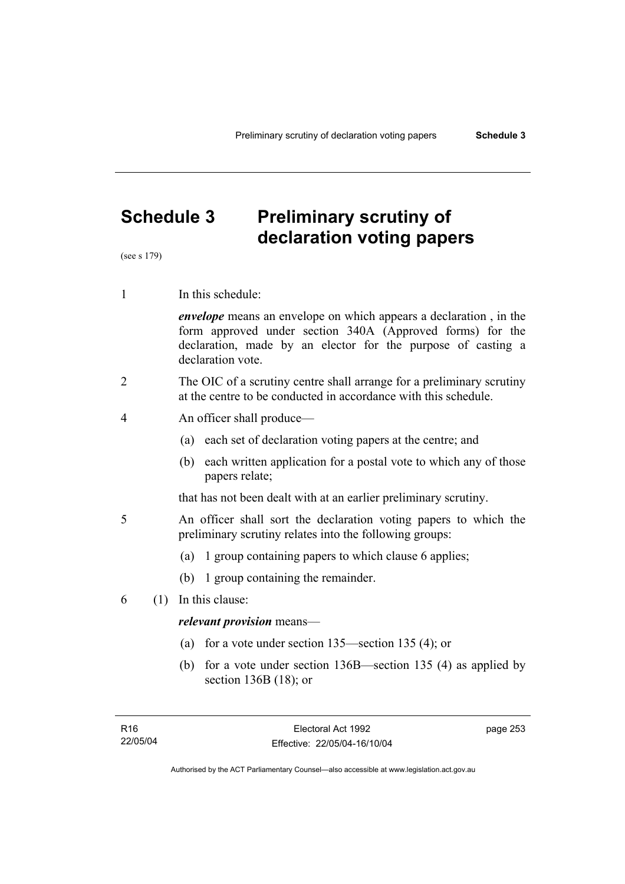# **Schedule 3 Preliminary scrutiny of declaration voting papers**

(see s 179)

1 In this schedule:

*envelope* means an envelope on which appears a declaration , in the form approved under section 340A (Approved forms) for the declaration, made by an elector for the purpose of casting a declaration vote.

- 2 The OIC of a scrutiny centre shall arrange for a preliminary scrutiny at the centre to be conducted in accordance with this schedule.
- 4 An officer shall produce—
	- (a) each set of declaration voting papers at the centre; and
	- (b) each written application for a postal vote to which any of those papers relate;

that has not been dealt with at an earlier preliminary scrutiny.

- 5 An officer shall sort the declaration voting papers to which the preliminary scrutiny relates into the following groups:
	- (a) 1 group containing papers to which clause 6 applies;
	- (b) 1 group containing the remainder.
- 6 (1) In this clause:

### *relevant provision* means—

- (a) for a vote under section 135—section 135 (4); or
- (b) for a vote under section 136B—section 135 (4) as applied by section 136B (18); or

page 253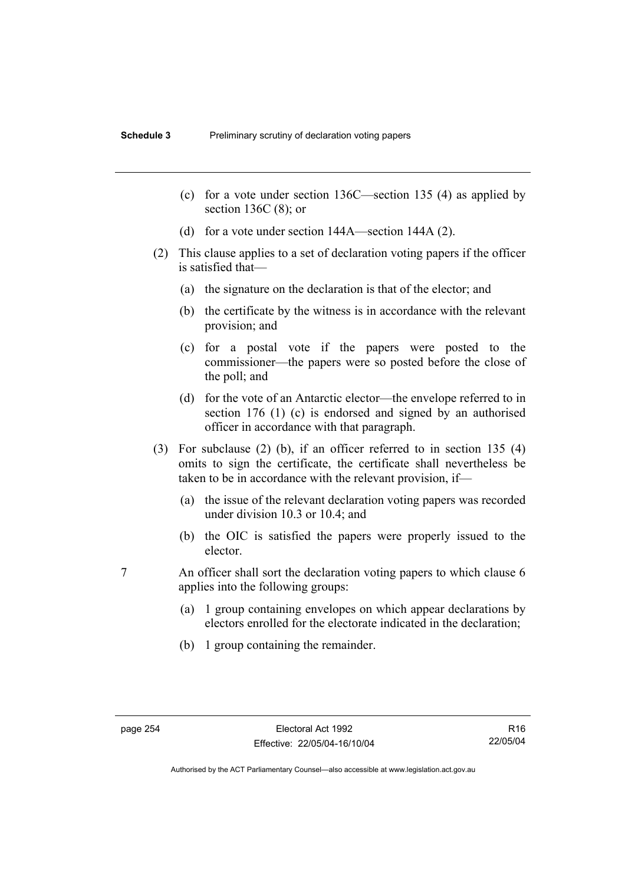- (c) for a vote under section 136C—section 135 (4) as applied by section 136C (8); or
- (d) for a vote under section 144A—section 144A (2).
- (2) This clause applies to a set of declaration voting papers if the officer is satisfied that—
	- (a) the signature on the declaration is that of the elector; and
	- (b) the certificate by the witness is in accordance with the relevant provision; and
	- (c) for a postal vote if the papers were posted to the commissioner—the papers were so posted before the close of the poll; and
	- (d) for the vote of an Antarctic elector—the envelope referred to in section 176 (1) (c) is endorsed and signed by an authorised officer in accordance with that paragraph.
- (3) For subclause (2) (b), if an officer referred to in section 135 (4) omits to sign the certificate, the certificate shall nevertheless be taken to be in accordance with the relevant provision, if—
	- (a) the issue of the relevant declaration voting papers was recorded under division 10.3 or 10.4; and
	- (b) the OIC is satisfied the papers were properly issued to the elector.
- 7 An officer shall sort the declaration voting papers to which clause 6 applies into the following groups:
	- (a) 1 group containing envelopes on which appear declarations by electors enrolled for the electorate indicated in the declaration;
	- (b) 1 group containing the remainder.

R16 22/05/04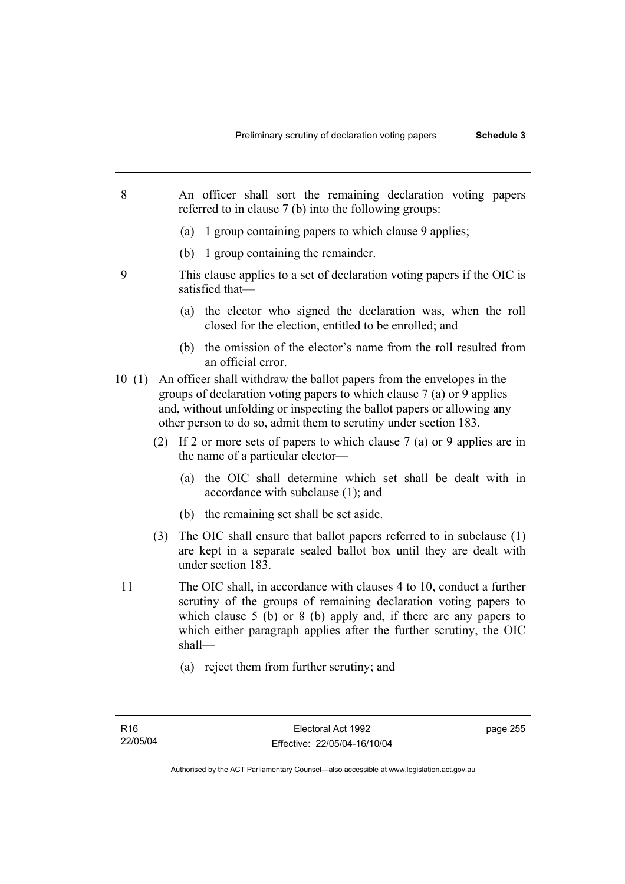- 8 An officer shall sort the remaining declaration voting papers referred to in clause 7 (b) into the following groups:
	- (a) 1 group containing papers to which clause 9 applies;
	- (b) 1 group containing the remainder.
- 9 This clause applies to a set of declaration voting papers if the OIC is satisfied that—
	- (a) the elector who signed the declaration was, when the roll closed for the election, entitled to be enrolled; and
	- (b) the omission of the elector's name from the roll resulted from an official error.
- 10 (1) An officer shall withdraw the ballot papers from the envelopes in the groups of declaration voting papers to which clause 7 (a) or 9 applies and, without unfolding or inspecting the ballot papers or allowing any other person to do so, admit them to scrutiny under section 183.
	- (2) If 2 or more sets of papers to which clause 7 (a) or 9 applies are in the name of a particular elector—
		- (a) the OIC shall determine which set shall be dealt with in accordance with subclause (1); and
		- (b) the remaining set shall be set aside.
	- (3) The OIC shall ensure that ballot papers referred to in subclause (1) are kept in a separate sealed ballot box until they are dealt with under section 183.
- 11 The OIC shall, in accordance with clauses 4 to 10, conduct a further scrutiny of the groups of remaining declaration voting papers to which clause 5 (b) or 8 (b) apply and, if there are any papers to which either paragraph applies after the further scrutiny, the OIC shall—
	- (a) reject them from further scrutiny; and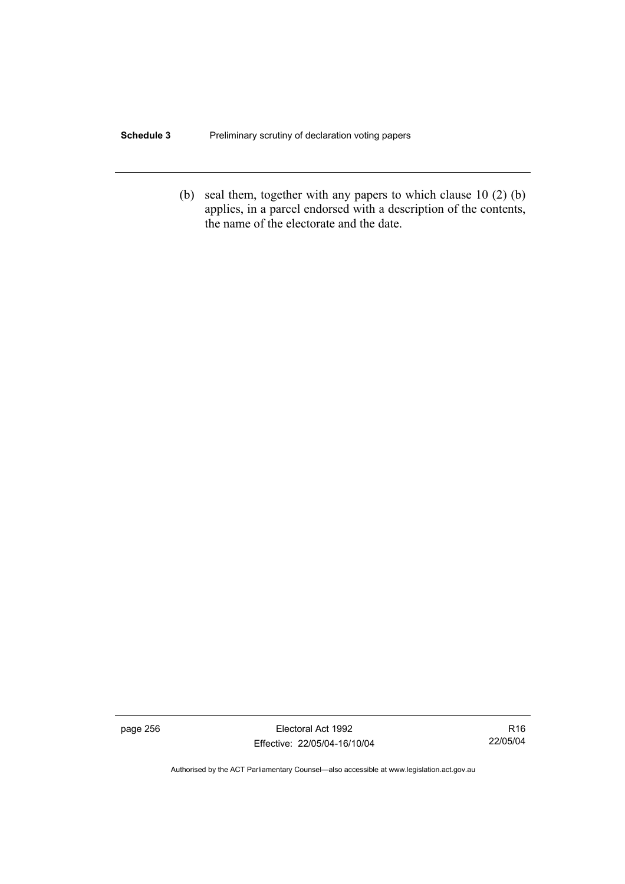#### **Schedule 3** Preliminary scrutiny of declaration voting papers

 (b) seal them, together with any papers to which clause 10 (2) (b) applies, in a parcel endorsed with a description of the contents, the name of the electorate and the date.

page 256 Electoral Act 1992 Effective: 22/05/04-16/10/04

R16 22/05/04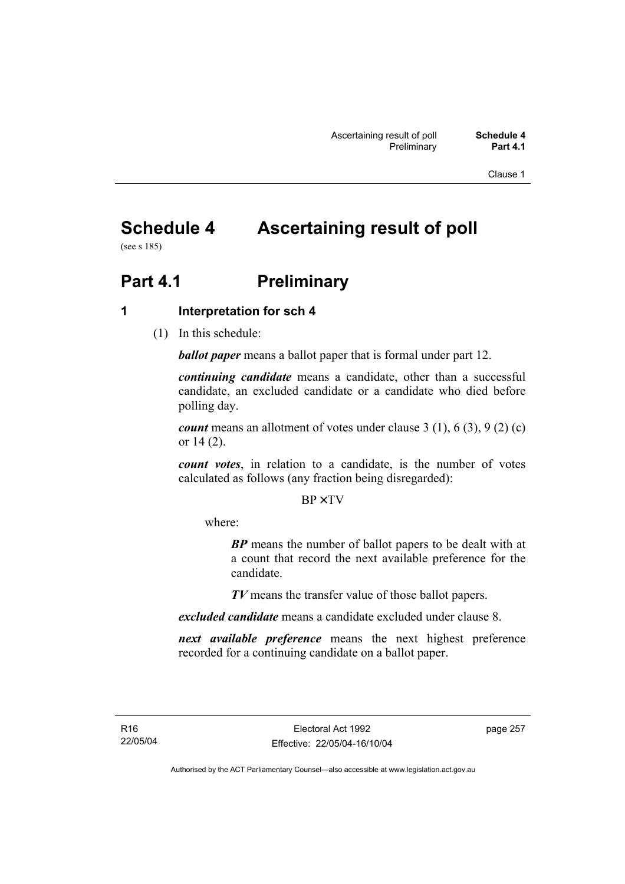Clause 1

# **Schedule 4 Ascertaining result of poll**

(see s 185)

# **Part 4.1** Preliminary

# **1 Interpretation for sch 4**

(1) In this schedule:

*ballot paper* means a ballot paper that is formal under part 12.

*continuing candidate* means a candidate, other than a successful candidate, an excluded candidate or a candidate who died before polling day.

*count* means an allotment of votes under clause 3 (1), 6 (3), 9 (2) (c) or 14 (2).

*count votes*, in relation to a candidate, is the number of votes calculated as follows (any fraction being disregarded):

BP× TV

where:

*BP* means the number of ballot papers to be dealt with at a count that record the next available preference for the candidate.

*TV* means the transfer value of those ballot papers.

*excluded candidate* means a candidate excluded under clause 8.

*next available preference* means the next highest preference recorded for a continuing candidate on a ballot paper.

page 257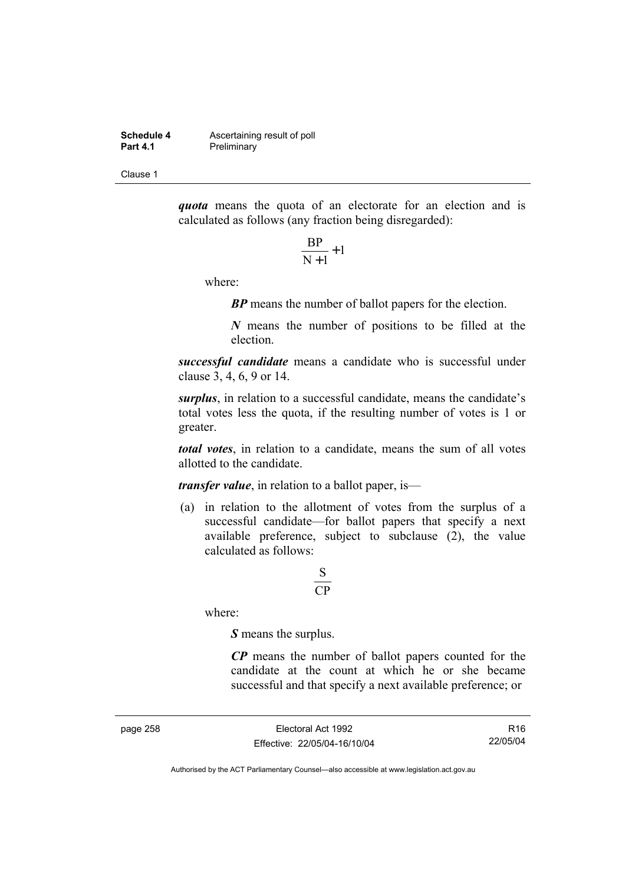**Schedule 4 Ascertaining result of poll**<br>**Part 4.1 Preliminary Preliminary** 

Clause 1

*quota* means the quota of an electorate for an election and is calculated as follows (any fraction being disregarded):

$$
\frac{\text{BP}}{\text{N}+1}+1
$$

where:

*BP* means the number of ballot papers for the election.

*N* means the number of positions to be filled at the election.

*successful candidate* means a candidate who is successful under clause 3, 4, 6, 9 or 14.

*surplus*, in relation to a successful candidate, means the candidate's total votes less the quota, if the resulting number of votes is 1 or greater.

*total votes*, in relation to a candidate, means the sum of all votes allotted to the candidate.

*transfer value*, in relation to a ballot paper, is—

 (a) in relation to the allotment of votes from the surplus of a successful candidate—for ballot papers that specify a next available preference, subject to subclause  $(2)$ , the value calculated as follows:

# CP S

where:

*S* means the surplus.

*CP* means the number of ballot papers counted for the candidate at the count at which he or she became successful and that specify a next available preference; or

page 258 Electoral Act 1992 Effective: 22/05/04-16/10/04

R16 22/05/04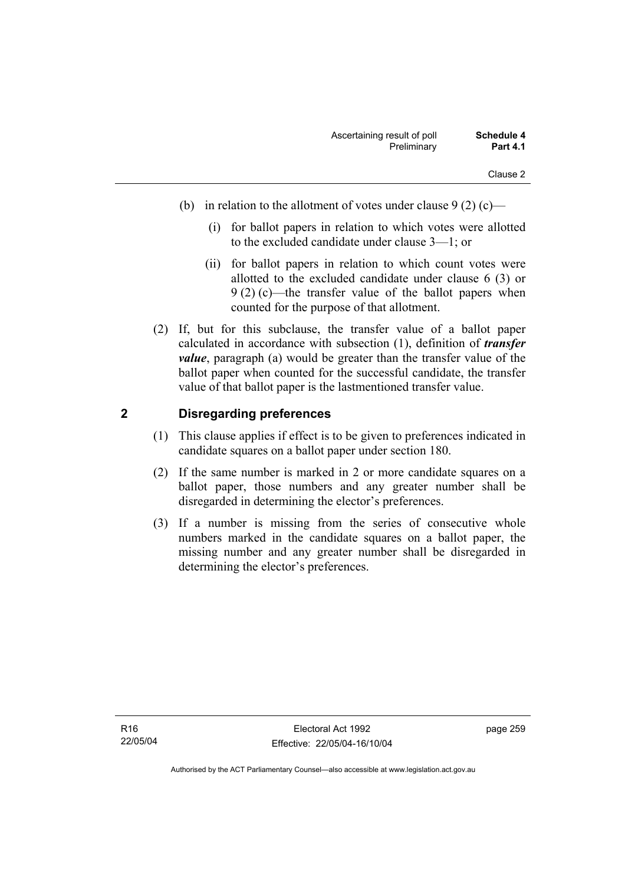- (b) in relation to the allotment of votes under clause  $9(2)(c)$ 
	- (i) for ballot papers in relation to which votes were allotted to the excluded candidate under clause 3—1; or
	- (ii) for ballot papers in relation to which count votes were allotted to the excluded candidate under clause 6 (3) or 9 (2) (c)—the transfer value of the ballot papers when counted for the purpose of that allotment.
- (2) If, but for this subclause, the transfer value of a ballot paper calculated in accordance with subsection (1), definition of *transfer value*, paragraph (a) would be greater than the transfer value of the ballot paper when counted for the successful candidate, the transfer value of that ballot paper is the lastmentioned transfer value.

# **2 Disregarding preferences**

- (1) This clause applies if effect is to be given to preferences indicated in candidate squares on a ballot paper under section 180.
- (2) If the same number is marked in 2 or more candidate squares on a ballot paper, those numbers and any greater number shall be disregarded in determining the elector's preferences.
- (3) If a number is missing from the series of consecutive whole numbers marked in the candidate squares on a ballot paper, the missing number and any greater number shall be disregarded in determining the elector's preferences.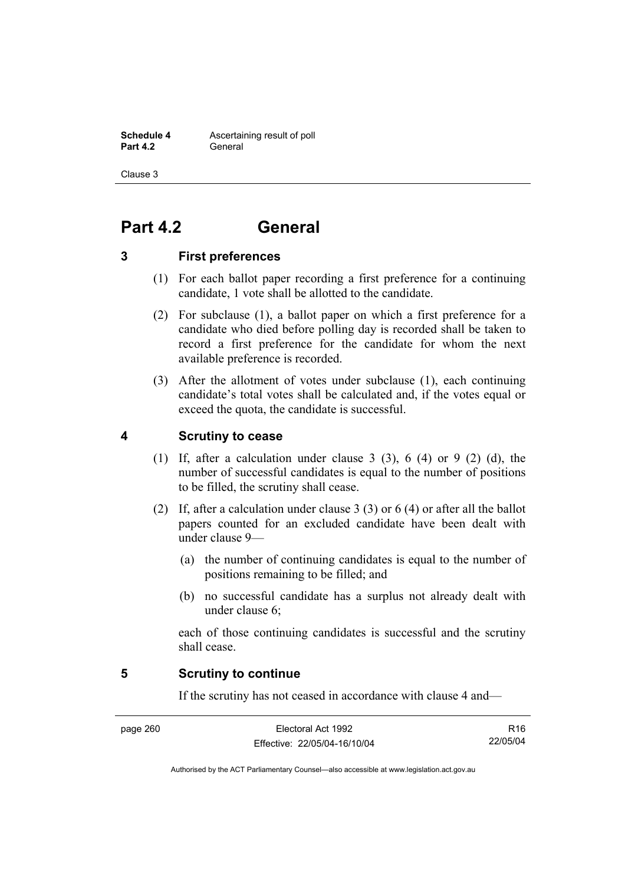**Schedule 4 Ascertaining result of poll Part 4.2** General

Clause 3

# **Part 4.2 General**

# **3 First preferences**

- (1) For each ballot paper recording a first preference for a continuing candidate, 1 vote shall be allotted to the candidate.
- (2) For subclause (1), a ballot paper on which a first preference for a candidate who died before polling day is recorded shall be taken to record a first preference for the candidate for whom the next available preference is recorded.
- (3) After the allotment of votes under subclause (1), each continuing candidate's total votes shall be calculated and, if the votes equal or exceed the quota, the candidate is successful.

# **4 Scrutiny to cease**

- (1) If, after a calculation under clause 3 (3), 6 (4) or 9 (2) (d), the number of successful candidates is equal to the number of positions to be filled, the scrutiny shall cease.
- (2) If, after a calculation under clause 3 (3) or 6 (4) or after all the ballot papers counted for an excluded candidate have been dealt with under clause 9—
	- (a) the number of continuing candidates is equal to the number of positions remaining to be filled; and
	- (b) no successful candidate has a surplus not already dealt with under clause 6;

each of those continuing candidates is successful and the scrutiny shall cease.

### **5 Scrutiny to continue**

If the scrutiny has not ceased in accordance with clause 4 and—

R16 22/05/04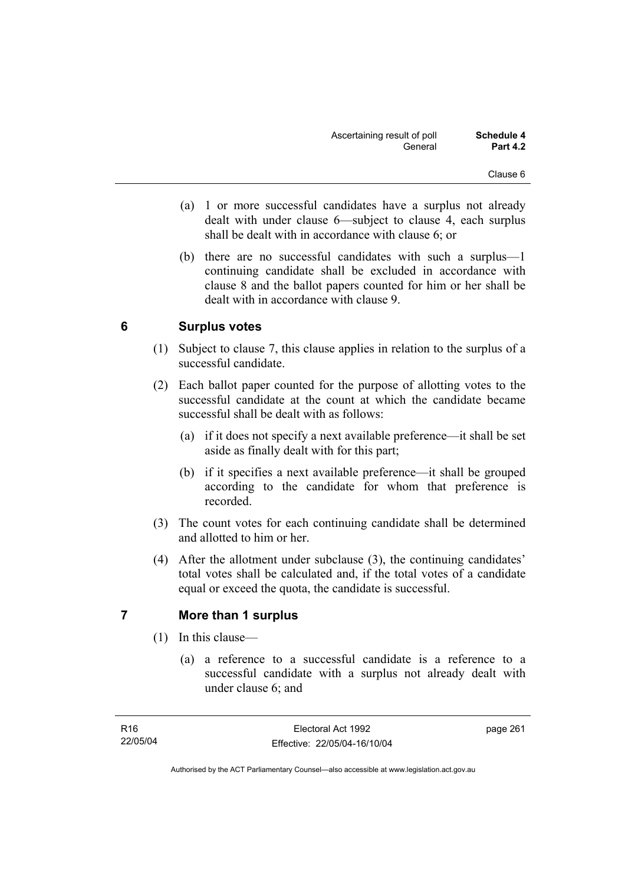- (a) 1 or more successful candidates have a surplus not already dealt with under clause 6—subject to clause 4, each surplus shall be dealt with in accordance with clause 6; or
- (b) there are no successful candidates with such a surplus—1 continuing candidate shall be excluded in accordance with clause 8 and the ballot papers counted for him or her shall be dealt with in accordance with clause 9.

# **6 Surplus votes**

- (1) Subject to clause 7, this clause applies in relation to the surplus of a successful candidate.
- (2) Each ballot paper counted for the purpose of allotting votes to the successful candidate at the count at which the candidate became successful shall be dealt with as follows:
	- (a) if it does not specify a next available preference—it shall be set aside as finally dealt with for this part;
	- (b) if it specifies a next available preference—it shall be grouped according to the candidate for whom that preference is recorded.
- (3) The count votes for each continuing candidate shall be determined and allotted to him or her.
- (4) After the allotment under subclause (3), the continuing candidates' total votes shall be calculated and, if the total votes of a candidate equal or exceed the quota, the candidate is successful.

# **7 More than 1 surplus**

- (1) In this clause—
	- (a) a reference to a successful candidate is a reference to a successful candidate with a surplus not already dealt with under clause 6; and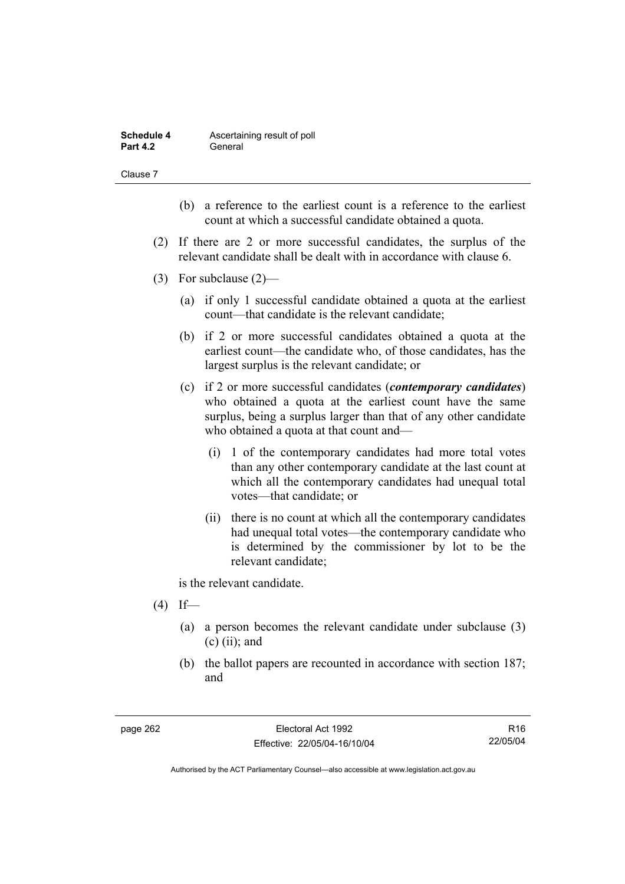| Schedule 4      | Ascertaining result of poll |
|-----------------|-----------------------------|
| <b>Part 4.2</b> | General                     |

Clause 7

- (b) a reference to the earliest count is a reference to the earliest count at which a successful candidate obtained a quota.
- (2) If there are 2 or more successful candidates, the surplus of the relevant candidate shall be dealt with in accordance with clause 6.
- (3) For subclause (2)—
	- (a) if only 1 successful candidate obtained a quota at the earliest count—that candidate is the relevant candidate;
	- (b) if 2 or more successful candidates obtained a quota at the earliest count—the candidate who, of those candidates, has the largest surplus is the relevant candidate; or
	- (c) if 2 or more successful candidates (*contemporary candidates*) who obtained a quota at the earliest count have the same surplus, being a surplus larger than that of any other candidate who obtained a quota at that count and—
		- (i) 1 of the contemporary candidates had more total votes than any other contemporary candidate at the last count at which all the contemporary candidates had unequal total votes—that candidate; or
		- (ii) there is no count at which all the contemporary candidates had unequal total votes—the contemporary candidate who is determined by the commissioner by lot to be the relevant candidate;

is the relevant candidate.

- $(4)$  If—
	- (a) a person becomes the relevant candidate under subclause (3)  $(c)$  (ii); and
	- (b) the ballot papers are recounted in accordance with section 187; and

R16 22/05/04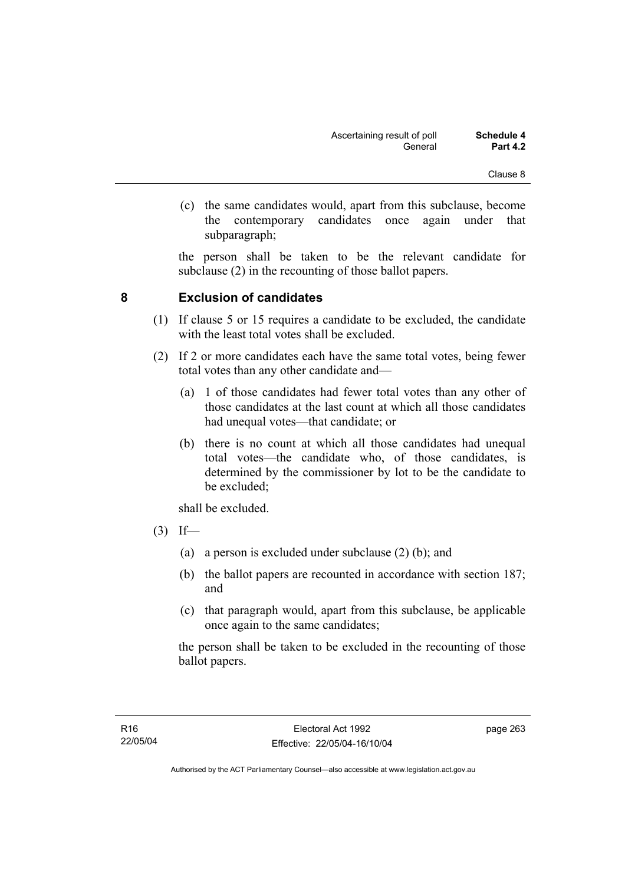(c) the same candidates would, apart from this subclause, become the contemporary candidates once again under that subparagraph;

the person shall be taken to be the relevant candidate for subclause (2) in the recounting of those ballot papers.

# **8 Exclusion of candidates**

- (1) If clause 5 or 15 requires a candidate to be excluded, the candidate with the least total votes shall be excluded.
- (2) If 2 or more candidates each have the same total votes, being fewer total votes than any other candidate and—
	- (a) 1 of those candidates had fewer total votes than any other of those candidates at the last count at which all those candidates had unequal votes—that candidate; or
	- (b) there is no count at which all those candidates had unequal total votes—the candidate who, of those candidates, is determined by the commissioner by lot to be the candidate to be excluded;

shall be excluded.

- $(3)$  If—
	- (a) a person is excluded under subclause (2) (b); and
	- (b) the ballot papers are recounted in accordance with section 187; and
	- (c) that paragraph would, apart from this subclause, be applicable once again to the same candidates;

the person shall be taken to be excluded in the recounting of those ballot papers.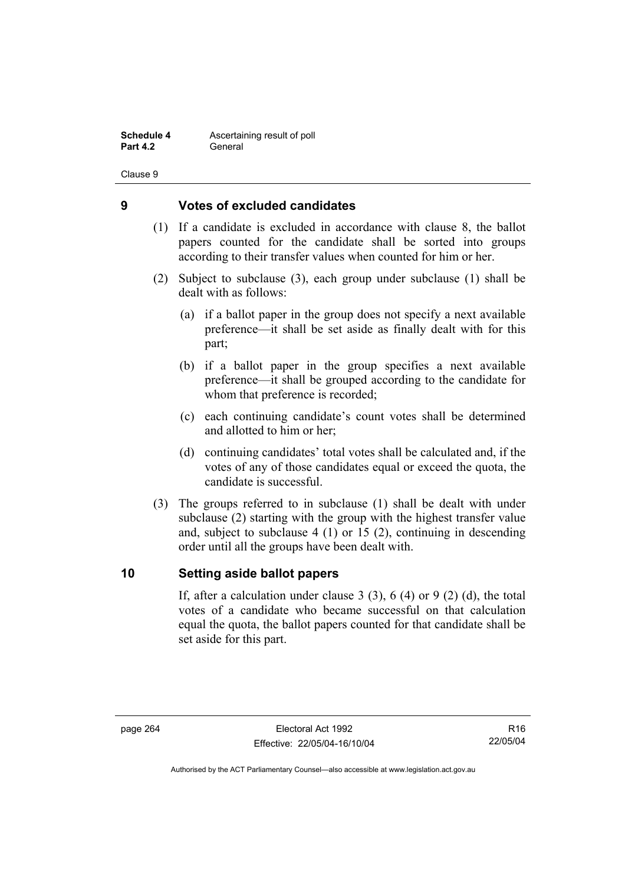**Schedule 4 Ascertaining result of poll Part 4.2** General

Clause 9

### **9 Votes of excluded candidates**

- (1) If a candidate is excluded in accordance with clause 8, the ballot papers counted for the candidate shall be sorted into groups according to their transfer values when counted for him or her.
- (2) Subject to subclause (3), each group under subclause (1) shall be dealt with as follows:
	- (a) if a ballot paper in the group does not specify a next available preference—it shall be set aside as finally dealt with for this part;
	- (b) if a ballot paper in the group specifies a next available preference—it shall be grouped according to the candidate for whom that preference is recorded;
	- (c) each continuing candidate's count votes shall be determined and allotted to him or her;
	- (d) continuing candidates' total votes shall be calculated and, if the votes of any of those candidates equal or exceed the quota, the candidate is successful.
- (3) The groups referred to in subclause (1) shall be dealt with under subclause (2) starting with the group with the highest transfer value and, subject to subclause 4 (1) or 15 (2), continuing in descending order until all the groups have been dealt with.

### **10 Setting aside ballot papers**

If, after a calculation under clause 3 (3), 6 (4) or 9 (2) (d), the total votes of a candidate who became successful on that calculation equal the quota, the ballot papers counted for that candidate shall be set aside for this part.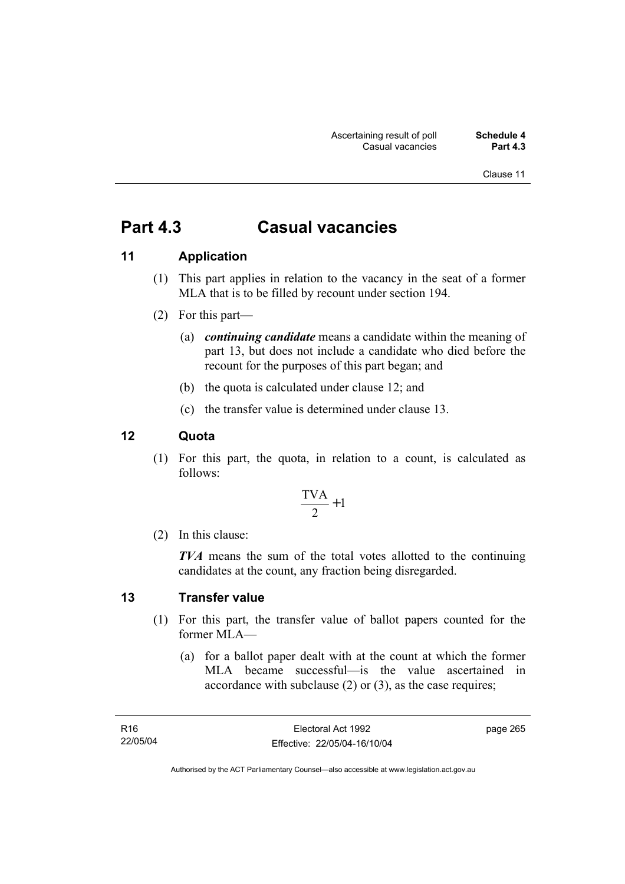Clause 11

# **Part 4.3 Casual vacancies**

# **11 Application**

- (1) This part applies in relation to the vacancy in the seat of a former MLA that is to be filled by recount under section 194.
- (2) For this part—
	- (a) *continuing candidate* means a candidate within the meaning of part 13, but does not include a candidate who died before the recount for the purposes of this part began; and
	- (b) the quota is calculated under clause 12; and
	- (c) the transfer value is determined under clause 13.

# **12 Quota**

 (1) For this part, the quota, in relation to a count, is calculated as follows:

$$
\frac{\text{TVA}}{2} + 1
$$

(2) In this clause:

*TVA* means the sum of the total votes allotted to the continuing candidates at the count, any fraction being disregarded.

#### **13 Transfer value**

- (1) For this part, the transfer value of ballot papers counted for the former MLA—
	- (a) for a ballot paper dealt with at the count at which the former MLA became successful—is the value ascertained in accordance with subclause (2) or (3), as the case requires;

page 265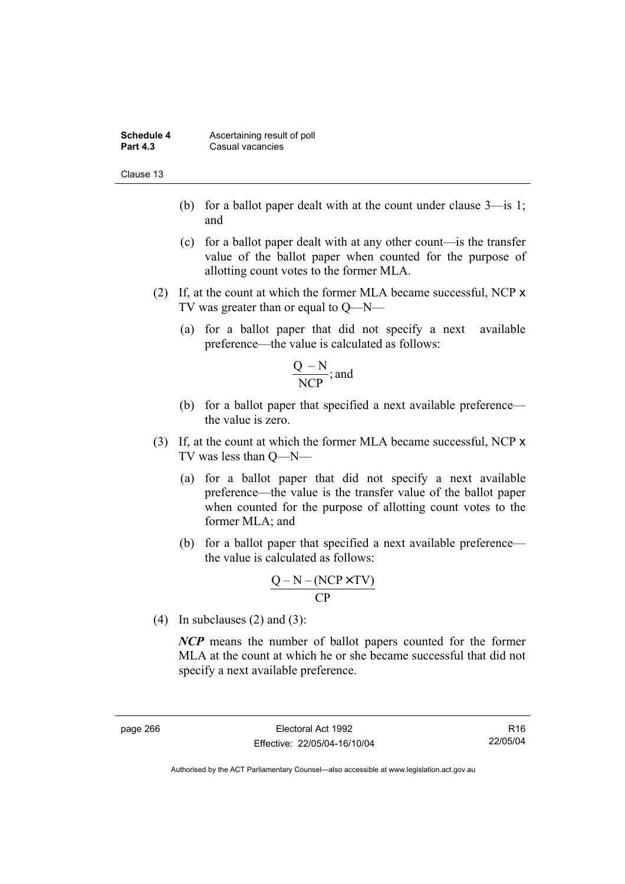| Schedule 4      | Ascertaining result of poll |
|-----------------|-----------------------------|
| <b>Part 4.3</b> | Casual vacancies            |

Clause 13

- (b) for a ballot paper dealt with at the count under clause 3—is 1; and
- (c) for a ballot paper dealt with at any other count—is the transfer value of the ballot paper when counted for the purpose of allotting count votes to the former MLA.
- (2) If, at the count at which the former MLA became successful, NCP x TV was greater than or equal to Q—N—
	- (a) for a ballot paper that did not specify a next available preference—the value is calculated as follows:

$$
\frac{Q-N}{NCP}
$$
; and

- (b) for a ballot paper that specified a next available preference the value is zero.
- (3) If, at the count at which the former MLA became successful, NCP x TV was less than Q—N—
	- (a) for a ballot paper that did not specify a next available preference—the value is the transfer value of the ballot paper when counted for the purpose of allotting count votes to the former MLA; and
	- (b) for a ballot paper that specified a next available preference the value is calculated as follows:

$$
\frac{Q-N-(NCP \times TV)}{CP}
$$

(4) In subclauses (2) and (3):

*NCP* means the number of ballot papers counted for the former MLA at the count at which he or she became successful that did not specify a next available preference.

R16 22/05/04

Authorised by the ACT Parliamentary Counsel—also accessible at www.legislation.act.gov.au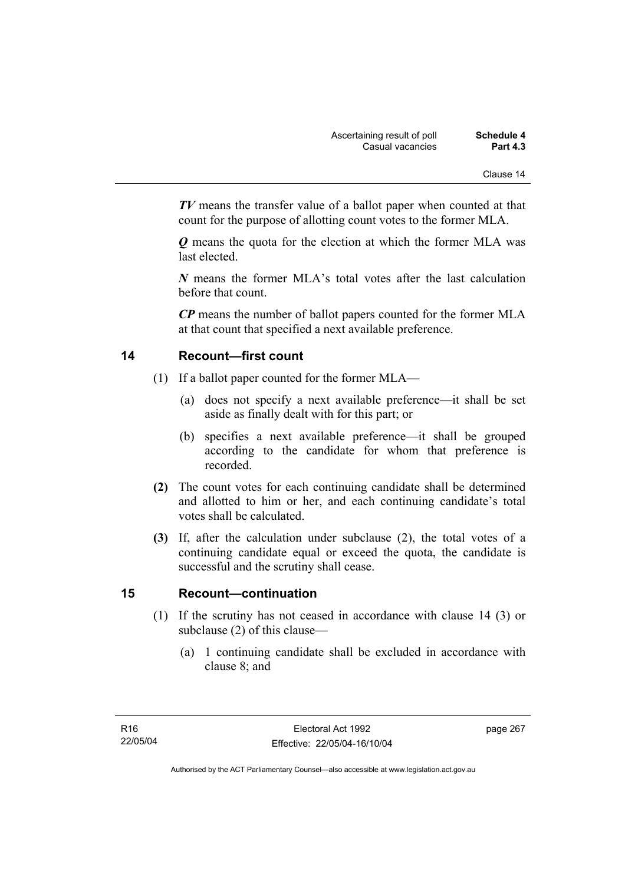*TV* means the transfer value of a ballot paper when counted at that count for the purpose of allotting count votes to the former MLA.

*Q* means the quota for the election at which the former MLA was last elected.

*N* means the former MLA's total votes after the last calculation before that count.

*CP* means the number of ballot papers counted for the former MLA at that count that specified a next available preference.

# **14 Recount—first count**

- (1) If a ballot paper counted for the former MLA—
	- (a) does not specify a next available preference—it shall be set aside as finally dealt with for this part; or
	- (b) specifies a next available preference—it shall be grouped according to the candidate for whom that preference is recorded.
- **(2)** The count votes for each continuing candidate shall be determined and allotted to him or her, and each continuing candidate's total votes shall be calculated.
- **(3)** If, after the calculation under subclause (2), the total votes of a continuing candidate equal or exceed the quota, the candidate is successful and the scrutiny shall cease.

# **15 Recount—continuation**

- (1) If the scrutiny has not ceased in accordance with clause 14 (3) or subclause (2) of this clause—
	- (a) 1 continuing candidate shall be excluded in accordance with clause 8; and

page 267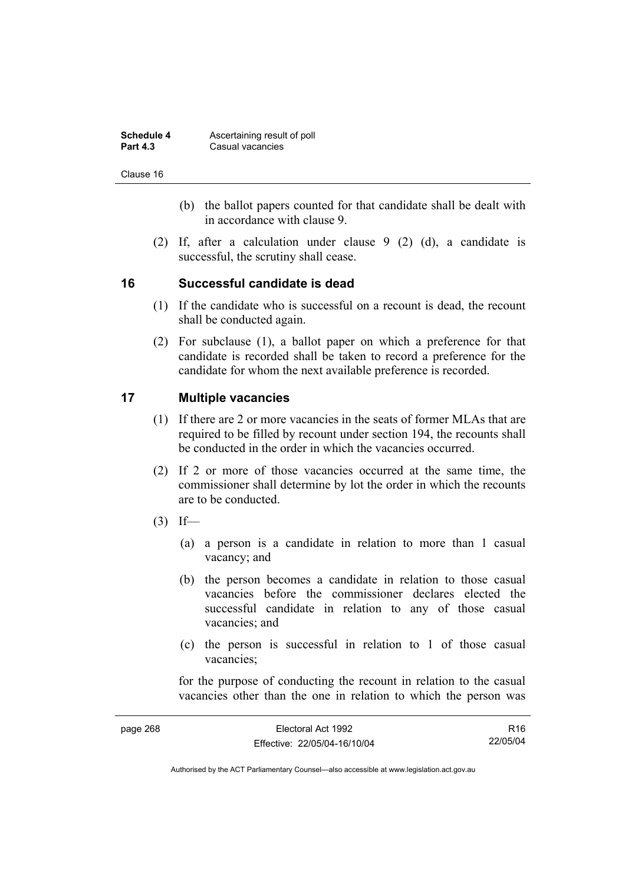| Schedule 4      | Ascertaining result of poll |
|-----------------|-----------------------------|
| <b>Part 4.3</b> | Casual vacancies            |

Clause 16

- (b) the ballot papers counted for that candidate shall be dealt with in accordance with clause 9.
- (2) If, after a calculation under clause 9 (2) (d), a candidate is successful, the scrutiny shall cease.

# **16 Successful candidate is dead**

- (1) If the candidate who is successful on a recount is dead, the recount shall be conducted again.
- (2) For subclause (1), a ballot paper on which a preference for that candidate is recorded shall be taken to record a preference for the candidate for whom the next available preference is recorded.

# **17 Multiple vacancies**

- (1) If there are 2 or more vacancies in the seats of former MLAs that are required to be filled by recount under section 194, the recounts shall be conducted in the order in which the vacancies occurred.
- (2) If 2 or more of those vacancies occurred at the same time, the commissioner shall determine by lot the order in which the recounts are to be conducted.
- $(3)$  If—
	- (a) a person is a candidate in relation to more than 1 casual vacancy; and
	- (b) the person becomes a candidate in relation to those casual vacancies before the commissioner declares elected the successful candidate in relation to any of those casual vacancies; and
	- (c) the person is successful in relation to 1 of those casual vacancies;

for the purpose of conducting the recount in relation to the casual vacancies other than the one in relation to which the person was

| page 268 | Electoral Act 1992           | R16      |
|----------|------------------------------|----------|
|          | Effective: 22/05/04-16/10/04 | 22/05/04 |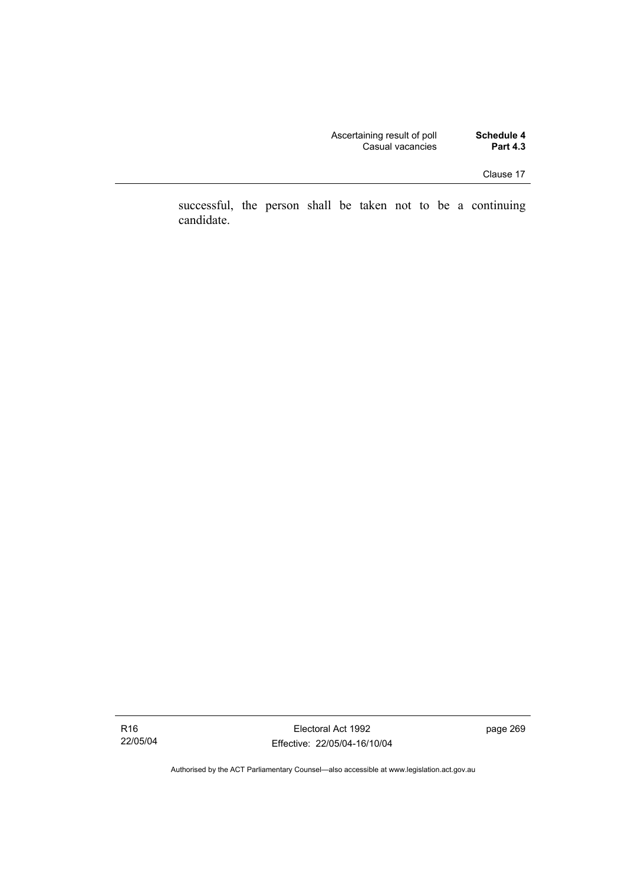| Schedule 4      | Ascertaining result of poll |
|-----------------|-----------------------------|
| <b>Part 4.3</b> | Casual vacancies            |

successful, the person shall be taken not to be a continuing candidate.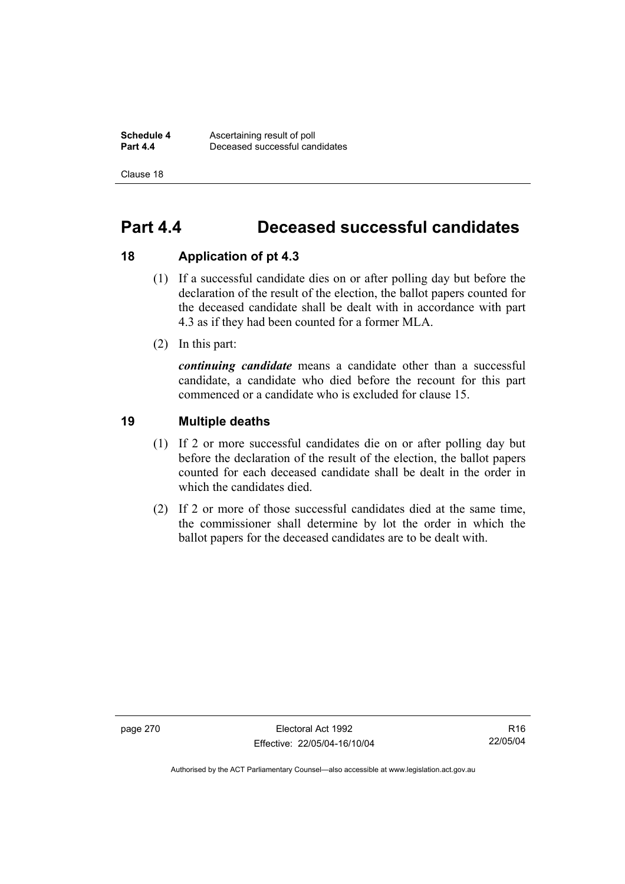**Schedule 4 Ascertaining result of poll**<br>**Part 4.4 Deceased successful can Part 4.4** Deceased successful candidates

Clause 18

# **Part 4.4 Deceased successful candidates**

### **18 Application of pt 4.3**

- (1) If a successful candidate dies on or after polling day but before the declaration of the result of the election, the ballot papers counted for the deceased candidate shall be dealt with in accordance with part 4.3 as if they had been counted for a former MLA.
- (2) In this part:

*continuing candidate* means a candidate other than a successful candidate, a candidate who died before the recount for this part commenced or a candidate who is excluded for clause 15.

# **19 Multiple deaths**

- (1) If 2 or more successful candidates die on or after polling day but before the declaration of the result of the election, the ballot papers counted for each deceased candidate shall be dealt in the order in which the candidates died.
- (2) If 2 or more of those successful candidates died at the same time, the commissioner shall determine by lot the order in which the ballot papers for the deceased candidates are to be dealt with.

page 270 Electoral Act 1992 Effective: 22/05/04-16/10/04

R16 22/05/04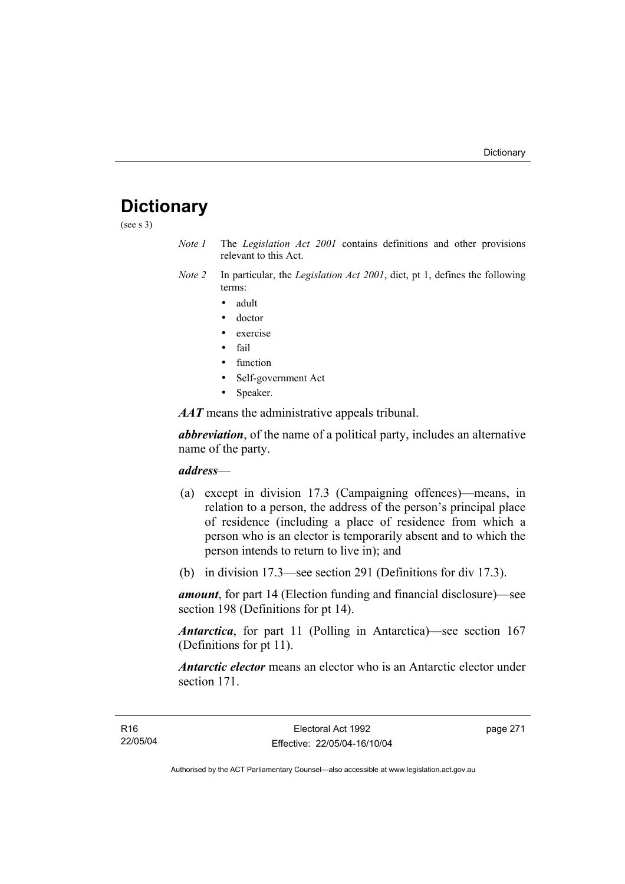## **Dictionary**

(see s 3)

- *Note 1* The *Legislation Act 2001* contains definitions and other provisions relevant to this Act.
- *Note 2* In particular, the *Legislation Act 2001*, dict, pt 1, defines the following terms:
	- adult
	- doctor
	- exercise
	- fail
	- function
	- Self-government Act
	- Speaker.

*AAT* means the administrative appeals tribunal.

*abbreviation*, of the name of a political party, includes an alternative name of the party.

## *address*—

- (a) except in division 17.3 (Campaigning offences)—means, in relation to a person, the address of the person's principal place of residence (including a place of residence from which a person who is an elector is temporarily absent and to which the person intends to return to live in); and
- (b) in division 17.3—see section 291 (Definitions for div 17.3).

*amount*, for part 14 (Election funding and financial disclosure)—see section 198 (Definitions for pt 14).

*Antarctica*, for part 11 (Polling in Antarctica)—see section 167 (Definitions for pt 11).

*Antarctic elector* means an elector who is an Antarctic elector under section 171.

page 271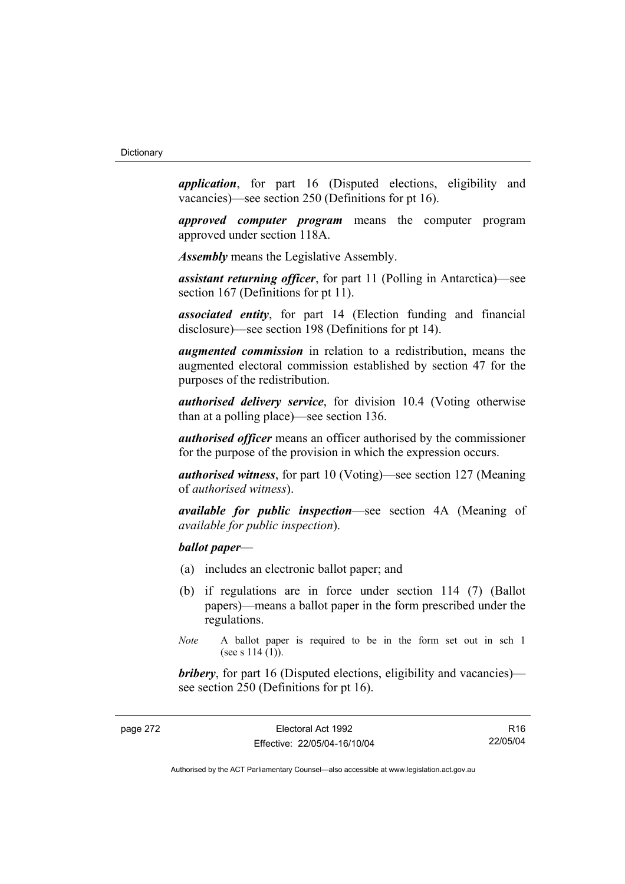*application*, for part 16 (Disputed elections, eligibility and vacancies)—see section 250 (Definitions for pt 16).

*approved computer program* means the computer program approved under section 118A.

*Assembly* means the Legislative Assembly.

*assistant returning officer*, for part 11 (Polling in Antarctica)—see section 167 (Definitions for pt 11).

*associated entity*, for part 14 (Election funding and financial disclosure)—see section 198 (Definitions for pt 14).

*augmented commission* in relation to a redistribution, means the augmented electoral commission established by section 47 for the purposes of the redistribution.

*authorised delivery service*, for division 10.4 (Voting otherwise than at a polling place)—see section 136.

*authorised officer* means an officer authorised by the commissioner for the purpose of the provision in which the expression occurs.

*authorised witness*, for part 10 (Voting)—see section 127 (Meaning of *authorised witness*).

*available for public inspection*—see section 4A (Meaning of *available for public inspection*).

## *ballot paper*—

- (a) includes an electronic ballot paper; and
- (b) if regulations are in force under section 114 (7) (Ballot papers)—means a ballot paper in the form prescribed under the regulations.
- *Note* A ballot paper is required to be in the form set out in sch 1 (see s  $114(1)$ ).

*bribery*, for part 16 (Disputed elections, eligibility and vacancies) see section 250 (Definitions for pt 16).

R16 22/05/04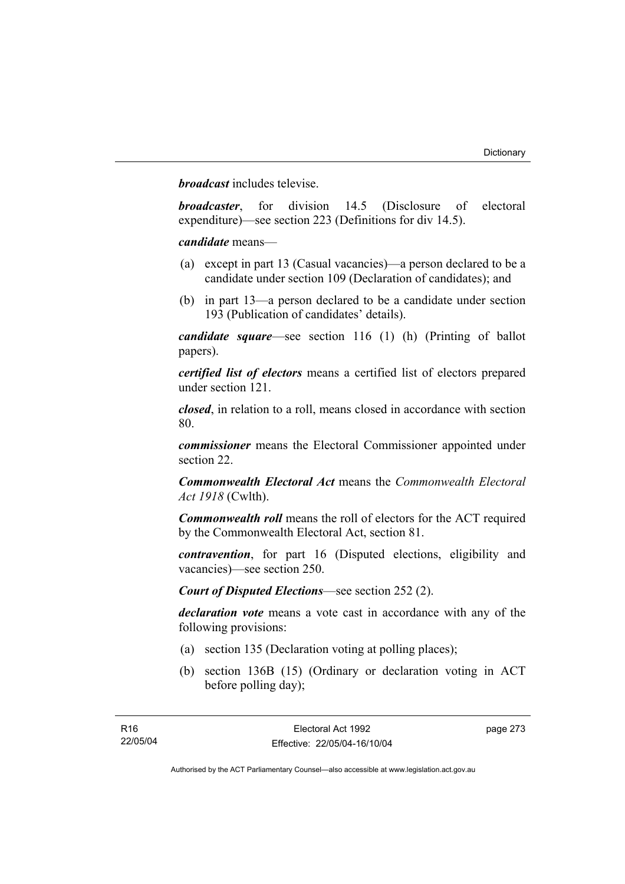*broadcast* includes televise.

*broadcaster*, for division 14.5 (Disclosure of electoral expenditure)—see section 223 (Definitions for div 14.5).

*candidate* means—

- (a) except in part 13 (Casual vacancies)—a person declared to be a candidate under section 109 (Declaration of candidates); and
- (b) in part 13—a person declared to be a candidate under section 193 (Publication of candidates' details).

*candidate square*—see section 116 (1) (h) (Printing of ballot papers).

*certified list of electors* means a certified list of electors prepared under section 121.

*closed*, in relation to a roll, means closed in accordance with section 80.

*commissioner* means the Electoral Commissioner appointed under section 22.

*Commonwealth Electoral Act* means the *Commonwealth Electoral Act 1918* (Cwlth).

*Commonwealth roll* means the roll of electors for the ACT required by the Commonwealth Electoral Act, section 81.

*contravention*, for part 16 (Disputed elections, eligibility and vacancies)—see section 250.

*Court of Disputed Elections*—see section 252 (2).

*declaration vote* means a vote cast in accordance with any of the following provisions:

- (a) section 135 (Declaration voting at polling places);
- (b) section 136B (15) (Ordinary or declaration voting in ACT before polling day);

page 273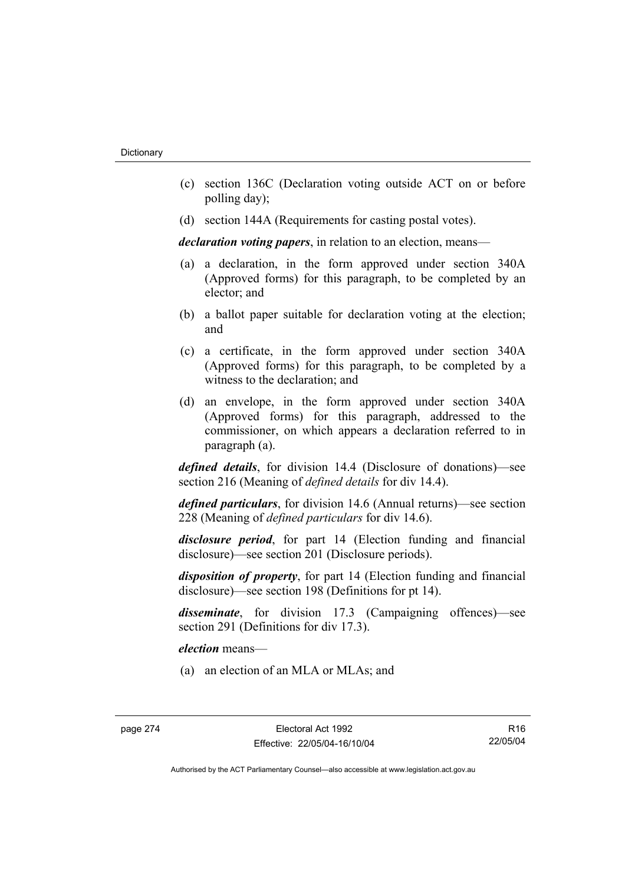- (c) section 136C (Declaration voting outside ACT on or before polling day);
- (d) section 144A (Requirements for casting postal votes).

*declaration voting papers*, in relation to an election, means—

- (a) a declaration, in the form approved under section 340A (Approved forms) for this paragraph, to be completed by an elector; and
- (b) a ballot paper suitable for declaration voting at the election; and
- (c) a certificate, in the form approved under section 340A (Approved forms) for this paragraph, to be completed by a witness to the declaration; and
- (d) an envelope, in the form approved under section 340A (Approved forms) for this paragraph, addressed to the commissioner, on which appears a declaration referred to in paragraph (a).

*defined details*, for division 14.4 (Disclosure of donations)—see section 216 (Meaning of *defined details* for div 14.4).

*defined particulars*, for division 14.6 (Annual returns)—see section 228 (Meaning of *defined particulars* for div 14.6).

*disclosure period*, for part 14 (Election funding and financial disclosure)—see section 201 (Disclosure periods).

*disposition of property*, for part 14 (Election funding and financial disclosure)—see section 198 (Definitions for pt 14).

*disseminate*, for division 17.3 (Campaigning offences)—see section 291 (Definitions for div 17.3).

*election* means—

(a) an election of an MLA or MLAs; and

R16 22/05/04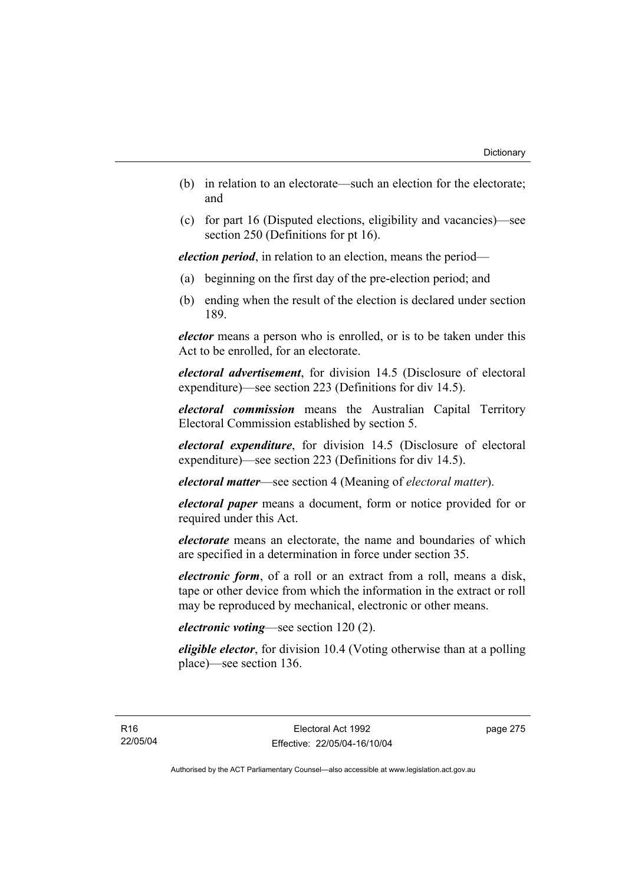- (b) in relation to an electorate—such an election for the electorate; and
- (c) for part 16 (Disputed elections, eligibility and vacancies)—see section 250 (Definitions for pt 16).

*election period*, in relation to an election, means the period—

- (a) beginning on the first day of the pre-election period; and
- (b) ending when the result of the election is declared under section 189.

*elector* means a person who is enrolled, or is to be taken under this Act to be enrolled, for an electorate.

*electoral advertisement*, for division 14.5 (Disclosure of electoral expenditure)—see section 223 (Definitions for div 14.5).

*electoral commission* means the Australian Capital Territory Electoral Commission established by section 5.

*electoral expenditure*, for division 14.5 (Disclosure of electoral expenditure)—see section 223 (Definitions for div 14.5).

*electoral matter*—see section 4 (Meaning of *electoral matter*).

*electoral paper* means a document, form or notice provided for or required under this Act.

*electorate* means an electorate, the name and boundaries of which are specified in a determination in force under section 35.

*electronic form*, of a roll or an extract from a roll, means a disk, tape or other device from which the information in the extract or roll may be reproduced by mechanical, electronic or other means.

## *electronic voting*—see section 120 (2).

*eligible elector*, for division 10.4 (Voting otherwise than at a polling place)—see section 136.

page 275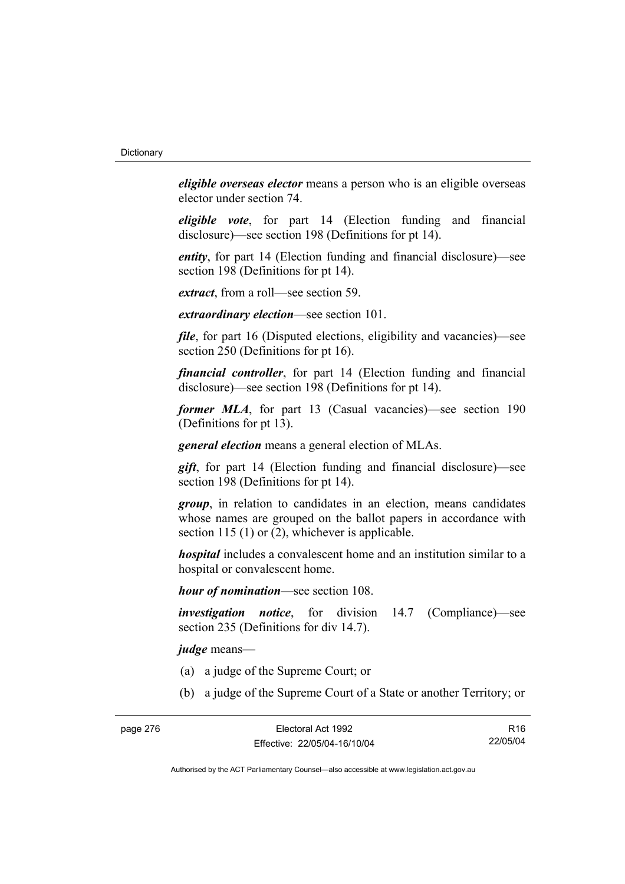*eligible overseas elector* means a person who is an eligible overseas elector under section 74.

*eligible vote*, for part 14 (Election funding and financial disclosure)—see section 198 (Definitions for pt 14).

*entity*, for part 14 (Election funding and financial disclosure)—see section 198 (Definitions for pt 14).

*extract*, from a roll—see section 59.

*extraordinary election*—see section 101.

*file*, for part 16 (Disputed elections, eligibility and vacancies)—see section 250 (Definitions for pt 16).

*financial controller*, for part 14 (Election funding and financial disclosure)—see section 198 (Definitions for pt 14).

*former MLA*, for part 13 (Casual vacancies)—see section 190 (Definitions for pt 13).

*general election* means a general election of MLAs.

*gift*, for part 14 (Election funding and financial disclosure)—see section 198 (Definitions for pt 14).

*group*, in relation to candidates in an election, means candidates whose names are grouped on the ballot papers in accordance with section 115 (1) or (2), whichever is applicable.

*hospital* includes a convalescent home and an institution similar to a hospital or convalescent home.

*hour of nomination*—see section 108.

*investigation notice*, for division 14.7 (Compliance)—see section 235 (Definitions for div 14.7).

*judge* means—

- (a) a judge of the Supreme Court; or
- (b) a judge of the Supreme Court of a State or another Territory; or

R16 22/05/04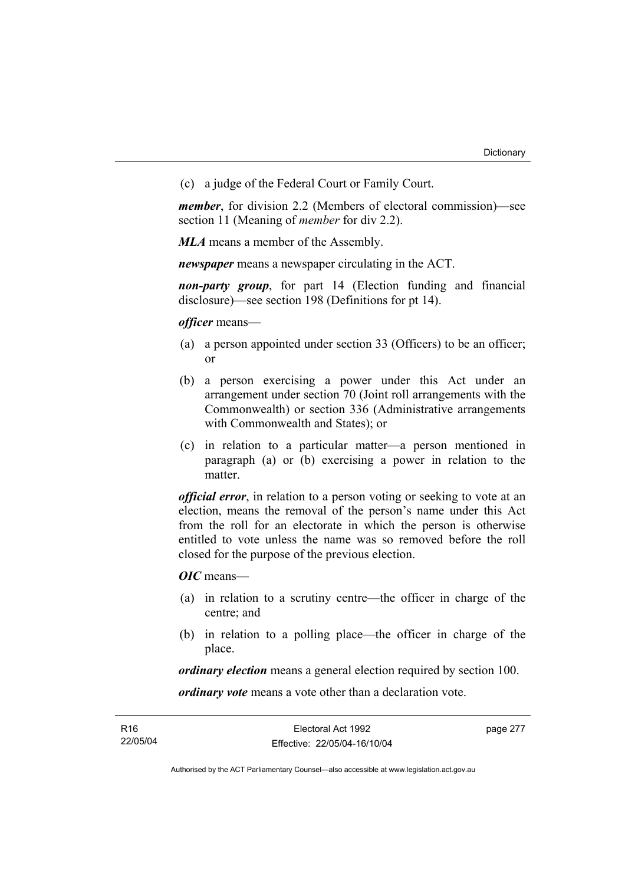(c) a judge of the Federal Court or Family Court.

*member*, for division 2.2 (Members of electoral commission)—see section 11 (Meaning of *member* for div 2.2).

*MLA* means a member of the Assembly.

*newspaper* means a newspaper circulating in the ACT.

*non-party group*, for part 14 (Election funding and financial disclosure)—see section 198 (Definitions for pt 14).

*officer* means—

- (a) a person appointed under section 33 (Officers) to be an officer; or
- (b) a person exercising a power under this Act under an arrangement under section 70 (Joint roll arrangements with the Commonwealth) or section 336 (Administrative arrangements with Commonwealth and States); or
- (c) in relation to a particular matter—a person mentioned in paragraph (a) or (b) exercising a power in relation to the matter.

*official error*, in relation to a person voting or seeking to vote at an election, means the removal of the person's name under this Act from the roll for an electorate in which the person is otherwise entitled to vote unless the name was so removed before the roll closed for the purpose of the previous election.

*OIC* means—

- (a) in relation to a scrutiny centre—the officer in charge of the centre; and
- (b) in relation to a polling place—the officer in charge of the place.

*ordinary election* means a general election required by section 100.

*ordinary vote* means a vote other than a declaration vote.

| R16      | Electoral Act 1992           | page 277 |
|----------|------------------------------|----------|
| 22/05/04 | Effective: 22/05/04-16/10/04 |          |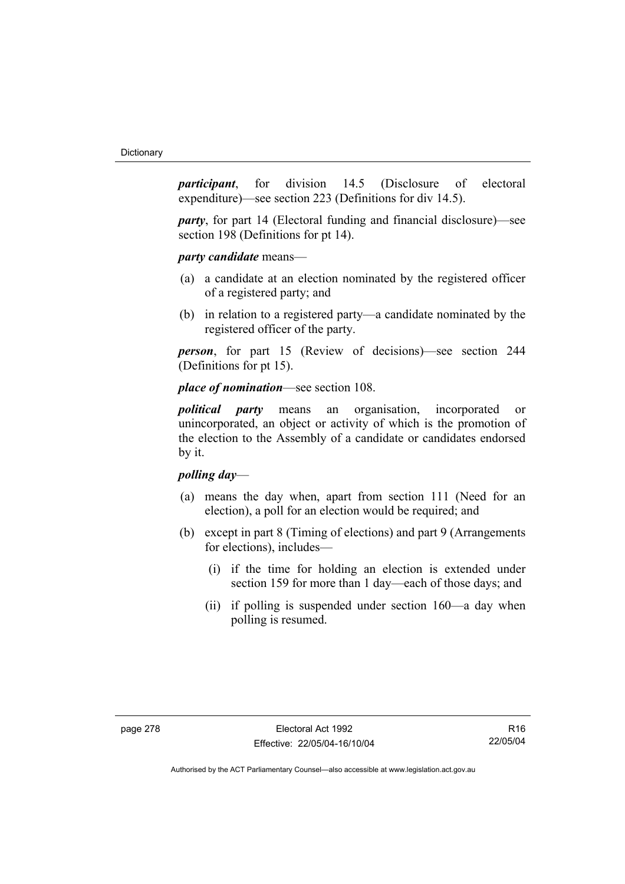*participant*, for division 14.5 (Disclosure of electoral expenditure)—see section 223 (Definitions for div 14.5).

*party*, for part 14 (Electoral funding and financial disclosure)—see section 198 (Definitions for pt 14).

*party candidate* means—

- (a) a candidate at an election nominated by the registered officer of a registered party; and
- (b) in relation to a registered party—a candidate nominated by the registered officer of the party.

*person*, for part 15 (Review of decisions)—see section 244 (Definitions for pt 15).

## *place of nomination*—see section 108.

*political party* means an organisation, incorporated or unincorporated, an object or activity of which is the promotion of the election to the Assembly of a candidate or candidates endorsed by it.

## *polling day*—

- (a) means the day when, apart from section 111 (Need for an election), a poll for an election would be required; and
- (b) except in part 8 (Timing of elections) and part 9 (Arrangements for elections), includes—
	- (i) if the time for holding an election is extended under section 159 for more than 1 day—each of those days; and
	- (ii) if polling is suspended under section 160—a day when polling is resumed.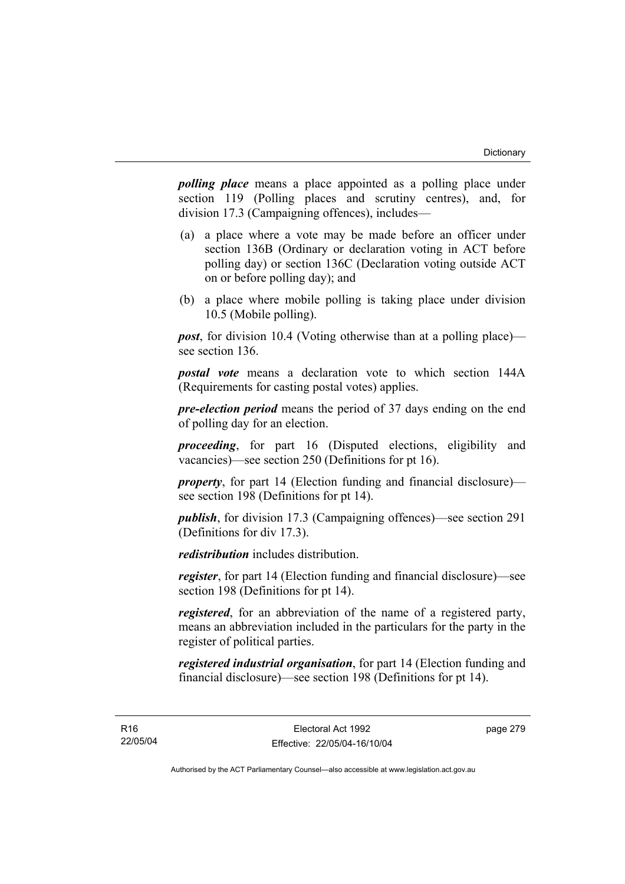*polling place* means a place appointed as a polling place under section 119 (Polling places and scrutiny centres), and, for division 17.3 (Campaigning offences), includes—

- (a) a place where a vote may be made before an officer under section 136B (Ordinary or declaration voting in ACT before polling day) or section 136C (Declaration voting outside ACT on or before polling day); and
- (b) a place where mobile polling is taking place under division 10.5 (Mobile polling).

*post*, for division 10.4 (Voting otherwise than at a polling place) see section 136.

*postal vote* means a declaration vote to which section 144A (Requirements for casting postal votes) applies.

*pre-election period* means the period of 37 days ending on the end of polling day for an election.

*proceeding*, for part 16 (Disputed elections, eligibility and vacancies)—see section 250 (Definitions for pt 16).

*property*, for part 14 (Election funding and financial disclosure) see section 198 (Definitions for pt 14).

*publish*, for division 17.3 (Campaigning offences)—see section 291 (Definitions for div 17.3).

*redistribution* includes distribution.

*register*, for part 14 (Election funding and financial disclosure)—see section 198 (Definitions for pt 14).

*registered*, for an abbreviation of the name of a registered party, means an abbreviation included in the particulars for the party in the register of political parties.

*registered industrial organisation*, for part 14 (Election funding and financial disclosure)—see section 198 (Definitions for pt 14).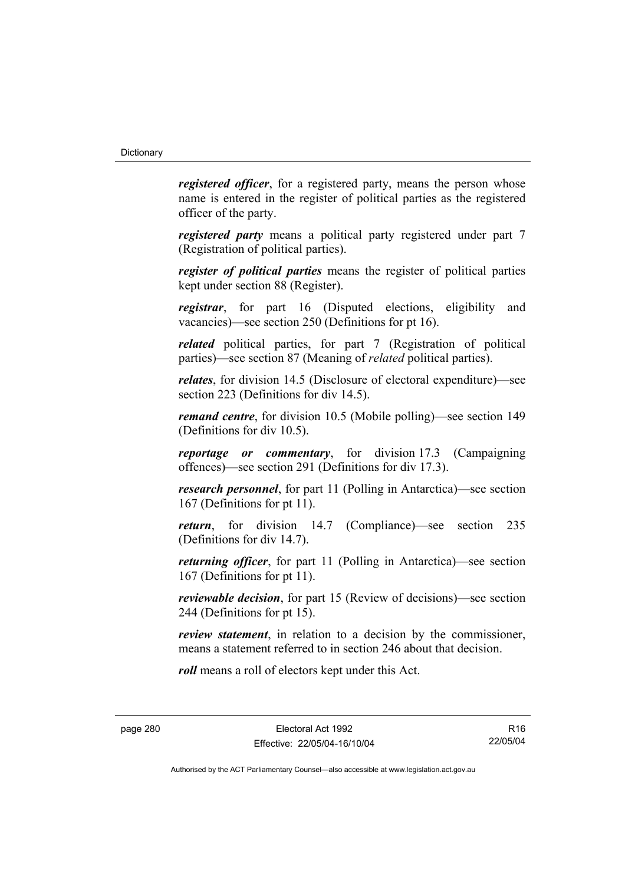*registered officer*, for a registered party, means the person whose name is entered in the register of political parties as the registered officer of the party.

*registered party* means a political party registered under part 7 (Registration of political parties).

*register of political parties* means the register of political parties kept under section 88 (Register).

*registrar*, for part 16 (Disputed elections, eligibility and vacancies)—see section 250 (Definitions for pt 16).

*related* political parties, for part 7 (Registration of political parties)—see section 87 (Meaning of *related* political parties).

*relates*, for division 14.5 (Disclosure of electoral expenditure)—see section 223 (Definitions for div 14.5).

*remand centre*, for division 10.5 (Mobile polling)—see section 149 (Definitions for div 10.5).

*reportage or commentary*, for division 17.3 (Campaigning offences)—see section 291 (Definitions for div 17.3).

*research personnel*, for part 11 (Polling in Antarctica)—see section 167 (Definitions for pt 11).

*return*, for division 14.7 (Compliance)—see section 235 (Definitions for div 14.7).

*returning officer*, for part 11 (Polling in Antarctica)—see section 167 (Definitions for pt 11).

*reviewable decision*, for part 15 (Review of decisions)—see section 244 (Definitions for pt 15).

*review statement*, in relation to a decision by the commissioner, means a statement referred to in section 246 about that decision.

*roll* means a roll of electors kept under this Act.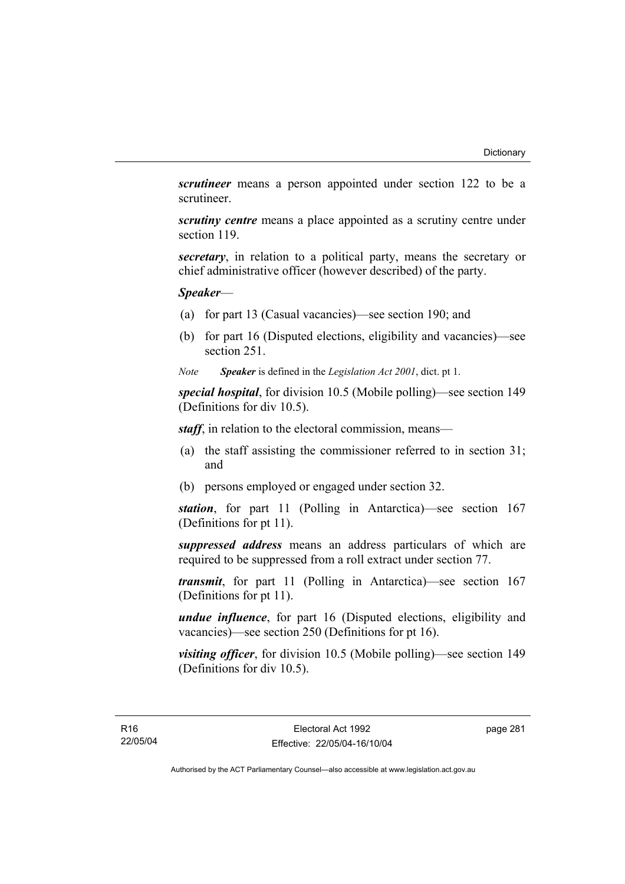*scrutineer* means a person appointed under section 122 to be a scrutineer.

*scrutiny centre* means a place appointed as a scrutiny centre under section 119.

*secretary*, in relation to a political party, means the secretary or chief administrative officer (however described) of the party.

## *Speaker*—

- (a) for part 13 (Casual vacancies)—see section 190; and
- (b) for part 16 (Disputed elections, eligibility and vacancies)—see section 251.
- *Note Speaker* is defined in the *Legislation Act 2001*, dict. pt 1.

*special hospital*, for division 10.5 (Mobile polling)—see section 149 (Definitions for div 10.5).

*staff*, in relation to the electoral commission, means—

- (a) the staff assisting the commissioner referred to in section 31; and
- (b) persons employed or engaged under section 32.

*station*, for part 11 (Polling in Antarctica)—see section 167 (Definitions for pt 11).

*suppressed address* means an address particulars of which are required to be suppressed from a roll extract under section 77.

*transmit*, for part 11 (Polling in Antarctica)—see section 167 (Definitions for pt 11).

*undue influence*, for part 16 (Disputed elections, eligibility and vacancies)—see section 250 (Definitions for pt 16).

*visiting officer*, for division 10.5 (Mobile polling)—see section 149 (Definitions for div 10.5).

page 281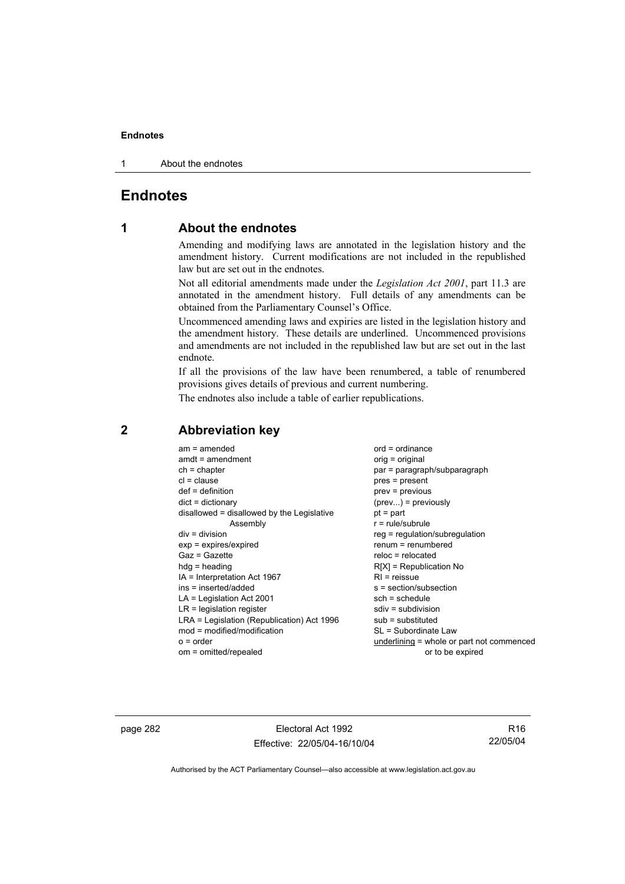1 About the endnotes

## **Endnotes**

## **1 About the endnotes**

Amending and modifying laws are annotated in the legislation history and the amendment history. Current modifications are not included in the republished law but are set out in the endnotes.

Not all editorial amendments made under the *Legislation Act 2001*, part 11.3 are annotated in the amendment history. Full details of any amendments can be obtained from the Parliamentary Counsel's Office.

Uncommenced amending laws and expiries are listed in the legislation history and the amendment history. These details are underlined. Uncommenced provisions and amendments are not included in the republished law but are set out in the last endnote.

If all the provisions of the law have been renumbered, a table of renumbered provisions gives details of previous and current numbering.

The endnotes also include a table of earlier republications.

| $am = amended$<br>$amdt = amendment$<br>$ch = chapter$<br>$cl = clause$<br>$def = definition$<br>$dict = dictionary$<br>disallowed = disallowed by the Legislative<br>Assembly<br>$div = division$<br>$exp = expires/expired$<br>$Gaz = Gazette$<br>$hda =$ heading<br>IA = Interpretation Act 1967<br>ins = inserted/added<br>$LA =$ Legislation Act 2001<br>$LR =$ legislation register<br>LRA = Legislation (Republication) Act 1996<br>mod = modified/modification<br>$o = order$ | $ord = ordinance$<br>orig = original<br>par = paragraph/subparagraph<br>$pres = present$<br>prev = previous<br>$(\text{prev})$ = previously<br>$pt = part$<br>$r = rule/subrule$<br>$reg = regulation/subregulation$<br>$renum = renumbered$<br>$reloc = relocated$<br>$R[X]$ = Republication No<br>$RI = reissue$<br>$s = section/subsection$<br>$sch = schedule$<br>$sdiv = subdivision$<br>$sub =$ substituted<br>SL = Subordinate Law<br>underlining = whole or part not commenced |
|---------------------------------------------------------------------------------------------------------------------------------------------------------------------------------------------------------------------------------------------------------------------------------------------------------------------------------------------------------------------------------------------------------------------------------------------------------------------------------------|----------------------------------------------------------------------------------------------------------------------------------------------------------------------------------------------------------------------------------------------------------------------------------------------------------------------------------------------------------------------------------------------------------------------------------------------------------------------------------------|
| om = omitted/repealed                                                                                                                                                                                                                                                                                                                                                                                                                                                                 | or to be expired                                                                                                                                                                                                                                                                                                                                                                                                                                                                       |
|                                                                                                                                                                                                                                                                                                                                                                                                                                                                                       |                                                                                                                                                                                                                                                                                                                                                                                                                                                                                        |

## **2 Abbreviation key**

page 282 Electoral Act 1992 Effective: 22/05/04-16/10/04

R16 22/05/04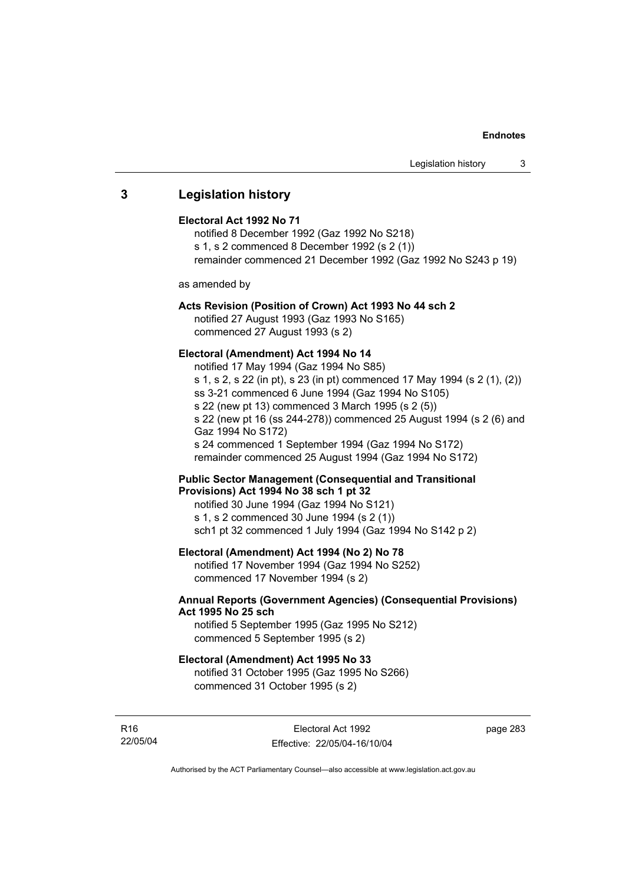## **3 Legislation history**

### **Electoral Act 1992 No 71**

notified 8 December 1992 (Gaz 1992 No S218) s 1, s 2 commenced 8 December 1992 (s 2 (1)) remainder commenced 21 December 1992 (Gaz 1992 No S243 p 19)

as amended by

## **Acts Revision (Position of Crown) Act 1993 No 44 sch 2**

notified 27 August 1993 (Gaz 1993 No S165) commenced 27 August 1993 (s 2)

## **Electoral (Amendment) Act 1994 No 14**

notified 17 May 1994 (Gaz 1994 No S85) s 1, s 2, s 22 (in pt), s 23 (in pt) commenced 17 May 1994 (s 2 (1), (2)) ss 3-21 commenced 6 June 1994 (Gaz 1994 No S105) s 22 (new pt 13) commenced 3 March 1995 (s 2 (5)) s 22 (new pt 16 (ss 244-278)) commenced 25 August 1994 (s 2 (6) and Gaz 1994 No S172) s 24 commenced 1 September 1994 (Gaz 1994 No S172) remainder commenced 25 August 1994 (Gaz 1994 No S172)

## **Public Sector Management (Consequential and Transitional Provisions) Act 1994 No 38 sch 1 pt 32**

notified 30 June 1994 (Gaz 1994 No S121) s 1, s 2 commenced 30 June 1994 (s 2 (1)) sch1 pt 32 commenced 1 July 1994 (Gaz 1994 No S142 p 2)

## **Electoral (Amendment) Act 1994 (No 2) No 78**

notified 17 November 1994 (Gaz 1994 No S252) commenced 17 November 1994 (s 2)

## **Annual Reports (Government Agencies) (Consequential Provisions) Act 1995 No 25 sch**

notified 5 September 1995 (Gaz 1995 No S212) commenced 5 September 1995 (s 2)

### **Electoral (Amendment) Act 1995 No 33**

notified 31 October 1995 (Gaz 1995 No S266) commenced 31 October 1995 (s 2)

R16 22/05/04 page 283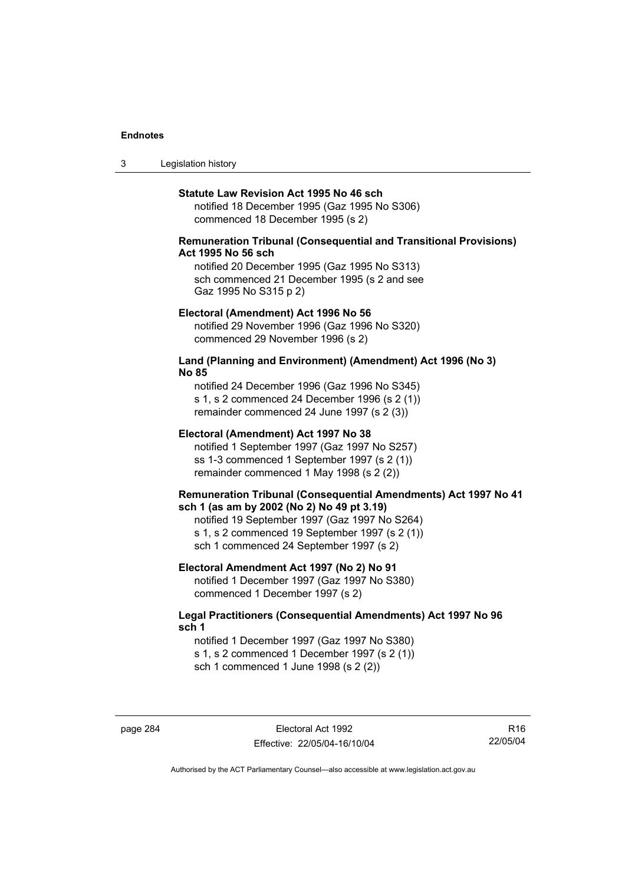3 Legislation history

#### **Statute Law Revision Act 1995 No 46 sch**

notified 18 December 1995 (Gaz 1995 No S306) commenced 18 December 1995 (s 2)

## **Remuneration Tribunal (Consequential and Transitional Provisions) Act 1995 No 56 sch**

notified 20 December 1995 (Gaz 1995 No S313) sch commenced 21 December 1995 (s 2 and see Gaz 1995 No S315 p 2)

#### **Electoral (Amendment) Act 1996 No 56**

notified 29 November 1996 (Gaz 1996 No S320) commenced 29 November 1996 (s 2)

## **Land (Planning and Environment) (Amendment) Act 1996 (No 3) No 85**

notified 24 December 1996 (Gaz 1996 No S345) s 1, s 2 commenced 24 December 1996 (s 2 (1)) remainder commenced 24 June 1997 (s 2 (3))

#### **Electoral (Amendment) Act 1997 No 38**

notified 1 September 1997 (Gaz 1997 No S257) ss 1-3 commenced 1 September 1997 (s 2 (1)) remainder commenced 1 May 1998 (s 2 (2))

### **Remuneration Tribunal (Consequential Amendments) Act 1997 No 41 sch 1 (as am by 2002 (No 2) No 49 pt 3.19)**

notified 19 September 1997 (Gaz 1997 No S264) s 1, s 2 commenced 19 September 1997 (s 2 (1)) sch 1 commenced 24 September 1997 (s 2)

## **Electoral Amendment Act 1997 (No 2) No 91**

notified 1 December 1997 (Gaz 1997 No S380) commenced 1 December 1997 (s 2)

## **Legal Practitioners (Consequential Amendments) Act 1997 No 96 sch 1**

notified 1 December 1997 (Gaz 1997 No S380) s 1, s 2 commenced 1 December 1997 (s 2 (1)) sch 1 commenced 1 June 1998 (s 2 (2))

page 284 Electoral Act 1992 Effective: 22/05/04-16/10/04

R16 22/05/04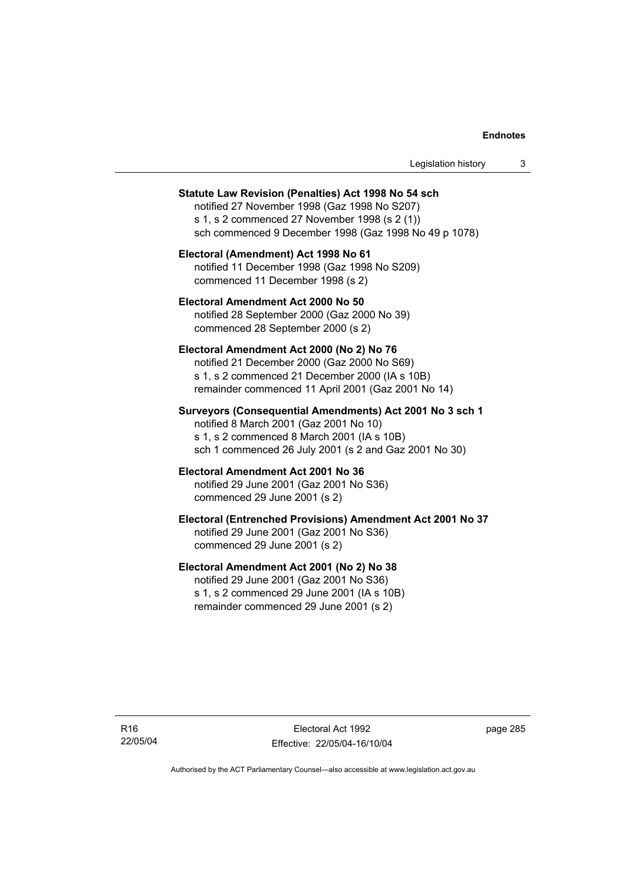| Legislation history |  |
|---------------------|--|
|---------------------|--|

#### **Statute Law Revision (Penalties) Act 1998 No 54 sch**

notified 27 November 1998 (Gaz 1998 No S207) s 1, s 2 commenced 27 November 1998 (s 2 (1)) sch commenced 9 December 1998 (Gaz 1998 No 49 p 1078)

**Electoral (Amendment) Act 1998 No 61**  notified 11 December 1998 (Gaz 1998 No S209) commenced 11 December 1998 (s 2)

**Electoral Amendment Act 2000 No 50**  notified 28 September 2000 (Gaz 2000 No 39) commenced 28 September 2000 (s 2)

#### **Electoral Amendment Act 2000 (No 2) No 76**

notified 21 December 2000 (Gaz 2000 No S69) s 1, s 2 commenced 21 December 2000 (IA s 10B) remainder commenced 11 April 2001 (Gaz 2001 No 14)

**Surveyors (Consequential Amendments) Act 2001 No 3 sch 1** 

notified 8 March 2001 (Gaz 2001 No 10) s 1, s 2 commenced 8 March 2001 (IA s 10B) sch 1 commenced 26 July 2001 (s 2 and Gaz 2001 No 30)

#### **Electoral Amendment Act 2001 No 36**  notified 29 June 2001 (Gaz 2001 No S36)

commenced 29 June 2001 (s 2)

## **Electoral (Entrenched Provisions) Amendment Act 2001 No 37**

notified 29 June 2001 (Gaz 2001 No S36) commenced 29 June 2001 (s 2)

## **Electoral Amendment Act 2001 (No 2) No 38**

notified 29 June 2001 (Gaz 2001 No S36) s 1, s 2 commenced 29 June 2001 (IA s 10B) remainder commenced 29 June 2001 (s 2)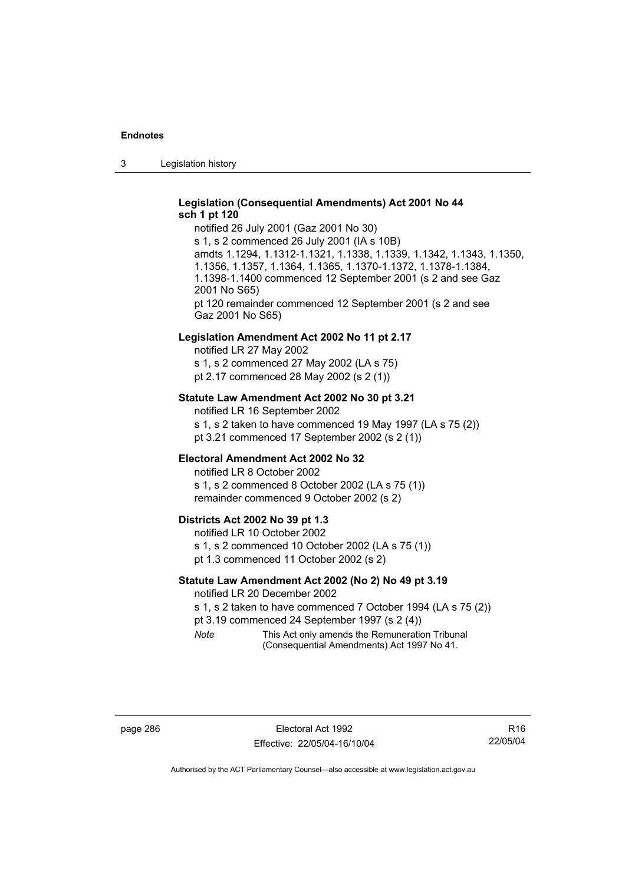3 Legislation history

## **Legislation (Consequential Amendments) Act 2001 No 44 sch 1 pt 120**

notified 26 July 2001 (Gaz 2001 No 30) s 1, s 2 commenced 26 July 2001 (IA s 10B) amdts 1.1294, 1.1312-1.1321, 1.1338, 1.1339, 1.1342, 1.1343, 1.1350, 1.1356, 1.1357, 1.1364, 1.1365, 1.1370-1.1372, 1.1378-1.1384, 1.1398-1.1400 commenced 12 September 2001 (s 2 and see Gaz 2001 No S65) pt 120 remainder commenced 12 September 2001 (s 2 and see Gaz 2001 No S65)

#### **Legislation Amendment Act 2002 No 11 pt 2.17**

notified LR 27 May 2002 s 1, s 2 commenced 27 May 2002 (LA s 75) pt 2.17 commenced 28 May 2002 (s 2 (1))

### **Statute Law Amendment Act 2002 No 30 pt 3.21**

notified LR 16 September 2002 s 1, s 2 taken to have commenced 19 May 1997 (LA s 75 (2)) pt 3.21 commenced 17 September 2002 (s 2 (1))

## **Electoral Amendment Act 2002 No 32**

notified LR 8 October 2002 s 1, s 2 commenced 8 October 2002 (LA s 75 (1)) remainder commenced 9 October 2002 (s 2)

#### **Districts Act 2002 No 39 pt 1.3**

notified LR 10 October 2002 s 1, s 2 commenced 10 October 2002 (LA s 75 (1)) pt 1.3 commenced 11 October 2002 (s 2)

## **Statute Law Amendment Act 2002 (No 2) No 49 pt 3.19**

notified LR 20 December 2002

s 1, s 2 taken to have commenced 7 October 1994 (LA s 75 (2))

pt 3.19 commenced 24 September 1997 (s 2 (4))

*Note* This Act only amends the Remuneration Tribunal (Consequential Amendments) Act 1997 No 41.

R16 22/05/04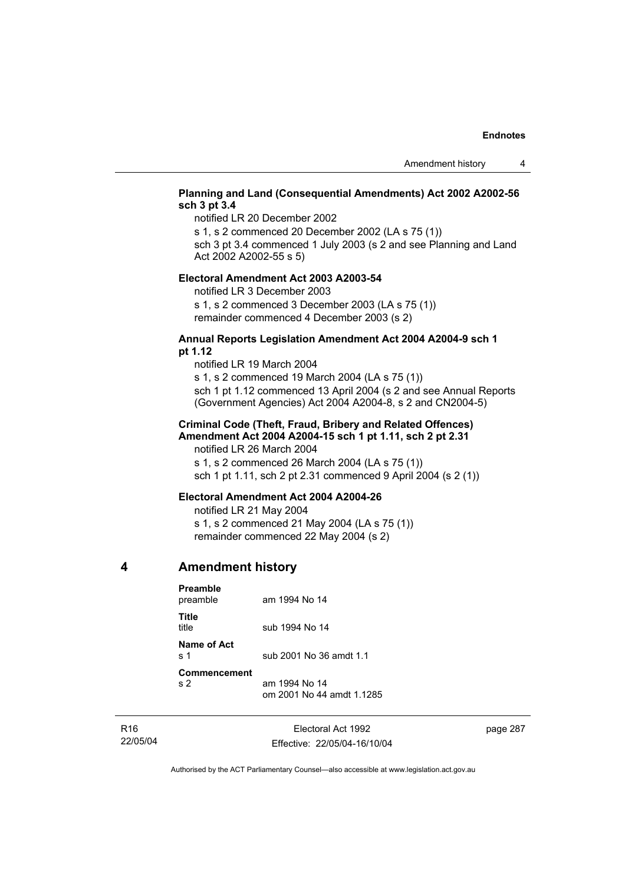## **Planning and Land (Consequential Amendments) Act 2002 A2002-56 sch 3 pt 3.4**

notified LR 20 December 2002

s 1, s 2 commenced 20 December 2002 (LA s 75 (1))

sch 3 pt 3.4 commenced 1 July 2003 (s 2 and see Planning and Land Act 2002 A2002-55 s 5)

## **Electoral Amendment Act 2003 A2003-54**

notified LR 3 December 2003

s 1, s 2 commenced 3 December 2003 (LA s 75 (1)) remainder commenced 4 December 2003 (s 2)

## **Annual Reports Legislation Amendment Act 2004 A2004-9 sch 1 pt 1.12**

notified LR 19 March 2004 s 1, s 2 commenced 19 March 2004 (LA s 75 (1)) sch 1 pt 1.12 commenced 13 April 2004 (s 2 and see Annual Reports (Government Agencies) Act 2004 A2004-8, s 2 and CN2004-5)

## **Criminal Code (Theft, Fraud, Bribery and Related Offences) Amendment Act 2004 A2004-15 sch 1 pt 1.11, sch 2 pt 2.31**

notified LR 26 March 2004 s 1, s 2 commenced 26 March 2004 (LA s 75 (1)) sch 1 pt 1.11, sch 2 pt 2.31 commenced 9 April 2004 (s 2 (1))

## **Electoral Amendment Act 2004 A2004-26**

notified LR 21 May 2004 s 1, s 2 commenced 21 May 2004 (LA s 75 (1))

remainder commenced 22 May 2004 (s 2)

## **4 Amendment history**

| <b>Preamble</b><br>preamble                | am 1994 No 14                              |
|--------------------------------------------|--------------------------------------------|
| Title<br>title                             | sub 1994 No 14                             |
| Name of Act<br>$\boldsymbol{\mathsf{s}}$ 1 | sub 2001 No 36 amdt 1.1                    |
| Commencement<br>s <sub>2</sub>             | am 1994 No 14<br>om 2001 No 44 amdt 1.1285 |

R16 22/05/04

Electoral Act 1992 Effective: 22/05/04-16/10/04 page 287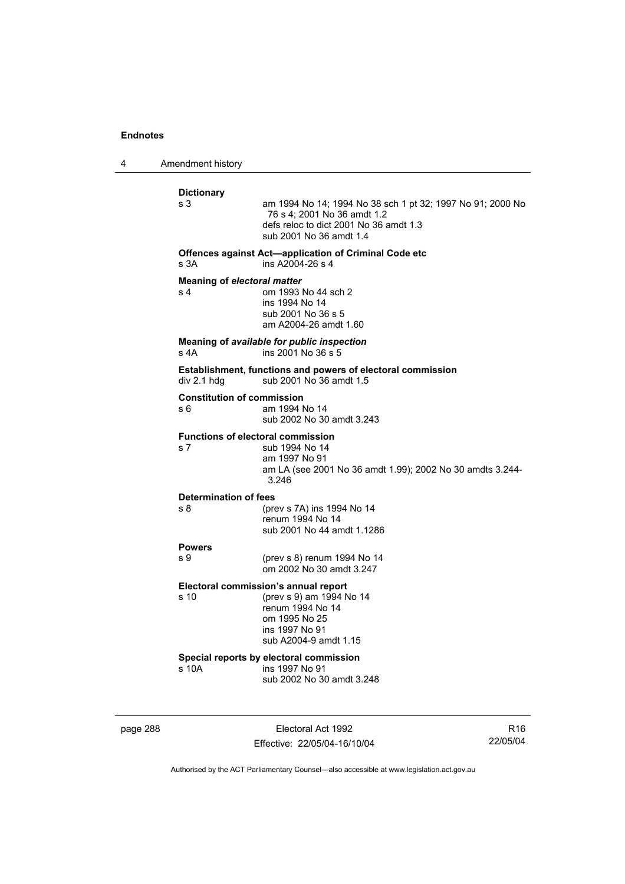4 Amendment history **Dictionary**  am 1994 No 14; 1994 No 38 sch 1 pt 32; 1997 No 91; 2000 No 76 s 4; 2001 No 36 amdt 1.2 defs reloc to dict 2001 No 36 amdt 1.3 sub 2001 No 36 amdt 1.4 **Offences against Act—application of Criminal Code etc**  s 3A ins A2004-26 s 4 **Meaning of** *electoral matter* s 4 om 1993 No 44 sch 2 ins 1994 No 14 sub 2001 No 36 s 5 am A2004-26 amdt 1.60 **Meaning of** *available for public inspection* s 4A ins 2001 No 36 s 5 **Establishment, functions and powers of electoral commission**  div 2.1 hdg sub 2001 No  $36$  amdt 1.5 **Constitution of commission**  s 6 am 1994 No 14 sub 2002 No 30 amdt 3.243 **Functions of electoral commission**  s 7 sub 1994 No 14 am 1997 No 91 am LA (see 2001 No 36 amdt 1.99); 2002 No 30 amdts 3.244- 3.246 **Determination of fees**  s 8 (prev s 7A) ins 1994 No 14 renum 1994 No 14 sub 2001 No 44 amdt 1.1286 **Powers**  (prev s 8) renum 1994 No 14 om 2002 No 30 amdt 3.247 **Electoral commission's annual report**  s 10 (prev s 9) am 1994 No 14 renum 1994 No 14 om 1995 No 25 ins 1997 No 91 sub A2004-9 amdt 1.15 **Special reports by electoral commission**  s 10A ins 1997 No 91 sub 2002 No 30 amdt 3.248

page 288 Electoral Act 1992 Effective: 22/05/04-16/10/04

R16 22/05/04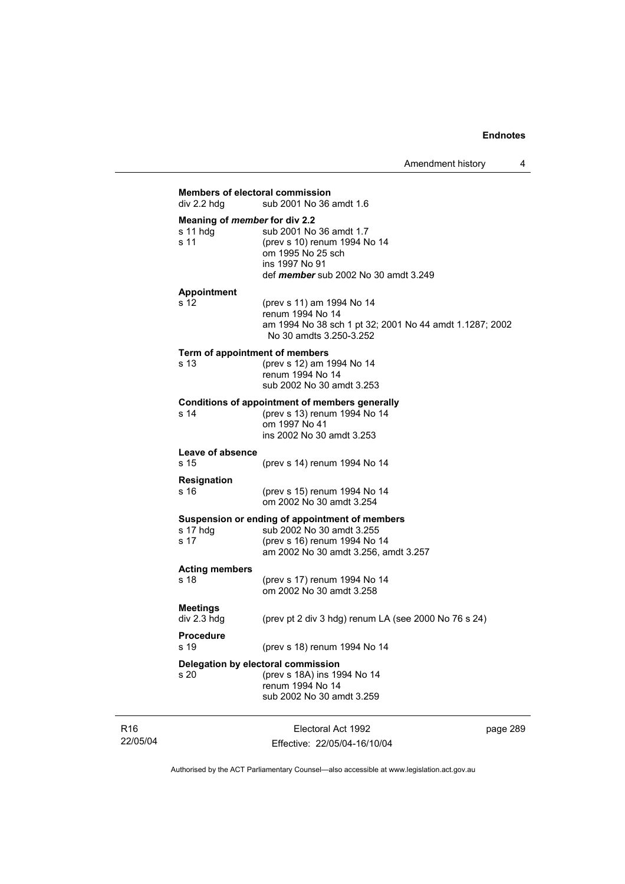| div 2.2 hda                    | sub 2001 No 36 amdt 1.6                                                                                                                                                 |
|--------------------------------|-------------------------------------------------------------------------------------------------------------------------------------------------------------------------|
| s 11 hdg<br>s 11               | Meaning of member for div 2.2<br>sub 2001 No 36 amdt 1.7<br>(prev s 10) renum 1994 No 14<br>om 1995 No 25 sch<br>ins 1997 No 91<br>def member sub 2002 No 30 amdt 3.249 |
| <b>Appointment</b>             |                                                                                                                                                                         |
| s 12                           | (prev s 11) am 1994 No 14<br>renum 1994 No 14<br>am 1994 No 38 sch 1 pt 32; 2001 No 44 amdt 1.1287; 2002<br>No 30 amdts 3.250-3.252                                     |
| s 13                           | Term of appointment of members<br>(prev s 12) am 1994 No 14<br>renum 1994 No 14<br>sub 2002 No 30 amdt 3.253                                                            |
| s 14                           | <b>Conditions of appointment of members generally</b><br>(prev s 13) renum 1994 No 14<br>om 1997 No 41<br>ins 2002 No 30 amdt 3.253                                     |
| Leave of absence<br>s 15       | (prev s 14) renum 1994 No 14                                                                                                                                            |
| <b>Resignation</b><br>s 16     | (prev s 15) renum 1994 No 14<br>om 2002 No 30 amdt 3.254                                                                                                                |
| s 17 hdg<br>s 17               | Suspension or ending of appointment of members<br>sub 2002 No 30 amdt 3.255<br>(prev s 16) renum 1994 No 14<br>am 2002 No 30 amdt 3.256, amdt 3.257                     |
| <b>Acting members</b><br>s 18  | (prev s 17) renum 1994 No 14<br>om 2002 No 30 amdt 3.258                                                                                                                |
| <b>Meetings</b><br>div 2.3 hdg | (prev pt 2 div 3 hdg) renum LA (see 2000 No 76 s 24)                                                                                                                    |
| <b>Procedure</b><br>s 19       | (prev s 18) renum 1994 No 14                                                                                                                                            |
| s 20                           | Delegation by electoral commission<br>(prev s 18A) ins 1994 No 14<br>renum 1994 No 14<br>sub 2002 No 30 amdt 3.259                                                      |

R16 22/05/04

Electoral Act 1992 Effective: 22/05/04-16/10/04 page 289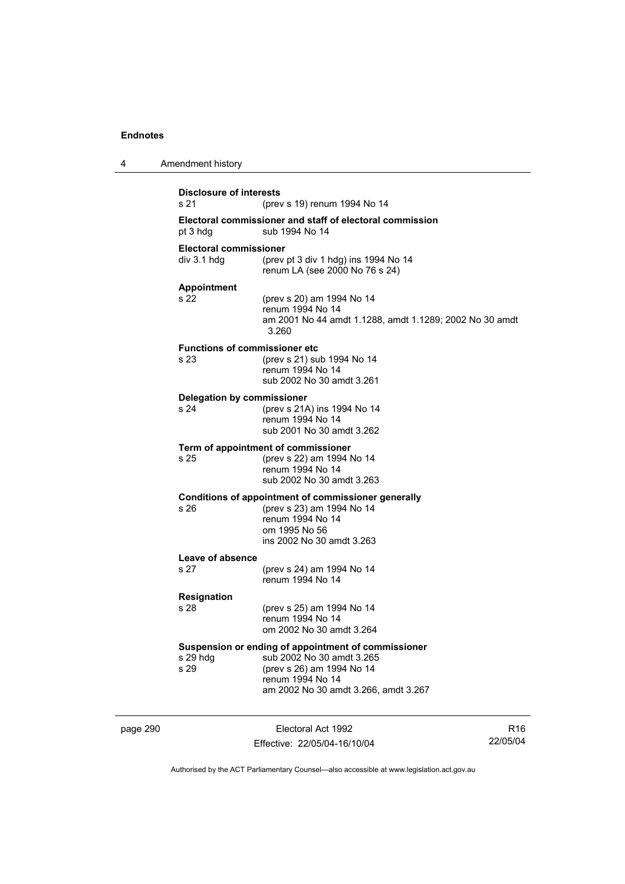| 4        | Amendment history                            |                                                                                                                                                                           |                 |
|----------|----------------------------------------------|---------------------------------------------------------------------------------------------------------------------------------------------------------------------------|-----------------|
|          | <b>Disclosure of interests</b><br>s 21       | (prev s 19) renum 1994 No 14                                                                                                                                              |                 |
|          | pt 3 hdg                                     | Electoral commissioner and staff of electoral commission<br>sub 1994 No 14                                                                                                |                 |
|          | <b>Electoral commissioner</b><br>div 3.1 hda | (prev pt 3 div 1 hdg) ins 1994 No 14<br>renum LA (see 2000 No 76 s 24)                                                                                                    |                 |
|          | <b>Appointment</b><br>s 22                   | (prev s 20) am 1994 No 14<br>renum 1994 No 14<br>am 2001 No 44 amdt 1.1288, amdt 1.1289; 2002 No 30 amdt<br>3.260                                                         |                 |
|          | <b>Functions of commissioner etc</b><br>s 23 | (prev s 21) sub 1994 No 14<br>renum 1994 No 14<br>sub 2002 No 30 amdt 3.261                                                                                               |                 |
|          | <b>Delegation by commissioner</b><br>s 24    | (prev s 21A) ins 1994 No 14<br>renum 1994 No 14<br>sub 2001 No 30 amdt 3.262                                                                                              |                 |
|          | s 25                                         | Term of appointment of commissioner<br>(prev s 22) am 1994 No 14<br>renum 1994 No 14<br>sub 2002 No 30 amdt 3.263                                                         |                 |
|          | s 26                                         | Conditions of appointment of commissioner generally<br>(prev s 23) am 1994 No 14<br>renum 1994 No 14<br>om 1995 No 56<br>ins 2002 No 30 amdt 3.263                        |                 |
|          | Leave of absence<br>s 27                     | (prev s 24) am 1994 No 14<br>renum 1994 No 14                                                                                                                             |                 |
|          | <b>Resignation</b><br>s 28                   | (prev s 25) am 1994 No 14<br>renum 1994 No 14<br>om 2002 No 30 amdt 3.264                                                                                                 |                 |
|          | s 29 hdg<br>s 29                             | Suspension or ending of appointment of commissioner<br>sub 2002 No 30 amdt 3.265<br>(prev s 26) am 1994 No 14<br>renum 1994 No 14<br>am 2002 No 30 amdt 3.266, amdt 3.267 |                 |
| page 290 |                                              | Electoral Act 1992                                                                                                                                                        | R <sub>16</sub> |

Effective: 22/05/04-16/10/04

R16 22/05/04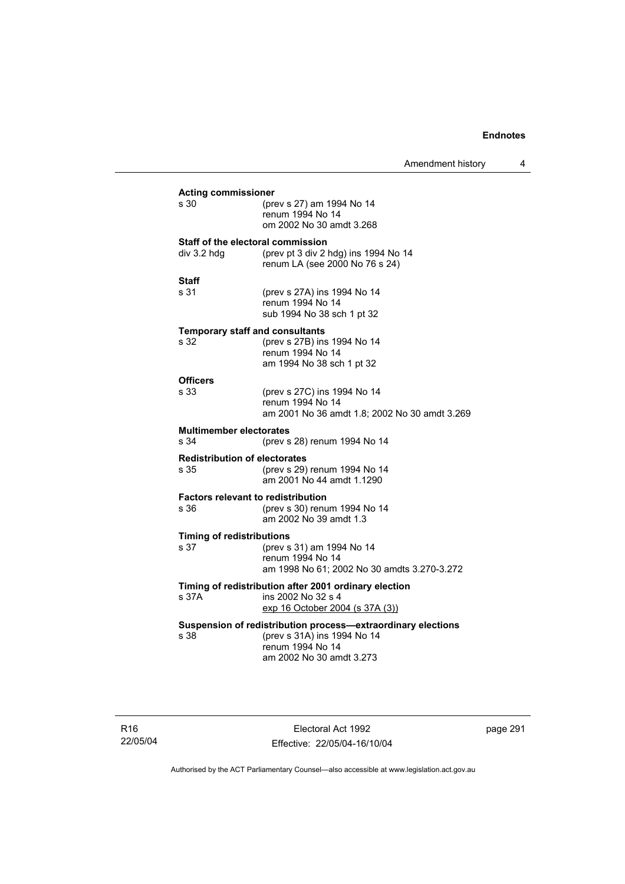Amendment history 4

| <b>Acting commissioner</b>                                   |                                               |  |  |
|--------------------------------------------------------------|-----------------------------------------------|--|--|
| s 30                                                         | (prev s 27) am 1994 No 14<br>renum 1994 No 14 |  |  |
|                                                              | om 2002 No 30 amdt 3.268                      |  |  |
|                                                              |                                               |  |  |
| Staff of the electoral commission<br>div 3.2 hdg             | (prev pt 3 div 2 hdg) ins 1994 No 14          |  |  |
|                                                              | renum LA (see 2000 No 76 s 24)                |  |  |
| <b>Staff</b>                                                 |                                               |  |  |
| s 31                                                         | (prev s 27A) ins 1994 No 14                   |  |  |
|                                                              | renum 1994 No 14                              |  |  |
|                                                              | sub 1994 No 38 sch 1 pt 32                    |  |  |
| <b>Temporary staff and consultants</b>                       |                                               |  |  |
| s 32                                                         | (prev s 27B) ins 1994 No 14                   |  |  |
|                                                              | renum 1994 No 14<br>am 1994 No 38 sch 1 pt 32 |  |  |
|                                                              |                                               |  |  |
| <b>Officers</b><br>s 33                                      | (prev s 27C) ins 1994 No 14                   |  |  |
|                                                              | renum 1994 No 14                              |  |  |
|                                                              | am 2001 No 36 amdt 1.8; 2002 No 30 amdt 3.269 |  |  |
| <b>Multimember electorates</b>                               |                                               |  |  |
| s 34                                                         | (prev s 28) renum 1994 No 14                  |  |  |
| <b>Redistribution of electorates</b>                         |                                               |  |  |
| s 35                                                         | (prev s 29) renum 1994 No 14                  |  |  |
|                                                              | am 2001 No 44 amdt 1.1290                     |  |  |
| <b>Factors relevant to redistribution</b>                    |                                               |  |  |
| s 36                                                         | (prev s 30) renum 1994 No 14                  |  |  |
|                                                              | am 2002 No 39 amdt 1.3                        |  |  |
| <b>Timing of redistributions</b>                             |                                               |  |  |
| s 37                                                         | (prev s 31) am 1994 No 14<br>renum 1994 No 14 |  |  |
|                                                              | am 1998 No 61; 2002 No 30 amdts 3.270-3.272   |  |  |
| Timing of redistribution after 2001 ordinary election        |                                               |  |  |
| s 37A                                                        | ins 2002 No 32 s 4                            |  |  |
|                                                              | exp 16 October 2004 (s 37A (3))               |  |  |
| Suspension of redistribution process-extraordinary elections |                                               |  |  |
| s 38                                                         | (prev s 31A) ins 1994 No 14                   |  |  |
|                                                              | renum 1994 No 14                              |  |  |
|                                                              | am 2002 No 30 amdt 3.273                      |  |  |
|                                                              |                                               |  |  |

R16 22/05/04

Electoral Act 1992 Effective: 22/05/04-16/10/04 page 291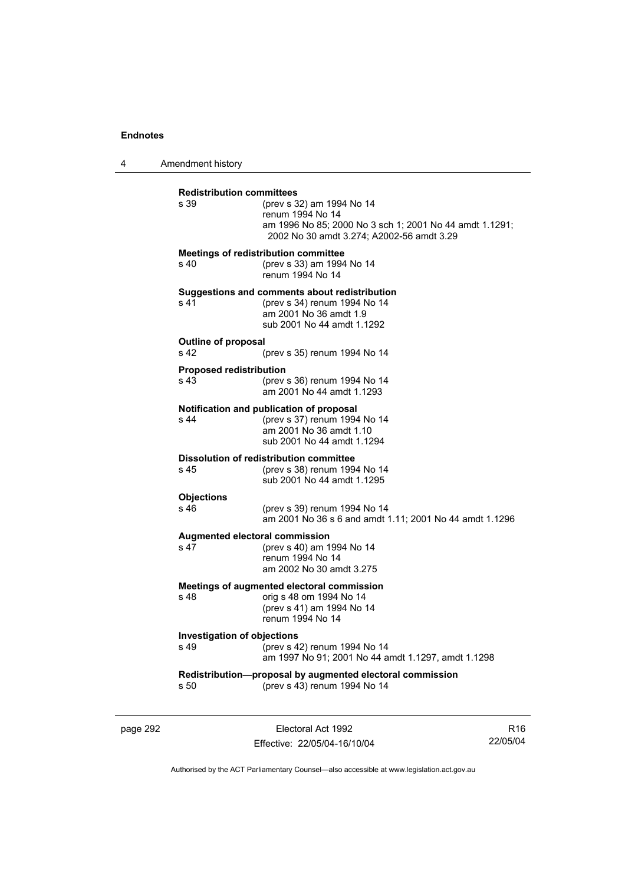4 Amendment history

| <b>Redistribution committees</b><br>s 39              | (prev s 32) am 1994 No 14<br>renum 1994 No 14<br>am 1996 No 85; 2000 No 3 sch 1; 2001 No 44 amdt 1.1291;<br>2002 No 30 amdt 3.274; A2002-56 amdt 3.29 |
|-------------------------------------------------------|-------------------------------------------------------------------------------------------------------------------------------------------------------|
| s 40                                                  | Meetings of redistribution committee<br>(prev s 33) am 1994 No 14<br>renum 1994 No 14                                                                 |
| s 41                                                  | Suggestions and comments about redistribution<br>(prev s 34) renum 1994 No 14<br>am 2001 No 36 amdt 1.9<br>sub 2001 No 44 amdt 1.1292                 |
| <b>Outline of proposal</b><br>s <sub>42</sub>         | (prev s 35) renum 1994 No 14                                                                                                                          |
| <b>Proposed redistribution</b><br>s 43                | (prev s 36) renum 1994 No 14<br>am 2001 No 44 amdt 1.1293                                                                                             |
| s <sub>44</sub>                                       | Notification and publication of proposal<br>(prev s 37) renum 1994 No 14<br>am 2001 No 36 amdt 1.10<br>sub 2001 No 44 amdt 1.1294                     |
| s 45                                                  | <b>Dissolution of redistribution committee</b><br>(prev s 38) renum 1994 No 14<br>sub 2001 No 44 amdt 1.1295                                          |
| <b>Objections</b><br>s 46                             | (prev s 39) renum 1994 No 14<br>am 2001 No 36 s 6 and amdt 1.11; 2001 No 44 amdt 1.1296                                                               |
| s <sub>47</sub>                                       | Augmented electoral commission<br>(prev s 40) am 1994 No 14<br>renum 1994 No 14<br>am 2002 No 30 amdt 3.275                                           |
| s 48                                                  | Meetings of augmented electoral commission<br>orig s 48 om 1994 No 14<br>(prev s 41) am 1994 No 14<br>renum 1994 No 14                                |
| <b>Investigation of objections</b><br>s <sub>49</sub> | (prev s 42) renum 1994 No 14<br>am 1997 No 91; 2001 No 44 amdt 1.1297, amdt 1.1298                                                                    |
| s 50                                                  | Redistribution-proposal by augmented electoral commission<br>(prev s 43) renum 1994 No 14                                                             |

page 292 **Electoral Act 1992** Effective: 22/05/04-16/10/04

R16 22/05/04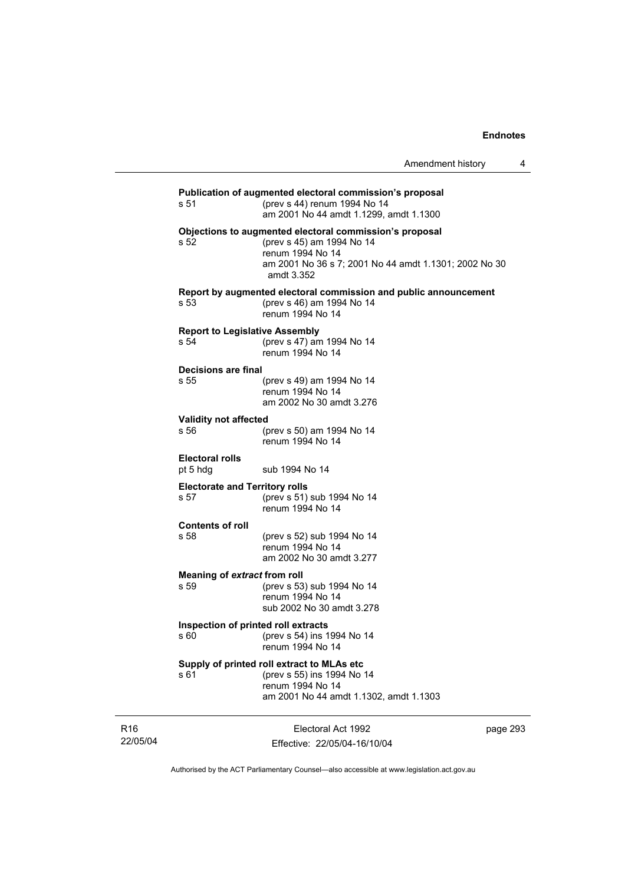| s 51                                          | Publication of augmented electoral commission's proposal<br>(prev s 44) renum 1994 No 14<br>am 2001 No 44 amdt 1.1299, amdt 1.1300                                              |
|-----------------------------------------------|---------------------------------------------------------------------------------------------------------------------------------------------------------------------------------|
| s 52                                          | Objections to augmented electoral commission's proposal<br>(prev s 45) am 1994 No 14<br>renum 1994 No 14<br>am 2001 No 36 s 7; 2001 No 44 amdt 1.1301; 2002 No 30<br>amdt 3.352 |
| s 53                                          | Report by augmented electoral commission and public announcement<br>(prev s 46) am 1994 No 14<br>renum 1994 No 14                                                               |
| <b>Report to Legislative Assembly</b><br>s 54 | (prev s 47) am 1994 No 14<br>renum 1994 No 14                                                                                                                                   |
| <b>Decisions are final</b><br>s 55            | (prev s 49) am 1994 No 14<br>renum 1994 No 14<br>am 2002 No 30 amdt 3.276                                                                                                       |
| Validity not affected<br>s 56                 | (prev s 50) am 1994 No 14<br>renum 1994 No 14                                                                                                                                   |
| <b>Electoral rolls</b><br>pt 5 hdg            | sub 1994 No 14                                                                                                                                                                  |
| <b>Electorate and Territory rolls</b><br>s 57 | (prev s 51) sub 1994 No 14<br>renum 1994 No 14                                                                                                                                  |
| <b>Contents of roll</b><br>s 58               | (prev s 52) sub 1994 No 14<br>renum 1994 No 14<br>am 2002 No 30 amdt 3.277                                                                                                      |
| Meaning of extract from roll<br>s 59          | (prev s 53) sub 1994 No 14<br>renum 1994 No 14<br>sub 2002 No 30 amdt 3.278                                                                                                     |
| Inspection of printed roll extracts<br>s 60   | (prev s 54) ins 1994 No 14<br>renum 1994 No 14                                                                                                                                  |
| s 61                                          | Supply of printed roll extract to MLAs etc<br>(prev s 55) ins 1994 No 14<br>renum 1994 No 14<br>am 2001 No 44 amdt 1.1302, amdt 1.1303                                          |
|                                               |                                                                                                                                                                                 |

R16 22/05/04

Electoral Act 1992 Effective: 22/05/04-16/10/04 page 293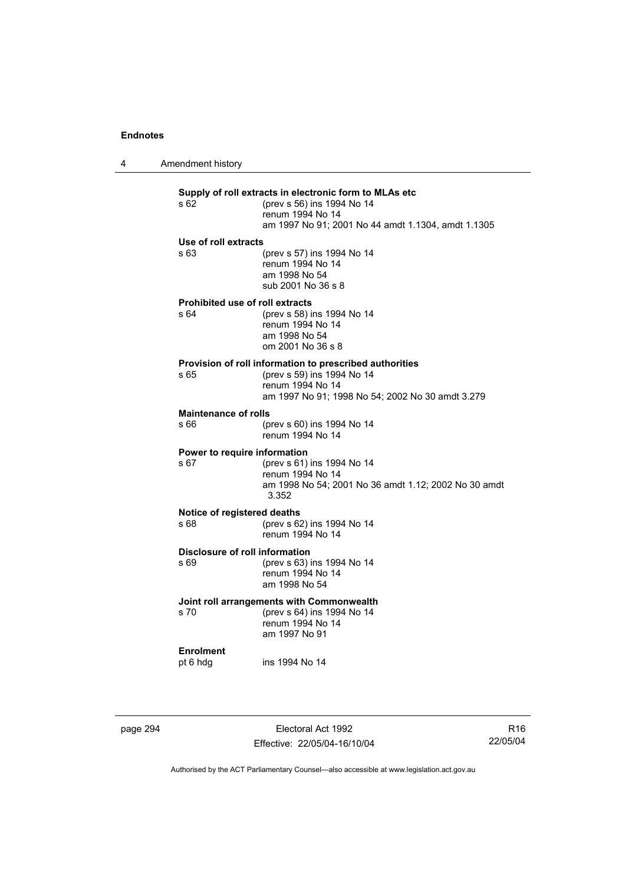4 Amendment history

## **Supply of roll extracts in electronic form to MLAs etc**  (prev s 56) ins 1994 No 14 renum 1994 No 14 am 1997 No 91; 2001 No 44 amdt 1.1304, amdt 1.1305 **Use of roll extracts**  s 63 (prev s 57) ins 1994 No 14 renum 1994 No 14 am 1998 No 54 sub 2001 No 36 s 8 **Prohibited use of roll extracts**  s 64 (prev s 58) ins 1994 No 14 renum 1994 No 14 am 1998 No 54 om 2001 No 36 s 8 **Provision of roll information to prescribed authorities**<br>  $\frac{65}{20}$  (prev s 59) ins 1994 No 14 (prev s 59) ins 1994 No 14 renum 1994 No 14 am 1997 No 91; 1998 No 54; 2002 No 30 amdt 3.279 **Maintenance of rolls**  s 66 (prev s 60) ins 1994 No 14 renum 1994 No 14 **Power to require information**  s 67 (prev s 61) ins 1994 No 14 renum 1994 No 14 am 1998 No 54; 2001 No 36 amdt 1.12; 2002 No 30 amdt 3.352 **Notice of registered deaths**  s 68 (prev s 62) ins 1994 No 14 renum 1994 No 14 **Disclosure of roll information**  s 69 (prev s 63) ins 1994 No 14 renum 1994 No 14 am 1998 No 54 **Joint roll arrangements with Commonwealth**  s 70 (prev s 64) ins 1994 No 14 renum 1994 No 14 am 1997 No 91 **Enrolment**  pt 6 hdg ins 1994 No 14

page 294 **Electoral Act 1992** Effective: 22/05/04-16/10/04

R16 22/05/04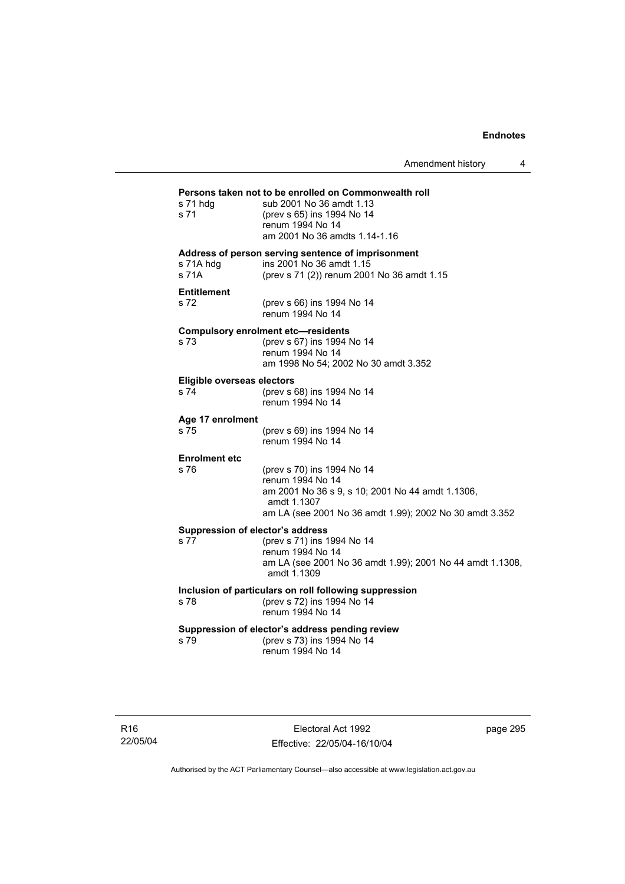Amendment history 4

## **Persons taken not to be enrolled on Commonwealth roll**  s 71 hdg sub 2001 No 36 amdt 1.13 s 71 (prev s 65) ins 1994 No 14 renum 1994 No 14 am 2001 No 36 amdts 1.14-1.16 **Address of person serving sentence of imprisonment**  s 71A hdg ins 2001 No 36 amdt 1.15<br>s 71A (prev s 71 (2)) renum 200 (prev s 71 (2)) renum 2001 No 36 amdt 1.15 **Entitlement**  s 72 (prev s 66) ins 1994 No 14 renum 1994 No 14 **Compulsory enrolment etc—residents**  (prev s 67) ins 1994 No 14 renum 1994 No 14 am 1998 No 54; 2002 No 30 amdt 3.352 **Eligible overseas electors**  s 74 (prev s 68) ins 1994 No 14 renum 1994 No 14 **Age 17 enrolment**  (prev s 69) ins 1994 No 14 renum 1994 No 14 **Enrolment etc**  (prev s 70) ins 1994 No 14 renum 1994 No 14 am 2001 No 36 s 9, s 10; 2001 No 44 amdt 1.1306, amdt 1.1307 am LA (see 2001 No 36 amdt 1.99); 2002 No 30 amdt 3.352 **Suppression of elector's address**  s 77 (prev s 71) ins 1994 No 14 renum 1994 No 14 am LA (see 2001 No 36 amdt 1.99); 2001 No 44 amdt 1.1308, amdt 1.1309 **Inclusion of particulars on roll following suppression**  s 78 (prev s 72) ins 1994 No 14 renum 1994 No 14 **Suppression of elector's address pending review**  s 79 (prev s 73) ins 1994 No 14 renum 1994 No 14

Electoral Act 1992 Effective: 22/05/04-16/10/04 page 295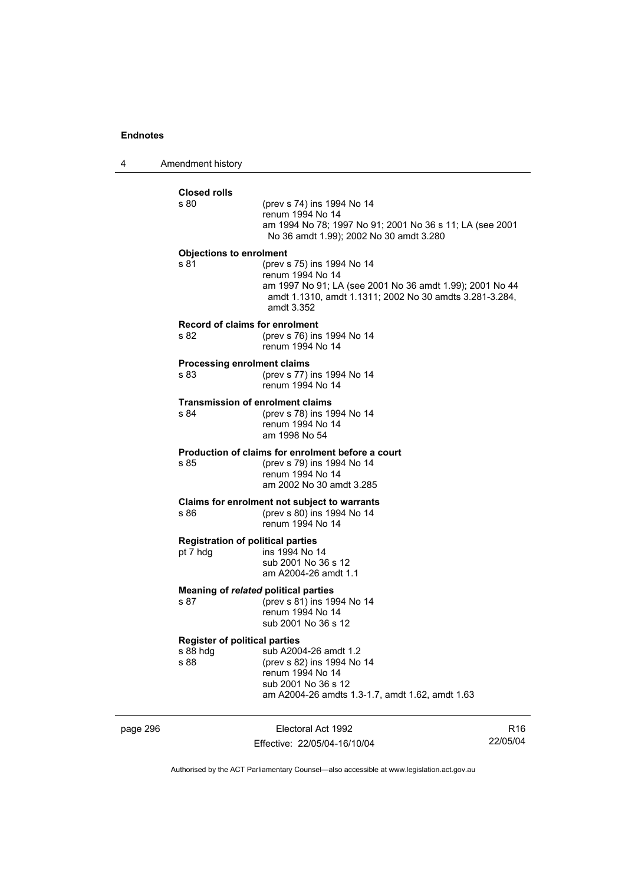4 Amendment history

| <b>Closed rolls</b><br>s 80          | (prev s 74) ins 1994 No 14<br>renum 1994 No 14<br>am 1994 No 78; 1997 No 91; 2001 No 36 s 11; LA (see 2001<br>No 36 amdt 1.99); 2002 No 30 amdt 3.280                               |
|--------------------------------------|-------------------------------------------------------------------------------------------------------------------------------------------------------------------------------------|
| <b>Objections to enrolment</b>       |                                                                                                                                                                                     |
| s 81                                 | (prev s 75) ins 1994 No 14<br>renum 1994 No 14<br>am 1997 No 91; LA (see 2001 No 36 amdt 1.99); 2001 No 44<br>amdt 1.1310, amdt 1.1311; 2002 No 30 amdts 3.281-3.284,<br>amdt 3.352 |
| s 82                                 | <b>Record of claims for enrolment</b><br>(prev s 76) ins 1994 No 14<br>renum 1994 No 14                                                                                             |
| s 83                                 | <b>Processing enrolment claims</b><br>(prev s 77) ins 1994 No 14<br>renum 1994 No 14                                                                                                |
| s 84                                 | <b>Transmission of enrolment claims</b><br>(prev s 78) ins 1994 No 14<br>renum 1994 No 14<br>am 1998 No 54                                                                          |
| s 85                                 | Production of claims for enrolment before a court<br>(prev s 79) ins 1994 No 14<br>renum 1994 No 14<br>am 2002 No 30 amdt 3.285                                                     |
| \$86                                 | Claims for enrolment not subject to warrants<br>(prev s 80) ins 1994 No 14<br>renum 1994 No 14                                                                                      |
| pt 7 hdg                             | <b>Registration of political parties</b><br>ins 1994 No 14<br>sub 2001 No 36 s 12<br>am A2004-26 amdt 1.1                                                                           |
| s 87                                 | Meaning of related political parties<br>(prev s 81) ins 1994 No 14<br>renum 1994 No 14<br>sub 2001 No 36 s 12                                                                       |
| <b>Register of political parties</b> |                                                                                                                                                                                     |
| s 88 hdg<br>s 88                     | sub A2004-26 amdt 1.2<br>(prev s 82) ins 1994 No 14<br>renum 1994 No 14<br>sub 2001 No 36 s 12<br>am A2004-26 amdts 1.3-1.7, amdt 1.62, amdt 1.63                                   |

page 296 Electoral Act 1992 Effective: 22/05/04-16/10/04

R16 22/05/04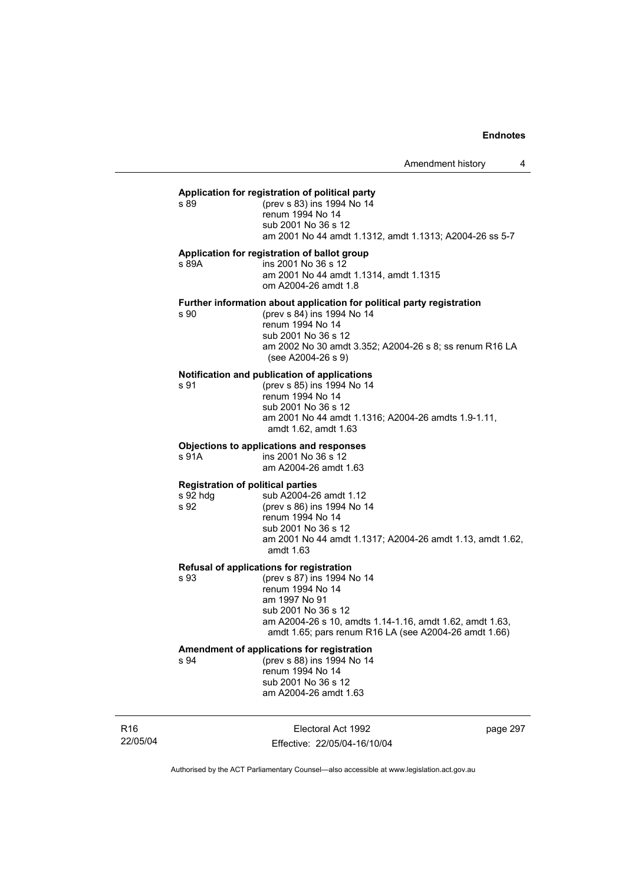#### **Application for registration of political party**

s 89 (prev s 83) ins 1994 No 14 renum 1994 No 14 sub 2001 No 36 s 12 am 2001 No 44 amdt 1.1312, amdt 1.1313; A2004-26 ss 5-7

## **Application for registration of ballot group**

s 89A ins 2001 No 36 s 12 am 2001 No 44 amdt 1.1314, amdt 1.1315 om A2004-26 amdt 1.8

#### **Further information about application for political party registration**

s 90 (prev s 84) ins 1994 No 14 renum 1994 No 14 sub 2001 No 36 s 12 am 2002 No 30 amdt 3.352; A2004-26 s 8; ss renum R16 LA (see A2004-26 s 9)

#### **Notification and publication of applications**

s 91 (prev s 85) ins 1994 No 14 renum 1994 No 14 sub 2001 No 36 s 12 am 2001 No 44 amdt 1.1316; A2004-26 amdts 1.9-1.11, amdt 1.62, amdt 1.63

#### **Objections to applications and responses**

s 91A ins 2001 No 36 s 12 am A2004-26 amdt 1.63

#### **Registration of political parties**

s 92 hdg sub A2004-26 amdt 1.12 s 92 (prev s 86) ins 1994 No 14 renum 1994 No 14 sub 2001 No 36 s 12 am 2001 No 44 amdt 1.1317; A2004-26 amdt 1.13, amdt 1.62, amdt 1.63

#### **Refusal of applications for registration**

s 93 (prev s 87) ins 1994 No 14 renum 1994 No 14 am 1997 No 91 sub 2001 No 36 s 12 am A2004-26 s 10, amdts 1.14-1.16, amdt 1.62, amdt 1.63, amdt 1.65; pars renum R16 LA (see A2004-26 amdt 1.66)

# **Amendment of applications for registration**

s 94 (prev s 88) ins 1994 No 14 renum 1994 No 14 sub 2001 No 36 s 12 am A2004-26 amdt 1.63

R16 22/05/04

Electoral Act 1992 Effective: 22/05/04-16/10/04 page 297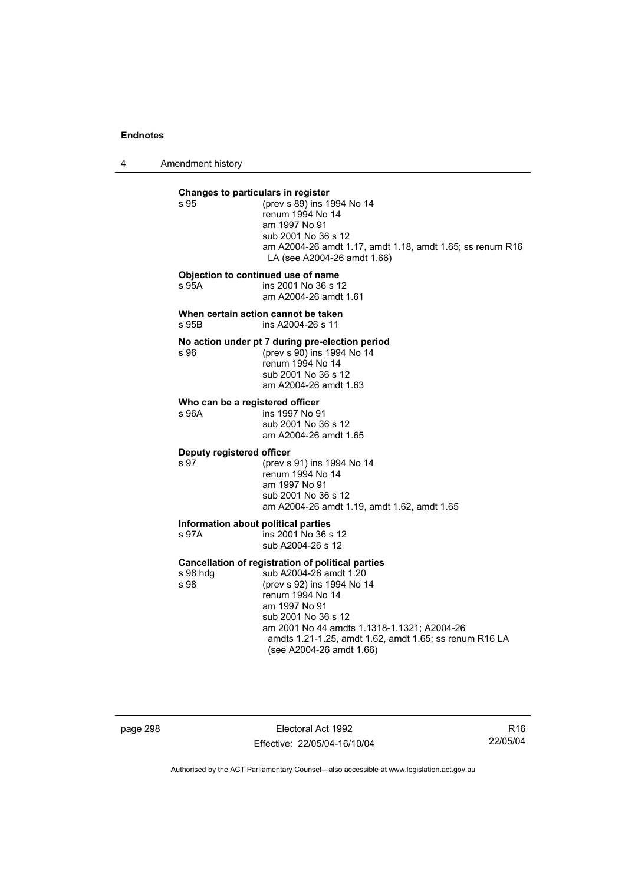4 Amendment history

**Changes to particulars in register**<br>**s** 95 (prev s 89) ins 1 (prev s 89) ins 1994 No 14 renum 1994 No 14 am 1997 No 91 sub 2001 No 36 s 12 am A2004-26 amdt 1.17, amdt 1.18, amdt 1.65; ss renum R16 LA (see A2004-26 amdt 1.66) **Objection to continued use of name**  s 95A ins 2001 No 36 s 12 am A2004-26 amdt 1.61 **When certain action cannot be taken**  s 95B ins A2004-26 s 11 **No action under pt 7 during pre-election period**  s 96 (prev s 90) ins 1994 No 14 renum 1994 No 14 sub 2001 No 36 s 12 am A2004-26 amdt 1.63 **Who can be a registered officer**<br>s 96A **ins 1997** No 9 ins 1997 No 91 sub 2001 No 36 s 12 am A2004-26 amdt 1.65 **Deputy registered officer**  s 97 (prev s 91) ins 1994 No 14 renum 1994 No 14 am 1997 No 91 sub 2001 No 36 s 12 am A2004-26 amdt 1.19, amdt 1.62, amdt 1.65 **Information about political parties**<br>s 97A **Ins** 2001 No 36 s  $ins 2001$  No 36 s 12 sub A2004-26 s 12 **Cancellation of registration of political parties**  s 98 hdg sub A2004-26 amdt 1.20<br>s 98 (prev s 92) ins 1994 No 1 (prev s 92) ins 1994 No 14 renum 1994 No 14 am 1997 No 91 sub 2001 No 36 s 12 am 2001 No 44 amdts 1.1318-1.1321; A2004-26 amdts 1.21-1.25, amdt 1.62, amdt 1.65; ss renum R16 LA (see A2004-26 amdt 1.66)

page 298 Electoral Act 1992 Effective: 22/05/04-16/10/04

R16 22/05/04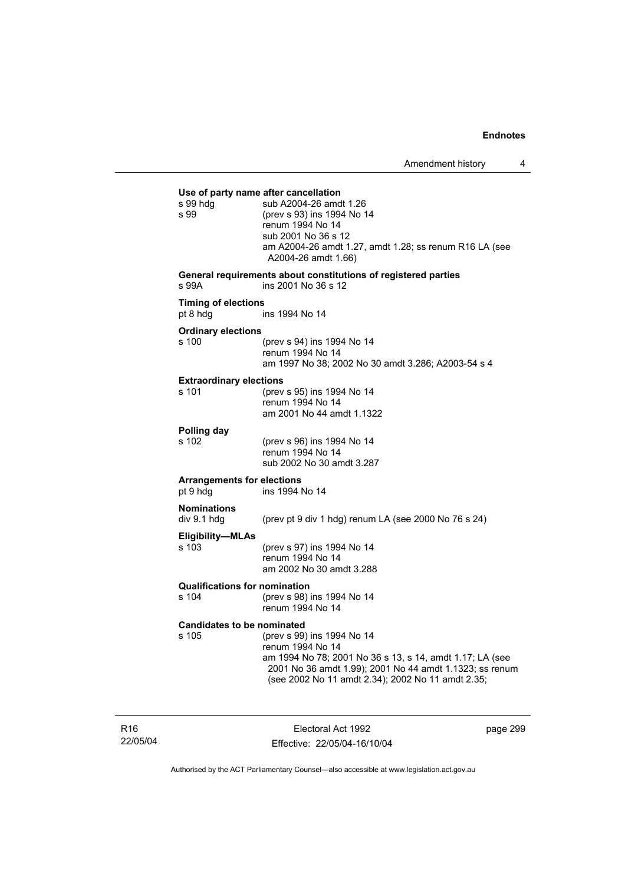| s 99 hdg<br>s 99                              | Use of party name after cancellation<br>sub A2004-26 amdt 1.26<br>(prev s 93) ins 1994 No 14<br>renum 1994 No 14<br>sub 2001 No 36 s 12<br>am A2004-26 amdt 1.27, amdt 1.28; ss renum R16 LA (see<br>A2004-26 amdt 1.66)   |
|-----------------------------------------------|----------------------------------------------------------------------------------------------------------------------------------------------------------------------------------------------------------------------------|
| s 99A                                         | General requirements about constitutions of registered parties<br>ins 2001 No 36 s 12                                                                                                                                      |
| <b>Timing of elections</b><br>pt 8 hdg        | ins 1994 No 14                                                                                                                                                                                                             |
| <b>Ordinary elections</b><br>s 100            | (prev s 94) ins 1994 No 14<br>renum 1994 No 14<br>am 1997 No 38; 2002 No 30 amdt 3.286; A2003-54 s 4                                                                                                                       |
| <b>Extraordinary elections</b><br>s 101       | (prev s 95) ins 1994 No 14<br>renum 1994 No 14<br>am 2001 No 44 amdt 1.1322                                                                                                                                                |
| Polling day<br>s 102                          | (prev s 96) ins 1994 No 14<br>renum 1994 No 14<br>sub 2002 No 30 amdt 3.287                                                                                                                                                |
| <b>Arrangements for elections</b><br>pt 9 hdg | ins 1994 No 14                                                                                                                                                                                                             |
| <b>Nominations</b><br>div 9.1 hdg             | (prev pt 9 div 1 hdg) renum LA (see 2000 No 76 s 24)                                                                                                                                                                       |
| Eligibility-MLAs<br>s 103                     | (prev s 97) ins 1994 No 14<br>renum 1994 No 14<br>am 2002 No 30 amdt 3.288                                                                                                                                                 |
| <b>Qualifications for nomination</b><br>s 104 | (prev s 98) ins 1994 No 14<br>renum 1994 No 14                                                                                                                                                                             |
| <b>Candidates to be nominated</b><br>s 105    | (prev s 99) ins 1994 No 14<br>renum 1994 No 14<br>am 1994 No 78; 2001 No 36 s 13, s 14, amdt 1.17; LA (see<br>2001 No 36 amdt 1.99); 2001 No 44 amdt 1.1323; ss renum<br>(see 2002 No 11 amdt 2.34); 2002 No 11 amdt 2.35; |

R16 22/05/04

Electoral Act 1992 Effective: 22/05/04-16/10/04 page 299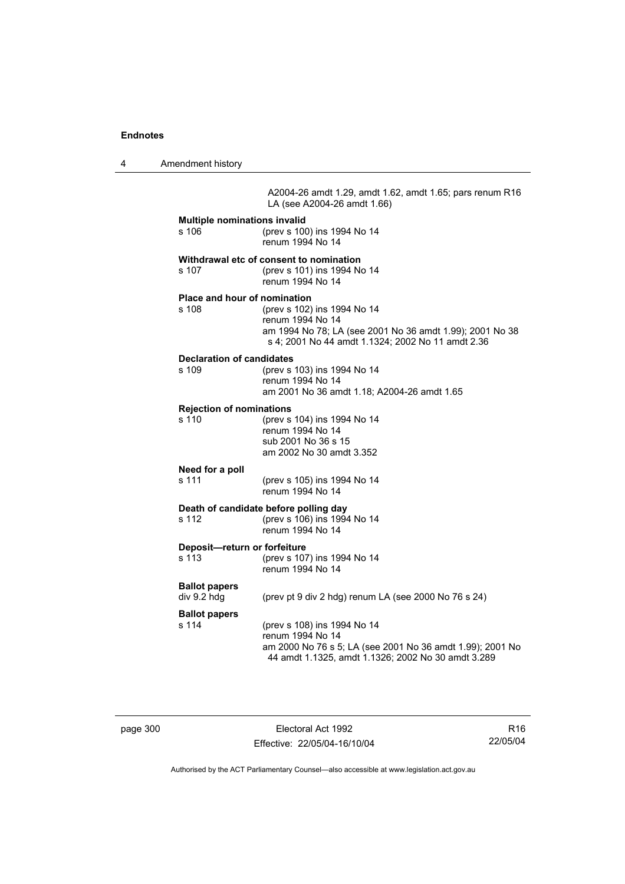4 Amendment history

A2004-26 amdt 1.29, amdt 1.62, amdt 1.65; pars renum R16 LA (see A2004-26 amdt 1.66)

| <b>Multiple nominations invalid</b><br>s 106<br>(prev s 100) ins 1994 No 14<br>renum 1994 No 14   |                                                                                                                                                                    |  |  |
|---------------------------------------------------------------------------------------------------|--------------------------------------------------------------------------------------------------------------------------------------------------------------------|--|--|
| s 107                                                                                             | Withdrawal etc of consent to nomination<br>(prev s 101) ins 1994 No 14<br>renum 1994 No 14                                                                         |  |  |
| Place and hour of nomination<br>s 108                                                             | (prev s 102) ins 1994 No 14<br>renum 1994 No 14<br>am 1994 No 78; LA (see 2001 No 36 amdt 1.99); 2001 No 38<br>s 4; 2001 No 44 amdt 1.1324; 2002 No 11 amdt 2.36   |  |  |
| <b>Declaration of candidates</b><br>s 109                                                         | (prev s 103) ins 1994 No 14<br>renum 1994 No 14<br>am 2001 No 36 amdt 1.18; A2004-26 amdt 1.65                                                                     |  |  |
| <b>Rejection of nominations</b><br>s 110                                                          | (prev s 104) ins 1994 No 14<br>renum 1994 No 14<br>sub 2001 No 36 s 15<br>am 2002 No 30 amdt 3.352                                                                 |  |  |
| Need for a poll<br>s 111                                                                          | (prev s 105) ins 1994 No 14<br>renum 1994 No 14                                                                                                                    |  |  |
| Death of candidate before polling day<br>(prev s 106) ins 1994 No 14<br>s 112<br>renum 1994 No 14 |                                                                                                                                                                    |  |  |
| Deposit-return or forfeiture<br>s 113                                                             | (prev s 107) ins 1994 No 14<br>renum 1994 No 14                                                                                                                    |  |  |
| <b>Ballot papers</b><br>div 9.2 hdg                                                               | (prev pt 9 div 2 hdg) renum LA (see 2000 No 76 s 24)                                                                                                               |  |  |
| <b>Ballot papers</b><br>s 114                                                                     | (prev s 108) ins 1994 No 14<br>renum 1994 No 14<br>am 2000 No 76 s 5; LA (see 2001 No 36 amdt 1.99); 2001 No<br>44 amdt 1.1325, amdt 1.1326; 2002 No 30 amdt 3.289 |  |  |

page 300 Electoral Act 1992 Effective: 22/05/04-16/10/04

R16 22/05/04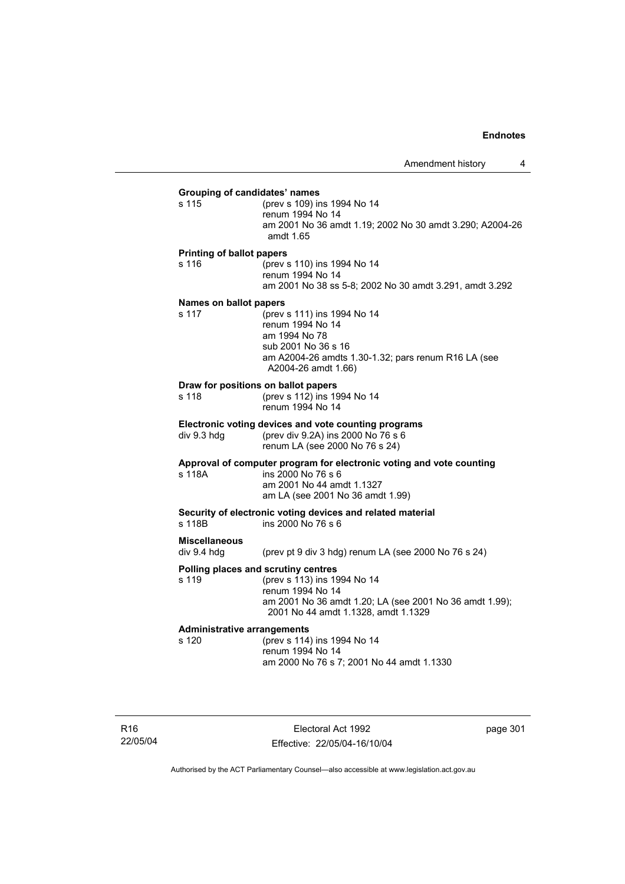## **Grouping of candidates' names** s 115 (prev s 109) ins 1994 No 14 renum 1994 No 14 am 2001 No 36 amdt 1.19; 2002 No 30 amdt 3.290; A2004-26 amdt 1.65 **Printing of ballot papers** s 116 (prev s 110) ins 1994 No 14 renum 1994 No 14 am 2001 No 38 ss 5-8; 2002 No 30 amdt 3.291, amdt 3.292 **Names on ballot papers** s 117 (prev s 111) ins 1994 No 14 renum 1994 No 14 am 1994 No 78 sub 2001 No 36 s 16 am A2004-26 amdts 1.30-1.32; pars renum R16 LA (see A2004-26 amdt 1.66) **Draw for positions on ballot papers** s 118 (prev s 112) ins 1994 No 14 renum 1994 No 14 **Electronic voting devices and vote counting programs** div 9.3 hdg (prev div 9.2A) ins 2000 No 76 s 6 renum LA (see 2000 No 76 s 24) **Approval of computer program for electronic voting and vote counting** s 118A ins 2000 No 76 s 6 am 2001 No 44 amdt 1.1327 am LA (see 2001 No 36 amdt 1.99) **Security of electronic voting devices and related material**  s 118B ins 2000 No 76 s 6 **Miscellaneous**  div 9.4 hdg (prev pt 9 div 3 hdg) renum LA (see 2000 No 76 s 24) **Polling places and scrutiny centres**  s 119 (prev s 113) ins 1994 No 14 renum 1994 No 14 am 2001 No 36 amdt 1.20; LA (see 2001 No 36 amdt 1.99); 2001 No 44 amdt 1.1328, amdt 1.1329 **Administrative arrangements** (prev s 114) ins 1994 No 14 renum 1994 No 14 am 2000 No 76 s 7; 2001 No 44 amdt 1.1330

R16 22/05/04

Electoral Act 1992 Effective: 22/05/04-16/10/04 page 301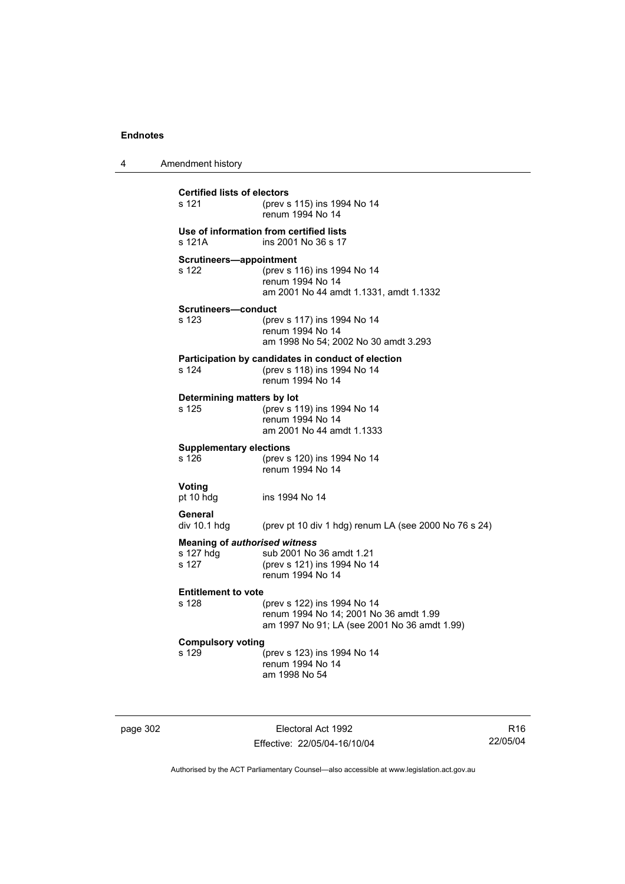| 4 | Amendment history                                          |                                                                                                                       |
|---|------------------------------------------------------------|-----------------------------------------------------------------------------------------------------------------------|
|   | <b>Certified lists of electors</b><br>s 121                | (prev s 115) ins 1994 No 14<br>renum 1994 No 14                                                                       |
|   | s 121A                                                     | Use of information from certified lists<br>ins 2001 No 36 s 17                                                        |
|   | Scrutineers-appointment<br>s 122                           | (prev s 116) ins 1994 No 14<br>renum 1994 No 14<br>am 2001 No 44 amdt 1.1331, amdt 1.1332                             |
|   | <b>Scrutineers-conduct</b><br>s 123                        | (prev s 117) ins 1994 No 14<br>renum 1994 No 14<br>am 1998 No 54; 2002 No 30 amdt 3.293                               |
|   | s 124                                                      | Participation by candidates in conduct of election<br>(prev s 118) ins 1994 No 14<br>renum 1994 No 14                 |
|   | Determining matters by lot<br>s 125                        | (prev s 119) ins 1994 No 14<br>renum 1994 No 14<br>am 2001 No 44 amdt 1.1333                                          |
|   | <b>Supplementary elections</b><br>s 126                    | (prev s 120) ins 1994 No 14<br>renum 1994 No 14                                                                       |
|   | Voting<br>pt 10 hdg                                        | ins 1994 No 14                                                                                                        |
|   | General<br>div 10.1 hdg                                    | (prev pt 10 div 1 hdg) renum LA (see 2000 No 76 s 24)                                                                 |
|   | <b>Meaning of authorised witness</b><br>s 127 hdg<br>s 127 | sub 2001 No 36 amdt 1.21<br>(prev s 121) ins 1994 No 14<br>renum 1994 No 14                                           |
|   | <b>Entitlement to vote</b><br>s 128                        | (prev s 122) ins 1994 No 14<br>renum 1994 No 14; 2001 No 36 amdt 1.99<br>am 1997 No 91; LA (see 2001 No 36 amdt 1.99) |
|   | <b>Compulsory voting</b><br>s 129                          | (prev s 123) ins 1994 No 14<br>renum 1994 No 14<br>am 1998 No 54                                                      |

page 302 Electoral Act 1992 Effective: 22/05/04-16/10/04

R16 22/05/04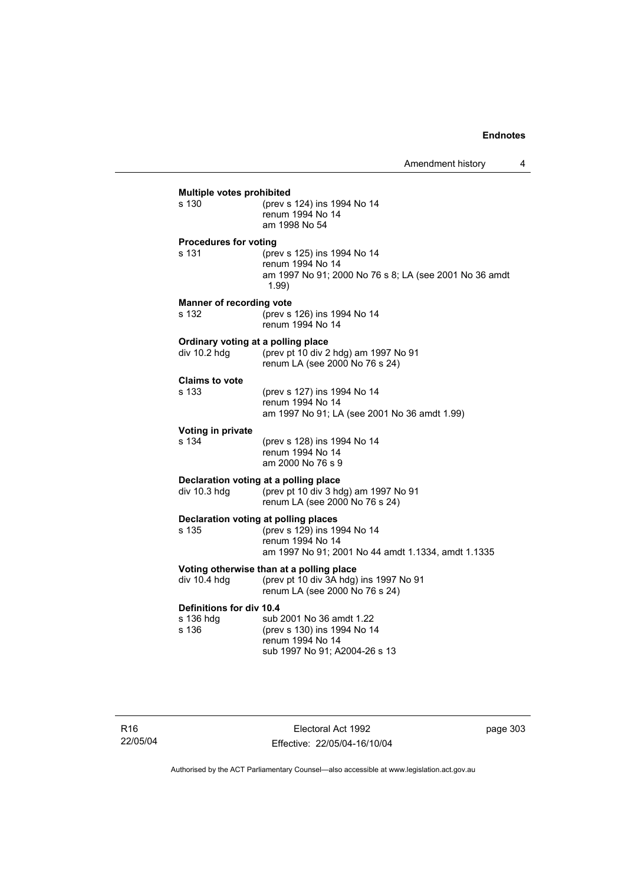| s 130                           | (prev s 124) ins 1994 No 14                                                                                        |
|---------------------------------|--------------------------------------------------------------------------------------------------------------------|
|                                 | renum 1994 No 14<br>am 1998 No 54                                                                                  |
| <b>Procedures for voting</b>    |                                                                                                                    |
| s 131                           | (prev s 125) ins 1994 No 14<br>renum 1994 No 14<br>am 1997 No 91; 2000 No 76 s 8; LA (see 2001 No 36 amdt<br>1.99) |
| <b>Manner of recording vote</b> |                                                                                                                    |
| s 132                           | (prev s 126) ins 1994 No 14<br>renum 1994 No 14                                                                    |
|                                 | Ordinary voting at a polling place                                                                                 |
| div 10.2 hdg                    | (prev pt 10 div 2 hdg) am 1997 No 91<br>renum LA (see 2000 No 76 s 24)                                             |
| <b>Claims to vote</b>           |                                                                                                                    |
| $s$ 133                         | (prev s 127) ins 1994 No 14<br>renum 1994 No 14                                                                    |
|                                 | am 1997 No 91; LA (see 2001 No 36 amdt 1.99)                                                                       |
| Voting in private               |                                                                                                                    |
| s 134                           | (prev s 128) ins 1994 No 14                                                                                        |
|                                 | renum 1994 No 14<br>am 2000 No 76 s 9                                                                              |
|                                 | Declaration voting at a polling place                                                                              |
| div 10.3 hdg                    | (prev pt 10 div 3 hdg) am 1997 No 91<br>renum LA (see 2000 No 76 s 24)                                             |
|                                 | Declaration voting at polling places                                                                               |
| s 135                           | (prev s 129) ins 1994 No 14<br>renum 1994 No 14                                                                    |
|                                 | am 1997 No 91; 2001 No 44 amdt 1.1334, amdt 1.1335                                                                 |
|                                 | Voting otherwise than at a polling place                                                                           |
| div 10.4 hdg                    | (prev pt 10 div 3A hdg) ins 1997 No 91<br>renum LA (see 2000 No 76 s 24)                                           |
| Definitions for div 10.4        |                                                                                                                    |
| s 136 hdg<br>s 136              | sub 2001 No 36 amdt 1.22<br>(prev s 130) ins 1994 No 14                                                            |
|                                 | renum 1994 No 14                                                                                                   |
|                                 | sub 1997 No 91; A2004-26 s 13                                                                                      |

Electoral Act 1992 Effective: 22/05/04-16/10/04 page 303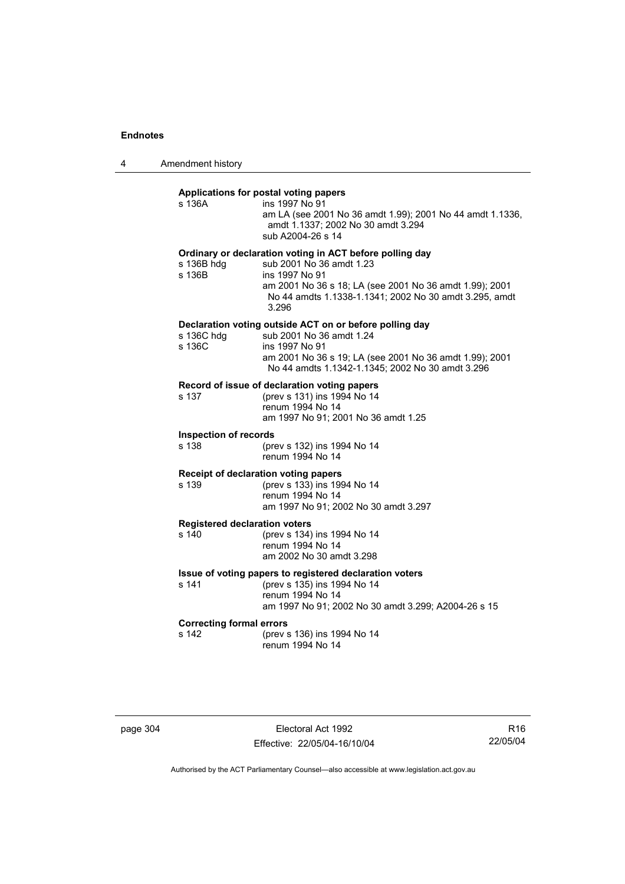4 Amendment history

## **Applications for postal voting papers**

| s 136A                                        | Applications for postal voting papers<br>ins 1997 No 91<br>am LA (see 2001 No 36 amdt 1.99); 2001 No 44 amdt 1.1336,<br>amdt 1.1337; 2002 No 30 amdt 3.294<br>sub A2004-26 s 14                                                      |
|-----------------------------------------------|--------------------------------------------------------------------------------------------------------------------------------------------------------------------------------------------------------------------------------------|
| s 136B hdg<br>s 136B                          | Ordinary or declaration voting in ACT before polling day<br>sub 2001 No 36 amdt 1.23<br>ins 1997 No 91<br>am 2001 No 36 s 18; LA (see 2001 No 36 amdt 1.99); 2001<br>No 44 amdts 1.1338-1.1341; 2002 No 30 amdt 3.295, amdt<br>3.296 |
| s 136C hdg<br>s 136C                          | Declaration voting outside ACT on or before polling day<br>sub 2001 No 36 amdt 1.24<br>ins 1997 No 91<br>am 2001 No 36 s 19; LA (see 2001 No 36 amdt 1.99); 2001<br>No 44 amdts 1.1342-1.1345; 2002 No 30 amdt 3.296                 |
| s 137                                         | Record of issue of declaration voting papers<br>(prev s 131) ins 1994 No 14<br>renum 1994 No 14<br>am 1997 No 91; 2001 No 36 amdt 1.25                                                                                               |
| <b>Inspection of records</b><br>s 138         | (prev s 132) ins 1994 No 14<br>renum 1994 No 14                                                                                                                                                                                      |
| s 139                                         | Receipt of declaration voting papers<br>(prev s 133) ins 1994 No 14<br>renum 1994 No 14<br>am 1997 No 91; 2002 No 30 amdt 3.297                                                                                                      |
| <b>Registered declaration voters</b><br>s 140 | (prev s 134) ins 1994 No 14<br>renum 1994 No 14<br>am 2002 No 30 amdt 3.298                                                                                                                                                          |
| s 141                                         | Issue of voting papers to registered declaration voters<br>(prev s 135) ins 1994 No 14<br>renum 1994 No 14<br>am 1997 No 91; 2002 No 30 amdt 3.299; A2004-26 s 15                                                                    |
| <b>Correcting formal errors</b><br>s 142      | (prev s 136) ins 1994 No 14<br>renum 1994 No 14                                                                                                                                                                                      |

page 304 Electoral Act 1992 Effective: 22/05/04-16/10/04

R16 22/05/04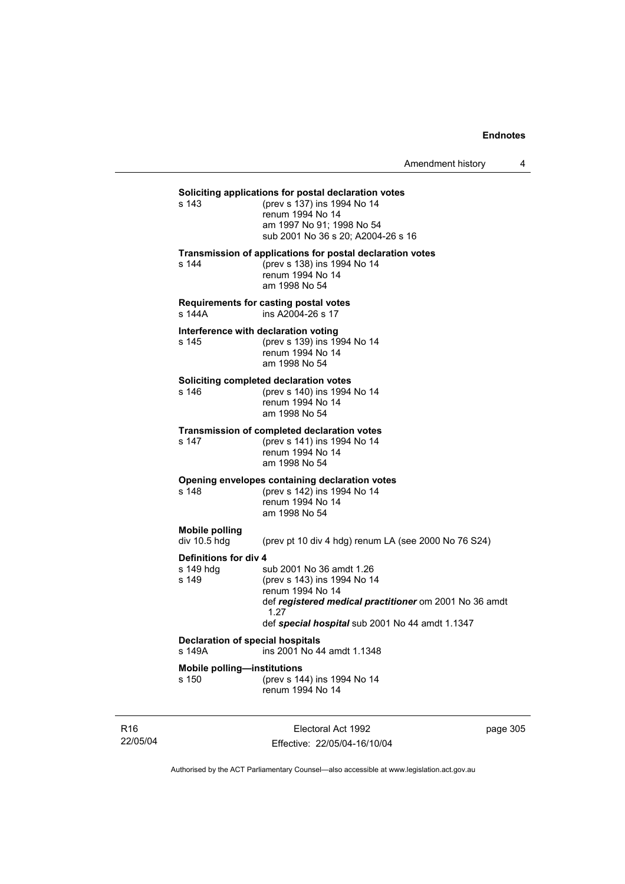Amendment history 4

## **Soliciting applications for postal declaration votes**<br>s 143 (prev s 137) ins 1994 No 14

(prev s 137) ins 1994 No 14 renum 1994 No 14 am 1997 No 91; 1998 No 54 sub 2001 No 36 s 20; A2004-26 s 16

#### **Transmission of applications for postal declaration votes**

s 144 (prev s 138) ins 1994 No 14 renum 1994 No 14 am 1998 No 54

## **Requirements for casting postal votes**

s 144A ins A2004-26 s 17

# **Interference with declaration voting**<br>s 145 (prev s 139) ins 19

(prev s 139) ins 1994 No 14 renum 1994 No 14 am 1998 No 54

#### **Soliciting completed declaration votes**

s 146 (prev s 140) ins 1994 No 14 renum 1994 No 14 am 1998 No 54

#### **Transmission of completed declaration votes**

s 147 (prev s 141) ins 1994 No 14 renum 1994 No 14 am 1998 No 54

## **Opening envelopes containing declaration votes**<br>s 148 (prev s 142) ins 1994 No 14

(prev s 142) ins 1994 No 14 renum 1994 No 14 am 1998 No 54

#### **Mobile polling**

div 10.5 hdg (prev pt 10 div 4 hdg) renum LA (see 2000 No 76 S24)

**Definitions for div 4**<br>s 149 hdq s sub 2001 No 36 amdt 1.26 s 149 (prev s 143) ins 1994 No 14 renum 1994 No 14 def *registered medical practitioner* om 2001 No 36 amdt 1.27 def *special hospital* sub 2001 No 44 amdt 1.1347

## **Declaration of special hospitals**<br>s 149A **ins 2001 No 4**

ins 2001 No 44 amdt 1.1348

**Mobile polling—institutions**

s 150 (prev s 144) ins 1994 No 14 renum 1994 No 14

R16 22/05/04

Electoral Act 1992 Effective: 22/05/04-16/10/04 page 305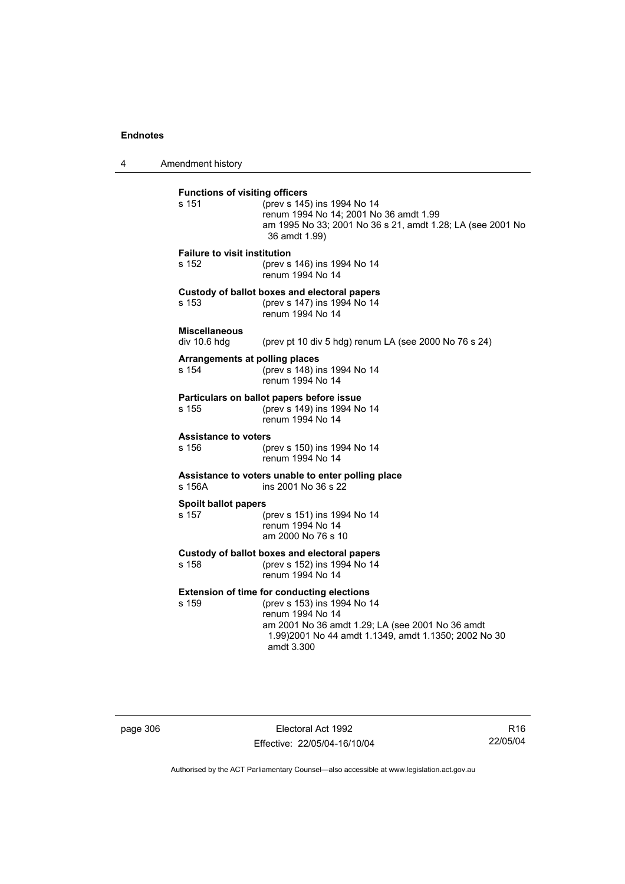4 Amendment history **Functions of visiting officers** s 151 (prev s 145) ins 1994 No 14 renum 1994 No 14; 2001 No 36 amdt 1.99 am 1995 No 33; 2001 No 36 s 21, amdt 1.28; LA (see 2001 No 36 amdt 1.99) **Failure to visit institution** s 152 (prev s 146) ins 1994 No 14 renum 1994 No 14 **Custody of ballot boxes and electoral papers** s 153 (prev s 147) ins 1994 No 14 renum 1994 No 14 **Miscellaneous**  (prev pt 10 div 5 hdg) renum LA (see 2000 No 76 s 24) **Arrangements at polling places** s 154 (prev s 148) ins 1994 No 14 renum 1994 No 14 **Particulars on ballot papers before issue** s 155 (prev s 149) ins 1994 No 14 renum 1994 No 14 **Assistance to voters** s 156 (prev s 150) ins 1994 No 14 renum 1994 No 14 **Assistance to voters unable to enter polling place** s 156A ins 2001 No 36 s 22 **Spoilt ballot papers** s 157 (prev s 151) ins 1994 No 14 renum 1994 No 14 am 2000 No 76 s 10 **Custody of ballot boxes and electoral papers** s 158 (prev s 152) ins 1994 No 14 renum 1994 No 14 **Extension of time for conducting elections** s 159 (prev s 153) ins 1994 No 14 renum 1994 No 14 am 2001 No 36 amdt 1.29; LA (see 2001 No 36 amdt 1.99)2001 No 44 amdt 1.1349, amdt 1.1350; 2002 No 30 amdt 3.300

page 306 Electoral Act 1992 Effective: 22/05/04-16/10/04

R16 22/05/04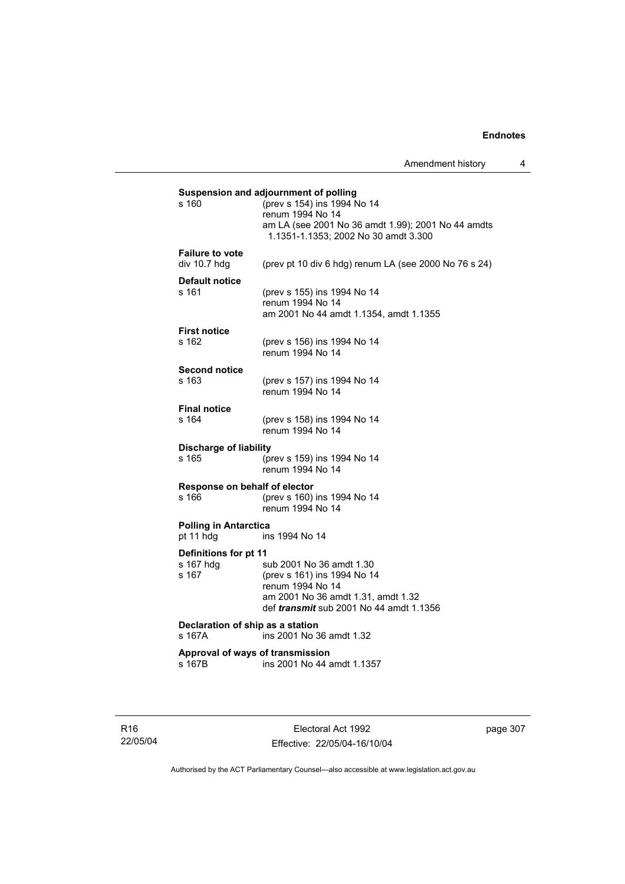| s 160                                     | Suspension and adjournment of polling<br>(prev s 154) ins 1994 No 14 |
|-------------------------------------------|----------------------------------------------------------------------|
|                                           | renum 1994 No 14                                                     |
|                                           | am LA (see 2001 No 36 amdt 1.99); 2001 No 44 amdts                   |
|                                           | 1.1351-1.1353; 2002 No 30 amdt 3.300                                 |
| <b>Failure to vote</b>                    |                                                                      |
| div 10.7 hdg                              | (prev pt 10 div 6 hdg) renum LA (see 2000 No 76 s 24)                |
| Default notice                            |                                                                      |
| $s$ 161                                   | (prev s 155) ins 1994 No 14                                          |
|                                           | renum 1994 No 14                                                     |
|                                           | am 2001 No 44 amdt 1.1354, amdt 1.1355                               |
| <b>First notice</b><br>s 162              |                                                                      |
|                                           | (prev s 156) ins 1994 No 14<br>renum 1994 No 14                      |
|                                           |                                                                      |
| <b>Second notice</b><br>s 163             |                                                                      |
|                                           | (prev s 157) ins 1994 No 14<br>renum 1994 No 14                      |
|                                           |                                                                      |
| <b>Final notice</b><br>s 164              |                                                                      |
|                                           | (prev s 158) ins 1994 No 14<br>renum 1994 No 14                      |
|                                           |                                                                      |
| <b>Discharge of liability</b><br>s 165    | (prev s 159) ins 1994 No 14                                          |
|                                           | renum 1994 No 14                                                     |
|                                           |                                                                      |
| Response on behalf of elector<br>s 166    | (prev s 160) ins 1994 No 14                                          |
|                                           | renum 1994 No 14                                                     |
|                                           |                                                                      |
| <b>Polling in Antarctica</b><br>pt 11 hdg | ins 1994 No 14                                                       |
|                                           |                                                                      |
| Definitions for pt 11<br>s 167 hdq        | sub 2001 No 36 amdt 1.30                                             |
| s 167                                     | (prev s 161) ins 1994 No 14                                          |
|                                           | renum 1994 No 14                                                     |
|                                           | am 2001 No 36 amdt 1.31, amdt 1.32                                   |
|                                           | def <i>transmit</i> sub 2001 No 44 amdt 1.1356                       |
| Declaration of ship as a station          |                                                                      |
| s 167A                                    | ins 2001 No 36 amdt 1.32                                             |
|                                           | Approval of ways of transmission                                     |
| s 167B                                    | ins 2001 No 44 amdt 1.1357                                           |
|                                           |                                                                      |

R16 22/05/04

Electoral Act 1992 Effective: 22/05/04-16/10/04 page 307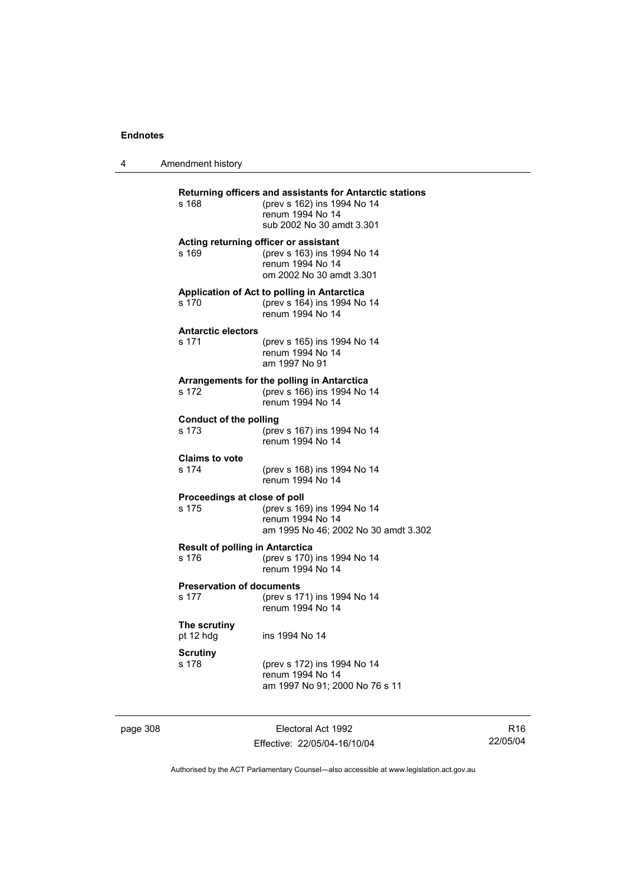| Amendment history |  |
|-------------------|--|
|-------------------|--|

| s 168                                           | Returning officers and assistants for Antarctic stations<br>(prev s 162) ins 1994 No 14<br>renum 1994 No 14<br>sub 2002 No 30 amdt 3.301 |
|-------------------------------------------------|------------------------------------------------------------------------------------------------------------------------------------------|
| s 169                                           | Acting returning officer or assistant<br>(prev s 163) ins 1994 No 14<br>renum 1994 No 14<br>om 2002 No 30 amdt 3.301                     |
| s 170                                           | Application of Act to polling in Antarctica<br>(prev s 164) ins 1994 No 14<br>renum 1994 No 14                                           |
| <b>Antarctic electors</b><br>s 171              | (prev s 165) ins 1994 No 14<br>renum 1994 No 14<br>am 1997 No 91                                                                         |
| s 172                                           | Arrangements for the polling in Antarctica<br>(prev s 166) ins 1994 No 14<br>renum 1994 No 14                                            |
| <b>Conduct of the polling</b><br>s 173          | (prev s 167) ins 1994 No 14<br>renum 1994 No 14                                                                                          |
| <b>Claims to vote</b><br>s 174                  | (prev s 168) ins 1994 No 14<br>renum 1994 No 14                                                                                          |
| Proceedings at close of poll<br>s 175           | (prev s 169) ins 1994 No 14<br>renum 1994 No 14<br>am 1995 No 46; 2002 No 30 amdt 3.302                                                  |
| <b>Result of polling in Antarctica</b><br>s 176 | (prev s 170) ins 1994 No 14<br>renum 1994 No 14                                                                                          |
| <b>Preservation of documents</b><br>s 177       | (prev s 171) ins 1994 No 14<br>renum 1994 No 14                                                                                          |
| The scrutiny<br>pt 12 hdg                       | ins 1994 No 14                                                                                                                           |
| <b>Scrutiny</b><br>s 178                        | (prev s 172) ins 1994 No 14<br>renum 1994 No 14<br>am 1997 No 91; 2000 No 76 s 11                                                        |

page 308 Electoral Act 1992 Effective: 22/05/04-16/10/04

R16 22/05/04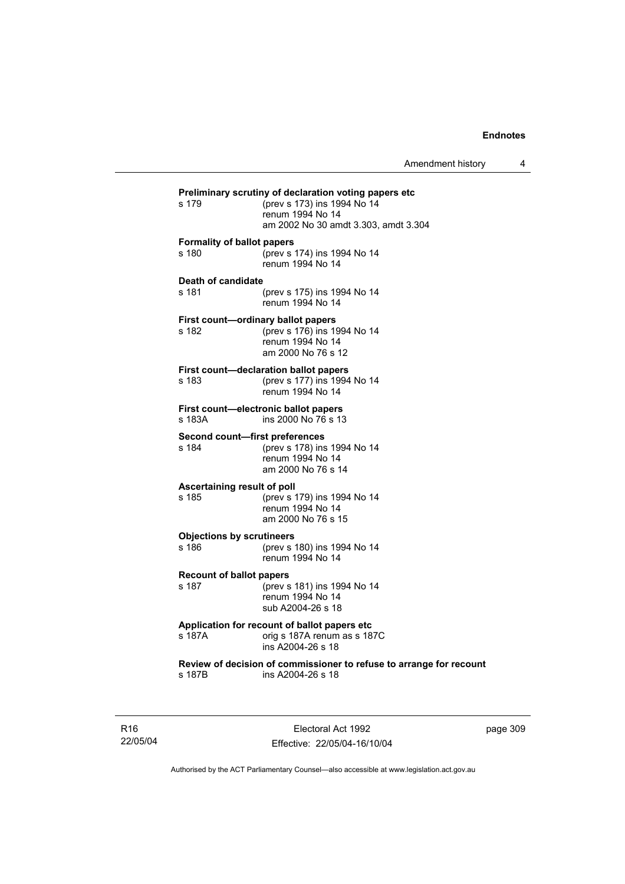| s 179                                    | Preliminary scrutiny of declaration voting papers etc<br>(prev s 173) ins 1994 No 14<br>renum 1994 No 14<br>am 2002 No 30 amdt 3.303, amdt 3.304 |
|------------------------------------------|--------------------------------------------------------------------------------------------------------------------------------------------------|
| <b>Formality of ballot papers</b>        |                                                                                                                                                  |
| s 180                                    | (prev s 174) ins 1994 No 14                                                                                                                      |
|                                          | renum 1994 No 14                                                                                                                                 |
|                                          |                                                                                                                                                  |
| Death of candidate                       |                                                                                                                                                  |
| s 181                                    | (prev s 175) ins 1994 No 14<br>renum 1994 No 14                                                                                                  |
|                                          | First count-ordinary ballot papers                                                                                                               |
| s 182                                    | (prev s 176) ins 1994 No 14                                                                                                                      |
|                                          | renum 1994 No 14                                                                                                                                 |
|                                          | am 2000 No 76 s 12                                                                                                                               |
|                                          | First count-declaration ballot papers                                                                                                            |
| s 183                                    | (prev s 177) ins 1994 No 14                                                                                                                      |
|                                          | renum 1994 No 14                                                                                                                                 |
|                                          |                                                                                                                                                  |
|                                          | First count-electronic ballot papers                                                                                                             |
| s 183A                                   | ins 2000 No 76 s 13                                                                                                                              |
| Second count-first preferences           |                                                                                                                                                  |
| s 184                                    | (prev s 178) ins 1994 No 14                                                                                                                      |
|                                          | renum 1994 No 14                                                                                                                                 |
|                                          | am 2000 No 76 s 14                                                                                                                               |
| Ascertaining result of poll              |                                                                                                                                                  |
| s 185                                    | (prev s 179) ins 1994 No 14                                                                                                                      |
|                                          | renum 1994 No 14                                                                                                                                 |
|                                          | am 2000 No 76 s 15                                                                                                                               |
| <b>Objections by scrutineers</b>         |                                                                                                                                                  |
| s 186                                    | (prev s 180) ins 1994 No 14                                                                                                                      |
|                                          | renum 1994 No 14                                                                                                                                 |
|                                          |                                                                                                                                                  |
| <b>Recount of ballot papers</b><br>s 187 | (prev s 181) ins 1994 No 14                                                                                                                      |
|                                          | renum 1994 No 14                                                                                                                                 |
|                                          | sub A2004-26 s 18                                                                                                                                |
|                                          |                                                                                                                                                  |
|                                          | Application for recount of ballot papers etc                                                                                                     |
| s 187A                                   | orig s 187A renum as s 187C<br>ins A2004-26 s 18                                                                                                 |
|                                          |                                                                                                                                                  |
|                                          | Review of decision of commissioner to refuse to arrange for recount                                                                              |
| s 187B                                   | ins A2004-26 s 18                                                                                                                                |
|                                          |                                                                                                                                                  |
|                                          |                                                                                                                                                  |

R16 22/05/04

Electoral Act 1992 Effective: 22/05/04-16/10/04 page 309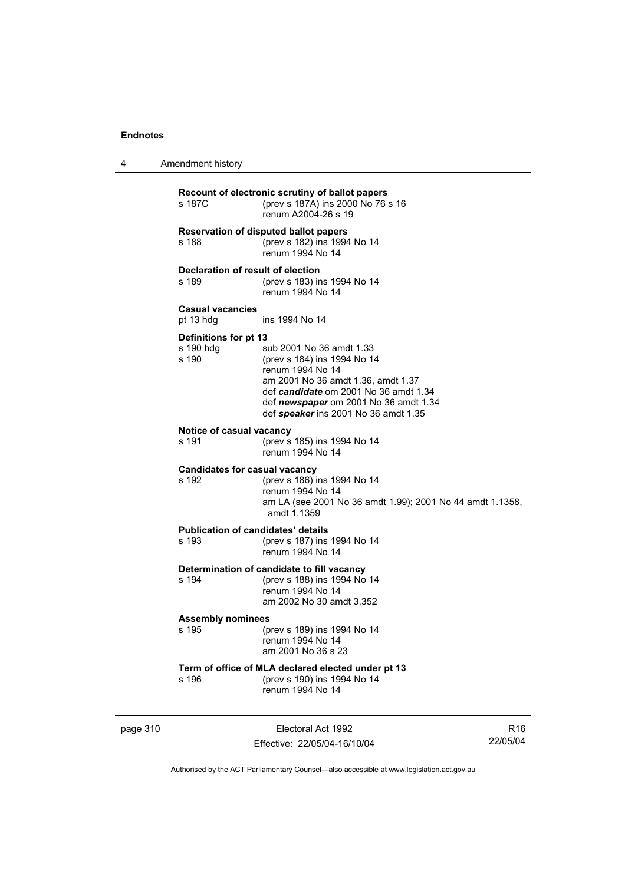4 Amendment history

| s 187C                                             | Recount of electronic scrutiny of ballot papers<br>(prev s 187A) ins 2000 No 76 s 16<br>renum A2004-26 s 19                                                                                                                                 |
|----------------------------------------------------|---------------------------------------------------------------------------------------------------------------------------------------------------------------------------------------------------------------------------------------------|
| s 188                                              | <b>Reservation of disputed ballot papers</b><br>(prev s 182) ins 1994 No 14<br>renum 1994 No 14                                                                                                                                             |
| Declaration of result of election<br>s 189         | (prev s 183) ins 1994 No 14<br>renum 1994 No 14                                                                                                                                                                                             |
| <b>Casual vacancies</b><br>pt 13 hdg               | ins 1994 No 14                                                                                                                                                                                                                              |
| Definitions for pt 13<br>s 190 hdg<br>s 190        | sub 2001 No 36 amdt 1.33<br>(prev s 184) ins 1994 No 14<br>renum 1994 No 14<br>am 2001 No 36 amdt 1.36, amdt 1.37<br>def candidate om 2001 No 36 amdt 1.34<br>def newspaper om 2001 No 36 amdt 1.34<br>def speaker ins 2001 No 36 amdt 1.35 |
| Notice of casual vacancy<br>s 191                  | (prev s 185) ins 1994 No 14<br>renum 1994 No 14                                                                                                                                                                                             |
| <b>Candidates for casual vacancy</b><br>s 192      | (prev s 186) ins 1994 No 14<br>renum 1994 No 14<br>am LA (see 2001 No 36 amdt 1.99); 2001 No 44 amdt 1.1358,<br>amdt 1.1359                                                                                                                 |
| <b>Publication of candidates' details</b><br>s 193 | (prev s 187) ins 1994 No 14<br>renum 1994 No 14                                                                                                                                                                                             |
| s 194                                              | Determination of candidate to fill vacancy<br>(prev s 188) ins 1994 No 14<br>renum 1994 No 14<br>am 2002 No 30 amdt 3.352                                                                                                                   |
| <b>Assembly nominees</b><br>s 195                  | (prev s 189) ins 1994 No 14<br>renum 1994 No 14<br>am 2001 No 36 s 23                                                                                                                                                                       |
| s 196                                              | Term of office of MLA declared elected under pt 13<br>(prev s 190) ins 1994 No 14<br>renum 1994 No 14                                                                                                                                       |

page 310 **Electoral Act 1992** Effective: 22/05/04-16/10/04

R16 22/05/04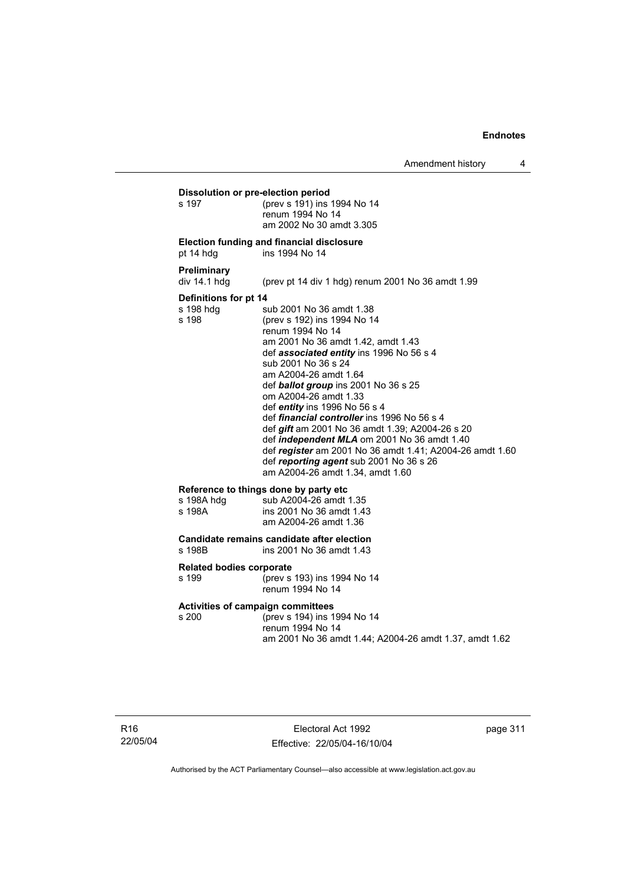**Dissolution or pre-election period**<br>s 197 (prev s 191) ins s 197 (prev s 191) ins 1994 No 14 renum 1994 No 14 am 2002 No 30 amdt 3.305

#### **Election funding and financial disclosure**

pt 14 hdg ins 1994 No 14

#### **Preliminary**

div 14.1 hdg (prev pt 14 div 1 hdg) renum 2001 No 36 amdt 1.99

#### **Definitions for pt 14**

s 198 hdg sub 2001 No 36 amdt 1.38<br>s 198 (prev s 192) ins 1994 No 14 (prev s 192) ins 1994 No 14 renum 1994 No 14 am 2001 No 36 amdt 1.42, amdt 1.43 def *associated entity* ins 1996 No 56 s 4 sub 2001 No 36 s 24 am A2004-26 amdt 1.64 def *ballot group* ins 2001 No 36 s 25 om A2004-26 amdt 1.33 def *entity* ins 1996 No 56 s 4 def *financial controller* ins 1996 No 56 s 4 def *gift* am 2001 No 36 amdt 1.39; A2004-26 s 20 def *independent MLA* om 2001 No 36 amdt 1.40 def *register* am 2001 No 36 amdt 1.41; A2004-26 amdt 1.60 def *reporting agent* sub 2001 No 36 s 26 am A2004-26 amdt 1.34, amdt 1.60

#### **Reference to things done by party etc**

| s 198A hdg | sub A2004-26 amdt 1.35   |
|------------|--------------------------|
| s 198A     | ins 2001 No 36 amdt 1.43 |
|            | am A2004-26 amdt 1.36    |

# **Candidate remains candidate after election**

ins 2001 No 36 amdt 1.43

#### **Related bodies corporate**

s 199 (prev s 193) ins 1994 No 14 renum 1994 No 14

# **Activities of campaign committees**

(prev s 194) ins 1994 No 14 renum 1994 No 14 am 2001 No 36 amdt 1.44; A2004-26 amdt 1.37, amdt 1.62

page 311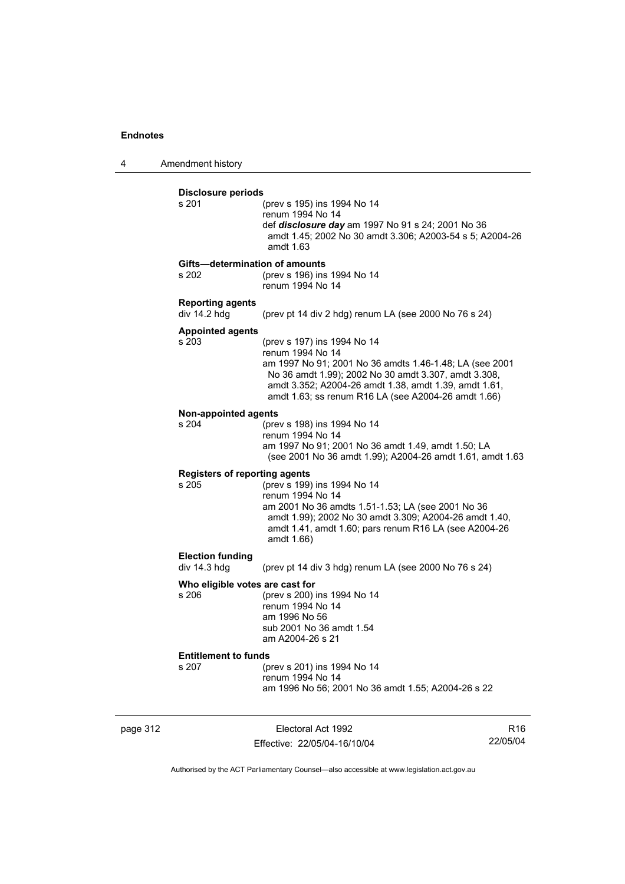4 Amendment history

| <b>Disclosure periods</b><br>s 201      | (prev s 195) ins 1994 No 14                                                                                                                                                                                                                         |
|-----------------------------------------|-----------------------------------------------------------------------------------------------------------------------------------------------------------------------------------------------------------------------------------------------------|
|                                         | renum 1994 No 14<br>def disclosure day am 1997 No 91 s 24; 2001 No 36<br>amdt 1.45; 2002 No 30 amdt 3.306; A2003-54 s 5; A2004-26<br>amdt 1.63                                                                                                      |
|                                         | Gifts-determination of amounts                                                                                                                                                                                                                      |
| s 202                                   | (prev s 196) ins 1994 No 14<br>renum 1994 No 14                                                                                                                                                                                                     |
| <b>Reporting agents</b><br>div 14.2 hdg | (prev pt 14 div 2 hdg) renum LA (see 2000 No 76 s 24)                                                                                                                                                                                               |
| <b>Appointed agents</b><br>s 203        | (prev s 197) ins 1994 No 14                                                                                                                                                                                                                         |
|                                         | renum 1994 No 14<br>am 1997 No 91; 2001 No 36 amdts 1.46-1.48; LA (see 2001<br>No 36 amdt 1.99); 2002 No 30 amdt 3.307, amdt 3.308,<br>amdt 3.352; A2004-26 amdt 1.38, amdt 1.39, amdt 1.61,<br>amdt 1.63; ss renum R16 LA (see A2004-26 amdt 1.66) |
| <b>Non-appointed agents</b>             |                                                                                                                                                                                                                                                     |
| s 204                                   | (prev s 198) ins 1994 No 14<br>renum 1994 No 14                                                                                                                                                                                                     |
|                                         | am 1997 No 91; 2001 No 36 amdt 1.49, amdt 1.50; LA<br>(see 2001 No 36 amdt 1.99); A2004-26 amdt 1.61, amdt 1.63                                                                                                                                     |
|                                         | <b>Registers of reporting agents</b>                                                                                                                                                                                                                |
| s, 205                                  | (prev s 199) ins 1994 No 14<br>renum 1994 No 14<br>am 2001 No 36 amdts 1.51-1.53; LA (see 2001 No 36<br>amdt 1.99); 2002 No 30 amdt 3.309; A2004-26 amdt 1.40,<br>amdt 1.41, amdt 1.60; pars renum R16 LA (see A2004-26<br>amdt 1.66)               |
| <b>Election funding</b>                 |                                                                                                                                                                                                                                                     |
| div 14.3 hdg                            | (prev pt 14 div 3 hdg) renum LA (see 2000 No 76 s 24)                                                                                                                                                                                               |
|                                         |                                                                                                                                                                                                                                                     |
| Who eligible votes are cast for         |                                                                                                                                                                                                                                                     |
| s 206                                   | (prev s 200) ins 1994 No 14<br>renum 1994 No 14                                                                                                                                                                                                     |
|                                         | am 1996 No 56                                                                                                                                                                                                                                       |
|                                         | sub 2001 No 36 amdt 1.54<br>am A2004-26 s 21                                                                                                                                                                                                        |
| <b>Entitlement to funds</b>             |                                                                                                                                                                                                                                                     |
| s 207                                   | (prev s 201) ins 1994 No 14<br>renum 1994 No 14                                                                                                                                                                                                     |

page 312 **Electoral Act 1992** Effective: 22/05/04-16/10/04

R16 22/05/04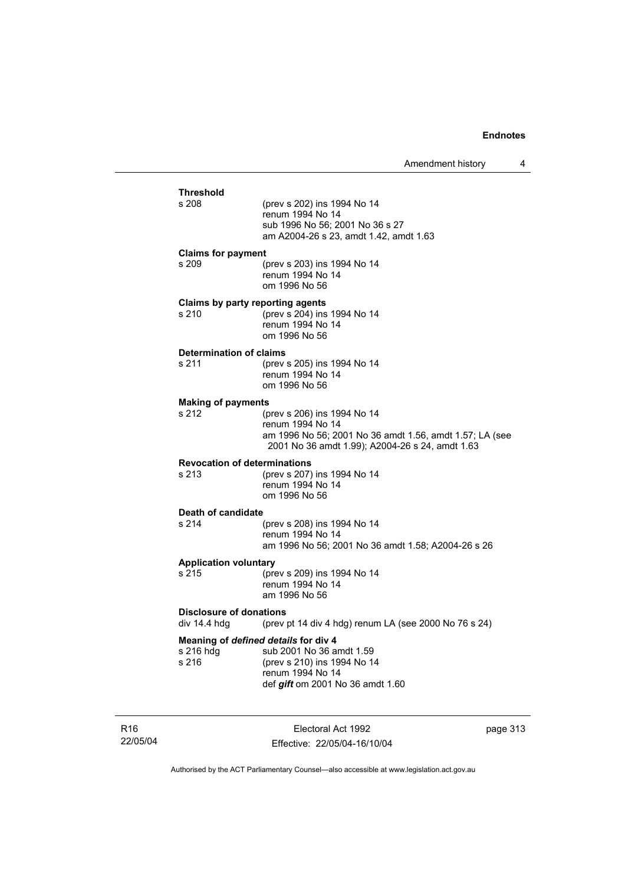### **Threshold** (prev s 202) ins 1994 No 14 renum 1994 No 14 sub 1996 No 56; 2001 No 36 s 27 am A2004-26 s 23, amdt 1.42, amdt 1.63 **Claims for payment**  s 209 (prev s 203) ins 1994 No 14 renum 1994 No 14 om 1996 No 56 **Claims by party reporting agents**  s 210 (prev s 204) ins 1994 No 14 renum 1994 No 14 om 1996 No 56 **Determination of claims**<br>s 211 (prev (prev s 205) ins 1994 No 14 renum 1994 No 14 om 1996 No 56 **Making of payments** s 212 (prev s 206) ins 1994 No 14 renum 1994 No 14 am 1996 No 56; 2001 No 36 amdt 1.56, amdt 1.57; LA (see 2001 No 36 amdt 1.99); A2004-26 s 24, amdt 1.63 **Revocation of determinations**  s 213 (prev s 207) ins 1994 No 14 renum 1994 No 14 om 1996 No 56 **Death of candidate** s 214 (prev s 208) ins 1994 No 14 renum 1994 No 14 am 1996 No 56; 2001 No 36 amdt 1.58; A2004-26 s 26 **Application voluntary** s 215 (prev s 209) ins 1994 No 14 renum 1994 No 14 am 1996 No 56 **Disclosure of donations**  div 14.4 hdg (prev pt 14 div 4 hdg) renum LA (see 2000 No 76 s 24) **Meaning of** *defined details* **for div 4** s 216 hdg sub 2001 No 36 a sub 2001 No 36 amdt 1.59 s 216 (prev s 210) ins 1994 No 14 renum 1994 No 14 def *gift* om 2001 No 36 amdt 1.60

R16 22/05/04

Electoral Act 1992 Effective: 22/05/04-16/10/04 page 313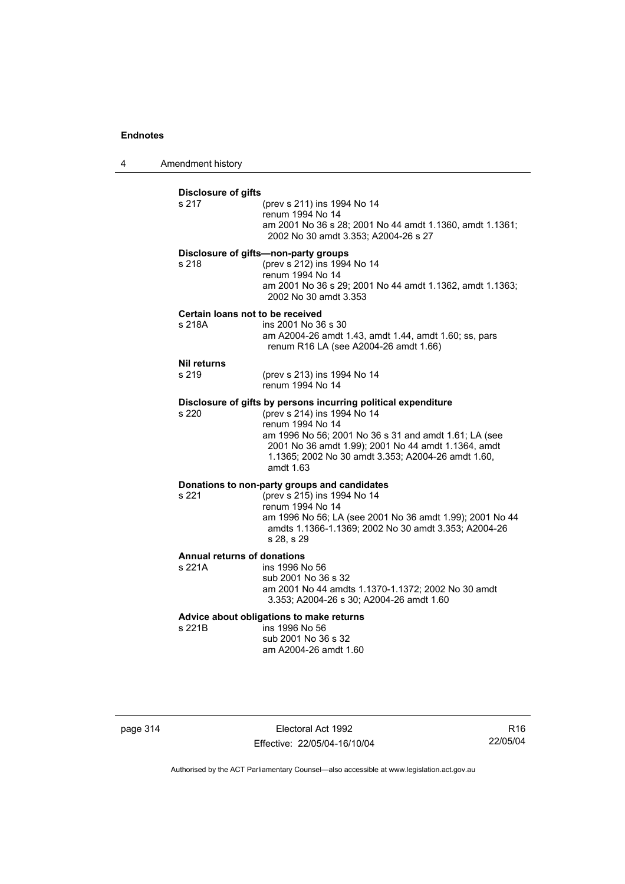4 Amendment history

| s 217                                      | <b>Disclosure of gifts</b><br>(prev s 211) ins 1994 No 14<br>renum 1994 No 14<br>am 2001 No 36 s 28; 2001 No 44 amdt 1.1360, amdt 1.1361;<br>2002 No 30 amdt 3.353; A2004-26 s 27                                                                                                                    |
|--------------------------------------------|------------------------------------------------------------------------------------------------------------------------------------------------------------------------------------------------------------------------------------------------------------------------------------------------------|
| s 218                                      | Disclosure of gifts-non-party groups<br>(prev s 212) ins 1994 No 14<br>renum 1994 No 14<br>am 2001 No 36 s 29; 2001 No 44 amdt 1.1362, amdt 1.1363;<br>2002 No 30 amdt 3.353                                                                                                                         |
| Certain loans not to be received<br>s 218A | ins 2001 No 36 s 30<br>am A2004-26 amdt 1.43, amdt 1.44, amdt 1.60; ss, pars<br>renum R16 LA (see A2004-26 amdt 1.66)                                                                                                                                                                                |
| <b>Nil returns</b><br>s 219                | (prev s 213) ins 1994 No 14<br>renum 1994 No 14                                                                                                                                                                                                                                                      |
| s 220                                      | Disclosure of gifts by persons incurring political expenditure<br>(prev s 214) ins 1994 No 14<br>renum 1994 No 14<br>am 1996 No 56; 2001 No 36 s 31 and amdt 1.61; LA (see<br>2001 No 36 amdt 1.99); 2001 No 44 amdt 1.1364, amdt<br>1.1365; 2002 No 30 amdt 3.353; A2004-26 amdt 1.60,<br>amdt 1.63 |
| s 221                                      | Donations to non-party groups and candidates<br>(prev s 215) ins 1994 No 14<br>renum 1994 No 14<br>am 1996 No 56; LA (see 2001 No 36 amdt 1.99); 2001 No 44<br>amdts 1.1366-1.1369; 2002 No 30 amdt 3.353; A2004-26<br>s 28, s 29                                                                    |
| Annual returns of donations<br>s 221A      | ins 1996 No 56<br>sub 2001 No 36 s 32<br>am 2001 No 44 amdts 1.1370-1.1372; 2002 No 30 amdt<br>3.353; A2004-26 s 30; A2004-26 amdt 1.60                                                                                                                                                              |
|                                            |                                                                                                                                                                                                                                                                                                      |

page 314 **Electoral Act 1992** Effective: 22/05/04-16/10/04

R16 22/05/04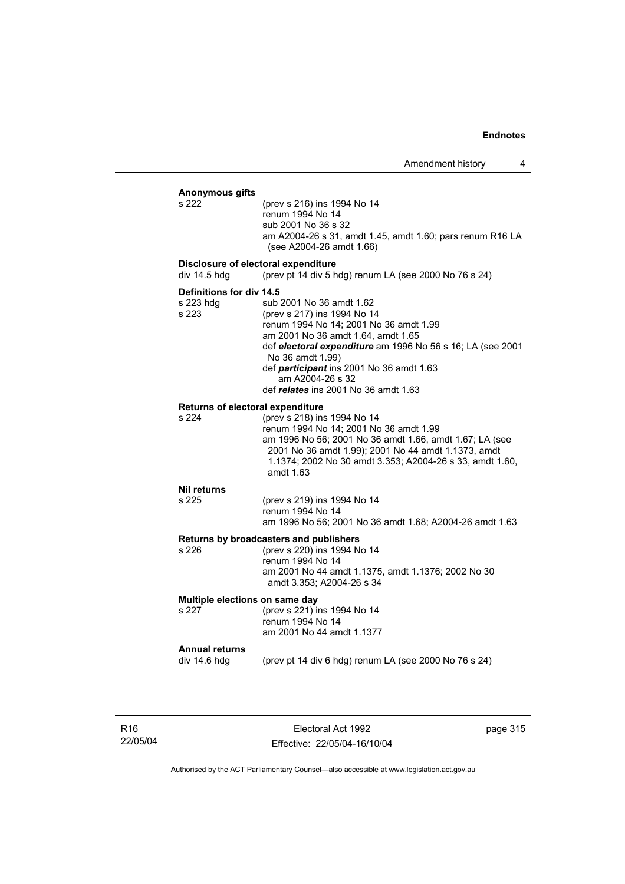### **Anonymous gifts** (prev s 216) ins 1994 No 14 renum 1994 No 14 sub 2001 No 36 s 32 am A2004-26 s 31, amdt 1.45, amdt 1.60; pars renum R16 LA (see A2004-26 amdt 1.66) **Disclosure of electoral expenditure**  div 14.5 hdg (prev pt 14 div 5 hdg) renum LA (see 2000 No 76 s 24) **Definitions for div 14.5** s 223 hdg sub 2001 No 36 amdt 1.62 s 223 (prev s 217) ins 1994 No 14 renum 1994 No 14; 2001 No 36 amdt 1.99 am 2001 No 36 amdt 1.64, amdt 1.65 def *electoral expenditure* am 1996 No 56 s 16; LA (see 2001 No 36 amdt 1.99) def *participant* ins 2001 No 36 amdt 1.63 am A2004-26 s 32 def *relates* ins 2001 No 36 amdt 1.63 **Returns of electoral expenditure** s 224 (prev s 218) ins 1994 No 14 renum 1994 No 14; 2001 No 36 amdt 1.99 am 1996 No 56; 2001 No 36 amdt 1.66, amdt 1.67; LA (see 2001 No 36 amdt 1.99); 2001 No 44 amdt 1.1373, amdt 1.1374; 2002 No 30 amdt 3.353; A2004-26 s 33, amdt 1.60, amdt 1.63 **Nil returns** s 225 (prev s 219) ins 1994 No 14 renum 1994 No 14 am 1996 No 56; 2001 No 36 amdt 1.68; A2004-26 amdt 1.63 **Returns by broadcasters and publishers** s 226 (prev s 220) ins 1994 No 14 renum 1994 No 14 am 2001 No 44 amdt 1.1375, amdt 1.1376; 2002 No 30 amdt 3.353; A2004-26 s 34 **Multiple elections on same day** s 227 (prev s 221) ins 1994 No 14 renum 1994 No 14 am 2001 No 44 amdt 1.1377 **Annual returns**  (prev pt 14 div 6 hdg) renum LA (see 2000 No 76 s  $24$ )

R16 22/05/04

Electoral Act 1992 Effective: 22/05/04-16/10/04 page 315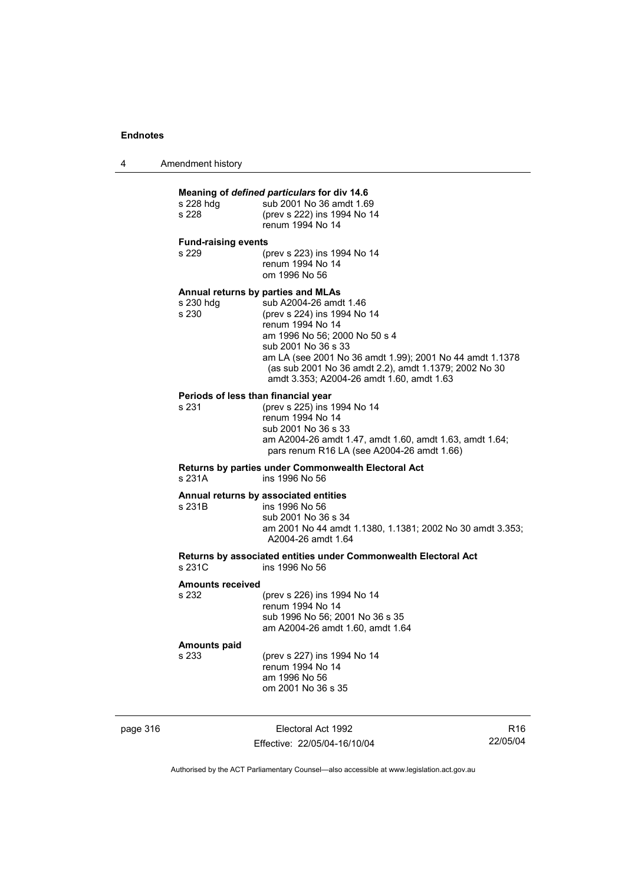| 4 | Amendment history |
|---|-------------------|
|---|-------------------|

### **Meaning of** *defined particulars* **for div 14.6** s 228 hdg sub 2001 No 36 amdt 1.69 s 228 (prev s 222) ins 1994 No 14 renum 1994 No 14 **Fund-raising events**  s 229 (prev s 223) ins 1994 No 14 renum 1994 No 14 om 1996 No 56 **Annual returns by parties and MLAs**  s 230 hdg sub A2004-26 amdt 1.46<br>s 230 (prev s 224) ins 1994 No (prev s 224) ins 1994 No 14 renum 1994 No 14 am 1996 No 56; 2000 No 50 s 4 sub 2001 No 36 s 33 am LA (see 2001 No 36 amdt 1.99); 2001 No 44 amdt 1.1378 (as sub 2001 No 36 amdt 2.2), amdt 1.1379; 2002 No 30 amdt 3.353; A2004-26 amdt 1.60, amdt 1.63 **Periods of less than financial year**<br>s 231 (prev s 225) ins 1 (prev s 225) ins 1994 No 14 renum 1994 No 14 sub 2001 No 36 s 33 am A2004-26 amdt 1.47, amdt 1.60, amdt 1.63, amdt 1.64; pars renum R16 LA (see A2004-26 amdt 1.66) **Returns by parties under Commonwealth Electoral Act** ins 1996 No 56 **Annual returns by associated entities** s 231B ins 1996 No 56 sub 2001 No 36 s 34 am 2001 No 44 amdt 1.1380, 1.1381; 2002 No 30 amdt 3.353; A2004-26 amdt 1.64 **Returns by associated entities under Commonwealth Electoral Act** ins 1996 No 56 **Amounts received**  s 232 (prev s 226) ins 1994 No 14 renum 1994 No 14 sub 1996 No 56; 2001 No 36 s 35 am A2004-26 amdt 1.60, amdt 1.64 **Amounts paid**

s 233 (prev s 227) ins 1994 No 14 renum 1994 No 14 am 1996 No 56 om 2001 No 36 s 35

page 316 **Electoral Act 1992** Effective: 22/05/04-16/10/04

R16 22/05/04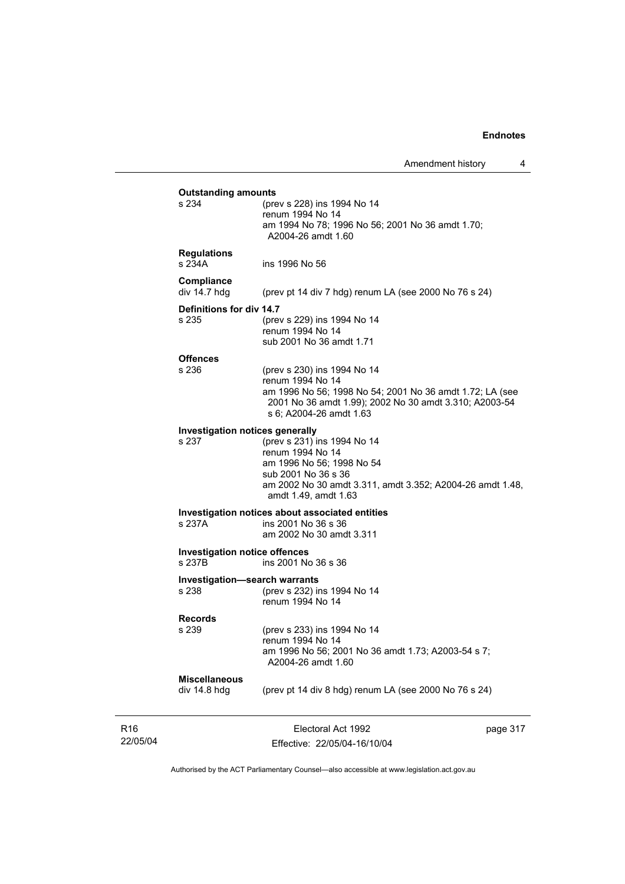| s 234                                          |                                                                                                                    |  |
|------------------------------------------------|--------------------------------------------------------------------------------------------------------------------|--|
|                                                | (prev s 228) ins 1994 No 14<br>renum 1994 No 14                                                                    |  |
|                                                | am 1994 No 78; 1996 No 56; 2001 No 36 amdt 1.70;<br>A2004-26 amdt 1.60                                             |  |
| <b>Regulations</b><br>s 234A                   | ins 1996 No 56                                                                                                     |  |
| Compliance<br>div 14.7 hdg                     | (prev pt 14 div 7 hdg) renum LA (see 2000 No 76 s 24)                                                              |  |
| Definitions for div 14.7                       |                                                                                                                    |  |
| s 235                                          | (prev s 229) ins 1994 No 14                                                                                        |  |
|                                                | renum 1994 No 14                                                                                                   |  |
|                                                | sub 2001 No 36 amdt 1.71                                                                                           |  |
| <b>Offences</b>                                |                                                                                                                    |  |
| s 236                                          | (prev s 230) ins 1994 No 14                                                                                        |  |
|                                                | renum 1994 No 14                                                                                                   |  |
|                                                | am 1996 No 56; 1998 No 54; 2001 No 36 amdt 1.72; LA (see<br>2001 No 36 amdt 1.99); 2002 No 30 amdt 3.310; A2003-54 |  |
|                                                | s 6; A2004-26 amdt 1.63                                                                                            |  |
| <b>Investigation notices generally</b>         |                                                                                                                    |  |
| s 237                                          | (prev s 231) ins 1994 No 14                                                                                        |  |
|                                                | renum 1994 No 14                                                                                                   |  |
|                                                | am 1996 No 56; 1998 No 54                                                                                          |  |
|                                                | sub 2001 No 36 s 36                                                                                                |  |
|                                                | am 2002 No 30 amdt 3.311, amdt 3.352; A2004-26 amdt 1.48,<br>amdt 1.49, amdt 1.63                                  |  |
|                                                | Investigation notices about associated entities                                                                    |  |
| s 237A                                         | ins 2001 No 36 s 36                                                                                                |  |
|                                                | am 2002 No 30 amdt 3.311                                                                                           |  |
| <b>Investigation notice offences</b><br>s 237B | ins 2001 No 36 s 36                                                                                                |  |
|                                                |                                                                                                                    |  |
| <b>Investigation-search warrants</b><br>s 238  |                                                                                                                    |  |
|                                                | (prev s 232) ins 1994 No 14<br>renum 1994 No 14                                                                    |  |
|                                                |                                                                                                                    |  |
| <b>Records</b><br>s 239                        | (prev s 233) ins 1994 No 14                                                                                        |  |
|                                                | renum 1994 No 14                                                                                                   |  |
|                                                | am 1996 No 56; 2001 No 36 amdt 1.73; A2003-54 s 7;                                                                 |  |
|                                                | A2004-26 amdt 1.60                                                                                                 |  |
| <b>Miscellaneous</b>                           |                                                                                                                    |  |
| div 14.8 hdg                                   | (prev pt 14 div 8 hdg) renum LA (see 2000 No 76 s 24)                                                              |  |
|                                                |                                                                                                                    |  |

R16 22/05/04

Effective: 22/05/04-16/10/04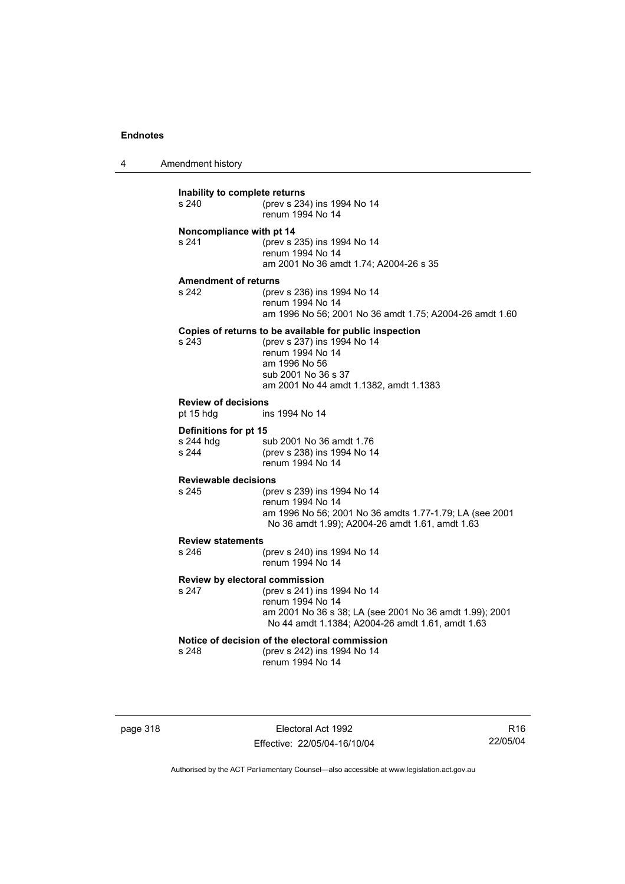4 Amendment history

| Inability to complete returns<br>s 240  | (prev s 234) ins 1994 No 14<br>renum 1994 No 14                                                                                                                                              |
|-----------------------------------------|----------------------------------------------------------------------------------------------------------------------------------------------------------------------------------------------|
| Noncompliance with pt 14<br>s 241       | (prev s 235) ins 1994 No 14<br>renum 1994 No 14<br>am 2001 No 36 amdt 1.74; A2004-26 s 35                                                                                                    |
|                                         |                                                                                                                                                                                              |
| <b>Amendment of returns</b><br>s 242    | (prev s 236) ins 1994 No 14<br>renum 1994 No 14<br>am 1996 No 56; 2001 No 36 amdt 1.75; A2004-26 amdt 1.60                                                                                   |
| s 243                                   | Copies of returns to be available for public inspection<br>(prev s 237) ins 1994 No 14<br>renum 1994 No 14<br>am 1996 No 56<br>sub 2001 No 36 s 37<br>am 2001 No 44 amdt 1.1382, amdt 1.1383 |
| <b>Review of decisions</b><br>pt 15 hdg | ins 1994 No 14                                                                                                                                                                               |
| Definitions for pt 15                   |                                                                                                                                                                                              |
| s 244 hdg<br>s 244                      | sub 2001 No 36 amdt 1.76<br>(prev s 238) ins 1994 No 14<br>renum 1994 No 14                                                                                                                  |
| <b>Reviewable decisions</b>             |                                                                                                                                                                                              |
| s 245                                   | (prev s 239) ins 1994 No 14<br>renum 1994 No 14<br>am 1996 No 56; 2001 No 36 amdts 1.77-1.79; LA (see 2001<br>No 36 amdt 1.99); A2004-26 amdt 1.61, amdt 1.63                                |
| <b>Review statements</b>                |                                                                                                                                                                                              |
| s 246                                   | (prev s 240) ins 1994 No 14<br>renum 1994 No 14                                                                                                                                              |
| Review by electoral commission<br>s 247 | (prev s 241) ins 1994 No 14<br>renum 1994 No 14<br>am 2001 No 36 s 38; LA (see 2001 No 36 amdt 1.99); 2001<br>No 44 amdt 1.1384; A2004-26 amdt 1.61, amdt 1.63                               |
| s 248                                   | Notice of decision of the electoral commission<br>(prev s 242) ins 1994 No 14<br>renum 1994 No 14                                                                                            |

page 318 Electoral Act 1992 Effective: 22/05/04-16/10/04

R16 22/05/04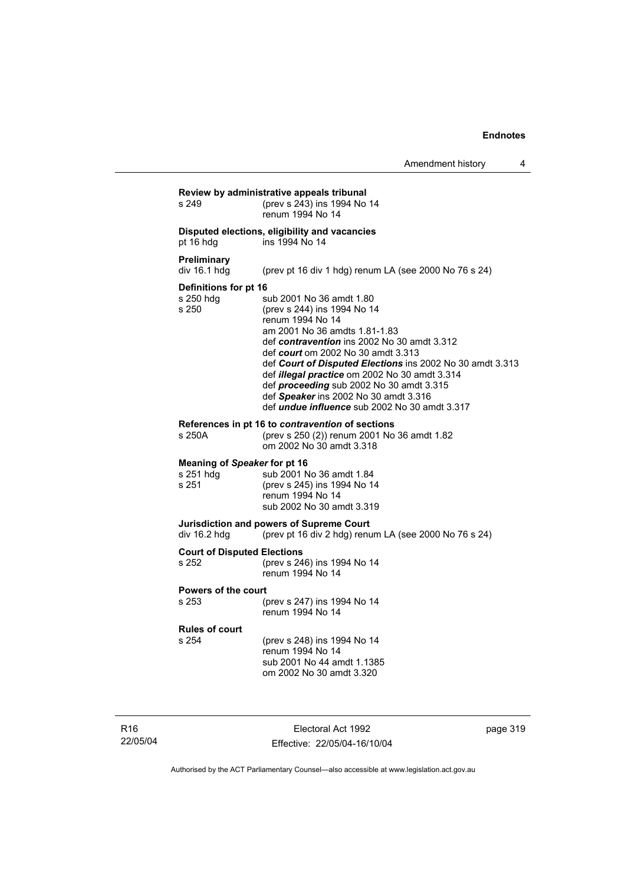| s 249                                              | (prev s 243) ins 1994 No 14<br>renum 1994 No 14                                                                                                                                                                                                                                                                                                                                                                                                                     |
|----------------------------------------------------|---------------------------------------------------------------------------------------------------------------------------------------------------------------------------------------------------------------------------------------------------------------------------------------------------------------------------------------------------------------------------------------------------------------------------------------------------------------------|
| pt 16 hdg                                          | Disputed elections, eligibility and vacancies<br>ins 1994 No 14                                                                                                                                                                                                                                                                                                                                                                                                     |
| <b>Preliminary</b><br>div 16.1 hdg                 | (prev pt 16 div 1 hdg) renum LA (see 2000 No 76 s 24)                                                                                                                                                                                                                                                                                                                                                                                                               |
| Definitions for pt 16<br>s 250 hdg<br>s 250        | sub 2001 No 36 amdt 1.80<br>(prev s 244) ins 1994 No 14<br>renum 1994 No 14<br>am 2001 No 36 amdts 1.81-1.83<br>def contravention ins 2002 No 30 amdt 3.312<br>def court om 2002 No 30 amdt 3.313<br>def Court of Disputed Elections ins 2002 No 30 amdt 3.313<br>def illegal practice om 2002 No 30 amdt 3.314<br>def <b>proceeding</b> sub 2002 No 30 amdt 3.315<br>def Speaker ins 2002 No 30 amdt 3.316<br>def <i>undue influence</i> sub 2002 No 30 amdt 3.317 |
| s 250A                                             | References in pt 16 to contravention of sections<br>(prev s 250 (2)) renum 2001 No 36 amdt 1.82<br>om 2002 No 30 amdt 3.318                                                                                                                                                                                                                                                                                                                                         |
| Meaning of Speaker for pt 16<br>s 251 hdg<br>s 251 | sub 2001 No 36 amdt 1.84<br>(prev s 245) ins 1994 No 14<br>renum 1994 No 14<br>sub 2002 No 30 amdt 3.319                                                                                                                                                                                                                                                                                                                                                            |
| div 16.2 hdg                                       | Jurisdiction and powers of Supreme Court<br>(prev pt 16 div 2 hdg) renum LA (see 2000 No 76 s 24)                                                                                                                                                                                                                                                                                                                                                                   |
| <b>Court of Disputed Elections</b><br>s 252        | (prev s 246) ins 1994 No 14<br>renum 1994 No 14                                                                                                                                                                                                                                                                                                                                                                                                                     |
| <b>Powers of the court</b><br>s 253                | (prev s 247) ins 1994 No 14<br>renum 1994 No 14                                                                                                                                                                                                                                                                                                                                                                                                                     |
| <b>Rules of court</b><br>s 254                     | (prev s 248) ins 1994 No 14<br>renum 1994 No 14<br>sub 2001 No 44 amdt 1.1385<br>om 2002 No 30 amdt 3.320                                                                                                                                                                                                                                                                                                                                                           |

R16 22/05/04

Electoral Act 1992 Effective: 22/05/04-16/10/04 page 319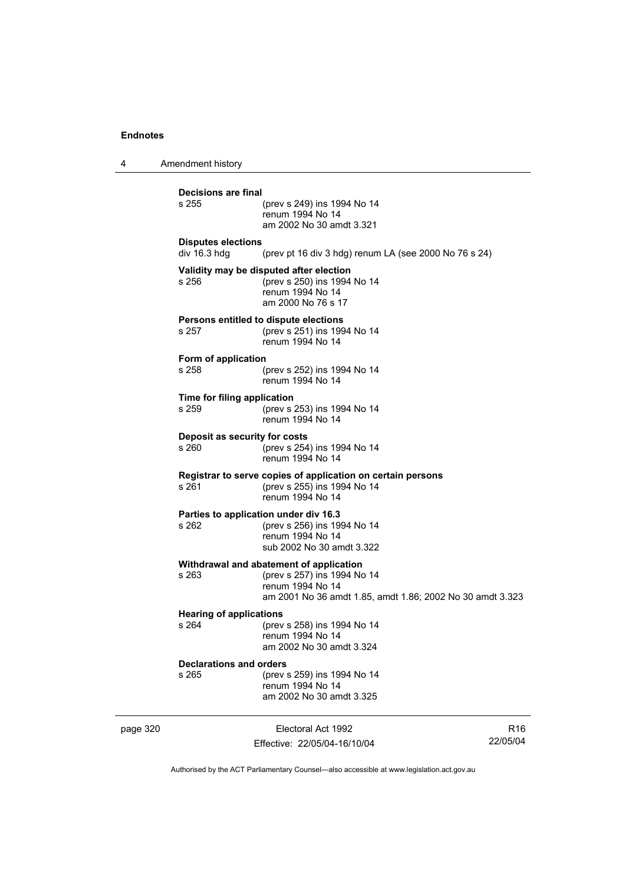4 Amendment history **Decisions are final** (prev s 249) ins 1994 No 14 renum 1994 No 14 am 2002 No 30 amdt 3.321 **Disputes elections**  div 16.3 hdg (prev pt 16 div 3 hdg) renum LA (see 2000 No 76 s 24) **Validity may be disputed after election** s 256 (prev s 250) ins 1994 No 14 renum 1994 No 14 am 2000 No 76 s 17 **Persons entitled to dispute elections**<br>s 257 (prev s 251) ins 199 s 257 (prev s 251) ins 1994 No 14 renum 1994 No 14 **Form of application** s 258 (prev s 252) ins 1994 No 14 renum 1994 No 14 **Time for filing application** s 259 (prev s 253) ins 1994 No 14 renum 1994 No 14 **Deposit as security for costs** s 260 (prev s 254) ins 1994 No 14 renum 1994 No 14 **Registrar to serve copies of application on certain persons** s 261 (prev s 255) ins 1994 No 14 renum 1994 No 14 **Parties to application under div 16.3** (prev s 256) ins 1994 No 14 renum 1994 No 14 sub 2002 No 30 amdt 3.322 **Withdrawal and abatement of application** s 263 (prev s 257) ins 1994 No 14 renum 1994 No 14 am 2001 No 36 amdt 1.85, amdt 1.86; 2002 No 30 amdt 3.323 **Hearing of applications**<br>s 264 (prev s 264 (prev s 258) ins 1994 No 14 renum 1994 No 14 am 2002 No 30 amdt 3.324 **Declarations and orders** s 265 (prev s 259) ins 1994 No 14 renum 1994 No 14 am 2002 No 30 amdt 3.325

page 320 **Electoral Act 1992** Effective: 22/05/04-16/10/04

R16 22/05/04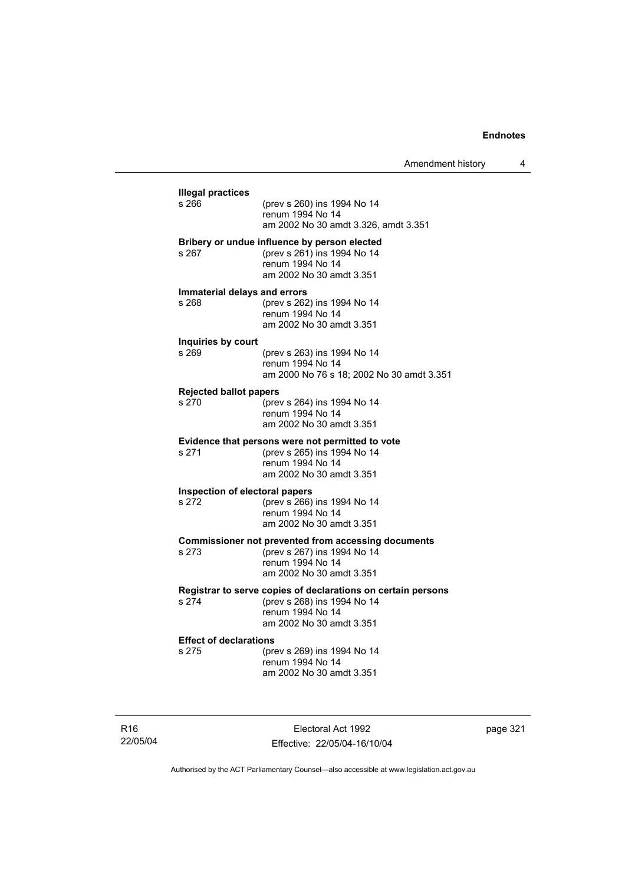| s 266                          | (prev s 260) ins 1994 No 14                                                               |
|--------------------------------|-------------------------------------------------------------------------------------------|
|                                | renum 1994 No 14                                                                          |
|                                | am 2002 No 30 amdt 3.326, amdt 3.351                                                      |
|                                | Bribery or undue influence by person elected                                              |
| s 267                          | (prev s 261) ins 1994 No 14<br>renum 1994 No 14                                           |
|                                | am 2002 No 30 amdt 3.351                                                                  |
| Immaterial delays and errors   |                                                                                           |
| s 268                          | (prev s 262) ins 1994 No 14                                                               |
|                                | renum 1994 No 14<br>am 2002 No 30 amdt 3.351                                              |
|                                |                                                                                           |
| Inquiries by court<br>s 269    | (prev s 263) ins 1994 No 14                                                               |
|                                | renum 1994 No 14                                                                          |
|                                | am 2000 No 76 s 18; 2002 No 30 amdt 3.351                                                 |
| <b>Rejected ballot papers</b>  |                                                                                           |
| s 270                          | (prev s 264) ins 1994 No 14<br>renum 1994 No 14                                           |
|                                | am 2002 No 30 amdt 3.351                                                                  |
|                                | Evidence that persons were not permitted to vote                                          |
| s 271                          | (prev s 265) ins 1994 No 14                                                               |
|                                | renum 1994 No 14<br>am 2002 No 30 amdt 3.351                                              |
| Inspection of electoral papers |                                                                                           |
| s 272                          | (prev s 266) ins 1994 No 14                                                               |
|                                | renum 1994 No 14                                                                          |
|                                | am 2002 No 30 amdt 3.351                                                                  |
| s 273                          | <b>Commissioner not prevented from accessing documents</b><br>(prev s 267) ins 1994 No 14 |
|                                | renum 1994 No 14                                                                          |
|                                | am 2002 No 30 amdt 3.351                                                                  |
|                                | Registrar to serve copies of declarations on certain persons                              |
| s 274                          | (prev s 268) ins 1994 No 14<br>renum 1994 No 14                                           |
|                                | am 2002 No 30 amdt 3.351                                                                  |
| <b>Effect of declarations</b>  |                                                                                           |
| s 275                          | (prev s 269) ins 1994 No 14                                                               |
|                                | renum 1994 No 14                                                                          |
|                                | am 2002 No 30 amdt 3.351                                                                  |

R16 22/05/04

Electoral Act 1992 Effective: 22/05/04-16/10/04 page 321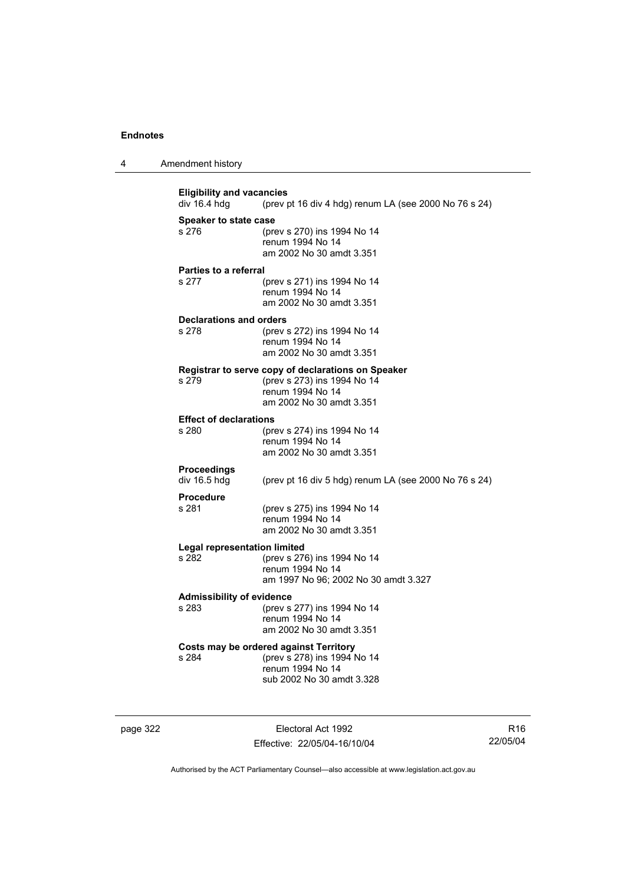| Amendment history<br>4 |  |
|------------------------|--|
|------------------------|--|

**Eligibility and vacancies**<br>div 16.4 hdg (prev) (prev pt 16 div 4 hdg) renum LA (see 2000 No 76 s 24) **Speaker to state case** s 276 (prev s 270) ins 1994 No 14 renum 1994 No 14 am 2002 No 30 amdt 3.351 **Parties to a referral** s 277 (prev s 271) ins 1994 No 14 renum 1994 No 14 am 2002 No 30 amdt 3.351 **Declarations and orders** s 278 (prev s 272) ins 1994 No 14 renum 1994 No 14 am 2002 No 30 amdt 3.351 **Registrar to serve copy of declarations on Speaker** s 279 (prev s 273) ins 1994 No 14 renum 1994 No 14 am 2002 No 30 amdt 3.351 **Effect of declarations**<br>s 280 (pre (prev s 274) ins 1994 No 14 renum 1994 No 14 am 2002 No 30 amdt 3.351 **Proceedings**  div 16.5 hdg (prev pt 16 div 5 hdg) renum LA (see 2000 No 76 s 24) **Procedure** s 281 (prev s 275) ins 1994 No 14 renum 1994 No 14 am 2002 No 30 amdt 3.351 **Legal representation limited** (prev s 276) ins 1994 No 14 renum 1994 No 14 am 1997 No 96; 2002 No 30 amdt 3.327 **Admissibility of evidence** (prev s 277) ins 1994 No 14 renum 1994 No 14 am 2002 No 30 amdt 3.351 **Costs may be ordered against Territory** s 284 (prev s 278) ins 1994 No 14 renum 1994 No 14 sub 2002 No 30 amdt 3.328

page 322 Electoral Act 1992 Effective: 22/05/04-16/10/04

R16 22/05/04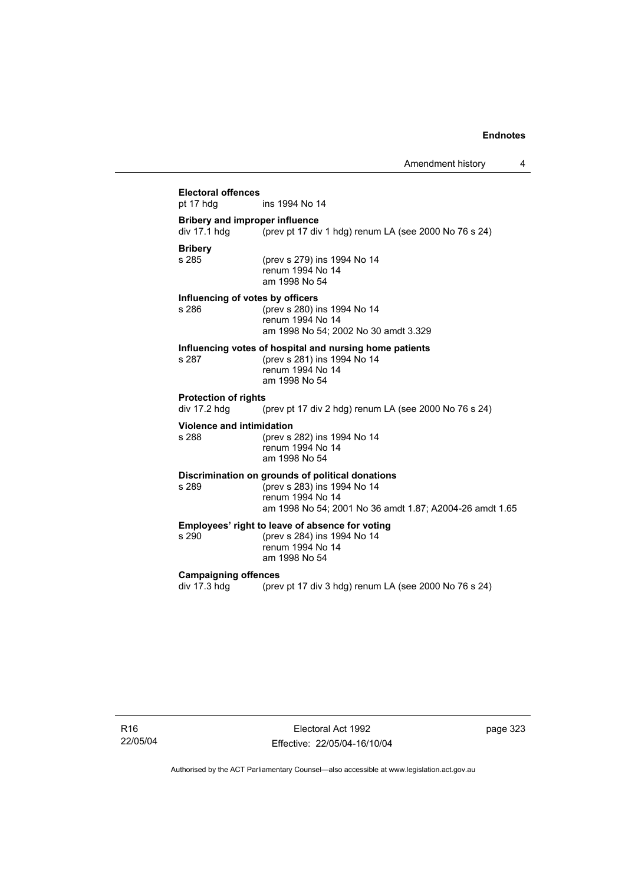### **Electoral offences** ins 1994 No 14 **Bribery and improper influence**  div 17.1 hdg  $\frac{1}{2}$  (prev pt 17 div 1 hdg) renum LA (see 2000 No 76 s 24) **Bribery** (prev s 279) ins 1994 No 14 renum 1994 No 14 am 1998 No 54 **Influencing of votes by officers** s 286 (prev s 280) ins 1994 No 14 renum 1994 No 14 am 1998 No 54; 2002 No 30 amdt 3.329 **Influencing votes of hospital and nursing home patients** s 287 (prev s 281) ins 1994 No 14 renum 1994 No 14 am 1998 No 54 **Protection of rights**  div 17.2 hdg (prev pt 17 div 2 hdg) renum LA (see 2000 No 76 s 24) **Violence and intimidation** s 288 (prev s 282) ins 1994 No 14 renum 1994 No 14 am 1998 No 54 **Discrimination on grounds of political donations** s 289 (prev s 283) ins 1994 No 14 renum 1994 No 14 am 1998 No 54; 2001 No 36 amdt 1.87; A2004-26 amdt 1.65 **Employees' right to leave of absence for voting**<br>s 290 (prev s 284) ins 1994 No 14 (prev s 284) ins 1994 No 14 renum 1994 No 14 am 1998 No 54 **Campaigning offences**  div 17.3 hdg (prev pt 17 div 3 hdg) renum LA (see 2000 No 76 s 24)

R16 22/05/04

Electoral Act 1992 Effective: 22/05/04-16/10/04 page 323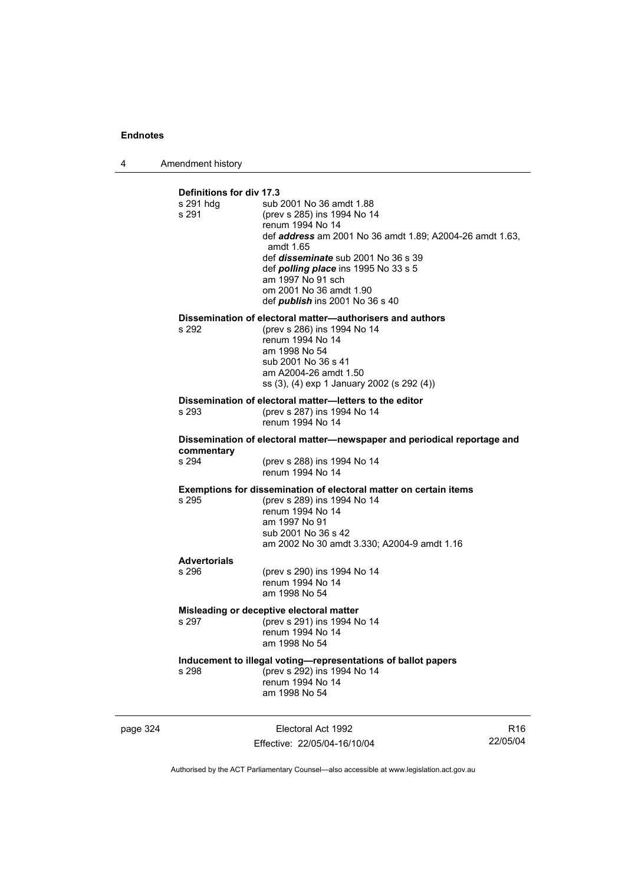4 Amendment history

| Definitions for div 17.3<br>s 291 hdq<br>s 291 | sub 2001 No 36 amdt 1.88<br>(prev s 285) ins 1994 No 14<br>renum 1994 No 14<br>def <b>address</b> am 2001 No 36 amdt 1.89; A2004-26 amdt 1.63,<br>amdt 1.65<br>def <i>disseminate</i> sub 2001 No 36 s 39<br>def <i>polling place</i> ins 1995 No 33 s 5<br>am 1997 No 91 sch<br>om 2001 No 36 amdt 1.90<br>def <b>publish</b> ins 2001 No 36 s 40 |
|------------------------------------------------|----------------------------------------------------------------------------------------------------------------------------------------------------------------------------------------------------------------------------------------------------------------------------------------------------------------------------------------------------|
| s 292                                          | Dissemination of electoral matter-authorisers and authors<br>(prev s 286) ins 1994 No 14<br>renum 1994 No 14<br>am 1998 No 54<br>sub 2001 No 36 s 41<br>am A2004-26 amdt 1.50<br>ss (3), (4) exp 1 January 2002 (s 292 (4))                                                                                                                        |
| s 293                                          | Dissemination of electoral matter-letters to the editor<br>(prev s 287) ins 1994 No 14<br>renum 1994 No 14                                                                                                                                                                                                                                         |
| commentary                                     | Dissemination of electoral matter-newspaper and periodical reportage and                                                                                                                                                                                                                                                                           |
| s 294                                          | (prev s 288) ins 1994 No 14<br>renum 1994 No 14                                                                                                                                                                                                                                                                                                    |
| s 295                                          | <b>Exemptions for dissemination of electoral matter on certain items</b><br>(prev s 289) ins 1994 No 14<br>renum 1994 No 14<br>am 1997 No 91<br>sub 2001 No 36 s 42<br>am 2002 No 30 amdt 3.330; A2004-9 amdt 1.16                                                                                                                                 |
| <b>Advertorials</b><br>s 296                   | (prev s 290) ins 1994 No 14                                                                                                                                                                                                                                                                                                                        |
|                                                | renum 1994 No 14<br>am 1998 No 54                                                                                                                                                                                                                                                                                                                  |
| s 297                                          | Misleading or deceptive electoral matter<br>(prev s 291) ins 1994 No 14                                                                                                                                                                                                                                                                            |
|                                                | renum 1994 No 14<br>am 1998 No 54                                                                                                                                                                                                                                                                                                                  |
| s 298                                          | Inducement to illegal voting-representations of ballot papers<br>(prev s 292) ins 1994 No 14<br>renum 1994 No 14<br>am 1998 No 54                                                                                                                                                                                                                  |

page 324 Electoral Act 1992 Effective: 22/05/04-16/10/04

R16 22/05/04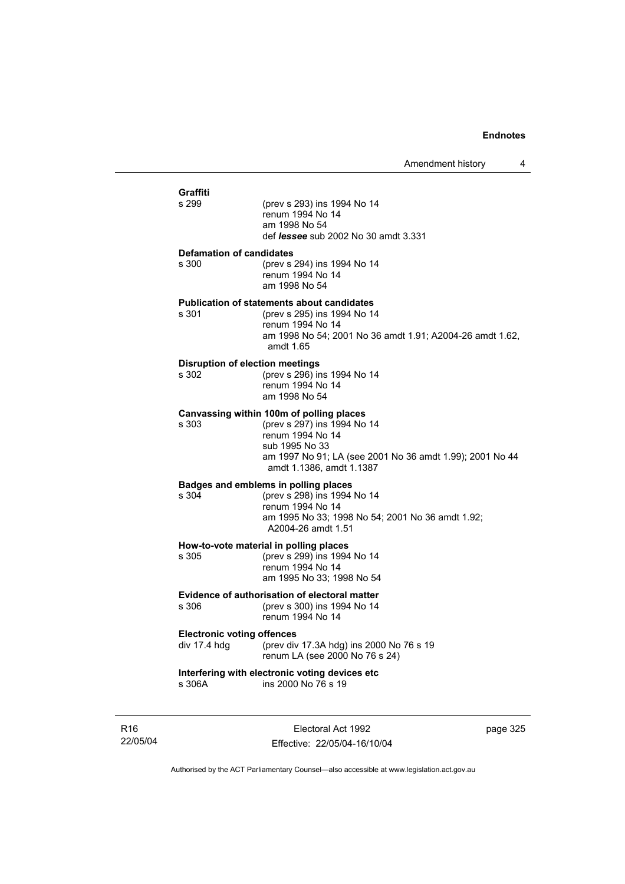| Graffiti<br>s 299                                 | (prev s 293) ins 1994 No 14<br>renum 1994 No 14<br>am 1998 No 54<br>def <i>lessee</i> sub 2002 No 30 amdt 3.331                                                                                       |
|---------------------------------------------------|-------------------------------------------------------------------------------------------------------------------------------------------------------------------------------------------------------|
| <b>Defamation of candidates</b><br>s 300          | (prev s 294) ins 1994 No 14<br>renum 1994 No 14<br>am 1998 No 54                                                                                                                                      |
| s 301                                             | <b>Publication of statements about candidates</b><br>(prev s 295) ins 1994 No 14<br>renum 1994 No 14<br>am 1998 No 54; 2001 No 36 amdt 1.91; A2004-26 amdt 1.62,<br>amdt 1.65                         |
| <b>Disruption of election meetings</b><br>s 302   | (prev s 296) ins 1994 No 14<br>renum 1994 No 14<br>am 1998 No 54                                                                                                                                      |
| s 303                                             | Canvassing within 100m of polling places<br>(prev s 297) ins 1994 No 14<br>renum 1994 No 14<br>sub 1995 No 33<br>am 1997 No 91; LA (see 2001 No 36 amdt 1.99); 2001 No 44<br>amdt 1.1386, amdt 1.1387 |
| s 304                                             | Badges and emblems in polling places<br>(prev s 298) ins 1994 No 14<br>renum 1994 No 14<br>am 1995 No 33; 1998 No 54; 2001 No 36 amdt 1.92;<br>A2004-26 amdt 1.51                                     |
| s 305                                             | How-to-vote material in polling places<br>(prev s 299) ins 1994 No 14<br>renum 1994 No 14<br>am 1995 No 33; 1998 No 54                                                                                |
| s 306                                             | Evidence of authorisation of electoral matter<br>(prev s 300) ins 1994 No 14<br>renum 1994 No 14                                                                                                      |
| <b>Electronic voting offences</b><br>div 17.4 hdg | (prev div 17.3A hdg) ins 2000 No 76 s 19<br>renum LA (see 2000 No 76 s 24)                                                                                                                            |
| s 306A                                            | Interfering with electronic voting devices etc<br>ins 2000 No 76 s 19                                                                                                                                 |
|                                                   |                                                                                                                                                                                                       |

R16 22/05/04

Electoral Act 1992 Effective: 22/05/04-16/10/04 page 325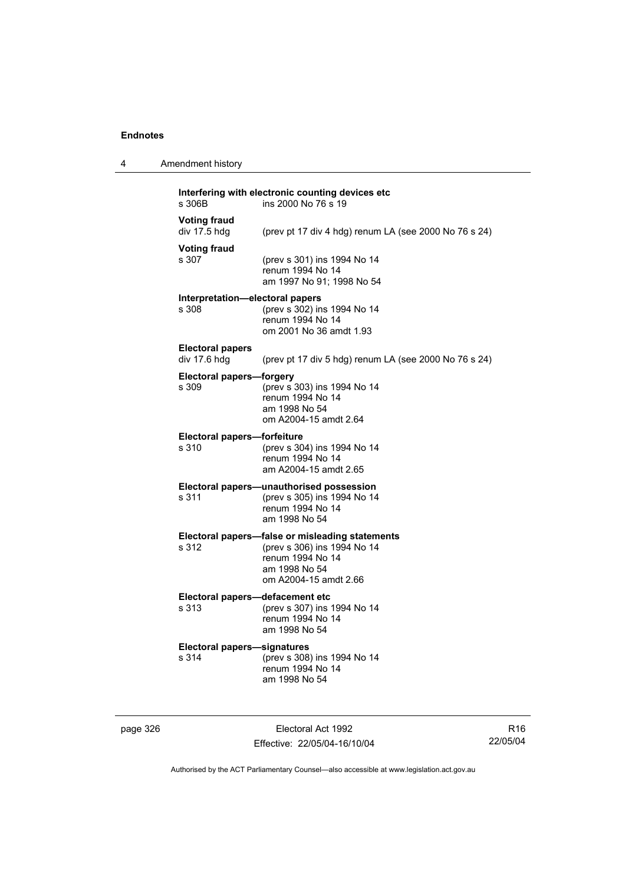4 Amendment history

| s 306B                                   | ins 2000 No 76 s 19                                                                                                                          |
|------------------------------------------|----------------------------------------------------------------------------------------------------------------------------------------------|
| <b>Voting fraud</b><br>div 17.5 hdg      | (prev pt 17 div 4 hdg) renum LA (see 2000 No 76 s 24)                                                                                        |
| <b>Voting fraud</b><br>s 307             | (prev s 301) ins 1994 No 14<br>renum 1994 No 14<br>am 1997 No 91; 1998 No 54                                                                 |
| Interpretation-electoral papers<br>s 308 | (prev s 302) ins 1994 No 14<br>renum 1994 No 14<br>om 2001 No 36 amdt 1.93                                                                   |
| <b>Electoral papers</b><br>div 17.6 hdg  | (prev pt 17 div 5 hdg) renum LA (see 2000 No 76 s 24)                                                                                        |
| <b>Electoral papers-forgery</b><br>s 309 | (prev s 303) ins 1994 No 14<br>renum 1994 No 14<br>am 1998 No 54<br>om A2004-15 amdt 2.64                                                    |
| Electoral papers-forfeiture<br>s 310     | (prev s 304) ins 1994 No 14<br>renum 1994 No 14<br>am A2004-15 amdt 2.65                                                                     |
| s 311                                    | Electoral papers-unauthorised possession<br>(prev s 305) ins 1994 No 14<br>renum 1994 No 14<br>am 1998 No 54                                 |
| s 312                                    | Electoral papers-false or misleading statements<br>(prev s 306) ins 1994 No 14<br>renum 1994 No 14<br>am 1998 No 54<br>om A2004-15 amdt 2.66 |
| Electeral                                | defecement etc.                                                                                                                              |

#### **Electoral papers—defacement etc** s 313 (prev s 307) ins 1994 No 14 renum 1994 No 14 am 1998 No 54

#### **Electoral papers—signatures** s 314 (prev s 308) ins 1994 No 14 renum 1994 No 14 am 1998 No 54

page 326 Electoral Act 1992 Effective: 22/05/04-16/10/04

R16 22/05/04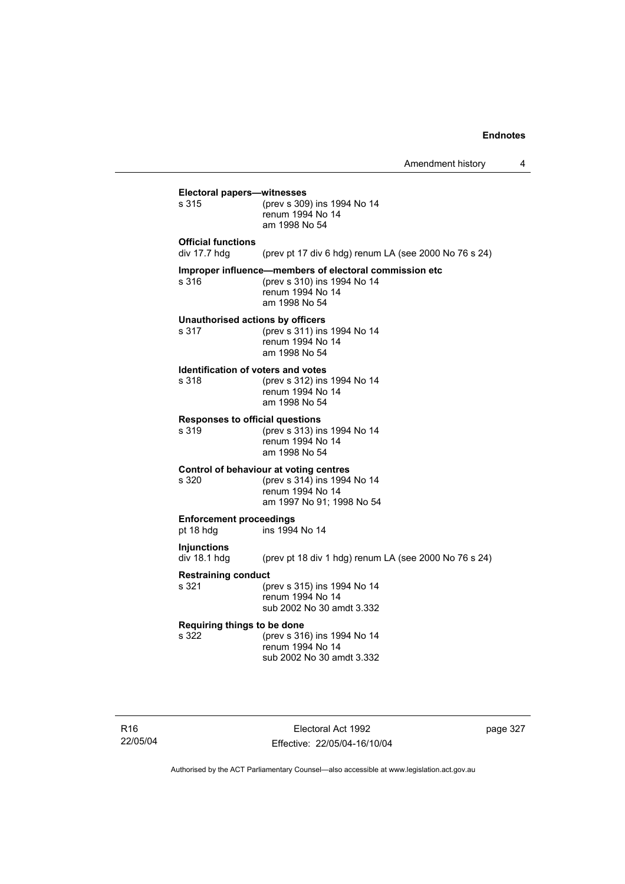|                                                    | Amendment history                                                                                                          | 4        |
|----------------------------------------------------|----------------------------------------------------------------------------------------------------------------------------|----------|
| Electoral papers-witnesses<br>s 315                | (prev s 309) ins 1994 No 14<br>renum 1994 No 14<br>am 1998 No 54                                                           |          |
| <b>Official functions</b><br>div $17.7$ hdg        | (prev pt 17 div 6 hdg) renum LA (see 2000 No 76 s 24)                                                                      |          |
| s 316                                              | Improper influence—members of electoral commission etc<br>(prev s 310) ins 1994 No 14<br>renum 1994 No 14<br>am 1998 No 54 |          |
| Unauthorised actions by officers<br>s 317          | (prev s 311) ins 1994 No 14<br>renum 1994 No 14<br>am 1998 No 54                                                           |          |
| <b>Identification of voters and votes</b><br>s 318 | (prev s 312) ins 1994 No 14<br>renum 1994 No 14<br>am 1998 No 54                                                           |          |
| <b>Responses to official questions</b><br>s 319    | (prev s 313) ins 1994 No 14<br>renum 1994 No 14<br>am 1998 No 54                                                           |          |
| s 320                                              | Control of behaviour at voting centres<br>(prev s 314) ins 1994 No 14<br>renum 1994 No 14<br>am 1997 No 91; 1998 No 54     |          |
| <b>Enforcement proceedings</b><br>pt 18 hdg        | ins 1994 No 14                                                                                                             |          |
| <b>Injunctions</b><br>div 18.1 hdg                 | (prev pt 18 div 1 hdg) renum LA (see 2000 No 76 s 24)                                                                      |          |
| <b>Restraining conduct</b><br>s 321                | (prev s 315) ins 1994 No 14<br>renum 1994 No 14<br>sub 2002 No 30 amdt 3.332                                               |          |
| Requiring things to be done<br>s 322               | (prev s 316) ins 1994 No 14<br>renum 1994 No 14<br>sub 2002 No 30 amdt 3.332                                               |          |
|                                                    | Electoral Act 1992                                                                                                         | page 327 |

Effective: 22/05/04-16/10/04

R16 22/05/04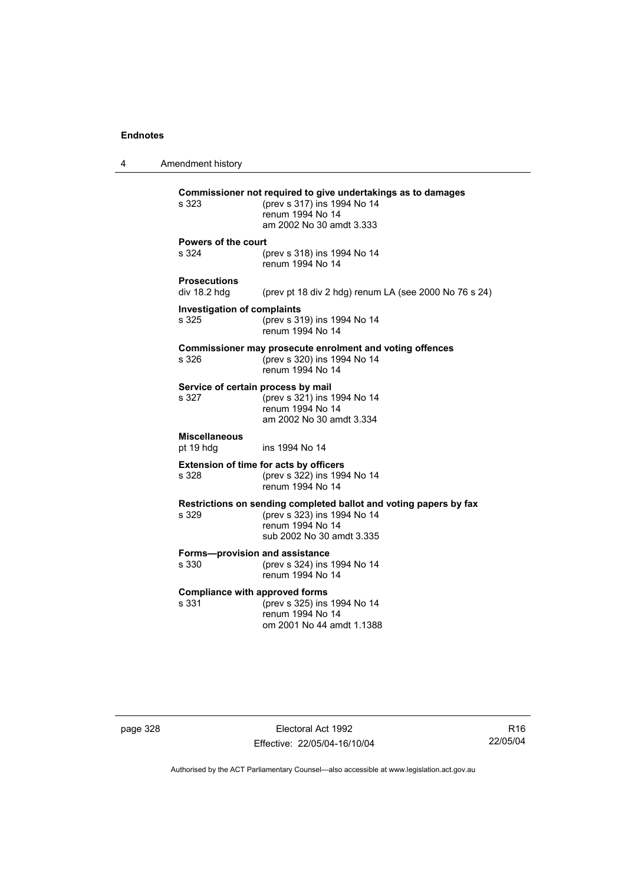4 Amendment history **Commissioner not required to give undertakings as to damages** s 323 (prev s 317) ins 1994 No 14 renum 1994 No 14 am 2002 No 30 amdt 3.333 **Powers of the court** s 324 (prev s 318) ins 1994 No 14 renum 1994 No 14 **Prosecutions**  (prev pt 18 div 2 hdg) renum LA (see 2000 No 76 s 24) **Investigation of complaints** s 325 (prev s 319) ins 1994 No 14 renum 1994 No 14 **Commissioner may prosecute enrolment and voting offences** s 326 (prev s 320) ins 1994 No 14 renum 1994 No 14 **Service of certain process by mail**<br>s 327 (prev s 321) ins 1  $(prev s 321)$  ins 1994 No 14 renum 1994 No 14 am 2002 No 30 amdt 3.334 **Miscellaneous** pt 19 hdg ins 1994 No 14 **Extension of time for acts by officers** s 328 (prev s 322) ins 1994 No 14 renum 1994 No 14 **Restrictions on sending completed ballot and voting papers by fax** s 329 (prev s 323) ins 1994 No 14 renum 1994 No 14 sub 2002 No 30 amdt 3.335 **Forms—provision and assistance** s 330 (prev s 324) ins 1994 No 14 renum 1994 No 14 **Compliance with approved forms**<br>s 331 (prev s 325) ins (prev s 325) ins 1994 No 14 renum 1994 No 14 om 2001 No 44 amdt 1.1388

page 328 Electoral Act 1992 Effective: 22/05/04-16/10/04

R16 22/05/04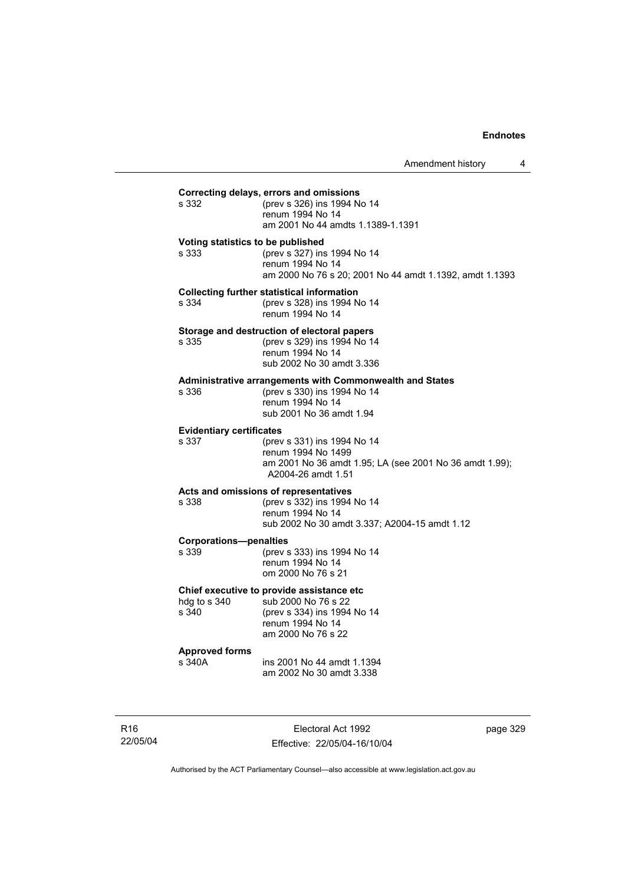### **Correcting delays, errors and omissions** (prev s 326) ins 1994 No 14 renum 1994 No 14 am 2001 No 44 amdts 1.1389-1.1391 **Voting statistics to be published** s 333 (prev s 327) ins 1994 No 14 renum 1994 No 14 am 2000 No 76 s 20; 2001 No 44 amdt 1.1392, amdt 1.1393 **Collecting further statistical information** s 334 (prev s 328) ins 1994 No 14 renum 1994 No 14 **Storage and destruction of electoral papers**<br>s 335 (orev s 329) ins 1994 No 14 (prev s 329) ins 1994 No 14 renum 1994 No 14 sub 2002 No 30 amdt 3.336 **Administrative arrangements with Commonwealth and States** s 336 (prev s 330) ins 1994 No 14 renum 1994 No 14 sub 2001 No 36 amdt 1.94 **Evidentiary certificates** s 337 (prev s 331) ins 1994 No 14 renum 1994 No 1499 am 2001 No 36 amdt 1.95; LA (see 2001 No 36 amdt 1.99); A2004-26 amdt 1.51 **Acts and omissions of representatives** s 338 (prev s 332) ins 1994 No 14 renum 1994 No 14 sub 2002 No 30 amdt 3.337; A2004-15 amdt 1.12 **Corporations—penalties** s 339 (prev s 333) ins 1994 No 14 renum 1994 No 14 om 2000 No 76 s 21 **Chief executive to provide assistance etc** hdg to s 340 sub 2000 No 76 s 22 s 340 (prev s 334) ins 1994 No 14 renum 1994 No 14 am 2000 No 76 s 22 **Approved forms**  s 340A ins 2001 No 44 amdt 1.1394 am 2002 No 30 amdt 3.338

R16 22/05/04

Electoral Act 1992 Effective: 22/05/04-16/10/04 page 329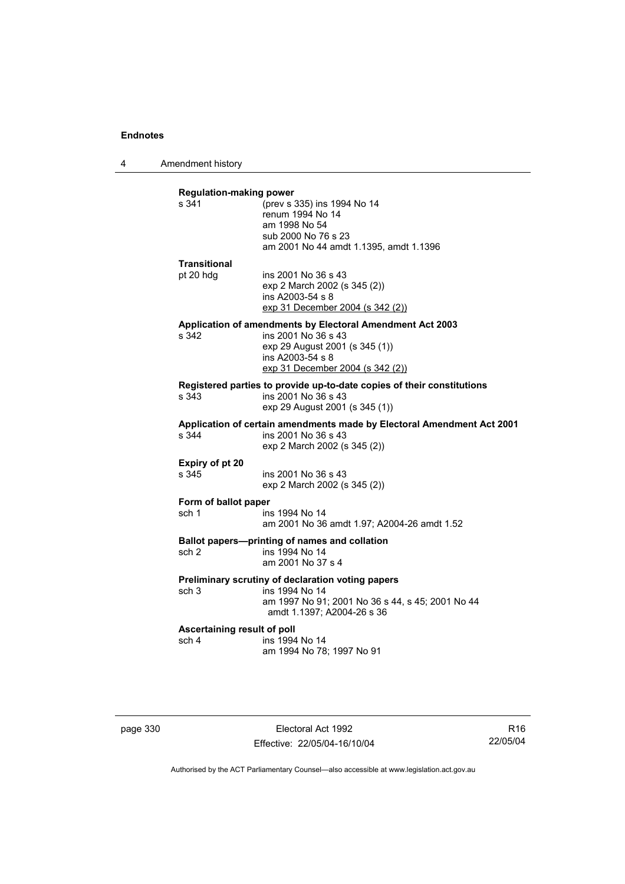4 Amendment history

| s 341                                                                | (prev s 335) ins 1994 No 14                                                                                                   |
|----------------------------------------------------------------------|-------------------------------------------------------------------------------------------------------------------------------|
|                                                                      | renum 1994 No 14                                                                                                              |
|                                                                      | am 1998 No 54                                                                                                                 |
|                                                                      | sub 2000 No 76 s 23                                                                                                           |
|                                                                      | am 2001 No 44 amdt 1.1395, amdt 1.1396                                                                                        |
| <b>Transitional</b>                                                  |                                                                                                                               |
| pt 20 hdg                                                            | ins 2001 No 36 s 43                                                                                                           |
|                                                                      | exp 2 March 2002 (s 345 (2))                                                                                                  |
|                                                                      | ins A2003-54 s 8                                                                                                              |
|                                                                      | exp 31 December 2004 (s 342 (2))                                                                                              |
|                                                                      | Application of amendments by Electoral Amendment Act 2003                                                                     |
| s 342                                                                | ins 2001 No 36 s 43                                                                                                           |
|                                                                      | exp 29 August 2001 (s 345 (1))<br>ins A2003-54 s 8                                                                            |
|                                                                      | exp 31 December 2004 (s 342 (2))                                                                                              |
|                                                                      |                                                                                                                               |
| s 343                                                                | Registered parties to provide up-to-date copies of their constitutions<br>ins 2001 No 36 s 43                                 |
|                                                                      | exp 29 August 2001 (s 345 (1))                                                                                                |
| s.344                                                                | Application of certain amendments made by Electoral Amendment Act 2001<br>ins 2001 No 36 s 43<br>exp 2 March 2002 (s 345 (2)) |
|                                                                      |                                                                                                                               |
|                                                                      |                                                                                                                               |
|                                                                      |                                                                                                                               |
|                                                                      | ins 2001 No 36 s 43                                                                                                           |
|                                                                      | exp 2 March 2002 (s 345 (2))                                                                                                  |
|                                                                      |                                                                                                                               |
|                                                                      | ins 1994 No 14<br>am 2001 No 36 amdt 1.97; A2004-26 amdt 1.52                                                                 |
|                                                                      |                                                                                                                               |
| sch 1                                                                | Ballot papers---printing of names and collation                                                                               |
|                                                                      | ins 1994 No 14<br>am 2001 No 37 s 4                                                                                           |
| Expiry of pt 20<br>s 345<br>Form of ballot paper<br>sch <sub>2</sub> |                                                                                                                               |
|                                                                      | Preliminary scrutiny of declaration voting papers                                                                             |
| sch 3                                                                | ins 1994 No 14                                                                                                                |
|                                                                      | am 1997 No 91; 2001 No 36 s 44, s 45; 2001 No 44<br>amdt 1.1397; A2004-26 s 36                                                |
|                                                                      |                                                                                                                               |
| Ascertaining result of poll<br>sch 4                                 | ins 1994 No 14                                                                                                                |

page 330 Electoral Act 1992 Effective: 22/05/04-16/10/04

R16 22/05/04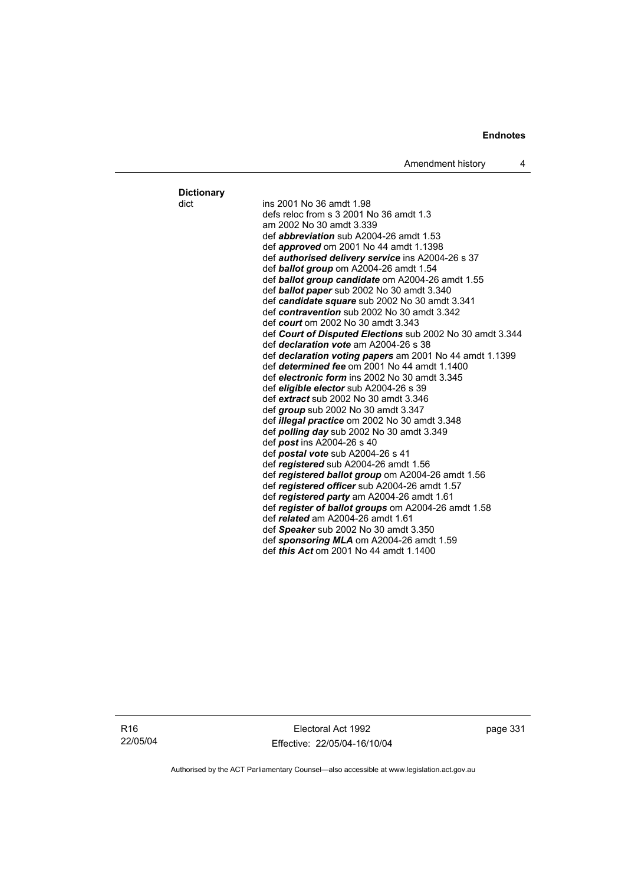**Dictionary**

dict ins 2001 No 36 amdt 1.98 defs reloc from s 3 2001 No 36 amdt 1.3 am 2002 No 30 amdt 3.339 def *abbreviation* sub A2004-26 amdt 1.53 def *approved* om 2001 No 44 amdt 1.1398 def *authorised delivery service* ins A2004-26 s 37 def *ballot group* om A2004-26 amdt 1.54 def *ballot group candidate* om A2004-26 amdt 1.55 def *ballot paper* sub 2002 No 30 amdt 3.340 def *candidate square* sub 2002 No 30 amdt 3.341 def *contravention* sub 2002 No 30 amdt 3.342 def *court* om 2002 No 30 amdt 3.343 def *Court of Disputed Elections* sub 2002 No 30 amdt 3.344 def *declaration vote* am A2004-26 s 38 def *declaration voting papers* am 2001 No 44 amdt 1.1399 def *determined fee* om 2001 No 44 amdt 1.1400 def *electronic form* ins 2002 No 30 amdt 3.345 def *eligible elector* sub A2004-26 s 39 def *extract* sub 2002 No 30 amdt 3.346 def *group* sub 2002 No 30 amdt 3.347 def *illegal practice* om 2002 No 30 amdt 3.348 def *polling day* sub 2002 No 30 amdt 3.349 def *post* ins A2004-26 s 40 def *postal vote* sub A2004-26 s 41 def *registered* sub A2004-26 amdt 1.56 def *registered ballot group* om A2004-26 amdt 1.56 def *registered officer* sub A2004-26 amdt 1.57 def *registered party* am A2004-26 amdt 1.61 def *register of ballot groups* om A2004-26 amdt 1.58 def *related* am A2004-26 amdt 1.61 def *Speaker* sub 2002 No 30 amdt 3.350 def *sponsoring MLA* om A2004-26 amdt 1.59 def *this Act* om 2001 No 44 amdt 1.1400

R16 22/05/04

Electoral Act 1992 Effective: 22/05/04-16/10/04 page 331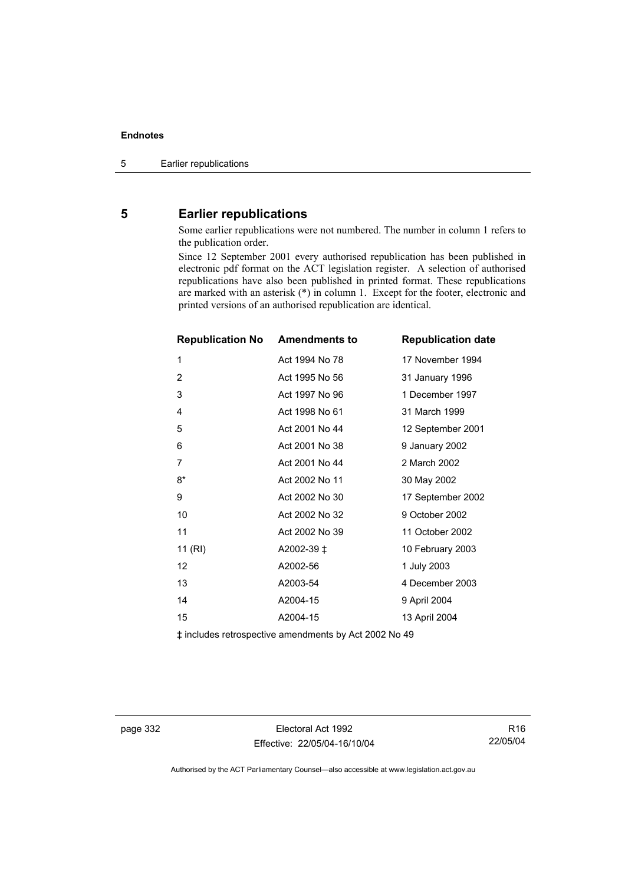### **5 Earlier republications**

Some earlier republications were not numbered. The number in column 1 refers to the publication order.

Since 12 September 2001 every authorised republication has been published in electronic pdf format on the ACT legislation register. A selection of authorised republications have also been published in printed format. These republications are marked with an asterisk (\*) in column 1. Except for the footer, electronic and printed versions of an authorised republication are identical.

| <b>Republication No</b> | <b>Amendments to</b> | <b>Republication date</b> |
|-------------------------|----------------------|---------------------------|
| 1                       | Act 1994 No 78       | 17 November 1994          |
| $\overline{2}$          | Act 1995 No 56       | 31 January 1996           |
| 3                       | Act 1997 No 96       | 1 December 1997           |
| 4                       | Act 1998 No 61       | 31 March 1999             |
| 5                       | Act 2001 No 44       | 12 September 2001         |
| 6                       | Act 2001 No 38       | 9 January 2002            |
| $\overline{7}$          | Act 2001 No 44       | 2 March 2002              |
| $8*$                    | Act 2002 No 11       | 30 May 2002               |
| 9                       | Act 2002 No 30       | 17 September 2002         |
| 10                      | Act 2002 No 32       | 9 October 2002            |
| 11                      | Act 2002 No 39       | 11 October 2002           |
| 11 (RI)                 | A2002-39 ‡           | 10 February 2003          |
| 12                      | A2002-56             | 1 July 2003               |
| 13                      | A2003-54             | 4 December 2003           |
| 14                      | A2004-15             | 9 April 2004              |
| 15                      | A2004-15             | 13 April 2004             |

‡ includes retrospective amendments by Act 2002 No 49

page 332 Electoral Act 1992 Effective: 22/05/04-16/10/04

R16 22/05/04